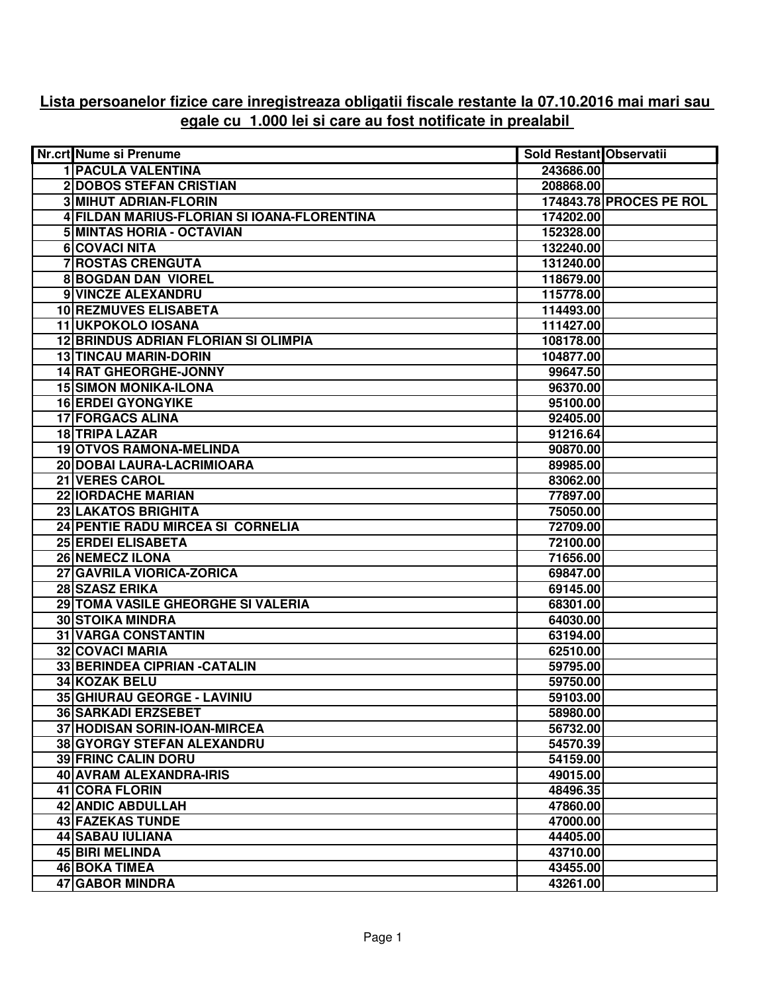## **Lista persoanelor fizice care inregistreaza obligatii fiscale restante la 07.10.2016 mai mari sau egale cu 1.000 lei si care au fost notificate in prealabil**

| <b>1 PACULA VALENTINA</b><br>243686.00<br><b>2DOBOS STEFAN CRISTIAN</b><br>208868.00<br><b>3 MIHUT ADRIAN-FLORIN</b><br>174843.78 PROCES PE ROL<br>4 FILDAN MARIUS-FLORIAN SI IOANA-FLORENTINA<br>174202.00<br>5 MINTAS HORIA - OCTAVIAN<br>152328.00 |
|-------------------------------------------------------------------------------------------------------------------------------------------------------------------------------------------------------------------------------------------------------|
|                                                                                                                                                                                                                                                       |
|                                                                                                                                                                                                                                                       |
|                                                                                                                                                                                                                                                       |
|                                                                                                                                                                                                                                                       |
|                                                                                                                                                                                                                                                       |
| 6 COVACI NITA<br>132240.00                                                                                                                                                                                                                            |
| <b>7 ROSTAS CRENGUTA</b><br>131240.00                                                                                                                                                                                                                 |
| <b>8 BOGDAN DAN VIOREL</b><br>118679.00                                                                                                                                                                                                               |
| 9 VINCZE ALEXANDRU<br>115778.00                                                                                                                                                                                                                       |
| 10 REZMUVES ELISABETA<br>114493.00                                                                                                                                                                                                                    |
| 11 UKPOKOLO IOSANA<br>111427.00                                                                                                                                                                                                                       |
| <b>12 BRINDUS ADRIAN FLORIAN SI OLIMPIA</b><br>108178.00                                                                                                                                                                                              |
| <b>13 TINCAU MARIN-DORIN</b><br>104877.00                                                                                                                                                                                                             |
| <b>14 RAT GHEORGHE-JONNY</b><br>99647.50                                                                                                                                                                                                              |
| <b>15 SIMON MONIKA-ILONA</b><br>96370.00                                                                                                                                                                                                              |
| <b>16 ERDEI GYONGYIKE</b><br>95100.00                                                                                                                                                                                                                 |
| <b>17 FORGACS ALINA</b><br>92405.00                                                                                                                                                                                                                   |
| <b>18 TRIPA LAZAR</b><br>91216.64                                                                                                                                                                                                                     |
| <b>19 OTVOS RAMONA-MELINDA</b><br>90870.00                                                                                                                                                                                                            |
| 20 DOBAI LAURA-LACRIMIOARA<br>89985.00                                                                                                                                                                                                                |
| <b>21 VERES CAROL</b><br>83062.00                                                                                                                                                                                                                     |
| <b>22 IORDACHE MARIAN</b><br>77897.00                                                                                                                                                                                                                 |
| 23 LAKATOS BRIGHITA<br>75050.00                                                                                                                                                                                                                       |
| 24 PENTIE RADU MIRCEA SI CORNELIA<br>72709.00                                                                                                                                                                                                         |
| <b>25 ERDEI ELISABETA</b><br>72100.00                                                                                                                                                                                                                 |
| <b>26 NEMECZ ILONA</b><br>71656.00                                                                                                                                                                                                                    |
| 27 GAVRILA VIORICA-ZORICA<br>69847.00                                                                                                                                                                                                                 |
| 28 SZASZ ERIKA<br>69145.00                                                                                                                                                                                                                            |
| 29 TOMA VASILE GHEORGHE SI VALERIA<br>68301.00                                                                                                                                                                                                        |
| <b>30 STOIKA MINDRA</b><br>64030.00                                                                                                                                                                                                                   |
| <b>31 VARGA CONSTANTIN</b><br>63194.00                                                                                                                                                                                                                |
| 32 COVACI MARIA<br>62510.00                                                                                                                                                                                                                           |
| 33 BERINDEA CIPRIAN - CATALIN<br>59795.00                                                                                                                                                                                                             |
| 34 KOZAK BELU<br>59750.00                                                                                                                                                                                                                             |
| 35 GHIURAU GEORGE - LAVINIU<br>59103.00                                                                                                                                                                                                               |
| <b>36 SARKADI ERZSEBET</b><br>58980.00                                                                                                                                                                                                                |
| 37 HODISAN SORIN-IOAN-MIRCEA<br>56732.00                                                                                                                                                                                                              |
| 38 GYORGY STEFAN ALEXANDRU<br>54570.39                                                                                                                                                                                                                |
| <b>39 FRINC CALIN DORU</b><br>54159.00                                                                                                                                                                                                                |
| 40 AVRAM ALEXANDRA-IRIS<br>49015.00                                                                                                                                                                                                                   |
| 41 CORA FLORIN<br>48496.35                                                                                                                                                                                                                            |
| 42 ANDIC ABDULLAH<br>47860.00                                                                                                                                                                                                                         |
| <b>43 FAZEKAS TUNDE</b><br>47000.00                                                                                                                                                                                                                   |
| <b>44 SABAU IULIANA</b><br>44405.00                                                                                                                                                                                                                   |
| 45 BIRI MELINDA<br>43710.00                                                                                                                                                                                                                           |
| <b>46 BOKA TIMEA</b><br>43455.00                                                                                                                                                                                                                      |
| 47 GABOR MINDRA<br>43261.00                                                                                                                                                                                                                           |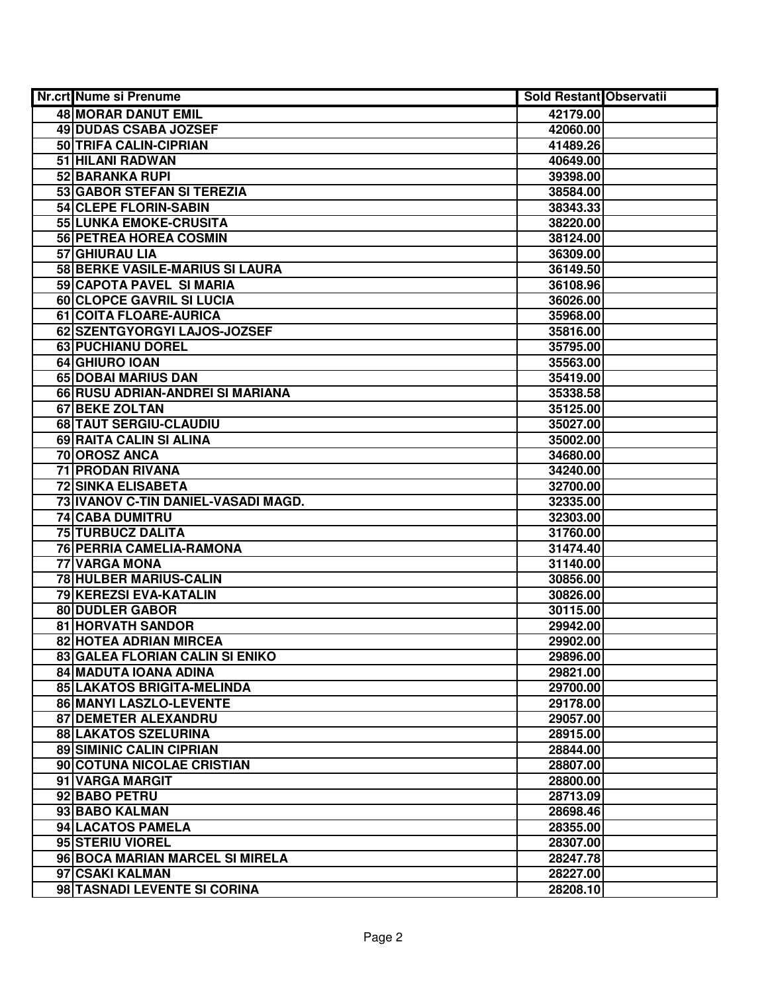| Nr.crt Nume si Prenume              | Sold Restant Observatii |  |
|-------------------------------------|-------------------------|--|
| <b>48 MORAR DANUT EMIL</b>          | 42179.00                |  |
| 49 DUDAS CSABA JOZSEF               | 42060.00                |  |
| 50 TRIFA CALIN-CIPRIAN              | 41489.26                |  |
| 51 HILANI RADWAN                    | 40649.00                |  |
| 52 BARANKA RUPI                     | 39398.00                |  |
| 53 GABOR STEFAN SI TEREZIA          | 38584.00                |  |
| 54 CLEPE FLORIN-SABIN               | 38343.33                |  |
| 55 LUNKA EMOKE-CRUSITA              | 38220.00                |  |
| <b>56 PETREA HOREA COSMIN</b>       | 38124.00                |  |
| 57 GHIURAU LIA                      | 36309.00                |  |
| 58 BERKE VASILE-MARIUS SI LAURA     | 36149.50                |  |
| 59 CAPOTA PAVEL SI MARIA            | 36108.96                |  |
| <b>60 CLOPCE GAVRIL SI LUCIA</b>    | 36026.00                |  |
| 61 COITA FLOARE-AURICA              | 35968.00                |  |
| 62 SZENTGYORGYI LAJOS-JOZSEF        | 35816.00                |  |
| 63 PUCHIANU DOREL                   | 35795.00                |  |
| 64 GHIURO IOAN                      | 35563.00                |  |
| 65 DOBAI MARIUS DAN                 | 35419.00                |  |
| 66 RUSU ADRIAN-ANDREI SI MARIANA    | 35338.58                |  |
| 67 BEKE ZOLTAN                      | 35125.00                |  |
| 68 TAUT SERGIU-CLAUDIU              | 35027.00                |  |
| 69 RAITA CALIN SI ALINA             | 35002.00                |  |
| 70 OROSZ ANCA                       | 34680.00                |  |
| 71 PRODAN RIVANA                    | 34240.00                |  |
| <b>72 SINKA ELISABETA</b>           | 32700.00                |  |
| 73 IVANOV C-TIN DANIEL-VASADI MAGD. | 32335.00                |  |
| <b>74 CABA DUMITRU</b>              | 32303.00                |  |
| 75 TURBUCZ DALITA                   | 31760.00                |  |
| 76 PERRIA CAMELIA-RAMONA            | 31474.40                |  |
| 77 VARGA MONA                       | 31140.00                |  |
| 78 HULBER MARIUS-CALIN              | 30856.00                |  |
| 79 KEREZSI EVA-KATALIN              | 30826.00                |  |
| 80 DUDLER GABOR                     | 30115.00                |  |
| <b>81 HORVATH SANDOR</b>            | 29942.00                |  |
| <b>82 HOTEA ADRIAN MIRCEA</b>       | 29902.00                |  |
| 83 GALEA FLORIAN CALIN SI ENIKO     | 29896.00                |  |
| 84 MADUTA IOANA ADINA               | 29821.00                |  |
| 85 LAKATOS BRIGITA-MELINDA          | 29700.00                |  |
| 86 MANYI LASZLO-LEVENTE             | 29178.00                |  |
| <b>87 DEMETER ALEXANDRU</b>         | 29057.00                |  |
| <b>88 LAKATOS SZELURINA</b>         | 28915.00                |  |
| <b>89 SIMINIC CALIN CIPRIAN</b>     | 28844.00                |  |
| 90 COTUNA NICOLAE CRISTIAN          | 28807.00                |  |
| 91 VARGA MARGIT                     | 28800.00                |  |
| 92 BABO PETRU                       | 28713.09                |  |
| 93 BABO KALMAN                      | 28698.46                |  |
| 94 LACATOS PAMELA                   | 28355.00                |  |
| 95 STERIU VIOREL                    | 28307.00                |  |
| 96 BOCA MARIAN MARCEL SI MIRELA     | 28247.78                |  |
| 97 CSAKI KALMAN                     | 28227.00                |  |
| 98 TASNADI LEVENTE SI CORINA        | 28208.10                |  |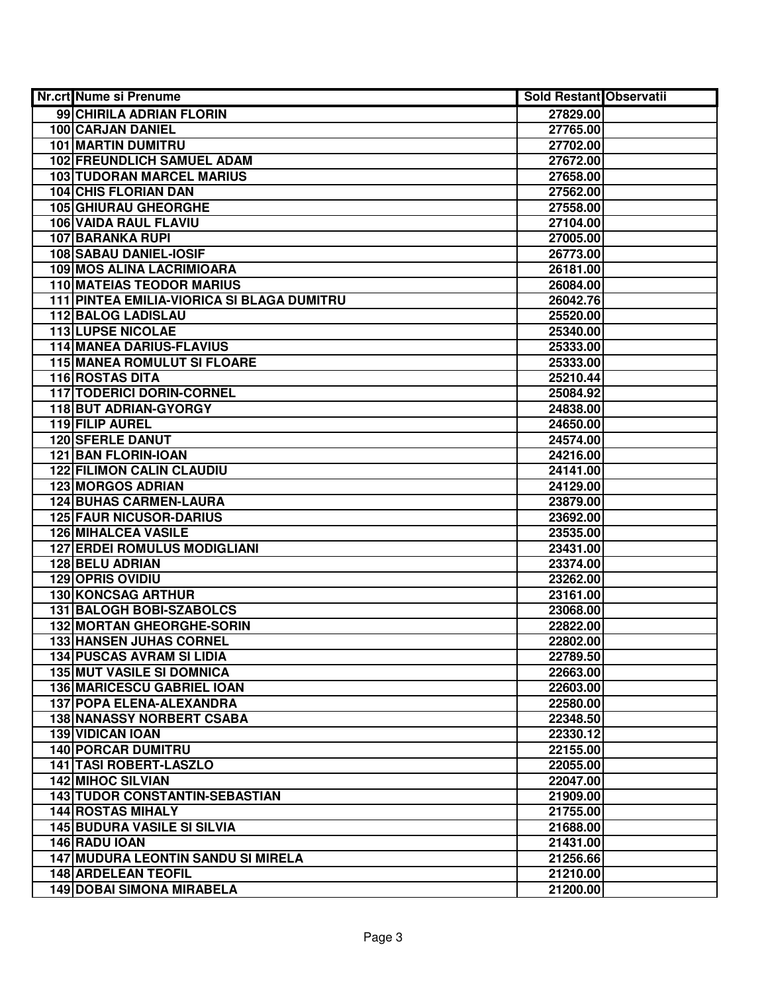| Nr.crt Nume si Prenume                     | <b>Sold Restant Observatii</b> |  |
|--------------------------------------------|--------------------------------|--|
| 99 CHIRILA ADRIAN FLORIN                   | 27829.00                       |  |
| <b>100 CARJAN DANIEL</b>                   | 27765.00                       |  |
| <b>101 MARTIN DUMITRU</b>                  | 27702.00                       |  |
| <b>102 FREUNDLICH SAMUEL ADAM</b>          | 27672.00                       |  |
| <b>103 TUDORAN MARCEL MARIUS</b>           | 27658.00                       |  |
| 104 CHIS FLORIAN DAN                       | 27562.00                       |  |
| <b>105 GHIURAU GHEORGHE</b>                | 27558.00                       |  |
| 106 VAIDA RAUL FLAVIU                      | 27104.00                       |  |
| <b>107 BARANKA RUPI</b>                    | 27005.00                       |  |
| <b>108 SABAU DANIEL-IOSIF</b>              | 26773.00                       |  |
| <b>109 MOS ALINA LACRIMIOARA</b>           | 26181.00                       |  |
| <b>110 MATEIAS TEODOR MARIUS</b>           | 26084.00                       |  |
| 111 PINTEA EMILIA-VIORICA SI BLAGA DUMITRU | 26042.76                       |  |
| <b>112 BALOG LADISLAU</b>                  | 25520.00                       |  |
| <b>113 LUPSE NICOLAE</b>                   | 25340.00                       |  |
| <b>114 MANEA DARIUS-FLAVIUS</b>            | 25333.00                       |  |
| <b>115 MANEA ROMULUT SI FLOARE</b>         | 25333.00                       |  |
| 116 ROSTAS DITA                            | 25210.44                       |  |
| <b>117 TODERICI DORIN-CORNEL</b>           | 25084.92                       |  |
| 118 BUT ADRIAN-GYORGY                      | 24838.00                       |  |
| 119 FILIP AUREL                            | 24650.00                       |  |
| <b>120 SFERLE DANUT</b>                    | 24574.00                       |  |
| 121 BAN FLORIN-IOAN                        | 24216.00                       |  |
| <b>122 FILIMON CALIN CLAUDIU</b>           | 24141.00                       |  |
| <b>123 MORGOS ADRIAN</b>                   | 24129.00                       |  |
| <b>124 BUHAS CARMEN-LAURA</b>              | 23879.00                       |  |
| <b>125 FAUR NICUSOR-DARIUS</b>             | 23692.00                       |  |
| <b>126 MIHALCEA VASILE</b>                 | 23535.00                       |  |
| <b>127 ERDEI ROMULUS MODIGLIANI</b>        | 23431.00                       |  |
| <b>128 BELU ADRIAN</b>                     | 23374.00                       |  |
| <b>129 OPRIS OVIDIU</b>                    | 23262.00                       |  |
| 130 KONCSAG ARTHUR                         | 23161.00                       |  |
| 131 BALOGH BOBI-SZABOLCS                   | 23068.00                       |  |
| <b>132 MORTAN GHEORGHE-SORIN</b>           | 22822.00                       |  |
| <b>133 HANSEN JUHAS CORNEL</b>             | 22802.00                       |  |
| <b>134 PUSCAS AVRAM SI LIDIA</b>           | 22789.50                       |  |
| <b>135 MUT VASILE SI DOMNICA</b>           | 22663.00                       |  |
| <b>136 MARICESCU GABRIEL IOAN</b>          | 22603.00                       |  |
| 137 POPA ELENA-ALEXANDRA                   | 22580.00                       |  |
| <b>138 NANASSY NORBERT CSABA</b>           | 22348.50                       |  |
| <b>139 VIDICAN IOAN</b>                    | 22330.12                       |  |
| <b>140 PORCAR DUMITRU</b>                  | 22155.00                       |  |
| 141 TASI ROBERT-LASZLO                     | 22055.00                       |  |
| <b>142 MIHOC SILVIAN</b>                   | 22047.00                       |  |
| <b>143 TUDOR CONSTANTIN-SEBASTIAN</b>      | 21909.00                       |  |
| <b>144 ROSTAS MIHALY</b>                   | 21755.00                       |  |
| <b>145 BUDURA VASILE SI SILVIA</b>         | 21688.00                       |  |
| 146 RADU IOAN                              | 21431.00                       |  |
| <b>147 MUDURA LEONTIN SANDU SI MIRELA</b>  | 21256.66                       |  |
| <b>148 ARDELEAN TEOFIL</b>                 | 21210.00                       |  |
| <b>149 DOBAI SIMONA MIRABELA</b>           | 21200.00                       |  |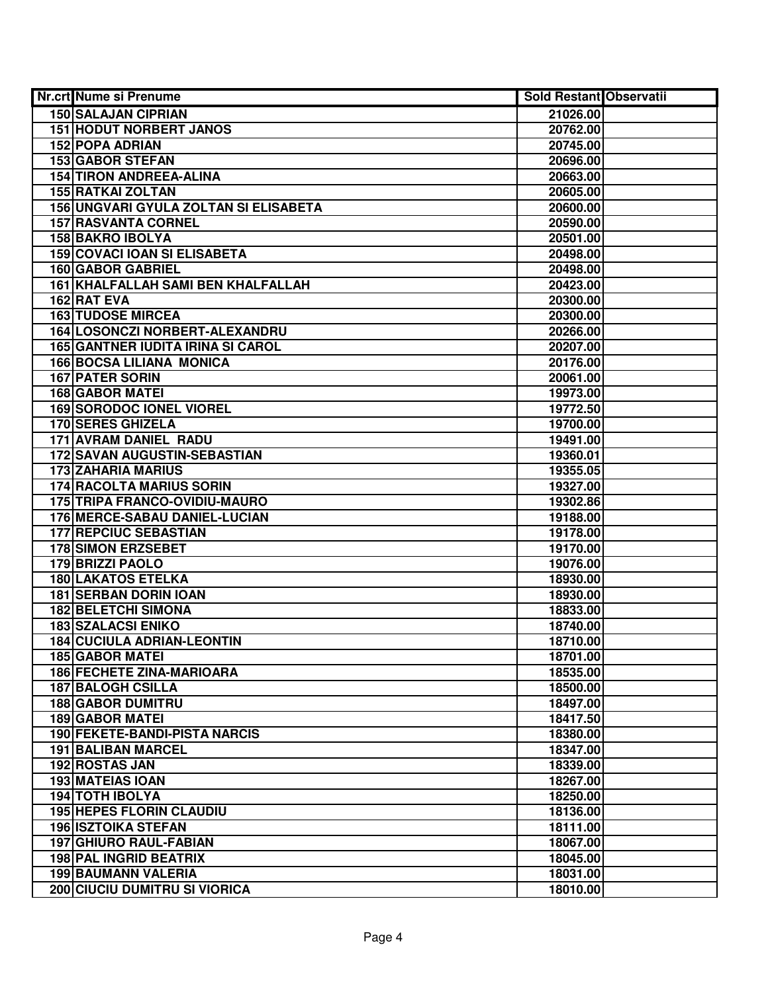| Nr.crt Nume si Prenume                   | <b>Sold Restant Observatii</b> |  |
|------------------------------------------|--------------------------------|--|
| <b>150 SALAJAN CIPRIAN</b>               | 21026.00                       |  |
| <b>151 HODUT NORBERT JANOS</b>           | 20762.00                       |  |
| <b>152 POPA ADRIAN</b>                   | 20745.00                       |  |
| 153 GABOR STEFAN                         | 20696.00                       |  |
| <b>154 TIRON ANDREEA-ALINA</b>           | 20663.00                       |  |
| <b>155 RATKAI ZOLTAN</b>                 | 20605.00                       |  |
| 156 UNGVARI GYULA ZOLTAN SI ELISABETA    | 20600.00                       |  |
| <b>157 RASVANTA CORNEL</b>               | 20590.00                       |  |
| <b>158 BAKRO IBOLYA</b>                  | 20501.00                       |  |
| <b>159 COVACI IOAN SI ELISABETA</b>      | 20498.00                       |  |
| <b>160 GABOR GABRIEL</b>                 | 20498.00                       |  |
| 161 KHALFALLAH SAMI BEN KHALFALLAH       | 20423.00                       |  |
| 162 RAT EVA                              | 20300.00                       |  |
| <b>163 TUDOSE MIRCEA</b>                 | 20300.00                       |  |
| 164 LOSONCZI NORBERT-ALEXANDRU           | 20266.00                       |  |
| <b>165 GANTNER IUDITA IRINA SI CAROL</b> | 20207.00                       |  |
| <b>166 BOCSA LILIANA MONICA</b>          | 20176.00                       |  |
| <b>167 PATER SORIN</b>                   | 20061.00                       |  |
| <b>168 GABOR MATEI</b>                   | 19973.00                       |  |
| <b>169 SORODOC IONEL VIOREL</b>          | 19772.50                       |  |
| <b>170 SERES GHIZELA</b>                 | 19700.00                       |  |
| 171 AVRAM DANIEL RADU                    | 19491.00                       |  |
| 172 SAVAN AUGUSTIN-SEBASTIAN             | 19360.01                       |  |
| <b>173 ZAHARIA MARIUS</b>                | 19355.05                       |  |
| <b>174 RACOLTA MARIUS SORIN</b>          | 19327.00                       |  |
| 175 TRIPA FRANCO-OVIDIU-MAURO            | 19302.86                       |  |
| 176 MERCE-SABAU DANIEL-LUCIAN            | 19188.00                       |  |
| <b>177 REPCIUC SEBASTIAN</b>             | 19178.00                       |  |
| <b>178 SIMON ERZSEBET</b>                | 19170.00                       |  |
| 179 BRIZZI PAOLO                         | 19076.00                       |  |
| <b>180 LAKATOS ETELKA</b>                | 18930.00                       |  |
| <b>181 SERBAN DORIN IOAN</b>             | 18930.00                       |  |
| <b>182 BELETCHI SIMONA</b>               | 18833.00                       |  |
| <b>183 SZALACSI ENIKO</b>                | 18740.00                       |  |
| <b>184 CUCIULA ADRIAN-LEONTIN</b>        | 18710.00                       |  |
| <b>185 GABOR MATEI</b>                   | 18701.00                       |  |
| <b>186 FECHETE ZINA-MARIOARA</b>         | 18535.00                       |  |
| <b>187 BALOGH CSILLA</b>                 | 18500.00                       |  |
| <b>188 GABOR DUMITRU</b>                 | 18497.00                       |  |
| <b>189 GABOR MATEI</b>                   | 18417.50                       |  |
| 190 FEKETE-BANDI-PISTA NARCIS            | 18380.00                       |  |
| <b>191 BALIBAN MARCEL</b>                | 18347.00                       |  |
| 192 ROSTAS JAN                           | 18339.00                       |  |
| <b>193 MATEIAS IOAN</b>                  | 18267.00                       |  |
| <b>194 TOTH IBOLYA</b>                   | 18250.00                       |  |
| <b>195 HEPES FLORIN CLAUDIU</b>          | 18136.00                       |  |
| <b>196 ISZTOIKA STEFAN</b>               | 18111.00                       |  |
| 197 GHIURO RAUL-FABIAN                   | 18067.00                       |  |
| <b>198 PAL INGRID BEATRIX</b>            | 18045.00                       |  |
| <b>199 BAUMANN VALERIA</b>               | 18031.00                       |  |
| 200 CIUCIU DUMITRU SI VIORICA            | 18010.00                       |  |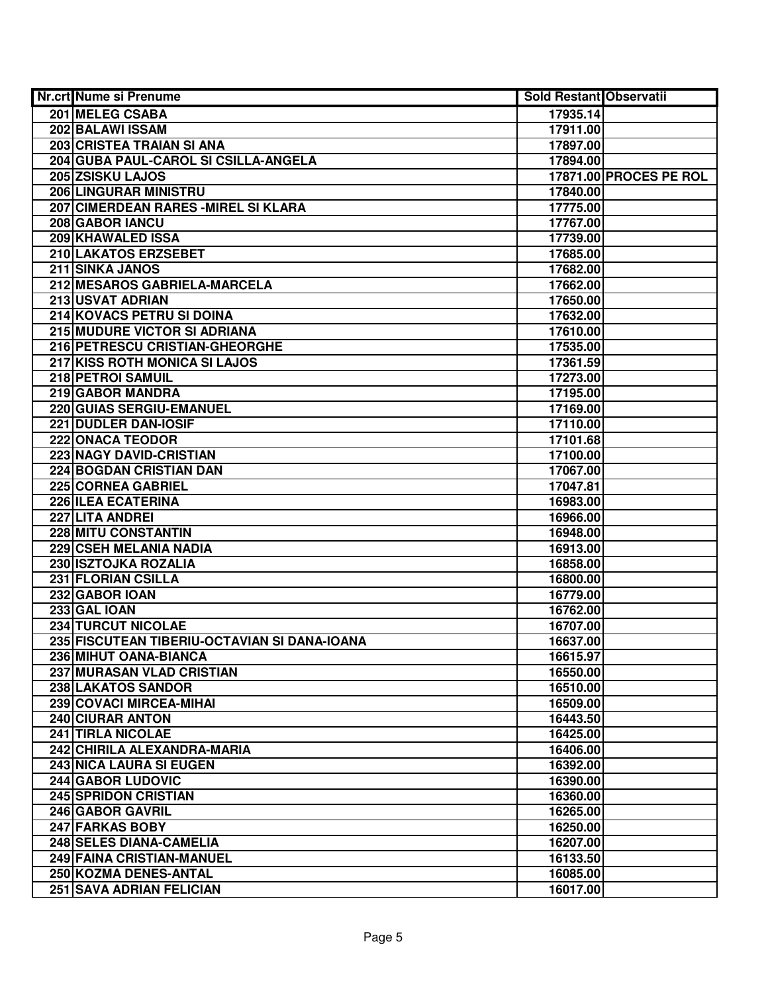| Nr.crt Nume si Prenume                       | <b>Sold Restant Observatii</b> |                        |
|----------------------------------------------|--------------------------------|------------------------|
| 201 MELEG CSABA                              | 17935.14                       |                        |
| 202 BALAWI ISSAM                             | 17911.00                       |                        |
| 203 CRISTEA TRAIAN SI ANA                    | 17897.00                       |                        |
| 204 GUBA PAUL-CAROL SI CSILLA-ANGELA         | 17894.00                       |                        |
| 205 ZSISKU LAJOS                             |                                | 17871.00 PROCES PE ROL |
| 206 LINGURAR MINISTRU                        | 17840.00                       |                        |
| 207 CIMERDEAN RARES - MIREL SI KLARA         | 17775.00                       |                        |
| 208 GABOR IANCU                              | 17767.00                       |                        |
| 209 KHAWALED ISSA                            | 17739.00                       |                        |
| 210 LAKATOS ERZSEBET                         | 17685.00                       |                        |
| 211 SINKA JANOS                              | 17682.00                       |                        |
| 212 MESAROS GABRIELA-MARCELA                 | 17662.00                       |                        |
| 213 USVAT ADRIAN                             | 17650.00                       |                        |
| 214 KOVACS PETRU SI DOINA                    | 17632.00                       |                        |
| 215 MUDURE VICTOR SI ADRIANA                 | 17610.00                       |                        |
| 216 PETRESCU CRISTIAN-GHEORGHE               | 17535.00                       |                        |
| 217 KISS ROTH MONICA SI LAJOS                | 17361.59                       |                        |
| 218 PETROI SAMUIL                            | 17273.00                       |                        |
| 219 GABOR MANDRA                             | 17195.00                       |                        |
| 220 GUIAS SERGIU-EMANUEL                     | 17169.00                       |                        |
| 221 DUDLER DAN-IOSIF                         | 17110.00                       |                        |
| 222 ONACA TEODOR                             | 17101.68                       |                        |
| 223 NAGY DAVID-CRISTIAN                      | 17100.00                       |                        |
| 224 BOGDAN CRISTIAN DAN                      | 17067.00                       |                        |
| 225 CORNEA GABRIEL                           | 17047.81                       |                        |
| 226 ILEA ECATERINA                           | 16983.00                       |                        |
| 227 LITA ANDREI                              | 16966.00                       |                        |
| 228 MITU CONSTANTIN                          | 16948.00                       |                        |
| 229 CSEH MELANIA NADIA                       | 16913.00                       |                        |
| 230 ISZTOJKA ROZALIA                         | 16858.00                       |                        |
| 231 FLORIAN CSILLA                           | 16800.00                       |                        |
| 232 GABOR IOAN                               | 16779.00                       |                        |
| 233 GAL IOAN                                 | 16762.00                       |                        |
| <b>234 TURCUT NICOLAE</b>                    | 16707.00                       |                        |
| 235 FISCUTEAN TIBERIU-OCTAVIAN SI DANA-IOANA | 16637.00                       |                        |
| 236 MIHUT OANA-BIANCA                        | 16615.97                       |                        |
| <b>237 MURASAN VLAD CRISTIAN</b>             | 16550.00                       |                        |
| 238 LAKATOS SANDOR                           | 16510.00                       |                        |
| 239 COVACI MIRCEA-MIHAI                      | 16509.00                       |                        |
| <b>240 CIURAR ANTON</b>                      | 16443.50                       |                        |
| <b>241 TIRLA NICOLAE</b>                     | 16425.00                       |                        |
| 242 CHIRILA ALEXANDRA-MARIA                  | 16406.00                       |                        |
| <b>243 NICA LAURA SI EUGEN</b>               | 16392.00                       |                        |
| <b>244 GABOR LUDOVIC</b>                     | 16390.00                       |                        |
| 245 SPRIDON CRISTIAN                         | 16360.00                       |                        |
| 246 GABOR GAVRIL<br>247 FARKAS BOBY          | 16265.00                       |                        |
| 248 SELES DIANA-CAMELIA                      | 16250.00<br>16207.00           |                        |
| 249 FAINA CRISTIAN-MANUEL                    | 16133.50                       |                        |
| 250 KOZMA DENES-ANTAL                        | 16085.00                       |                        |
| <b>251 SAVA ADRIAN FELICIAN</b>              | 16017.00                       |                        |
|                                              |                                |                        |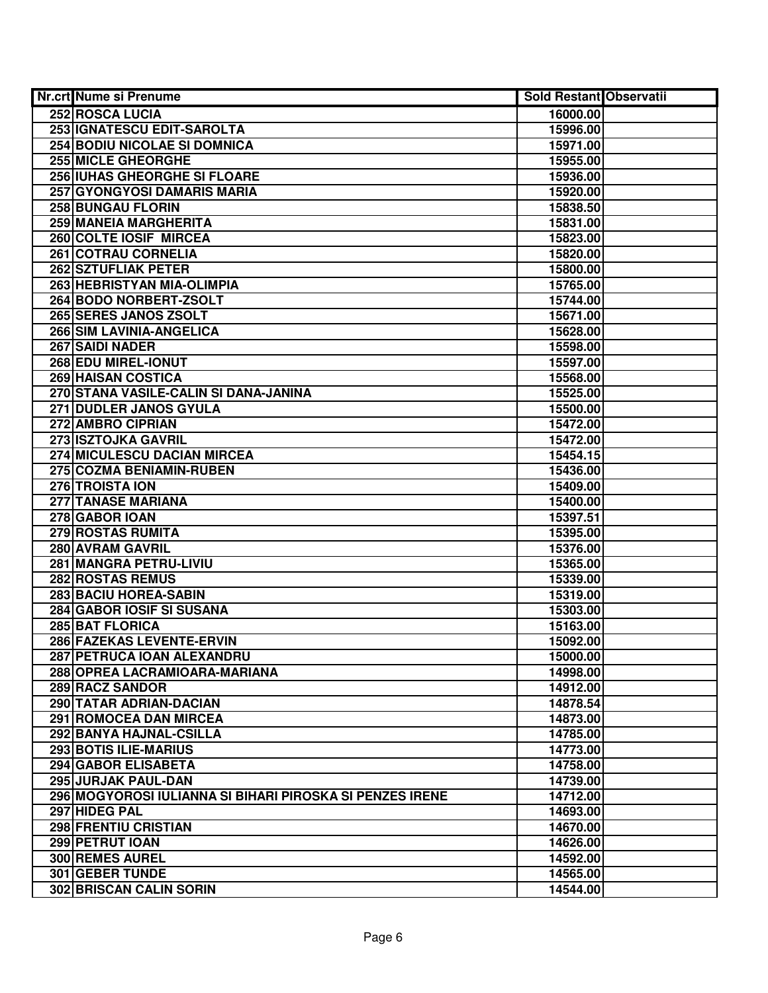| Nr.crt Nume si Prenume                                   | Sold Restant Observatii |  |
|----------------------------------------------------------|-------------------------|--|
| <b>252 ROSCA LUCIA</b>                                   | 16000.00                |  |
| 253 IGNATESCU EDIT-SAROLTA                               | 15996.00                |  |
| <b>254 BODIU NICOLAE SI DOMNICA</b>                      | 15971.00                |  |
| 255 MICLE GHEORGHE                                       | 15955.00                |  |
| 256 IUHAS GHEORGHE SI FLOARE                             | 15936.00                |  |
| 257 GYONGYOSI DAMARIS MARIA                              | 15920.00                |  |
| 258 BUNGAU FLORIN                                        | 15838.50                |  |
| 259 MANEIA MARGHERITA                                    | 15831.00                |  |
| 260 COLTE IOSIF MIRCEA                                   | 15823.00                |  |
| <b>261 COTRAU CORNELIA</b>                               | 15820.00                |  |
| 262 SZTUFLIAK PETER                                      | 15800.00                |  |
| 263 HEBRISTYAN MIA-OLIMPIA                               | 15765.00                |  |
| 264 BODO NORBERT-ZSOLT                                   | 15744.00                |  |
| 265 SERES JANOS ZSOLT                                    | 15671.00                |  |
| 266 SIM LAVINIA-ANGELICA                                 | 15628.00                |  |
| 267 SAIDI NADER                                          | 15598.00                |  |
| 268 EDU MIREL-IONUT                                      | 15597.00                |  |
| <b>269 HAISAN COSTICA</b>                                | 15568.00                |  |
| 270 STANA VASILE-CALIN SI DANA-JANINA                    | 15525.00                |  |
| 271 DUDLER JANOS GYULA                                   | 15500.00                |  |
| 272 AMBRO CIPRIAN                                        | 15472.00                |  |
| 273 ISZTOJKA GAVRIL                                      | 15472.00                |  |
| 274 MICULESCU DACIAN MIRCEA                              | 15454.15                |  |
| 275 COZMA BENIAMIN-RUBEN                                 | 15436.00                |  |
| 276 TROISTA ION                                          | 15409.00                |  |
| 277 TANASE MARIANA                                       | 15400.00                |  |
| 278 GABOR IOAN                                           | 15397.51                |  |
| 279 ROSTAS RUMITA                                        | 15395.00                |  |
| 280 AVRAM GAVRIL                                         | 15376.00                |  |
| 281 MANGRA PETRU-LIVIU                                   | 15365.00                |  |
| 282 ROSTAS REMUS                                         | 15339.00                |  |
| <b>283 BACIU HOREA-SABIN</b>                             | 15319.00                |  |
| 284 GABOR IOSIF SI SUSANA                                | 15303.00                |  |
| 285 BAT FLORICA                                          | 15163.00                |  |
| 286 FAZEKAS LEVENTE-ERVIN                                | 15092.00                |  |
| 287 PETRUCA IOAN ALEXANDRU                               | 15000.00                |  |
| 288 OPREA LACRAMIOARA-MARIANA                            | 14998.00                |  |
| 289 RACZ SANDOR                                          | 14912.00                |  |
| 290 TATAR ADRIAN-DACIAN                                  | 14878.54                |  |
| 291 ROMOCEA DAN MIRCEA                                   | 14873.00                |  |
| 292 BANYA HAJNAL-CSILLA                                  | 14785.00                |  |
| 293 BOTIS ILIE-MARIUS                                    | 14773.00                |  |
| 294 GABOR ELISABETA                                      | 14758.00                |  |
| 295 JURJAK PAUL-DAN                                      | 14739.00                |  |
| 296 MOGYOROSI IULIANNA SI BIHARI PIROSKA SI PENZES IRENE | 14712.00                |  |
| 297 HIDEG PAL                                            | 14693.00                |  |
| 298 FRENTIU CRISTIAN                                     | 14670.00                |  |
| 299 PETRUT IOAN                                          | 14626.00                |  |
| 300 REMES AUREL                                          | 14592.00                |  |
| 301 GEBER TUNDE                                          | 14565.00                |  |
| 302 BRISCAN CALIN SORIN                                  | 14544.00                |  |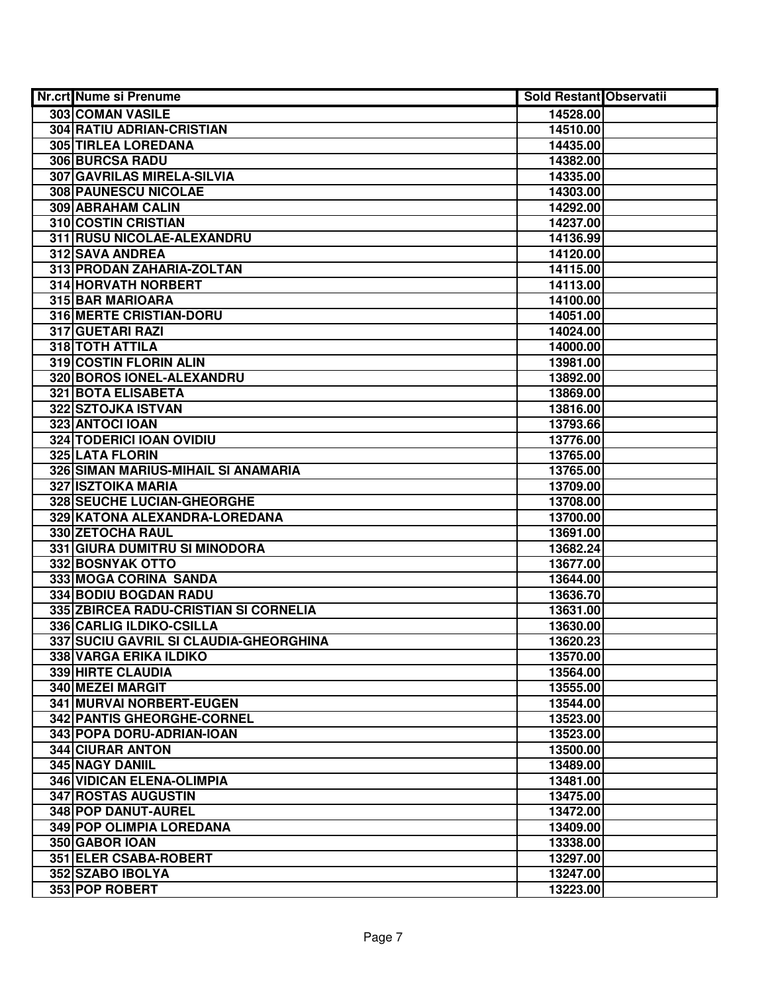| <b>Nr.crt Nume si Prenume</b>          | <b>Sold Restant Observatii</b> |  |
|----------------------------------------|--------------------------------|--|
| 303 COMAN VASILE                       | 14528.00                       |  |
| <b>304 RATIU ADRIAN-CRISTIAN</b>       | 14510.00                       |  |
| 305 TIRLEA LOREDANA                    | 14435.00                       |  |
| 306 BURCSA RADU                        | 14382.00                       |  |
| 307 GAVRILAS MIRELA-SILVIA             | 14335.00                       |  |
| 308 PAUNESCU NICOLAE                   | 14303.00                       |  |
| 309 ABRAHAM CALIN                      | 14292.00                       |  |
| 310 COSTIN CRISTIAN                    | 14237.00                       |  |
| 311 RUSU NICOLAE-ALEXANDRU             | 14136.99                       |  |
| <b>312 SAVA ANDREA</b>                 | 14120.00                       |  |
| 313 PRODAN ZAHARIA-ZOLTAN              | 14115.00                       |  |
| 314 HORVATH NORBERT                    | 14113.00                       |  |
| 315 BAR MARIOARA                       | 14100.00                       |  |
| 316 MERTE CRISTIAN-DORU                | 14051.00                       |  |
| 317 GUETARI RAZI                       | 14024.00                       |  |
| 318 TOTH ATTILA                        | 14000.00                       |  |
| 319 COSTIN FLORIN ALIN                 | 13981.00                       |  |
| 320 BOROS IONEL-ALEXANDRU              | 13892.00                       |  |
| <b>321 BOTA ELISABETA</b>              | 13869.00                       |  |
| 322 SZTOJKA ISTVAN                     | 13816.00                       |  |
| 323 ANTOCI IOAN                        | 13793.66                       |  |
| <b>324 TODERICI IOAN OVIDIU</b>        | 13776.00                       |  |
| 325 LATA FLORIN                        | 13765.00                       |  |
| 326 SIMAN MARIUS-MIHAIL SI ANAMARIA    | 13765.00                       |  |
| 327 ISZTOIKA MARIA                     | 13709.00                       |  |
| 328 SEUCHE LUCIAN-GHEORGHE             | 13708.00                       |  |
| 329 KATONA ALEXANDRA-LOREDANA          | 13700.00                       |  |
| 330 ZETOCHA RAUL                       | 13691.00                       |  |
| 331 GIURA DUMITRU SI MINODORA          | 13682.24                       |  |
| 332 BOSNYAK OTTO                       | 13677.00                       |  |
| 333 MOGA CORINA SANDA                  | 13644.00                       |  |
| 334 BODIU BOGDAN RADU                  | 13636.70                       |  |
| 335 ZBIRCEA RADU-CRISTIAN SI CORNELIA  | 13631.00                       |  |
| 336 CARLIG ILDIKO-CSILLA               | 13630.00                       |  |
| 337 SUCIU GAVRIL SI CLAUDIA-GHEORGHINA | 13620.23                       |  |
| <b>338 VARGA ERIKA ILDIKO</b>          | 13570.00                       |  |
| <b>339 HIRTE CLAUDIA</b>               | 13564.00                       |  |
| 340 MEZEI MARGIT                       | 13555.00                       |  |
| <b>341 MURVAI NORBERT-EUGEN</b>        | 13544.00                       |  |
| 342 PANTIS GHEORGHE-CORNEL             | 13523.00                       |  |
| 343 POPA DORU-ADRIAN-IOAN              | 13523.00                       |  |
| <b>344 CIURAR ANTON</b>                | 13500.00                       |  |
| 345 NAGY DANIIL                        | 13489.00                       |  |
| 346 VIDICAN ELENA-OLIMPIA              | 13481.00                       |  |
| 347 ROSTAS AUGUSTIN                    | 13475.00                       |  |
| 348 POP DANUT-AUREL                    | 13472.00                       |  |
| 349 POP OLIMPIA LOREDANA               | 13409.00                       |  |
| 350 GABOR IOAN                         | 13338.00                       |  |
| 351 ELER CSABA-ROBERT                  | 13297.00                       |  |
| 352 SZABO IBOLYA                       | 13247.00                       |  |
| 353 POP ROBERT                         | 13223.00                       |  |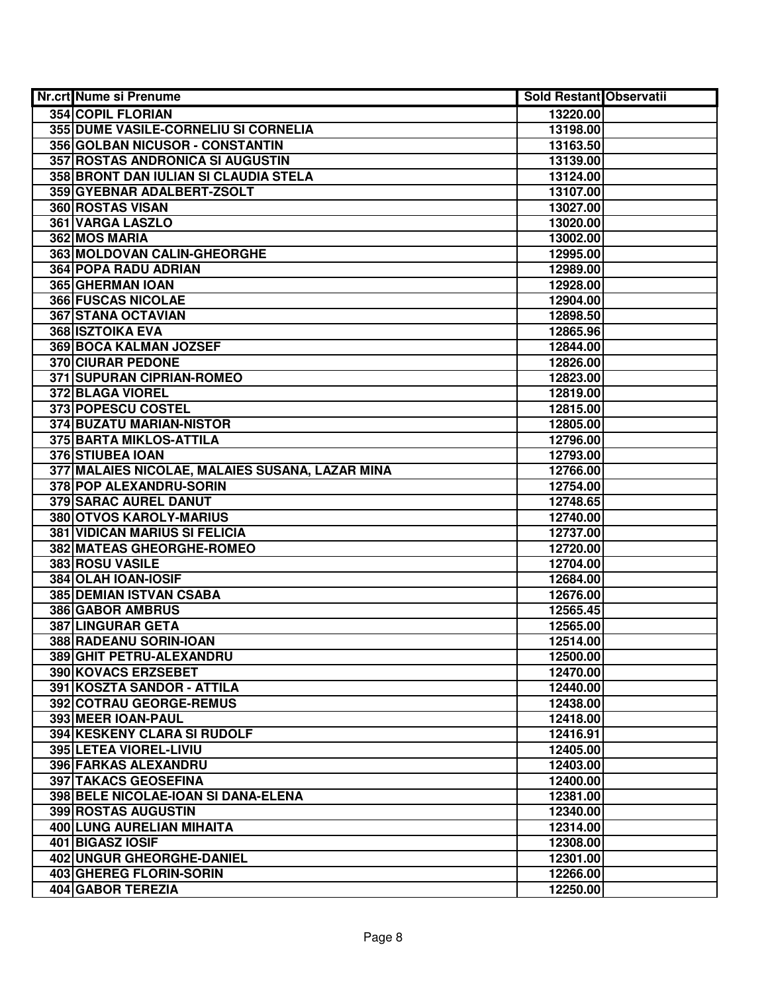| Nr.crt Nume si Prenume                          | <b>Sold Restant Observatii</b> |  |
|-------------------------------------------------|--------------------------------|--|
| <b>354 COPIL FLORIAN</b>                        | 13220.00                       |  |
| 355 DUME VASILE-CORNELIU SI CORNELIA            | 13198.00                       |  |
| 356 GOLBAN NICUSOR - CONSTANTIN                 | 13163.50                       |  |
| 357 ROSTAS ANDRONICA SI AUGUSTIN                | 13139.00                       |  |
| 358 BRONT DAN IULIAN SI CLAUDIA STELA           | 13124.00                       |  |
| 359 GYEBNAR ADALBERT-ZSOLT                      | 13107.00                       |  |
| 360 ROSTAS VISAN                                | 13027.00                       |  |
| 361 VARGA LASZLO                                | 13020.00                       |  |
| 362 MOS MARIA                                   | 13002.00                       |  |
| 363 MOLDOVAN CALIN-GHEORGHE                     | 12995.00                       |  |
| 364 POPA RADU ADRIAN                            | 12989.00                       |  |
| 365 GHERMAN IOAN                                | 12928.00                       |  |
| <b>366 FUSCAS NICOLAE</b>                       | 12904.00                       |  |
| 367 STANA OCTAVIAN                              | 12898.50                       |  |
| <b>368 ISZTOIKA EVA</b>                         | 12865.96                       |  |
| 369 BOCA KALMAN JOZSEF                          | 12844.00                       |  |
| <b>370 CIURAR PEDONE</b>                        | 12826.00                       |  |
| 371 SUPURAN CIPRIAN-ROMEO                       | 12823.00                       |  |
| 372 BLAGA VIOREL                                | 12819.00                       |  |
| 373 POPESCU COSTEL                              | 12815.00                       |  |
| 374 BUZATU MARIAN-NISTOR                        | 12805.00                       |  |
| 375 BARTA MIKLOS-ATTILA                         | 12796.00                       |  |
| 376 STIUBEA IOAN                                | 12793.00                       |  |
| 377 MALAIES NICOLAE, MALAIES SUSANA, LAZAR MINA | 12766.00                       |  |
| 378 POP ALEXANDRU-SORIN                         | 12754.00                       |  |
| 379 SARAC AUREL DANUT                           | 12748.65                       |  |
| 380 OTVOS KAROLY-MARIUS                         | 12740.00                       |  |
| <b>381 VIDICAN MARIUS SI FELICIA</b>            | 12737.00                       |  |
| 382 MATEAS GHEORGHE-ROMEO                       | 12720.00                       |  |
| 383 ROSU VASILE                                 | 12704.00                       |  |
| 384 OLAH IOAN-IOSIF                             | 12684.00                       |  |
| 385 DEMIAN ISTVAN CSABA                         | 12676.00                       |  |
| 386 GABOR AMBRUS                                | 12565.45                       |  |
| 387 LINGURAR GETA                               | 12565.00                       |  |
| 388 RADEANU SORIN-IOAN                          | 12514.00                       |  |
| 389 GHIT PETRU-ALEXANDRU                        | 12500.00                       |  |
| <b>390 KOVACS ERZSEBET</b>                      | 12470.00                       |  |
| 391 KOSZTA SANDOR - ATTILA                      | 12440.00                       |  |
| 392 COTRAU GEORGE-REMUS                         | 12438.00                       |  |
| 393 MEER IOAN-PAUL                              | 12418.00                       |  |
| 394 KESKENY CLARA SI RUDOLF                     | 12416.91                       |  |
| 395 LETEA VIOREL-LIVIU                          | 12405.00                       |  |
| 396 FARKAS ALEXANDRU                            | 12403.00                       |  |
| 397 TAKACS GEOSEFINA                            | 12400.00                       |  |
| 398 BELE NICOLAE-IOAN SI DANA-ELENA             | 12381.00                       |  |
| 399 ROSTAS AUGUSTIN                             | 12340.00                       |  |
| 400 LUNG AURELIAN MIHAITA                       | 12314.00                       |  |
| 401 BIGASZ IOSIF                                | 12308.00                       |  |
| 402 UNGUR GHEORGHE-DANIEL                       | 12301.00                       |  |
| 403 GHEREG FLORIN-SORIN                         | 12266.00                       |  |
| 404 GABOR TEREZIA                               | 12250.00                       |  |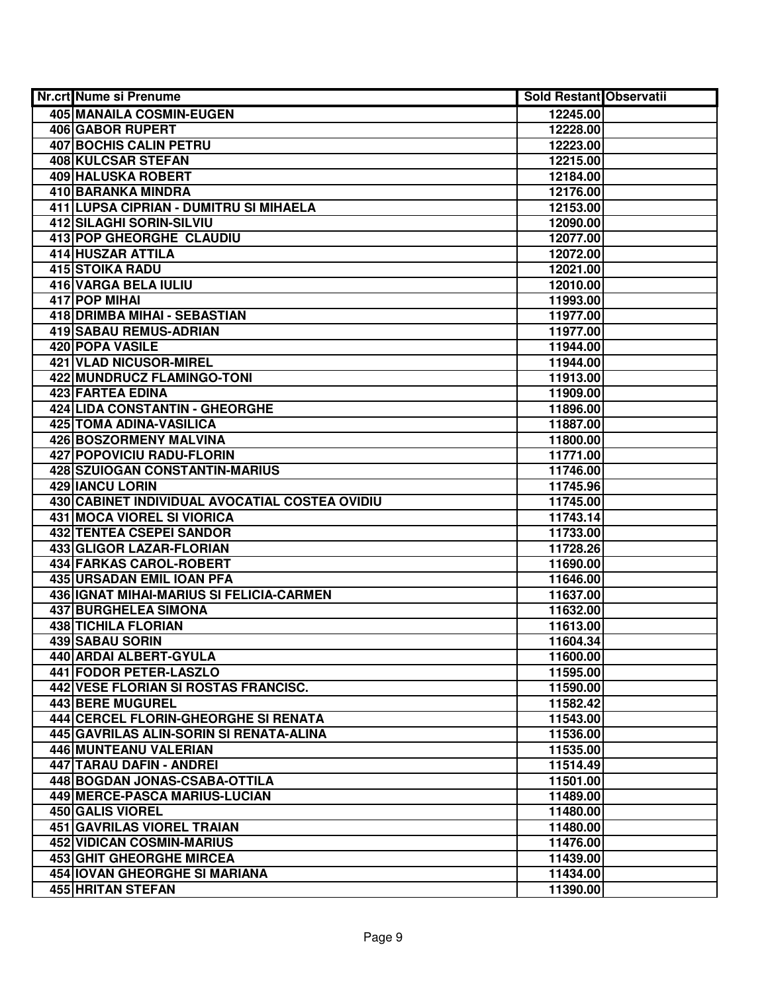| Nr.crt Nume si Prenume                         | <b>Sold Restant Observatii</b> |  |
|------------------------------------------------|--------------------------------|--|
| 405 MANAILA COSMIN-EUGEN                       | 12245.00                       |  |
| 406 GABOR RUPERT                               | 12228.00                       |  |
| <b>407 BOCHIS CALIN PETRU</b>                  | 12223.00                       |  |
| 408 KULCSAR STEFAN                             | 12215.00                       |  |
| 409 HALUSKA ROBERT                             | 12184.00                       |  |
| 410 BARANKA MINDRA                             | 12176.00                       |  |
| 411 LUPSA CIPRIAN - DUMITRU SI MIHAELA         | 12153.00                       |  |
| <b>412 SILAGHI SORIN-SILVIU</b>                | 12090.00                       |  |
| 413 POP GHEORGHE CLAUDIU                       | 12077.00                       |  |
| 414 HUSZAR ATTILA                              | 12072.00                       |  |
| <b>415 STOIKA RADU</b>                         | 12021.00                       |  |
| <b>416 VARGA BELA IULIU</b>                    | 12010.00                       |  |
| 417 POP MIHAI                                  | 11993.00                       |  |
| 418 DRIMBA MIHAI - SEBASTIAN                   | 11977.00                       |  |
| 419 SABAU REMUS-ADRIAN                         | 11977.00                       |  |
| 420 POPA VASILE                                | 11944.00                       |  |
| 421 VLAD NICUSOR-MIREL                         | 11944.00                       |  |
| <b>422 MUNDRUCZ FLAMINGO-TONI</b>              | 11913.00                       |  |
| 423 FARTEA EDINA                               | 11909.00                       |  |
| 424 LIDA CONSTANTIN - GHEORGHE                 | 11896.00                       |  |
| 425 TOMA ADINA-VASILICA                        | 11887.00                       |  |
| 426 BOSZORMENY MALVINA                         | 11800.00                       |  |
| 427 POPOVICIU RADU-FLORIN                      | 11771.00                       |  |
| 428 SZUIOGAN CONSTANTIN-MARIUS                 | 11746.00                       |  |
| 429 IANCU LORIN                                | 11745.96                       |  |
| 430 CABINET INDIVIDUAL AVOCATIAL COSTEA OVIDIU | 11745.00                       |  |
| 431 MOCA VIOREL SI VIORICA                     | 11743.14                       |  |
| 432 TENTEA CSEPEI SANDOR                       | 11733.00                       |  |
| 433 GLIGOR LAZAR-FLORIAN                       | 11728.26                       |  |
| 434 FARKAS CAROL-ROBERT                        | 11690.00                       |  |
| 435 URSADAN EMIL IOAN PFA                      | 11646.00                       |  |
| 436 IGNAT MIHAI-MARIUS SI FELICIA-CARMEN       | 11637.00                       |  |
| <b>437 BURGHELEA SIMONA</b>                    | 11632.00                       |  |
| <b>438 TICHILA FLORIAN</b>                     | 11613.00                       |  |
| 439 SABAU SORIN                                | 11604.34                       |  |
| 440 ARDAI ALBERT-GYULA                         | 11600.00                       |  |
| <b>441 FODOR PETER-LASZLO</b>                  | 11595.00                       |  |
| 442 VESE FLORIAN SI ROSTAS FRANCISC.           | 11590.00                       |  |
| <b>443 BERE MUGUREL</b>                        | 11582.42                       |  |
| 444 CERCEL FLORIN-GHEORGHE SI RENATA           | 11543.00                       |  |
| 445 GAVRILAS ALIN-SORIN SI RENATA-ALINA        | 11536.00                       |  |
| 446 MUNTEANU VALERIAN                          | 11535.00                       |  |
| 447 TARAU DAFIN - ANDREI                       | 11514.49                       |  |
| 448 BOGDAN JONAS-CSABA-OTTILA                  | 11501.00                       |  |
| 449 MERCE-PASCA MARIUS-LUCIAN                  | 11489.00                       |  |
| 450 GALIS VIOREL                               | 11480.00                       |  |
| 451 GAVRILAS VIOREL TRAIAN                     | 11480.00                       |  |
| 452 VIDICAN COSMIN-MARIUS                      | 11476.00                       |  |
| <b>453 GHIT GHEORGHE MIRCEA</b>                | 11439.00                       |  |
| 454 IOVAN GHEORGHE SI MARIANA                  | 11434.00                       |  |
| 455 HRITAN STEFAN                              | 11390.00                       |  |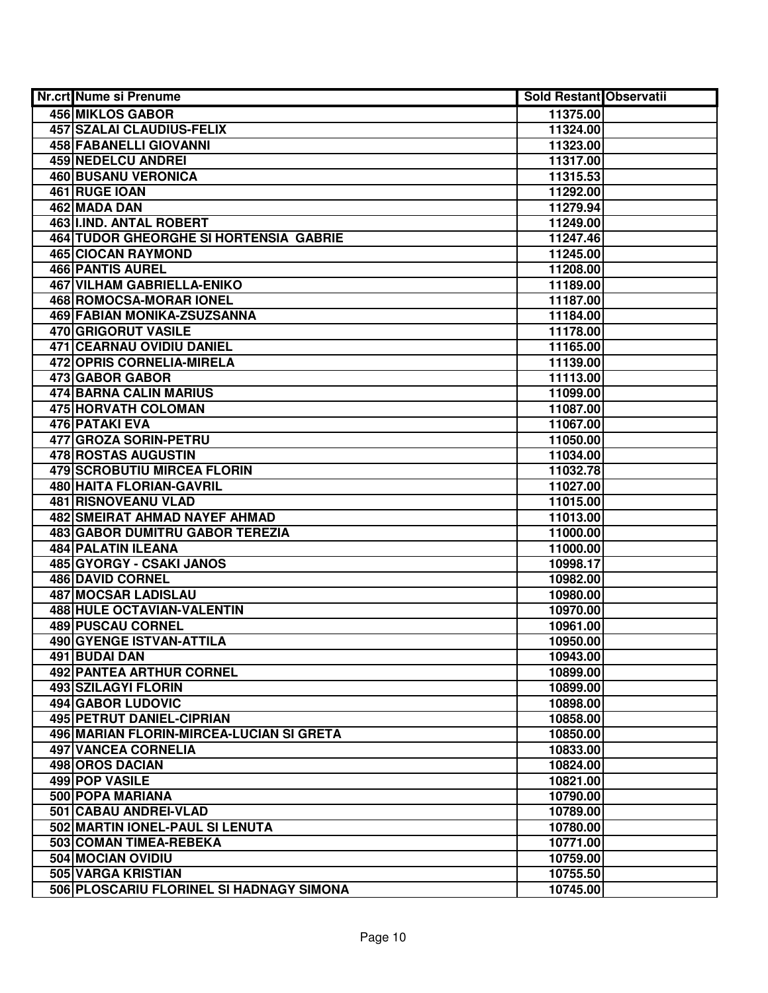| Nr.crt Nume si Prenume                        | Sold Restant Observatii |  |
|-----------------------------------------------|-------------------------|--|
| <b>456 MIKLOS GABOR</b>                       | 11375.00                |  |
| 457 SZALAI CLAUDIUS-FELIX                     | 11324.00                |  |
| <b>458 FABANELLI GIOVANNI</b>                 | 11323.00                |  |
| <b>459 NEDELCU ANDREI</b>                     | 11317.00                |  |
| <b>460 BUSANU VERONICA</b>                    | 11315.53                |  |
| 461 RUGE IOAN                                 | 11292.00                |  |
| 462 MADA DAN                                  | 11279.94                |  |
| 463 IIIND. ANTAL ROBERT                       | 11249.00                |  |
| <b>464 TUDOR GHEORGHE SI HORTENSIA GABRIE</b> | 11247.46                |  |
| <b>465 CIOCAN RAYMOND</b>                     | 11245.00                |  |
| <b>466 PANTIS AUREL</b>                       | 11208.00                |  |
| <b>467 VILHAM GABRIELLA-ENIKO</b>             | 11189.00                |  |
| 468 ROMOCSA-MORAR IONEL                       | 11187.00                |  |
| 469 FABIAN MONIKA-ZSUZSANNA                   | 11184.00                |  |
| 470 GRIGORUT VASILE                           | 11178.00                |  |
| 471 CEARNAU OVIDIU DANIEL                     | 11165.00                |  |
| <b>472 OPRIS CORNELIA-MIRELA</b>              | 11139.00                |  |
| 473 GABOR GABOR                               | 11113.00                |  |
| 474 BARNA CALIN MARIUS                        | 11099.00                |  |
| <b>475 HORVATH COLOMAN</b>                    | 11087.00                |  |
| <b>476 PATAKI EVA</b>                         | 11067.00                |  |
| 477 GROZA SORIN-PETRU                         | 11050.00                |  |
| 478 ROSTAS AUGUSTIN                           | 11034.00                |  |
| <b>479 SCROBUTIU MIRCEA FLORIN</b>            | 11032.78                |  |
| 480 HAITA FLORIAN-GAVRIL                      | 11027.00                |  |
| 481 RISNOVEANU VLAD                           | 11015.00                |  |
| <b>482 SMEIRAT AHMAD NAYEF AHMAD</b>          | 11013.00                |  |
| <b>483 GABOR DUMITRU GABOR TEREZIA</b>        | 11000.00                |  |
| 484 PALATIN ILEANA                            | 11000.00                |  |
| 485 GYORGY - CSAKI JANOS                      | 10998.17                |  |
| <b>486 DAVID CORNEL</b>                       | 10982.00                |  |
| 487 MOCSAR LADISLAU                           | 10980.00                |  |
| 488 HULE OCTAVIAN-VALENTIN                    | 10970.00                |  |
| <b>489 PUSCAU CORNEL</b>                      | 10961.00                |  |
| 490 GYENGE ISTVAN-ATTILA                      | 10950.00                |  |
| 491 BUDAI DAN                                 | 10943.00                |  |
| <b>492 PANTEA ARTHUR CORNEL</b>               | 10899.00                |  |
| <b>493 SZILAGYI FLORIN</b>                    | 10899.00                |  |
| <b>494 GABOR LUDOVIC</b>                      | 10898.00                |  |
| <b>495 PETRUT DANIEL-CIPRIAN</b>              | 10858.00                |  |
| 496 MARIAN FLORIN-MIRCEA-LUCIAN SI GRETA      | 10850.00                |  |
| 497 VANCEA CORNELIA                           | 10833.00                |  |
| 498 OROS DACIAN                               | 10824.00                |  |
| 499 POP VASILE                                | 10821.00                |  |
| 500 POPA MARIANA                              | 10790.00                |  |
| 501 CABAU ANDREI-VLAD                         | 10789.00                |  |
| 502 MARTIN IONEL-PAUL SI LENUTA               | 10780.00                |  |
| 503 COMAN TIMEA-REBEKA                        | 10771.00                |  |
| 504 MOCIAN OVIDIU                             | 10759.00                |  |
| 505 VARGA KRISTIAN                            | 10755.50                |  |
| 506 PLOSCARIU FLORINEL SI HADNAGY SIMONA      | 10745.00                |  |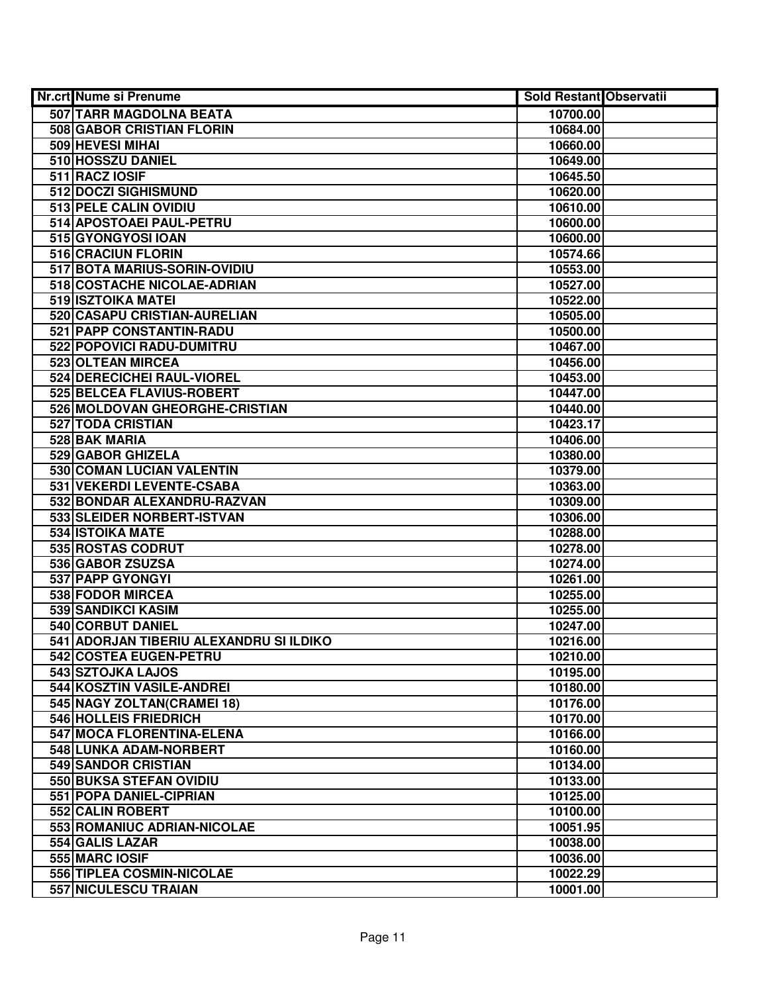| <b>Nr.crt Nume si Prenume</b>           | <b>Sold Restant Observatii</b> |  |
|-----------------------------------------|--------------------------------|--|
| 507 TARR MAGDOLNA BEATA                 | 10700.00                       |  |
| 508 GABOR CRISTIAN FLORIN               | 10684.00                       |  |
| 509 HEVESI MIHAI                        | 10660.00                       |  |
| 510 HOSSZU DANIEL                       | 10649.00                       |  |
| 511 RACZ IOSIF                          | 10645.50                       |  |
| 512 DOCZI SIGHISMUND                    | 10620.00                       |  |
| 513 PELE CALIN OVIDIU                   | 10610.00                       |  |
| 514 APOSTOAEI PAUL-PETRU                | 10600.00                       |  |
| 515 GYONGYOSI IOAN                      | 10600.00                       |  |
| 516 CRACIUN FLORIN                      | 10574.66                       |  |
| 517 BOTA MARIUS-SORIN-OVIDIU            | 10553.00                       |  |
| 518 COSTACHE NICOLAE-ADRIAN             | 10527.00                       |  |
| 519 ISZTOIKA MATEI                      | 10522.00                       |  |
| 520 CASAPU CRISTIAN-AURELIAN            | 10505.00                       |  |
| 521 PAPP CONSTANTIN-RADU                | 10500.00                       |  |
| 522 POPOVICI RADU-DUMITRU               | 10467.00                       |  |
| 523 OLTEAN MIRCEA                       | 10456.00                       |  |
| 524 DERECICHEI RAUL-VIOREL              | 10453.00                       |  |
| 525 BELCEA FLAVIUS-ROBERT               | 10447.00                       |  |
| 526 MOLDOVAN GHEORGHE-CRISTIAN          | 10440.00                       |  |
| 527 TODA CRISTIAN                       | 10423.17                       |  |
| 528 BAK MARIA                           | 10406.00                       |  |
| 529 GABOR GHIZELA                       | 10380.00                       |  |
| 530 COMAN LUCIAN VALENTIN               | 10379.00                       |  |
| 531 VEKERDI LEVENTE-CSABA               | 10363.00                       |  |
| 532 BONDAR ALEXANDRU-RAZVAN             | 10309.00                       |  |
| 533 SLEIDER NORBERT-ISTVAN              | 10306.00                       |  |
| 534 ISTOIKA MATE                        | 10288.00                       |  |
| 535 ROSTAS CODRUT                       | 10278.00                       |  |
| 536 GABOR ZSUZSA                        | 10274.00                       |  |
| 537 PAPP GYONGYI                        | 10261.00                       |  |
| 538 FODOR MIRCEA                        | 10255.00                       |  |
| 539 SANDIKCI KASIM                      | 10255.00                       |  |
| 540 CORBUT DANIEL                       | 10247.00                       |  |
| 541 ADORJAN TIBERIU ALEXANDRU SI ILDIKO | 10216.00                       |  |
| 542 COSTEA EUGEN-PETRU                  | 10210.00                       |  |
| 543 SZTOJKA LAJOS                       | 10195.00                       |  |
| 544 KOSZTIN VASILE-ANDREI               | 10180.00                       |  |
| 545 NAGY ZOLTAN(CRAMEI 18)              | 10176.00                       |  |
| 546 HOLLEIS FRIEDRICH                   | 10170.00                       |  |
| 547 MOCA FLORENTINA-ELENA               | 10166.00                       |  |
| 548 LUNKA ADAM-NORBERT                  | 10160.00                       |  |
| 549 SANDOR CRISTIAN                     | 10134.00                       |  |
| 550 BUKSA STEFAN OVIDIU                 | 10133.00                       |  |
| 551 POPA DANIEL-CIPRIAN                 | 10125.00                       |  |
| 552 CALIN ROBERT                        | 10100.00                       |  |
| 553 ROMANIUC ADRIAN-NICOLAE             | 10051.95                       |  |
| 554 GALIS LAZAR                         | 10038.00                       |  |
| 555 MARC IOSIF                          | 10036.00                       |  |
| 556 TIPLEA COSMIN-NICOLAE               | 10022.29                       |  |
| 557 NICULESCU TRAIAN                    | 10001.00                       |  |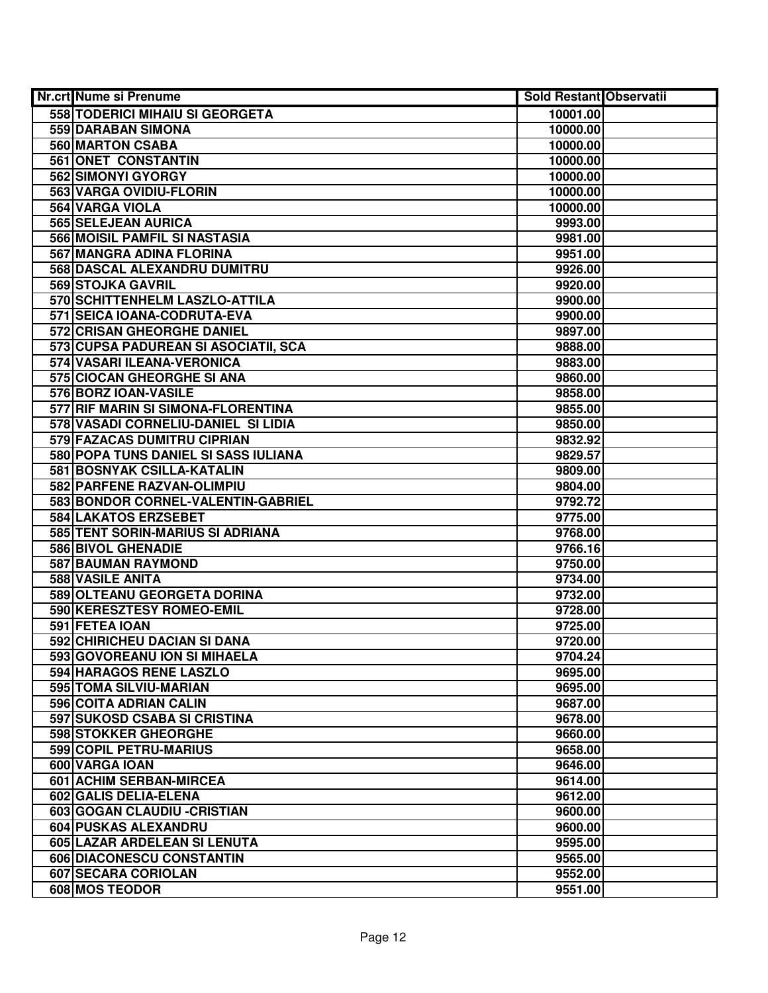| <b>Nr.crt Nume si Prenume</b>        | Sold Restant Observatii |  |
|--------------------------------------|-------------------------|--|
| 558 TODERICI MIHAIU SI GEORGETA      | 10001.00                |  |
| 559 DARABAN SIMONA                   | 10000.00                |  |
| 560 MARTON CSABA                     | 10000.00                |  |
| 561 ONET CONSTANTIN                  | 10000.00                |  |
| 562 SIMONYI GYORGY                   | 10000.00                |  |
| 563 VARGA OVIDIU-FLORIN              | 10000.00                |  |
| 564 VARGA VIOLA                      | 10000.00                |  |
| 565 SELEJEAN AURICA                  | 9993.00                 |  |
| 566 MOISIL PAMFIL SI NASTASIA        | 9981.00                 |  |
| 567 MANGRA ADINA FLORINA             | 9951.00                 |  |
| 568 DASCAL ALEXANDRU DUMITRU         | 9926.00                 |  |
| 569 STOJKA GAVRIL                    | 9920.00                 |  |
| 570 SCHITTENHELM LASZLO-ATTILA       | 9900.00                 |  |
| 571 SEICA IOANA-CODRUTA-EVA          | 9900.00                 |  |
| 572 CRISAN GHEORGHE DANIEL           | 9897.00                 |  |
| 573 CUPSA PADUREAN SI ASOCIATII, SCA | 9888.00                 |  |
| 574 VASARI ILEANA-VERONICA           | 9883.00                 |  |
| 575 CIOCAN GHEORGHE SI ANA           | 9860.00                 |  |
| 576 BORZ IOAN-VASILE                 | 9858.00                 |  |
| 577 RIF MARIN SI SIMONA-FLORENTINA   | 9855.00                 |  |
| 578 VASADI CORNELIU-DANIEL SI LIDIA  | 9850.00                 |  |
| 579 FAZACAS DUMITRU CIPRIAN          | 9832.92                 |  |
| 580 POPA TUNS DANIEL SI SASS IULIANA | 9829.57                 |  |
| 581 BOSNYAK CSILLA-KATALIN           | 9809.00                 |  |
| 582 PARFENE RAZVAN-OLIMPIU           | 9804.00                 |  |
| 583 BONDOR CORNEL-VALENTIN-GABRIEL   | 9792.72                 |  |
| 584 LAKATOS ERZSEBET                 | 9775.00                 |  |
| 585 TENT SORIN-MARIUS SI ADRIANA     | 9768.00                 |  |
| 586 BIVOL GHENADIE                   | 9766.16                 |  |
| 587 BAUMAN RAYMOND                   | 9750.00                 |  |
| 588 VASILE ANITA                     | 9734.00                 |  |
| 589 OLTEANU GEORGETA DORINA          | 9732.00                 |  |
| 590 KERESZTESY ROMEO-EMIL            | 9728.00                 |  |
| 591 FETEA IOAN                       | 9725.00                 |  |
| 592 CHIRICHEU DACIAN SI DANA         | 9720.00                 |  |
| 593 GOVOREANU ION SI MIHAELA         | 9704.24                 |  |
| 594 HARAGOS RENE LASZLO              | 9695.00                 |  |
| 595 TOMA SILVIU-MARIAN               | 9695.00                 |  |
| 596 COITA ADRIAN CALIN               | 9687.00                 |  |
| 597 SUKOSD CSABA SI CRISTINA         | 9678.00                 |  |
| 598 STOKKER GHEORGHE                 | 9660.00                 |  |
| 599 COPIL PETRU-MARIUS               | 9658.00                 |  |
| 600 VARGA IOAN                       | 9646.00                 |  |
| 601 ACHIM SERBAN-MIRCEA              | 9614.00                 |  |
| 602 GALIS DELIA-ELENA                | 9612.00                 |  |
| 603 GOGAN CLAUDIU - CRISTIAN         | 9600.00                 |  |
| 604 PUSKAS ALEXANDRU                 | 9600.00                 |  |
| 605 LAZAR ARDELEAN SI LENUTA         | 9595.00                 |  |
| 606 DIACONESCU CONSTANTIN            | 9565.00                 |  |
| 607 SECARA CORIOLAN                  | 9552.00                 |  |
| 608 MOS TEODOR                       | 9551.00                 |  |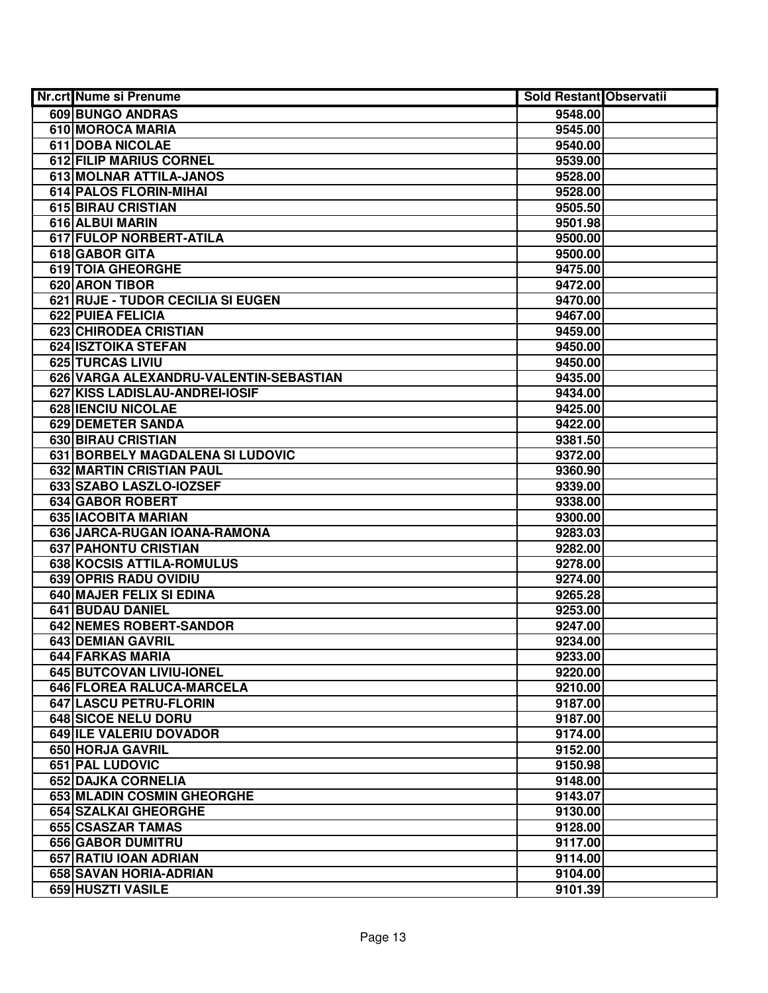| Nr.crt Nume si Prenume                 | <b>Sold Restant Observatii</b> |  |
|----------------------------------------|--------------------------------|--|
| 609 BUNGO ANDRAS                       | 9548.00                        |  |
| 610 MOROCA MARIA                       | 9545.00                        |  |
| 611 DOBA NICOLAE                       | 9540.00                        |  |
| 612 FILIP MARIUS CORNEL                | 9539.00                        |  |
| 613 MOLNAR ATTILA-JANOS                | 9528.00                        |  |
| 614 PALOS FLORIN-MIHAI                 | 9528.00                        |  |
| 615 BIRAU CRISTIAN                     | 9505.50                        |  |
| 616 ALBUI MARIN                        | 9501.98                        |  |
| 617 FULOP NORBERT-ATILA                | 9500.00                        |  |
| 618 GABOR GITA                         | 9500.00                        |  |
| <b>619 TOIA GHEORGHE</b>               | 9475.00                        |  |
| 620 ARON TIBOR                         | 9472.00                        |  |
| 621 RUJE - TUDOR CECILIA SI EUGEN      | 9470.00                        |  |
| 622 PUIEA FELICIA                      | 9467.00                        |  |
| 623 CHIRODEA CRISTIAN                  | 9459.00                        |  |
| 624 ISZTOIKA STEFAN                    | 9450.00                        |  |
| 625 TURCAS LIVIU                       | 9450.00                        |  |
| 626 VARGA ALEXANDRU-VALENTIN-SEBASTIAN | 9435.00                        |  |
| 627 KISS LADISLAU-ANDREI-IOSIF         | 9434.00                        |  |
| <b>628 IENCIU NICOLAE</b>              | 9425.00                        |  |
| 629 DEMETER SANDA                      | 9422.00                        |  |
| 630 BIRAU CRISTIAN                     | 9381.50                        |  |
| 631 BORBELY MAGDALENA SI LUDOVIC       | 9372.00                        |  |
| 632 MARTIN CRISTIAN PAUL               | 9360.90                        |  |
| 633 SZABO LASZLO-IOZSEF                | 9339.00                        |  |
| 634 GABOR ROBERT                       | 9338.00                        |  |
| 635 IACOBITA MARIAN                    | 9300.00                        |  |
| 636 JARCA-RUGAN IOANA-RAMONA           | 9283.03                        |  |
| 637 PAHONTU CRISTIAN                   | 9282.00                        |  |
| 638 KOCSIS ATTILA-ROMULUS              | 9278.00                        |  |
| 639 OPRIS RADU OVIDIU                  | 9274.00                        |  |
| 640 MAJER FELIX SI EDINA               | 9265.28                        |  |
| 641 BUDAU DANIEL                       | 9253.00                        |  |
| 642 NEMES ROBERT-SANDOR                | 9247.00                        |  |
| <b>643 DEMIAN GAVRIL</b>               | 9234.00                        |  |
| <b>644 FARKAS MARIA</b>                | 9233.00                        |  |
| 645 BUTCOVAN LIVIU-IONEL               | 9220.00                        |  |
| 646 FLOREA RALUCA-MARCELA              | 9210.00                        |  |
| <b>647 LASCU PETRU-FLORIN</b>          | 9187.00                        |  |
| <b>648 SICOE NELU DORU</b>             | 9187.00                        |  |
| 649 ILE VALERIU DOVADOR                | 9174.00                        |  |
| 650 HORJA GAVRIL                       | 9152.00                        |  |
| 651 PAL LUDOVIC                        | 9150.98                        |  |
| 652 DAJKA CORNELIA                     | 9148.00                        |  |
| 653 MLADIN COSMIN GHEORGHE             | 9143.07                        |  |
| 654 SZALKAI GHEORGHE                   | 9130.00                        |  |
| 655 CSASZAR TAMAS                      | 9128.00                        |  |
| 656 GABOR DUMITRU                      | 9117.00                        |  |
| 657 RATIU IOAN ADRIAN                  | 9114.00                        |  |
| 658 SAVAN HORIA-ADRIAN                 | 9104.00                        |  |
| 659 HUSZTI VASILE                      | 9101.39                        |  |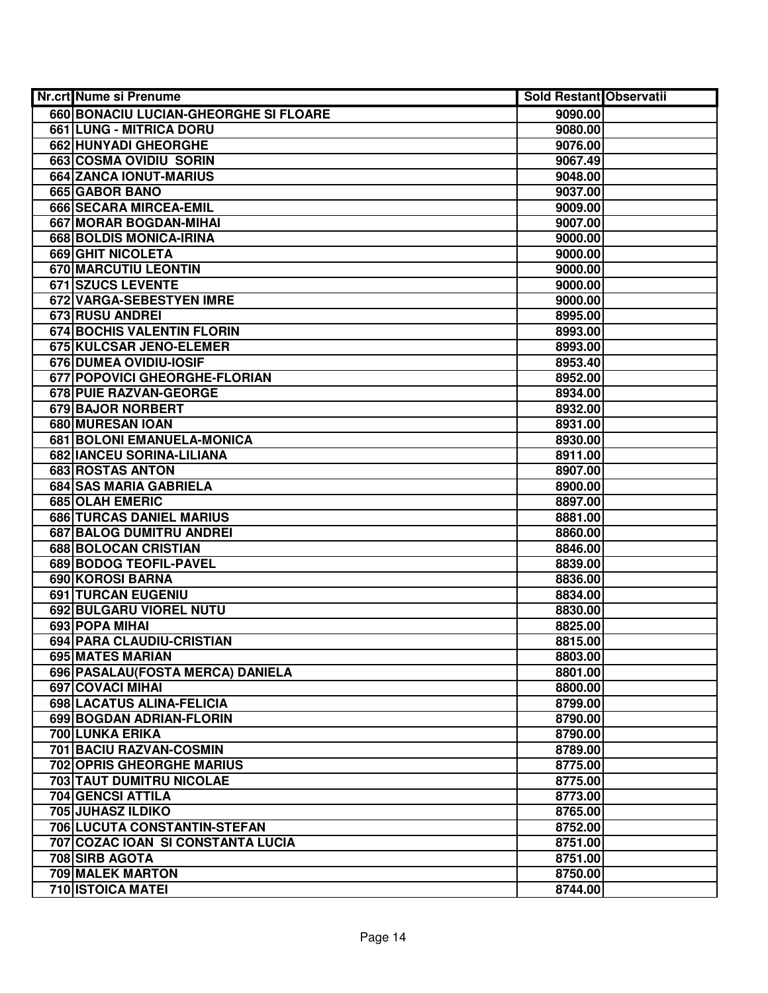| Nr.crt Nume si Prenume                | <b>Sold Restant Observatii</b> |  |
|---------------------------------------|--------------------------------|--|
| 660 BONACIU LUCIAN-GHEORGHE SI FLOARE | 9090.00                        |  |
| 661 LUNG - MITRICA DORU               | 9080.00                        |  |
| 662 HUNYADI GHEORGHE                  | 9076.00                        |  |
| 663 COSMA OVIDIU SORIN                | 9067.49                        |  |
| 664 ZANCA IONUT-MARIUS                | 9048.00                        |  |
| 665 GABOR BANO                        | 9037.00                        |  |
| 666 SECARA MIRCEA-EMIL                | 9009.00                        |  |
| 667 MORAR BOGDAN-MIHAI                | 9007.00                        |  |
| 668 BOLDIS MONICA-IRINA               | 9000.00                        |  |
| <b>669 GHIT NICOLETA</b>              | 9000.00                        |  |
| <b>670 MARCUTIU LEONTIN</b>           | 9000.00                        |  |
| <b>671 SZUCS LEVENTE</b>              | 9000.00                        |  |
| 672 VARGA-SEBESTYEN IMRE              | 9000.00                        |  |
| 673 RUSU ANDREI                       | 8995.00                        |  |
| 674 BOCHIS VALENTIN FLORIN            | 8993.00                        |  |
| 675 KULCSAR JENO-ELEMER               | 8993.00                        |  |
| 676 DUMEA OVIDIU-IOSIF                | 8953.40                        |  |
| 677 POPOVICI GHEORGHE-FLORIAN         | 8952.00                        |  |
| 678 PUIE RAZVAN-GEORGE                | 8934.00                        |  |
| <b>679 BAJOR NORBERT</b>              | 8932.00                        |  |
| 680 MURESAN IOAN                      | 8931.00                        |  |
| 681 BOLONI EMANUELA-MONICA            | 8930.00                        |  |
| 682 IANCEU SORINA-LILIANA             | 8911.00                        |  |
| 683 ROSTAS ANTON                      | 8907.00                        |  |
| 684 SAS MARIA GABRIELA                | 8900.00                        |  |
| 685 OLAH EMERIC                       | 8897.00                        |  |
| 686 TURCAS DANIEL MARIUS              | 8881.00                        |  |
| 687 BALOG DUMITRU ANDREI              | 8860.00                        |  |
| 688 BOLOCAN CRISTIAN                  | 8846.00                        |  |
| 689 BODOG TEOFIL-PAVEL                | 8839.00                        |  |
| 690 KOROSI BARNA                      | 8836.00                        |  |
| 691 TURCAN EUGENIU                    | 8834.00                        |  |
| 692 BULGARU VIOREL NUTU               | 8830.00                        |  |
| 693 POPA MIHAI                        | 8825.00                        |  |
| 694 PARA CLAUDIU-CRISTIAN             | 8815.00                        |  |
| 695 MATES MARIAN                      | 8803.00                        |  |
| 696   PASALAU (FOSTA MERCA) DANIELA   | 8801.00                        |  |
| <b>697 COVACI MIHAI</b>               | 8800.00                        |  |
| 698 LACATUS ALINA-FELICIA             | 8799.00                        |  |
| 699 BOGDAN ADRIAN-FLORIN              | 8790.00                        |  |
| <b>700 LUNKA ERIKA</b>                | 8790.00                        |  |
| 701 BACIU RAZVAN-COSMIN               | 8789.00                        |  |
| <b>702 OPRIS GHEORGHE MARIUS</b>      | 8775.00                        |  |
| <b>703 TAUT DUMITRU NICOLAE</b>       | 8775.00                        |  |
| 704 GENCSI ATTILA                     | 8773.00                        |  |
| 705 JUHASZ ILDIKO                     | 8765.00                        |  |
| 706 LUCUTA CONSTANTIN-STEFAN          | 8752.00                        |  |
| 707 COZAC IOAN SI CONSTANTA LUCIA     | 8751.00                        |  |
| 708 SIRB AGOTA                        | 8751.00                        |  |
| 709 MALEK MARTON                      | 8750.00                        |  |
| 710 ISTOICA MATEI                     | 8744.00                        |  |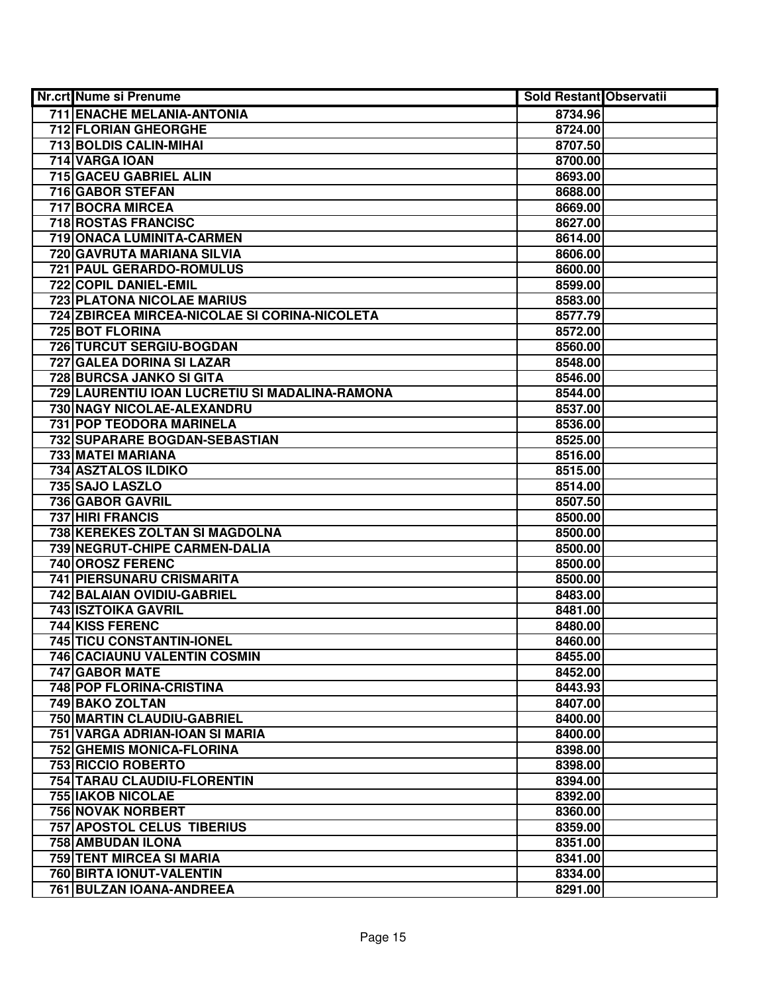| Nr.crt Nume si Prenume                         | <b>Sold Restant Observatii</b> |  |
|------------------------------------------------|--------------------------------|--|
| 711 ENACHE MELANIA-ANTONIA                     | 8734.96                        |  |
| 712 FLORIAN GHEORGHE                           | 8724.00                        |  |
| 713 BOLDIS CALIN-MIHAI                         | 8707.50                        |  |
| 714 VARGA IOAN                                 | 8700.00                        |  |
| 715 GACEU GABRIEL ALIN                         | 8693.00                        |  |
| 716 GABOR STEFAN                               | 8688.00                        |  |
| 717 BOCRA MIRCEA                               | 8669.00                        |  |
| <b>718 ROSTAS FRANCISC</b>                     | 8627.00                        |  |
| 719 ONACA LUMINITA-CARMEN                      | 8614.00                        |  |
| 720 GAVRUTA MARIANA SILVIA                     | 8606.00                        |  |
| 721 PAUL GERARDO-ROMULUS                       | 8600.00                        |  |
| 722 COPIL DANIEL-EMIL                          | 8599.00                        |  |
| <b>723 PLATONA NICOLAE MARIUS</b>              | 8583.00                        |  |
| 724 ZBIRCEA MIRCEA-NICOLAE SI CORINA-NICOLETA  | 8577.79                        |  |
| 725 BOT FLORINA                                | 8572.00                        |  |
| 726 TURCUT SERGIU-BOGDAN                       | 8560.00                        |  |
| 727 GALEA DORINA SI LAZAR                      | 8548.00                        |  |
| 728 BURCSA JANKO SI GITA                       | 8546.00                        |  |
| 729 LAURENTIU IOAN LUCRETIU SI MADALINA-RAMONA | 8544.00                        |  |
| 730 NAGY NICOLAE-ALEXANDRU                     | 8537.00                        |  |
| 731 POP TEODORA MARINELA                       | 8536.00                        |  |
| 732 SUPARARE BOGDAN-SEBASTIAN                  | 8525.00                        |  |
| 733 MATEI MARIANA                              | 8516.00                        |  |
| 734 ASZTALOS ILDIKO                            | 8515.00                        |  |
| 735 SAJO LASZLO                                | 8514.00                        |  |
| 736 GABOR GAVRIL                               | 8507.50                        |  |
| 737 HIRI FRANCIS                               | 8500.00                        |  |
| 738 KEREKES ZOLTAN SI MAGDOLNA                 | 8500.00                        |  |
| 739 NEGRUT-CHIPE CARMEN-DALIA                  | 8500.00                        |  |
| 740 OROSZ FERENC                               | 8500.00                        |  |
| 741 PIERSUNARU CRISMARITA                      | 8500.00                        |  |
| 742 BALAIAN OVIDIU-GABRIEL                     | 8483.00                        |  |
| 743 ISZTOIKA GAVRIL                            | 8481.00                        |  |
| 744 KISS FERENC                                | 8480.00                        |  |
| 745 TICU CONSTANTIN-IONEL                      | 8460.00                        |  |
| 746 CACIAUNU VALENTIN COSMIN                   | 8455.00                        |  |
| 747 GABOR MATE                                 | 8452.00                        |  |
| <b>748 POP FLORINA-CRISTINA</b>                | 8443.93                        |  |
| 749 BAKO ZOLTAN                                | 8407.00                        |  |
| 750 MARTIN CLAUDIU-GABRIEL                     | 8400.00                        |  |
| 751 VARGA ADRIAN-IOAN SI MARIA                 | 8400.00                        |  |
| 752 GHEMIS MONICA-FLORINA                      | 8398.00                        |  |
| 753 RICCIO ROBERTO                             | 8398.00                        |  |
| 754 TARAU CLAUDIU-FLORENTIN                    | 8394.00                        |  |
| <b>755 IAKOB NICOLAE</b>                       | 8392.00                        |  |
| 756 NOVAK NORBERT                              | 8360.00                        |  |
| 757 APOSTOL CELUS TIBERIUS                     | 8359.00                        |  |
| 758 AMBUDAN ILONA                              | 8351.00                        |  |
| 759 TENT MIRCEA SI MARIA                       | 8341.00                        |  |
| 760 BIRTA IONUT-VALENTIN                       | 8334.00                        |  |
| 761 BULZAN IOANA-ANDREEA                       | 8291.00                        |  |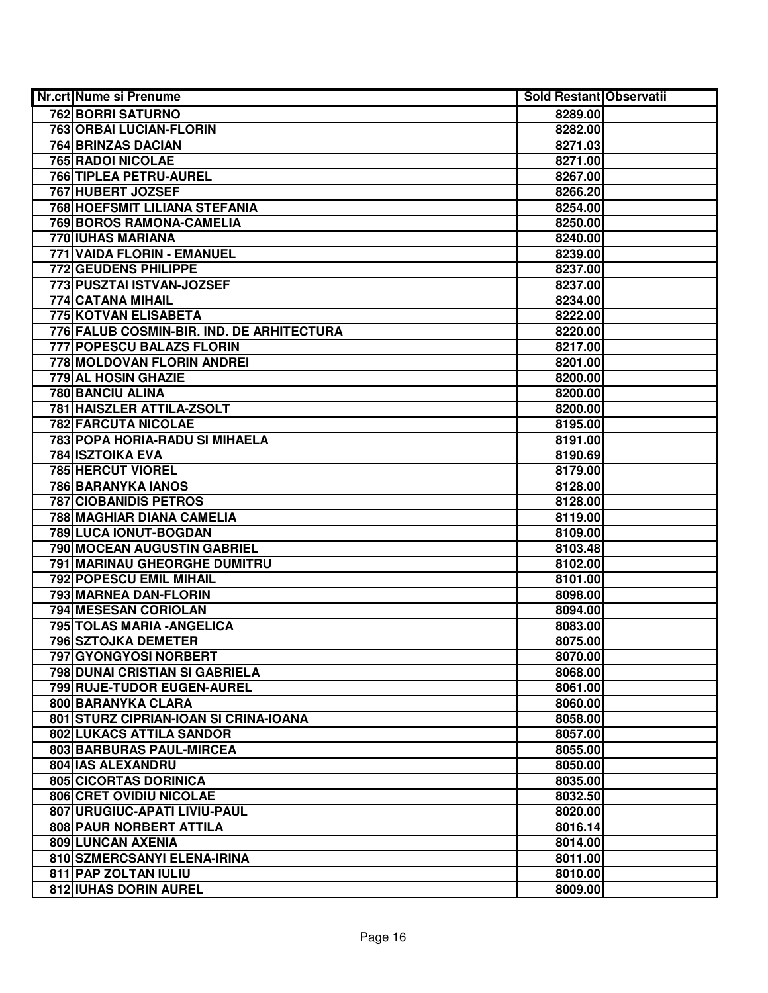| Nr.crt Nume si Prenume                    | <b>Sold Restant Observatii</b> |  |
|-------------------------------------------|--------------------------------|--|
| <b>762 BORRI SATURNO</b>                  | 8289.00                        |  |
| 763 ORBAI LUCIAN-FLORIN                   | 8282.00                        |  |
| 764 BRINZAS DACIAN                        | 8271.03                        |  |
| 765 RADOI NICOLAE                         | 8271.00                        |  |
| 766 TIPLEA PETRU-AUREL                    | 8267.00                        |  |
| 767 HUBERT JOZSEF                         | 8266.20                        |  |
| 768 HOEFSMIT LILIANA STEFANIA             | 8254.00                        |  |
| 769 BOROS RAMONA-CAMELIA                  | 8250.00                        |  |
| <b>770 IUHAS MARIANA</b>                  | 8240.00                        |  |
| 771 VAIDA FLORIN - EMANUEL                | 8239.00                        |  |
| <b>772 GEUDENS PHILIPPE</b>               | 8237.00                        |  |
| 773 PUSZTAI ISTVAN-JOZSEF                 | 8237.00                        |  |
| 774 CATANA MIHAIL                         | 8234.00                        |  |
| 775 KOTVAN ELISABETA                      | 8222.00                        |  |
| 776 FALUB COSMIN-BIR. IND. DE ARHITECTURA | 8220.00                        |  |
| 777 POPESCU BALAZS FLORIN                 | 8217.00                        |  |
| 778 MOLDOVAN FLORIN ANDREI                | 8201.00                        |  |
| 779 AL HOSIN GHAZIE                       | 8200.00                        |  |
| 780 BANCIU ALINA                          | 8200.00                        |  |
| 781 HAISZLER ATTILA-ZSOLT                 | 8200.00                        |  |
| 782 FARCUTA NICOLAE                       | 8195.00                        |  |
| 783 POPA HORIA-RADU SI MIHAELA            | 8191.00                        |  |
| <b>784 ISZTOIKA EVA</b>                   | 8190.69                        |  |
| 785 HERCUT VIOREL                         | 8179.00                        |  |
| 786 BARANYKA IANOS                        | 8128.00                        |  |
| <b>787 CIOBANIDIS PETROS</b>              | 8128.00                        |  |
| 788 MAGHIAR DIANA CAMELIA                 | 8119.00                        |  |
| 789 LUCA IONUT-BOGDAN                     | 8109.00                        |  |
| 790 MOCEAN AUGUSTIN GABRIEL               | 8103.48                        |  |
| 791 MARINAU GHEORGHE DUMITRU              | 8102.00                        |  |
| 792 POPESCU EMIL MIHAIL                   | 8101.00                        |  |
| 793 MARNEA DAN-FLORIN                     | 8098.00                        |  |
| 794 MESESAN CORIOLAN                      | 8094.00                        |  |
| 795 TOLAS MARIA - ANGELICA                | 8083.00                        |  |
| 796 SZTOJKA DEMETER                       | 8075.00                        |  |
| 797 GYONGYOSI NORBERT                     | 8070.00                        |  |
| <b>798 DUNAI CRISTIAN SI GABRIELA</b>     | 8068.00                        |  |
| 799 RUJE-TUDOR EUGEN-AUREL                | 8061.00                        |  |
| 800 BARANYKA CLARA                        | 8060.00                        |  |
| 801 STURZ CIPRIAN-IOAN SI CRINA-IOANA     | 8058.00                        |  |
| 802 LUKACS ATTILA SANDOR                  | 8057.00                        |  |
| 803 BARBURAS PAUL-MIRCEA                  | 8055.00                        |  |
| 804 IAS ALEXANDRU                         | 8050.00                        |  |
| 805 CICORTAS DORINICA                     | 8035.00                        |  |
| 806 CRET OVIDIU NICOLAE                   | 8032.50                        |  |
| 807 URUGIUC-APATI LIVIU-PAUL              | 8020.00                        |  |
| 808 PAUR NORBERT ATTILA                   | 8016.14                        |  |
| 809 LUNCAN AXENIA                         | 8014.00                        |  |
| 810 SZMERCSANYI ELENA-IRINA               | 8011.00                        |  |
| 811 PAP ZOLTAN IULIU                      | 8010.00                        |  |
| 812 IUHAS DORIN AUREL                     | 8009.00                        |  |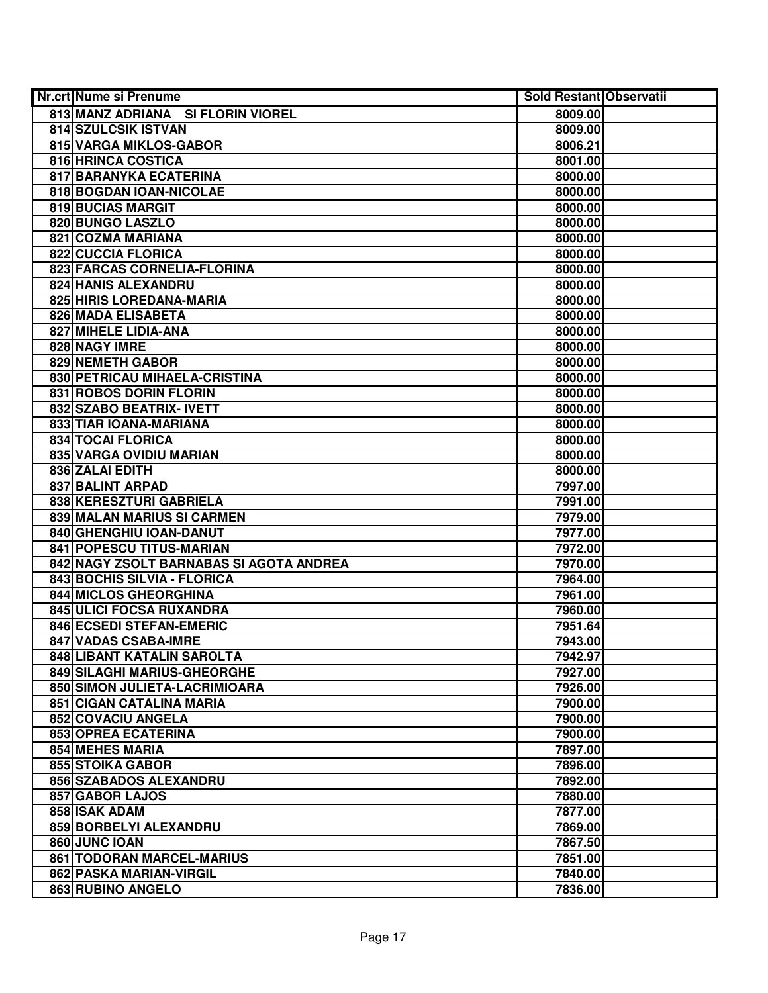| Nr.crt Nume si Prenume                  | <b>Sold Restant Observatii</b> |  |
|-----------------------------------------|--------------------------------|--|
| 813 MANZ ADRIANA SI FLORIN VIOREL       | 8009.00                        |  |
| <b>814 SZULCSIK ISTVAN</b>              | 8009.00                        |  |
| 815 VARGA MIKLOS-GABOR                  | 8006.21                        |  |
| 816 HRINCA COSTICA                      | 8001.00                        |  |
| 817 BARANYKA ECATERINA                  | 8000.00                        |  |
| 818 BOGDAN IOAN-NICOLAE                 | 8000.00                        |  |
| 819 BUCIAS MARGIT                       | 8000.00                        |  |
| 820 BUNGO LASZLO                        | 8000.00                        |  |
| 821 COZMA MARIANA                       | 8000.00                        |  |
| <b>822 CUCCIA FLORICA</b>               | 8000.00                        |  |
| 823 FARCAS CORNELIA-FLORINA             | 8000.00                        |  |
| <b>824 HANIS ALEXANDRU</b>              | 8000.00                        |  |
| 825 HIRIS LOREDANA-MARIA                | 8000.00                        |  |
| 826 MADA ELISABETA                      | 8000.00                        |  |
| 827 MIHELE LIDIA-ANA                    | 8000.00                        |  |
| 828 NAGY IMRE                           | 8000.00                        |  |
| 829 NEMETH GABOR                        | 8000.00                        |  |
| 830 PETRICAU MIHAELA-CRISTINA           | 8000.00                        |  |
| 831 ROBOS DORIN FLORIN                  | 8000.00                        |  |
| 832 SZABO BEATRIX- IVETT                | 8000.00                        |  |
| 833 TIAR IOANA-MARIANA                  | 8000.00                        |  |
| <b>834 TOCAI FLORICA</b>                | 8000.00                        |  |
| 835 VARGA OVIDIU MARIAN                 | 8000.00                        |  |
| 836 ZALAI EDITH                         | 8000.00                        |  |
| 837 BALINT ARPAD                        | 7997.00                        |  |
| 838 KERESZTURI GABRIELA                 | 7991.00                        |  |
| 839 MALAN MARIUS SI CARMEN              | 7979.00                        |  |
| 840 GHENGHIU IOAN-DANUT                 | 7977.00                        |  |
| 841 POPESCU TITUS-MARIAN                | 7972.00                        |  |
| 842 NAGY ZSOLT BARNABAS SI AGOTA ANDREA | 7970.00                        |  |
| 843 BOCHIS SILVIA - FLORICA             | 7964.00                        |  |
| 844 MICLOS GHEORGHINA                   | 7961.00                        |  |
| 845 ULICI FOCSA RUXANDRA                | 7960.00                        |  |
| 846 ECSEDI STEFAN-EMERIC                | 7951.64                        |  |
| 847 VADAS CSABA-IMRE                    | 7943.00                        |  |
| 848 LIBANT KATALIN SAROLTA              | 7942.97                        |  |
| 849 SILAGHI MARIUS-GHEORGHE             | 7927.00                        |  |
| 850 SIMON JULIETA-LACRIMIOARA           | 7926.00                        |  |
| 851 CIGAN CATALINA MARIA                | 7900.00                        |  |
| 852 COVACIU ANGELA                      | 7900.00                        |  |
| 853 OPREA ECATERINA                     | 7900.00                        |  |
| 854 MEHES MARIA                         | 7897.00                        |  |
| 855 STOIKA GABOR                        | 7896.00                        |  |
| 856 SZABADOS ALEXANDRU                  | 7892.00                        |  |
| 857 GABOR LAJOS                         | 7880.00                        |  |
| 858 ISAK ADAM                           | 7877.00                        |  |
| 859 BORBELYI ALEXANDRU                  | 7869.00                        |  |
| 860 JUNC IOAN                           | 7867.50                        |  |
| 861 TODORAN MARCEL-MARIUS               | 7851.00                        |  |
| 862 PASKA MARIAN-VIRGIL                 | 7840.00                        |  |
| 863 RUBINO ANGELO                       | 7836.00                        |  |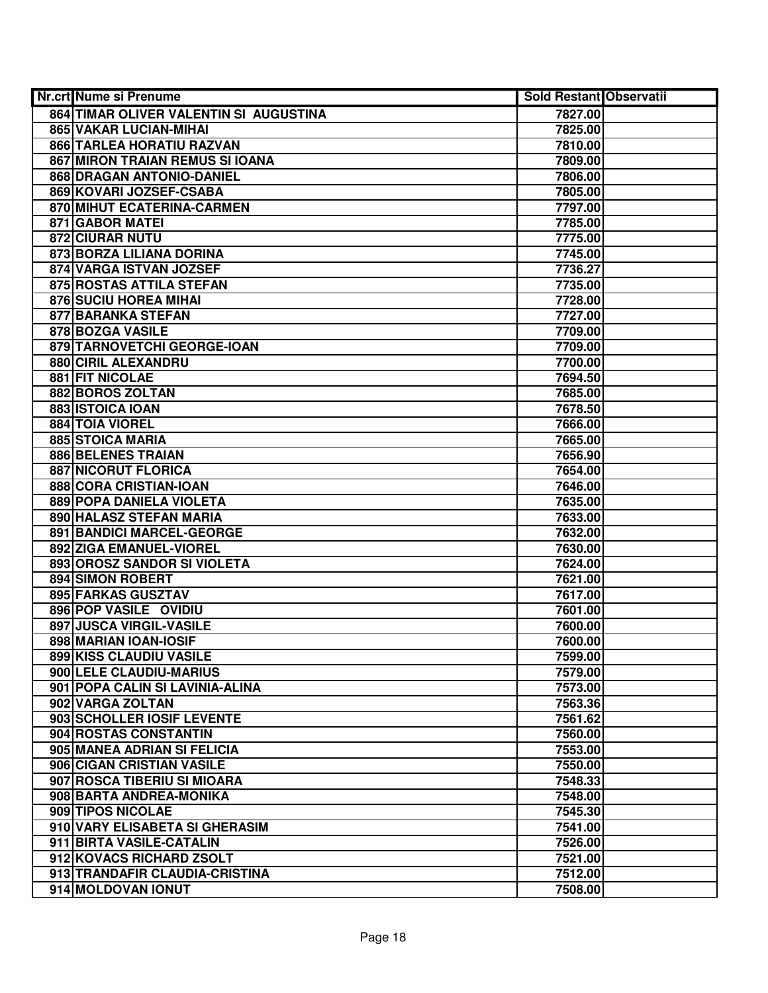| Nr.crt Nume si Prenume                 | Sold Restant Observatii |  |
|----------------------------------------|-------------------------|--|
| 864 TIMAR OLIVER VALENTIN SI AUGUSTINA | 7827.00                 |  |
| 865 VAKAR LUCIAN-MIHAI                 | 7825.00                 |  |
| 866 TARLEA HORATIU RAZVAN              | 7810.00                 |  |
| 867 MIRON TRAIAN REMUS SI IOANA        | 7809.00                 |  |
| 868 DRAGAN ANTONIO-DANIEL              | 7806.00                 |  |
| 869 KOVARI JOZSEF-CSABA                | 7805.00                 |  |
| 870 MIHUT ECATERINA-CARMEN             | 7797.00                 |  |
| 871 GABOR MATEI                        | 7785.00                 |  |
| <b>872 CIURAR NUTU</b>                 | 7775.00                 |  |
| 873 BORZA LILIANA DORINA               | 7745.00                 |  |
| 874 VARGA ISTVAN JOZSEF                | 7736.27                 |  |
| 875 ROSTAS ATTILA STEFAN               | 7735.00                 |  |
| 876 SUCIU HOREA MIHAI                  | 7728.00                 |  |
| 877 BARANKA STEFAN                     | 7727.00                 |  |
| 878 BOZGA VASILE                       | 7709.00                 |  |
| 879 TARNOVETCHI GEORGE-IOAN            | 7709.00                 |  |
| 880 CIRIL ALEXANDRU                    | 7700.00                 |  |
| 881 FIT NICOLAE                        | 7694.50                 |  |
| 882 BOROS ZOLTAN                       | 7685.00                 |  |
| 883 ISTOICA IOAN                       | 7678.50                 |  |
| 884 TOIA VIOREL                        | 7666.00                 |  |
| 885 STOICA MARIA                       | 7665.00                 |  |
| 886 BELENES TRAIAN                     | 7656.90                 |  |
| <b>887 NICORUT FLORICA</b>             | 7654.00                 |  |
| 888 CORA CRISTIAN-IOAN                 | 7646.00                 |  |
| 889 POPA DANIELA VIOLETA               | 7635.00                 |  |
| 890 HALASZ STEFAN MARIA                | 7633.00                 |  |
| 891 BANDICI MARCEL-GEORGE              | 7632.00                 |  |
| 892 ZIGA EMANUEL-VIOREL                | 7630.00                 |  |
| 893 OROSZ SANDOR SI VIOLETA            | 7624.00                 |  |
| 894 SIMON ROBERT                       | 7621.00                 |  |
| 895 FARKAS GUSZTAV                     | 7617.00                 |  |
| 896 POP VASILE OVIDIU                  | 7601.00                 |  |
| 897 JUSCA VIRGIL-VASILE                | 7600.00                 |  |
| 898 MARIAN IOAN-IOSIF                  | 7600.00                 |  |
| 899 KISS CLAUDIU VASILE                | 7599.00                 |  |
| 900 LELE CLAUDIU-MARIUS                | 7579.00                 |  |
| 901   POPA CALIN SI LAVINIA-ALINA      | 7573.00                 |  |
| 902 VARGA ZOLTAN                       | 7563.36                 |  |
| 903 SCHOLLER IOSIF LEVENTE             | 7561.62                 |  |
| 904 ROSTAS CONSTANTIN                  | 7560.00                 |  |
| 905 MANEA ADRIAN SI FELICIA            | 7553.00                 |  |
| 906 CIGAN CRISTIAN VASILE              | 7550.00                 |  |
| 907 ROSCA TIBERIU SI MIOARA            | 7548.33                 |  |
| 908 BARTA ANDREA-MONIKA                | 7548.00                 |  |
| 909 TIPOS NICOLAE                      | 7545.30                 |  |
| 910 VARY ELISABETA SI GHERASIM         | 7541.00                 |  |
| 911 BIRTA VASILE-CATALIN               | 7526.00                 |  |
| 912 KOVACS RICHARD ZSOLT               | 7521.00                 |  |
| 913 TRANDAFIR CLAUDIA-CRISTINA         | 7512.00                 |  |
| 914 MOLDOVAN IONUT                     | 7508.00                 |  |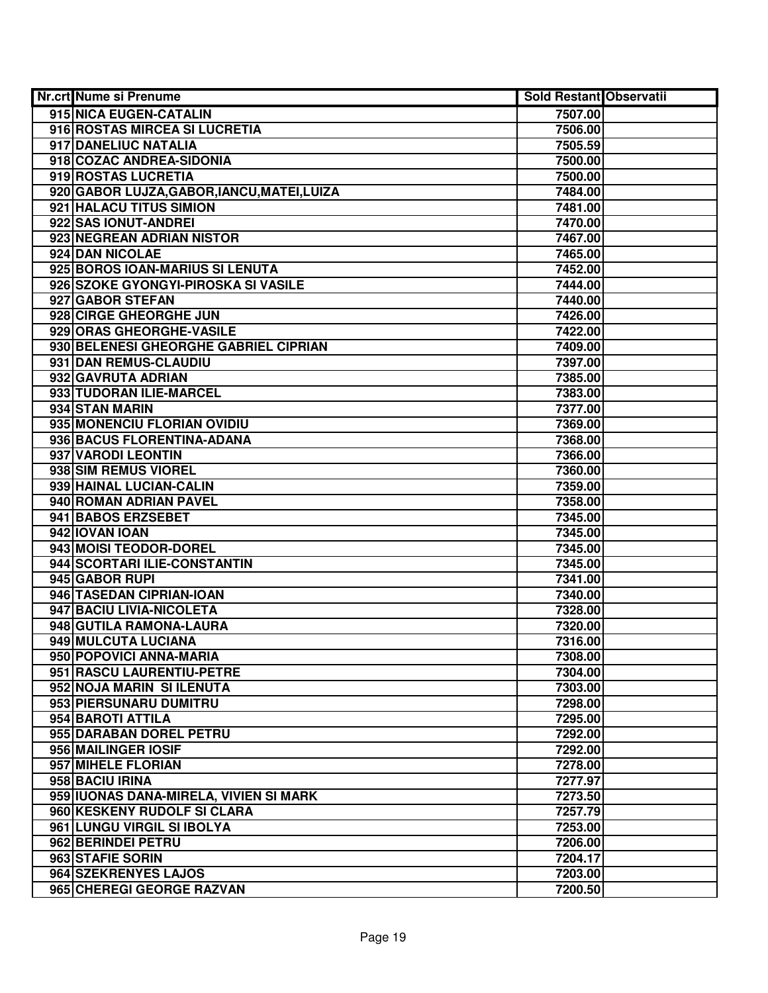| Nr.crt Nume si Prenume                      | <b>Sold Restant Observatii</b> |  |
|---------------------------------------------|--------------------------------|--|
| 915 NICA EUGEN-CATALIN                      | 7507.00                        |  |
| 916 ROSTAS MIRCEA SI LUCRETIA               | 7506.00                        |  |
| 917 DANELIUC NATALIA                        | 7505.59                        |  |
| 918 COZAC ANDREA-SIDONIA                    | 7500.00                        |  |
| 919 ROSTAS LUCRETIA                         | 7500.00                        |  |
| 920 GABOR LUJZA, GABOR, IANCU, MATEI, LUIZA | 7484.00                        |  |
| 921 HALACU TITUS SIMION                     | 7481.00                        |  |
| 922 SAS IONUT-ANDREI                        | 7470.00                        |  |
| 923 NEGREAN ADRIAN NISTOR                   | 7467.00                        |  |
| 924 DAN NICOLAE                             | 7465.00                        |  |
| 925 BOROS IOAN-MARIUS SI LENUTA             | 7452.00                        |  |
| 926 SZOKE GYONGYI-PIROSKA SI VASILE         | 7444.00                        |  |
| 927 GABOR STEFAN                            | 7440.00                        |  |
| 928 CIRGE GHEORGHE JUN                      | 7426.00                        |  |
| 929 ORAS GHEORGHE-VASILE                    | 7422.00                        |  |
| 930 BELENESI GHEORGHE GABRIEL CIPRIAN       | 7409.00                        |  |
| 931 DAN REMUS-CLAUDIU                       | 7397.00                        |  |
| 932 GAVRUTA ADRIAN                          | 7385.00                        |  |
| 933 TUDORAN ILIE-MARCEL                     | 7383.00                        |  |
| 934 STAN MARIN                              | 7377.00                        |  |
| 935 MONENCIU FLORIAN OVIDIU                 | 7369.00                        |  |
| 936 BACUS FLORENTINA-ADANA                  | 7368.00                        |  |
| 937 VARODI LEONTIN                          | 7366.00                        |  |
| 938 SIM REMUS VIOREL                        | 7360.00                        |  |
| 939 HAINAL LUCIAN-CALIN                     | 7359.00                        |  |
| 940 ROMAN ADRIAN PAVEL                      | 7358.00                        |  |
| 941 BABOS ERZSEBET                          | 7345.00                        |  |
| 942 IOVAN IOAN                              | 7345.00                        |  |
| 943 MOISI TEODOR-DOREL                      | 7345.00                        |  |
| 944 SCORTARI ILIE-CONSTANTIN                | 7345.00                        |  |
| 945 GABOR RUPI                              | 7341.00                        |  |
| 946 TASEDAN CIPRIAN-IOAN                    | 7340.00                        |  |
| 947 BACIU LIVIA-NICOLETA                    | 7328.00                        |  |
| 948 GUTILA RAMONA-LAURA                     | 7320.00                        |  |
| 949 MULCUTA LUCIANA                         | 7316.00                        |  |
| 950 POPOVICI ANNA-MARIA                     | 7308.00                        |  |
| 951 RASCU LAURENTIU-PETRE                   | 7304.00                        |  |
| 952 NOJA MARIN SI ILENUTA                   | 7303.00                        |  |
| 953 PIERSUNARU DUMITRU                      | 7298.00                        |  |
| 954 BAROTI ATTILA                           | 7295.00                        |  |
| 955 DARABAN DOREL PETRU                     | 7292.00                        |  |
| 956 MAILINGER IOSIF                         | 7292.00                        |  |
| 957 MIHELE FLORIAN                          | 7278.00                        |  |
| 958 BACIU IRINA                             | 7277.97                        |  |
| 959 IUONAS DANA-MIRELA, VIVIEN SI MARK      | 7273.50                        |  |
| 960 KESKENY RUDOLF SI CLARA                 | 7257.79                        |  |
| 961 LUNGU VIRGIL SI IBOLYA                  | 7253.00                        |  |
| 962 BERINDEI PETRU                          | 7206.00                        |  |
| 963 STAFIE SORIN                            | 7204.17                        |  |
| 964 SZEKRENYES LAJOS                        | 7203.00                        |  |
| 965 CHEREGI GEORGE RAZVAN                   | 7200.50                        |  |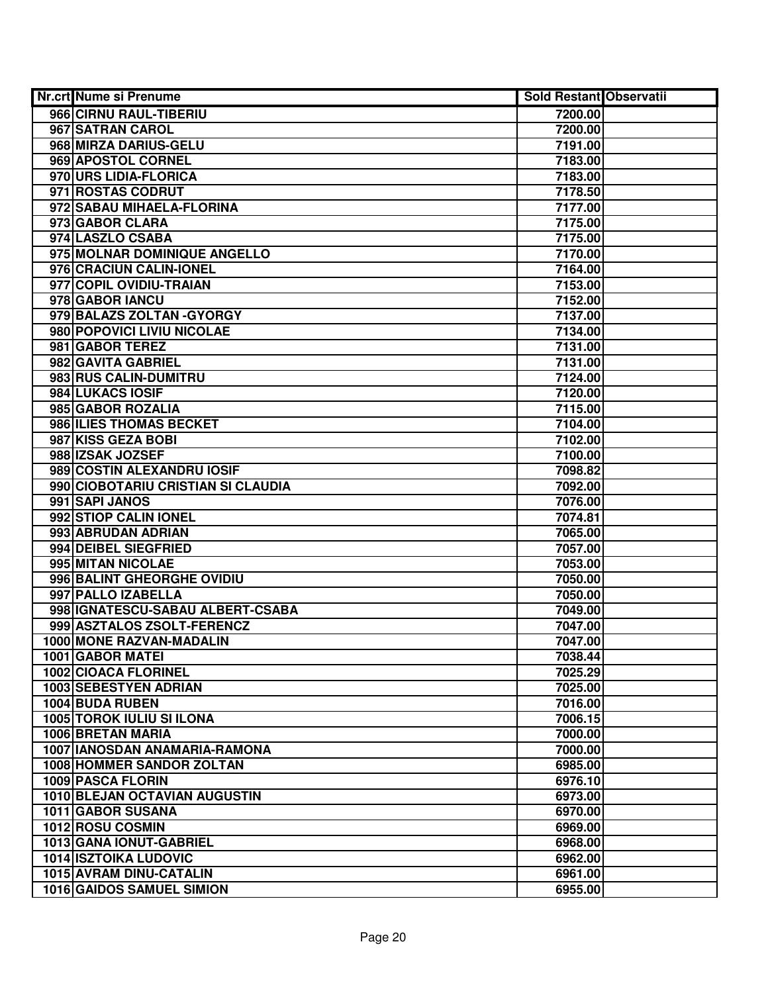| Nr.crt Nume si Prenume             | <b>Sold Restant Observatii</b> |  |
|------------------------------------|--------------------------------|--|
| 966 CIRNU RAUL-TIBERIU             | 7200.00                        |  |
| 967 SATRAN CAROL                   | 7200.00                        |  |
| 968 MIRZA DARIUS-GELU              | 7191.00                        |  |
| 969 APOSTOL CORNEL                 | 7183.00                        |  |
| 970 URS LIDIA-FLORICA              | 7183.00                        |  |
| 971 ROSTAS CODRUT                  | 7178.50                        |  |
| 972 SABAU MIHAELA-FLORINA          | 7177.00                        |  |
| 973 GABOR CLARA                    | 7175.00                        |  |
| 974 LASZLO CSABA                   | 7175.00                        |  |
| 975 MOLNAR DOMINIQUE ANGELLO       | 7170.00                        |  |
| 976 CRACIUN CALIN-IONEL            | 7164.00                        |  |
| 977 COPIL OVIDIU-TRAIAN            | 7153.00                        |  |
| 978 GABOR IANCU                    | 7152.00                        |  |
| 979 BALAZS ZOLTAN - GYORGY         | 7137.00                        |  |
| 980 POPOVICI LIVIU NICOLAE         | 7134.00                        |  |
| 981 GABOR TEREZ                    | 7131.00                        |  |
| 982 GAVITA GABRIEL                 | 7131.00                        |  |
| 983 RUS CALIN-DUMITRU              | 7124.00                        |  |
| 984 LUKACS IOSIF                   | 7120.00                        |  |
| 985 GABOR ROZALIA                  | 7115.00                        |  |
| 986 ILIES THOMAS BECKET            | 7104.00                        |  |
| 987 KISS GEZA BOBI                 | 7102.00                        |  |
| 988 IZSAK JOZSEF                   | 7100.00                        |  |
| 989 COSTIN ALEXANDRU IOSIF         | 7098.82                        |  |
| 990 CIOBOTARIU CRISTIAN SI CLAUDIA | 7092.00                        |  |
| 991 SAPI JANOS                     | 7076.00                        |  |
| 992 STIOP CALIN IONEL              | 7074.81                        |  |
| 993 ABRUDAN ADRIAN                 | 7065.00                        |  |
| 994 DEIBEL SIEGFRIED               | 7057.00                        |  |
| 995 MITAN NICOLAE                  | 7053.00                        |  |
| 996 BALINT GHEORGHE OVIDIU         | 7050.00                        |  |
| 997 PALLO IZABELLA                 | 7050.00                        |  |
| 998 IGNATESCU-SABAU ALBERT-CSABA   | 7049.00                        |  |
| 999 ASZTALOS ZSOLT-FERENCZ         | 7047.00                        |  |
| 1000 MONE RAZVAN-MADALIN           | 7047.00                        |  |
| 1001 GABOR MATEI                   | 7038.44                        |  |
| <b>1002 CIOACA FLORINEL</b>        | 7025.29                        |  |
| <b>1003 SEBESTYEN ADRIAN</b>       | 7025.00                        |  |
| 1004 BUDA RUBEN                    | 7016.00                        |  |
| <b>1005 TOROK IULIU SI ILONA</b>   | 7006.15                        |  |
| 1006 BRETAN MARIA                  | 7000.00                        |  |
| 1007 IANOSDAN ANAMARIA-RAMONA      | 7000.00                        |  |
| <b>1008 HOMMER SANDOR ZOLTAN</b>   | 6985.00                        |  |
| 1009 PASCA FLORIN                  | 6976.10                        |  |
| 1010 BLEJAN OCTAVIAN AUGUSTIN      | 6973.00                        |  |
| 1011 GABOR SUSANA                  | 6970.00                        |  |
| 1012 ROSU COSMIN                   | 6969.00                        |  |
| 1013 GANA IONUT-GABRIEL            | 6968.00                        |  |
| <b>1014 ISZTOIKA LUDOVIC</b>       | 6962.00                        |  |
| 1015 AVRAM DINU-CATALIN            | 6961.00                        |  |
| 1016 GAIDOS SAMUEL SIMION          | 6955.00                        |  |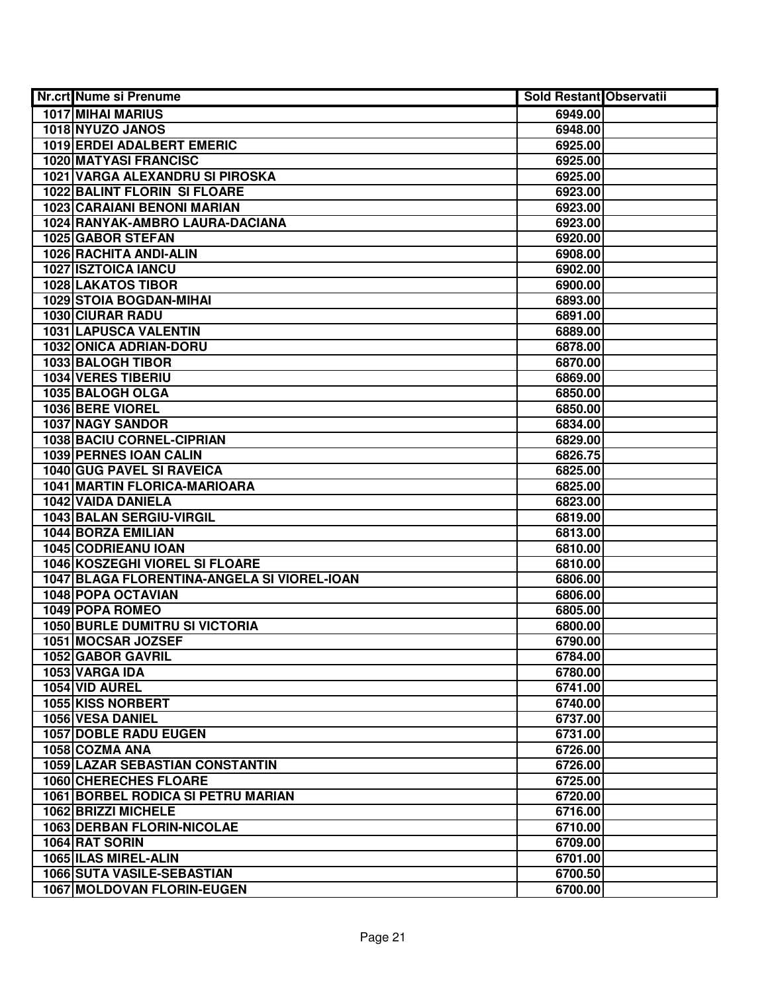| Nr.crt Nume si Prenume                      | <b>Sold Restant Observatii</b> |  |
|---------------------------------------------|--------------------------------|--|
| <b>1017 MIHAI MARIUS</b>                    | 6949.00                        |  |
| 1018 NYUZO JANOS                            | 6948.00                        |  |
| 1019 ERDEI ADALBERT EMERIC                  | 6925.00                        |  |
| <b>1020 MATYASI FRANCISC</b>                | 6925.00                        |  |
| 1021 VARGA ALEXANDRU SI PIROSKA             | 6925.00                        |  |
| 1022 BALINT FLORIN SI FLOARE                | 6923.00                        |  |
| 1023 CARAIANI BENONI MARIAN                 | 6923.00                        |  |
| 1024 RANYAK-AMBRO LAURA-DACIANA             | 6923.00                        |  |
| 1025 GABOR STEFAN                           | 6920.00                        |  |
| 1026 RACHITA ANDI-ALIN                      | 6908.00                        |  |
| <b>1027 ISZTOICA IANCU</b>                  | 6902.00                        |  |
| <b>1028 LAKATOS TIBOR</b>                   | 6900.00                        |  |
| 1029 STOIA BOGDAN-MIHAI                     | 6893.00                        |  |
| <b>1030 CIURAR RADU</b>                     | 6891.00                        |  |
| 1031 LAPUSCA VALENTIN                       | 6889.00                        |  |
| 1032 ONICA ADRIAN-DORU                      | 6878.00                        |  |
| 1033 BALOGH TIBOR                           | 6870.00                        |  |
| 1034 VERES TIBERIU                          | 6869.00                        |  |
| 1035 BALOGH OLGA                            | 6850.00                        |  |
| 1036 BERE VIOREL                            | 6850.00                        |  |
| <b>1037 NAGY SANDOR</b>                     | 6834.00                        |  |
| 1038 BACIU CORNEL-CIPRIAN                   | 6829.00                        |  |
| 1039 PERNES IOAN CALIN                      | 6826.75                        |  |
| 1040 GUG PAVEL SI RAVEICA                   | 6825.00                        |  |
| <b>1041 MARTIN FLORICA-MARIOARA</b>         | 6825.00                        |  |
| 1042 VAIDA DANIELA                          | 6823.00                        |  |
| 1043 BALAN SERGIU-VIRGIL                    | 6819.00                        |  |
| 1044 BORZA EMILIAN                          | 6813.00                        |  |
| 1045 CODRIEANU IOAN                         | 6810.00                        |  |
| 1046 KOSZEGHI VIOREL SI FLOARE              | 6810.00                        |  |
| 1047 BLAGA FLORENTINA-ANGELA SI VIOREL-IOAN | 6806.00                        |  |
| 1048 POPA OCTAVIAN                          | 6806.00                        |  |
| 1049 POPA ROMEO                             | 6805.00                        |  |
| <b>1050 BURLE DUMITRU SI VICTORIA</b>       | 6800.00                        |  |
| 1051 MOCSAR JOZSEF                          | 6790.00                        |  |
| 1052 GABOR GAVRIL                           | 6784.00                        |  |
| 1053 VARGA IDA                              | 6780.00                        |  |
| 1054 VID AUREL                              | 6741.00                        |  |
| <b>1055 KISS NORBERT</b>                    | 6740.00                        |  |
| 1056 VESA DANIEL                            | 6737.00                        |  |
| <b>1057 DOBLE RADU EUGEN</b>                | 6731.00                        |  |
| 1058 COZMA ANA                              | 6726.00                        |  |
| 1059 LAZAR SEBASTIAN CONSTANTIN             | 6726.00                        |  |
| 1060 CHERECHES FLOARE                       | 6725.00                        |  |
| 1061 BORBEL RODICA SI PETRU MARIAN          | 6720.00                        |  |
| 1062 BRIZZI MICHELE                         | 6716.00                        |  |
| <b>1063 DERBAN FLORIN-NICOLAE</b>           | 6710.00                        |  |
| 1064 RAT SORIN                              | 6709.00                        |  |
| 1065 ILAS MIREL-ALIN                        | 6701.00                        |  |
| 1066 SUTA VASILE-SEBASTIAN                  | 6700.50                        |  |
| 1067 MOLDOVAN FLORIN-EUGEN                  | 6700.00                        |  |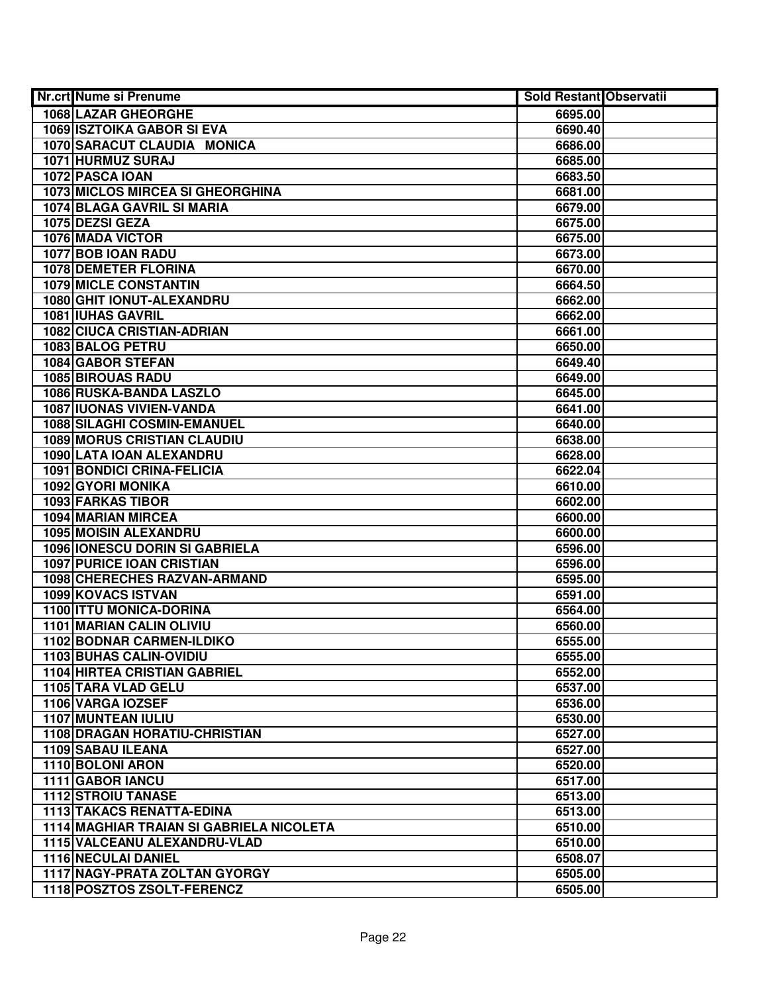| Nr.crt Nume si Prenume                   | Sold Restant Observatii |  |
|------------------------------------------|-------------------------|--|
| <b>1068 LAZAR GHEORGHE</b>               | 6695.00                 |  |
| <b>1069 ISZTOIKA GABOR SI EVA</b>        | 6690.40                 |  |
| 1070 SARACUT CLAUDIA MONICA              | 6686.00                 |  |
| 1071 HURMUZ SURAJ                        | 6685.00                 |  |
| 1072 PASCA IOAN                          | 6683.50                 |  |
| 1073 MICLOS MIRCEA SI GHEORGHINA         | 6681.00                 |  |
| 1074 BLAGA GAVRIL SI MARIA               | 6679.00                 |  |
| 1075 DEZSI GEZA                          | 6675.00                 |  |
| <b>1076 MADA VICTOR</b>                  | 6675.00                 |  |
| 1077 BOB IOAN RADU                       | 6673.00                 |  |
| <b>1078 DEMETER FLORINA</b>              | 6670.00                 |  |
| <b>1079 MICLE CONSTANTIN</b>             | 6664.50                 |  |
| 1080 GHIT IONUT-ALEXANDRU                | 6662.00                 |  |
| <b>1081 IUHAS GAVRIL</b>                 | 6662.00                 |  |
| <b>1082 CIUCA CRISTIAN-ADRIAN</b>        | 6661.00                 |  |
| 1083 BALOG PETRU                         | 6650.00                 |  |
| 1084 GABOR STEFAN                        | 6649.40                 |  |
| <b>1085 BIROUAS RADU</b>                 | 6649.00                 |  |
| 1086 RUSKA-BANDA LASZLO                  | 6645.00                 |  |
| <b>1087 IUONAS VIVIEN-VANDA</b>          | 6641.00                 |  |
| 1088 SILAGHI COSMIN-EMANUEL              | 6640.00                 |  |
| <b>1089 MORUS CRISTIAN CLAUDIU</b>       | 6638.00                 |  |
| 1090 LATA IOAN ALEXANDRU                 | 6628.00                 |  |
| 1091 BONDICI CRINA-FELICIA               | 6622.04                 |  |
| 1092 GYORI MONIKA                        | 6610.00                 |  |
| 1093 FARKAS TIBOR                        | 6602.00                 |  |
| 1094 MARIAN MIRCEA                       | 6600.00                 |  |
| <b>1095 MOISIN ALEXANDRU</b>             | 6600.00                 |  |
| 1096 IONESCU DORIN SI GABRIELA           | 6596.00                 |  |
| <b>1097 PURICE IOAN CRISTIAN</b>         | 6596.00                 |  |
| 1098 CHERECHES RAZVAN-ARMAND             | 6595.00                 |  |
| 1099 KOVACS ISTVAN                       | 6591.00                 |  |
| 1100 ITTU MONICA-DORINA                  | 6564.00                 |  |
| 1101 MARIAN CALIN OLIVIU                 | 6560.00                 |  |
| <b>1102 BODNAR CARMEN-ILDIKO</b>         | 6555.00                 |  |
| <b>1103 BUHAS CALIN-OVIDIU</b>           | 6555.00                 |  |
| <b>1104 HIRTEA CRISTIAN GABRIEL</b>      | 6552.00                 |  |
| 1105 TARA VLAD GELU                      | 6537.00                 |  |
| 1106 VARGA IOZSEF                        | 6536.00                 |  |
| 1107 MUNTEAN IULIU                       | 6530.00                 |  |
| 1108 DRAGAN HORATIU-CHRISTIAN            | 6527.00                 |  |
| 1109 SABAU ILEANA                        | 6527.00                 |  |
| 1110 BOLONI ARON                         | 6520.00                 |  |
| 1111 GABOR IANCU                         | 6517.00                 |  |
| <b>1112 STROIU TANASE</b>                | 6513.00                 |  |
| <b>1113 TAKACS RENATTA-EDINA</b>         | 6513.00                 |  |
| 1114 MAGHIAR TRAIAN SI GABRIELA NICOLETA | 6510.00                 |  |
| 1115 VALCEANU ALEXANDRU-VLAD             | 6510.00                 |  |
| 1116 NECULAI DANIEL                      | 6508.07                 |  |
| 1117 NAGY-PRATA ZOLTAN GYORGY            | 6505.00                 |  |
| 1118 POSZTOS ZSOLT-FERENCZ               | 6505.00                 |  |
|                                          |                         |  |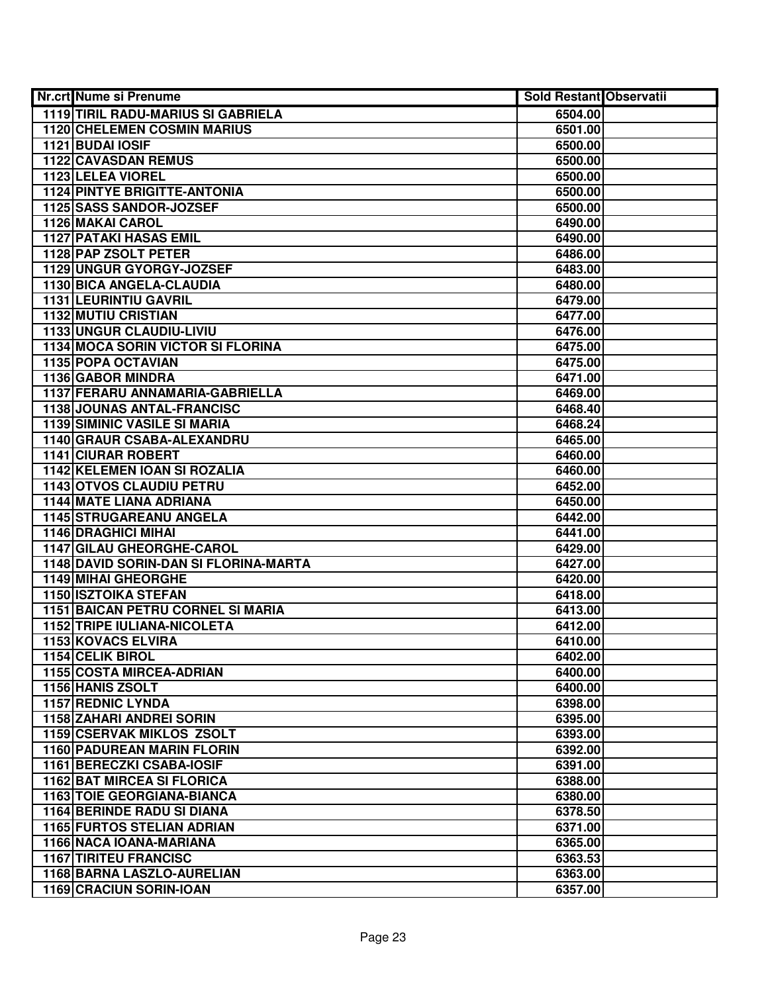| Nr.crt Nume si Prenume                               | <b>Sold Restant Observatii</b> |  |
|------------------------------------------------------|--------------------------------|--|
| <b>1119 TIRIL RADU-MARIUS SI GABRIELA</b>            | 6504.00                        |  |
| <b>1120 CHELEMEN COSMIN MARIUS</b>                   | 6501.00                        |  |
| 1121 BUDAI IOSIF                                     | 6500.00                        |  |
| 1122 CAVASDAN REMUS                                  | 6500.00                        |  |
| 1123 LELEA VIOREL                                    | 6500.00                        |  |
| <b>1124 PINTYE BRIGITTE-ANTONIA</b>                  | 6500.00                        |  |
| 1125 SASS SANDOR-JOZSEF                              | 6500.00                        |  |
| 1126 MAKAI CAROL                                     | 6490.00                        |  |
| <b>1127 PATAKI HASAS EMIL</b>                        | 6490.00                        |  |
| 1128 PAP ZSOLT PETER                                 | 6486.00                        |  |
| 1129 UNGUR GYORGY-JOZSEF                             | 6483.00                        |  |
| 1130 BICA ANGELA-CLAUDIA                             | 6480.00                        |  |
| 1131 LEURINTIU GAVRIL                                | 6479.00                        |  |
| <b>1132 MUTIU CRISTIAN</b>                           | 6477.00                        |  |
| 1133 UNGUR CLAUDIU-LIVIU                             | 6476.00                        |  |
| <b>1134 MOCA SORIN VICTOR SI FLORINA</b>             | 6475.00                        |  |
| 1135 POPA OCTAVIAN                                   | 6475.00                        |  |
| 1136 GABOR MINDRA                                    | 6471.00                        |  |
| 1137 FERARU ANNAMARIA-GABRIELLA                      | 6469.00                        |  |
| 1138 JOUNAS ANTAL-FRANCISC                           | 6468.40                        |  |
| <b>1139 SIMINIC VASILE SI MARIA</b>                  | 6468.24                        |  |
| 1140 GRAUR CSABA-ALEXANDRU                           | 6465.00                        |  |
| <b>1141 CIURAR ROBERT</b>                            | 6460.00                        |  |
| <b>1142 KELEMEN IOAN SI ROZALIA</b>                  | 6460.00                        |  |
| 1143 OTVOS CLAUDIU PETRU                             | 6452.00                        |  |
| <b>1144 MATE LIANA ADRIANA</b>                       | 6450.00                        |  |
| 1145 STRUGAREANU ANGELA                              | 6442.00                        |  |
| 1146 DRAGHICI MIHAI                                  | 6441.00                        |  |
| 1147 GILAU GHEORGHE-CAROL                            | 6429.00                        |  |
| 1148 DAVID SORIN-DAN SI FLORINA-MARTA                | 6427.00                        |  |
| <b>1149 MIHAI GHEORGHE</b>                           | 6420.00                        |  |
| 1150 ISZTOIKA STEFAN                                 | 6418.00                        |  |
| <b>1151 BAICAN PETRU CORNEL SI MARIA</b>             | 6413.00                        |  |
| <b>1152 TRIPE IULIANA-NICOLETA</b>                   | 6412.00                        |  |
| <b>1153 KOVACS ELVIRA</b><br><b>1154 CELIK BIROL</b> | 6410.00                        |  |
| <b>1155 COSTA MIRCEA-ADRIAN</b>                      | 6402.00                        |  |
| 1156 HANIS ZSOLT                                     | 6400.00<br>6400.00             |  |
| <b>1157 REDNIC LYNDA</b>                             | 6398.00                        |  |
| 1158 ZAHARI ANDREI SORIN                             | 6395.00                        |  |
| <b>1159 CSERVAK MIKLOS ZSOLT</b>                     | 6393.00                        |  |
| <b>1160 PADUREAN MARIN FLORIN</b>                    | 6392.00                        |  |
| 1161 BERECZKI CSABA-IOSIF                            | 6391.00                        |  |
| <b>1162 BAT MIRCEA SI FLORICA</b>                    | 6388.00                        |  |
| <b>1163 TOIE GEORGIANA-BIANCA</b>                    | 6380.00                        |  |
| <b>1164 BERINDE RADU SI DIANA</b>                    | 6378.50                        |  |
| <b>1165 FURTOS STELIAN ADRIAN</b>                    | 6371.00                        |  |
| 1166 NACA IOANA-MARIANA                              | 6365.00                        |  |
| <b>1167 TIRITEU FRANCISC</b>                         | 6363.53                        |  |
| 1168 BARNA LASZLO-AURELIAN                           | 6363.00                        |  |
| 1169 CRACIUN SORIN-IOAN                              | 6357.00                        |  |
|                                                      |                                |  |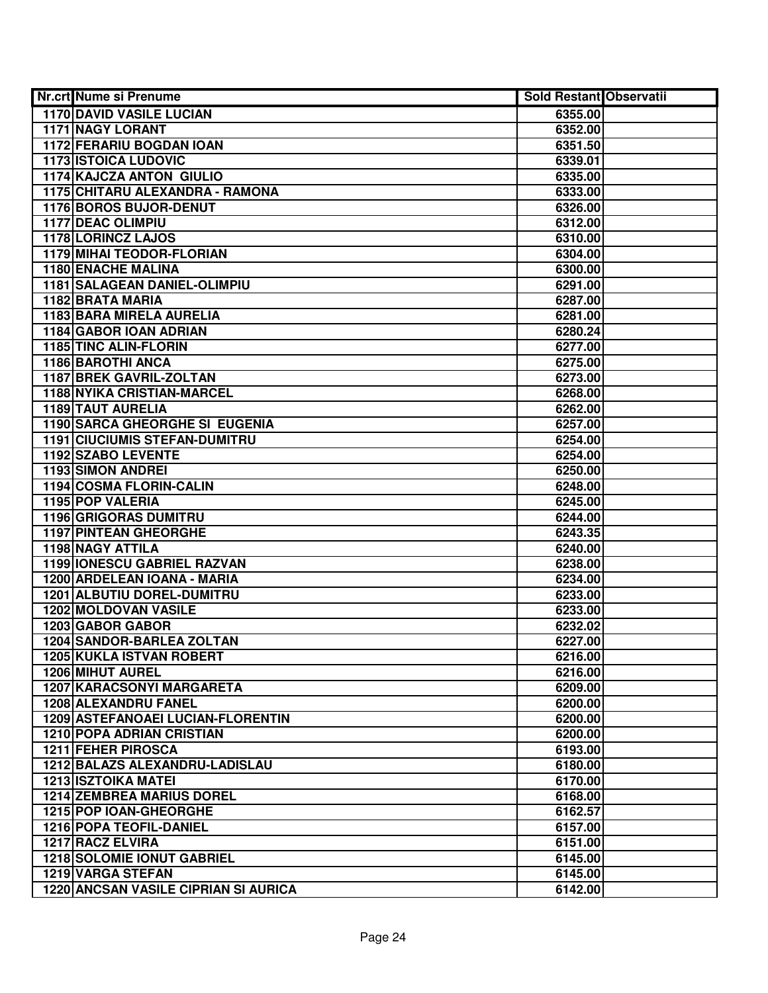| Nr.crt Nume si Prenume                      | <b>Sold Restant Observatii</b> |  |
|---------------------------------------------|--------------------------------|--|
| <b>1170 DAVID VASILE LUCIAN</b>             | 6355.00                        |  |
| <b>1171 NAGY LORANT</b>                     | 6352.00                        |  |
| <b>1172 FERARIU BOGDAN IOAN</b>             | 6351.50                        |  |
| <b>1173 ISTOICA LUDOVIC</b>                 | 6339.01                        |  |
| <b>1174 KAJCZA ANTON GIULIO</b>             | 6335.00                        |  |
| 1175 CHITARU ALEXANDRA - RAMONA             | 6333.00                        |  |
| 1176 BOROS BUJOR-DENUT                      | 6326.00                        |  |
| <b>1177 DEAC OLIMPIU</b>                    | 6312.00                        |  |
| 1178 LORINCZ LAJOS                          | 6310.00                        |  |
| 1179 MIHAI TEODOR-FLORIAN                   | 6304.00                        |  |
| <b>1180 ENACHE MALINA</b>                   | 6300.00                        |  |
| 1181 SALAGEAN DANIEL-OLIMPIU                | 6291.00                        |  |
| 1182 BRATA MARIA                            | 6287.00                        |  |
| 1183 BARA MIRELA AURELIA                    | 6281.00                        |  |
| 1184 GABOR IOAN ADRIAN                      | 6280.24                        |  |
| 1185 TINC ALIN-FLORIN                       | 6277.00                        |  |
| 1186 BAROTHI ANCA                           | 6275.00                        |  |
| 1187 BREK GAVRIL-ZOLTAN                     | 6273.00                        |  |
| <b>1188 NYIKA CRISTIAN-MARCEL</b>           | 6268.00                        |  |
| 1189 TAUT AURELIA                           | 6262.00                        |  |
| 1190 SARCA GHEORGHE SI EUGENIA              | 6257.00                        |  |
| <b>1191 CIUCIUMIS STEFAN-DUMITRU</b>        | 6254.00                        |  |
| 1192 SZABO LEVENTE                          | 6254.00                        |  |
| <b>1193 SIMON ANDREI</b>                    | 6250.00                        |  |
| 1194 COSMA FLORIN-CALIN                     | 6248.00                        |  |
| 1195 POP VALERIA                            | 6245.00                        |  |
| 1196 GRIGORAS DUMITRU                       | 6244.00                        |  |
| 1197 PINTEAN GHEORGHE                       | 6243.35                        |  |
| 1198 NAGY ATTILA                            | 6240.00                        |  |
| 1199 IONESCU GABRIEL RAZVAN                 | 6238.00                        |  |
| 1200 ARDELEAN IOANA - MARIA                 | 6234.00                        |  |
| 1201 ALBUTIU DOREL-DUMITRU                  | 6233.00                        |  |
| 1202 MOLDOVAN VASILE                        | 6233.00                        |  |
| 1203 GABOR GABOR                            | 6232.02                        |  |
| <b>1204 SANDOR-BARLEA ZOLTAN</b>            | 6227.00                        |  |
| <b>1205 KUKLA ISTVAN ROBERT</b>             | 6216.00                        |  |
| <b>1206 MIHUT AUREL</b>                     | 6216.00                        |  |
| 1207 KARACSONYI MARGARETA                   | 6209.00                        |  |
| 1208 ALEXANDRU FANEL                        | 6200.00                        |  |
| 1209 ASTEFANOAEI LUCIAN-FLORENTIN           | 6200.00                        |  |
| <b>1210 POPA ADRIAN CRISTIAN</b>            | 6200.00                        |  |
| 1211 FEHER PIROSCA                          | 6193.00                        |  |
| 1212 BALAZS ALEXANDRU-LADISLAU              | 6180.00                        |  |
| <b>1213 ISZTOIKA MATEI</b>                  | 6170.00                        |  |
| <b>1214 ZEMBREA MARIUS DOREL</b>            | 6168.00                        |  |
| 1215 POP IOAN-GHEORGHE                      | 6162.57                        |  |
| <b>1216 POPA TEOFIL-DANIEL</b>              | 6157.00                        |  |
| 1217 RACZ ELVIRA                            | 6151.00                        |  |
| <b>1218 SOLOMIE IONUT GABRIEL</b>           | 6145.00                        |  |
| 1219 VARGA STEFAN                           | 6145.00                        |  |
| <b>1220 ANCSAN VASILE CIPRIAN SI AURICA</b> | 6142.00                        |  |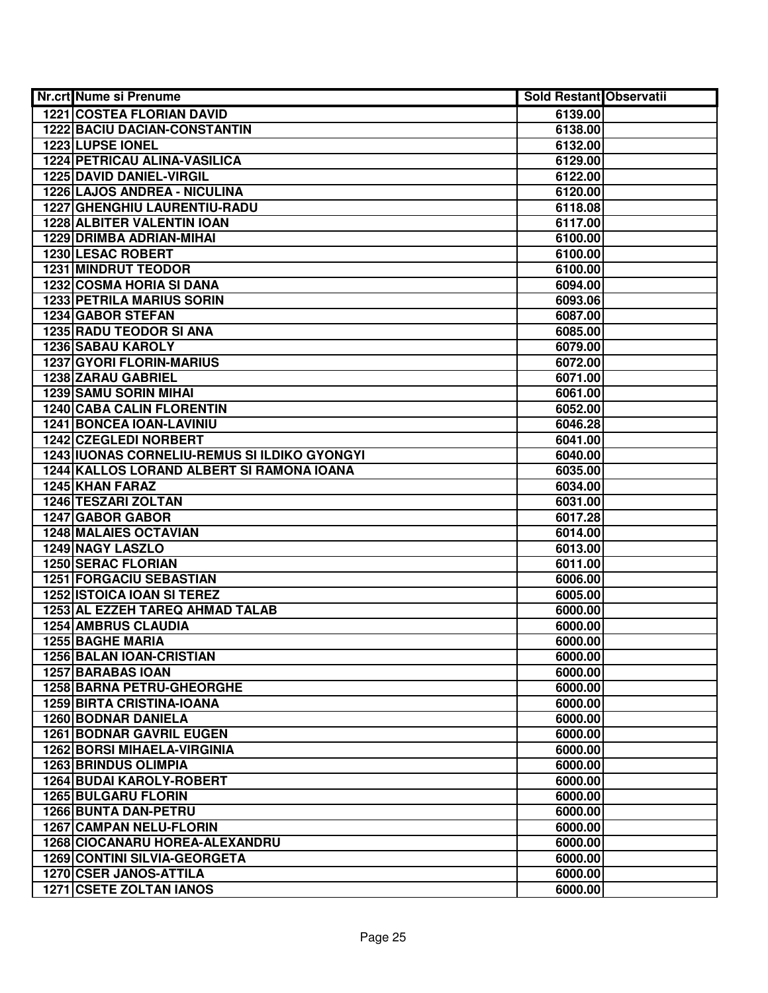| Nr.crt Nume si Prenume                       | <b>Sold Restant Observatii</b> |  |
|----------------------------------------------|--------------------------------|--|
| <b>1221 COSTEA FLORIAN DAVID</b>             | 6139.00                        |  |
| <b>1222 BACIU DACIAN-CONSTANTIN</b>          | 6138.00                        |  |
| 1223 LUPSE IONEL                             | 6132.00                        |  |
| 1224 PETRICAU ALINA-VASILICA                 | 6129.00                        |  |
| 1225 DAVID DANIEL-VIRGIL                     | 6122.00                        |  |
| 1226 LAJOS ANDREA - NICULINA                 | 6120.00                        |  |
| 1227 GHENGHIU LAURENTIU-RADU                 | 6118.08                        |  |
| <b>1228 ALBITER VALENTIN IOAN</b>            | 6117.00                        |  |
| <b>1229 DRIMBA ADRIAN-MIHAI</b>              | 6100.00                        |  |
| <b>1230 LESAC ROBERT</b>                     | 6100.00                        |  |
| <b>1231 MINDRUT TEODOR</b>                   | 6100.00                        |  |
| <b>1232 COSMA HORIA SI DANA</b>              | 6094.00                        |  |
| <b>1233 PETRILA MARIUS SORIN</b>             | 6093.06                        |  |
| 1234 GABOR STEFAN                            | 6087.00                        |  |
| 1235 RADU TEODOR SI ANA                      | 6085.00                        |  |
| <b>1236 SABAU KAROLY</b>                     | 6079.00                        |  |
| <b>1237 GYORI FLORIN-MARIUS</b>              | 6072.00                        |  |
| 1238 ZARAU GABRIEL                           | 6071.00                        |  |
| <b>1239 SAMU SORIN MIHAI</b>                 | 6061.00                        |  |
| <b>1240 CABA CALIN FLORENTIN</b>             | 6052.00                        |  |
| <b>1241 BONCEA IOAN-LAVINIU</b>              | 6046.28                        |  |
| 1242 CZEGLEDI NORBERT                        | 6041.00                        |  |
| 1243 IUONAS CORNELIU-REMUS SI ILDIKO GYONGYI | 6040.00                        |  |
| 1244 KALLOS LORAND ALBERT SI RAMONA IOANA    | 6035.00                        |  |
| 1245 KHAN FARAZ                              | 6034.00                        |  |
| 1246 TESZARI ZOLTAN                          | 6031.00                        |  |
| 1247 GABOR GABOR                             | 6017.28                        |  |
| 1248 MALAIES OCTAVIAN                        | 6014.00                        |  |
| 1249 NAGY LASZLO                             | 6013.00                        |  |
| <b>1250 SERAC FLORIAN</b>                    | 6011.00                        |  |
| <b>1251 FORGACIU SEBASTIAN</b>               | 6006.00                        |  |
| <b>1252 ISTOICA IOAN SI TEREZ</b>            | 6005.00                        |  |
| 1253 AL EZZEH TAREQ AHMAD TALAB              | 6000.00                        |  |
| <b>1254 AMBRUS CLAUDIA</b>                   | 6000.00                        |  |
| <b>1255 BAGHE MARIA</b>                      | 6000.00                        |  |
| <b>1256 BALAN IOAN-CRISTIAN</b>              | 6000.00                        |  |
| 1257 BARABAS IOAN                            | 6000.00                        |  |
| <b>1258 BARNA PETRU-GHEORGHE</b>             | 6000.00                        |  |
| <b>1259 BIRTA CRISTINA-IOANA</b>             | 6000.00                        |  |
| <b>1260 BODNAR DANIELA</b>                   | 6000.00                        |  |
| <b>1261 BODNAR GAVRIL EUGEN</b>              | 6000.00                        |  |
| <b>1262 BORSI MIHAELA-VIRGINIA</b>           | 6000.00                        |  |
| <b>1263 BRINDUS OLIMPIA</b>                  | 6000.00                        |  |
| <b>1264 BUDAI KAROLY-ROBERT</b>              | 6000.00                        |  |
| <b>1265 BULGARU FLORIN</b>                   | 6000.00                        |  |
| 1266 BUNTA DAN-PETRU                         | 6000.00                        |  |
| <b>1267 CAMPAN NELU-FLORIN</b>               | 6000.00                        |  |
| <b>1268 CIOCANARU HOREA-ALEXANDRU</b>        | 6000.00                        |  |
| 1269 CONTINI SILVIA-GEORGETA                 | 6000.00                        |  |
| 1270 CSER JANOS-ATTILA                       | 6000.00                        |  |
| <b>1271 CSETE ZOLTAN IANOS</b>               | 6000.00                        |  |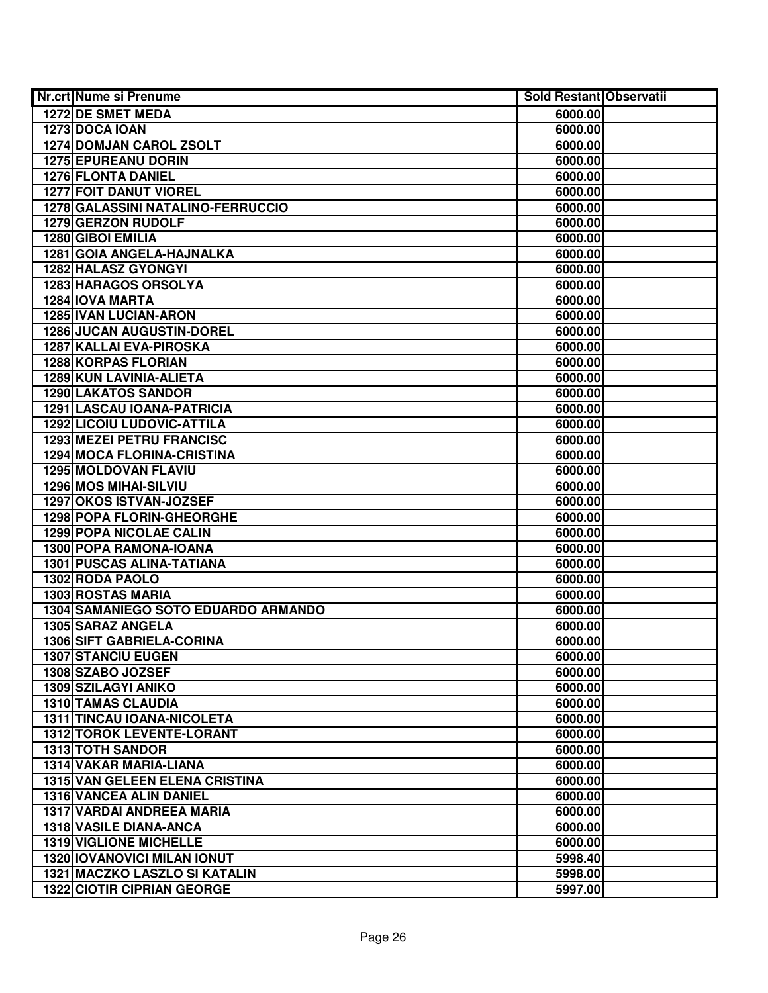| <b>Nr.crt Nume si Prenume</b>         | <b>Sold Restant Observatii</b> |  |
|---------------------------------------|--------------------------------|--|
| <b>1272 DE SMET MEDA</b>              | 6000.00                        |  |
| 1273 DOCA IOAN                        | 6000.00                        |  |
| 1274 DOMJAN CAROL ZSOLT               | 6000.00                        |  |
| 1275 EPUREANU DORIN                   | 6000.00                        |  |
| 1276 FLONTA DANIEL                    | 6000.00                        |  |
| <b>1277 FOIT DANUT VIOREL</b>         | 6000.00                        |  |
| 1278 GALASSINI NATALINO-FERRUCCIO     | 6000.00                        |  |
| 1279 GERZON RUDOLF                    | 6000.00                        |  |
| 1280 GIBOI EMILIA                     | 6000.00                        |  |
| 1281 GOIA ANGELA-HAJNALKA             | 6000.00                        |  |
| <b>1282 HALASZ GYONGYI</b>            | 6000.00                        |  |
| <b>1283 HARAGOS ORSOLYA</b>           | 6000.00                        |  |
| 1284 IOVA MARTA                       | 6000.00                        |  |
| <b>1285 IVAN LUCIAN-ARON</b>          | 6000.00                        |  |
| <b>1286 JUCAN AUGUSTIN-DOREL</b>      | 6000.00                        |  |
| 1287 KALLAI EVA-PIROSKA               | 6000.00                        |  |
| <b>1288 KORPAS FLORIAN</b>            | 6000.00                        |  |
| 1289 KUN LAVINIA-ALIETA               | 6000.00                        |  |
| <b>1290 LAKATOS SANDOR</b>            | 6000.00                        |  |
| 1291 LASCAU IOANA-PATRICIA            | 6000.00                        |  |
| <b>1292 LICOIU LUDOVIC-ATTILA</b>     | 6000.00                        |  |
| <b>1293 MEZEI PETRU FRANCISC</b>      | 6000.00                        |  |
| 1294 MOCA FLORINA-CRISTINA            | 6000.00                        |  |
| <b>1295 MOLDOVAN FLAVIU</b>           | 6000.00                        |  |
| <b>1296 MOS MIHAI-SILVIU</b>          | 6000.00                        |  |
| 1297 OKOS ISTVAN-JOZSEF               | 6000.00                        |  |
| 1298 POPA FLORIN-GHEORGHE             | 6000.00                        |  |
| 1299 POPA NICOLAE CALIN               | 6000.00                        |  |
| 1300 POPA RAMONA-IOANA                | 6000.00                        |  |
| 1301 PUSCAS ALINA-TATIANA             | 6000.00                        |  |
| 1302 RODA PAOLO                       | 6000.00                        |  |
| <b>1303 ROSTAS MARIA</b>              | 6000.00                        |  |
| 1304 SAMANIEGO SOTO EDUARDO ARMANDO   | 6000.00                        |  |
| 1305 SARAZ ANGELA                     | 6000.00                        |  |
| <b>1306 SIFT GABRIELA-CORINA</b>      | 6000.00                        |  |
| <b>1307 STANCIU EUGEN</b>             | 6000.00                        |  |
| 1308 SZABO JOZSEF                     | 6000.00                        |  |
| <b>1309 SZILAGYI ANIKO</b>            | 6000.00                        |  |
| <b>1310 TAMAS CLAUDIA</b>             | 6000.00                        |  |
| 1311 TINCAU IOANA-NICOLETA            | 6000.00                        |  |
| <b>1312 TOROK LEVENTE-LORANT</b>      | 6000.00                        |  |
| <b>1313 TOTH SANDOR</b>               | 6000.00                        |  |
| 1314 VAKAR MARIA-LIANA                | 6000.00                        |  |
| <b>1315 VAN GELEEN ELENA CRISTINA</b> | 6000.00                        |  |
| 1316 VANCEA ALIN DANIEL               | 6000.00                        |  |
| 1317 VARDAI ANDREEA MARIA             | 6000.00                        |  |
| 1318 VASILE DIANA-ANCA                | 6000.00                        |  |
| <b>1319 VIGLIONE MICHELLE</b>         | 6000.00                        |  |
| <b>1320 IOVANOVICI MILAN IONUT</b>    | 5998.40                        |  |
| 1321 MACZKO LASZLO SI KATALIN         | 5998.00                        |  |
| <b>1322 CIOTIR CIPRIAN GEORGE</b>     | 5997.00                        |  |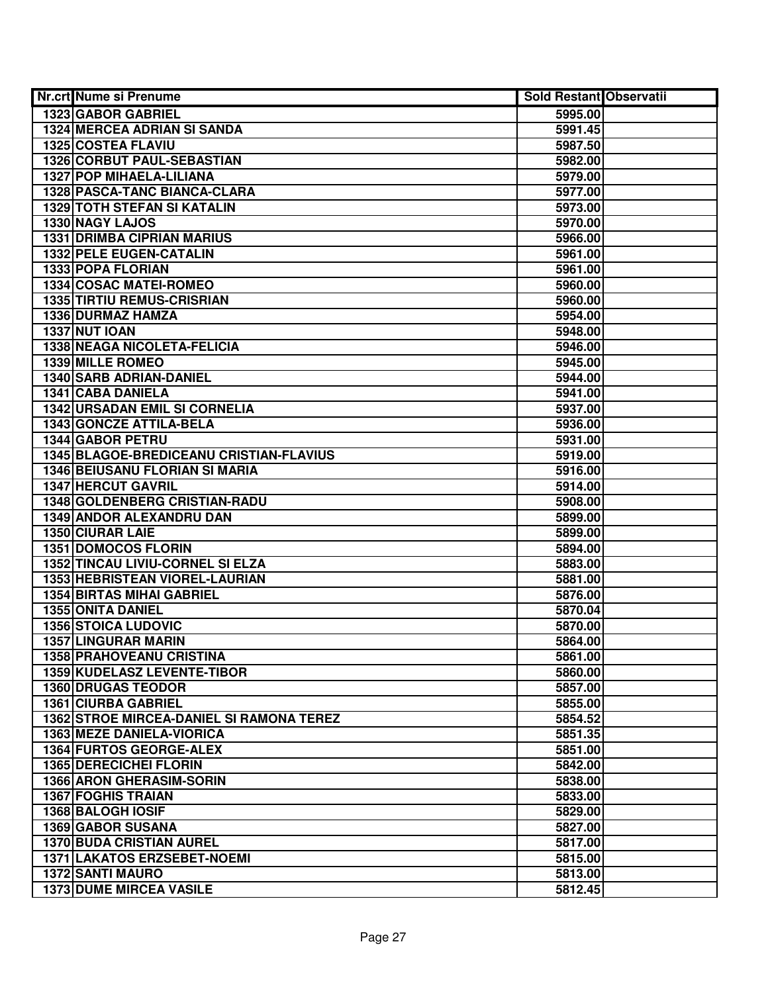| Nr.crt Nume si Prenume                   | <b>Sold Restant Observatii</b> |  |
|------------------------------------------|--------------------------------|--|
| 1323 GABOR GABRIEL                       | 5995.00                        |  |
| <b>1324 MERCEA ADRIAN SI SANDA</b>       | 5991.45                        |  |
| <b>1325 COSTEA FLAVIU</b>                | 5987.50                        |  |
| 1326 CORBUT PAUL-SEBASTIAN               | 5982.00                        |  |
| 1327 POP MIHAELA-LILIANA                 | 5979.00                        |  |
| 1328 PASCA-TANC BIANCA-CLARA             | 5977.00                        |  |
| <b>1329 TOTH STEFAN SI KATALIN</b>       | 5973.00                        |  |
| 1330 NAGY LAJOS                          | 5970.00                        |  |
| <b>1331 DRIMBA CIPRIAN MARIUS</b>        | 5966.00                        |  |
| <b>1332 PELE EUGEN-CATALIN</b>           | 5961.00                        |  |
| 1333 POPA FLORIAN                        | 5961.00                        |  |
| 1334 COSAC MATEI-ROMEO                   | 5960.00                        |  |
| <b>1335 TIRTIU REMUS-CRISRIAN</b>        | 5960.00                        |  |
| 1336 DURMAZ HAMZA                        | 5954.00                        |  |
| 1337 NUT IOAN                            | 5948.00                        |  |
| <b>1338 NEAGA NICOLETA-FELICIA</b>       | 5946.00                        |  |
| 1339 MILLE ROMEO                         | 5945.00                        |  |
| 1340 SARB ADRIAN-DANIEL                  | 5944.00                        |  |
| 1341 CABA DANIELA                        | 5941.00                        |  |
| 1342 URSADAN EMIL SI CORNELIA            | 5937.00                        |  |
| 1343 GONCZE ATTILA-BELA                  | 5936.00                        |  |
| 1344 GABOR PETRU                         | 5931.00                        |  |
| 1345 BLAGOE-BREDICEANU CRISTIAN-FLAVIUS  | 5919.00                        |  |
| 1346 BEIUSANU FLORIAN SI MARIA           | 5916.00                        |  |
| <b>1347 HERCUT GAVRIL</b>                | 5914.00                        |  |
| 1348 GOLDENBERG CRISTIAN-RADU            | 5908.00                        |  |
| 1349 ANDOR ALEXANDRU DAN                 | 5899.00                        |  |
| 1350 CIURAR LAIE                         | 5899.00                        |  |
| <b>1351 DOMOCOS FLORIN</b>               | 5894.00                        |  |
| 1352 TINCAU LIVIU-CORNEL SI ELZA         | 5883.00                        |  |
| 1353 HEBRISTEAN VIOREL-LAURIAN           | 5881.00                        |  |
| <b>1354 BIRTAS MIHAI GABRIEL</b>         | 5876.00                        |  |
| 1355 ONITA DANIEL                        | 5870.04                        |  |
| <b>1356 STOICA LUDOVIC</b>               | 5870.00                        |  |
| <b>1357 LINGURAR MARIN</b>               | 5864.00                        |  |
| <b>1358 PRAHOVEANU CRISTINA</b>          | 5861.00                        |  |
| 1359 KUDELASZ LEVENTE-TIBOR              | 5860.00                        |  |
| <b>1360 DRUGAS TEODOR</b>                | 5857.00                        |  |
| <b>1361 CIURBA GABRIEL</b>               | 5855.00                        |  |
| 1362 STROE MIRCEA-DANIEL SI RAMONA TEREZ | 5854.52                        |  |
| <b>1363 MEZE DANIELA-VIORICA</b>         | 5851.35                        |  |
| <b>1364 FURTOS GEORGE-ALEX</b>           | 5851.00                        |  |
| <b>1365 DERECICHEI FLORIN</b>            | 5842.00                        |  |
| <b>1366 ARON GHERASIM-SORIN</b>          | 5838.00                        |  |
| <b>1367 FOGHIS TRAIAN</b>                | 5833.00                        |  |
| 1368 BALOGH IOSIF                        | 5829.00                        |  |
| <b>1369 GABOR SUSANA</b>                 | 5827.00                        |  |
| <b>1370 BUDA CRISTIAN AUREL</b>          | 5817.00                        |  |
| 1371 LAKATOS ERZSEBET-NOEMI              | 5815.00                        |  |
| <b>1372 SANTI MAURO</b>                  | 5813.00                        |  |
| <b>1373 DUME MIRCEA VASILE</b>           | 5812.45                        |  |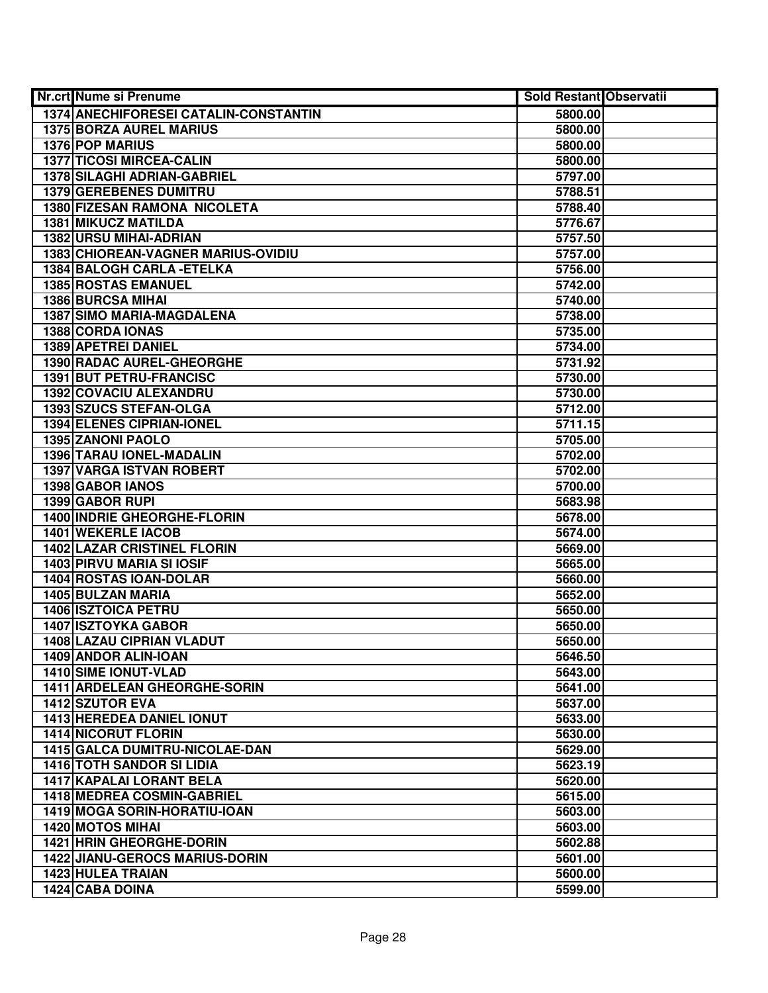| Nr.crt Nume si Prenume                | <b>Sold Restant Observatii</b> |  |
|---------------------------------------|--------------------------------|--|
| 1374 ANECHIFORESEI CATALIN-CONSTANTIN | 5800.00                        |  |
| <b>1375 BORZA AUREL MARIUS</b>        | 5800.00                        |  |
| 1376 POP MARIUS                       | 5800.00                        |  |
| <b>1377 TICOSI MIRCEA-CALIN</b>       | 5800.00                        |  |
| <b>1378 SILAGHI ADRIAN-GABRIEL</b>    | 5797.00                        |  |
| 1379 GEREBENES DUMITRU                | 5788.51                        |  |
| 1380 FIZESAN RAMONA NICOLETA          | 5788.40                        |  |
| <b>1381 MIKUCZ MATILDA</b>            | 5776.67                        |  |
| <b>1382 URSU MIHAI-ADRIAN</b>         | 5757.50                        |  |
| 1383 CHIOREAN-VAGNER MARIUS-OVIDIU    | 5757.00                        |  |
| 1384 BALOGH CARLA - ETELKA            | 5756.00                        |  |
| <b>1385 ROSTAS EMANUEL</b>            | 5742.00                        |  |
| <b>1386 BURCSA MIHAI</b>              | 5740.00                        |  |
| <b>1387 SIMO MARIA-MAGDALENA</b>      | 5738.00                        |  |
| 1388 CORDA IONAS                      | 5735.00                        |  |
| 1389 APETREI DANIEL                   | 5734.00                        |  |
| 1390 RADAC AUREL-GHEORGHE             | 5731.92                        |  |
| 1391 BUT PETRU-FRANCISC               | 5730.00                        |  |
| 1392 COVACIU ALEXANDRU                | 5730.00                        |  |
| 1393 SZUCS STEFAN-OLGA                | 5712.00                        |  |
| 1394 ELENES CIPRIAN-IONEL             | 5711.15                        |  |
| 1395 ZANONI PAOLO                     | 5705.00                        |  |
| 1396 TARAU IONEL-MADALIN              | 5702.00                        |  |
| 1397 VARGA ISTVAN ROBERT              | 5702.00                        |  |
| 1398 GABOR IANOS                      | 5700.00                        |  |
| 1399 GABOR RUPI                       | 5683.98                        |  |
| <b>1400 INDRIE GHEORGHE-FLORIN</b>    | 5678.00                        |  |
| 1401 WEKERLE IACOB                    | 5674.00                        |  |
| <b>1402 LAZAR CRISTINEL FLORIN</b>    | 5669.00                        |  |
| 1403 PIRVU MARIA SI IOSIF             | 5665.00                        |  |
| 1404 ROSTAS IOAN-DOLAR                | 5660.00                        |  |
| 1405 BULZAN MARIA                     | 5652.00                        |  |
| 1406 ISZTOICA PETRU                   | 5650.00                        |  |
| <b>1407 ISZTOYKA GABOR</b>            | 5650.00                        |  |
| <b>1408 LAZAU CIPRIAN VLADUT</b>      | 5650.00                        |  |
| 1409 ANDOR ALIN-IOAN                  | 5646.50                        |  |
| <b>1410 SIME IONUT-VLAD</b>           | 5643.00                        |  |
| 1411 ARDELEAN GHEORGHE-SORIN          | 5641.00                        |  |
| 1412 SZUTOR EVA                       | 5637.00                        |  |
| 1413 HEREDEA DANIEL IONUT             | 5633.00                        |  |
| <b>1414 NICORUT FLORIN</b>            | 5630.00                        |  |
| 1415 GALCA DUMITRU-NICOLAE-DAN        | 5629.00                        |  |
| <b>1416 TOTH SANDOR SI LIDIA</b>      | 5623.19                        |  |
| <b>1417 KAPALAI LORANT BELA</b>       | 5620.00                        |  |
| 1418 MEDREA COSMIN-GABRIEL            | 5615.00                        |  |
| 1419 MOGA SORIN-HORATIU-IOAN          | 5603.00                        |  |
| <b>1420 MOTOS MIHAI</b>               | 5603.00                        |  |
| <b>1421 HRIN GHEORGHE-DORIN</b>       | 5602.88                        |  |
| <b>1422 JIANU-GEROCS MARIUS-DORIN</b> | 5601.00                        |  |
| 1423 HULEA TRAIAN                     | 5600.00                        |  |
| 1424 CABA DOINA                       | 5599.00                        |  |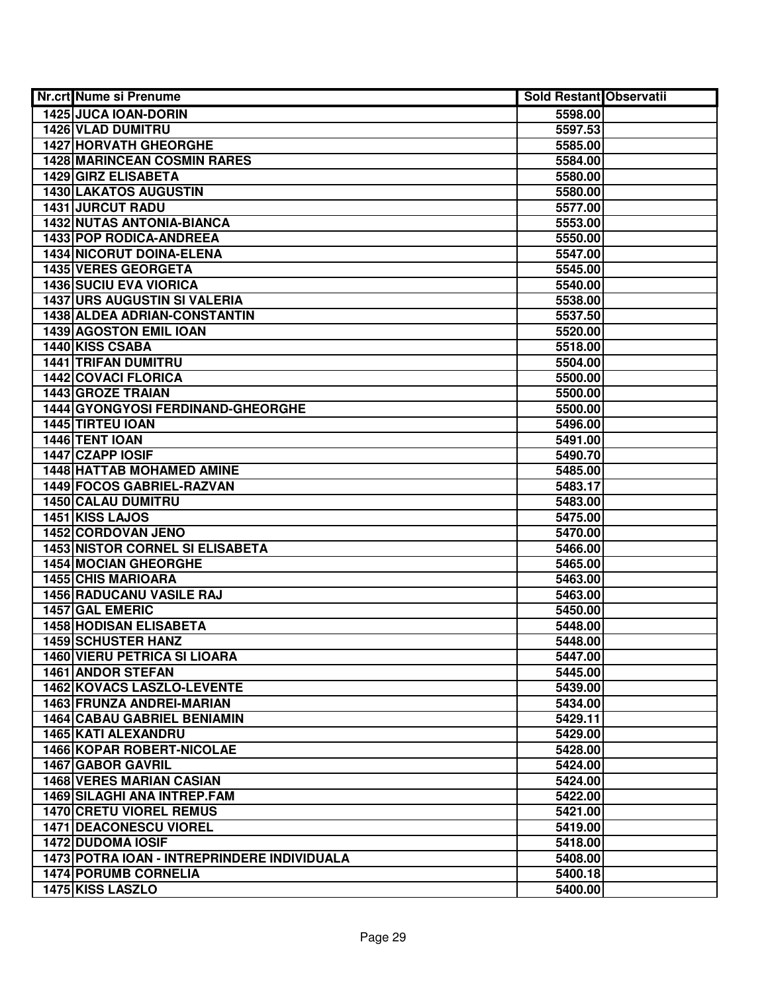| Nr.crt Nume si Prenume                      | <b>Sold Restant Observatii</b> |  |
|---------------------------------------------|--------------------------------|--|
| 1425 JUCA IOAN-DORIN                        | 5598.00                        |  |
| 1426 VLAD DUMITRU                           | 5597.53                        |  |
| <b>1427 HORVATH GHEORGHE</b>                | 5585.00                        |  |
| <b>1428 MARINCEAN COSMIN RARES</b>          | 5584.00                        |  |
| 1429 GIRZ ELISABETA                         | 5580.00                        |  |
| 1430 LAKATOS AUGUSTIN                       | 5580.00                        |  |
| 1431 JURCUT RADU                            | 5577.00                        |  |
| <b>1432 NUTAS ANTONIA-BIANCA</b>            | 5553.00                        |  |
| <b>1433 POP RODICA-ANDREEA</b>              | 5550.00                        |  |
| 1434 NICORUT DOINA-ELENA                    | 5547.00                        |  |
| <b>1435 VERES GEORGETA</b>                  | 5545.00                        |  |
| <b>1436 SUCIU EVA VIORICA</b>               | 5540.00                        |  |
| <b>1437 URS AUGUSTIN SI VALERIA</b>         | 5538.00                        |  |
| 1438 ALDEA ADRIAN-CONSTANTIN                | 5537.50                        |  |
| 1439 AGOSTON EMIL IOAN                      | 5520.00                        |  |
| 1440 KISS CSABA                             | 5518.00                        |  |
| <b>1441 TRIFAN DUMITRU</b>                  | 5504.00                        |  |
| <b>1442 COVACI FLORICA</b>                  | 5500.00                        |  |
| <b>1443 GROZE TRAIAN</b>                    | 5500.00                        |  |
| 1444 GYONGYOSI FERDINAND-GHEORGHE           | 5500.00                        |  |
| 1445 TIRTEU IOAN                            | 5496.00                        |  |
| 1446 TENT IOAN                              | 5491.00                        |  |
| 1447 CZAPP IOSIF                            | 5490.70                        |  |
| <b>1448 HATTAB MOHAMED AMINE</b>            | 5485.00                        |  |
| 1449 FOCOS GABRIEL-RAZVAN                   | 5483.17                        |  |
| 1450 CALAU DUMITRU                          | 5483.00                        |  |
| 1451 KISS LAJOS                             | 5475.00                        |  |
| 1452 CORDOVAN JENO                          | 5470.00                        |  |
| <b>1453 NISTOR CORNEL SI ELISABETA</b>      | 5466.00                        |  |
| <b>1454 MOCIAN GHEORGHE</b>                 | 5465.00                        |  |
| <b>1455 CHIS MARIOARA</b>                   | 5463.00                        |  |
| <b>1456 RADUCANU VASILE RAJ</b>             | 5463.00                        |  |
| <b>1457 GAL EMERIC</b>                      | 5450.00                        |  |
| <b>1458 HODISAN ELISABETA</b>               | 5448.00                        |  |
| <b>1459 SCHUSTER HANZ</b>                   | 5448.00                        |  |
| <b>1460 VIERU PETRICA SI LIOARA</b>         | 5447.00                        |  |
| <b>1461 ANDOR STEFAN</b>                    | 5445.00                        |  |
| <b>1462 KOVACS LASZLO-LEVENTE</b>           | 5439.00                        |  |
| 1463 FRUNZA ANDREI-MARIAN                   | 5434.00                        |  |
| <b>1464 CABAU GABRIEL BENIAMIN</b>          | 5429.11                        |  |
| 1465 KATI ALEXANDRU                         | 5429.00                        |  |
| 1466 KOPAR ROBERT-NICOLAE                   | 5428.00                        |  |
| 1467 GABOR GAVRIL                           | 5424.00                        |  |
| <b>1468 VERES MARIAN CASIAN</b>             | 5424.00                        |  |
| <b>1469 SILAGHI ANA INTREP.FAM</b>          | 5422.00                        |  |
| <b>1470 CRETU VIOREL REMUS</b>              | 5421.00                        |  |
| <b>1471 DEACONESCU VIOREL</b>               | 5419.00                        |  |
| <b>1472 DUDOMA IOSIF</b>                    | 5418.00                        |  |
| 1473 POTRA IOAN - INTREPRINDERE INDIVIDUALA | 5408.00                        |  |
| <b>1474 PORUMB CORNELIA</b>                 | 5400.18                        |  |
| 1475 KISS LASZLO                            | 5400.00                        |  |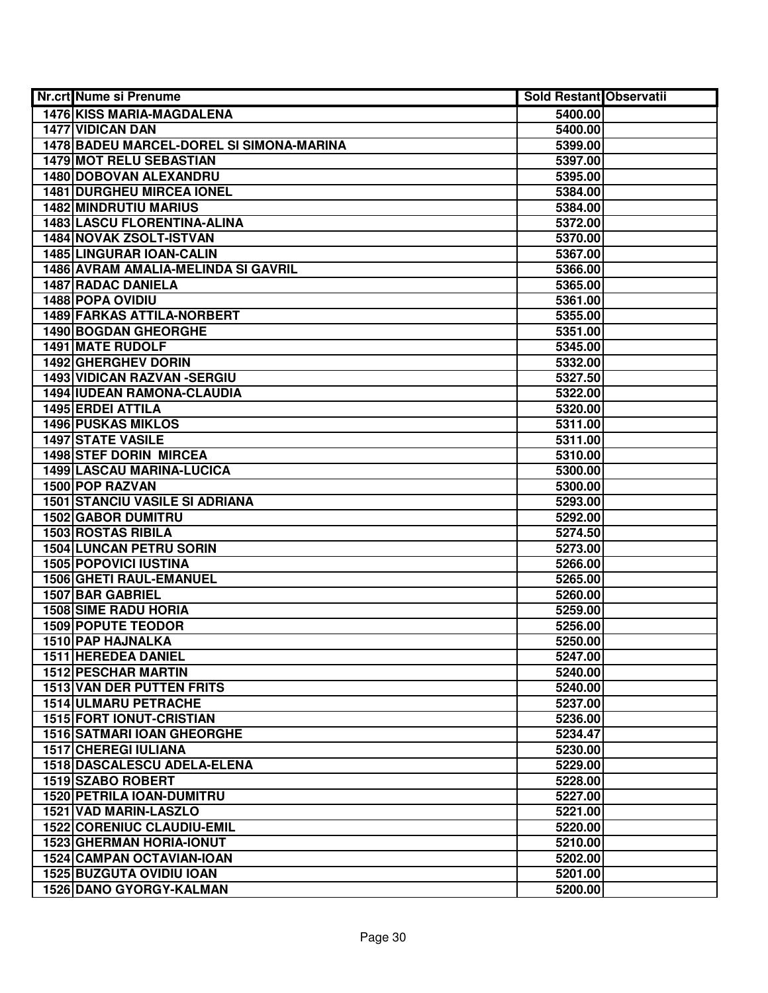| Nr.crt Nume si Prenume                   | <b>Sold Restant Observatii</b> |  |
|------------------------------------------|--------------------------------|--|
| 1476 KISS MARIA-MAGDALENA                | 5400.00                        |  |
| <b>1477 VIDICAN DAN</b>                  | 5400.00                        |  |
| 1478 BADEU MARCEL-DOREL SI SIMONA-MARINA | 5399.00                        |  |
| 1479 MOT RELU SEBASTIAN                  | 5397.00                        |  |
| <b>1480 DOBOVAN ALEXANDRU</b>            | 5395.00                        |  |
| <b>1481 DURGHEU MIRCEA IONEL</b>         | 5384.00                        |  |
| <b>1482 MINDRUTIU MARIUS</b>             | 5384.00                        |  |
| <b>1483 LASCU FLORENTINA-ALINA</b>       | 5372.00                        |  |
| 1484 NOVAK ZSOLT-ISTVAN                  | 5370.00                        |  |
| <b>1485 LINGURAR IOAN-CALIN</b>          | 5367.00                        |  |
| 1486 AVRAM AMALIA-MELINDA SI GAVRIL      | 5366.00                        |  |
| <b>1487 RADAC DANIELA</b>                | 5365.00                        |  |
| 1488 POPA OVIDIU                         | 5361.00                        |  |
| 1489 FARKAS ATTILA-NORBERT               | 5355.00                        |  |
| 1490 BOGDAN GHEORGHE                     | 5351.00                        |  |
| 1491 MATE RUDOLF                         | 5345.00                        |  |
| 1492 GHERGHEV DORIN                      | 5332.00                        |  |
| 1493 VIDICAN RAZVAN - SERGIU             | 5327.50                        |  |
| 1494 IUDEAN RAMONA-CLAUDIA               | 5322.00                        |  |
| 1495 ERDEI ATTILA                        | 5320.00                        |  |
| <b>1496 PUSKAS MIKLOS</b>                | 5311.00                        |  |
| <b>1497 STATE VASILE</b>                 | 5311.00                        |  |
| 1498 STEF DORIN MIRCEA                   | 5310.00                        |  |
| 1499 LASCAU MARINA-LUCICA                | 5300.00                        |  |
| 1500 POP RAZVAN                          | 5300.00                        |  |
| <b>1501 STANCIU VASILE SI ADRIANA</b>    | 5293.00                        |  |
| 1502 GABOR DUMITRU                       | 5292.00                        |  |
| 1503 ROSTAS RIBILA                       | 5274.50                        |  |
| <b>1504 LUNCAN PETRU SORIN</b>           | 5273.00                        |  |
| <b>1505 POPOVICI IUSTINA</b>             | 5266.00                        |  |
| 1506 GHETI RAUL-EMANUEL                  | 5265.00                        |  |
| <b>1507 BAR GABRIEL</b>                  | 5260.00                        |  |
| <b>1508 SIME RADU HORIA</b>              | 5259.00                        |  |
| <b>1509 POPUTE TEODOR</b>                | 5256.00                        |  |
| 1510 PAP HAJNALKA                        | 5250.00                        |  |
| <b>1511 HEREDEA DANIEL</b>               | 5247.00                        |  |
| <b>1512 PESCHAR MARTIN</b>               | 5240.00                        |  |
| 1513 VAN DER PUTTEN FRITS                | 5240.00                        |  |
| <b>1514 ULMARU PETRACHE</b>              | 5237.00                        |  |
| 1515 FORT IONUT-CRISTIAN                 | 5236.00                        |  |
| <b>1516 SATMARI IOAN GHEORGHE</b>        | 5234.47                        |  |
| <b>1517 CHEREGI IULIANA</b>              | 5230.00                        |  |
| <b>1518 DASCALESCU ADELA-ELENA</b>       | 5229.00                        |  |
| 1519 SZABO ROBERT                        | 5228.00                        |  |
| 1520 PETRILA IOAN-DUMITRU                | 5227.00                        |  |
| 1521 VAD MARIN-LASZLO                    | 5221.00                        |  |
| <b>1522 CORENIUC CLAUDIU-EMIL</b>        | 5220.00                        |  |
| <b>1523 GHERMAN HORIA-IONUT</b>          | 5210.00                        |  |
| 1524 CAMPAN OCTAVIAN-IOAN                | 5202.00                        |  |
| <b>1525 BUZGUTA OVIDIU IOAN</b>          | 5201.00                        |  |
| 1526 DANO GYORGY-KALMAN                  | 5200.00                        |  |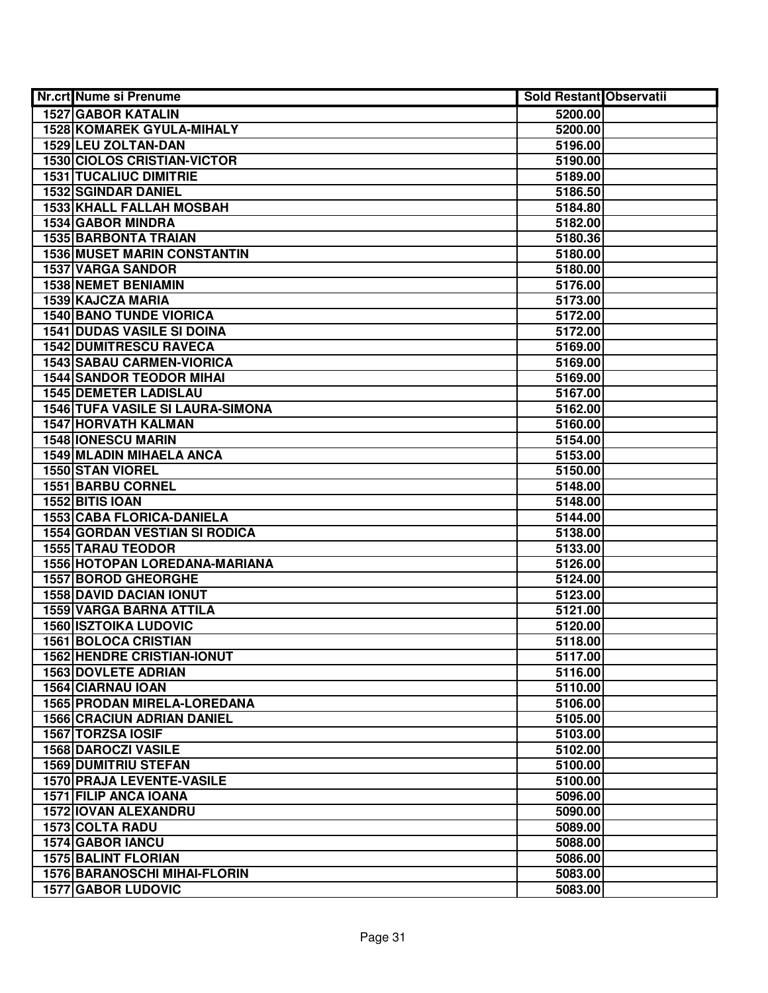| Nr.crt Nume si Prenume               | <b>Sold Restant Observatii</b> |  |
|--------------------------------------|--------------------------------|--|
| <b>1527 GABOR KATALIN</b>            | 5200.00                        |  |
| 1528 KOMAREK GYULA-MIHALY            | 5200.00                        |  |
| 1529 LEU ZOLTAN-DAN                  | 5196.00                        |  |
| <b>1530 CIOLOS CRISTIAN-VICTOR</b>   | 5190.00                        |  |
| <b>1531 TUCALIUC DIMITRIE</b>        | 5189.00                        |  |
| <b>1532 SGINDAR DANIEL</b>           | 5186.50                        |  |
| <b>1533 KHALL FALLAH MOSBAH</b>      | 5184.80                        |  |
| 1534 GABOR MINDRA                    | 5182.00                        |  |
| <b>1535 BARBONTA TRAIAN</b>          | 5180.36                        |  |
| <b>1536 MUSET MARIN CONSTANTIN</b>   | 5180.00                        |  |
| <b>1537 VARGA SANDOR</b>             | 5180.00                        |  |
| <b>1538 NEMET BENIAMIN</b>           | 5176.00                        |  |
| <b>1539 KAJCZA MARIA</b>             | 5173.00                        |  |
| <b>1540 BANO TUNDE VIORICA</b>       | 5172.00                        |  |
| <b>1541 DUDAS VASILE SI DOINA</b>    | 5172.00                        |  |
| <b>1542 DUMITRESCU RAVECA</b>        | 5169.00                        |  |
| <b>1543 SABAU CARMEN-VIORICA</b>     | 5169.00                        |  |
| <b>1544 SANDOR TEODOR MIHAI</b>      | 5169.00                        |  |
| <b>1545 DEMETER LADISLAU</b>         | 5167.00                        |  |
| 1546 TUFA VASILE SI LAURA-SIMONA     | 5162.00                        |  |
| <b>1547 HORVATH KALMAN</b>           | 5160.00                        |  |
| 1548 IONESCU MARIN                   | 5154.00                        |  |
| 1549 MLADIN MIHAELA ANCA             | 5153.00                        |  |
| 1550 STAN VIOREL                     | 5150.00                        |  |
| 1551 BARBU CORNEL                    | 5148.00                        |  |
| 1552 BITIS IOAN                      | 5148.00                        |  |
| <b>1553 CABA FLORICA-DANIELA</b>     | 5144.00                        |  |
| <b>1554 GORDAN VESTIAN SI RODICA</b> | 5138.00                        |  |
| <b>1555 TARAU TEODOR</b>             | 5133.00                        |  |
| 1556 HOTOPAN LOREDANA-MARIANA        | 5126.00                        |  |
| <b>1557 BOROD GHEORGHE</b>           | 5124.00                        |  |
| <b>1558 DAVID DACIAN IONUT</b>       | 5123.00                        |  |
| <b>1559 VARGA BARNA ATTILA</b>       | 5121.00                        |  |
| <b>1560 ISZTOIKA LUDOVIC</b>         | 5120.00                        |  |
| <b>1561 BOLOCA CRISTIAN</b>          | 5118.00                        |  |
| <b>1562 HENDRE CRISTIAN-IONUT</b>    | 5117.00                        |  |
| <b>1563 DOVLETE ADRIAN</b>           | 5116.00                        |  |
| <b>1564 CIARNAU IOAN</b>             | 5110.00                        |  |
| <b>1565 PRODAN MIRELA-LOREDANA</b>   | 5106.00                        |  |
| <b>1566 CRACIUN ADRIAN DANIEL</b>    | 5105.00                        |  |
| 1567 TORZSA IOSIF                    | 5103.00                        |  |
| <b>1568 DAROCZI VASILE</b>           | 5102.00                        |  |
| <b>1569 DUMITRIU STEFAN</b>          | 5100.00                        |  |
| 1570 PRAJA LEVENTE-VASILE            | 5100.00                        |  |
| 1571 FILIP ANCA IOANA                | 5096.00                        |  |
| 1572 IOVAN ALEXANDRU                 | 5090.00                        |  |
| 1573 COLTA RADU                      | 5089.00                        |  |
| 1574 GABOR IANCU                     | 5088.00                        |  |
| <b>1575 BALINT FLORIAN</b>           | 5086.00                        |  |
| <b>1576 BARANOSCHI MIHAI-FLORIN</b>  | 5083.00                        |  |
| <b>1577 GABOR LUDOVIC</b>            | 5083.00                        |  |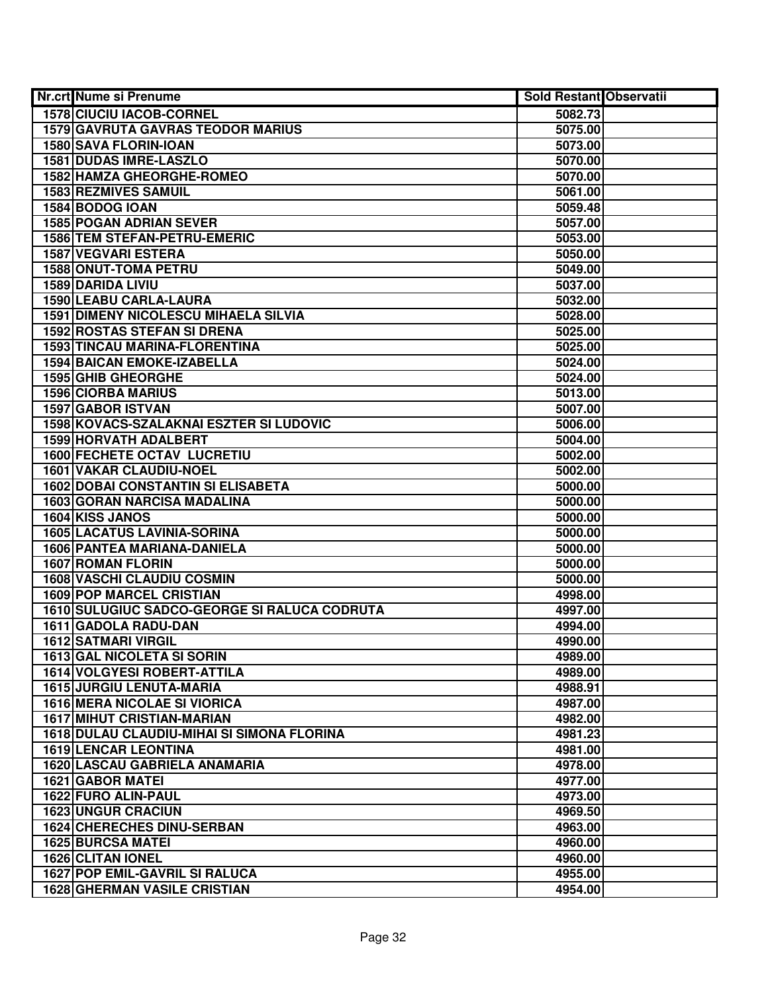| <b>Nr.crt Nume si Prenume</b>                     | <b>Sold Restant Observatii</b> |  |
|---------------------------------------------------|--------------------------------|--|
| <b>1578 CIUCIU IACOB-CORNEL</b>                   | 5082.73                        |  |
| 1579 GAVRUTA GAVRAS TEODOR MARIUS                 | 5075.00                        |  |
| 1580 SAVA FLORIN-IOAN                             | 5073.00                        |  |
| 1581 DUDAS IMRE-LASZLO                            | 5070.00                        |  |
| 1582 HAMZA GHEORGHE-ROMEO                         | 5070.00                        |  |
| 1583 REZMIVES SAMUIL                              | 5061.00                        |  |
| 1584 BODOG IOAN                                   | 5059.48                        |  |
| <b>1585 POGAN ADRIAN SEVER</b>                    | 5057.00                        |  |
| <b>1586 TEM STEFAN-PETRU-EMERIC</b>               | 5053.00                        |  |
| <b>1587 VEGVARI ESTERA</b>                        | 5050.00                        |  |
| <b>1588 ONUT-TOMA PETRU</b>                       | 5049.00                        |  |
| 1589 DARIDA LIVIU                                 | 5037.00                        |  |
| <b>1590 LEABU CARLA-LAURA</b>                     | 5032.00                        |  |
| <b>1591 DIMENY NICOLESCU MIHAELA SILVIA</b>       | 5028.00                        |  |
| 1592 ROSTAS STEFAN SI DRENA                       | 5025.00                        |  |
| 1593 TINCAU MARINA-FLORENTINA                     | 5025.00                        |  |
| <b>1594 BAICAN EMOKE-IZABELLA</b>                 | 5024.00                        |  |
| 1595 GHIB GHEORGHE                                | 5024.00                        |  |
| <b>1596 CIORBA MARIUS</b>                         | 5013.00                        |  |
| <b>1597 GABOR ISTVAN</b>                          | 5007.00                        |  |
| 1598 KOVACS-SZALAKNAI ESZTER SI LUDOVIC           | 5006.00                        |  |
| <b>1599 HORVATH ADALBERT</b>                      | 5004.00                        |  |
| <b>1600 FECHETE OCTAV LUCRETIU</b>                | 5002.00                        |  |
| <b>1601 VAKAR CLAUDIU-NOEL</b>                    | 5002.00                        |  |
| <b>1602 DOBAI CONSTANTIN SI ELISABETA</b>         | 5000.00                        |  |
| <b>1603 GORAN NARCISA MADALINA</b>                | 5000.00                        |  |
| 1604 KISS JANOS                                   | 5000.00                        |  |
| <b>1605 LACATUS LAVINIA-SORINA</b>                | 5000.00                        |  |
| 1606 PANTEA MARIANA-DANIELA                       | 5000.00                        |  |
| 1607 ROMAN FLORIN                                 | 5000.00                        |  |
| <b>1608 VASCHI CLAUDIU COSMIN</b>                 | 5000.00                        |  |
| <b>1609 POP MARCEL CRISTIAN</b>                   | 4998.00                        |  |
| 1610 SULUGIUC SADCO-GEORGE SI RALUCA CODRUTA      | 4997.00                        |  |
| 1611 GADOLA RADU-DAN                              | 4994.00                        |  |
| <b>1612 SATMARI VIRGIL</b>                        | 4990.00                        |  |
| <b>1613 GAL NICOLETA SI SORIN</b>                 | 4989.00                        |  |
| <b>1614 VOLGYESI ROBERT-ATTILA</b>                | 4989.00                        |  |
| 1615 JURGIU LENUTA-MARIA                          | 4988.91                        |  |
| <b>1616 MERA NICOLAE SI VIORICA</b>               | 4987.00                        |  |
| <b>1617 MIHUT CRISTIAN-MARIAN</b>                 | 4982.00                        |  |
| <b>1618 DULAU CLAUDIU-MIHAI SI SIMONA FLORINA</b> | 4981.23                        |  |
| <b>1619 LENCAR LEONTINA</b>                       | 4981.00                        |  |
| <b>1620 LASCAU GABRIELA ANAMARIA</b>              | 4978.00                        |  |
| 1621 GABOR MATEI                                  | 4977.00                        |  |
| 1622 FURO ALIN-PAUL                               | 4973.00                        |  |
| <b>1623 UNGUR CRACIUN</b>                         | 4969.50                        |  |
| <b>1624 CHERECHES DINU-SERBAN</b>                 | 4963.00                        |  |
| <b>1625 BURCSA MATEI</b>                          | 4960.00                        |  |
| 1626 CLITAN IONEL                                 | 4960.00                        |  |
| 1627 POP EMIL-GAVRIL SI RALUCA                    | 4955.00                        |  |
| <b>1628 GHERMAN VASILE CRISTIAN</b>               | 4954.00                        |  |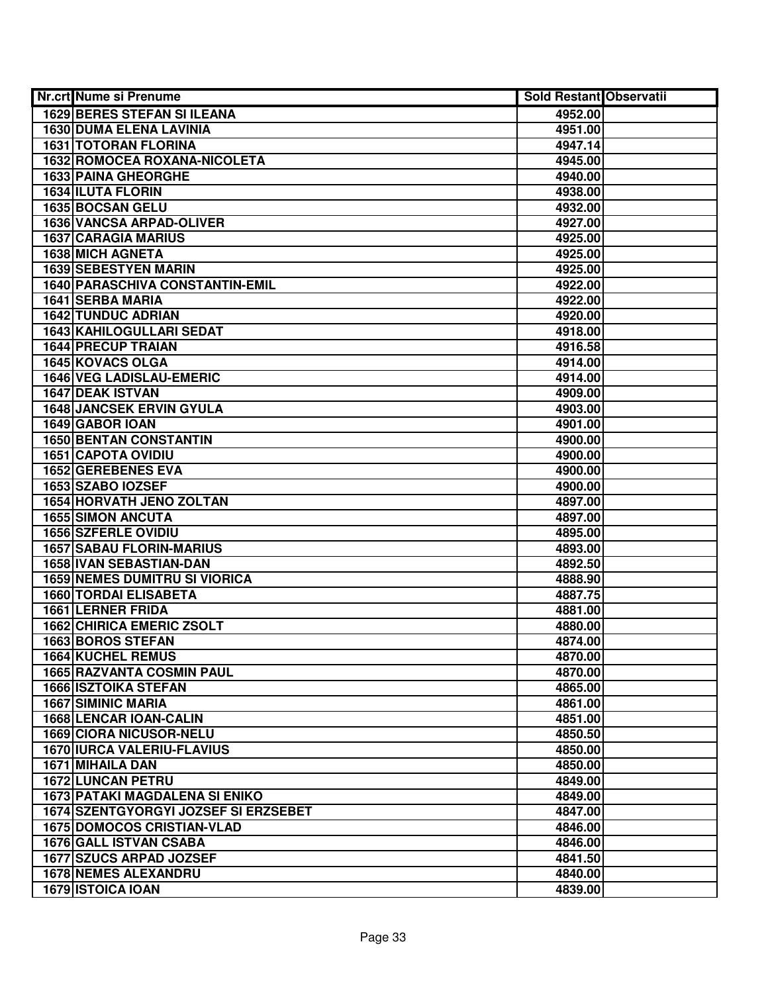| <b>1629 BERES STEFAN SI ILEANA</b><br>4952.00<br><b>1630 DUMA ELENA LAVINIA</b><br>4951.00<br><b>1631 TOTORAN FLORINA</b><br>4947.14<br>1632 ROMOCEA ROXANA-NICOLETA<br>4945.00<br>1633 PAINA GHEORGHE<br>4940.00<br>1634 ILUTA FLORIN<br>4938.00<br>1635 BOCSAN GELU<br>4932.00<br><b>1636 VANCSA ARPAD-OLIVER</b><br>4927.00<br><b>1637 CARAGIA MARIUS</b><br>4925.00<br><b>1638 MICH AGNETA</b><br>4925.00<br><b>1639 SEBESTYEN MARIN</b><br>4925.00<br><b>1640 PARASCHIVA CONSTANTIN-EMIL</b><br>4922.00<br>1641 SERBA MARIA<br>4922.00<br><b>1642 TUNDUC ADRIAN</b><br>4920.00<br>1643 KAHILOGULLARI SEDAT<br>4918.00<br><b>1644 PRECUP TRAIAN</b><br>4916.58<br>1645 KOVACS OLGA<br>4914.00<br><b>1646 VEG LADISLAU-EMERIC</b><br>4914.00<br>1647 DEAK ISTVAN<br>4909.00<br><b>1648 JANCSEK ERVIN GYULA</b><br>4903.00<br>1649 GABOR IOAN<br>4901.00<br><b>1650 BENTAN CONSTANTIN</b><br>4900.00<br><b>1651 CAPOTA OVIDIU</b><br>4900.00<br>1652 GEREBENES EVA<br>4900.00<br>1653 SZABO IOZSEF<br>4900.00<br><b>1654 HORVATH JENO ZOLTAN</b><br>4897.00<br><b>1655 SIMON ANCUTA</b><br>4897.00<br>1656 SZFERLE OVIDIU<br>4895.00<br><b>1657 SABAU FLORIN-MARIUS</b><br>4893.00<br>1658 IVAN SEBASTIAN-DAN<br>4892.50<br><b>1659 NEMES DUMITRU SI VIORICA</b><br>4888.90<br><b>1660 TORDAI ELISABETA</b><br>4887.75<br>1661 LERNER FRIDA<br>4881.00<br><b>1662 CHIRICA EMERIC ZSOLT</b><br>4880.00<br>1663 BOROS STEFAN<br>4874.00<br><b>1664 KUCHEL REMUS</b><br>4870.00<br><b>1665 RAZVANTA COSMIN PAUL</b><br>4870.00<br><b>1666 ISZTOIKA STEFAN</b><br>4865.00<br><b>1667 SIMINIC MARIA</b><br>4861.00<br><b>1668 LENCAR IOAN-CALIN</b><br>4851.00<br>1669 CIORA NICUSOR-NELU<br>4850.50<br><b>1670 IURCA VALERIU-FLAVIUS</b><br>4850.00<br><b>1671 MIHAILA DAN</b><br>4850.00<br>1672 LUNCAN PETRU<br>4849.00<br>1673 PATAKI MAGDALENA SI ENIKO<br>4849.00<br>1674 SZENTGYORGYI JOZSEF SI ERZSEBET<br>4847.00<br><b>1675 DOMOCOS CRISTIAN-VLAD</b><br>4846.00<br>1676 GALL ISTVAN CSABA<br>4846.00<br>1677 SZUCS ARPAD JOZSEF<br>4841.50<br><b>1678 NEMES ALEXANDRU</b><br>4840.00<br>1679 ISTOICA IOAN<br>4839.00 | Nr.crt Nume si Prenume | <b>Sold Restant Observatii</b> |  |
|------------------------------------------------------------------------------------------------------------------------------------------------------------------------------------------------------------------------------------------------------------------------------------------------------------------------------------------------------------------------------------------------------------------------------------------------------------------------------------------------------------------------------------------------------------------------------------------------------------------------------------------------------------------------------------------------------------------------------------------------------------------------------------------------------------------------------------------------------------------------------------------------------------------------------------------------------------------------------------------------------------------------------------------------------------------------------------------------------------------------------------------------------------------------------------------------------------------------------------------------------------------------------------------------------------------------------------------------------------------------------------------------------------------------------------------------------------------------------------------------------------------------------------------------------------------------------------------------------------------------------------------------------------------------------------------------------------------------------------------------------------------------------------------------------------------------------------------------------------------------------------------------------------------------------------------------------------------------------------------------------------------------------------------------------------------------------------------------------------------------------|------------------------|--------------------------------|--|
|                                                                                                                                                                                                                                                                                                                                                                                                                                                                                                                                                                                                                                                                                                                                                                                                                                                                                                                                                                                                                                                                                                                                                                                                                                                                                                                                                                                                                                                                                                                                                                                                                                                                                                                                                                                                                                                                                                                                                                                                                                                                                                                              |                        |                                |  |
|                                                                                                                                                                                                                                                                                                                                                                                                                                                                                                                                                                                                                                                                                                                                                                                                                                                                                                                                                                                                                                                                                                                                                                                                                                                                                                                                                                                                                                                                                                                                                                                                                                                                                                                                                                                                                                                                                                                                                                                                                                                                                                                              |                        |                                |  |
|                                                                                                                                                                                                                                                                                                                                                                                                                                                                                                                                                                                                                                                                                                                                                                                                                                                                                                                                                                                                                                                                                                                                                                                                                                                                                                                                                                                                                                                                                                                                                                                                                                                                                                                                                                                                                                                                                                                                                                                                                                                                                                                              |                        |                                |  |
|                                                                                                                                                                                                                                                                                                                                                                                                                                                                                                                                                                                                                                                                                                                                                                                                                                                                                                                                                                                                                                                                                                                                                                                                                                                                                                                                                                                                                                                                                                                                                                                                                                                                                                                                                                                                                                                                                                                                                                                                                                                                                                                              |                        |                                |  |
|                                                                                                                                                                                                                                                                                                                                                                                                                                                                                                                                                                                                                                                                                                                                                                                                                                                                                                                                                                                                                                                                                                                                                                                                                                                                                                                                                                                                                                                                                                                                                                                                                                                                                                                                                                                                                                                                                                                                                                                                                                                                                                                              |                        |                                |  |
|                                                                                                                                                                                                                                                                                                                                                                                                                                                                                                                                                                                                                                                                                                                                                                                                                                                                                                                                                                                                                                                                                                                                                                                                                                                                                                                                                                                                                                                                                                                                                                                                                                                                                                                                                                                                                                                                                                                                                                                                                                                                                                                              |                        |                                |  |
|                                                                                                                                                                                                                                                                                                                                                                                                                                                                                                                                                                                                                                                                                                                                                                                                                                                                                                                                                                                                                                                                                                                                                                                                                                                                                                                                                                                                                                                                                                                                                                                                                                                                                                                                                                                                                                                                                                                                                                                                                                                                                                                              |                        |                                |  |
|                                                                                                                                                                                                                                                                                                                                                                                                                                                                                                                                                                                                                                                                                                                                                                                                                                                                                                                                                                                                                                                                                                                                                                                                                                                                                                                                                                                                                                                                                                                                                                                                                                                                                                                                                                                                                                                                                                                                                                                                                                                                                                                              |                        |                                |  |
|                                                                                                                                                                                                                                                                                                                                                                                                                                                                                                                                                                                                                                                                                                                                                                                                                                                                                                                                                                                                                                                                                                                                                                                                                                                                                                                                                                                                                                                                                                                                                                                                                                                                                                                                                                                                                                                                                                                                                                                                                                                                                                                              |                        |                                |  |
|                                                                                                                                                                                                                                                                                                                                                                                                                                                                                                                                                                                                                                                                                                                                                                                                                                                                                                                                                                                                                                                                                                                                                                                                                                                                                                                                                                                                                                                                                                                                                                                                                                                                                                                                                                                                                                                                                                                                                                                                                                                                                                                              |                        |                                |  |
|                                                                                                                                                                                                                                                                                                                                                                                                                                                                                                                                                                                                                                                                                                                                                                                                                                                                                                                                                                                                                                                                                                                                                                                                                                                                                                                                                                                                                                                                                                                                                                                                                                                                                                                                                                                                                                                                                                                                                                                                                                                                                                                              |                        |                                |  |
|                                                                                                                                                                                                                                                                                                                                                                                                                                                                                                                                                                                                                                                                                                                                                                                                                                                                                                                                                                                                                                                                                                                                                                                                                                                                                                                                                                                                                                                                                                                                                                                                                                                                                                                                                                                                                                                                                                                                                                                                                                                                                                                              |                        |                                |  |
|                                                                                                                                                                                                                                                                                                                                                                                                                                                                                                                                                                                                                                                                                                                                                                                                                                                                                                                                                                                                                                                                                                                                                                                                                                                                                                                                                                                                                                                                                                                                                                                                                                                                                                                                                                                                                                                                                                                                                                                                                                                                                                                              |                        |                                |  |
|                                                                                                                                                                                                                                                                                                                                                                                                                                                                                                                                                                                                                                                                                                                                                                                                                                                                                                                                                                                                                                                                                                                                                                                                                                                                                                                                                                                                                                                                                                                                                                                                                                                                                                                                                                                                                                                                                                                                                                                                                                                                                                                              |                        |                                |  |
|                                                                                                                                                                                                                                                                                                                                                                                                                                                                                                                                                                                                                                                                                                                                                                                                                                                                                                                                                                                                                                                                                                                                                                                                                                                                                                                                                                                                                                                                                                                                                                                                                                                                                                                                                                                                                                                                                                                                                                                                                                                                                                                              |                        |                                |  |
|                                                                                                                                                                                                                                                                                                                                                                                                                                                                                                                                                                                                                                                                                                                                                                                                                                                                                                                                                                                                                                                                                                                                                                                                                                                                                                                                                                                                                                                                                                                                                                                                                                                                                                                                                                                                                                                                                                                                                                                                                                                                                                                              |                        |                                |  |
|                                                                                                                                                                                                                                                                                                                                                                                                                                                                                                                                                                                                                                                                                                                                                                                                                                                                                                                                                                                                                                                                                                                                                                                                                                                                                                                                                                                                                                                                                                                                                                                                                                                                                                                                                                                                                                                                                                                                                                                                                                                                                                                              |                        |                                |  |
|                                                                                                                                                                                                                                                                                                                                                                                                                                                                                                                                                                                                                                                                                                                                                                                                                                                                                                                                                                                                                                                                                                                                                                                                                                                                                                                                                                                                                                                                                                                                                                                                                                                                                                                                                                                                                                                                                                                                                                                                                                                                                                                              |                        |                                |  |
|                                                                                                                                                                                                                                                                                                                                                                                                                                                                                                                                                                                                                                                                                                                                                                                                                                                                                                                                                                                                                                                                                                                                                                                                                                                                                                                                                                                                                                                                                                                                                                                                                                                                                                                                                                                                                                                                                                                                                                                                                                                                                                                              |                        |                                |  |
|                                                                                                                                                                                                                                                                                                                                                                                                                                                                                                                                                                                                                                                                                                                                                                                                                                                                                                                                                                                                                                                                                                                                                                                                                                                                                                                                                                                                                                                                                                                                                                                                                                                                                                                                                                                                                                                                                                                                                                                                                                                                                                                              |                        |                                |  |
|                                                                                                                                                                                                                                                                                                                                                                                                                                                                                                                                                                                                                                                                                                                                                                                                                                                                                                                                                                                                                                                                                                                                                                                                                                                                                                                                                                                                                                                                                                                                                                                                                                                                                                                                                                                                                                                                                                                                                                                                                                                                                                                              |                        |                                |  |
|                                                                                                                                                                                                                                                                                                                                                                                                                                                                                                                                                                                                                                                                                                                                                                                                                                                                                                                                                                                                                                                                                                                                                                                                                                                                                                                                                                                                                                                                                                                                                                                                                                                                                                                                                                                                                                                                                                                                                                                                                                                                                                                              |                        |                                |  |
|                                                                                                                                                                                                                                                                                                                                                                                                                                                                                                                                                                                                                                                                                                                                                                                                                                                                                                                                                                                                                                                                                                                                                                                                                                                                                                                                                                                                                                                                                                                                                                                                                                                                                                                                                                                                                                                                                                                                                                                                                                                                                                                              |                        |                                |  |
|                                                                                                                                                                                                                                                                                                                                                                                                                                                                                                                                                                                                                                                                                                                                                                                                                                                                                                                                                                                                                                                                                                                                                                                                                                                                                                                                                                                                                                                                                                                                                                                                                                                                                                                                                                                                                                                                                                                                                                                                                                                                                                                              |                        |                                |  |
|                                                                                                                                                                                                                                                                                                                                                                                                                                                                                                                                                                                                                                                                                                                                                                                                                                                                                                                                                                                                                                                                                                                                                                                                                                                                                                                                                                                                                                                                                                                                                                                                                                                                                                                                                                                                                                                                                                                                                                                                                                                                                                                              |                        |                                |  |
|                                                                                                                                                                                                                                                                                                                                                                                                                                                                                                                                                                                                                                                                                                                                                                                                                                                                                                                                                                                                                                                                                                                                                                                                                                                                                                                                                                                                                                                                                                                                                                                                                                                                                                                                                                                                                                                                                                                                                                                                                                                                                                                              |                        |                                |  |
|                                                                                                                                                                                                                                                                                                                                                                                                                                                                                                                                                                                                                                                                                                                                                                                                                                                                                                                                                                                                                                                                                                                                                                                                                                                                                                                                                                                                                                                                                                                                                                                                                                                                                                                                                                                                                                                                                                                                                                                                                                                                                                                              |                        |                                |  |
|                                                                                                                                                                                                                                                                                                                                                                                                                                                                                                                                                                                                                                                                                                                                                                                                                                                                                                                                                                                                                                                                                                                                                                                                                                                                                                                                                                                                                                                                                                                                                                                                                                                                                                                                                                                                                                                                                                                                                                                                                                                                                                                              |                        |                                |  |
|                                                                                                                                                                                                                                                                                                                                                                                                                                                                                                                                                                                                                                                                                                                                                                                                                                                                                                                                                                                                                                                                                                                                                                                                                                                                                                                                                                                                                                                                                                                                                                                                                                                                                                                                                                                                                                                                                                                                                                                                                                                                                                                              |                        |                                |  |
|                                                                                                                                                                                                                                                                                                                                                                                                                                                                                                                                                                                                                                                                                                                                                                                                                                                                                                                                                                                                                                                                                                                                                                                                                                                                                                                                                                                                                                                                                                                                                                                                                                                                                                                                                                                                                                                                                                                                                                                                                                                                                                                              |                        |                                |  |
|                                                                                                                                                                                                                                                                                                                                                                                                                                                                                                                                                                                                                                                                                                                                                                                                                                                                                                                                                                                                                                                                                                                                                                                                                                                                                                                                                                                                                                                                                                                                                                                                                                                                                                                                                                                                                                                                                                                                                                                                                                                                                                                              |                        |                                |  |
|                                                                                                                                                                                                                                                                                                                                                                                                                                                                                                                                                                                                                                                                                                                                                                                                                                                                                                                                                                                                                                                                                                                                                                                                                                                                                                                                                                                                                                                                                                                                                                                                                                                                                                                                                                                                                                                                                                                                                                                                                                                                                                                              |                        |                                |  |
|                                                                                                                                                                                                                                                                                                                                                                                                                                                                                                                                                                                                                                                                                                                                                                                                                                                                                                                                                                                                                                                                                                                                                                                                                                                                                                                                                                                                                                                                                                                                                                                                                                                                                                                                                                                                                                                                                                                                                                                                                                                                                                                              |                        |                                |  |
|                                                                                                                                                                                                                                                                                                                                                                                                                                                                                                                                                                                                                                                                                                                                                                                                                                                                                                                                                                                                                                                                                                                                                                                                                                                                                                                                                                                                                                                                                                                                                                                                                                                                                                                                                                                                                                                                                                                                                                                                                                                                                                                              |                        |                                |  |
|                                                                                                                                                                                                                                                                                                                                                                                                                                                                                                                                                                                                                                                                                                                                                                                                                                                                                                                                                                                                                                                                                                                                                                                                                                                                                                                                                                                                                                                                                                                                                                                                                                                                                                                                                                                                                                                                                                                                                                                                                                                                                                                              |                        |                                |  |
|                                                                                                                                                                                                                                                                                                                                                                                                                                                                                                                                                                                                                                                                                                                                                                                                                                                                                                                                                                                                                                                                                                                                                                                                                                                                                                                                                                                                                                                                                                                                                                                                                                                                                                                                                                                                                                                                                                                                                                                                                                                                                                                              |                        |                                |  |
|                                                                                                                                                                                                                                                                                                                                                                                                                                                                                                                                                                                                                                                                                                                                                                                                                                                                                                                                                                                                                                                                                                                                                                                                                                                                                                                                                                                                                                                                                                                                                                                                                                                                                                                                                                                                                                                                                                                                                                                                                                                                                                                              |                        |                                |  |
|                                                                                                                                                                                                                                                                                                                                                                                                                                                                                                                                                                                                                                                                                                                                                                                                                                                                                                                                                                                                                                                                                                                                                                                                                                                                                                                                                                                                                                                                                                                                                                                                                                                                                                                                                                                                                                                                                                                                                                                                                                                                                                                              |                        |                                |  |
|                                                                                                                                                                                                                                                                                                                                                                                                                                                                                                                                                                                                                                                                                                                                                                                                                                                                                                                                                                                                                                                                                                                                                                                                                                                                                                                                                                                                                                                                                                                                                                                                                                                                                                                                                                                                                                                                                                                                                                                                                                                                                                                              |                        |                                |  |
|                                                                                                                                                                                                                                                                                                                                                                                                                                                                                                                                                                                                                                                                                                                                                                                                                                                                                                                                                                                                                                                                                                                                                                                                                                                                                                                                                                                                                                                                                                                                                                                                                                                                                                                                                                                                                                                                                                                                                                                                                                                                                                                              |                        |                                |  |
|                                                                                                                                                                                                                                                                                                                                                                                                                                                                                                                                                                                                                                                                                                                                                                                                                                                                                                                                                                                                                                                                                                                                                                                                                                                                                                                                                                                                                                                                                                                                                                                                                                                                                                                                                                                                                                                                                                                                                                                                                                                                                                                              |                        |                                |  |
|                                                                                                                                                                                                                                                                                                                                                                                                                                                                                                                                                                                                                                                                                                                                                                                                                                                                                                                                                                                                                                                                                                                                                                                                                                                                                                                                                                                                                                                                                                                                                                                                                                                                                                                                                                                                                                                                                                                                                                                                                                                                                                                              |                        |                                |  |
|                                                                                                                                                                                                                                                                                                                                                                                                                                                                                                                                                                                                                                                                                                                                                                                                                                                                                                                                                                                                                                                                                                                                                                                                                                                                                                                                                                                                                                                                                                                                                                                                                                                                                                                                                                                                                                                                                                                                                                                                                                                                                                                              |                        |                                |  |
|                                                                                                                                                                                                                                                                                                                                                                                                                                                                                                                                                                                                                                                                                                                                                                                                                                                                                                                                                                                                                                                                                                                                                                                                                                                                                                                                                                                                                                                                                                                                                                                                                                                                                                                                                                                                                                                                                                                                                                                                                                                                                                                              |                        |                                |  |
|                                                                                                                                                                                                                                                                                                                                                                                                                                                                                                                                                                                                                                                                                                                                                                                                                                                                                                                                                                                                                                                                                                                                                                                                                                                                                                                                                                                                                                                                                                                                                                                                                                                                                                                                                                                                                                                                                                                                                                                                                                                                                                                              |                        |                                |  |
|                                                                                                                                                                                                                                                                                                                                                                                                                                                                                                                                                                                                                                                                                                                                                                                                                                                                                                                                                                                                                                                                                                                                                                                                                                                                                                                                                                                                                                                                                                                                                                                                                                                                                                                                                                                                                                                                                                                                                                                                                                                                                                                              |                        |                                |  |
|                                                                                                                                                                                                                                                                                                                                                                                                                                                                                                                                                                                                                                                                                                                                                                                                                                                                                                                                                                                                                                                                                                                                                                                                                                                                                                                                                                                                                                                                                                                                                                                                                                                                                                                                                                                                                                                                                                                                                                                                                                                                                                                              |                        |                                |  |
|                                                                                                                                                                                                                                                                                                                                                                                                                                                                                                                                                                                                                                                                                                                                                                                                                                                                                                                                                                                                                                                                                                                                                                                                                                                                                                                                                                                                                                                                                                                                                                                                                                                                                                                                                                                                                                                                                                                                                                                                                                                                                                                              |                        |                                |  |
|                                                                                                                                                                                                                                                                                                                                                                                                                                                                                                                                                                                                                                                                                                                                                                                                                                                                                                                                                                                                                                                                                                                                                                                                                                                                                                                                                                                                                                                                                                                                                                                                                                                                                                                                                                                                                                                                                                                                                                                                                                                                                                                              |                        |                                |  |
|                                                                                                                                                                                                                                                                                                                                                                                                                                                                                                                                                                                                                                                                                                                                                                                                                                                                                                                                                                                                                                                                                                                                                                                                                                                                                                                                                                                                                                                                                                                                                                                                                                                                                                                                                                                                                                                                                                                                                                                                                                                                                                                              |                        |                                |  |
|                                                                                                                                                                                                                                                                                                                                                                                                                                                                                                                                                                                                                                                                                                                                                                                                                                                                                                                                                                                                                                                                                                                                                                                                                                                                                                                                                                                                                                                                                                                                                                                                                                                                                                                                                                                                                                                                                                                                                                                                                                                                                                                              |                        |                                |  |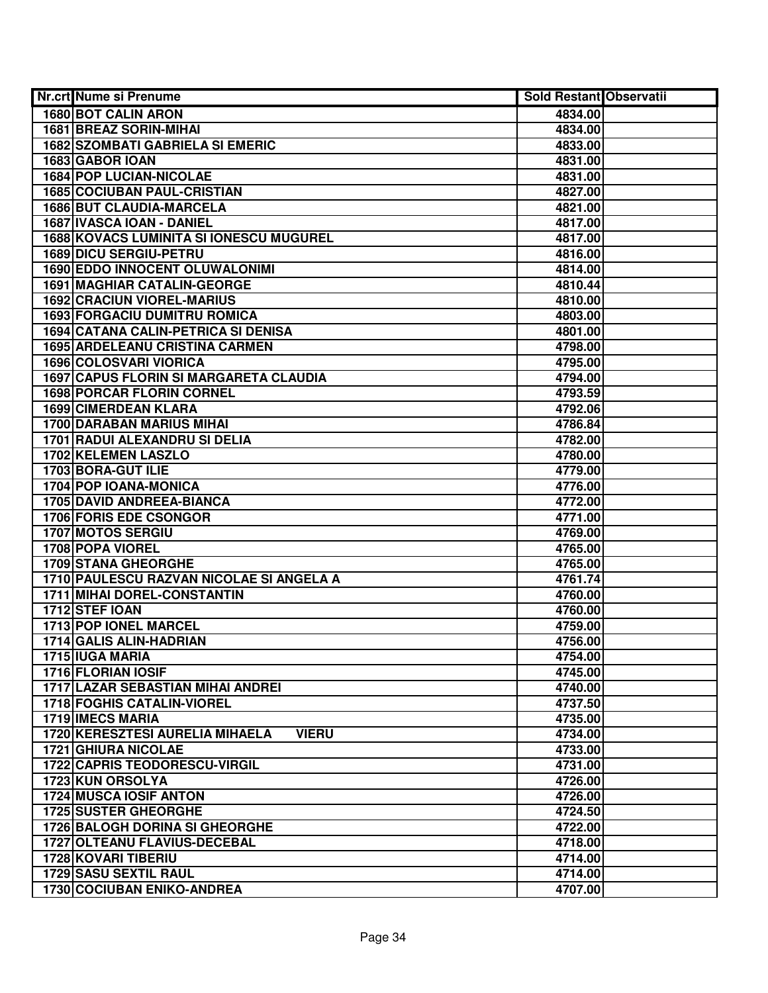| <b>Nr.crt Nume si Prenume</b>                   | Sold Restant Observatii |  |
|-------------------------------------------------|-------------------------|--|
| <b>1680 BOT CALIN ARON</b>                      | 4834.00                 |  |
| 1681 BREAZ SORIN-MIHAI                          | 4834.00                 |  |
| <b>1682 SZOMBATI GABRIELA SI EMERIC</b>         | 4833.00                 |  |
| 1683 GABOR IOAN                                 | 4831.00                 |  |
| <b>1684 POP LUCIAN-NICOLAE</b>                  | 4831.00                 |  |
| <b>1685 COCIUBAN PAUL-CRISTIAN</b>              | 4827.00                 |  |
| 1686 BUT CLAUDIA-MARCELA                        | 4821.00                 |  |
| 1687 IVASCA IOAN - DANIEL                       | 4817.00                 |  |
| <b>1688 KOVACS LUMINITA SI IONESCU MUGUREL</b>  | 4817.00                 |  |
| <b>1689 DICU SERGIU-PETRU</b>                   | 4816.00                 |  |
| 1690 EDDO INNOCENT OLUWALONIMI                  | 4814.00                 |  |
| <b>1691 MAGHIAR CATALIN-GEORGE</b>              | 4810.44                 |  |
| <b>1692 CRACIUN VIOREL-MARIUS</b>               | 4810.00                 |  |
| <b>1693 FORGACIU DUMITRU ROMICA</b>             | 4803.00                 |  |
| 1694 CATANA CALIN-PETRICA SI DENISA             | 4801.00                 |  |
| <b>1695 ARDELEANU CRISTINA CARMEN</b>           | 4798.00                 |  |
| 1696 COLOSVARI VIORICA                          | 4795.00                 |  |
| 1697 CAPUS FLORIN SI MARGARETA CLAUDIA          | 4794.00                 |  |
| <b>1698 PORCAR FLORIN CORNEL</b>                | 4793.59                 |  |
| 1699 CIMERDEAN KLARA                            | 4792.06                 |  |
| <b>1700 DARABAN MARIUS MIHAI</b>                | 4786.84                 |  |
| 1701 RADUI ALEXANDRU SI DELIA                   | 4782.00                 |  |
| 1702 KELEMEN LASZLO                             | 4780.00                 |  |
| 1703 BORA-GUT ILIE                              | 4779.00                 |  |
| 1704 POP IOANA-MONICA                           | 4776.00                 |  |
| 1705 DAVID ANDREEA-BIANCA                       | 4772.00                 |  |
| 1706 FORIS EDE CSONGOR                          | 4771.00                 |  |
| 1707 MOTOS SERGIU                               | 4769.00                 |  |
| 1708 POPA VIOREL                                | 4765.00                 |  |
| 1709 STANA GHEORGHE                             | 4765.00                 |  |
| 1710 PAULESCU RAZVAN NICOLAE SI ANGELA A        | 4761.74                 |  |
| 1711 MIHAI DOREL-CONSTANTIN                     | 4760.00                 |  |
| 1712 STEF IOAN                                  | 4760.00                 |  |
| 1713 POP IONEL MARCEL                           | 4759.00                 |  |
| 1714 GALIS ALIN-HADRIAN                         | 4756.00                 |  |
| 1715 IUGA MARIA                                 | 4754.00                 |  |
| <b>1716 FLORIAN IOSIF</b>                       | 4745.00                 |  |
| <b>1717 LAZAR SEBASTIAN MIHAI ANDREI</b>        | 4740.00                 |  |
| <b>1718 FOGHIS CATALIN-VIOREL</b>               | 4737.50                 |  |
| 1719 IMECS MARIA                                | 4735.00                 |  |
| 1720 KERESZTESI AURELIA MIHAELA<br><b>VIERU</b> | 4734.00                 |  |
| <b>1721 GHIURA NICOLAE</b>                      | 4733.00                 |  |
| <b>1722 CAPRIS TEODORESCU-VIRGIL</b>            | 4731.00                 |  |
| <b>1723 KUN ORSOLYA</b>                         | 4726.00                 |  |
| <b>1724 MUSCA IOSIF ANTON</b>                   | 4726.00                 |  |
| <b>1725 SUSTER GHEORGHE</b>                     | 4724.50                 |  |
| <b>1726 BALOGH DORINA SI GHEORGHE</b>           | 4722.00                 |  |
| 1727 OLTEANU FLAVIUS-DECEBAL                    | 4718.00                 |  |
| 1728 KOVARI TIBERIU                             | 4714.00                 |  |
| 1729 SASU SEXTIL RAUL                           | 4714.00                 |  |
| 1730 COCIUBAN ENIKO-ANDREA                      | 4707.00                 |  |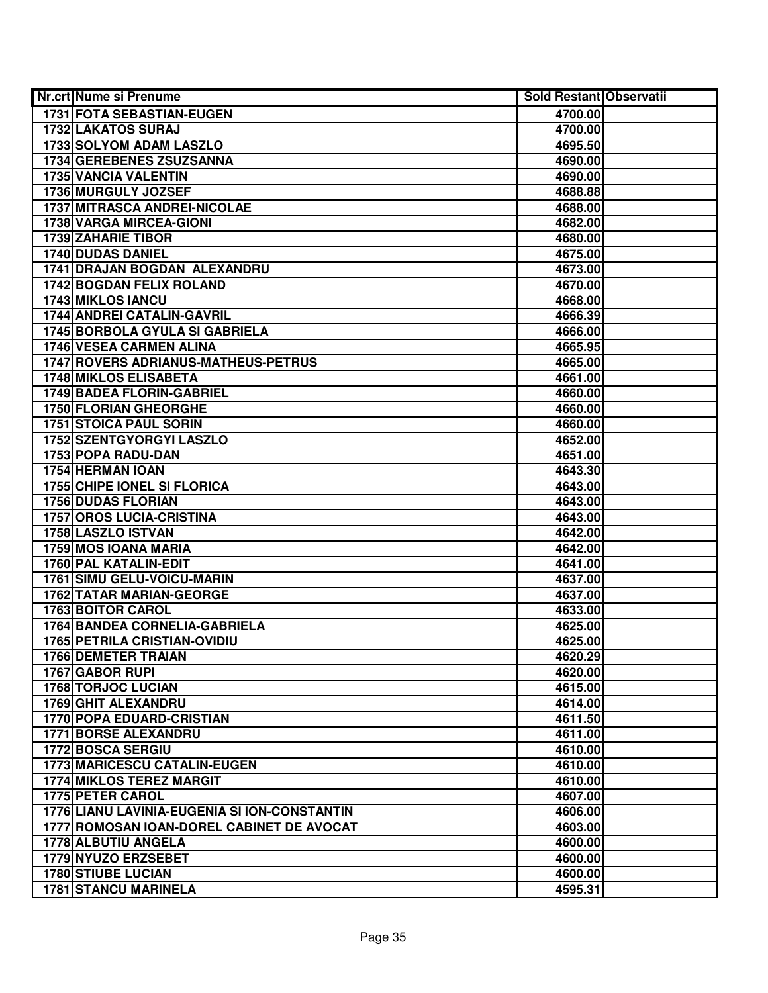| Nr.crt Nume si Prenume                       | <b>Sold Restant Observatii</b> |  |
|----------------------------------------------|--------------------------------|--|
| 1731 FOTA SEBASTIAN-EUGEN                    | 4700.00                        |  |
| 1732 LAKATOS SURAJ                           | 4700.00                        |  |
| 1733 SOLYOM ADAM LASZLO                      | 4695.50                        |  |
| 1734 GEREBENES ZSUZSANNA                     | 4690.00                        |  |
| <b>1735 VANCIA VALENTIN</b>                  | 4690.00                        |  |
| 1736 MURGULY JOZSEF                          | 4688.88                        |  |
| 1737 MITRASCA ANDREI-NICOLAE                 | 4688.00                        |  |
| 1738 VARGA MIRCEA-GIONI                      | 4682.00                        |  |
| <b>1739 ZAHARIE TIBOR</b>                    | 4680.00                        |  |
| <b>1740 DUDAS DANIEL</b>                     | 4675.00                        |  |
| 1741 DRAJAN BOGDAN ALEXANDRU                 | 4673.00                        |  |
| 1742 BOGDAN FELIX ROLAND                     | 4670.00                        |  |
| <b>1743 MIKLOS IANCU</b>                     | 4668.00                        |  |
| <b>1744 ANDREI CATALIN-GAVRIL</b>            | 4666.39                        |  |
| 1745 BORBOLA GYULA SI GABRIELA               | 4666.00                        |  |
| 1746 VESEA CARMEN ALINA                      | 4665.95                        |  |
| 1747 ROVERS ADRIANUS-MATHEUS-PETRUS          | 4665.00                        |  |
| <b>1748 MIKLOS ELISABETA</b>                 | 4661.00                        |  |
| 1749 BADEA FLORIN-GABRIEL                    | 4660.00                        |  |
| 1750 FLORIAN GHEORGHE                        | 4660.00                        |  |
| <b>1751 STOICA PAUL SORIN</b>                | 4660.00                        |  |
| 1752 SZENTGYORGYI LASZLO                     | 4652.00                        |  |
| 1753 POPA RADU-DAN                           | 4651.00                        |  |
| 1754 HERMAN IOAN                             | 4643.30                        |  |
| 1755 CHIPE IONEL SI FLORICA                  | 4643.00                        |  |
| <b>1756 DUDAS FLORIAN</b>                    | 4643.00                        |  |
| <b>1757 OROS LUCIA-CRISTINA</b>              | 4643.00                        |  |
| 1758 LASZLO ISTVAN                           | 4642.00                        |  |
| 1759 MOS IOANA MARIA                         | 4642.00                        |  |
| 1760 PAL KATALIN-EDIT                        | 4641.00                        |  |
| <b>1761 SIMU GELU-VOICU-MARIN</b>            | 4637.00                        |  |
| <b>1762 TATAR MARIAN-GEORGE</b>              | 4637.00                        |  |
| <b>1763 BOITOR CAROL</b>                     | 4633.00                        |  |
| 1764 BANDEA CORNELIA-GABRIELA                | 4625.00                        |  |
| <b>1765 PETRILA CRISTIAN-OVIDIU</b>          | 4625.00                        |  |
| <b>1766 DEMETER TRAIAN</b>                   | 4620.29                        |  |
| 1767 GABOR RUPI                              | 4620.00                        |  |
| <b>1768 TORJOC LUCIAN</b>                    | 4615.00                        |  |
| 1769 GHIT ALEXANDRU                          | 4614.00                        |  |
| 1770 POPA EDUARD-CRISTIAN                    | 4611.50                        |  |
| <b>1771 BORSE ALEXANDRU</b>                  | 4611.00                        |  |
| 1772 BOSCA SERGIU                            | 4610.00                        |  |
| 1773 MARICESCU CATALIN-EUGEN                 | 4610.00                        |  |
| <b>1774 MIKLOS TEREZ MARGIT</b>              | 4610.00                        |  |
| 1775 PETER CAROL                             | 4607.00                        |  |
| 1776 LIANU LAVINIA-EUGENIA SI ION-CONSTANTIN | 4606.00                        |  |
| 1777 ROMOSAN IOAN-DOREL CABINET DE AVOCAT    | 4603.00                        |  |
| 1778 ALBUTIU ANGELA                          | 4600.00                        |  |
| 1779 NYUZO ERZSEBET                          | 4600.00                        |  |
| <b>1780 STIUBE LUCIAN</b>                    | 4600.00                        |  |
| <b>1781 STANCU MARINELA</b>                  | 4595.31                        |  |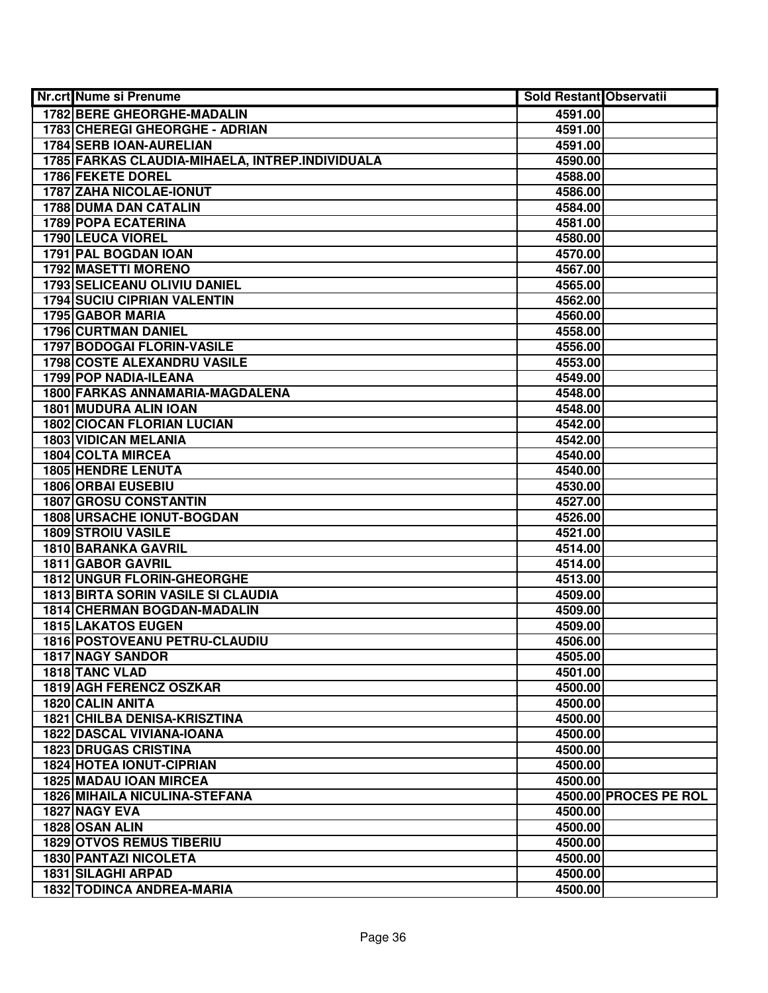| Nr.crt Nume si Prenume                                                  | <b>Sold Restant Observatii</b> |                       |
|-------------------------------------------------------------------------|--------------------------------|-----------------------|
| <b>1782 BERE GHEORGHE-MADALIN</b>                                       | 4591.00                        |                       |
| 1783 CHEREGI GHEORGHE - ADRIAN                                          | 4591.00                        |                       |
| 1784 SERB IOAN-AURELIAN                                                 | 4591.00                        |                       |
| 1785 FARKAS CLAUDIA-MIHAELA, INTREP.INDIVIDUALA                         | 4590.00                        |                       |
| 1786 FEKETE DOREL                                                       | 4588.00                        |                       |
| 1787 ZAHA NICOLAE-IONUT                                                 | 4586.00                        |                       |
| <b>1788 DUMA DAN CATALIN</b>                                            | 4584.00                        |                       |
| <b>1789 POPA ECATERINA</b>                                              | 4581.00                        |                       |
| 1790 LEUCA VIOREL                                                       | 4580.00                        |                       |
| 1791 PAL BOGDAN IOAN                                                    | 4570.00                        |                       |
| <b>1792 MASETTI MORENO</b>                                              | 4567.00                        |                       |
| 1793 SELICEANU OLIVIU DANIEL                                            | 4565.00                        |                       |
| <b>1794 SUCIU CIPRIAN VALENTIN</b>                                      | 4562.00                        |                       |
| 1795 GABOR MARIA                                                        | 4560.00                        |                       |
| <b>1796 CURTMAN DANIEL</b>                                              | 4558.00                        |                       |
| 1797 BODOGAI FLORIN-VASILE                                              | 4556.00                        |                       |
| <b>1798 COSTE ALEXANDRU VASILE</b>                                      | 4553.00                        |                       |
| 1799 POP NADIA-ILEANA                                                   | 4549.00                        |                       |
| 1800 FARKAS ANNAMARIA-MAGDALENA                                         | 4548.00                        |                       |
| 1801 MUDURA ALIN IOAN                                                   | 4548.00                        |                       |
| <b>1802 CIOCAN FLORIAN LUCIAN</b>                                       | 4542.00                        |                       |
| 1803 VIDICAN MELANIA                                                    | 4542.00                        |                       |
| 1804 COLTA MIRCEA                                                       | 4540.00                        |                       |
| <b>1805 HENDRE LENUTA</b>                                               | 4540.00                        |                       |
| <b>1806 ORBAI EUSEBIU</b>                                               | 4530.00                        |                       |
| <b>1807 GROSU CONSTANTIN</b>                                            | 4527.00                        |                       |
| <b>1808 URSACHE IONUT-BOGDAN</b>                                        | 4526.00                        |                       |
| <b>1809 STROIU VASILE</b>                                               | 4521.00                        |                       |
| 1810 BARANKA GAVRIL                                                     | 4514.00                        |                       |
| 1811 GABOR GAVRIL                                                       | 4514.00                        |                       |
| <b>1812 UNGUR FLORIN-GHEORGHE</b>                                       | 4513.00                        |                       |
| <b>1813 BIRTA SORIN VASILE SI CLAUDIA</b>                               | 4509.00                        |                       |
| <b>1814 CHERMAN BOGDAN-MADALIN</b>                                      | 4509.00                        |                       |
| <b>1815 LAKATOS EUGEN</b>                                               | 4509.00                        |                       |
| 1816 POSTOVEANU PETRU-CLAUDIU                                           | 4506.00                        |                       |
| <b>1817 NAGY SANDOR</b>                                                 | 4505.00                        |                       |
| 1818 TANC VLAD                                                          | 4501.00                        |                       |
| <b>1819 AGH FERENCZ OSZKAR</b>                                          | 4500.00                        |                       |
| <b>1820 CALIN ANITA</b>                                                 | 4500.00                        |                       |
| <b>1821 CHILBA DENISA-KRISZTINA</b><br><b>1822 DASCAL VIVIANA-IOANA</b> | 4500.00                        |                       |
|                                                                         | 4500.00                        |                       |
| <b>1823 DRUGAS CRISTINA</b>                                             | 4500.00                        |                       |
| <b>1824 HOTEA IONUT-CIPRIAN</b>                                         | 4500.00                        |                       |
| 1825 MADAU IOAN MIRCEA<br><b>1826 MIHAILA NICULINA-STEFANA</b>          | 4500.00                        | 4500.00 PROCES PE ROL |
| 1827 NAGY EVA                                                           | 4500.00                        |                       |
| 1828 OSAN ALIN                                                          | 4500.00                        |                       |
| <b>1829 OTVOS REMUS TIBERIU</b>                                         | 4500.00                        |                       |
| 1830 PANTAZI NICOLETA                                                   | 4500.00                        |                       |
| <b>1831 SILAGHI ARPAD</b>                                               | 4500.00                        |                       |
| 1832 TODINCA ANDREA-MARIA                                               | 4500.00                        |                       |
|                                                                         |                                |                       |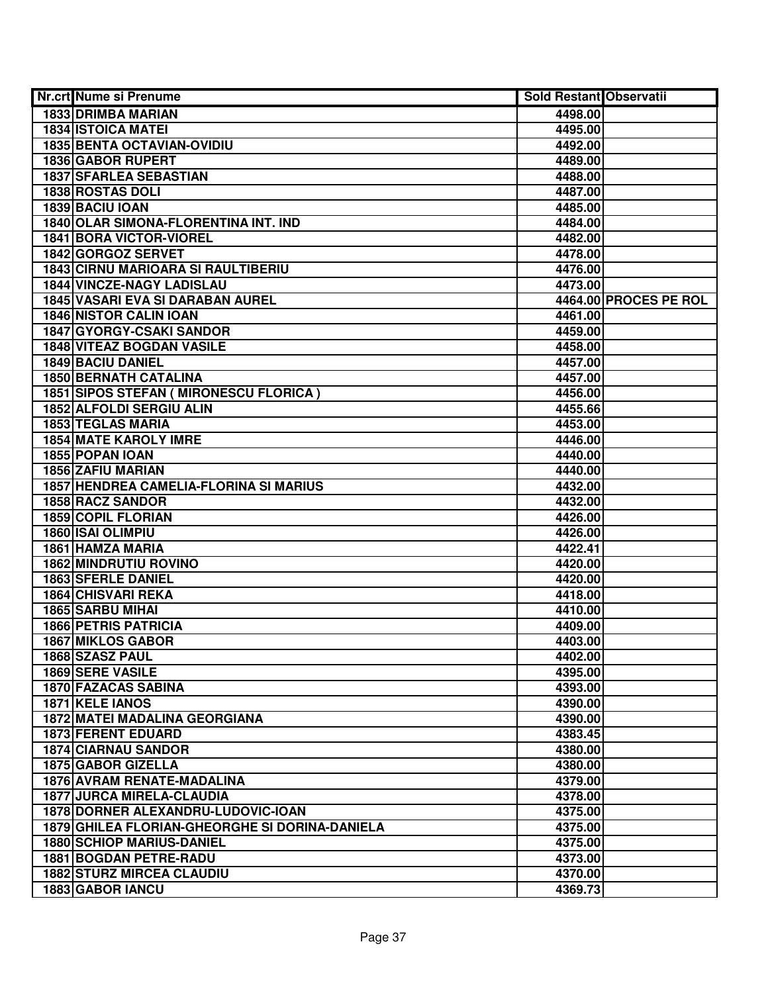| Nr.crt Nume si Prenume                         | <b>Sold Restant Observatii</b> |                       |
|------------------------------------------------|--------------------------------|-----------------------|
| 1833 DRIMBA MARIAN                             | 4498.00                        |                       |
| <b>1834 ISTOICA MATEI</b>                      | 4495.00                        |                       |
| <b>1835 BENTA OCTAVIAN-OVIDIU</b>              | 4492.00                        |                       |
| 1836 GABOR RUPERT                              | 4489.00                        |                       |
| 1837 SFARLEA SEBASTIAN                         | 4488.00                        |                       |
| 1838 ROSTAS DOLI                               | 4487.00                        |                       |
| 1839 BACIU IOAN                                | 4485.00                        |                       |
| 1840 OLAR SIMONA-FLORENTINA INT. IND           | 4484.00                        |                       |
| 1841 BORA VICTOR-VIOREL                        | 4482.00                        |                       |
| 1842 GORGOZ SERVET                             | 4478.00                        |                       |
| <b>1843 CIRNU MARIOARA SI RAULTIBERIU</b>      | 4476.00                        |                       |
| <b>1844 VINCZE-NAGY LADISLAU</b>               | 4473.00                        |                       |
| 1845 VASARI EVA SI DARABAN AUREL               |                                | 4464.00 PROCES PE ROL |
| <b>1846 NISTOR CALIN IOAN</b>                  | 4461.00                        |                       |
| 1847 GYORGY-CSAKI SANDOR                       | 4459.00                        |                       |
| <b>1848 VITEAZ BOGDAN VASILE</b>               | 4458.00                        |                       |
| <b>1849 BACIU DANIEL</b>                       | 4457.00                        |                       |
| <b>1850 BERNATH CATALINA</b>                   | 4457.00                        |                       |
| 1851 SIPOS STEFAN ( MIRONESCU FLORICA )        | 4456.00                        |                       |
| <b>1852 ALFOLDI SERGIU ALIN</b>                | 4455.66                        |                       |
| 1853 TEGLAS MARIA                              | 4453.00                        |                       |
| <b>1854 MATE KAROLY IMRE</b>                   | 4446.00                        |                       |
| 1855 POPAN IOAN                                | 4440.00                        |                       |
| <b>1856 ZAFIU MARIAN</b>                       | 4440.00                        |                       |
| 1857 HENDREA CAMELIA-FLORINA SI MARIUS         | 4432.00                        |                       |
| 1858 RACZ SANDOR                               | 4432.00                        |                       |
| 1859 COPIL FLORIAN                             | 4426.00                        |                       |
| 1860 ISAI OLIMPIU                              | 4426.00                        |                       |
| 1861 HAMZA MARIA                               | 4422.41                        |                       |
| <b>1862 MINDRUTIU ROVINO</b>                   | 4420.00                        |                       |
| <b>1863 SFERLE DANIEL</b>                      | 4420.00                        |                       |
| <b>1864 CHISVARI REKA</b>                      | 4418.00                        |                       |
| 1865 SARBU MIHAI                               | 4410.00                        |                       |
| <b>1866 PETRIS PATRICIA</b>                    | 4409.00                        |                       |
| <b>1867 MIKLOS GABOR</b>                       | 4403.00                        |                       |
| 1868 SZASZ PAUL                                | 4402.00                        |                       |
| 1869 SERE VASILE                               | 4395.00                        |                       |
| <b>1870 FAZACAS SABINA</b>                     | 4393.00                        |                       |
| 1871 KELE IANOS                                | 4390.00                        |                       |
| 1872 MATEI MADALINA GEORGIANA                  | 4390.00                        |                       |
| <b>1873 FERENT EDUARD</b>                      | 4383.45                        |                       |
| <b>1874 CIARNAU SANDOR</b>                     | 4380.00                        |                       |
| 1875 GABOR GIZELLA                             | 4380.00                        |                       |
| 1876 AVRAM RENATE-MADALINA                     | 4379.00                        |                       |
| <b>1877 JURCA MIRELA-CLAUDIA</b>               | 4378.00                        |                       |
| 1878 DORNER ALEXANDRU-LUDOVIC-IOAN             | 4375.00                        |                       |
| 1879 GHILEA FLORIAN-GHEORGHE SI DORINA-DANIELA | 4375.00                        |                       |
| <b>1880 SCHIOP MARIUS-DANIEL</b>               | 4375.00                        |                       |
| <b>1881 BOGDAN PETRE-RADU</b>                  | 4373.00                        |                       |
| <b>1882 STURZ MIRCEA CLAUDIU</b>               | 4370.00                        |                       |
| 1883 GABOR IANCU                               | 4369.73                        |                       |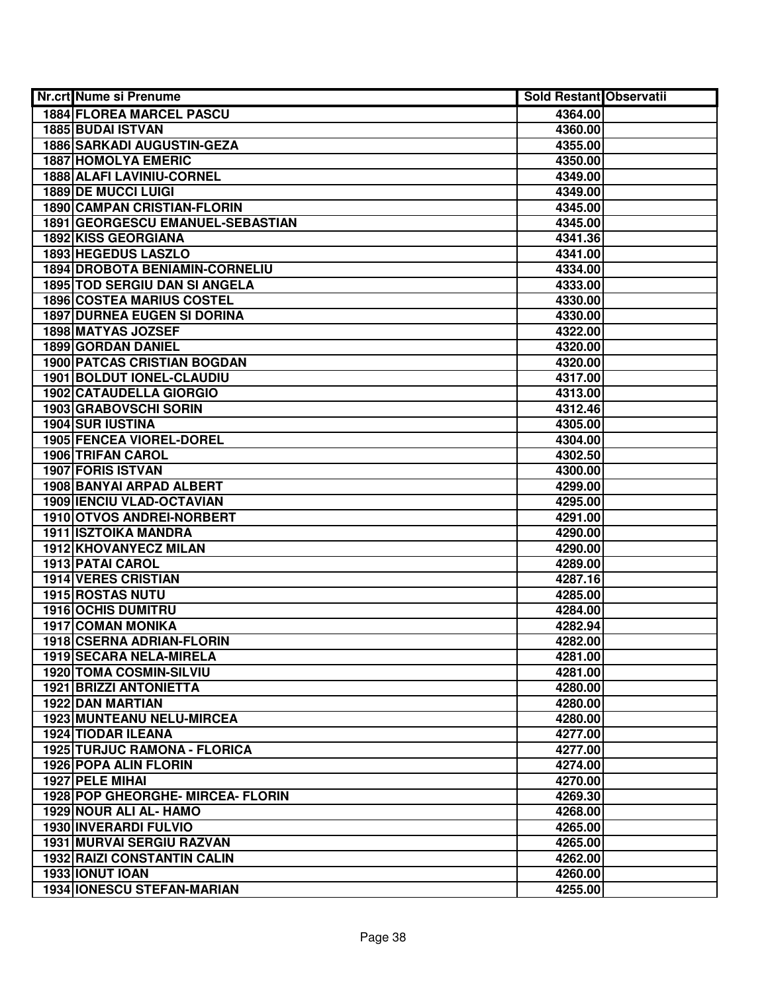| Nr.crt Nume si Prenume                | Sold Restant Observatii |  |
|---------------------------------------|-------------------------|--|
| <b>1884 FLOREA MARCEL PASCU</b>       | 4364.00                 |  |
| <b>1885 BUDAI ISTVAN</b>              | 4360.00                 |  |
| 1886 SARKADI AUGUSTIN-GEZA            | 4355.00                 |  |
| <b>1887 HOMOLYA EMERIC</b>            | 4350.00                 |  |
| 1888 ALAFI LAVINIU-CORNEL             | 4349.00                 |  |
| 1889 DE MUCCI LUIGI                   | 4349.00                 |  |
| <b>1890 CAMPAN CRISTIAN-FLORIN</b>    | 4345.00                 |  |
| 1891 GEORGESCU EMANUEL-SEBASTIAN      | 4345.00                 |  |
| <b>1892 KISS GEORGIANA</b>            | 4341.36                 |  |
| <b>1893 HEGEDUS LASZLO</b>            | 4341.00                 |  |
| <b>1894 DROBOTA BENIAMIN-CORNELIU</b> | 4334.00                 |  |
| <b>1895 TOD SERGIU DAN SI ANGELA</b>  | 4333.00                 |  |
| <b>1896 COSTEA MARIUS COSTEL</b>      | 4330.00                 |  |
| <b>1897 DURNEA EUGEN SI DORINA</b>    | 4330.00                 |  |
| 1898 MATYAS JOZSEF                    | 4322.00                 |  |
| 1899 GORDAN DANIEL                    | 4320.00                 |  |
| <b>1900 PATCAS CRISTIAN BOGDAN</b>    | 4320.00                 |  |
| 1901 BOLDUT IONEL-CLAUDIU             | 4317.00                 |  |
| 1902 CATAUDELLA GIORGIO               | 4313.00                 |  |
| 1903 GRABOVSCHI SORIN                 | 4312.46                 |  |
| <b>1904 SUR IUSTINA</b>               | 4305.00                 |  |
| 1905 FENCEA VIOREL-DOREL              | 4304.00                 |  |
| 1906 TRIFAN CAROL                     | 4302.50                 |  |
| 1907 FORIS ISTVAN                     | 4300.00                 |  |
| 1908 BANYAI ARPAD ALBERT              | 4299.00                 |  |
| <b>1909 IENCIU VLAD-OCTAVIAN</b>      | 4295.00                 |  |
| 1910 OTVOS ANDREI-NORBERT             | 4291.00                 |  |
| <b>1911 ISZTOIKA MANDRA</b>           | 4290.00                 |  |
| 1912 KHOVANYECZ MILAN                 | 4290.00                 |  |
| 1913 PATAI CAROL                      | 4289.00                 |  |
| 1914 VERES CRISTIAN                   | 4287.16                 |  |
| <b>1915 ROSTAS NUTU</b>               | 4285.00                 |  |
| <b>1916 OCHIS DUMITRU</b>             | 4284.00                 |  |
| <b>1917 COMAN MONIKA</b>              | 4282.94                 |  |
| 1918 CSERNA ADRIAN-FLORIN             | 4282.00                 |  |
| 1919 SECARA NELA-MIRELA               | 4281.00                 |  |
| 1920 TOMA COSMIN-SILVIU               | 4281.00                 |  |
| <b>1921 BRIZZI ANTONIETTA</b>         | 4280.00                 |  |
| <b>1922 DAN MARTIAN</b>               | 4280.00                 |  |
| 1923 MUNTEANU NELU-MIRCEA             | 4280.00                 |  |
| <b>1924 TIODAR ILEANA</b>             | 4277.00                 |  |
| 1925 TURJUC RAMONA - FLORICA          | 4277.00                 |  |
| 1926 POPA ALIN FLORIN                 | 4274.00                 |  |
| 1927 PELE MIHAL                       | 4270.00                 |  |
| 1928 POP GHEORGHE- MIRCEA- FLORIN     | 4269.30                 |  |
| 1929 NOUR ALI AL- HAMO                | 4268.00                 |  |
| 1930 INVERARDI FULVIO                 | 4265.00                 |  |
| 1931 MURVAI SERGIU RAZVAN             | 4265.00                 |  |
| <b>1932 RAIZI CONSTANTIN CALIN</b>    | 4262.00                 |  |
| 1933 IONUT IOAN                       | 4260.00                 |  |
| <b>1934 IONESCU STEFAN-MARIAN</b>     | 4255.00                 |  |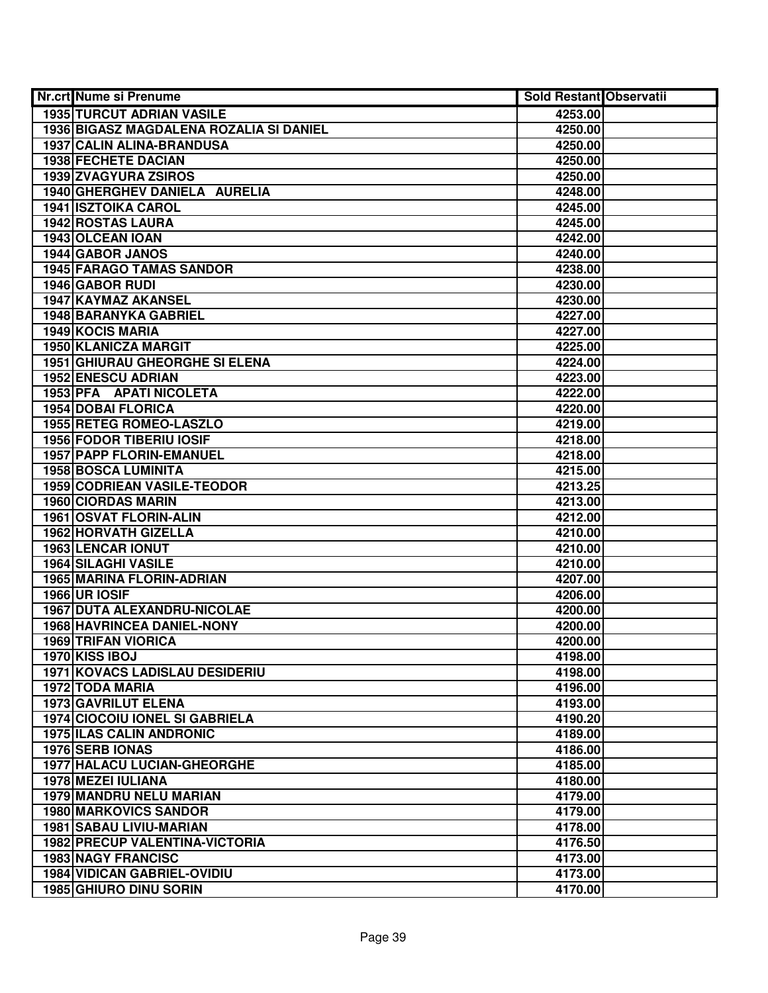| <b>Nr.crt Nume si Prenume</b>           | Sold Restant Observatii |  |
|-----------------------------------------|-------------------------|--|
| <b>1935 TURCUT ADRIAN VASILE</b>        | 4253.00                 |  |
| 1936 BIGASZ MAGDALENA ROZALIA SI DANIEL | 4250.00                 |  |
| 1937 CALIN ALINA-BRANDUSA               | 4250.00                 |  |
| 1938 FECHETE DACIAN                     | 4250.00                 |  |
| 1939 ZVAGYURA ZSIROS                    | 4250.00                 |  |
| 1940 GHERGHEV DANIELA AURELIA           | 4248.00                 |  |
| <b>1941 ISZTOIKA CAROL</b>              | 4245.00                 |  |
| <b>1942 ROSTAS LAURA</b>                | 4245.00                 |  |
| 1943 OLCEAN IOAN                        | 4242.00                 |  |
| 1944 GABOR JANOS                        | 4240.00                 |  |
| <b>1945 FARAGO TAMAS SANDOR</b>         | 4238.00                 |  |
| 1946 GABOR RUDI                         | 4230.00                 |  |
| <b>1947 KAYMAZ AKANSEL</b>              | 4230.00                 |  |
| <b>1948 BARANYKA GABRIEL</b>            | 4227.00                 |  |
| 1949 KOCIS MARIA                        | 4227.00                 |  |
| 1950 KLANICZA MARGIT                    | 4225.00                 |  |
| <b>1951 GHIURAU GHEORGHE SI ELENA</b>   | 4224.00                 |  |
| <b>1952 ENESCU ADRIAN</b>               | 4223.00                 |  |
| 1953 PFA APATI NICOLETA                 | 4222.00                 |  |
| <b>1954 DOBAI FLORICA</b>               | 4220.00                 |  |
| 1955 RETEG ROMEO-LASZLO                 | 4219.00                 |  |
| <b>1956 FODOR TIBERIU IOSIF</b>         | 4218.00                 |  |
| 1957 PAPP FLORIN-EMANUEL                | 4218.00                 |  |
| 1958 BOSCA LUMINITA                     | 4215.00                 |  |
| 1959 CODRIEAN VASILE-TEODOR             | 4213.25                 |  |
| <b>1960 CIORDAS MARIN</b>               | 4213.00                 |  |
| 1961 OSVAT FLORIN-ALIN                  | 4212.00                 |  |
| 1962 HORVATH GIZELLA                    | 4210.00                 |  |
| 1963 LENCAR IONUT                       | 4210.00                 |  |
| 1964 SILAGHI VASILE                     | 4210.00                 |  |
| 1965 MARINA FLORIN-ADRIAN               | 4207.00                 |  |
| <b>1966 UR IOSIF</b>                    | 4206.00                 |  |
| 1967 DUTA ALEXANDRU-NICOLAE             | 4200.00                 |  |
| 1968 HAVRINCEA DANIEL-NONY              | 4200.00                 |  |
| <b>1969 TRIFAN VIORICA</b>              | 4200.00                 |  |
| 1970 KISS IBOJ                          | 4198.00                 |  |
| <b>1971 KOVACS LADISLAU DESIDERIU</b>   | 4198.00                 |  |
| <b>1972 TODA MARIA</b>                  | 4196.00                 |  |
| 1973 GAVRILUT ELENA                     | 4193.00                 |  |
| <b>1974 CIOCOIU IONEL SI GABRIELA</b>   | 4190.20                 |  |
| <b>1975 ILAS CALIN ANDRONIC</b>         | 4189.00                 |  |
| 1976 SERB IONAS                         | 4186.00                 |  |
| <b>1977 HALACU LUCIAN-GHEORGHE</b>      | 4185.00                 |  |
| 1978 MEZEI IULIANA                      | 4180.00                 |  |
| <b>1979 MANDRU NELU MARIAN</b>          | 4179.00                 |  |
| 1980 MARKOVICS SANDOR                   | 4179.00                 |  |
| 1981 SABAU LIVIU-MARIAN                 | 4178.00                 |  |
| 1982 PRECUP VALENTINA-VICTORIA          | 4176.50                 |  |
| <b>1983 NAGY FRANCISC</b>               | 4173.00                 |  |
| <b>1984 VIDICAN GABRIEL-OVIDIU</b>      | 4173.00                 |  |
| 1985 GHIURO DINU SORIN                  | 4170.00                 |  |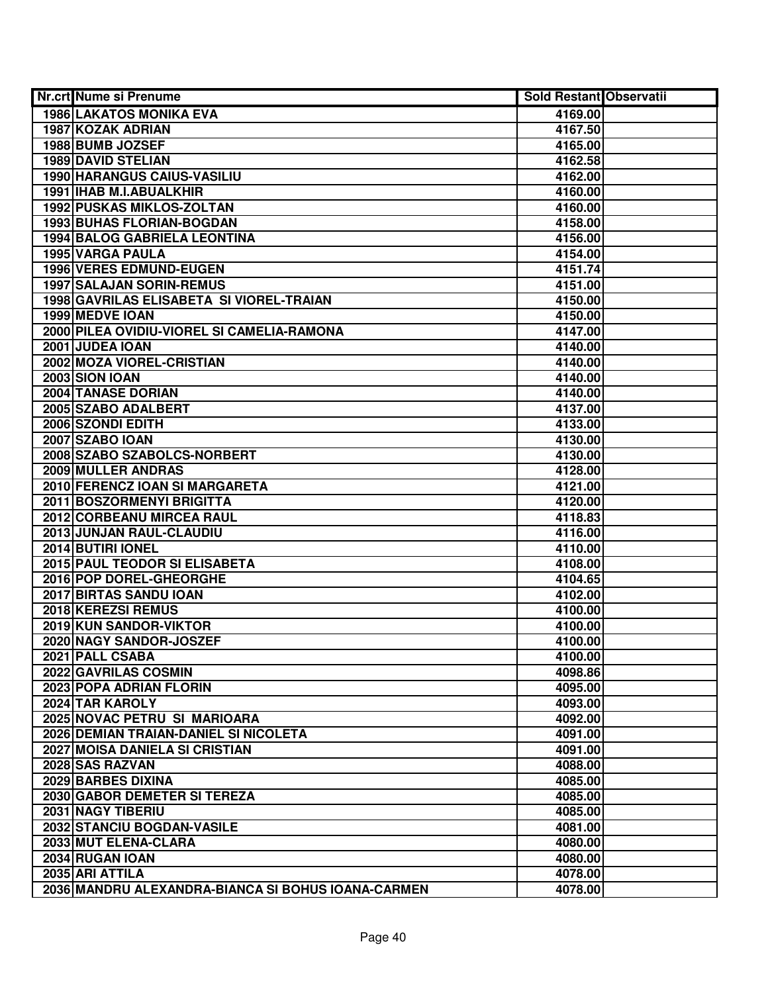| Nr.crt Nume si Prenume                             | <b>Sold Restant Observatii</b> |  |
|----------------------------------------------------|--------------------------------|--|
| <b>1986 LAKATOS MONIKA EVA</b>                     | 4169.00                        |  |
| 1987 KOZAK ADRIAN                                  | 4167.50                        |  |
| 1988 BUMB JOZSEF                                   | 4165.00                        |  |
| 1989 DAVID STELIAN                                 | 4162.58                        |  |
| 1990 HARANGUS CAIUS-VASILIU                        | 4162.00                        |  |
| 1991   IHAB M.I.ABUALKHIR                          | 4160.00                        |  |
| <b>1992 PUSKAS MIKLOS-ZOLTAN</b>                   | 4160.00                        |  |
| 1993 BUHAS FLORIAN-BOGDAN                          | 4158.00                        |  |
| <b>1994 BALOG GABRIELA LEONTINA</b>                | 4156.00                        |  |
| 1995 VARGA PAULA                                   | 4154.00                        |  |
| <b>1996 VERES EDMUND-EUGEN</b>                     | 4151.74                        |  |
| 1997 SALAJAN SORIN-REMUS                           | 4151.00                        |  |
| 1998 GAVRILAS ELISABETA SI VIOREL-TRAIAN           | 4150.00                        |  |
| 1999 MEDVE IOAN                                    | 4150.00                        |  |
| 2000 PILEA OVIDIU-VIOREL SI CAMELIA-RAMONA         | 4147.00                        |  |
| 2001 JUDEA IOAN                                    | 4140.00                        |  |
| 2002 MOZA VIOREL-CRISTIAN                          | 4140.00                        |  |
| 2003 SION IOAN                                     | 4140.00                        |  |
| 2004 TANASE DORIAN                                 | 4140.00                        |  |
| 2005 SZABO ADALBERT                                | 4137.00                        |  |
| 2006 SZONDI EDITH                                  | 4133.00                        |  |
| 2007 SZABO IOAN                                    | 4130.00                        |  |
| 2008 SZABO SZABOLCS-NORBERT                        | 4130.00                        |  |
| 2009 MULLER ANDRAS                                 | 4128.00                        |  |
| 2010 FERENCZ IOAN SI MARGARETA                     | 4121.00                        |  |
| 2011 BOSZORMENYI BRIGITTA                          | 4120.00                        |  |
| 2012 CORBEANU MIRCEA RAUL                          | 4118.83                        |  |
| 2013 JUNJAN RAUL-CLAUDIU                           | 4116.00                        |  |
| 2014 BUTIRI IONEL                                  | 4110.00                        |  |
| 2015 PAUL TEODOR SI ELISABETA                      | 4108.00                        |  |
| 2016 POP DOREL-GHEORGHE                            | 4104.65                        |  |
| 2017 BIRTAS SANDU IOAN                             | 4102.00                        |  |
| 2018 KEREZSI REMUS                                 | 4100.00                        |  |
| 2019 KUN SANDOR-VIKTOR                             | 4100.00                        |  |
| 2020 NAGY SANDOR-JOSZEF                            | 4100.00                        |  |
| 2021 PALL CSABA                                    | 4100.00                        |  |
| 2022 GAVRILAS COSMIN                               | 4098.86                        |  |
| 2023 POPA ADRIAN FLORIN                            | 4095.00                        |  |
| 2024 TAR KAROLY                                    | 4093.00                        |  |
| 2025 NOVAC PETRU SI MARIOARA                       | 4092.00                        |  |
| 2026 DEMIAN TRAIAN-DANIEL SI NICOLETA              | 4091.00                        |  |
| <b>2027 MOISA DANIELA SI CRISTIAN</b>              | 4091.00                        |  |
| 2028 SAS RAZVAN                                    | 4088.00                        |  |
| 2029 BARBES DIXINA                                 | 4085.00                        |  |
| 2030 GABOR DEMETER SI TEREZA                       | 4085.00                        |  |
| 2031 NAGY TIBERIU                                  | 4085.00                        |  |
| 2032 STANCIU BOGDAN-VASILE                         | 4081.00                        |  |
| 2033 MUT ELENA-CLARA                               | 4080.00                        |  |
| 2034 RUGAN IOAN                                    | 4080.00                        |  |
| 2035 ARI ATTILA                                    | 4078.00                        |  |
| 2036 MANDRU ALEXANDRA-BIANCA SI BOHUS IOANA-CARMEN | 4078.00                        |  |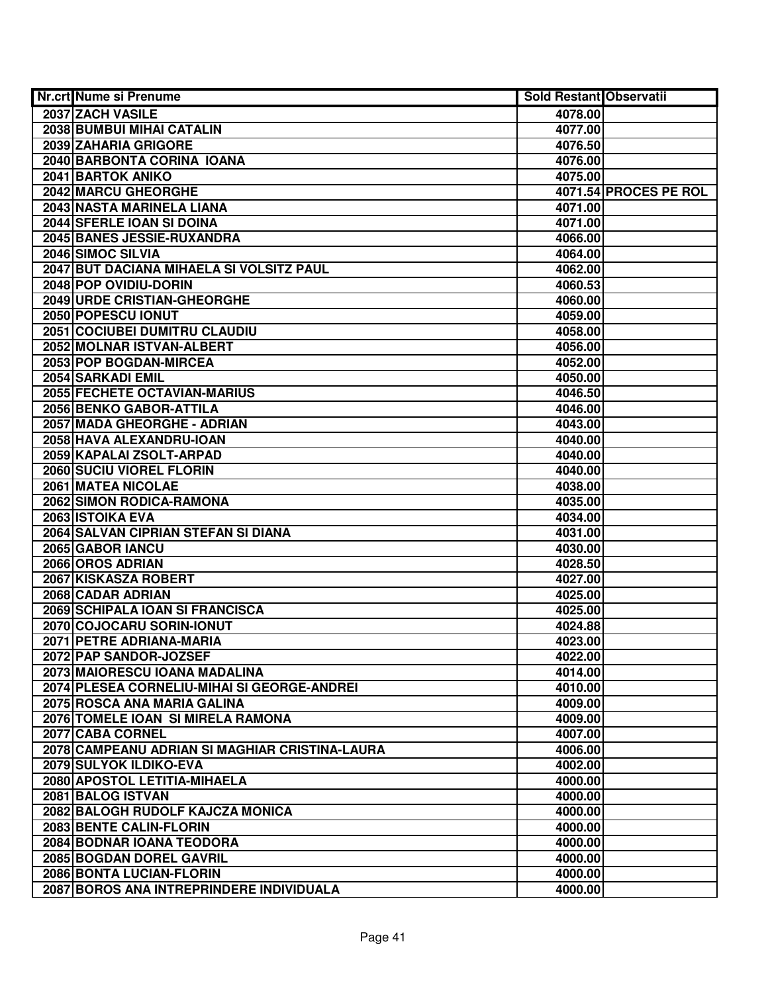| Nr.crt Nume si Prenume                         | <b>Sold Restant Observatii</b> |                       |
|------------------------------------------------|--------------------------------|-----------------------|
| 2037 ZACH VASILE                               | 4078.00                        |                       |
| <b>2038 BUMBUI MIHAI CATALIN</b>               | 4077.00                        |                       |
| 2039 ZAHARIA GRIGORE                           | 4076.50                        |                       |
| 2040 BARBONTA CORINA IOANA                     | 4076.00                        |                       |
| 2041 BARTOK ANIKO                              | 4075.00                        |                       |
| 2042 MARCU GHEORGHE                            |                                | 4071.54 PROCES PE ROL |
| 2043 NASTA MARINELA LIANA                      | 4071.00                        |                       |
| 2044 SFERLE IOAN SI DOINA                      | 4071.00                        |                       |
| 2045 BANES JESSIE-RUXANDRA                     | 4066.00                        |                       |
| 2046 SIMOC SILVIA                              | 4064.00                        |                       |
| 2047 BUT DACIANA MIHAELA SI VOLSITZ PAUL       | 4062.00                        |                       |
| 2048 POP OVIDIU-DORIN                          | 4060.53                        |                       |
| 2049 URDE CRISTIAN-GHEORGHE                    | 4060.00                        |                       |
| 2050 POPESCU IONUT                             | 4059.00                        |                       |
| 2051 COCIUBEI DUMITRU CLAUDIU                  | 4058.00                        |                       |
| 2052 MOLNAR ISTVAN-ALBERT                      | 4056.00                        |                       |
| 2053 POP BOGDAN-MIRCEA                         | 4052.00                        |                       |
| 2054 SARKADI EMIL                              | 4050.00                        |                       |
| 2055 FECHETE OCTAVIAN-MARIUS                   | 4046.50                        |                       |
| 2056 BENKO GABOR-ATTILA                        | 4046.00                        |                       |
| 2057 MADA GHEORGHE - ADRIAN                    | 4043.00                        |                       |
| 2058 HAVA ALEXANDRU-IOAN                       | 4040.00                        |                       |
| 2059 KAPALAI ZSOLT-ARPAD                       | 4040.00                        |                       |
| 2060 SUCIU VIOREL FLORIN                       | 4040.00                        |                       |
| 2061 MATEA NICOLAE                             | 4038.00                        |                       |
| 2062 SIMON RODICA-RAMONA                       | 4035.00                        |                       |
| 2063 ISTOIKA EVA                               | 4034.00                        |                       |
| 2064 SALVAN CIPRIAN STEFAN SI DIANA            | 4031.00                        |                       |
| 2065 GABOR IANCU                               | 4030.00                        |                       |
| 2066 OROS ADRIAN                               | 4028.50                        |                       |
| 2067 KISKASZA ROBERT                           | 4027.00                        |                       |
| 2068 CADAR ADRIAN                              | 4025.00                        |                       |
| 2069 SCHIPALA IOAN SI FRANCISCA                | 4025.00                        |                       |
| 2070 COJOCARU SORIN-IONUT                      | 4024.88                        |                       |
| 2071 PETRE ADRIANA-MARIA                       | 4023.00                        |                       |
| 2072 PAP SANDOR-JOZSEF                         | 4022.00                        |                       |
| 2073 MAIORESCU IOANA MADALINA                  | 4014.00                        |                       |
| 2074 PLESEA CORNELIU-MIHAI SI GEORGE-ANDREI    | 4010.00                        |                       |
| 2075 ROSCA ANA MARIA GALINA                    | 4009.00                        |                       |
| 2076 TOMELE IOAN SI MIRELA RAMONA              | 4009.00                        |                       |
| 2077 CABA CORNEL                               | 4007.00                        |                       |
| 2078 CAMPEANU ADRIAN SI MAGHIAR CRISTINA-LAURA | 4006.00                        |                       |
| 2079 SULYOK ILDIKO-EVA                         | 4002.00                        |                       |
| 2080 APOSTOL LETITIA-MIHAELA                   | 4000.00                        |                       |
| 2081 BALOG ISTVAN                              | 4000.00                        |                       |
| 2082 BALOGH RUDOLF KAJCZA MONICA               | 4000.00                        |                       |
| 2083 BENTE CALIN-FLORIN                        | 4000.00                        |                       |
| 2084 BODNAR IOANA TEODORA                      | 4000.00                        |                       |
| 2085 BOGDAN DOREL GAVRIL                       | 4000.00                        |                       |
| 2086 BONTA LUCIAN-FLORIN                       | 4000.00                        |                       |
| 2087 BOROS ANA INTREPRINDERE INDIVIDUALA       | 4000.00                        |                       |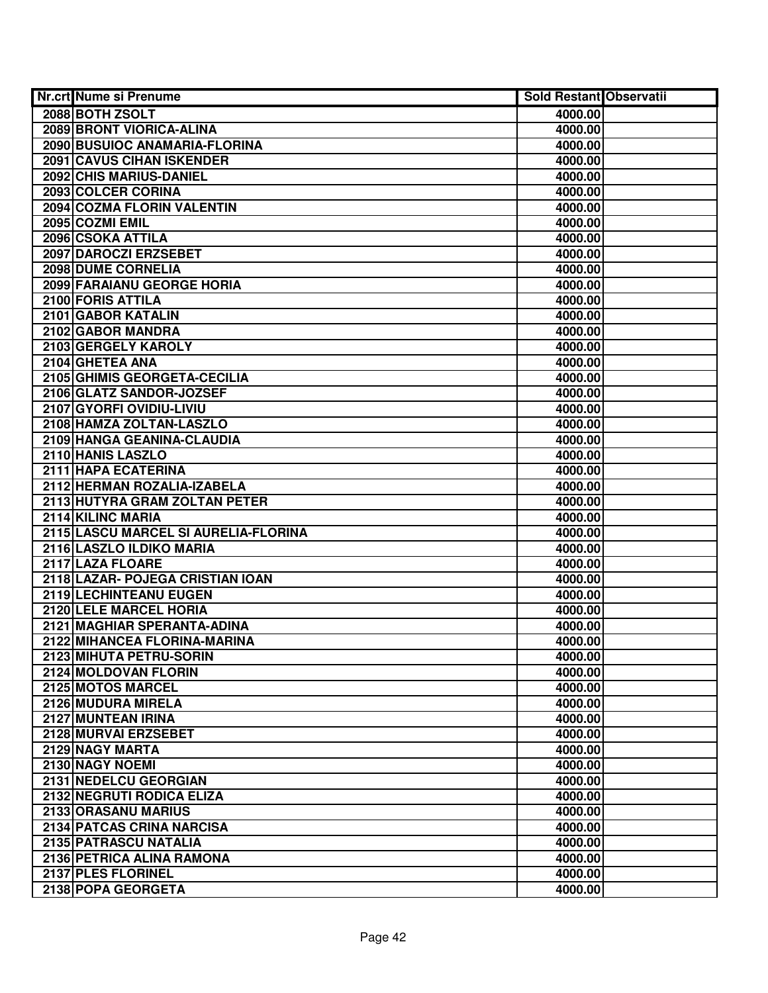| <b>Nr.crt Nume si Prenume</b>        | <b>Sold Restant Observatii</b> |  |
|--------------------------------------|--------------------------------|--|
| 2088 BOTH ZSOLT                      | 4000.00                        |  |
| 2089 BRONT VIORICA-ALINA             | 4000.00                        |  |
| 2090 BUSUIOC ANAMARIA-FLORINA        | 4000.00                        |  |
| <b>2091 CAVUS CIHAN ISKENDER</b>     | 4000.00                        |  |
| 2092 CHIS MARIUS-DANIEL              | 4000.00                        |  |
| 2093 COLCER CORINA                   | 4000.00                        |  |
| 2094 COZMA FLORIN VALENTIN           | 4000.00                        |  |
| 2095 COZMI EMIL                      | 4000.00                        |  |
| 2096 CSOKA ATTILA                    | 4000.00                        |  |
| 2097 DAROCZI ERZSEBET                | 4000.00                        |  |
| 2098 DUME CORNELIA                   | 4000.00                        |  |
| <b>2099 FARAIANU GEORGE HORIA</b>    | 4000.00                        |  |
| 2100 FORIS ATTILA                    | 4000.00                        |  |
| 2101 GABOR KATALIN                   | 4000.00                        |  |
| 2102 GABOR MANDRA                    | 4000.00                        |  |
| 2103 GERGELY KAROLY                  | 4000.00                        |  |
| 2104 GHETEA ANA                      | 4000.00                        |  |
| 2105 GHIMIS GEORGETA-CECILIA         | 4000.00                        |  |
| 2106 GLATZ SANDOR-JOZSEF             | 4000.00                        |  |
| 2107 GYORFI OVIDIU-LIVIU             | 4000.00                        |  |
| 2108 HAMZA ZOLTAN-LASZLO             | 4000.00                        |  |
| 2109 HANGA GEANINA-CLAUDIA           | 4000.00                        |  |
| 2110 HANIS LASZLO                    | 4000.00                        |  |
| 2111 HAPA ECATERINA                  | 4000.00                        |  |
| 2112 HERMAN ROZALIA-IZABELA          | 4000.00                        |  |
| 2113 HUTYRA GRAM ZOLTAN PETER        | 4000.00                        |  |
| 2114 KILINC MARIA                    | 4000.00                        |  |
| 2115 LASCU MARCEL SI AURELIA-FLORINA | 4000.00                        |  |
| 2116 LASZLO ILDIKO MARIA             | 4000.00                        |  |
| 2117 LAZA FLOARE                     | 4000.00                        |  |
| 2118 LAZAR- POJEGA CRISTIAN IOAN     | 4000.00                        |  |
| 2119 LECHINTEANU EUGEN               | 4000.00                        |  |
| 2120 LELE MARCEL HORIA               | 4000.00                        |  |
| 2121 MAGHIAR SPERANTA-ADINA          | 4000.00                        |  |
| 2122 MIHANCEA FLORINA-MARINA         | 4000.00                        |  |
| 2123 MIHUTA PETRU-SORIN              | 4000.00                        |  |
| 2124 MOLDOVAN FLORIN                 | 4000.00                        |  |
| 2125 MOTOS MARCEL                    | 4000.00                        |  |
| 2126 MUDURA MIRELA                   | 4000.00                        |  |
| 2127 MUNTEAN IRINA                   | 4000.00                        |  |
| 2128 MURVAI ERZSEBET                 | 4000.00                        |  |
| 2129 NAGY MARTA                      | 4000.00                        |  |
| 2130 NAGY NOEMI                      | 4000.00                        |  |
| 2131 NEDELCU GEORGIAN                | 4000.00                        |  |
| 2132 NEGRUTI RODICA ELIZA            | 4000.00                        |  |
| 2133 ORASANU MARIUS                  | 4000.00                        |  |
| 2134 PATCAS CRINA NARCISA            | 4000.00                        |  |
| 2135 PATRASCU NATALIA                | 4000.00                        |  |
| 2136 PETRICA ALINA RAMONA            | 4000.00                        |  |
| 2137 PLES FLORINEL                   | 4000.00                        |  |
| 2138 POPA GEORGETA                   | 4000.00                        |  |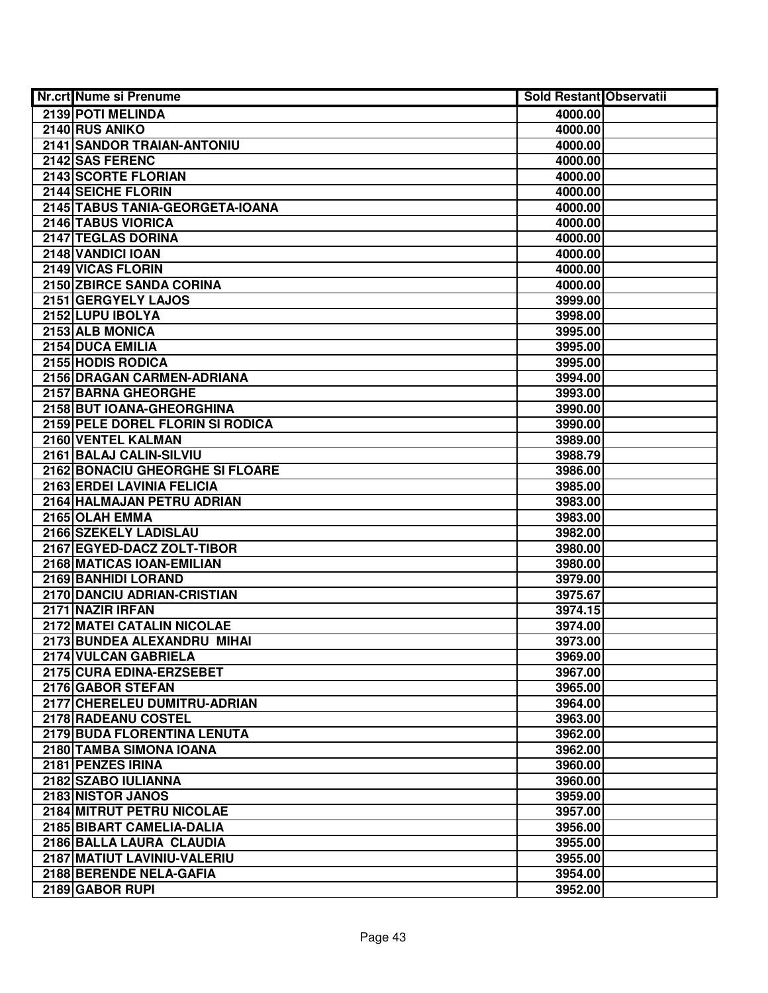| <b>Nr.crt Nume si Prenume</b>      | <b>Sold Restant Observatii</b> |  |
|------------------------------------|--------------------------------|--|
| 2139 POTI MELINDA                  | 4000.00                        |  |
| 2140 RUS ANIKO                     | 4000.00                        |  |
| <b>2141 SANDOR TRAIAN-ANTONIU</b>  | 4000.00                        |  |
| 2142 SAS FERENC                    | 4000.00                        |  |
| 2143 SCORTE FLORIAN                | 4000.00                        |  |
| 2144 SEICHE FLORIN                 | 4000.00                        |  |
| 2145 TABUS TANIA-GEORGETA-IOANA    | 4000.00                        |  |
| 2146 TABUS VIORICA                 | 4000.00                        |  |
| <b>2147 TEGLAS DORINA</b>          | 4000.00                        |  |
| 2148 VANDICI IOAN                  | 4000.00                        |  |
| 2149 VICAS FLORIN                  | 4000.00                        |  |
| 2150 ZBIRCE SANDA CORINA           | 4000.00                        |  |
| 2151 GERGYELY LAJOS                | 3999.00                        |  |
| 2152 LUPU IBOLYA                   | 3998.00                        |  |
| 2153 ALB MONICA                    | 3995.00                        |  |
| 2154 DUCA EMILIA                   | 3995.00                        |  |
| 2155 HODIS RODICA                  | 3995.00                        |  |
| 2156 DRAGAN CARMEN-ADRIANA         | 3994.00                        |  |
| 2157 BARNA GHEORGHE                | 3993.00                        |  |
| 2158 BUT IOANA-GHEORGHINA          | 3990.00                        |  |
| 2159 PELE DOREL FLORIN SI RODICA   | 3990.00                        |  |
| 2160 VENTEL KALMAN                 | 3989.00                        |  |
| 2161 BALAJ CALIN-SILVIU            | 3988.79                        |  |
| 2162 BONACIU GHEORGHE SI FLOARE    | 3986.00                        |  |
| 2163 ERDEI LAVINIA FELICIA         | 3985.00                        |  |
| 2164 HALMAJAN PETRU ADRIAN         | 3983.00                        |  |
| 2165 OLAH EMMA                     | 3983.00                        |  |
| 2166 SZEKELY LADISLAU              | 3982.00                        |  |
| 2167 EGYED-DACZ ZOLT-TIBOR         | 3980.00                        |  |
| 2168 MATICAS IOAN-EMILIAN          | 3980.00                        |  |
| 2169 BANHIDI LORAND                | 3979.00                        |  |
| 2170 DANCIU ADRIAN-CRISTIAN        | 3975.67                        |  |
| 2171 NAZIR IRFAN                   | 3974.15                        |  |
| 2172 MATEI CATALIN NICOLAE         | 3974.00                        |  |
| 2173 BUNDEA ALEXANDRU MIHAI        | 3973.00                        |  |
| 2174 VULCAN GABRIELA               | 3969.00                        |  |
| 2175 CURA EDINA-ERZSEBET           | 3967.00                        |  |
| 2176 GABOR STEFAN                  | 3965.00                        |  |
| 2177 CHERELEU DUMITRU-ADRIAN       | 3964.00                        |  |
| 2178 RADEANU COSTEL                | 3963.00                        |  |
| <b>2179 BUDA FLORENTINA LENUTA</b> | 3962.00                        |  |
| 2180 TAMBA SIMONA IOANA            | 3962.00                        |  |
| 2181 PENZES IRINA                  | 3960.00                        |  |
| 2182 SZABO IULIANNA                | 3960.00                        |  |
| 2183 NISTOR JANOS                  | 3959.00                        |  |
| 2184 MITRUT PETRU NICOLAE          | 3957.00                        |  |
| 2185 BIBART CAMELIA-DALIA          | 3956.00                        |  |
| 2186 BALLA LAURA CLAUDIA           | 3955.00                        |  |
| 2187 MATIUT LAVINIU-VALERIU        | 3955.00                        |  |
| 2188 BERENDE NELA-GAFIA            | 3954.00                        |  |
| 2189 GABOR RUPI                    | 3952.00                        |  |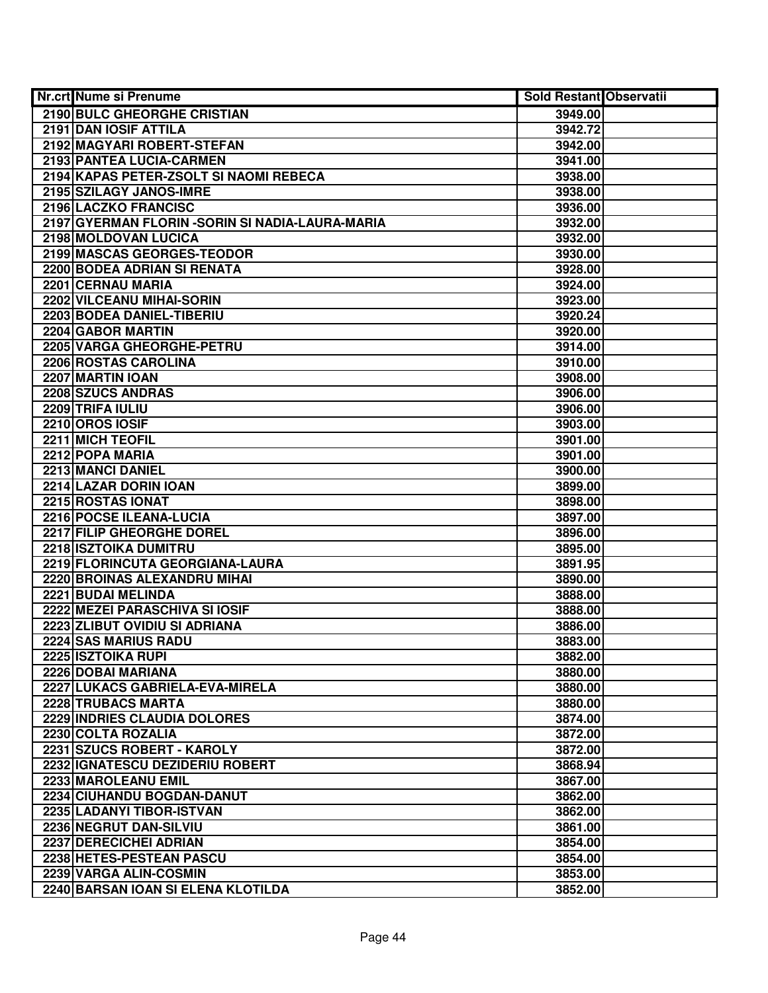| <b>Nr.crt Nume si Prenume</b>                    | <b>Sold Restant Observatii</b> |  |
|--------------------------------------------------|--------------------------------|--|
| 2190 BULC GHEORGHE CRISTIAN                      | 3949.00                        |  |
| 2191 DAN IOSIF ATTILA                            | 3942.72                        |  |
| 2192 MAGYARI ROBERT-STEFAN                       | 3942.00                        |  |
| 2193 PANTEA LUCIA-CARMEN                         | 3941.00                        |  |
| 2194 KAPAS PETER-ZSOLT SI NAOMI REBECA           | 3938.00                        |  |
| 2195 SZILAGY JANOS-IMRE                          | 3938.00                        |  |
| 2196 LACZKO FRANCISC                             | 3936.00                        |  |
| 2197 GYERMAN FLORIN - SORIN SI NADIA-LAURA-MARIA | 3932.00                        |  |
| 2198 MOLDOVAN LUCICA                             | 3932.00                        |  |
| 2199 MASCAS GEORGES-TEODOR                       | 3930.00                        |  |
| 2200 BODEA ADRIAN SI RENATA                      | 3928.00                        |  |
| 2201 CERNAU MARIA                                | 3924.00                        |  |
| 2202 VILCEANU MIHAI-SORIN                        | 3923.00                        |  |
| 2203 BODEA DANIEL-TIBERIU                        | 3920.24                        |  |
| 2204 GABOR MARTIN                                | 3920.00                        |  |
| 2205 VARGA GHEORGHE-PETRU                        | 3914.00                        |  |
| 2206 ROSTAS CAROLINA                             | 3910.00                        |  |
| 2207 MARTIN IOAN                                 | 3908.00                        |  |
| 2208 SZUCS ANDRAS                                | 3906.00                        |  |
| 2209 TRIFA IULIU                                 | 3906.00                        |  |
| 2210 OROS IOSIF                                  | 3903.00                        |  |
| 2211 MICH TEOFIL                                 | 3901.00                        |  |
| 2212 POPA MARIA                                  | 3901.00                        |  |
| 2213 MANCI DANIEL                                | 3900.00                        |  |
| 2214 LAZAR DORIN IOAN                            | 3899.00                        |  |
| 2215 ROSTAS IONAT                                | 3898.00                        |  |
| 2216 POCSE ILEANA-LUCIA                          | 3897.00                        |  |
| 2217 FILIP GHEORGHE DOREL                        | 3896.00                        |  |
| 2218 ISZTOIKA DUMITRU                            | 3895.00                        |  |
| 2219 FLORINCUTA GEORGIANA-LAURA                  | 3891.95                        |  |
| 2220 BROINAS ALEXANDRU MIHAI                     | 3890.00                        |  |
| 2221 BUDAI MELINDA                               | 3888.00                        |  |
| 2222 MEZEI PARASCHIVA SI IOSIF                   | 3888.00                        |  |
| 2223 ZLIBUT OVIDIU SI ADRIANA                    | 3886.00                        |  |
| 2224 SAS MARIUS RADU                             | 3883.00                        |  |
| 2225 ISZTOIKA RUPI                               | 3882.00                        |  |
| 2226 DOBAI MARIANA                               | 3880.00                        |  |
| 2227 LUKACS GABRIELA-EVA-MIRELA                  | 3880.00                        |  |
| 2228 TRUBACS MARTA                               | 3880.00                        |  |
| 2229 INDRIES CLAUDIA DOLORES                     | 3874.00                        |  |
| 2230 COLTA ROZALIA                               | 3872.00                        |  |
| 2231 SZUCS ROBERT - KAROLY                       | 3872.00                        |  |
| 2232 IGNATESCU DEZIDERIU ROBERT                  | 3868.94                        |  |
| 2233 MAROLEANU EMIL                              | 3867.00                        |  |
| 2234 CIUHANDU BOGDAN-DANUT                       | 3862.00                        |  |
| 2235 LADANYI TIBOR-ISTVAN                        | 3862.00                        |  |
| 2236 NEGRUT DAN-SILVIU                           | 3861.00                        |  |
| 2237 DERECICHEI ADRIAN                           | 3854.00                        |  |
| 2238 HETES-PESTEAN PASCU                         | 3854.00                        |  |
| 2239 VARGA ALIN-COSMIN                           | 3853.00                        |  |
| 2240 BARSAN IOAN SI ELENA KLOTILDA               | 3852.00                        |  |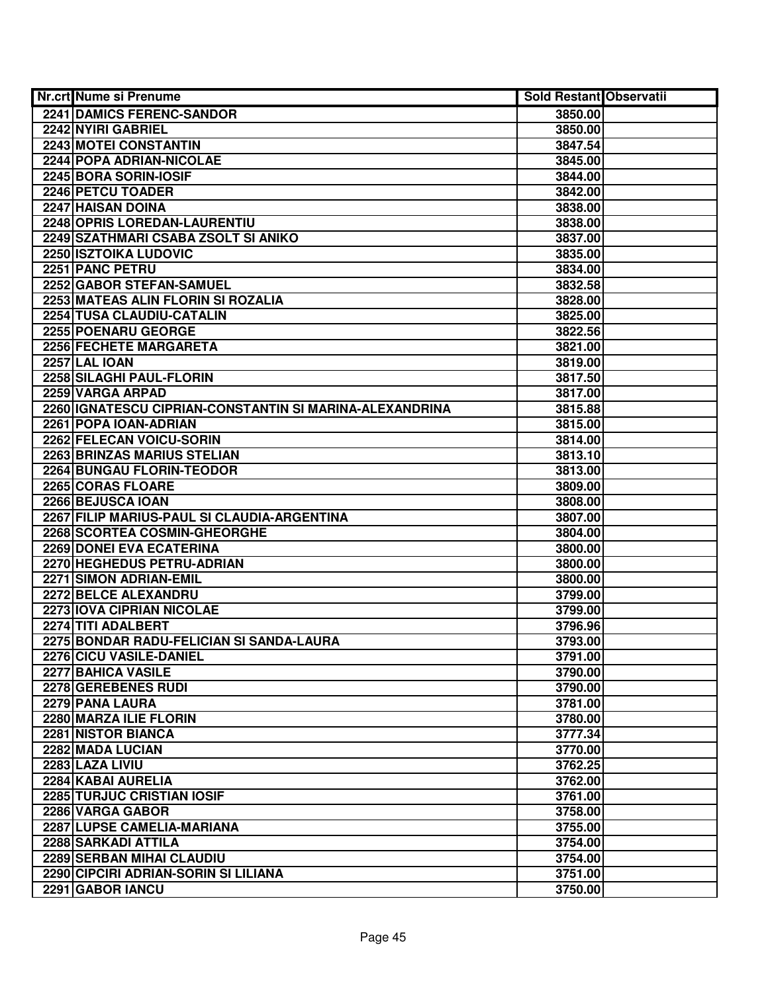| Nr.crt Nume si Prenume                                  | <b>Sold Restant Observatii</b> |  |
|---------------------------------------------------------|--------------------------------|--|
| <b>2241 DAMICS FERENC-SANDOR</b>                        | 3850.00                        |  |
| 2242 NYIRI GABRIEL                                      | 3850.00                        |  |
| 2243 MOTEI CONSTANTIN                                   | 3847.54                        |  |
| 2244 POPA ADRIAN-NICOLAE                                | 3845.00                        |  |
| 2245 BORA SORIN-IOSIF                                   | 3844.00                        |  |
| 2246 PETCU TOADER                                       | 3842.00                        |  |
| 2247 HAISAN DOINA                                       | 3838.00                        |  |
| 2248 OPRIS LOREDAN-LAURENTIU                            | 3838.00                        |  |
| 2249 SZATHMARI CSABA ZSOLT SI ANIKO                     | 3837.00                        |  |
| <b>2250 ISZTOIKA LUDOVIC</b>                            | 3835.00                        |  |
| 2251 PANC PETRU                                         | 3834.00                        |  |
| 2252 GABOR STEFAN-SAMUEL                                | 3832.58                        |  |
| 2253 MATEAS ALIN FLORIN SI ROZALIA                      | 3828.00                        |  |
| 2254 TUSA CLAUDIU-CATALIN                               | 3825.00                        |  |
| 2255 POENARU GEORGE                                     | 3822.56                        |  |
| 2256 FECHETE MARGARETA                                  | 3821.00                        |  |
| 2257 LAL IOAN                                           | 3819.00                        |  |
| 2258 SILAGHI PAUL-FLORIN                                | 3817.50                        |  |
| 2259 VARGA ARPAD                                        | 3817.00                        |  |
| 2260 IGNATESCU CIPRIAN-CONSTANTIN SI MARINA-ALEXANDRINA | 3815.88                        |  |
| 2261 POPA IOAN-ADRIAN                                   | 3815.00                        |  |
| 2262 FELECAN VOICU-SORIN                                | 3814.00                        |  |
| 2263 BRINZAS MARIUS STELIAN                             | 3813.10                        |  |
| 2264 BUNGAU FLORIN-TEODOR                               | 3813.00                        |  |
| 2265 CORAS FLOARE                                       | 3809.00                        |  |
| 2266 BEJUSCA IOAN                                       | 3808.00                        |  |
| 2267 FILIP MARIUS-PAUL SI CLAUDIA-ARGENTINA             | 3807.00                        |  |
| 2268 SCORTEA COSMIN-GHEORGHE                            | 3804.00                        |  |
| 2269 DONEI EVA ECATERINA                                | 3800.00                        |  |
| 2270 HEGHEDUS PETRU-ADRIAN                              | 3800.00                        |  |
| 2271 SIMON ADRIAN-EMIL                                  | 3800.00                        |  |
| 2272 BELCE ALEXANDRU                                    | 3799.00                        |  |
| 2273 IOVA CIPRIAN NICOLAE                               | 3799.00                        |  |
| 2274 TITI ADALBERT                                      | 3796.96                        |  |
| 2275 BONDAR RADU-FELICIAN SI SANDA-LAURA                | 3793.00                        |  |
| 2276 CICU VASILE-DANIEL                                 | 3791.00                        |  |
| 2277 BAHICA VASILE                                      | 3790.00                        |  |
| 2278 GEREBENES RUDI                                     | 3790.00                        |  |
| 2279 PANA LAURA                                         | 3781.00                        |  |
| 2280 MARZA ILIE FLORIN                                  | 3780.00                        |  |
| <b>2281 NISTOR BIANCA</b>                               | 3777.34                        |  |
| 2282 MADA LUCIAN                                        | 3770.00                        |  |
| 2283 LAZA LIVIU                                         | 3762.25                        |  |
| 2284 KABAI AURELIA                                      | 3762.00                        |  |
| 2285 TURJUC CRISTIAN IOSIF                              | 3761.00                        |  |
| 2286 VARGA GABOR                                        | 3758.00                        |  |
| 2287 LUPSE CAMELIA-MARIANA                              | 3755.00                        |  |
| 2288 SARKADI ATTILA                                     | 3754.00                        |  |
| 2289 SERBAN MIHAI CLAUDIU                               | 3754.00                        |  |
| 2290 CIPCIRI ADRIAN-SORIN SI LILIANA                    | 3751.00                        |  |
| 2291 GABOR IANCU                                        | 3750.00                        |  |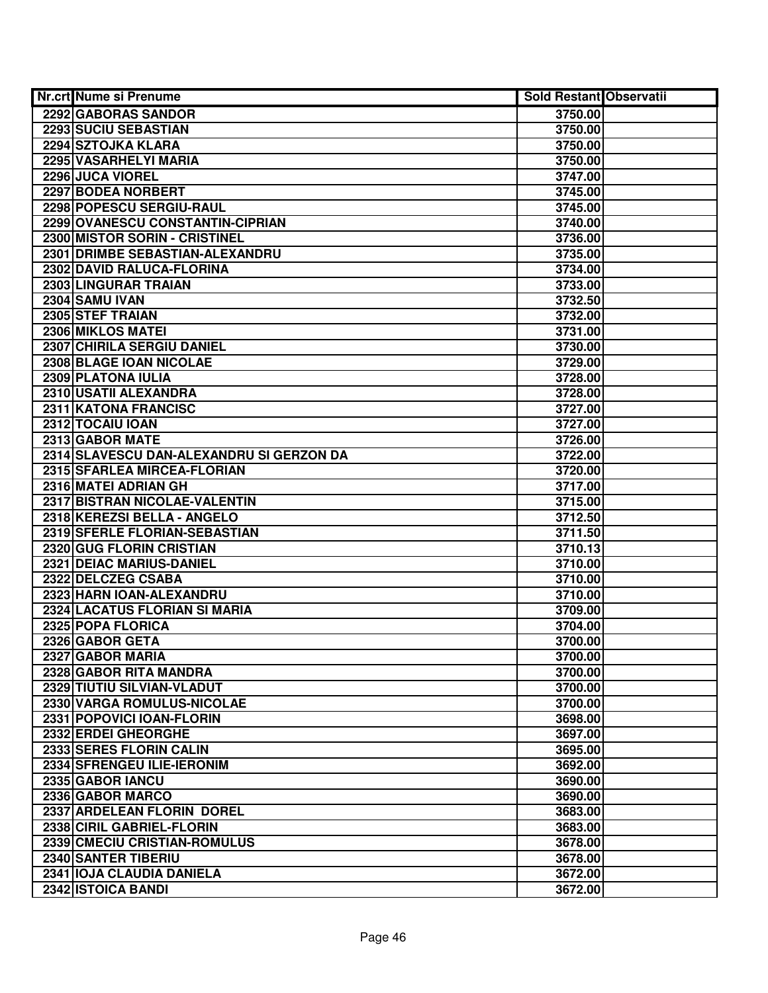| Nr.crt Nume si Prenume                   | <b>Sold Restant Observatii</b> |  |
|------------------------------------------|--------------------------------|--|
| 2292 GABORAS SANDOR                      | 3750.00                        |  |
| 2293 SUCIU SEBASTIAN                     | 3750.00                        |  |
| 2294 SZTOJKA KLARA                       | 3750.00                        |  |
| 2295 VASARHELYI MARIA                    | 3750.00                        |  |
| 2296 JUCA VIOREL                         | 3747.00                        |  |
| 2297 BODEA NORBERT                       | 3745.00                        |  |
| 2298 POPESCU SERGIU-RAUL                 | 3745.00                        |  |
| 2299 OVANESCU CONSTANTIN-CIPRIAN         | 3740.00                        |  |
| 2300 MISTOR SORIN - CRISTINEL            | 3736.00                        |  |
| 2301 DRIMBE SEBASTIAN-ALEXANDRU          | 3735.00                        |  |
| 2302 DAVID RALUCA-FLORINA                | 3734.00                        |  |
| 2303 LINGURAR TRAIAN                     | 3733.00                        |  |
| 2304 SAMU IVAN                           | 3732.50                        |  |
| 2305 STEF TRAIAN                         | 3732.00                        |  |
| 2306 MIKLOS MATEI                        | 3731.00                        |  |
| 2307 CHIRILA SERGIU DANIEL               | 3730.00                        |  |
| 2308 BLAGE IOAN NICOLAE                  | 3729.00                        |  |
| 2309 PLATONA IULIA                       | 3728.00                        |  |
| 2310 USATII ALEXANDRA                    | 3728.00                        |  |
| 2311 KATONA FRANCISC                     | 3727.00                        |  |
| 2312 TOCAIU IOAN                         | 3727.00                        |  |
| 2313 GABOR MATE                          | 3726.00                        |  |
| 2314 SLAVESCU DAN-ALEXANDRU SI GERZON DA | 3722.00                        |  |
| 2315 SFARLEA MIRCEA-FLORIAN              | 3720.00                        |  |
| 2316 MATEI ADRIAN GH                     | 3717.00                        |  |
| 2317 BISTRAN NICOLAE-VALENTIN            | 3715.00                        |  |
| 2318 KEREZSI BELLA - ANGELO              | 3712.50                        |  |
| 2319 SFERLE FLORIAN-SEBASTIAN            | 3711.50                        |  |
| 2320 GUG FLORIN CRISTIAN                 | 3710.13                        |  |
| 2321 DEIAC MARIUS-DANIEL                 | 3710.00                        |  |
| 2322 DELCZEG CSABA                       | 3710.00                        |  |
| 2323 HARN IOAN-ALEXANDRU                 | 3710.00                        |  |
| <b>2324 LACATUS FLORIAN SI MARIA</b>     | 3709.00                        |  |
| 2325 POPA FLORICA                        | 3704.00                        |  |
| 2326 GABOR GETA                          | 3700.00                        |  |
| 2327 GABOR MARIA                         | 3700.00                        |  |
| 2328 GABOR RITA MANDRA                   | 3700.00                        |  |
| 2329 TIUTIU SILVIAN-VLADUT               | 3700.00                        |  |
| 2330 VARGA ROMULUS-NICOLAE               | 3700.00                        |  |
| 2331 POPOVICI IOAN-FLORIN                | 3698.00                        |  |
| 2332 ERDEI GHEORGHE                      | 3697.00                        |  |
| 2333 SERES FLORIN CALIN                  | 3695.00                        |  |
| 2334 SFRENGEU ILIE-IERONIM               | 3692.00                        |  |
| 2335 GABOR IANCU                         | 3690.00                        |  |
| 2336 GABOR MARCO                         | 3690.00                        |  |
| 2337 ARDELEAN FLORIN DOREL               | 3683.00                        |  |
| 2338 CIRIL GABRIEL-FLORIN                | 3683.00                        |  |
| 2339 CMECIU CRISTIAN-ROMULUS             | 3678.00                        |  |
| 2340 SANTER TIBERIU                      | 3678.00                        |  |
| 2341 IOJA CLAUDIA DANIELA                | 3672.00                        |  |
| 2342 ISTOICA BANDI                       | 3672.00                        |  |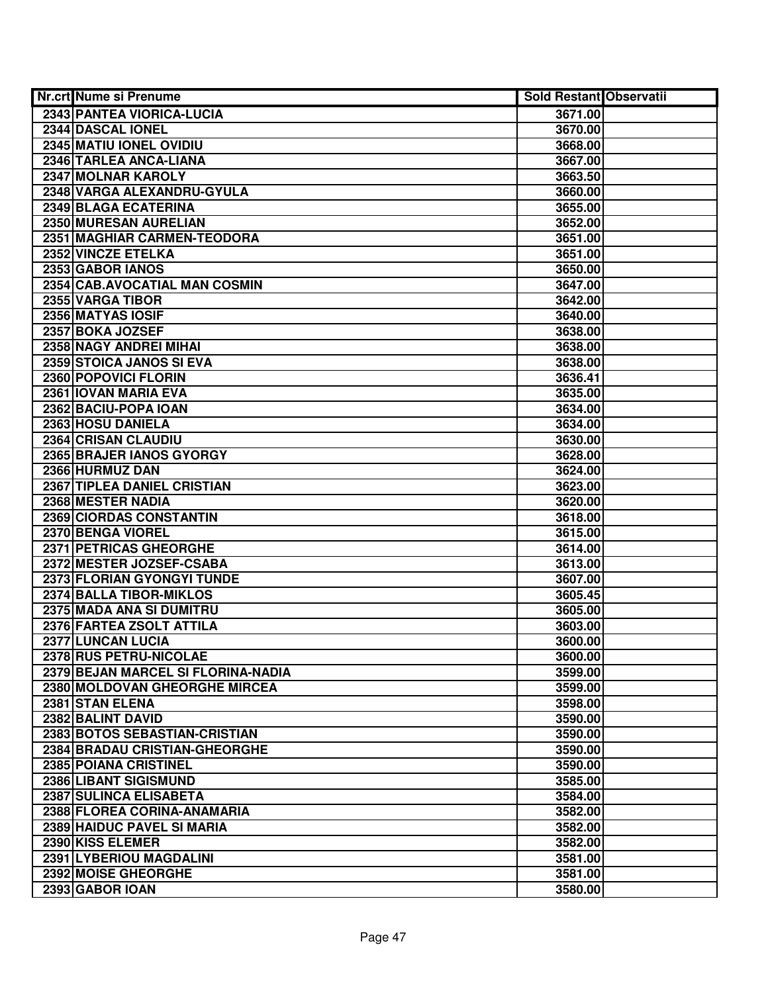| Nr.crt Nume si Prenume             | <b>Sold Restant Observatii</b> |  |
|------------------------------------|--------------------------------|--|
| 2343 PANTEA VIORICA-LUCIA          | 3671.00                        |  |
| 2344 DASCAL IONEL                  | 3670.00                        |  |
| 2345 MATIU IONEL OVIDIU            | 3668.00                        |  |
| 2346 TARLEA ANCA-LIANA             | 3667.00                        |  |
| 2347 MOLNAR KAROLY                 | 3663.50                        |  |
| 2348 VARGA ALEXANDRU-GYULA         | 3660.00                        |  |
| 2349 BLAGA ECATERINA               | 3655.00                        |  |
| 2350 MURESAN AURELIAN              | 3652.00                        |  |
| 2351 MAGHIAR CARMEN-TEODORA        | 3651.00                        |  |
| 2352 VINCZE ETELKA                 | 3651.00                        |  |
| 2353 GABOR IANOS                   | 3650.00                        |  |
| 2354 CAB.AVOCATIAL MAN COSMIN      | 3647.00                        |  |
| 2355 VARGA TIBOR                   | 3642.00                        |  |
| 2356 MATYAS IOSIF                  | 3640.00                        |  |
| 2357 BOKA JOZSEF                   | 3638.00                        |  |
| 2358 NAGY ANDREI MIHAI             | 3638.00                        |  |
| 2359 STOICA JANOS SI EVA           | 3638.00                        |  |
| 2360 POPOVICI FLORIN               | 3636.41                        |  |
| 2361 IOVAN MARIA EVA               | 3635.00                        |  |
| 2362 BACIU-POPA IOAN               | 3634.00                        |  |
| 2363 HOSU DANIELA                  | 3634.00                        |  |
| 2364 CRISAN CLAUDIU                | 3630.00                        |  |
| 2365 BRAJER IANOS GYORGY           | 3628.00                        |  |
| 2366 HURMUZ DAN                    | 3624.00                        |  |
| 2367 TIPLEA DANIEL CRISTIAN        | 3623.00                        |  |
| 2368 MESTER NADIA                  | 3620.00                        |  |
| 2369 CIORDAS CONSTANTIN            | 3618.00                        |  |
| 2370 BENGA VIOREL                  | 3615.00                        |  |
| 2371 PETRICAS GHEORGHE             | 3614.00                        |  |
| 2372 MESTER JOZSEF-CSABA           | 3613.00                        |  |
| 2373 FLORIAN GYONGYI TUNDE         | 3607.00                        |  |
| 2374 BALLA TIBOR-MIKLOS            | 3605.45                        |  |
| 2375 MADA ANA SI DUMITRU           | 3605.00                        |  |
| 2376 FARTEA ZSOLT ATTILA           | 3603.00                        |  |
| 2377 LUNCAN LUCIA                  | 3600.00                        |  |
| 2378 RUS PETRU-NICOLAE             | 3600.00                        |  |
| 2379 BEJAN MARCEL SI FLORINA-NADIA | 3599.00                        |  |
| 2380 MOLDOVAN GHEORGHE MIRCEA      | 3599.00                        |  |
| 2381 STAN ELENA                    | 3598.00                        |  |
| 2382 BALINT DAVID                  | 3590.00                        |  |
| 2383 BOTOS SEBASTIAN-CRISTIAN      | 3590.00                        |  |
| 2384 BRADAU CRISTIAN-GHEORGHE      | 3590.00                        |  |
| <b>2385 POIANA CRISTINEL</b>       | 3590.00                        |  |
| 2386 LIBANT SIGISMUND              | 3585.00                        |  |
| 2387 SULINCA ELISABETA             | 3584.00                        |  |
| 2388 FLOREA CORINA-ANAMARIA        | 3582.00                        |  |
| 2389 HAIDUC PAVEL SI MARIA         | 3582.00                        |  |
| 2390 KISS ELEMER                   | 3582.00                        |  |
| 2391 LYBERIOU MAGDALINI            | 3581.00                        |  |
| 2392 MOISE GHEORGHE                | 3581.00                        |  |
| 2393 GABOR IOAN                    | 3580.00                        |  |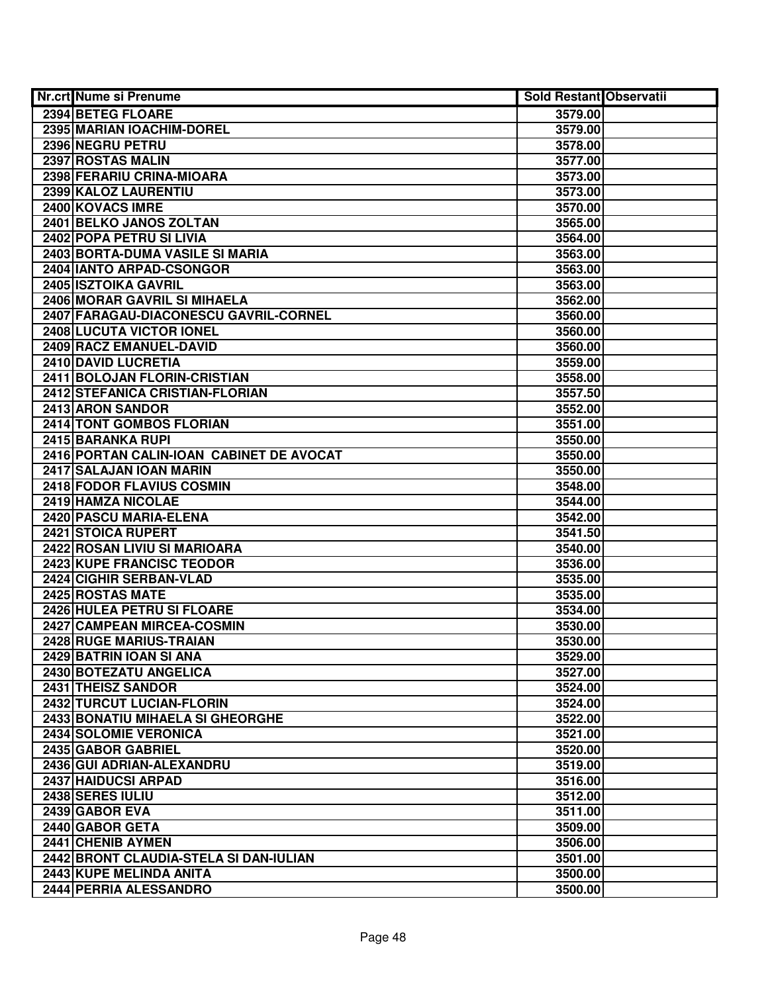| <b>Nr.crt Nume si Prenume</b>            | <b>Sold Restant Observatii</b> |  |
|------------------------------------------|--------------------------------|--|
| 2394 BETEG FLOARE                        | 3579.00                        |  |
| 2395 MARIAN IOACHIM-DOREL                | 3579.00                        |  |
| 2396 NEGRU PETRU                         | 3578.00                        |  |
| 2397 ROSTAS MALIN                        | 3577.00                        |  |
| 2398 FERARIU CRINA-MIOARA                | 3573.00                        |  |
| 2399 KALOZ LAURENTIU                     | 3573.00                        |  |
| 2400 KOVACS IMRE                         | 3570.00                        |  |
| 2401 BELKO JANOS ZOLTAN                  | 3565.00                        |  |
| 2402 POPA PETRU SI LIVIA                 | 3564.00                        |  |
| 2403 BORTA-DUMA VASILE SI MARIA          | 3563.00                        |  |
| 2404 IANTO ARPAD-CSONGOR                 | 3563.00                        |  |
| 2405 ISZTOIKA GAVRIL                     | 3563.00                        |  |
| 2406 MORAR GAVRIL SI MIHAELA             | 3562.00                        |  |
| 2407 FARAGAU-DIACONESCU GAVRIL-CORNEL    | 3560.00                        |  |
| 2408 LUCUTA VICTOR IONEL                 | 3560.00                        |  |
| 2409 RACZ EMANUEL-DAVID                  | 3560.00                        |  |
| 2410 DAVID LUCRETIA                      | 3559.00                        |  |
| 2411 BOLOJAN FLORIN-CRISTIAN             | 3558.00                        |  |
| 2412 STEFANICA CRISTIAN-FLORIAN          | 3557.50                        |  |
| 2413 ARON SANDOR                         | 3552.00                        |  |
| 2414 TONT GOMBOS FLORIAN                 | 3551.00                        |  |
| 2415 BARANKA RUPI                        | 3550.00                        |  |
| 2416 PORTAN CALIN-IOAN CABINET DE AVOCAT | 3550.00                        |  |
| 2417 SALAJAN IOAN MARIN                  | 3550.00                        |  |
| 2418 FODOR FLAVIUS COSMIN                | 3548.00                        |  |
| 2419 HAMZA NICOLAE                       | 3544.00                        |  |
| 2420 PASCU MARIA-ELENA                   | 3542.00                        |  |
| 2421 STOICA RUPERT                       | 3541.50                        |  |
| 2422 ROSAN LIVIU SI MARIOARA             | 3540.00                        |  |
| 2423 KUPE FRANCISC TEODOR                | 3536.00                        |  |
| 2424 CIGHIR SERBAN-VLAD                  | 3535.00                        |  |
| 2425 ROSTAS MATE                         | 3535.00                        |  |
| 2426 HULEA PETRU SI FLOARE               | 3534.00                        |  |
| 2427 CAMPEAN MIRCEA-COSMIN               | 3530.00                        |  |
| 2428 RUGE MARIUS-TRAIAN                  | 3530.00                        |  |
| 2429 BATRIN IOAN SI ANA                  | 3529.00                        |  |
| 2430 BOTEZATU ANGELICA                   | 3527.00                        |  |
| 2431 THEISZ SANDOR                       | 3524.00                        |  |
| 2432 TURCUT LUCIAN-FLORIN                | 3524.00                        |  |
| 2433 BONATIU MIHAELA SI GHEORGHE         | 3522.00                        |  |
| 2434 SOLOMIE VERONICA                    | 3521.00                        |  |
| 2435 GABOR GABRIEL                       | 3520.00                        |  |
| 2436 GUI ADRIAN-ALEXANDRU                | 3519.00                        |  |
| 2437 HAIDUCSI ARPAD                      | 3516.00                        |  |
| 2438 SERES IULIU                         | 3512.00                        |  |
| 2439 GABOR EVA                           | 3511.00                        |  |
| 2440 GABOR GETA                          | 3509.00                        |  |
| 2441 CHENIB AYMEN                        | 3506.00                        |  |
| 2442 BRONT CLAUDIA-STELA SI DAN-IULIAN   | 3501.00                        |  |
| 2443 KUPE MELINDA ANITA                  | 3500.00                        |  |
| 2444 PERRIA ALESSANDRO                   | 3500.00                        |  |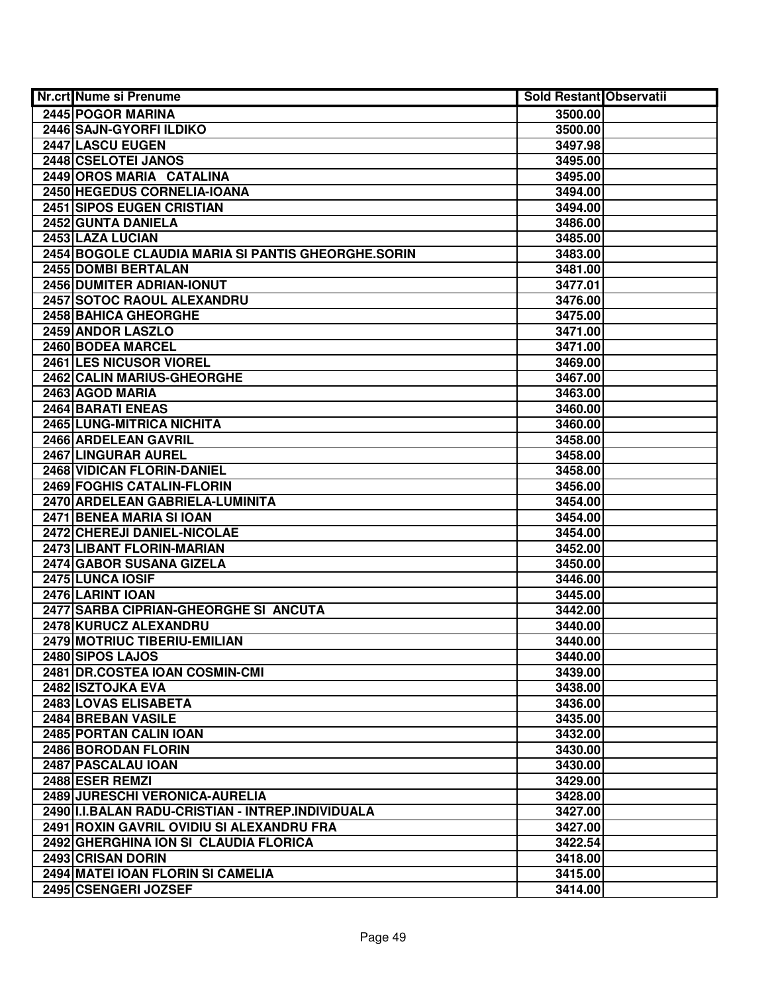| <b>Nr.crt Nume si Prenume</b>                      | Sold Restant Observatii |  |
|----------------------------------------------------|-------------------------|--|
| 2445 POGOR MARINA                                  | 3500.00                 |  |
| 2446 SAJN-GYORFI ILDIKO                            | 3500.00                 |  |
| 2447 LASCU EUGEN                                   | 3497.98                 |  |
| 2448 CSELOTEI JANOS                                | 3495.00                 |  |
| 2449 OROS MARIA CATALINA                           | 3495.00                 |  |
| 2450 HEGEDUS CORNELIA-IOANA                        | 3494.00                 |  |
| 2451 SIPOS EUGEN CRISTIAN                          | 3494.00                 |  |
| 2452 GUNTA DANIELA                                 | 3486.00                 |  |
| 2453 LAZA LUCIAN                                   | 3485.00                 |  |
| 2454 BOGOLE CLAUDIA MARIA SI PANTIS GHEORGHE.SORIN | 3483.00                 |  |
| 2455 DOMBI BERTALAN                                | 3481.00                 |  |
| <b>2456 DUMITER ADRIAN-IONUT</b>                   | 3477.01                 |  |
| 2457 SOTOC RAOUL ALEXANDRU                         | 3476.00                 |  |
| 2458 BAHICA GHEORGHE                               | 3475.00                 |  |
| 2459 ANDOR LASZLO                                  | 3471.00                 |  |
| 2460 BODEA MARCEL                                  | 3471.00                 |  |
| 2461 LES NICUSOR VIOREL                            | 3469.00                 |  |
| 2462 CALIN MARIUS-GHEORGHE                         | 3467.00                 |  |
| 2463 AGOD MARIA                                    | 3463.00                 |  |
| 2464 BARATI ENEAS                                  | 3460.00                 |  |
| 2465 LUNG-MITRICA NICHITA                          | 3460.00                 |  |
| 2466 ARDELEAN GAVRIL                               | 3458.00                 |  |
| 2467 LINGURAR AUREL                                | 3458.00                 |  |
| 2468 VIDICAN FLORIN-DANIEL                         | 3458.00                 |  |
| 2469 FOGHIS CATALIN-FLORIN                         | 3456.00                 |  |
| 2470 ARDELEAN GABRIELA-LUMINITA                    | 3454.00                 |  |
| 2471 BENEA MARIA SI IOAN                           | 3454.00                 |  |
| 2472 CHEREJI DANIEL-NICOLAE                        | 3454.00                 |  |
| 2473 LIBANT FLORIN-MARIAN                          | 3452.00                 |  |
| 2474 GABOR SUSANA GIZELA                           | 3450.00                 |  |
| 2475 LUNCA IOSIF                                   | 3446.00                 |  |
| 2476 LARINT IOAN                                   | 3445.00                 |  |
| 2477 SARBA CIPRIAN-GHEORGHE SI ANCUTA              | 3442.00                 |  |
| 2478 KURUCZ ALEXANDRU                              | 3440.00                 |  |
| 2479 MOTRIUC TIBERIU-EMILIAN                       | 3440.00                 |  |
| 2480 SIPOS LAJOS                                   | 3440.00                 |  |
| 2481 DR.COSTEA IOAN COSMIN-CMI                     | 3439.00                 |  |
| 2482 ISZTOJKA EVA                                  | 3438.00                 |  |
| 2483 LOVAS ELISABETA                               | 3436.00                 |  |
| 2484 BREBAN VASILE                                 | 3435.00                 |  |
| 2485 PORTAN CALIN IOAN                             | 3432.00                 |  |
| 2486 BORODAN FLORIN                                | 3430.00                 |  |
| 2487 PASCALAU IOAN                                 | 3430.00                 |  |
| 2488 ESER REMZI                                    | 3429.00                 |  |
| 2489 JURESCHI VERONICA-AURELIA                     | 3428.00                 |  |
| 2490 II.I.BALAN RADU-CRISTIAN - INTREP.INDIVIDUALA | 3427.00                 |  |
| 2491 ROXIN GAVRIL OVIDIU SI ALEXANDRU FRA          | 3427.00                 |  |
| 2492 GHERGHINA ION SI CLAUDIA FLORICA              | 3422.54                 |  |
| 2493 CRISAN DORIN                                  | 3418.00                 |  |
| 2494 MATEI IOAN FLORIN SI CAMELIA                  | 3415.00                 |  |
| 2495 CSENGERI JOZSEF                               | 3414.00                 |  |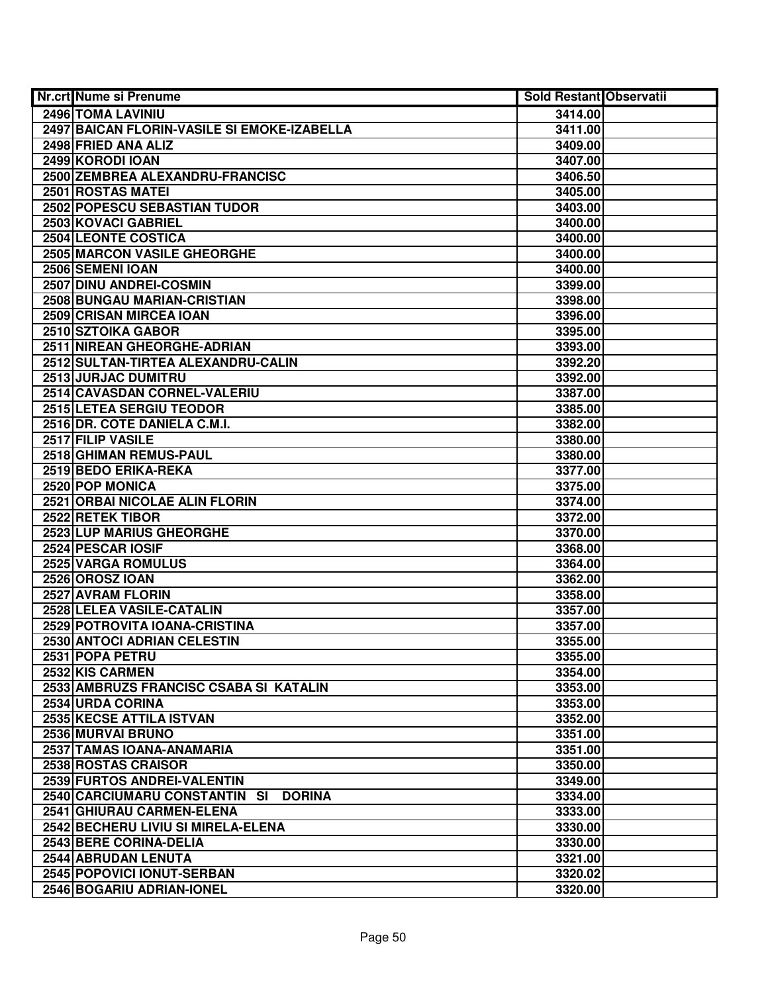| Nr.crt Nume si Prenume                         | <b>Sold Restant Observatii</b> |  |
|------------------------------------------------|--------------------------------|--|
| 2496 TOMA LAVINIU                              | 3414.00                        |  |
| 2497 BAICAN FLORIN-VASILE SI EMOKE-IZABELLA    | 3411.00                        |  |
| 2498 FRIED ANA ALIZ                            | 3409.00                        |  |
| 2499 KORODI IOAN                               | 3407.00                        |  |
| 2500 ZEMBREA ALEXANDRU-FRANCISC                | 3406.50                        |  |
| 2501 ROSTAS MATEI                              | 3405.00                        |  |
| 2502 POPESCU SEBASTIAN TUDOR                   | 3403.00                        |  |
| 2503 KOVACI GABRIEL                            | 3400.00                        |  |
| <b>2504 LEONTE COSTICA</b>                     | 3400.00                        |  |
| <b>2505 MARCON VASILE GHEORGHE</b>             | 3400.00                        |  |
| 2506 SEMENI IOAN                               | 3400.00                        |  |
| 2507 DINU ANDREI-COSMIN                        | 3399.00                        |  |
| 2508 BUNGAU MARIAN-CRISTIAN                    | 3398.00                        |  |
| 2509 CRISAN MIRCEA IOAN                        | 3396.00                        |  |
| 2510 SZTOIKA GABOR                             | 3395.00                        |  |
| 2511 NIREAN GHEORGHE-ADRIAN                    | 3393.00                        |  |
| 2512 SULTAN-TIRTEA ALEXANDRU-CALIN             | 3392.20                        |  |
| 2513 JURJAC DUMITRU                            | 3392.00                        |  |
| 2514 CAVASDAN CORNEL-VALERIU                   | 3387.00                        |  |
| 2515 LETEA SERGIU TEODOR                       | 3385.00                        |  |
| 2516 DR. COTE DANIELA C.M.I.                   | 3382.00                        |  |
| 2517 FILIP VASILE                              | 3380.00                        |  |
| 2518 GHIMAN REMUS-PAUL                         | 3380.00                        |  |
| 2519 BEDO ERIKA-REKA                           | 3377.00                        |  |
| 2520 POP MONICA                                | 3375.00                        |  |
| 2521 ORBAI NICOLAE ALIN FLORIN                 | 3374.00                        |  |
| 2522 RETEK TIBOR                               | 3372.00                        |  |
| 2523 LUP MARIUS GHEORGHE                       | 3370.00                        |  |
| 2524 PESCAR IOSIF                              | 3368.00                        |  |
| 2525 VARGA ROMULUS                             | 3364.00                        |  |
| 2526 OROSZ IOAN                                | 3362.00                        |  |
| 2527 AVRAM FLORIN                              | 3358.00                        |  |
| 2528 LELEA VASILE-CATALIN                      | 3357.00                        |  |
| 2529 POTROVITA IOANA-CRISTINA                  | 3357.00                        |  |
| 2530 ANTOCI ADRIAN CELESTIN                    | 3355.00                        |  |
| 2531 POPA PETRU                                | 3355.00                        |  |
| 2532 KIS CARMEN                                | 3354.00                        |  |
| 2533 AMBRUZS FRANCISC CSABA SI KATALIN         | 3353.00                        |  |
| 2534 URDA CORINA                               | 3353.00                        |  |
| 2535 KECSE ATTILA ISTVAN                       | 3352.00                        |  |
| 2536 MURVAI BRUNO                              | 3351.00                        |  |
| 2537 TAMAS IOANA-ANAMARIA                      | 3351.00                        |  |
| 2538 ROSTAS CRAISOR                            | 3350.00                        |  |
| 2539 FURTOS ANDREI-VALENTIN                    | 3349.00                        |  |
| 2540 CARCIUMARU CONSTANTIN SI<br><b>DORINA</b> | 3334.00                        |  |
| 2541 GHIURAU CARMEN-ELENA                      | 3333.00                        |  |
| 2542 BECHERU LIVIU SI MIRELA-ELENA             | 3330.00                        |  |
| 2543 BERE CORINA-DELIA                         | 3330.00                        |  |
| 2544 ABRUDAN LENUTA                            | 3321.00                        |  |
| 2545 POPOVICI IONUT-SERBAN                     | 3320.02                        |  |
| 2546 BOGARIU ADRIAN-IONEL                      | 3320.00                        |  |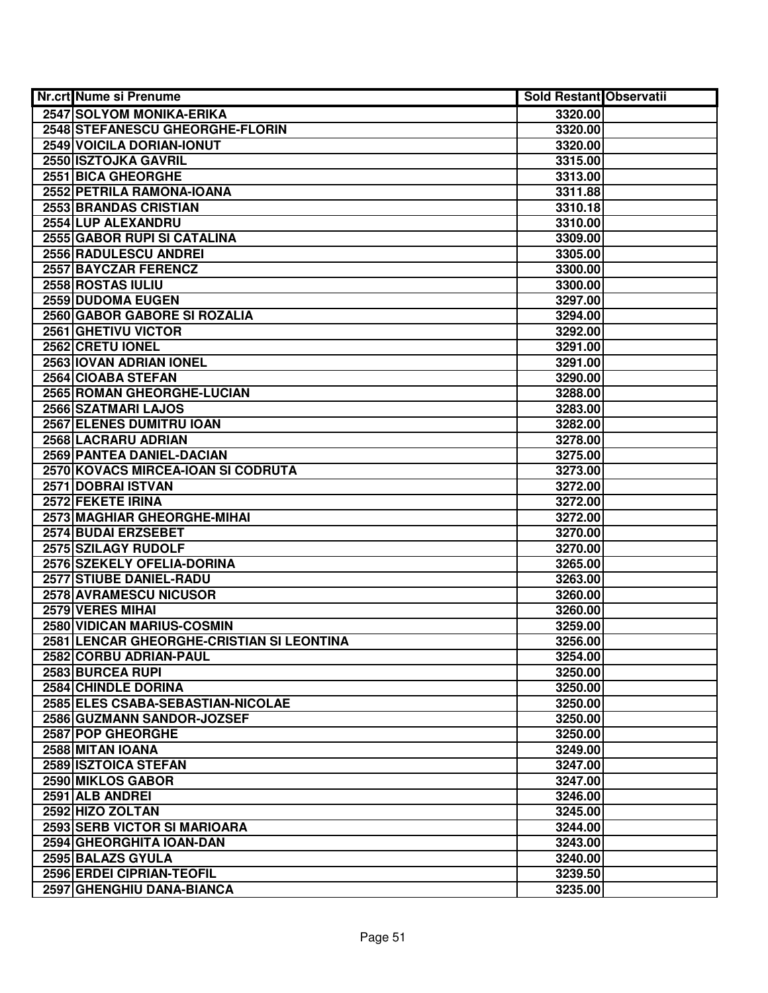| <b>Nr.crt Nume si Prenume</b>             | <b>Sold Restant Observatii</b> |  |
|-------------------------------------------|--------------------------------|--|
| <b>2547 SOLYOM MONIKA-ERIKA</b>           | 3320.00                        |  |
| 2548 STEFANESCU GHEORGHE-FLORIN           | 3320.00                        |  |
| 2549 VOICILA DORIAN-IONUT                 | 3320.00                        |  |
| 2550 ISZTOJKA GAVRIL                      | 3315.00                        |  |
| 2551 BICA GHEORGHE                        | 3313.00                        |  |
| 2552 PETRILA RAMONA-IOANA                 | 3311.88                        |  |
| 2553 BRANDAS CRISTIAN                     | 3310.18                        |  |
| 2554 LUP ALEXANDRU                        | 3310.00                        |  |
| <b>2555 GABOR RUPI SI CATALINA</b>        | 3309.00                        |  |
| 2556 RADULESCU ANDREI                     | 3305.00                        |  |
| <b>2557 BAYCZAR FERENCZ</b>               | 3300.00                        |  |
| 2558 ROSTAS IULIU                         | 3300.00                        |  |
| 2559 DUDOMA EUGEN                         | 3297.00                        |  |
| 2560 GABOR GABORE SI ROZALIA              | 3294.00                        |  |
| 2561 GHETIVU VICTOR                       | 3292.00                        |  |
| 2562 CRETU IONEL                          | 3291.00                        |  |
| 2563 IOVAN ADRIAN IONEL                   | 3291.00                        |  |
| 2564 CIOABA STEFAN                        | 3290.00                        |  |
| 2565 ROMAN GHEORGHE-LUCIAN                | 3288.00                        |  |
| 2566 SZATMARI LAJOS                       | 3283.00                        |  |
| 2567 ELENES DUMITRU IOAN                  | 3282.00                        |  |
| 2568 LACRARU ADRIAN                       | 3278.00                        |  |
| 2569 PANTEA DANIEL-DACIAN                 | 3275.00                        |  |
| 2570 KOVACS MIRCEA-IOAN SI CODRUTA        | 3273.00                        |  |
| 2571 DOBRAI ISTVAN                        | 3272.00                        |  |
| 2572 FEKETE IRINA                         | 3272.00                        |  |
| 2573 MAGHIAR GHEORGHE-MIHAI               | 3272.00                        |  |
| 2574 BUDAI ERZSEBET                       | 3270.00                        |  |
| 2575 SZILAGY RUDOLF                       | 3270.00                        |  |
| 2576 SZEKELY OFELIA-DORINA                | 3265.00                        |  |
| 2577 STIUBE DANIEL-RADU                   | 3263.00                        |  |
| 2578 AVRAMESCU NICUSOR                    | 3260.00                        |  |
| 2579 VERES MIHAI                          | 3260.00                        |  |
| 2580 VIDICAN MARIUS-COSMIN                | 3259.00                        |  |
| 2581 LENCAR GHEORGHE-CRISTIAN SI LEONTINA | 3256.00                        |  |
| 2582 CORBU ADRIAN-PAUL                    | 3254.00                        |  |
| 2583 BURCEA RUPI                          | 3250.00                        |  |
| 2584 CHINDLE DORINA                       | 3250.00                        |  |
| 2585 ELES CSABA-SEBASTIAN-NICOLAE         | 3250.00                        |  |
| 2586 GUZMANN SANDOR-JOZSEF                | 3250.00                        |  |
| 2587 POP GHEORGHE                         | 3250.00                        |  |
| 2588 MITAN IOANA                          | 3249.00                        |  |
| 2589 ISZTOICA STEFAN                      | 3247.00                        |  |
| 2590 MIKLOS GABOR                         | 3247.00                        |  |
| 2591 ALB ANDREI                           | 3246.00                        |  |
| 2592 HIZO ZOLTAN                          | 3245.00                        |  |
| 2593 SERB VICTOR SI MARIOARA              | 3244.00                        |  |
| 2594 GHEORGHITA IOAN-DAN                  | 3243.00                        |  |
| 2595 BALAZS GYULA                         | 3240.00                        |  |
| 2596 ERDEI CIPRIAN-TEOFIL                 | 3239.50                        |  |
| 2597 GHENGHIU DANA-BIANCA                 | 3235.00                        |  |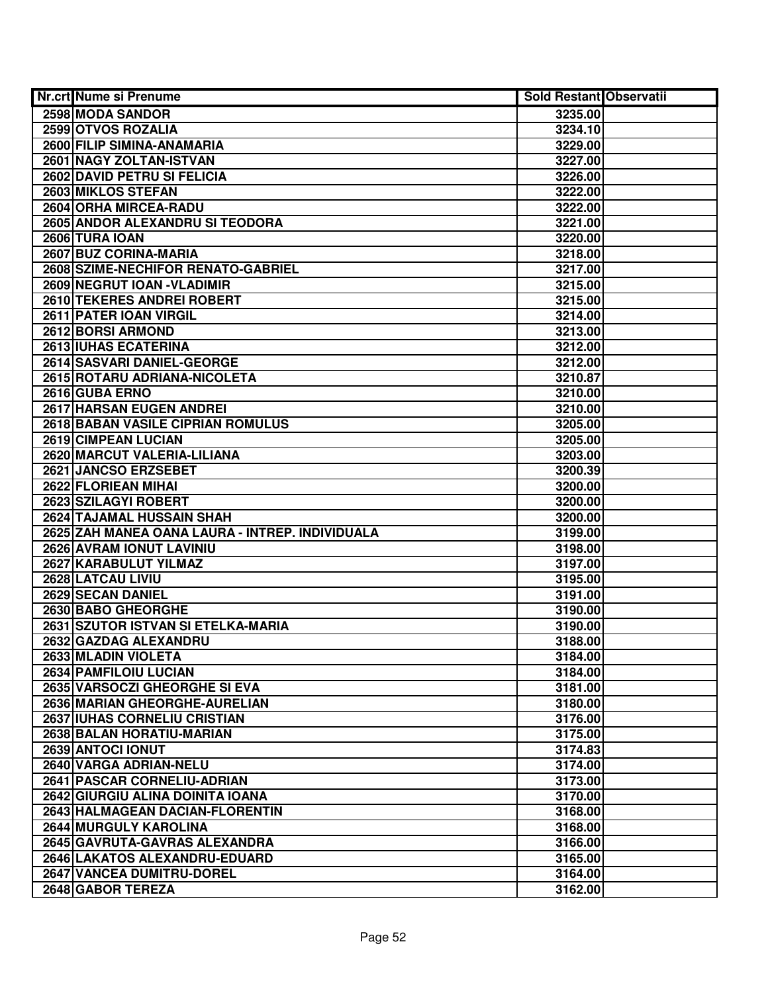| Nr.crt Nume si Prenume                          | <b>Sold Restant Observatii</b> |  |
|-------------------------------------------------|--------------------------------|--|
| 2598 MODA SANDOR                                | 3235.00                        |  |
| 2599 OTVOS ROZALIA                              | 3234.10                        |  |
| 2600 FILIP SIMINA-ANAMARIA                      | 3229.00                        |  |
| 2601 NAGY ZOLTAN-ISTVAN                         | 3227.00                        |  |
| 2602 DAVID PETRU SI FELICIA                     | 3226.00                        |  |
| 2603 MIKLOS STEFAN                              | 3222.00                        |  |
| 2604 ORHA MIRCEA-RADU                           | 3222.00                        |  |
| 2605 ANDOR ALEXANDRU SI TEODORA                 | 3221.00                        |  |
| 2606 TURA IOAN                                  | 3220.00                        |  |
| 2607 BUZ CORINA-MARIA                           | 3218.00                        |  |
| 2608 SZIME-NECHIFOR RENATO-GABRIEL              | 3217.00                        |  |
| 2609 NEGRUT IOAN - VLADIMIR                     | 3215.00                        |  |
| 2610 TEKERES ANDREI ROBERT                      | 3215.00                        |  |
| 2611 PATER IOAN VIRGIL                          | 3214.00                        |  |
| 2612 BORSI ARMOND                               | 3213.00                        |  |
| 2613 IUHAS ECATERINA                            | 3212.00                        |  |
| 2614 SASVARI DANIEL-GEORGE                      | 3212.00                        |  |
| 2615 ROTARU ADRIANA-NICOLETA                    | 3210.87                        |  |
| 2616 GUBA ERNO                                  | 3210.00                        |  |
| 2617 HARSAN EUGEN ANDREI                        | 3210.00                        |  |
| 2618 BABAN VASILE CIPRIAN ROMULUS               | 3205.00                        |  |
| 2619 CIMPEAN LUCIAN                             | 3205.00                        |  |
| 2620 MARCUT VALERIA-LILIANA                     | 3203.00                        |  |
| 2621 JANCSO ERZSEBET                            | 3200.39                        |  |
| 2622 FLORIEAN MIHAI                             | 3200.00                        |  |
| 2623 SZILAGYI ROBERT                            | 3200.00                        |  |
| 2624 TAJAMAL HUSSAIN SHAH                       | 3200.00                        |  |
| 2625 ZAH MANEA OANA LAURA - INTREP. INDIVIDUALA | 3199.00                        |  |
| 2626 AVRAM IONUT LAVINIU                        | 3198.00                        |  |
| 2627 KARABULUT YILMAZ                           | 3197.00                        |  |
| 2628 LATCAU LIVIU                               | 3195.00                        |  |
| 2629 SECAN DANIEL                               | 3191.00                        |  |
| 2630 BABO GHEORGHE                              | 3190.00                        |  |
| 2631 SZUTOR ISTVAN SI ETELKA-MARIA              | 3190.00                        |  |
| 2632 GAZDAG ALEXANDRU                           | 3188.00                        |  |
| 2633 MLADIN VIOLETA                             | 3184.00                        |  |
| 2634 PAMFILOIU LUCIAN                           | 3184.00                        |  |
| 2635 VARSOCZI GHEORGHE SI EVA                   | 3181.00                        |  |
| 2636 MARIAN GHEORGHE-AURELIAN                   | 3180.00                        |  |
| 2637 IUHAS CORNELIU CRISTIAN                    | 3176.00                        |  |
| 2638 BALAN HORATIU-MARIAN                       | 3175.00                        |  |
| 2639 ANTOCI IONUT                               | 3174.83                        |  |
| 2640 VARGA ADRIAN-NELU                          | 3174.00                        |  |
| 2641 PASCAR CORNELIU-ADRIAN                     | 3173.00                        |  |
| 2642 GIURGIU ALINA DOINITA IOANA                | 3170.00                        |  |
| 2643 HALMAGEAN DACIAN-FLORENTIN                 | 3168.00                        |  |
| 2644 MURGULY KAROLINA                           | 3168.00                        |  |
| 2645 GAVRUTA-GAVRAS ALEXANDRA                   | 3166.00                        |  |
| 2646 LAKATOS ALEXANDRU-EDUARD                   | 3165.00                        |  |
| 2647 VANCEA DUMITRU-DOREL                       | 3164.00                        |  |
| 2648 GABOR TEREZA                               | 3162.00                        |  |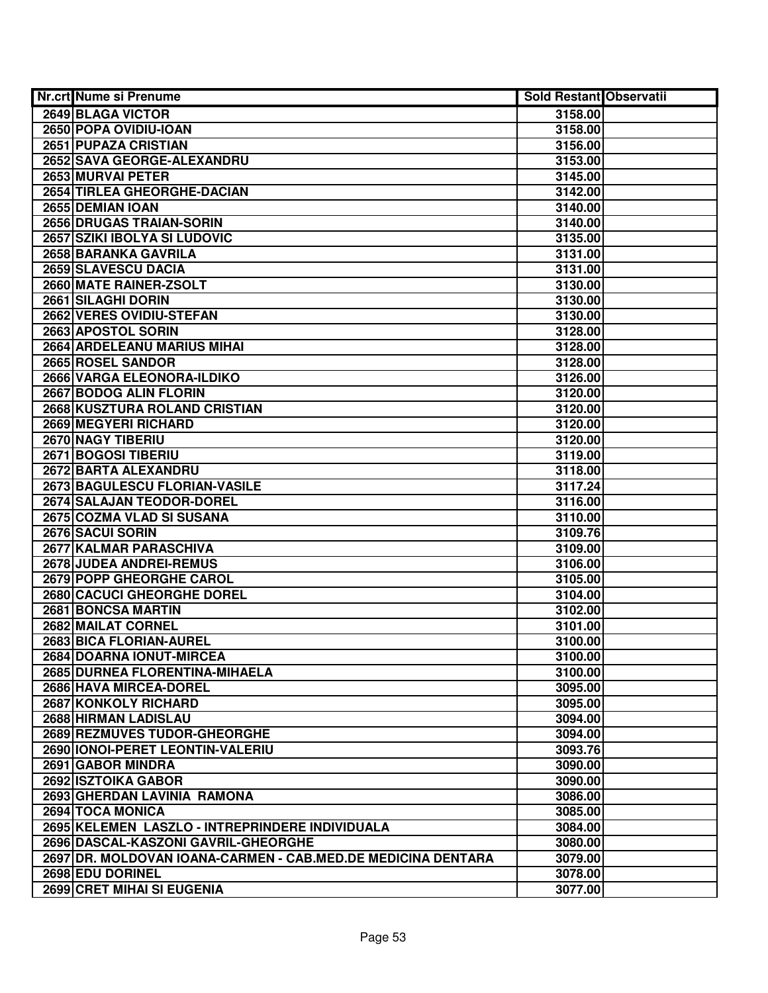| Nr.crt Nume si Prenume                                       | <b>Sold Restant Observatii</b> |  |
|--------------------------------------------------------------|--------------------------------|--|
| 2649 BLAGA VICTOR                                            | 3158.00                        |  |
| 2650 POPA OVIDIU-IOAN                                        | 3158.00                        |  |
| <b>2651 PUPAZA CRISTIAN</b>                                  | 3156.00                        |  |
| 2652 SAVA GEORGE-ALEXANDRU                                   | 3153.00                        |  |
| 2653 MURVAI PETER                                            | 3145.00                        |  |
| 2654 TIRLEA GHEORGHE-DACIAN                                  | 3142.00                        |  |
| 2655 DEMIAN IOAN                                             | 3140.00                        |  |
| 2656 DRUGAS TRAIAN-SORIN                                     | 3140.00                        |  |
| 2657 SZIKI IBOLYA SI LUDOVIC                                 | 3135.00                        |  |
| 2658 BARANKA GAVRILA                                         | 3131.00                        |  |
| 2659 SLAVESCU DACIA                                          | 3131.00                        |  |
| 2660 MATE RAINER-ZSOLT                                       | 3130.00                        |  |
| 2661 SILAGHI DORIN                                           | 3130.00                        |  |
| 2662 VERES OVIDIU-STEFAN                                     | 3130.00                        |  |
| 2663 APOSTOL SORIN                                           | 3128.00                        |  |
| 2664 ARDELEANU MARIUS MIHAI                                  | 3128.00                        |  |
| 2665 ROSEL SANDOR                                            | 3128.00                        |  |
| <b>2666 VARGA ELEONORA-ILDIKO</b>                            | 3126.00                        |  |
| 2667 BODOG ALIN FLORIN                                       | 3120.00                        |  |
| 2668 KUSZTURA ROLAND CRISTIAN                                | 3120.00                        |  |
| 2669 MEGYERI RICHARD                                         | 3120.00                        |  |
| 2670 NAGY TIBERIU                                            | 3120.00                        |  |
| 2671 BOGOSI TIBERIU                                          | 3119.00                        |  |
| 2672 BARTA ALEXANDRU                                         | 3118.00                        |  |
| 2673 BAGULESCU FLORIAN-VASILE                                | 3117.24                        |  |
| 2674 SALAJAN TEODOR-DOREL                                    | 3116.00                        |  |
| 2675 COZMA VLAD SI SUSANA                                    | 3110.00                        |  |
| 2676 SACUI SORIN                                             | 3109.76                        |  |
| 2677 KALMAR PARASCHIVA                                       | 3109.00                        |  |
| 2678 JUDEA ANDREI-REMUS                                      | 3106.00                        |  |
| 2679 POPP GHEORGHE CAROL                                     | 3105.00                        |  |
| 2680 CACUCI GHEORGHE DOREL                                   | 3104.00                        |  |
| 2681 BONCSA MARTIN                                           | 3102.00                        |  |
| 2682 MAILAT CORNEL                                           | 3101.00                        |  |
| 2683 BICA FLORIAN-AUREL                                      | 3100.00                        |  |
| 2684 DOARNA IONUT-MIRCEA                                     | 3100.00                        |  |
| 2685 DURNEA FLORENTINA-MIHAELA                               | 3100.00                        |  |
| 2686 HAVA MIRCEA-DOREL                                       | 3095.00                        |  |
| <b>2687 KONKOLY RICHARD</b>                                  | 3095.00                        |  |
| 2688 HIRMAN LADISLAU                                         | 3094.00                        |  |
| 2689 REZMUVES TUDOR-GHEORGHE                                 | 3094.00                        |  |
| 2690 IONOI-PERET LEONTIN-VALERIU                             | 3093.76                        |  |
| 2691 GABOR MINDRA                                            | 3090.00                        |  |
| 2692 ISZTOIKA GABOR                                          | 3090.00                        |  |
| 2693 GHERDAN LAVINIA RAMONA                                  | 3086.00                        |  |
| 2694 TOCA MONICA                                             | 3085.00                        |  |
| 2695 KELEMEN LASZLO - INTREPRINDERE INDIVIDUALA              | 3084.00                        |  |
| 2696 DASCAL-KASZONI GAVRIL-GHEORGHE                          | 3080.00                        |  |
| 2697 DR. MOLDOVAN IOANA-CARMEN - CAB.MED.DE MEDICINA DENTARA | 3079.00                        |  |
| 2698 EDU DORINEL                                             | 3078.00                        |  |
| 2699 CRET MIHAI SI EUGENIA                                   | 3077.00                        |  |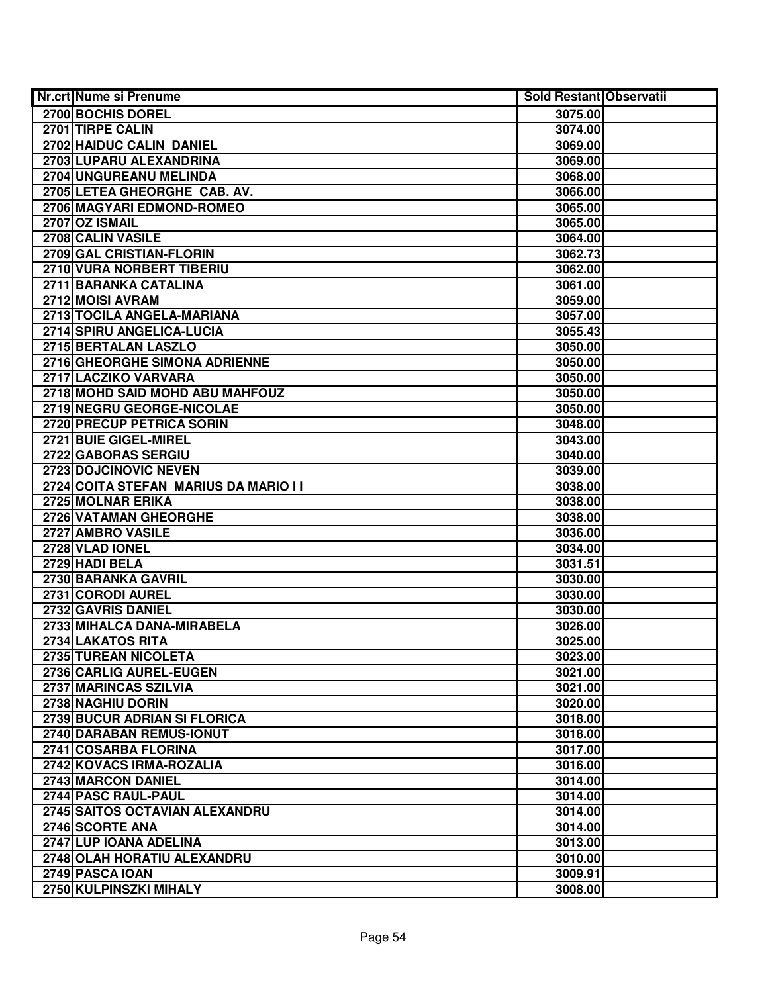| Nr.crt Nume si Prenume                | <b>Sold Restant Observatii</b> |
|---------------------------------------|--------------------------------|
| 2700 BOCHIS DOREL                     | 3075.00                        |
| 2701 TIRPE CALIN                      | 3074.00                        |
| 2702 HAIDUC CALIN DANIEL              | 3069.00                        |
| 2703 LUPARU ALEXANDRINA               | 3069.00                        |
| 2704 UNGUREANU MELINDA                | 3068.00                        |
| 2705 LETEA GHEORGHE CAB. AV.          | 3066.00                        |
| 2706 MAGYARI EDMOND-ROMEO             | 3065.00                        |
| 2707 OZ ISMAIL                        | 3065.00                        |
| 2708 CALIN VASILE                     | 3064.00                        |
| 2709 GAL CRISTIAN-FLORIN              | 3062.73                        |
| 2710 VURA NORBERT TIBERIU             | 3062.00                        |
| 2711 BARANKA CATALINA                 | 3061.00                        |
| 2712 MOISI AVRAM                      | 3059.00                        |
| 2713 TOCILA ANGELA-MARIANA            | 3057.00                        |
| 2714 SPIRU ANGELICA-LUCIA             | 3055.43                        |
| 2715 BERTALAN LASZLO                  | 3050.00                        |
| 2716 GHEORGHE SIMONA ADRIENNE         | 3050.00                        |
| 2717 LACZIKO VARVARA                  | 3050.00                        |
| 2718 MOHD SAID MOHD ABU MAHFOUZ       | 3050.00                        |
| 2719 NEGRU GEORGE-NICOLAE             | 3050.00                        |
| 2720 PRECUP PETRICA SORIN             | 3048.00                        |
| 2721 BUIE GIGEL-MIREL                 | 3043.00                        |
| 2722 GABORAS SERGIU                   | 3040.00                        |
| 2723 DOJCINOVIC NEVEN                 | 3039.00                        |
| 2724 COITA STEFAN MARIUS DA MARIO I I | 3038.00                        |
| 2725 MOLNAR ERIKA                     | 3038.00                        |
| 2726 VATAMAN GHEORGHE                 | 3038.00                        |
| 2727 AMBRO VASILE                     | 3036.00                        |
| 2728 VLAD IONEL                       | 3034.00                        |
| 2729 HADI BELA                        | 3031.51                        |
| 2730 BARANKA GAVRIL                   | 3030.00                        |
| 2731 CORODI AUREL                     | 3030.00                        |
| 2732 GAVRIS DANIEL                    | 3030.00                        |
| 2733 MIHALCA DANA-MIRABELA            | 3026.00                        |
| 2734 LAKATOS RITA                     | 3025.00                        |
| 2735 TUREAN NICOLETA                  | 3023.00                        |
| 2736 CARLIG AUREL-EUGEN               | 3021.00                        |
| 2737 MARINCAS SZILVIA                 | 3021.00                        |
| 2738 NAGHIU DORIN                     | 3020.00                        |
| 2739 BUCUR ADRIAN SI FLORICA          | 3018.00                        |
| 2740 DARABAN REMUS-IONUT              | 3018.00                        |
| 2741 COSARBA FLORINA                  | 3017.00                        |
| 2742 KOVACS IRMA-ROZALIA              | 3016.00                        |
| 2743 MARCON DANIEL                    | 3014.00                        |
| 2744 PASC RAUL-PAUL                   | 3014.00                        |
| 2745 SAITOS OCTAVIAN ALEXANDRU        | 3014.00                        |
| 2746 SCORTE ANA                       | 3014.00                        |
| 2747 LUP IOANA ADELINA                | 3013.00                        |
| 2748 OLAH HORATIU ALEXANDRU           | 3010.00                        |
| 2749 PASCA IOAN                       | 3009.91                        |
| 2750 KULPINSZKI MIHALY                | 3008.00                        |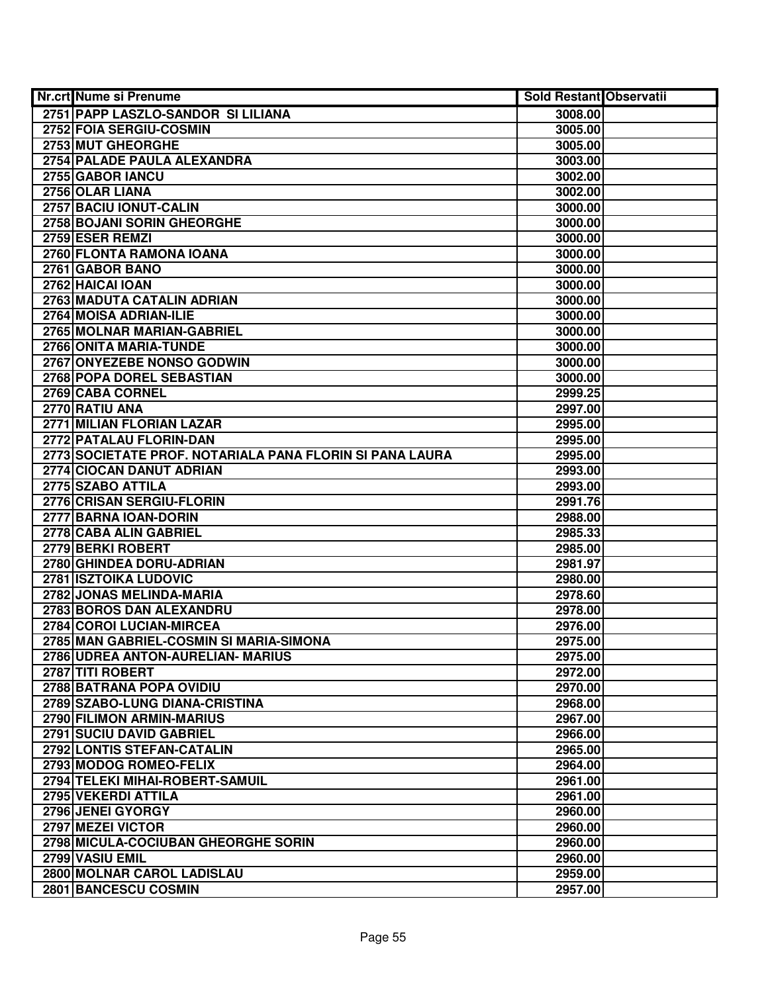| <b>Nr.crt Nume si Prenume</b>                            | Sold Restant Observatii |  |
|----------------------------------------------------------|-------------------------|--|
| 2751 PAPP LASZLO-SANDOR SI LILIANA                       | 3008.00                 |  |
| 2752 FOIA SERGIU-COSMIN                                  | 3005.00                 |  |
| 2753 MUT GHEORGHE                                        | 3005.00                 |  |
| 2754 PALADE PAULA ALEXANDRA                              | 3003.00                 |  |
| 2755 GABOR IANCU                                         | 3002.00                 |  |
| 2756 OLAR LIANA                                          | 3002.00                 |  |
| 2757 BACIU IONUT-CALIN                                   | 3000.00                 |  |
| 2758 BOJANI SORIN GHEORGHE                               | 3000.00                 |  |
| 2759 ESER REMZI                                          | 3000.00                 |  |
| 2760 FLONTA RAMONA IOANA                                 | 3000.00                 |  |
| 2761 GABOR BANO                                          | 3000.00                 |  |
| 2762 HAICAI IOAN                                         | 3000.00                 |  |
| 2763 MADUTA CATALIN ADRIAN                               | 3000.00                 |  |
| 2764 MOISA ADRIAN-ILIE                                   | 3000.00                 |  |
| 2765 MOLNAR MARIAN-GABRIEL                               | 3000.00                 |  |
| 2766 ONITA MARIA-TUNDE                                   | 3000.00                 |  |
| 2767 ONYEZEBE NONSO GODWIN                               | 3000.00                 |  |
| 2768 POPA DOREL SEBASTIAN                                | 3000.00                 |  |
| 2769 CABA CORNEL                                         | 2999.25                 |  |
| 2770 RATIU ANA                                           | 2997.00                 |  |
| 2771 MILIAN FLORIAN LAZAR                                | 2995.00                 |  |
| 2772 PATALAU FLORIN-DAN                                  | 2995.00                 |  |
| 2773 SOCIETATE PROF. NOTARIALA PANA FLORIN SI PANA LAURA | 2995.00                 |  |
| 2774 CIOCAN DANUT ADRIAN                                 | 2993.00                 |  |
| 2775 SZABO ATTILA                                        | 2993.00                 |  |
| 2776 CRISAN SERGIU-FLORIN                                | 2991.76                 |  |
| 2777 BARNA IOAN-DORIN                                    | 2988.00                 |  |
| 2778 CABA ALIN GABRIEL                                   | 2985.33                 |  |
| 2779 BERKI ROBERT                                        | 2985.00                 |  |
| 2780 GHINDEA DORU-ADRIAN                                 | 2981.97                 |  |
| 2781 ISZTOIKA LUDOVIC                                    | 2980.00                 |  |
| 2782 JONAS MELINDA-MARIA                                 | 2978.60                 |  |
| 2783 BOROS DAN ALEXANDRU                                 | 2978.00                 |  |
| 2784 COROI LUCIAN-MIRCEA                                 | 2976.00                 |  |
| 2785 MAN GABRIEL-COSMIN SI MARIA-SIMONA                  | 2975.00                 |  |
| 2786 UDREA ANTON-AURELIAN- MARIUS                        | 2975.00                 |  |
| 2787 TITI ROBERT                                         | 2972.00                 |  |
| 2788 BATRANA POPA OVIDIU                                 | 2970.00                 |  |
| 2789 SZABO-LUNG DIANA-CRISTINA                           | 2968.00                 |  |
| 2790 FILIMON ARMIN-MARIUS                                | 2967.00                 |  |
| 2791 SUCIU DAVID GABRIEL                                 | 2966.00                 |  |
| 2792 LONTIS STEFAN-CATALIN                               | 2965.00                 |  |
| 2793 MODOG ROMEO-FELIX                                   | 2964.00                 |  |
| 2794 TELEKI MIHAI-ROBERT-SAMUIL                          | 2961.00                 |  |
| 2795 VEKERDI ATTILA                                      | 2961.00                 |  |
| 2796 JENEI GYORGY                                        | 2960.00                 |  |
| 2797 MEZEI VICTOR                                        | 2960.00                 |  |
| 2798 MICULA-COCIUBAN GHEORGHE SORIN                      | 2960.00                 |  |
| 2799 VASIU EMIL                                          | 2960.00                 |  |
| 2800 MOLNAR CAROL LADISLAU                               | 2959.00                 |  |
| 2801 BANCESCU COSMIN                                     | 2957.00                 |  |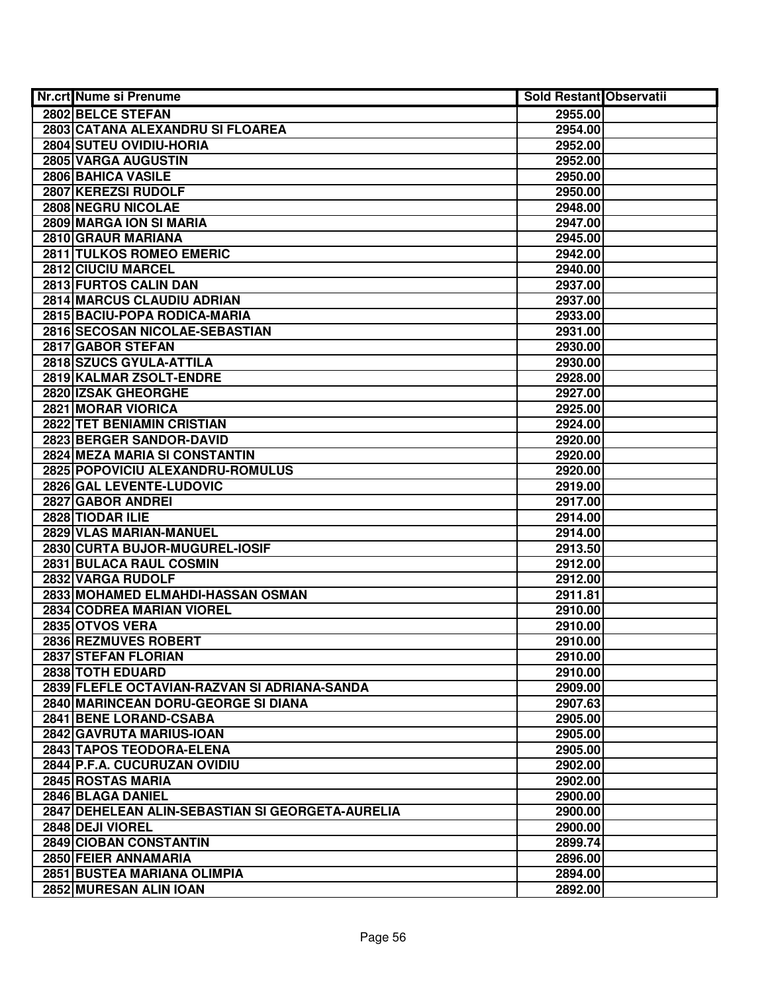| Nr.crt Nume si Prenume                           | <b>Sold Restant Observatii</b> |  |
|--------------------------------------------------|--------------------------------|--|
| 2802 BELCE STEFAN                                | 2955.00                        |  |
| 2803 CATANA ALEXANDRU SI FLOAREA                 | 2954.00                        |  |
| 2804 SUTEU OVIDIU-HORIA                          | 2952.00                        |  |
| 2805 VARGA AUGUSTIN                              | 2952.00                        |  |
| 2806 BAHICA VASILE                               | 2950.00                        |  |
| 2807 KEREZSI RUDOLF                              | 2950.00                        |  |
| 2808 NEGRU NICOLAE                               | 2948.00                        |  |
| 2809 MARGA ION SI MARIA                          | 2947.00                        |  |
| 2810 GRAUR MARIANA                               | 2945.00                        |  |
| <b>2811 TULKOS ROMEO EMERIC</b>                  | 2942.00                        |  |
| 2812 CIUCIU MARCEL                               | 2940.00                        |  |
| 2813 FURTOS CALIN DAN                            | 2937.00                        |  |
| <b>2814 MARCUS CLAUDIU ADRIAN</b>                | 2937.00                        |  |
| 2815 BACIU-POPA RODICA-MARIA                     | 2933.00                        |  |
| 2816 SECOSAN NICOLAE-SEBASTIAN                   | 2931.00                        |  |
| 2817 GABOR STEFAN                                | 2930.00                        |  |
| 2818 SZUCS GYULA-ATTILA                          | 2930.00                        |  |
| 2819 KALMAR ZSOLT-ENDRE                          | 2928.00                        |  |
| 2820 IZSAK GHEORGHE                              | 2927.00                        |  |
| 2821 MORAR VIORICA                               | 2925.00                        |  |
| 2822 TET BENIAMIN CRISTIAN                       | 2924.00                        |  |
| 2823 BERGER SANDOR-DAVID                         | 2920.00                        |  |
| 2824 MEZA MARIA SI CONSTANTIN                    | 2920.00                        |  |
| 2825 POPOVICIU ALEXANDRU-ROMULUS                 | 2920.00                        |  |
| 2826 GAL LEVENTE-LUDOVIC                         | 2919.00                        |  |
| 2827 GABOR ANDREI                                | 2917.00                        |  |
| 2828 TIODAR ILIE                                 | 2914.00                        |  |
| 2829 VLAS MARIAN-MANUEL                          | 2914.00                        |  |
| 2830 CURTA BUJOR-MUGUREL-IOSIF                   | 2913.50                        |  |
| 2831 BULACA RAUL COSMIN                          | 2912.00                        |  |
| 2832 VARGA RUDOLF                                | 2912.00                        |  |
| 2833 MOHAMED ELMAHDI-HASSAN OSMAN                | 2911.81                        |  |
| 2834 CODREA MARIAN VIOREL                        | 2910.00                        |  |
| 2835 OTVOS VERA                                  | 2910.00                        |  |
| 2836 REZMUVES ROBERT                             | 2910.00                        |  |
| 2837 STEFAN FLORIAN                              | 2910.00                        |  |
| 2838 TOTH EDUARD                                 | 2910.00                        |  |
| 2839 FLEFLE OCTAVIAN-RAZVAN SI ADRIANA-SANDA     | 2909.00                        |  |
| 2840 MARINCEAN DORU-GEORGE SI DIANA              | 2907.63                        |  |
| 2841 BENE LORAND-CSABA                           | 2905.00                        |  |
| 2842 GAVRUTA MARIUS-IOAN                         | 2905.00                        |  |
| 2843 TAPOS TEODORA-ELENA                         | 2905.00                        |  |
| 2844 P.F.A. CUCURUZAN OVIDIU                     | 2902.00                        |  |
| 2845 ROSTAS MARIA                                | 2902.00                        |  |
| 2846 BLAGA DANIEL                                | 2900.00                        |  |
| 2847 DEHELEAN ALIN-SEBASTIAN SI GEORGETA-AURELIA | 2900.00                        |  |
| 2848 DEJI VIOREL                                 | 2900.00                        |  |
| 2849 CIOBAN CONSTANTIN                           | 2899.74                        |  |
| 2850 FEIER ANNAMARIA                             | 2896.00                        |  |
| 2851 BUSTEA MARIANA OLIMPIA                      | 2894.00                        |  |
| 2852 MURESAN ALIN IOAN                           | 2892.00                        |  |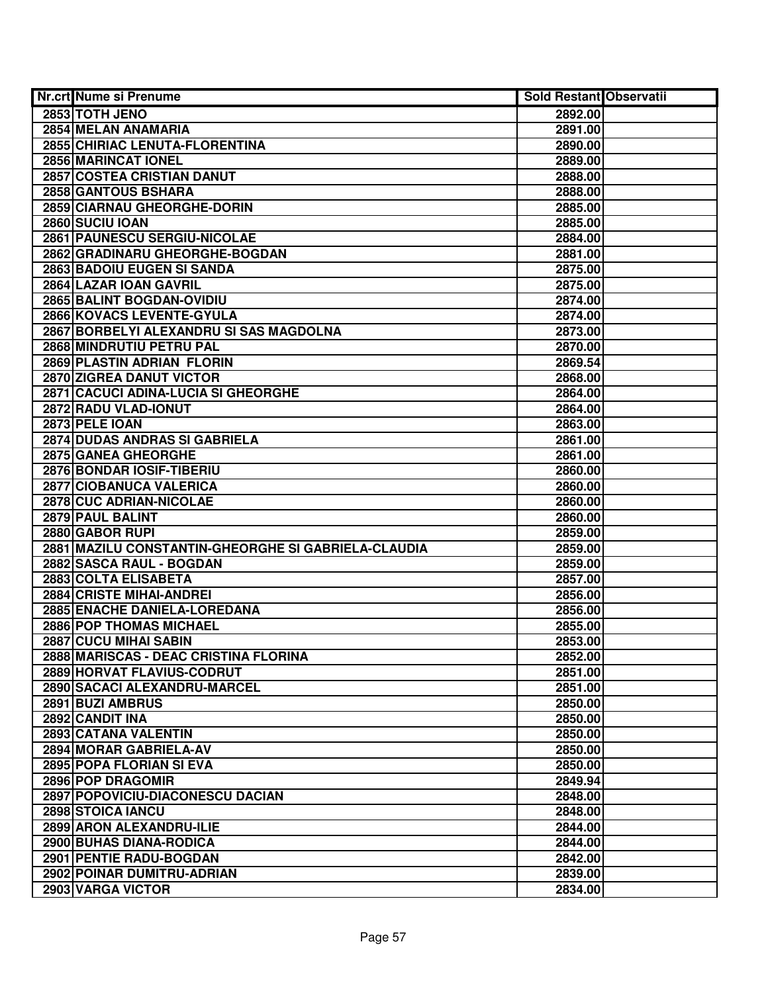| <b>Nr.crt Nume si Prenume</b>                       | Sold Restant Observatii |  |
|-----------------------------------------------------|-------------------------|--|
| 2853 TOTH JENO                                      | 2892.00                 |  |
| 2854 MELAN ANAMARIA                                 | 2891.00                 |  |
| 2855 CHIRIAC LENUTA-FLORENTINA                      | 2890.00                 |  |
| 2856 MARINCAT IONEL                                 | 2889.00                 |  |
| 2857 COSTEA CRISTIAN DANUT                          | 2888.00                 |  |
| 2858 GANTOUS BSHARA                                 | 2888.00                 |  |
| 2859 CIARNAU GHEORGHE-DORIN                         | 2885.00                 |  |
| 2860 SUCIU IOAN                                     | 2885.00                 |  |
| 2861 PAUNESCU SERGIU-NICOLAE                        | 2884.00                 |  |
| 2862 GRADINARU GHEORGHE-BOGDAN                      | 2881.00                 |  |
| 2863 BADOIU EUGEN SI SANDA                          | 2875.00                 |  |
| 2864 LAZAR IOAN GAVRIL                              | 2875.00                 |  |
| 2865 BALINT BOGDAN-OVIDIU                           | 2874.00                 |  |
| 2866 KOVACS LEVENTE-GYULA                           | 2874.00                 |  |
| 2867 BORBELYI ALEXANDRU SI SAS MAGDOLNA             | 2873.00                 |  |
| 2868 MINDRUTIU PETRU PAL                            | 2870.00                 |  |
| 2869 PLASTIN ADRIAN FLORIN                          | 2869.54                 |  |
| 2870 ZIGREA DANUT VICTOR                            | 2868.00                 |  |
| 2871 CACUCI ADINA-LUCIA SI GHEORGHE                 | 2864.00                 |  |
| 2872 RADU VLAD-IONUT                                | 2864.00                 |  |
| 2873 PELE IOAN                                      | 2863.00                 |  |
| 2874 DUDAS ANDRAS SI GABRIELA                       | 2861.00                 |  |
| 2875 GANEA GHEORGHE                                 | 2861.00                 |  |
| 2876 BONDAR IOSIF-TIBERIU                           | 2860.00                 |  |
| 2877 CIOBANUCA VALERICA                             | 2860.00                 |  |
| 2878 CUC ADRIAN-NICOLAE                             | 2860.00                 |  |
| 2879 PAUL BALINT                                    | 2860.00                 |  |
| 2880 GABOR RUPI                                     | 2859.00                 |  |
| 2881 MAZILU CONSTANTIN-GHEORGHE SI GABRIELA-CLAUDIA | 2859.00                 |  |
| 2882 SASCA RAUL - BOGDAN                            | 2859.00                 |  |
| 2883 COLTA ELISABETA                                | 2857.00                 |  |
| 2884 CRISTE MIHAI-ANDREI                            | 2856.00                 |  |
| 2885 ENACHE DANIELA-LOREDANA                        | 2856.00                 |  |
| <b>2886 POP THOMAS MICHAEL</b>                      | 2855.00                 |  |
| 2887 CUCU MIHAI SABIN                               | 2853.00                 |  |
| 2888 MARISCAS - DEAC CRISTINA FLORINA               | 2852.00                 |  |
| 2889 HORVAT FLAVIUS-CODRUT                          | 2851.00                 |  |
| 2890 SACACI ALEXANDRU-MARCEL                        | 2851.00                 |  |
| 2891 BUZI AMBRUS                                    | 2850.00                 |  |
| 2892 CANDIT INA                                     | 2850.00                 |  |
| 2893 CATANA VALENTIN                                | 2850.00                 |  |
| 2894 MORAR GABRIELA-AV                              | 2850.00                 |  |
| 2895 POPA FLORIAN SI EVA                            | 2850.00                 |  |
| 2896 POP DRAGOMIR                                   | 2849.94                 |  |
| 2897 POPOVICIU-DIACONESCU DACIAN                    | 2848.00                 |  |
| 2898 STOICA IANCU                                   | 2848.00                 |  |
| 2899 ARON ALEXANDRU-ILIE                            | 2844.00                 |  |
| 2900 BUHAS DIANA-RODICA                             | 2844.00                 |  |
| 2901 PENTIE RADU-BOGDAN                             | 2842.00                 |  |
| 2902 POINAR DUMITRU-ADRIAN                          | 2839.00                 |  |
| 2903 VARGA VICTOR                                   | 2834.00                 |  |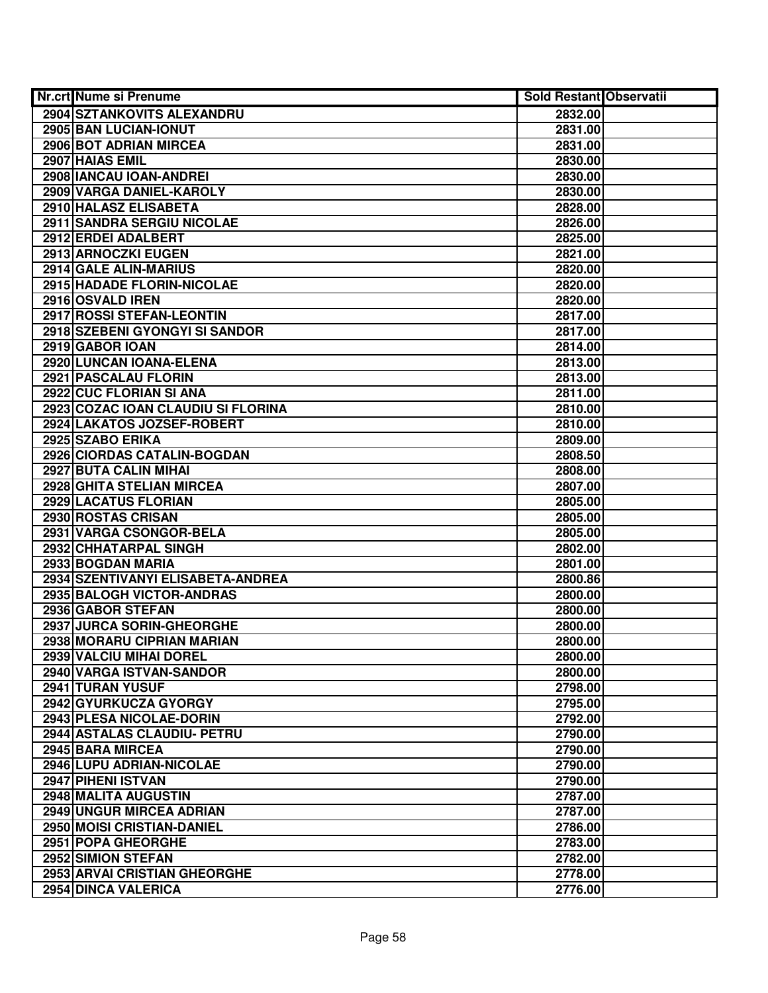| <b>Nr.crt Nume si Prenume</b>      | <b>Sold Restant Observatii</b> |  |
|------------------------------------|--------------------------------|--|
| 2904 SZTANKOVITS ALEXANDRU         | 2832.00                        |  |
| 2905 BAN LUCIAN-IONUT              | 2831.00                        |  |
| 2906 BOT ADRIAN MIRCEA             | 2831.00                        |  |
| 2907 HAIAS EMIL                    | 2830.00                        |  |
| 2908 IANCAU IOAN-ANDREI            | 2830.00                        |  |
| 2909 VARGA DANIEL-KAROLY           | 2830.00                        |  |
| 2910 HALASZ ELISABETA              | 2828.00                        |  |
| 2911 SANDRA SERGIU NICOLAE         | 2826.00                        |  |
| 2912 ERDEI ADALBERT                | 2825.00                        |  |
| 2913 ARNOCZKI EUGEN                | 2821.00                        |  |
| 2914 GALE ALIN-MARIUS              | 2820.00                        |  |
| 2915 HADADE FLORIN-NICOLAE         | 2820.00                        |  |
| 2916 OSVALD IREN                   | 2820.00                        |  |
| 2917 ROSSI STEFAN-LEONTIN          | 2817.00                        |  |
| 2918 SZEBENI GYONGYI SI SANDOR     | 2817.00                        |  |
| 2919 GABOR IOAN                    | 2814.00                        |  |
| 2920 LUNCAN IOANA-ELENA            | 2813.00                        |  |
| 2921 PASCALAU FLORIN               | 2813.00                        |  |
| 2922 CUC FLORIAN SI ANA            | 2811.00                        |  |
| 2923 COZAC IOAN CLAUDIU SI FLORINA | 2810.00                        |  |
| 2924 LAKATOS JOZSEF-ROBERT         | 2810.00                        |  |
| 2925 SZABO ERIKA                   | 2809.00                        |  |
| 2926 CIORDAS CATALIN-BOGDAN        | 2808.50                        |  |
| 2927 BUTA CALIN MIHAI              | 2808.00                        |  |
| 2928 GHITA STELIAN MIRCEA          | 2807.00                        |  |
| 2929 LACATUS FLORIAN               | 2805.00                        |  |
| 2930 ROSTAS CRISAN                 | 2805.00                        |  |
| 2931 VARGA CSONGOR-BELA            | 2805.00                        |  |
| 2932 CHHATARPAL SINGH              | 2802.00                        |  |
| 2933 BOGDAN MARIA                  | 2801.00                        |  |
| 2934 SZENTIVANYI ELISABETA-ANDREA  | 2800.86                        |  |
| 2935 BALOGH VICTOR-ANDRAS          | 2800.00                        |  |
| 2936 GABOR STEFAN                  | 2800.00                        |  |
| 2937 JURCA SORIN-GHEORGHE          | 2800.00                        |  |
| 2938 MORARU CIPRIAN MARIAN         | 2800.00                        |  |
| 2939 VALCIU MIHAI DOREL            | 2800.00                        |  |
| 2940 VARGA ISTVAN-SANDOR           | 2800.00                        |  |
| 2941 TURAN YUSUF                   | 2798.00                        |  |
| 2942 GYURKUCZA GYORGY              | 2795.00                        |  |
| 2943 PLESA NICOLAE-DORIN           | 2792.00                        |  |
| 2944 ASTALAS CLAUDIU- PETRU        | 2790.00                        |  |
| 2945 BARA MIRCEA                   | 2790.00                        |  |
| 2946 LUPU ADRIAN-NICOLAE           | 2790.00                        |  |
| 2947 PIHENI ISTVAN                 | 2790.00                        |  |
| 2948 MALITA AUGUSTIN               | 2787.00                        |  |
| 2949 UNGUR MIRCEA ADRIAN           | 2787.00                        |  |
| 2950 MOISI CRISTIAN-DANIEL         | 2786.00                        |  |
| 2951 POPA GHEORGHE                 | 2783.00                        |  |
| 2952 SIMION STEFAN                 | 2782.00                        |  |
| 2953 ARVAI CRISTIAN GHEORGHE       | 2778.00                        |  |
| 2954 DINCA VALERICA                | 2776.00                        |  |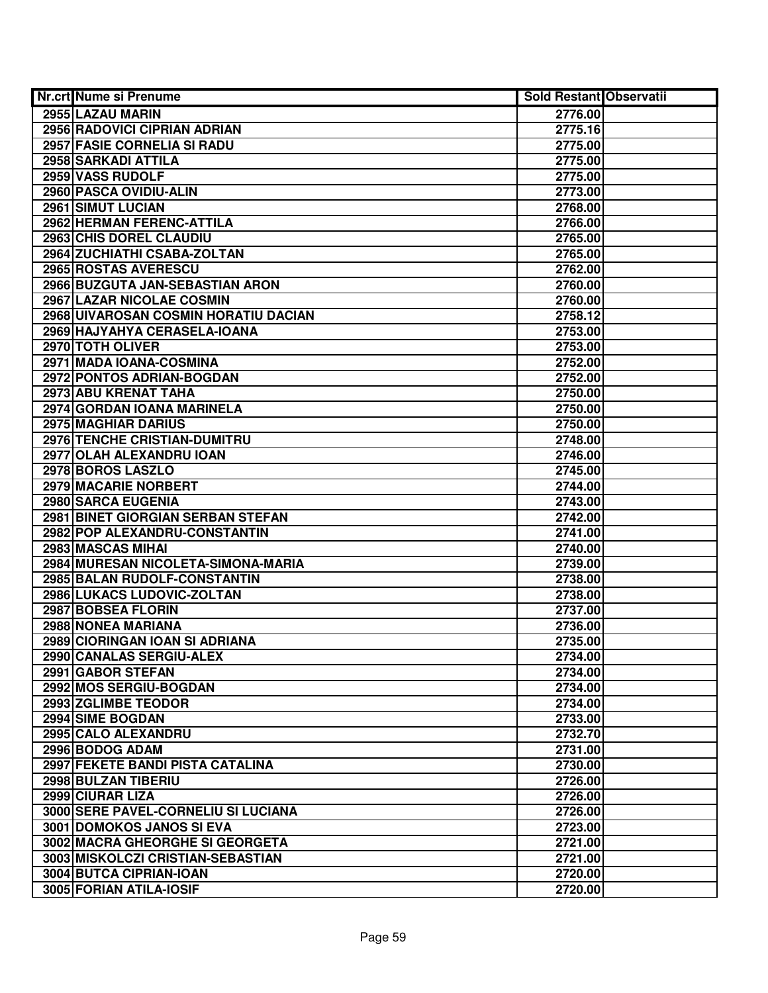| Nr.crt Nume si Prenume               | <b>Sold Restant Observatii</b> |  |
|--------------------------------------|--------------------------------|--|
| 2955 LAZAU MARIN                     | 2776.00                        |  |
| <b>2956 RADOVICI CIPRIAN ADRIAN</b>  | 2775.16                        |  |
| 2957 FASIE CORNELIA SI RADU          | 2775.00                        |  |
| 2958 SARKADI ATTILA                  | 2775.00                        |  |
| 2959 VASS RUDOLF                     | 2775.00                        |  |
| 2960 PASCA OVIDIU-ALIN               | 2773.00                        |  |
| 2961 SIMUT LUCIAN                    | 2768.00                        |  |
| 2962 HERMAN FERENC-ATTILA            | 2766.00                        |  |
| 2963 CHIS DOREL CLAUDIU              | 2765.00                        |  |
| 2964 ZUCHIATHI CSABA-ZOLTAN          | 2765.00                        |  |
| 2965 ROSTAS AVERESCU                 | 2762.00                        |  |
| 2966 BUZGUTA JAN-SEBASTIAN ARON      | 2760.00                        |  |
| 2967 LAZAR NICOLAE COSMIN            | 2760.00                        |  |
| 2968 UIVAROSAN COSMIN HORATIU DACIAN | 2758.12                        |  |
| 2969 HAJYAHYA CERASELA-IOANA         | 2753.00                        |  |
| 2970 TOTH OLIVER                     | 2753.00                        |  |
| 2971 MADA IOANA-COSMINA              | 2752.00                        |  |
| 2972 PONTOS ADRIAN-BOGDAN            | 2752.00                        |  |
| 2973 ABU KRENAT TAHA                 | 2750.00                        |  |
| 2974 GORDAN IOANA MARINELA           | 2750.00                        |  |
| 2975 MAGHIAR DARIUS                  | 2750.00                        |  |
| 2976 TENCHE CRISTIAN-DUMITRU         | 2748.00                        |  |
| 2977 OLAH ALEXANDRU IOAN             | 2746.00                        |  |
| 2978 BOROS LASZLO                    | 2745.00                        |  |
| 2979 MACARIE NORBERT                 | 2744.00                        |  |
| 2980 SARCA EUGENIA                   | 2743.00                        |  |
| 2981 BINET GIORGIAN SERBAN STEFAN    | 2742.00                        |  |
| 2982 POP ALEXANDRU-CONSTANTIN        | 2741.00                        |  |
| 2983 MASCAS MIHAI                    | 2740.00                        |  |
| 2984 MURESAN NICOLETA-SIMONA-MARIA   | 2739.00                        |  |
| 2985 BALAN RUDOLF-CONSTANTIN         | 2738.00                        |  |
| 2986 LUKACS LUDOVIC-ZOLTAN           | 2738.00                        |  |
| 2987 BOBSEA FLORIN                   | 2737.00                        |  |
| 2988 NONEA MARIANA                   | 2736.00                        |  |
| 2989 CIORINGAN IOAN SI ADRIANA       | 2735.00                        |  |
| 2990 CANALAS SERGIU-ALEX             | 2734.00                        |  |
| 2991 GABOR STEFAN                    | 2734.00                        |  |
| 2992 MOS SERGIU-BOGDAN               | 2734.00                        |  |
| 2993 ZGLIMBE TEODOR                  | 2734.00                        |  |
| 2994 SIME BOGDAN                     | 2733.00                        |  |
| 2995 CALO ALEXANDRU                  | 2732.70                        |  |
| 2996 BODOG ADAM                      | 2731.00                        |  |
| 2997 FEKETE BANDI PISTA CATALINA     | 2730.00                        |  |
| 2998 BULZAN TIBERIU                  | 2726.00                        |  |
| 2999 CIURAR LIZA                     | 2726.00                        |  |
| 3000 SERE PAVEL-CORNELIU SI LUCIANA  | 2726.00                        |  |
| 3001 DOMOKOS JANOS SI EVA            | 2723.00                        |  |
| 3002 MACRA GHEORGHE SI GEORGETA      | 2721.00                        |  |
| 3003 MISKOLCZI CRISTIAN-SEBASTIAN    | 2721.00                        |  |
| 3004 BUTCA CIPRIAN-IOAN              | 2720.00                        |  |
| 3005 FORIAN ATILA-IOSIF              | 2720.00                        |  |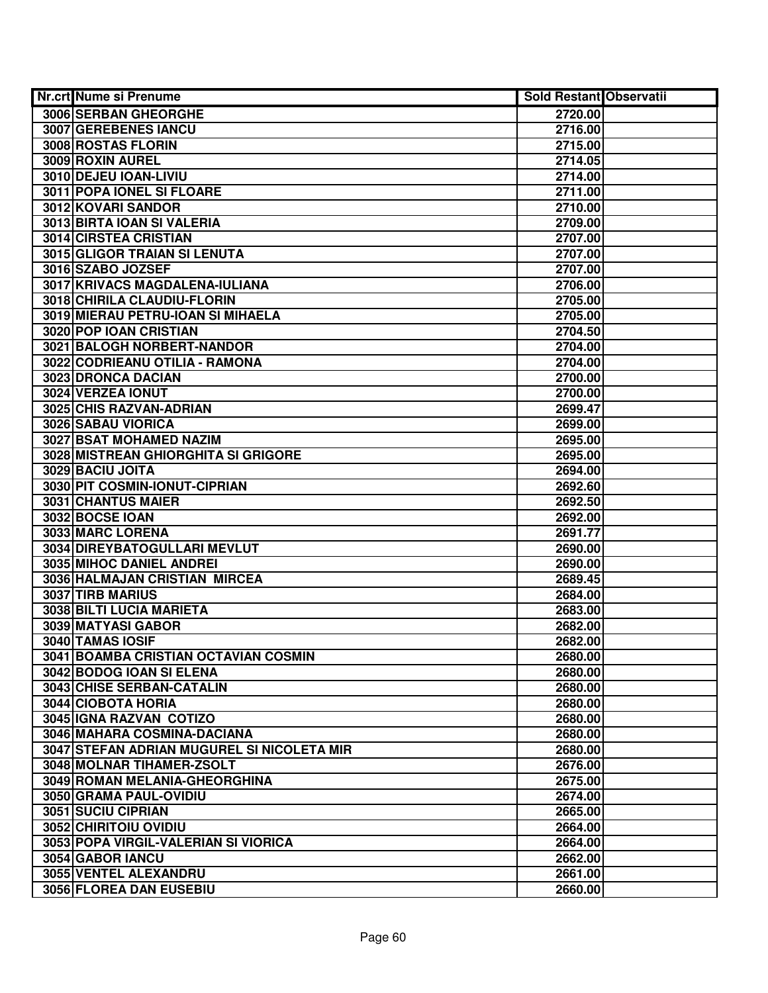| Nr.crt Nume si Prenume                     | <b>Sold Restant Observatii</b> |  |
|--------------------------------------------|--------------------------------|--|
| 3006 SERBAN GHEORGHE                       | 2720.00                        |  |
| 3007 GEREBENES IANCU                       | 2716.00                        |  |
| 3008 ROSTAS FLORIN                         | 2715.00                        |  |
| 3009 ROXIN AUREL                           | 2714.05                        |  |
| 3010 DEJEU IOAN-LIVIU                      | 2714.00                        |  |
| 3011 POPA IONEL SI FLOARE                  | 2711.00                        |  |
| 3012 KOVARI SANDOR                         | 2710.00                        |  |
| 3013 BIRTA IOAN SI VALERIA                 | 2709.00                        |  |
| <b>3014 CIRSTEA CRISTIAN</b>               | 2707.00                        |  |
| <b>3015 GLIGOR TRAIAN SI LENUTA</b>        | 2707.00                        |  |
| 3016 SZABO JOZSEF                          | 2707.00                        |  |
| 3017 KRIVACS MAGDALENA-IULIANA             | 2706.00                        |  |
| 3018 CHIRILA CLAUDIU-FLORIN                | 2705.00                        |  |
| 3019 MIERAU PETRU-IOAN SI MIHAELA          | 2705.00                        |  |
| 3020 POP IOAN CRISTIAN                     | 2704.50                        |  |
| 3021 BALOGH NORBERT-NANDOR                 | 2704.00                        |  |
| 3022 CODRIEANU OTILIA - RAMONA             | 2704.00                        |  |
| 3023 DRONCA DACIAN                         | 2700.00                        |  |
| 3024 VERZEA IONUT                          | 2700.00                        |  |
| 3025 CHIS RAZVAN-ADRIAN                    | 2699.47                        |  |
| 3026 SABAU VIORICA                         | 2699.00                        |  |
| 3027 BSAT MOHAMED NAZIM                    | 2695.00                        |  |
| 3028 MISTREAN GHIORGHITA SI GRIGORE        | 2695.00                        |  |
| 3029 BACIU JOITA                           | 2694.00                        |  |
| 3030 PIT COSMIN-IONUT-CIPRIAN              | 2692.60                        |  |
| 3031 CHANTUS MAIER                         | 2692.50                        |  |
| 3032 BOCSE IOAN                            | 2692.00                        |  |
| 3033 MARC LORENA                           | 2691.77                        |  |
| 3034 DIREYBATOGULLARI MEVLUT               | 2690.00                        |  |
| 3035 MIHOC DANIEL ANDREI                   | 2690.00                        |  |
| 3036 HALMAJAN CRISTIAN MIRCEA              | 2689.45                        |  |
| 3037 TIRB MARIUS                           | 2684.00                        |  |
| 3038 BILTI LUCIA MARIETA                   | 2683.00                        |  |
| 3039 MATYASI GABOR                         | 2682.00                        |  |
| 3040 TAMAS IOSIF                           | 2682.00                        |  |
| 3041 BOAMBA CRISTIAN OCTAVIAN COSMIN       | 2680.00                        |  |
| 3042 BODOG IOAN SI ELENA                   | 2680.00                        |  |
| 3043 CHISE SERBAN-CATALIN                  | 2680.00                        |  |
| 3044 CIOBOTA HORIA                         | 2680.00                        |  |
| 3045 GNA RAZVAN COTIZO                     | 2680.00                        |  |
| 3046 MAHARA COSMINA-DACIANA                | 2680.00                        |  |
| 3047 STEFAN ADRIAN MUGUREL SI NICOLETA MIR | 2680.00                        |  |
| 3048 MOLNAR TIHAMER-ZSOLT                  | 2676.00                        |  |
| 3049 ROMAN MELANIA-GHEORGHINA              | 2675.00                        |  |
| 3050 GRAMA PAUL-OVIDIU                     | 2674.00                        |  |
| 3051 SUCIU CIPRIAN                         | 2665.00                        |  |
| 3052 CHIRITOIU OVIDIU                      | 2664.00                        |  |
| 3053 POPA VIRGIL-VALERIAN SI VIORICA       | 2664.00                        |  |
| 3054 GABOR IANCU                           | 2662.00                        |  |
| 3055 VENTEL ALEXANDRU                      | 2661.00                        |  |
| 3056 FLOREA DAN EUSEBIU                    | 2660.00                        |  |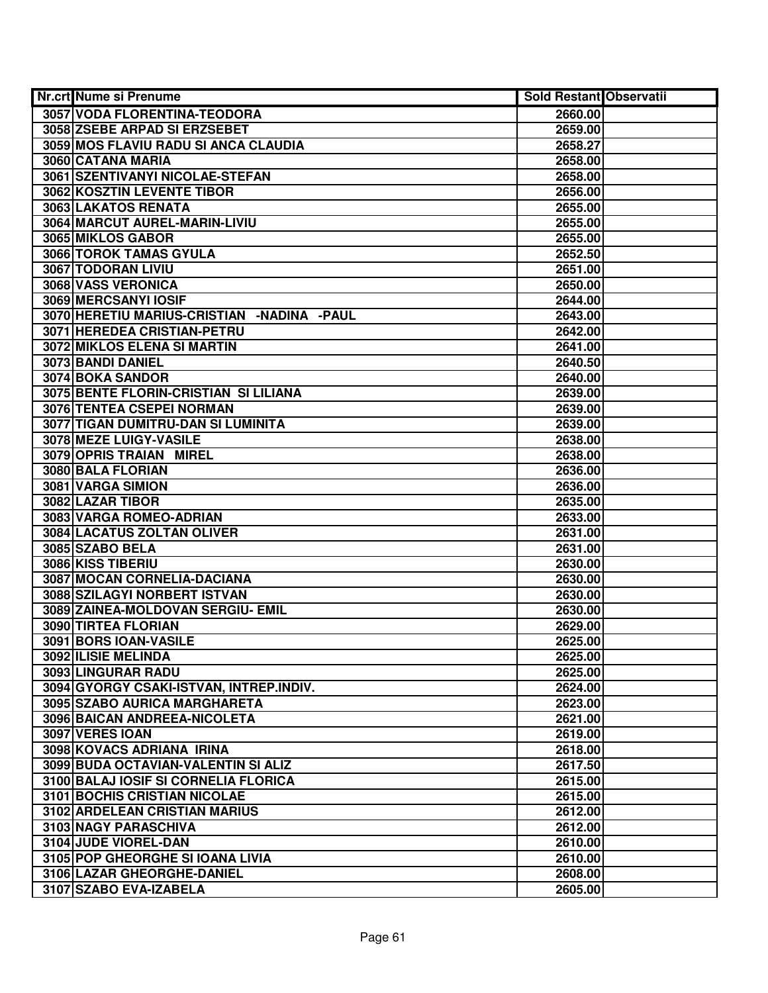| <b>Nr.crt Nume si Prenume</b>              | <b>Sold Restant Observatii</b> |  |
|--------------------------------------------|--------------------------------|--|
| 3057 VODA FLORENTINA-TEODORA               | 2660.00                        |  |
| 3058 ZSEBE ARPAD SI ERZSEBET               | 2659.00                        |  |
| 3059 MOS FLAVIU RADU SI ANCA CLAUDIA       | 2658.27                        |  |
| 3060 CATANA MARIA                          | 2658.00                        |  |
| 3061 SZENTIVANYI NICOLAE-STEFAN            | 2658.00                        |  |
| 3062 KOSZTIN LEVENTE TIBOR                 | 2656.00                        |  |
| 3063 LAKATOS RENATA                        | 2655.00                        |  |
| 3064 MARCUT AUREL-MARIN-LIVIU              | 2655.00                        |  |
| 3065 MIKLOS GABOR                          | 2655.00                        |  |
| 3066 TOROK TAMAS GYULA                     | 2652.50                        |  |
| 3067 TODORAN LIVIU                         | 2651.00                        |  |
| 3068 VASS VERONICA                         | 2650.00                        |  |
| 3069 MERCSANYI IOSIF                       | 2644.00                        |  |
| 3070 HERETIU MARIUS-CRISTIAN -NADINA -PAUL | 2643.00                        |  |
| 3071 HEREDEA CRISTIAN-PETRU                | 2642.00                        |  |
| 3072 MIKLOS ELENA SI MARTIN                | 2641.00                        |  |
| 3073 BANDI DANIEL                          | 2640.50                        |  |
| 3074 BOKA SANDOR                           | 2640.00                        |  |
| 3075 BENTE FLORIN-CRISTIAN SI LILIANA      | 2639.00                        |  |
| 3076 TENTEA CSEPEI NORMAN                  | 2639.00                        |  |
| 3077 TIGAN DUMITRU-DAN SI LUMINITA         | 2639.00                        |  |
| 3078 MEZE LUIGY-VASILE                     | 2638.00                        |  |
| 3079 OPRIS TRAIAN MIREL                    | 2638.00                        |  |
| 3080 BALA FLORIAN                          | 2636.00                        |  |
| 3081 VARGA SIMION                          | 2636.00                        |  |
| 3082 LAZAR TIBOR                           | 2635.00                        |  |
| 3083 VARGA ROMEO-ADRIAN                    | 2633.00                        |  |
| 3084 LACATUS ZOLTAN OLIVER                 | 2631.00                        |  |
| 3085 SZABO BELA                            | 2631.00                        |  |
| 3086 KISS TIBERIU                          | 2630.00                        |  |
| 3087 MOCAN CORNELIA-DACIANA                | 2630.00                        |  |
| 3088 SZILAGYI NORBERT ISTVAN               | 2630.00                        |  |
| 3089 ZAINEA-MOLDOVAN SERGIU- EMIL          | 2630.00                        |  |
| 3090 TIRTEA FLORIAN                        | 2629.00                        |  |
| 3091 BORS IOAN-VASILE                      | 2625.00                        |  |
| 3092 ILISIE MELINDA                        | 2625.00                        |  |
| 3093 LINGURAR RADU                         | 2625.00                        |  |
| 3094 GYORGY CSAKI-ISTVAN, INTREP.INDIV.    | 2624.00                        |  |
| 3095 SZABO AURICA MARGHARETA               | 2623.00                        |  |
| 3096 BAICAN ANDREEA-NICOLETA               | 2621.00                        |  |
| 3097 VERES IOAN                            | 2619.00                        |  |
| 3098 KOVACS ADRIANA IRINA                  | 2618.00                        |  |
| 3099 BUDA OCTAVIAN-VALENTIN SI ALIZ        | 2617.50                        |  |
| 3100 BALAJ IOSIF SI CORNELIA FLORICA       | 2615.00                        |  |
| 3101 BOCHIS CRISTIAN NICOLAE               | 2615.00                        |  |
| 3102 ARDELEAN CRISTIAN MARIUS              | 2612.00                        |  |
| 3103 NAGY PARASCHIVA                       | 2612.00                        |  |
| 3104 JUDE VIOREL-DAN                       | 2610.00                        |  |
| 3105 POP GHEORGHE SI IOANA LIVIA           | 2610.00                        |  |
| 3106 LAZAR GHEORGHE-DANIEL                 | 2608.00                        |  |
| 3107 SZABO EVA-IZABELA                     | 2605.00                        |  |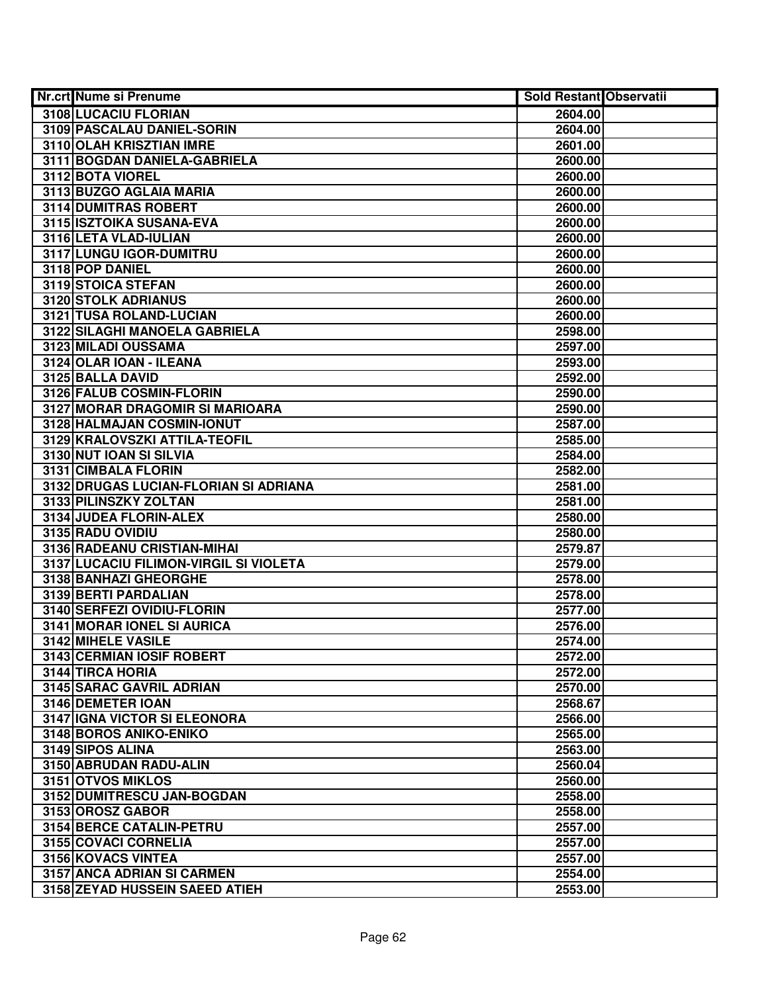| <b>Nr.crt Nume si Prenume</b>          | <b>Sold Restant Observatii</b> |  |
|----------------------------------------|--------------------------------|--|
| 3108 LUCACIU FLORIAN                   | 2604.00                        |  |
| 3109 PASCALAU DANIEL-SORIN             | 2604.00                        |  |
| 3110 OLAH KRISZTIAN IMRE               | 2601.00                        |  |
| 3111 BOGDAN DANIELA-GABRIELA           | 2600.00                        |  |
| 3112 BOTA VIOREL                       | 2600.00                        |  |
| 3113 BUZGO AGLAIA MARIA                | 2600.00                        |  |
| 3114 DUMITRAS ROBERT                   | 2600.00                        |  |
| 3115 ISZTOIKA SUSANA-EVA               | 2600.00                        |  |
| 3116 LETA VLAD-IULIAN                  | 2600.00                        |  |
| 3117 LUNGU IGOR-DUMITRU                | 2600.00                        |  |
| 3118 POP DANIEL                        | 2600.00                        |  |
| 3119 STOICA STEFAN                     | 2600.00                        |  |
| 3120 STOLK ADRIANUS                    | 2600.00                        |  |
| 3121 TUSA ROLAND-LUCIAN                | 2600.00                        |  |
| 3122 SILAGHI MANOELA GABRIELA          | 2598.00                        |  |
| 3123 MILADI OUSSAMA                    | 2597.00                        |  |
| 3124 OLAR IOAN - ILEANA                | 2593.00                        |  |
| 3125 BALLA DAVID                       | 2592.00                        |  |
| 3126 FALUB COSMIN-FLORIN               | 2590.00                        |  |
| 3127 MORAR DRAGOMIR SI MARIOARA        | 2590.00                        |  |
| 3128 HALMAJAN COSMIN-IONUT             | 2587.00                        |  |
| 3129 KRALOVSZKI ATTILA-TEOFIL          | 2585.00                        |  |
| 3130 NUT IOAN SI SILVIA                | 2584.00                        |  |
| 3131 CIMBALA FLORIN                    | 2582.00                        |  |
| 3132 DRUGAS LUCIAN-FLORIAN SI ADRIANA  | 2581.00                        |  |
| 3133 PILINSZKY ZOLTAN                  | 2581.00                        |  |
| 3134 JUDEA FLORIN-ALEX                 | 2580.00                        |  |
| 3135 RADU OVIDIU                       | 2580.00                        |  |
| 3136 RADEANU CRISTIAN-MIHAI            | 2579.87                        |  |
| 3137 LUCACIU FILIMON-VIRGIL SI VIOLETA | 2579.00                        |  |
| 3138 BANHAZI GHEORGHE                  | 2578.00                        |  |
| 3139 BERTI PARDALIAN                   | 2578.00                        |  |
| 3140 SERFEZI OVIDIU-FLORIN             | 2577.00                        |  |
| 3141 MORAR IONEL SI AURICA             | 2576.00                        |  |
| <b>3142 MIHELE VASILE</b>              | 2574.00                        |  |
| <b>3143 CERMIAN IOSIF ROBERT</b>       | 2572.00                        |  |
| 3144 TIRCA HORIA                       | 2572.00                        |  |
| 3145 SARAC GAVRIL ADRIAN               | 2570.00                        |  |
| 3146 DEMETER IOAN                      | 2568.67                        |  |
| 3147 IGNA VICTOR SI ELEONORA           | 2566.00                        |  |
| 3148 BOROS ANIKO-ENIKO                 | 2565.00                        |  |
| 3149 SIPOS ALINA                       | 2563.00                        |  |
| 3150 ABRUDAN RADU-ALIN                 | 2560.04                        |  |
| 3151 OTVOS MIKLOS                      | 2560.00                        |  |
| 3152 DUMITRESCU JAN-BOGDAN             | 2558.00                        |  |
| 3153 OROSZ GABOR                       | 2558.00                        |  |
| 3154 BERCE CATALIN-PETRU               | 2557.00                        |  |
| 3155 COVACI CORNELIA                   | 2557.00                        |  |
| 3156 KOVACS VINTEA                     | 2557.00                        |  |
| 3157 ANCA ADRIAN SI CARMEN             | 2554.00                        |  |
| 3158 ZEYAD HUSSEIN SAEED ATIEH         | 2553.00                        |  |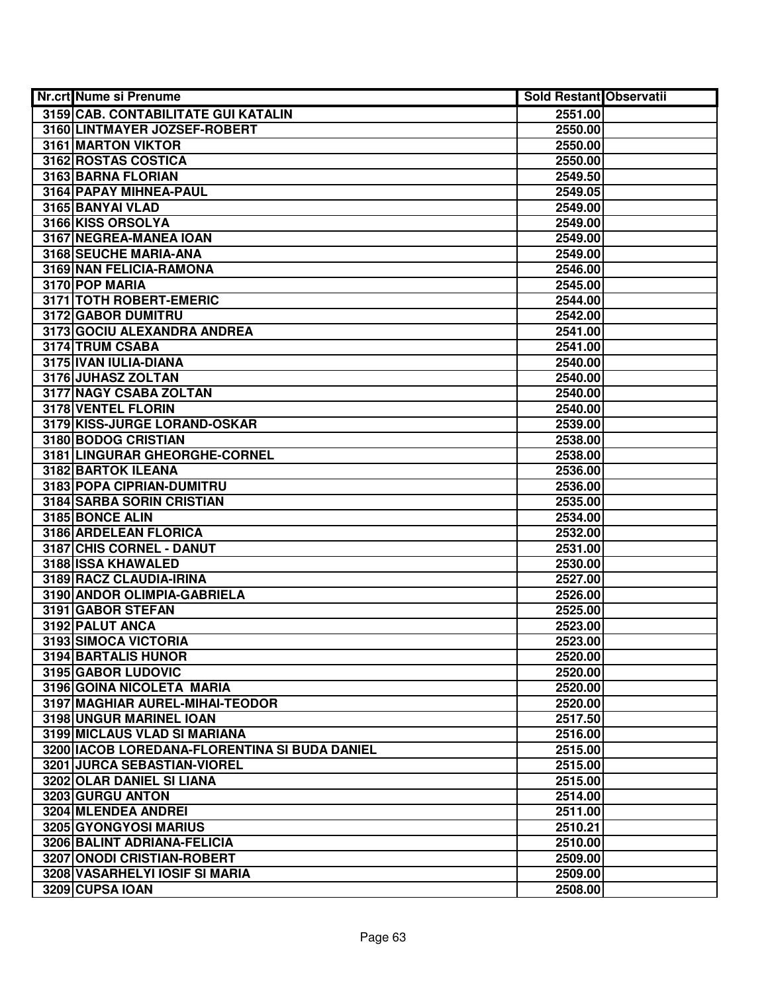| <b>Nr.crt Nume si Prenume</b>                 | Sold Restant Observatii |  |
|-----------------------------------------------|-------------------------|--|
| 3159 CAB. CONTABILITATE GUI KATALIN           | 2551.00                 |  |
| 3160 LINTMAYER JOZSEF-ROBERT                  | 2550.00                 |  |
| 3161 MARTON VIKTOR                            | 2550.00                 |  |
| 3162 ROSTAS COSTICA                           | 2550.00                 |  |
| 3163 BARNA FLORIAN                            | 2549.50                 |  |
| 3164 PAPAY MIHNEA-PAUL                        | 2549.05                 |  |
| 3165 BANYAI VLAD                              | 2549.00                 |  |
| 3166 KISS ORSOLYA                             | 2549.00                 |  |
| 3167 NEGREA-MANEA IOAN                        | 2549.00                 |  |
| 3168 SEUCHE MARIA-ANA                         | 2549.00                 |  |
| 3169 NAN FELICIA-RAMONA                       | 2546.00                 |  |
| 3170 POP MARIA                                | 2545.00                 |  |
| 3171 TOTH ROBERT-EMERIC                       | 2544.00                 |  |
| 3172 GABOR DUMITRU                            | 2542.00                 |  |
| 3173 GOCIU ALEXANDRA ANDREA                   | 2541.00                 |  |
| 3174 TRUM CSABA                               | 2541.00                 |  |
| 3175 IVAN IULIA-DIANA                         | 2540.00                 |  |
| 3176 JUHASZ ZOLTAN                            | 2540.00                 |  |
| 3177 NAGY CSABA ZOLTAN                        | 2540.00                 |  |
| 3178 VENTEL FLORIN                            | 2540.00                 |  |
| 3179 KISS-JURGE LORAND-OSKAR                  | 2539.00                 |  |
| 3180 BODOG CRISTIAN                           | 2538.00                 |  |
| 3181 LINGURAR GHEORGHE-CORNEL                 | 2538.00                 |  |
| 3182 BARTOK ILEANA                            | 2536.00                 |  |
| 3183 POPA CIPRIAN-DUMITRU                     | 2536.00                 |  |
| 3184 SARBA SORIN CRISTIAN                     | 2535.00                 |  |
| 3185 BONCE ALIN                               | 2534.00                 |  |
| 3186 ARDELEAN FLORICA                         | 2532.00                 |  |
| 3187 CHIS CORNEL - DANUT                      | 2531.00                 |  |
| 3188 ISSA KHAWALED                            | 2530.00                 |  |
| 3189 RACZ CLAUDIA-IRINA                       | 2527.00                 |  |
| 3190 ANDOR OLIMPIA-GABRIELA                   | 2526.00                 |  |
| 3191 GABOR STEFAN                             | 2525.00                 |  |
| 3192 PALUT ANCA                               | 2523.00                 |  |
| 3193 SIMOCA VICTORIA                          | 2523.00                 |  |
| 3194 BARTALIS HUNOR                           | 2520.00                 |  |
| 3195 GABOR LUDOVIC                            | 2520.00                 |  |
| 3196 GOINA NICOLETA MARIA                     | 2520.00                 |  |
| 3197 MAGHIAR AUREL-MIHAI-TEODOR               | 2520.00                 |  |
| 3198 UNGUR MARINEL IOAN                       | 2517.50                 |  |
| 3199 MICLAUS VLAD SI MARIANA                  | 2516.00                 |  |
| 3200 IACOB LOREDANA-FLORENTINA SI BUDA DANIEL | 2515.00                 |  |
| 3201 JURCA SEBASTIAN-VIOREL                   | 2515.00                 |  |
| 3202 OLAR DANIEL SI LIANA                     | 2515.00                 |  |
| 3203 GURGU ANTON                              | 2514.00                 |  |
| 3204 MLENDEA ANDREI                           | 2511.00                 |  |
| 3205 GYONGYOSI MARIUS                         | 2510.21                 |  |
| 3206 BALINT ADRIANA-FELICIA                   | 2510.00                 |  |
| 3207 ONODI CRISTIAN-ROBERT                    | 2509.00                 |  |
| 3208 VASARHELYI IOSIF SI MARIA                | 2509.00                 |  |
| 3209 CUPSA IOAN                               | 2508.00                 |  |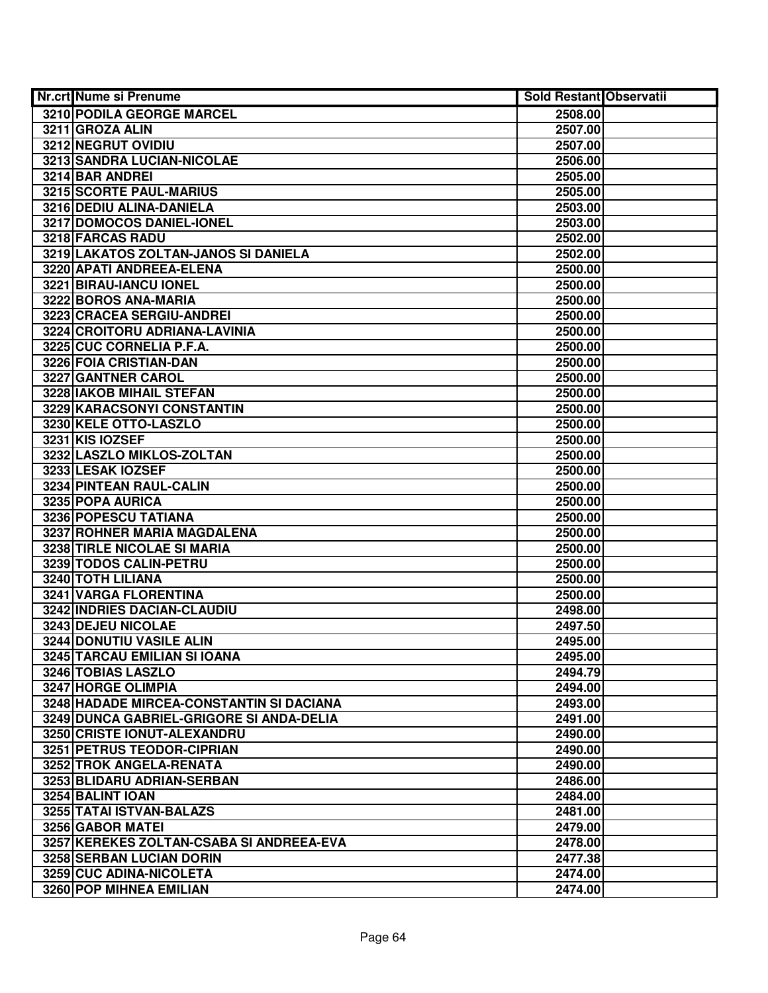| <b>Nr.crt Nume si Prenume</b>            | <b>Sold Restant Observatii</b> |  |
|------------------------------------------|--------------------------------|--|
| 3210 PODILA GEORGE MARCEL                | 2508.00                        |  |
| 3211 GROZA ALIN                          | 2507.00                        |  |
| 3212 NEGRUT OVIDIU                       | 2507.00                        |  |
| 3213 SANDRA LUCIAN-NICOLAE               | 2506.00                        |  |
| 3214 BAR ANDREI                          | 2505.00                        |  |
| 3215 SCORTE PAUL-MARIUS                  | 2505.00                        |  |
| 3216 DEDIU ALINA-DANIELA                 | 2503.00                        |  |
| 3217 DOMOCOS DANIEL-IONEL                | 2503.00                        |  |
| 3218 FARCAS RADU                         | 2502.00                        |  |
| 3219 LAKATOS ZOLTAN-JANOS SI DANIELA     | 2502.00                        |  |
| 3220 APATI ANDREEA-ELENA                 | 2500.00                        |  |
| 3221 BIRAU-IANCU IONEL                   | 2500.00                        |  |
| 3222 BOROS ANA-MARIA                     | 2500.00                        |  |
| 3223 CRACEA SERGIU-ANDREI                | 2500.00                        |  |
| 3224 CROITORU ADRIANA-LAVINIA            | 2500.00                        |  |
| 3225 CUC CORNELIA P.F.A.                 | 2500.00                        |  |
| 3226 FOIA CRISTIAN-DAN                   | 2500.00                        |  |
| 3227 GANTNER CAROL                       | 2500.00                        |  |
| <b>3228 IAKOB MIHAIL STEFAN</b>          | 2500.00                        |  |
| 3229 KARACSONYI CONSTANTIN               | 2500.00                        |  |
| 3230 KELE OTTO-LASZLO                    | 2500.00                        |  |
| 3231 KIS IOZSEF                          | 2500.00                        |  |
| 3232 LASZLO MIKLOS-ZOLTAN                | 2500.00                        |  |
| 3233 LESAK IOZSEF                        | 2500.00                        |  |
| 3234 PINTEAN RAUL-CALIN                  | 2500.00                        |  |
| 3235 POPA AURICA                         | 2500.00                        |  |
| 3236 POPESCU TATIANA                     | 2500.00                        |  |
| 3237 ROHNER MARIA MAGDALENA              | 2500.00                        |  |
| 3238 TIRLE NICOLAE SI MARIA              | 2500.00                        |  |
| 3239 TODOS CALIN-PETRU                   | 2500.00                        |  |
| 3240 TOTH LILIANA                        | 2500.00                        |  |
| 3241 VARGA FLORENTINA                    | 2500.00                        |  |
| 3242 INDRIES DACIAN-CLAUDIU              | 2498.00                        |  |
| <b>3243 DEJEU NICOLAE</b>                | 2497.50                        |  |
| <b>3244 DONUTIU VASILE ALIN</b>          | 2495.00                        |  |
| 3245 TARCAU EMILIAN SI IOANA             | 2495.00                        |  |
| 3246 TOBIAS LASZLO                       | 2494.79                        |  |
| <b>3247 HORGE OLIMPIA</b>                | 2494.00                        |  |
| 3248 HADADE MIRCEA-CONSTANTIN SI DACIANA | 2493.00                        |  |
| 3249 DUNCA GABRIEL-GRIGORE SI ANDA-DELIA | 2491.00                        |  |
| 3250 CRISTE IONUT-ALEXANDRU              | 2490.00                        |  |
| 3251 PETRUS TEODOR-CIPRIAN               | 2490.00                        |  |
| 3252 TROK ANGELA-RENATA                  | 2490.00                        |  |
| 3253 BLIDARU ADRIAN-SERBAN               | 2486.00                        |  |
| 3254 BALINT IOAN                         | 2484.00                        |  |
| 3255 TATAI ISTVAN-BALAZS                 | 2481.00                        |  |
| 3256 GABOR MATEI                         | 2479.00                        |  |
| 3257 KEREKES ZOLTAN-CSABA SI ANDREEA-EVA | 2478.00                        |  |
| 3258 SERBAN LUCIAN DORIN                 | 2477.38                        |  |
| 3259 CUC ADINA-NICOLETA                  | 2474.00                        |  |
| 3260 POP MIHNEA EMILIAN                  | 2474.00                        |  |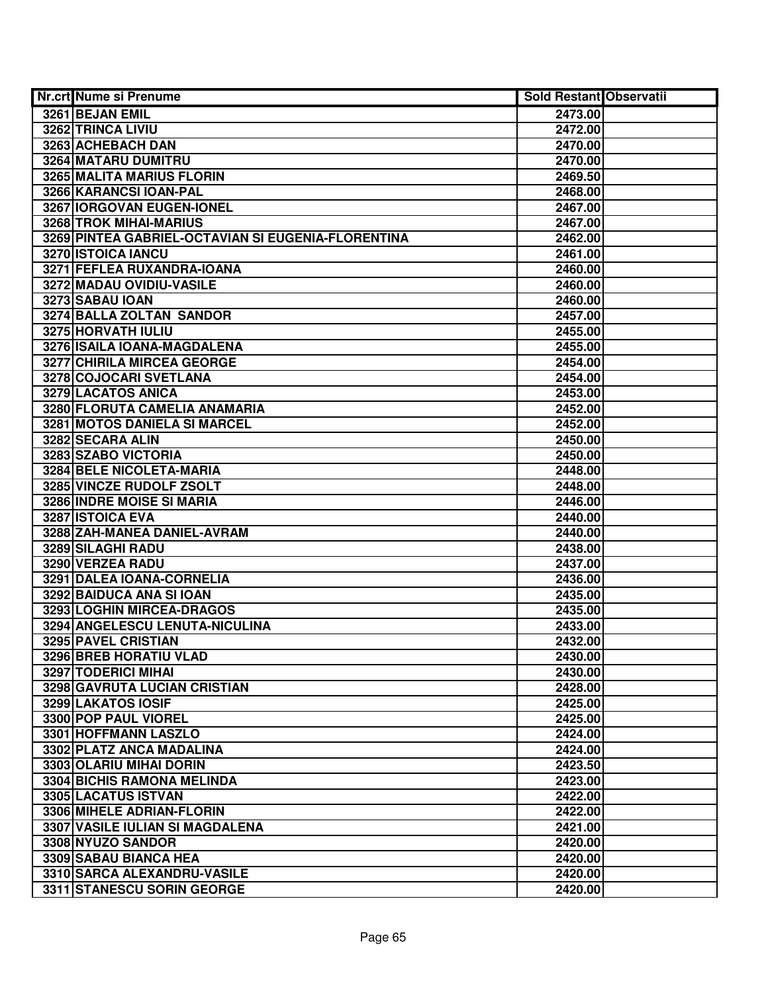| <b>Nr.crt Nume si Prenume</b>                      | Sold Restant Observatii |  |
|----------------------------------------------------|-------------------------|--|
| 3261 BEJAN EMIL                                    | 2473.00                 |  |
| 3262 TRINCA LIVIU                                  | 2472.00                 |  |
| 3263 ACHEBACH DAN                                  | 2470.00                 |  |
| 3264 MATARU DUMITRU                                | 2470.00                 |  |
| 3265 MALITA MARIUS FLORIN                          | 2469.50                 |  |
| 3266 KARANCSI IOAN-PAL                             | 2468.00                 |  |
| 3267 IORGOVAN EUGEN-IONEL                          | 2467.00                 |  |
| 3268 TROK MIHAI-MARIUS                             | 2467.00                 |  |
| 3269 PINTEA GABRIEL-OCTAVIAN SI EUGENIA-FLORENTINA | 2462.00                 |  |
| 3270 ISTOICA IANCU                                 | 2461.00                 |  |
| 3271 FEFLEA RUXANDRA-IOANA                         | 2460.00                 |  |
| 3272 MADAU OVIDIU-VASILE                           | 2460.00                 |  |
| 3273 SABAU IOAN                                    | 2460.00                 |  |
| 3274 BALLA ZOLTAN SANDOR                           | 2457.00                 |  |
| 3275 HORVATH IULIU                                 | 2455.00                 |  |
| 3276 ISAILA IOANA-MAGDALENA                        | 2455.00                 |  |
| 3277 CHIRILA MIRCEA GEORGE                         | 2454.00                 |  |
| 3278 COJOCARI SVETLANA                             | 2454.00                 |  |
| 3279 LACATOS ANICA                                 | 2453.00                 |  |
| 3280 FLORUTA CAMELIA ANAMARIA                      | 2452.00                 |  |
| 3281 MOTOS DANIELA SI MARCEL                       | 2452.00                 |  |
| 3282 SECARA ALIN                                   | 2450.00                 |  |
| 3283 SZABO VICTORIA                                | 2450.00                 |  |
| 3284 BELE NICOLETA-MARIA                           | 2448.00                 |  |
| 3285 VINCZE RUDOLF ZSOLT                           | 2448.00                 |  |
| 3286 INDRE MOISE SI MARIA                          | 2446.00                 |  |
| 3287 ISTOICA EVA                                   | 2440.00                 |  |
| 3288 ZAH-MANEA DANIEL-AVRAM                        | 2440.00                 |  |
| 3289 SILAGHI RADU                                  | 2438.00                 |  |
| 3290 VERZEA RADU                                   | 2437.00                 |  |
| 3291 DALEA IOANA-CORNELIA                          | 2436.00                 |  |
| 3292 BAIDUCA ANA SI IOAN                           | 2435.00                 |  |
| 3293 LOGHIN MIRCEA-DRAGOS                          | 2435.00                 |  |
| 3294 ANGELESCU LENUTA-NICULINA                     | 2433.00                 |  |
| <b>3295 PAVEL CRISTIAN</b>                         | 2432.00                 |  |
| 3296 BREB HORATIU VLAD                             | 2430.00                 |  |
| <b>3297 TODERICI MIHAI</b>                         | 2430.00                 |  |
| 3298 GAVRUTA LUCIAN CRISTIAN                       | 2428.00                 |  |
| 3299 LAKATOS IOSIF                                 | 2425.00                 |  |
| 3300 POP PAUL VIOREL                               | 2425.00                 |  |
| 3301 HOFFMANN LASZLO                               | 2424.00                 |  |
| 3302 PLATZ ANCA MADALINA                           | 2424.00                 |  |
| 3303 OLARIU MIHAI DORIN                            | 2423.50                 |  |
| 3304 BICHIS RAMONA MELINDA                         | 2423.00                 |  |
| 3305 LACATUS ISTVAN                                | 2422.00                 |  |
| 3306 MIHELE ADRIAN-FLORIN                          | 2422.00                 |  |
| 3307 VASILE IULIAN SI MAGDALENA                    | 2421.00                 |  |
| 3308 NYUZO SANDOR                                  | 2420.00                 |  |
| 3309 SABAU BIANCA HEA                              | 2420.00                 |  |
| 3310 SARCA ALEXANDRU-VASILE                        | 2420.00                 |  |
| 3311 STANESCU SORIN GEORGE                         | 2420.00                 |  |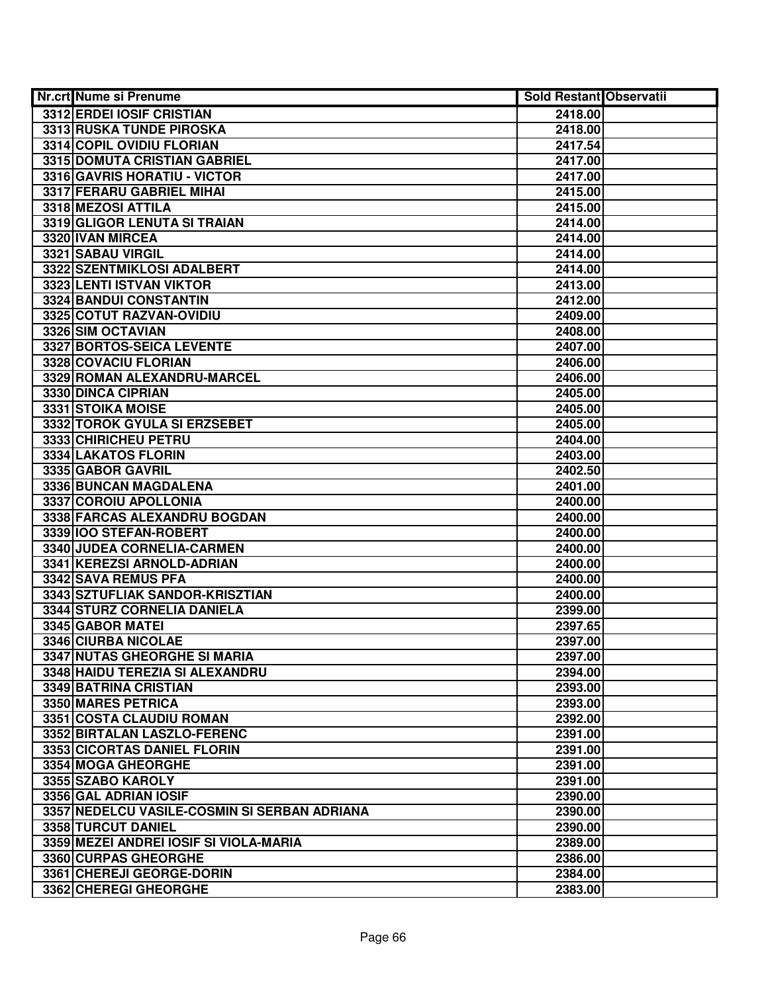| <b>Nr.crt Nume si Prenume</b>                | <b>Sold Restant Observatii</b> |  |
|----------------------------------------------|--------------------------------|--|
| 3312 ERDEI IOSIF CRISTIAN                    | 2418.00                        |  |
| 3313 RUSKA TUNDE PIROSKA                     | 2418.00                        |  |
| 3314 COPIL OVIDIU FLORIAN                    | 2417.54                        |  |
| 3315 DOMUTA CRISTIAN GABRIEL                 | 2417.00                        |  |
| 3316 GAVRIS HORATIU - VICTOR                 | 2417.00                        |  |
| 3317 FERARU GABRIEL MIHAI                    | 2415.00                        |  |
| 3318 MEZOSI ATTILA                           | 2415.00                        |  |
| 3319 GLIGOR LENUTA SI TRAIAN                 | 2414.00                        |  |
| 3320 IVAN MIRCEA                             | 2414.00                        |  |
| 3321 SABAU VIRGIL                            | 2414.00                        |  |
| 3322 SZENTMIKLOSI ADALBERT                   | 2414.00                        |  |
| 3323 LENTI ISTVAN VIKTOR                     | 2413.00                        |  |
| 3324 BANDUI CONSTANTIN                       | 2412.00                        |  |
| 3325 COTUT RAZVAN-OVIDIU                     | 2409.00                        |  |
| 3326 SIM OCTAVIAN                            | 2408.00                        |  |
| 3327 BORTOS-SEICA LEVENTE                    | 2407.00                        |  |
| 3328 COVACIU FLORIAN                         | 2406.00                        |  |
| 3329 ROMAN ALEXANDRU-MARCEL                  | 2406.00                        |  |
| 3330 DINCA CIPRIAN                           | 2405.00                        |  |
| 3331 STOIKA MOISE                            | 2405.00                        |  |
| 3332 TOROK GYULA SI ERZSEBET                 | 2405.00                        |  |
| 3333 CHIRICHEU PETRU                         | 2404.00                        |  |
| 3334 LAKATOS FLORIN                          | 2403.00                        |  |
| 3335 GABOR GAVRIL                            | 2402.50                        |  |
| 3336 BUNCAN MAGDALENA                        | 2401.00                        |  |
| 3337 COROIU APOLLONIA                        | 2400.00                        |  |
| 3338 FARCAS ALEXANDRU BOGDAN                 | 2400.00                        |  |
| 3339 IOO STEFAN-ROBERT                       | 2400.00                        |  |
| 3340 JUDEA CORNELIA-CARMEN                   | 2400.00                        |  |
| 3341 KEREZSI ARNOLD-ADRIAN                   | 2400.00                        |  |
| 3342 SAVA REMUS PFA                          | 2400.00                        |  |
| 3343 SZTUFLIAK SANDOR-KRISZTIAN              | 2400.00                        |  |
| 3344 STURZ CORNELIA DANIELA                  | 2399.00                        |  |
| 3345 GABOR MATEI                             | 2397.65                        |  |
| 3346 CIURBA NICOLAE                          | 2397.00                        |  |
| <b>3347 NUTAS GHEORGHE SI MARIA</b>          | 2397.00                        |  |
| 3348 HAIDU TEREZIA SI ALEXANDRU              | 2394.00                        |  |
| 3349 BATRINA CRISTIAN                        | 2393.00                        |  |
| 3350 MARES PETRICA                           | 2393.00                        |  |
| 3351 COSTA CLAUDIU ROMAN                     | 2392.00                        |  |
| 3352 BIRTALAN LASZLO-FERENC                  | 2391.00                        |  |
| 3353 CICORTAS DANIEL FLORIN                  | 2391.00                        |  |
| 3354 MOGA GHEORGHE                           | 2391.00                        |  |
| 3355 SZABO KAROLY                            | 2391.00                        |  |
| 3356 GAL ADRIAN IOSIF                        | 2390.00                        |  |
| 3357 NEDELCU VASILE-COSMIN SI SERBAN ADRIANA | 2390.00                        |  |
| 3358 TURCUT DANIEL                           | 2390.00                        |  |
| 3359 MEZEI ANDREI IOSIF SI VIOLA-MARIA       | 2389.00                        |  |
| 3360 CURPAS GHEORGHE                         | 2386.00                        |  |
| 3361 CHEREJI GEORGE-DORIN                    | 2384.00                        |  |
| 3362 CHEREGI GHEORGHE                        | 2383.00                        |  |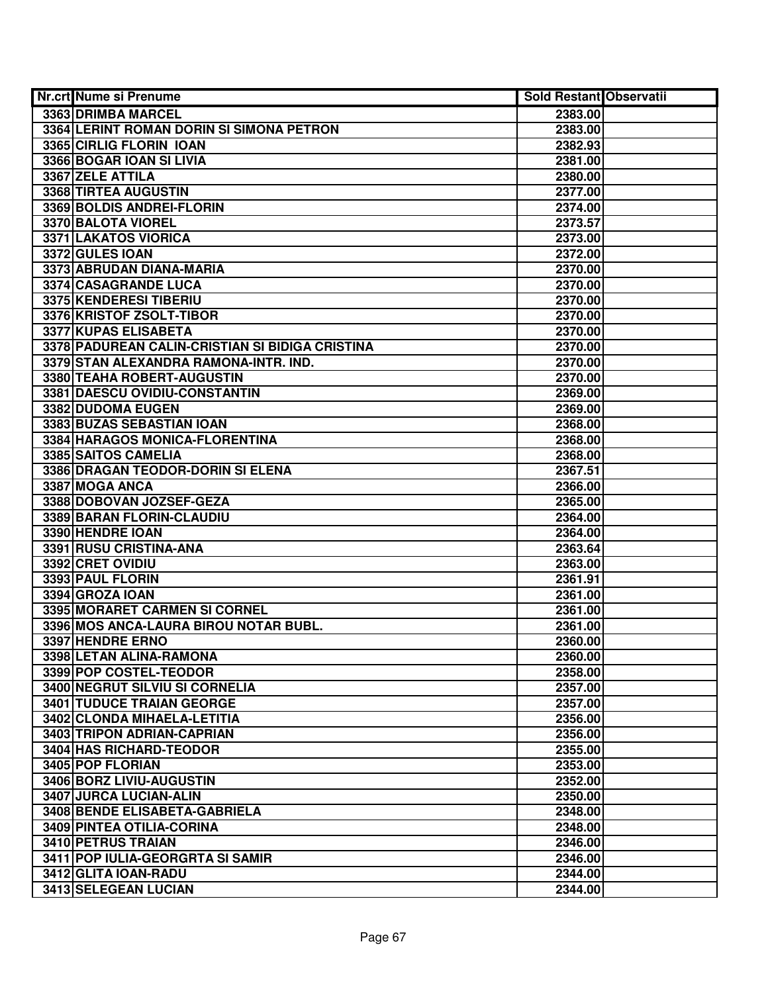| Nr.crt Nume si Prenume                            | <b>Sold Restant Observatii</b> |  |
|---------------------------------------------------|--------------------------------|--|
| 3363 DRIMBA MARCEL                                | 2383.00                        |  |
| 3364 LERINT ROMAN DORIN SI SIMONA PETRON          | 2383.00                        |  |
| 3365 CIRLIG FLORIN IOAN                           | 2382.93                        |  |
| 3366 BOGAR IOAN SI LIVIA                          | 2381.00                        |  |
| 3367 ZELE ATTILA                                  | 2380.00                        |  |
| 3368 TIRTEA AUGUSTIN                              | 2377.00                        |  |
| 3369 BOLDIS ANDREI-FLORIN                         | 2374.00                        |  |
| 3370 BALOTA VIOREL                                | 2373.57                        |  |
| 3371 LAKATOS VIORICA                              | 2373.00                        |  |
| 3372 GULES IOAN                                   | 2372.00                        |  |
| 3373 ABRUDAN DIANA-MARIA                          | 2370.00                        |  |
| 3374 CASAGRANDE LUCA                              | 2370.00                        |  |
| 3375 KENDERESI TIBERIU                            | 2370.00                        |  |
| 3376 KRISTOF ZSOLT-TIBOR                          | 2370.00                        |  |
| 3377 KUPAS ELISABETA                              | 2370.00                        |  |
| 3378 PADUREAN CALIN-CRISTIAN SI BIDIGA CRISTINA   | 2370.00                        |  |
| 3379 STAN ALEXANDRA RAMONA-INTR. IND.             | 2370.00                        |  |
| 3380 TEAHA ROBERT-AUGUSTIN                        | 2370.00                        |  |
| 3381 DAESCU OVIDIU-CONSTANTIN                     | 2369.00                        |  |
| 3382 DUDOMA EUGEN                                 | 2369.00                        |  |
| 3383 BUZAS SEBASTIAN IOAN                         | 2368.00                        |  |
| 3384 HARAGOS MONICA-FLORENTINA                    | 2368.00                        |  |
| 3385 SAITOS CAMELIA                               | 2368.00                        |  |
| 3386 DRAGAN TEODOR-DORIN SI ELENA                 | 2367.51                        |  |
| 3387 MOGA ANCA                                    | 2366.00                        |  |
| 3388 DOBOVAN JOZSEF-GEZA                          | 2365.00                        |  |
| 3389 BARAN FLORIN-CLAUDIU                         | 2364.00                        |  |
| 3390 HENDRE IOAN                                  | 2364.00                        |  |
| 3391 RUSU CRISTINA-ANA                            | 2363.64                        |  |
| 3392 CRET OVIDIU                                  | 2363.00                        |  |
| 3393 PAUL FLORIN                                  | 2361.91                        |  |
| 3394 GROZA IOAN                                   | 2361.00                        |  |
| 3395 MORARET CARMEN SI CORNEL                     | 2361.00                        |  |
| 3396 MOS ANCA-LAURA BIROU NOTAR BUBL.             | 2361.00                        |  |
| 3397 HENDRE ERNO                                  | 2360.00                        |  |
| 3398 LETAN ALINA-RAMONA<br>3399 POP COSTEL-TEODOR | 2360.00                        |  |
| 3400 NEGRUT SILVIU SI CORNELIA                    | 2358.00<br>2357.00             |  |
| <b>3401 TUDUCE TRAIAN GEORGE</b>                  | 2357.00                        |  |
| 3402 CLONDA MIHAELA-LETITIA                       | 2356.00                        |  |
| 3403 TRIPON ADRIAN-CAPRIAN                        | 2356.00                        |  |
| 3404 HAS RICHARD-TEODOR                           | 2355.00                        |  |
| 3405 POP FLORIAN                                  | 2353.00                        |  |
| 3406 BORZ LIVIU-AUGUSTIN                          | 2352.00                        |  |
| 3407 JURCA LUCIAN-ALIN                            | 2350.00                        |  |
| 3408 BENDE ELISABETA-GABRIELA                     | 2348.00                        |  |
| 3409 PINTEA OTILIA-CORINA                         | 2348.00                        |  |
| 3410 PETRUS TRAIAN                                | 2346.00                        |  |
| 3411 POP IULIA-GEORGRTA SI SAMIR                  | 2346.00                        |  |
| 3412 GLITA IOAN-RADU                              | 2344.00                        |  |
| 3413 SELEGEAN LUCIAN                              | 2344.00                        |  |
|                                                   |                                |  |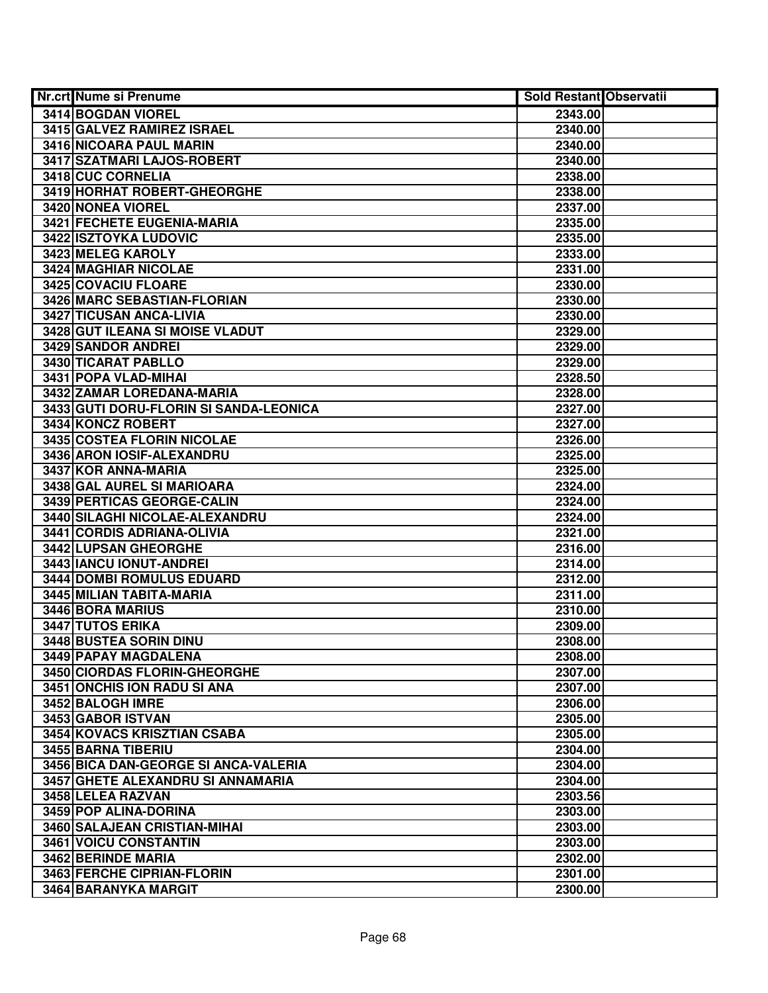| <b>Nr.crt Nume si Prenume</b>          | Sold Restant Observatii |  |
|----------------------------------------|-------------------------|--|
| <b>3414 BOGDAN VIOREL</b>              | 2343.00                 |  |
| 3415 GALVEZ RAMIREZ ISRAEL             | 2340.00                 |  |
| 3416 NICOARA PAUL MARIN                | 2340.00                 |  |
| 3417 SZATMARI LAJOS-ROBERT             | 2340.00                 |  |
| 3418 CUC CORNELIA                      | 2338.00                 |  |
| 3419 HORHAT ROBERT-GHEORGHE            | 2338.00                 |  |
| 3420 NONEA VIOREL                      | 2337.00                 |  |
| 3421 FECHETE EUGENIA-MARIA             | 2335.00                 |  |
| 3422 ISZTOYKA LUDOVIC                  | 2335.00                 |  |
| 3423 MELEG KAROLY                      | 2333.00                 |  |
| <b>3424 MAGHIAR NICOLAE</b>            | 2331.00                 |  |
| 3425 COVACIU FLOARE                    | 2330.00                 |  |
| 3426 MARC SEBASTIAN-FLORIAN            | 2330.00                 |  |
| 3427 TICUSAN ANCA-LIVIA                | 2330.00                 |  |
| 3428 GUT ILEANA SI MOISE VLADUT        | 2329.00                 |  |
| <b>3429 SANDOR ANDREI</b>              | 2329.00                 |  |
| 3430 TICARAT PABLLO                    | 2329.00                 |  |
| 3431 POPA VLAD-MIHAI                   | 2328.50                 |  |
| 3432 ZAMAR LOREDANA-MARIA              | 2328.00                 |  |
| 3433 GUTI DORU-FLORIN SI SANDA-LEONICA | 2327.00                 |  |
| 3434 KONCZ ROBERT                      | 2327.00                 |  |
| 3435 COSTEA FLORIN NICOLAE             | 2326.00                 |  |
| 3436 ARON IOSIF-ALEXANDRU              | 2325.00                 |  |
| 3437 KOR ANNA-MARIA                    | 2325.00                 |  |
| 3438 GAL AUREL SI MARIOARA             | 2324.00                 |  |
| 3439 PERTICAS GEORGE-CALIN             | 2324.00                 |  |
| 3440 SILAGHI NICOLAE-ALEXANDRU         | 2324.00                 |  |
| 3441 CORDIS ADRIANA-OLIVIA             | 2321.00                 |  |
| 3442 LUPSAN GHEORGHE                   | 2316.00                 |  |
| 3443 IANCU IONUT-ANDREI                | 2314.00                 |  |
| 3444 DOMBI ROMULUS EDUARD              | 2312.00                 |  |
| 3445 MILIAN TABITA-MARIA               | 2311.00                 |  |
| 3446 BORA MARIUS                       | 2310.00                 |  |
| 3447 TUTOS ERIKA                       | 2309.00                 |  |
| 3448 BUSTEA SORIN DINU                 | 2308.00                 |  |
| 3449 PAPAY MAGDALENA                   | 2308.00                 |  |
| <b>3450 CIORDAS FLORIN-GHEORGHE</b>    | 2307.00                 |  |
| 3451 ONCHIS ION RADU SI ANA            | 2307.00                 |  |
| 3452 BALOGH IMRE                       | 2306.00                 |  |
| 3453 GABOR ISTVAN                      | 2305.00                 |  |
| 3454 KOVACS KRISZTIAN CSABA            | 2305.00                 |  |
| 3455 BARNA TIBERIU                     | 2304.00                 |  |
| 3456 BICA DAN-GEORGE SI ANCA-VALERIA   | 2304.00                 |  |
| 3457 GHETE ALEXANDRU SI ANNAMARIA      | 2304.00                 |  |
| 3458 LELEA RAZVAN                      | 2303.56                 |  |
| 3459 POP ALINA-DORINA                  | 2303.00                 |  |
| 3460 SALAJEAN CRISTIAN-MIHAI           | 2303.00                 |  |
| 3461 VOICU CONSTANTIN                  | 2303.00                 |  |
| 3462 BERINDE MARIA                     | 2302.00                 |  |
| 3463 FERCHE CIPRIAN-FLORIN             | 2301.00                 |  |
| 3464 BARANYKA MARGIT                   | 2300.00                 |  |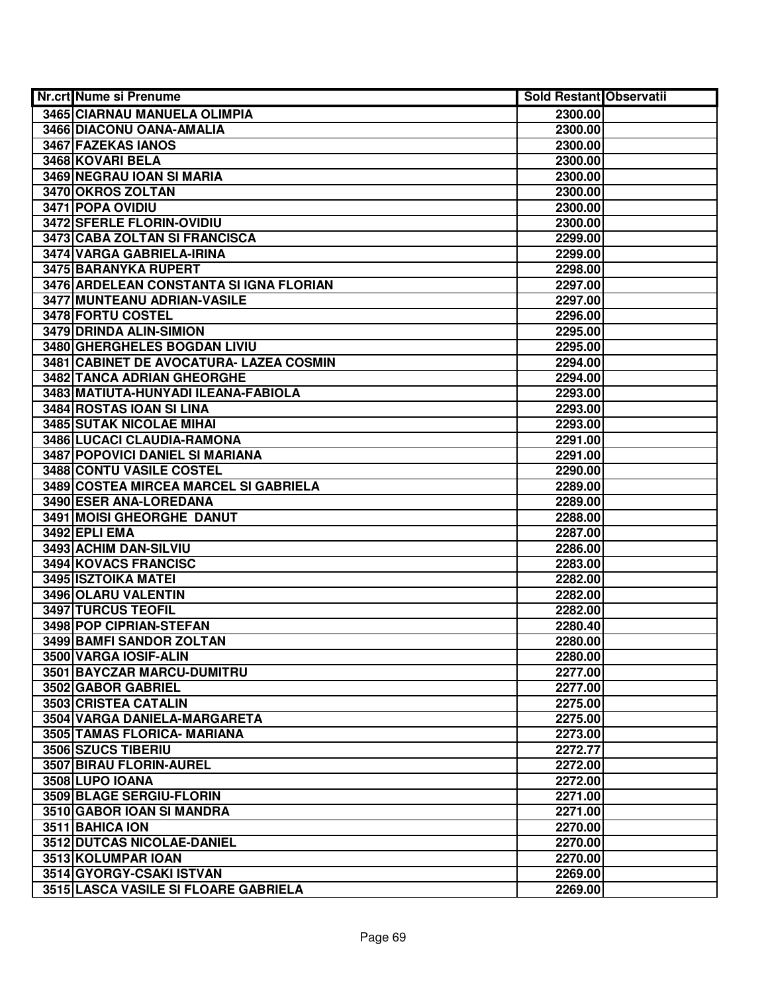| Nr.crt Nume si Prenume                  | <b>Sold Restant Observatii</b> |  |
|-----------------------------------------|--------------------------------|--|
| <b>3465 CIARNAU MANUELA OLIMPIA</b>     | 2300.00                        |  |
| 3466 DIACONU OANA-AMALIA                | 2300.00                        |  |
| 3467 FAZEKAS IANOS                      | 2300.00                        |  |
| 3468 KOVARI BELA                        | 2300.00                        |  |
| 3469 NEGRAU IOAN SI MARIA               | 2300.00                        |  |
| 3470 OKROS ZOLTAN                       | 2300.00                        |  |
| 3471 POPA OVIDIU                        | 2300.00                        |  |
| 3472 SFERLE FLORIN-OVIDIU               | 2300.00                        |  |
| 3473 CABA ZOLTAN SI FRANCISCA           | 2299.00                        |  |
| 3474 VARGA GABRIELA-IRINA               | 2299.00                        |  |
| 3475 BARANYKA RUPERT                    | 2298.00                        |  |
| 3476 ARDELEAN CONSTANTA SI IGNA FLORIAN | 2297.00                        |  |
| 3477 MUNTEANU ADRIAN-VASILE             | 2297.00                        |  |
| 3478 FORTU COSTEL                       | 2296.00                        |  |
| 3479 DRINDA ALIN-SIMION                 | 2295.00                        |  |
| 3480 GHERGHELES BOGDAN LIVIU            | 2295.00                        |  |
| 3481 CABINET DE AVOCATURA- LAZEA COSMIN | 2294.00                        |  |
| 3482 TANCA ADRIAN GHEORGHE              | 2294.00                        |  |
| 3483 MATIUTA-HUNYADI ILEANA-FABIOLA     | 2293.00                        |  |
| 3484 ROSTAS IOAN SI LINA                | 2293.00                        |  |
| 3485 SUTAK NICOLAE MIHAI                | 2293.00                        |  |
| 3486 LUCACI CLAUDIA-RAMONA              | 2291.00                        |  |
| 3487 POPOVICI DANIEL SI MARIANA         | 2291.00                        |  |
| <b>3488 CONTU VASILE COSTEL</b>         | 2290.00                        |  |
| 3489 COSTEA MIRCEA MARCEL SI GABRIELA   | 2289.00                        |  |
| 3490 ESER ANA-LOREDANA                  | 2289.00                        |  |
| 3491 MOISI GHEORGHE DANUT               | 2288.00                        |  |
| 3492 EPLI EMA                           | 2287.00                        |  |
| 3493 ACHIM DAN-SILVIU                   | 2286.00                        |  |
| 3494 KOVACS FRANCISC                    | 2283.00                        |  |
| 3495 ISZTOIKA MATEI                     | 2282.00                        |  |
| 3496 OLARU VALENTIN                     | 2282.00                        |  |
| 3497 TURCUS TEOFIL                      | 2282.00                        |  |
| 3498 POP CIPRIAN-STEFAN                 | 2280.40                        |  |
| 3499 BAMFI SANDOR ZOLTAN                | 2280.00                        |  |
| 3500 VARGA IOSIF-ALIN                   | 2280.00                        |  |
| 3501 BAYCZAR MARCU-DUMITRU              | 2277.00                        |  |
| 3502 GABOR GABRIEL                      | 2277.00                        |  |
| 3503 CRISTEA CATALIN                    | 2275.00                        |  |
| 3504 VARGA DANIELA-MARGARETA            | 2275.00                        |  |
| 3505 TAMAS FLORICA- MARIANA             | 2273.00                        |  |
| 3506 SZUCS TIBERIU                      | 2272.77                        |  |
| 3507 BIRAU FLORIN-AUREL                 | 2272.00                        |  |
| 3508 LUPO IOANA                         | 2272.00                        |  |
| 3509 BLAGE SERGIU-FLORIN                | 2271.00                        |  |
| 3510 GABOR IOAN SI MANDRA               | 2271.00                        |  |
| 3511 BAHICA ION                         | 2270.00                        |  |
| 3512 DUTCAS NICOLAE-DANIEL              | 2270.00                        |  |
| 3513 KOLUMPAR IOAN                      | 2270.00                        |  |
| 3514 GYORGY-CSAKI ISTVAN                | 2269.00                        |  |
| 3515 LASCA VASILE SI FLOARE GABRIELA    | 2269.00                        |  |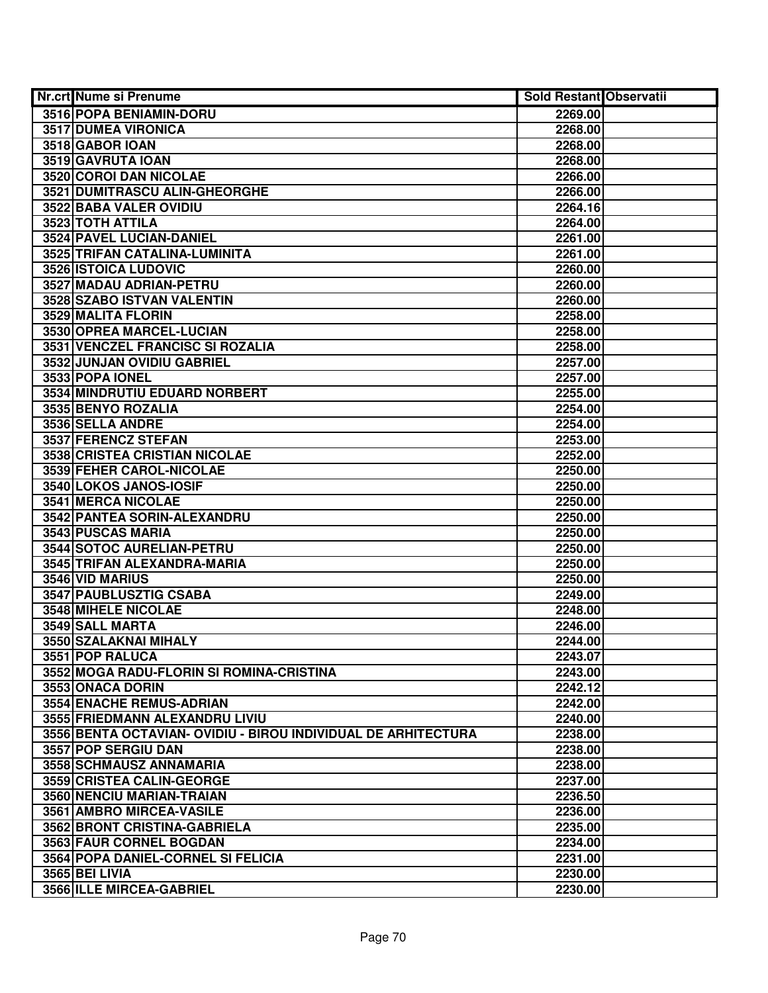| Nr.crt Nume si Prenume                                        | <b>Sold Restant Observatii</b> |  |
|---------------------------------------------------------------|--------------------------------|--|
| 3516 POPA BENIAMIN-DORU                                       | 2269.00                        |  |
| <b>3517 DUMEA VIRONICA</b>                                    | 2268.00                        |  |
| 3518 GABOR IOAN                                               | 2268.00                        |  |
| 3519 GAVRUTA IOAN                                             | 2268.00                        |  |
| 3520 COROI DAN NICOLAE                                        | 2266.00                        |  |
| 3521 DUMITRASCU ALIN-GHEORGHE                                 | 2266.00                        |  |
| 3522 BABA VALER OVIDIU                                        | 2264.16                        |  |
| 3523 TOTH ATTILA                                              | 2264.00                        |  |
| 3524 PAVEL LUCIAN-DANIEL                                      | 2261.00                        |  |
| 3525 TRIFAN CATALINA-LUMINITA                                 | 2261.00                        |  |
| 3526 ISTOICA LUDOVIC                                          | 2260.00                        |  |
| 3527 MADAU ADRIAN-PETRU                                       | 2260.00                        |  |
| 3528 SZABO ISTVAN VALENTIN                                    | 2260.00                        |  |
| 3529 MALITA FLORIN                                            | 2258.00                        |  |
| 3530 OPREA MARCEL-LUCIAN                                      | 2258.00                        |  |
| 3531 VENCZEL FRANCISC SI ROZALIA                              | 2258.00                        |  |
| 3532 JUNJAN OVIDIU GABRIEL                                    | 2257.00                        |  |
| 3533 POPA IONEL                                               | 2257.00                        |  |
| 3534 MINDRUTIU EDUARD NORBERT                                 | 2255.00                        |  |
| 3535 BENYO ROZALIA                                            | 2254.00                        |  |
| 3536 SELLA ANDRE                                              | 2254.00                        |  |
| 3537 FERENCZ STEFAN                                           | 2253.00                        |  |
| 3538 CRISTEA CRISTIAN NICOLAE                                 | 2252.00                        |  |
| 3539 FEHER CAROL-NICOLAE                                      | 2250.00                        |  |
| 3540 LOKOS JANOS-IOSIF                                        | 2250.00                        |  |
| 3541 MERCA NICOLAE                                            | 2250.00                        |  |
| 3542 PANTEA SORIN-ALEXANDRU                                   | 2250.00                        |  |
| 3543 PUSCAS MARIA                                             | 2250.00                        |  |
| 3544 SOTOC AURELIAN-PETRU                                     | 2250.00                        |  |
| 3545 TRIFAN ALEXANDRA-MARIA                                   | 2250.00                        |  |
| 3546 VID MARIUS                                               | 2250.00                        |  |
| 3547 PAUBLUSZTIG CSABA                                        | 2249.00                        |  |
| 3548 MIHELE NICOLAE                                           | 2248.00                        |  |
| 3549 SALL MARTA                                               | 2246.00                        |  |
| 3550 SZALAKNAI MIHALY                                         | 2244.00                        |  |
| 3551 POP RALUCA                                               | 2243.07                        |  |
| 3552 MOGA RADU-FLORIN SI ROMINA-CRISTINA                      | 2243.00                        |  |
| 3553 ONACA DORIN                                              | 2242.12                        |  |
| <b>3554 ENACHE REMUS-ADRIAN</b>                               | 2242.00                        |  |
| 3555 FRIEDMANN ALEXANDRU LIVIU                                | 2240.00                        |  |
| 3556 BENTA OCTAVIAN- OVIDIU - BIROU INDIVIDUAL DE ARHITECTURA | 2238.00                        |  |
| 3557 POP SERGIU DAN                                           | 2238.00                        |  |
| 3558 SCHMAUSZ ANNAMARIA                                       | 2238.00                        |  |
| 3559 CRISTEA CALIN-GEORGE                                     | 2237.00                        |  |
| 3560 NENCIU MARIAN-TRAIAN                                     | 2236.50                        |  |
| 3561 AMBRO MIRCEA-VASILE                                      | 2236.00                        |  |
| 3562 BRONT CRISTINA-GABRIELA                                  | 2235.00                        |  |
| 3563 FAUR CORNEL BOGDAN                                       | 2234.00                        |  |
| 3564 POPA DANIEL-CORNEL SI FELICIA                            | 2231.00                        |  |
| <b>3565 BEI LIVIA</b>                                         | 2230.00                        |  |
| 3566 ILLE MIRCEA-GABRIEL                                      | 2230.00                        |  |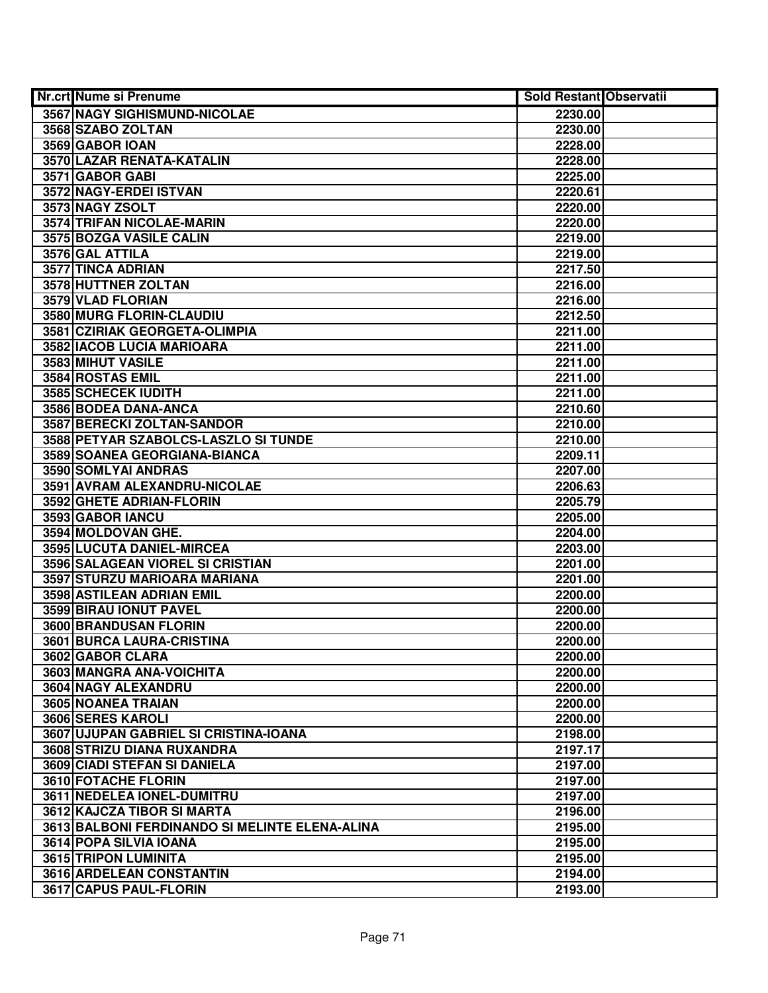| Nr.crt Nume si Prenume                         | <b>Sold Restant Observatii</b> |  |
|------------------------------------------------|--------------------------------|--|
| <b>3567 NAGY SIGHISMUND-NICOLAE</b>            | 2230.00                        |  |
| 3568 SZABO ZOLTAN                              | 2230.00                        |  |
| 3569 GABOR IOAN                                | 2228.00                        |  |
| 3570 LAZAR RENATA-KATALIN                      | 2228.00                        |  |
| 3571 GABOR GABI                                | 2225.00                        |  |
| 3572 NAGY-ERDEI ISTVAN                         | 2220.61                        |  |
| 3573 NAGY ZSOLT                                | 2220.00                        |  |
| 3574 TRIFAN NICOLAE-MARIN                      | 2220.00                        |  |
| 3575 BOZGA VASILE CALIN                        | 2219.00                        |  |
| 3576 GAL ATTILA                                | 2219.00                        |  |
| 3577 TINCA ADRIAN                              | 2217.50                        |  |
| 3578 HUTTNER ZOLTAN                            | 2216.00                        |  |
| 3579 VLAD FLORIAN                              | 2216.00                        |  |
| 3580 MURG FLORIN-CLAUDIU                       | 2212.50                        |  |
| 3581 CZIRIAK GEORGETA-OLIMPIA                  | 2211.00                        |  |
| 3582 IACOB LUCIA MARIOARA                      | 2211.00                        |  |
| 3583 MIHUT VASILE                              | 2211.00                        |  |
| 3584 ROSTAS EMIL                               | 2211.00                        |  |
| 3585 SCHECEK IUDITH                            | 2211.00                        |  |
| 3586 BODEA DANA-ANCA                           | 2210.60                        |  |
| 3587 BERECKI ZOLTAN-SANDOR                     | 2210.00                        |  |
| 3588 PETYAR SZABOLCS-LASZLO SI TUNDE           | 2210.00                        |  |
| 3589 SOANEA GEORGIANA-BIANCA                   | 2209.11                        |  |
| 3590 SOMLYAI ANDRAS                            | 2207.00                        |  |
| 3591 AVRAM ALEXANDRU-NICOLAE                   | 2206.63                        |  |
| 3592 GHETE ADRIAN-FLORIN                       | 2205.79                        |  |
| 3593 GABOR IANCU                               | 2205.00                        |  |
| 3594 MOLDOVAN GHE.                             | 2204.00                        |  |
| 3595 LUCUTA DANIEL-MIRCEA                      | 2203.00                        |  |
| 3596 SALAGEAN VIOREL SI CRISTIAN               | 2201.00                        |  |
| 3597 STURZU MARIOARA MARIANA                   | 2201.00                        |  |
| 3598 ASTILEAN ADRIAN EMIL                      | 2200.00                        |  |
| 3599 BIRAU IONUT PAVEL                         | 2200.00                        |  |
| 3600 BRANDUSAN FLORIN                          | 2200.00                        |  |
| 3601 BURCA LAURA-CRISTINA                      | 2200.00                        |  |
| 3602 GABOR CLARA                               | 2200.00                        |  |
| 3603 MANGRA ANA-VOICHITA                       | 2200.00                        |  |
| 3604 NAGY ALEXANDRU                            | 2200.00                        |  |
| 3605 NOANEA TRAIAN                             | 2200.00                        |  |
| 3606 SERES KAROLI                              | 2200.00                        |  |
| 3607 UJUPAN GABRIEL SI CRISTINA-IOANA          | 2198.00                        |  |
| 3608 STRIZU DIANA RUXANDRA                     | 2197.17                        |  |
| 3609 CIADI STEFAN SI DANIELA                   | 2197.00                        |  |
| 3610 FOTACHE FLORIN                            | 2197.00                        |  |
| 3611 NEDELEA IONEL-DUMITRU                     | 2197.00                        |  |
| 3612 KAJCZA TIBOR SI MARTA                     | 2196.00                        |  |
| 3613 BALBONI FERDINANDO SI MELINTE ELENA-ALINA | 2195.00                        |  |
| 3614 POPA SILVIA IOANA                         | 2195.00                        |  |
| 3615 TRIPON LUMINITA                           | 2195.00                        |  |
| 3616 ARDELEAN CONSTANTIN                       | 2194.00                        |  |
| 3617 CAPUS PAUL-FLORIN                         | 2193.00                        |  |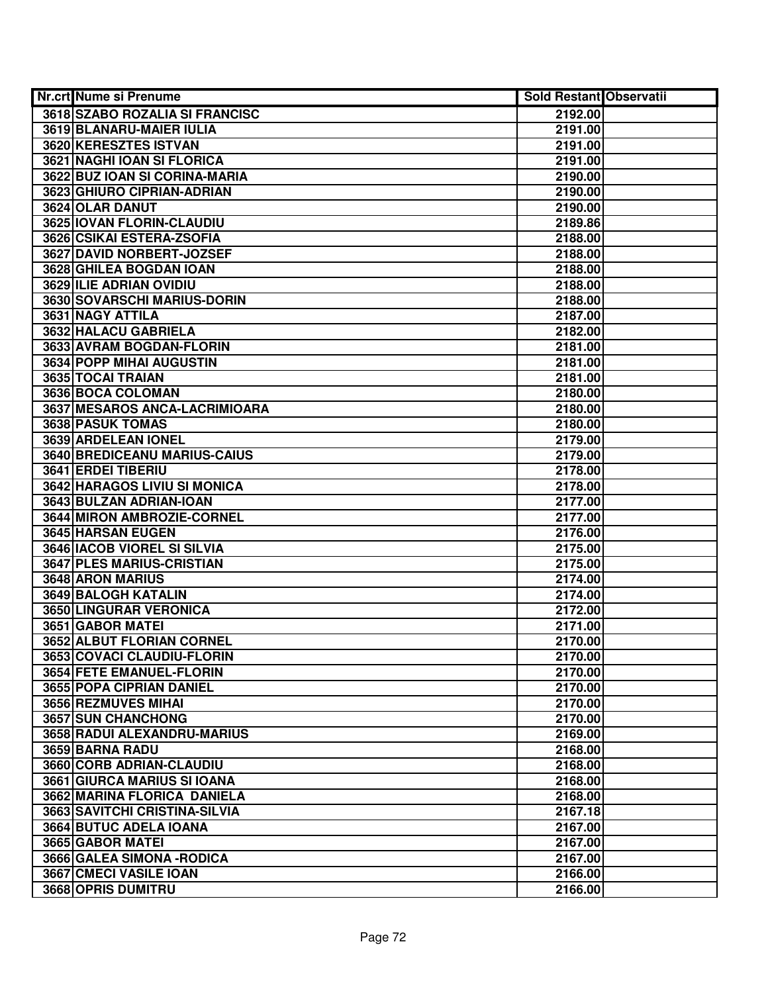| <b>Nr.crt Nume si Prenume</b>    | <b>Sold Restant Observatii</b> |  |
|----------------------------------|--------------------------------|--|
| 3618 SZABO ROZALIA SI FRANCISC   | 2192.00                        |  |
| 3619 BLANARU-MAIER IULIA         | 2191.00                        |  |
| 3620 KERESZTES ISTVAN            | 2191.00                        |  |
| 3621 NAGHI IOAN SI FLORICA       | 2191.00                        |  |
| 3622 BUZ IOAN SI CORINA-MARIA    | 2190.00                        |  |
| 3623 GHIURO CIPRIAN-ADRIAN       | 2190.00                        |  |
| 3624 OLAR DANUT                  | 2190.00                        |  |
| 3625 IOVAN FLORIN-CLAUDIU        | 2189.86                        |  |
| 3626 CSIKAI ESTERA-ZSOFIA        | 2188.00                        |  |
| 3627 DAVID NORBERT-JOZSEF        | 2188.00                        |  |
| 3628 GHILEA BOGDAN IOAN          | 2188.00                        |  |
| 3629 ILIE ADRIAN OVIDIU          | 2188.00                        |  |
| 3630 SOVARSCHI MARIUS-DORIN      | 2188.00                        |  |
| 3631 NAGY ATTILA                 | 2187.00                        |  |
| 3632 HALACU GABRIELA             | 2182.00                        |  |
| 3633 AVRAM BOGDAN-FLORIN         | 2181.00                        |  |
| 3634 POPP MIHAI AUGUSTIN         | 2181.00                        |  |
| 3635 TOCAI TRAIAN                | 2181.00                        |  |
| 3636 BOCA COLOMAN                | 2180.00                        |  |
| 3637 MESAROS ANCA-LACRIMIOARA    | 2180.00                        |  |
| 3638 PASUK TOMAS                 | 2180.00                        |  |
| 3639 ARDELEAN IONEL              | 2179.00                        |  |
| 3640 BREDICEANU MARIUS-CAIUS     | 2179.00                        |  |
| 3641 ERDEI TIBERIU               | 2178.00                        |  |
| 3642 HARAGOS LIVIU SI MONICA     | 2178.00                        |  |
| 3643 BULZAN ADRIAN-IOAN          | 2177.00                        |  |
| 3644 MIRON AMBROZIE-CORNEL       | 2177.00                        |  |
| 3645 HARSAN EUGEN                | 2176.00                        |  |
| 3646 IACOB VIOREL SI SILVIA      | 2175.00                        |  |
| 3647 PLES MARIUS-CRISTIAN        | 2175.00                        |  |
| 3648 ARON MARIUS                 | 2174.00                        |  |
| <b>3649 BALOGH KATALIN</b>       | 2174.00                        |  |
| <b>3650 LINGURAR VERONICA</b>    | 2172.00                        |  |
| 3651 GABOR MATEI                 | 2171.00                        |  |
| <b>3652 ALBUT FLORIAN CORNEL</b> | 2170.00                        |  |
| 3653 COVACI CLAUDIU-FLORIN       | 2170.00                        |  |
| <b>3654 FETE EMANUEL-FLORIN</b>  | 2170.00                        |  |
| 3655 POPA CIPRIAN DANIEL         | 2170.00                        |  |
| 3656 REZMUVES MIHAI              | 2170.00                        |  |
| 3657 SUN CHANCHONG               | 2170.00                        |  |
| 3658 RADUI ALEXANDRU-MARIUS      | 2169.00                        |  |
| 3659 BARNA RADU                  | 2168.00                        |  |
| 3660 CORB ADRIAN-CLAUDIU         | 2168.00                        |  |
| 3661 GIURCA MARIUS SI IOANA      | 2168.00                        |  |
| 3662 MARINA FLORICA DANIELA      | 2168.00                        |  |
| 3663 SAVITCHI CRISTINA-SILVIA    | 2167.18                        |  |
| 3664 BUTUC ADELA IOANA           | 2167.00                        |  |
| 3665 GABOR MATEI                 | 2167.00                        |  |
| 3666 GALEA SIMONA - RODICA       | 2167.00                        |  |
| 3667 CMECI VASILE IOAN           | 2166.00                        |  |
| 3668 OPRIS DUMITRU               | 2166.00                        |  |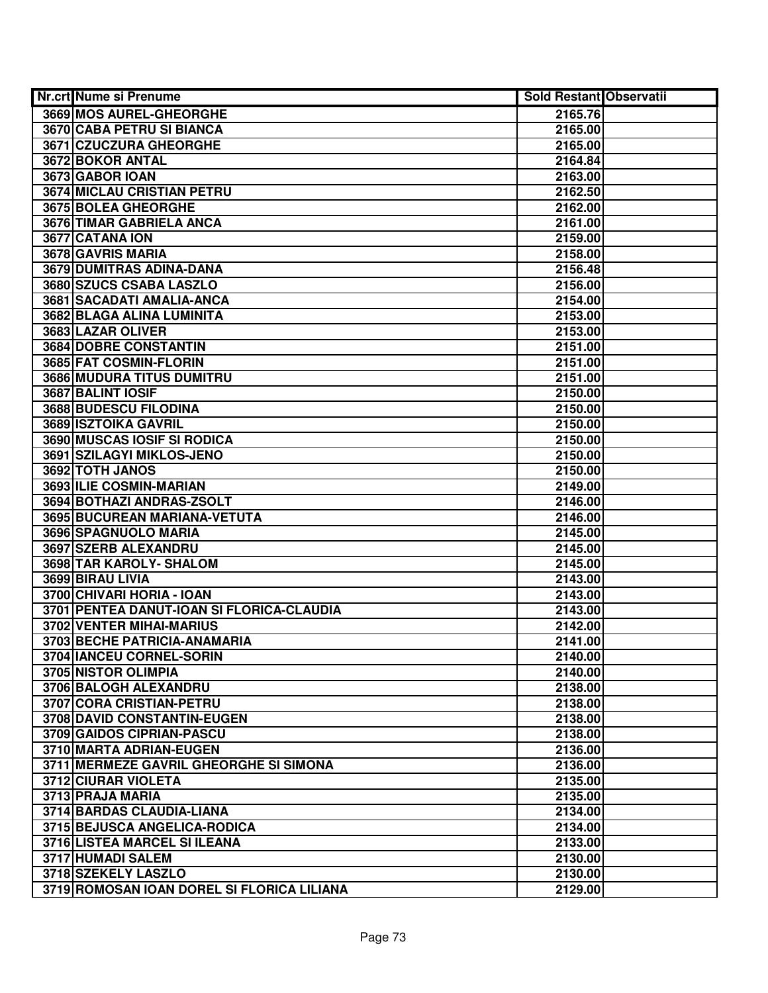| Nr.crt Nume si Prenume                     | <b>Sold Restant Observatii</b> |  |
|--------------------------------------------|--------------------------------|--|
| 3669 MOS AUREL-GHEORGHE                    | 2165.76                        |  |
| 3670 CABA PETRU SI BIANCA                  | 2165.00                        |  |
| 3671 CZUCZURA GHEORGHE                     | 2165.00                        |  |
| 3672 BOKOR ANTAL                           | 2164.84                        |  |
| 3673 GABOR IOAN                            | 2163.00                        |  |
| 3674 MICLAU CRISTIAN PETRU                 | 2162.50                        |  |
| 3675 BOLEA GHEORGHE                        | 2162.00                        |  |
| 3676 TIMAR GABRIELA ANCA                   | 2161.00                        |  |
| 3677 CATANA ION                            | 2159.00                        |  |
| 3678 GAVRIS MARIA                          | 2158.00                        |  |
| 3679 DUMITRAS ADINA-DANA                   | 2156.48                        |  |
| 3680 SZUCS CSABA LASZLO                    | 2156.00                        |  |
| 3681 SACADATI AMALIA-ANCA                  | 2154.00                        |  |
| 3682 BLAGA ALINA LUMINITA                  | 2153.00                        |  |
| 3683 LAZAR OLIVER                          | 2153.00                        |  |
| 3684 DOBRE CONSTANTIN                      | 2151.00                        |  |
| 3685 FAT COSMIN-FLORIN                     | 2151.00                        |  |
| 3686 MUDURA TITUS DUMITRU                  | 2151.00                        |  |
| 3687 BALINT IOSIF                          | 2150.00                        |  |
| 3688 BUDESCU FILODINA                      | 2150.00                        |  |
| 3689 ISZTOIKA GAVRIL                       | 2150.00                        |  |
| 3690 MUSCAS IOSIF SI RODICA                | 2150.00                        |  |
| 3691 SZILAGYI MIKLOS-JENO                  | 2150.00                        |  |
| 3692 TOTH JANOS                            | 2150.00                        |  |
| 3693 ILIE COSMIN-MARIAN                    | 2149.00                        |  |
| 3694 BOTHAZI ANDRAS-ZSOLT                  | 2146.00                        |  |
| 3695 BUCUREAN MARIANA-VETUTA               | 2146.00                        |  |
| 3696 SPAGNUOLO MARIA                       | 2145.00                        |  |
| 3697 SZERB ALEXANDRU                       | 2145.00                        |  |
| 3698 TAR KAROLY- SHALOM                    | 2145.00                        |  |
| 3699 BIRAU LIVIA                           | 2143.00                        |  |
| 3700 CHIVARI HORIA - IOAN                  | 2143.00                        |  |
| 3701 PENTEA DANUT-IOAN SI FLORICA-CLAUDIA  | 2143.00                        |  |
| <b>3702 VENTER MIHAI-MARIUS</b>            | 2142.00                        |  |
| 3703 BECHE PATRICIA-ANAMARIA               | 2141.00                        |  |
| 3704 IANCEU CORNEL-SORIN                   | 2140.00                        |  |
| 3705 NISTOR OLIMPIA                        | 2140.00                        |  |
| 3706 BALOGH ALEXANDRU                      | 2138.00                        |  |
| 3707 CORA CRISTIAN-PETRU                   | 2138.00                        |  |
| 3708 DAVID CONSTANTIN-EUGEN                | 2138.00                        |  |
| 3709 GAIDOS CIPRIAN-PASCU                  | 2138.00                        |  |
| 3710 MARTA ADRIAN-EUGEN                    | 2136.00                        |  |
| 3711 MERMEZE GAVRIL GHEORGHE SI SIMONA     | 2136.00                        |  |
| 3712 CIURAR VIOLETA                        | 2135.00                        |  |
| 3713 PRAJA MARIA                           | 2135.00                        |  |
| 3714 BARDAS CLAUDIA-LIANA                  | 2134.00                        |  |
| 3715 BEJUSCA ANGELICA-RODICA               | 2134.00                        |  |
| 3716 LISTEA MARCEL SI ILEANA               | 2133.00                        |  |
| 3717 HUMADI SALEM                          | 2130.00                        |  |
| 3718 SZEKELY LASZLO                        | 2130.00                        |  |
| 3719 ROMOSAN IOAN DOREL SI FLORICA LILIANA | 2129.00                        |  |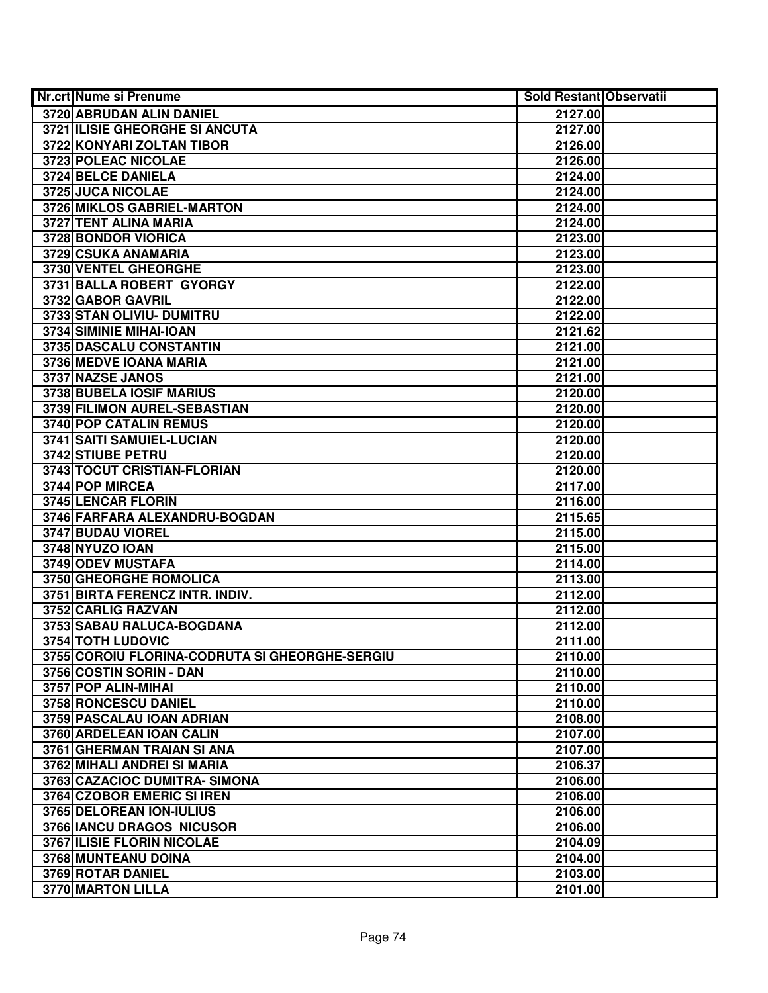| Nr.crt Nume si Prenume                         | <b>Sold Restant Observatii</b> |  |
|------------------------------------------------|--------------------------------|--|
| 3720 ABRUDAN ALIN DANIEL                       | 2127.00                        |  |
| 3721 ILISIE GHEORGHE SI ANCUTA                 | 2127.00                        |  |
| 3722 KONYARI ZOLTAN TIBOR                      | 2126.00                        |  |
| 3723 POLEAC NICOLAE                            | 2126.00                        |  |
| 3724 BELCE DANIELA                             | 2124.00                        |  |
| 3725 JUCA NICOLAE                              | 2124.00                        |  |
| 3726 MIKLOS GABRIEL-MARTON                     | 2124.00                        |  |
| 3727 TENT ALINA MARIA                          | 2124.00                        |  |
| 3728 BONDOR VIORICA                            | 2123.00                        |  |
| 3729 CSUKA ANAMARIA                            | 2123.00                        |  |
| 3730 VENTEL GHEORGHE                           | 2123.00                        |  |
| 3731 BALLA ROBERT GYORGY                       | 2122.00                        |  |
| 3732 GABOR GAVRIL                              | 2122.00                        |  |
| 3733 STAN OLIVIU- DUMITRU                      | 2122.00                        |  |
| 3734 SIMINIE MIHAI-IOAN                        | 2121.62                        |  |
| 3735 DASCALU CONSTANTIN                        | 2121.00                        |  |
| 3736 MEDVE IOANA MARIA                         | 2121.00                        |  |
| 3737 NAZSE JANOS                               | 2121.00                        |  |
| 3738 BUBELA IOSIF MARIUS                       | 2120.00                        |  |
| 3739 FILIMON AUREL-SEBASTIAN                   | 2120.00                        |  |
| <b>3740 POP CATALIN REMUS</b>                  | 2120.00                        |  |
| 3741 SAITI SAMUIEL-LUCIAN                      | 2120.00                        |  |
| 3742 STIUBE PETRU                              | 2120.00                        |  |
| 3743 TOCUT CRISTIAN-FLORIAN                    | 2120.00                        |  |
| 3744 POP MIRCEA                                | 2117.00                        |  |
| 3745 LENCAR FLORIN                             | 2116.00                        |  |
| 3746 FARFARA ALEXANDRU-BOGDAN                  | 2115.65                        |  |
| 3747 BUDAU VIOREL                              | 2115.00                        |  |
| <b>3748 NYUZO IOAN</b>                         | 2115.00                        |  |
| 3749 ODEV MUSTAFA                              | 2114.00                        |  |
| 3750 GHEORGHE ROMOLICA                         | 2113.00                        |  |
| 3751 BIRTA FERENCZ INTR. INDIV.                | 2112.00                        |  |
| 3752 CARLIG RAZVAN                             | 2112.00                        |  |
| 3753 SABAU RALUCA-BOGDANA                      | 2112.00                        |  |
| <b>3754 TOTH LUDOVIC</b>                       | 2111.00                        |  |
| 3755 COROIU FLORINA-CODRUTA SI GHEORGHE-SERGIU | 2110.00                        |  |
| 3756 COSTIN SORIN - DAN                        | 2110.00                        |  |
| 3757 POP ALIN-MIHAI                            | 2110.00                        |  |
| <b>3758 RONCESCU DANIEL</b>                    | 2110.00                        |  |
| 3759 PASCALAU IOAN ADRIAN                      | 2108.00                        |  |
| 3760 ARDELEAN IOAN CALIN                       | 2107.00                        |  |
| 3761 GHERMAN TRAIAN SI ANA                     | 2107.00                        |  |
| 3762 MIHALI ANDREI SI MARIA                    | 2106.37                        |  |
| 3763 CAZACIOC DUMITRA- SIMONA                  | 2106.00                        |  |
| 3764 CZOBOR EMERIC SI IREN                     | 2106.00                        |  |
| 3765 DELOREAN ION-IULIUS                       | 2106.00                        |  |
| 3766 IANCU DRAGOS NICUSOR                      | 2106.00                        |  |
| 3767 ILISIE FLORIN NICOLAE                     | 2104.09                        |  |
| 3768 MUNTEANU DOINA                            | 2104.00                        |  |
| 3769 ROTAR DANIEL                              | 2103.00                        |  |
| 3770 MARTON LILLA                              | 2101.00                        |  |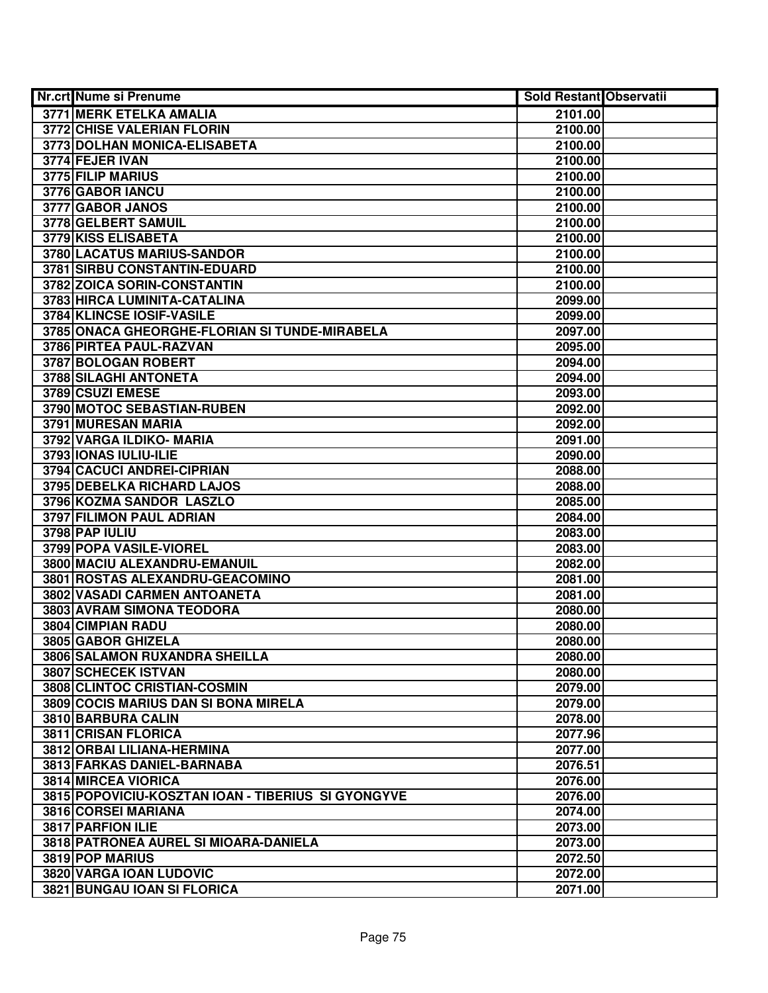| <b>Nr.crt Nume si Prenume</b>                      | <b>Sold Restant Observatii</b> |  |
|----------------------------------------------------|--------------------------------|--|
| <b>3771 MERK ETELKA AMALIA</b>                     | 2101.00                        |  |
| 3772 CHISE VALERIAN FLORIN                         | 2100.00                        |  |
| 3773 DOLHAN MONICA-ELISABETA                       | 2100.00                        |  |
| 3774 FEJER IVAN                                    | 2100.00                        |  |
| 3775 FILIP MARIUS                                  | 2100.00                        |  |
| 3776 GABOR IANCU                                   | 2100.00                        |  |
| 3777 GABOR JANOS                                   | 2100.00                        |  |
| 3778 GELBERT SAMUIL                                | 2100.00                        |  |
| 3779 KISS ELISABETA                                | 2100.00                        |  |
| 3780 LACATUS MARIUS-SANDOR                         | 2100.00                        |  |
| 3781 SIRBU CONSTANTIN-EDUARD                       | 2100.00                        |  |
| 3782 ZOICA SORIN-CONSTANTIN                        | 2100.00                        |  |
| 3783 HIRCA LUMINITA-CATALINA                       | 2099.00                        |  |
| 3784 KLINCSE IOSIF-VASILE                          | 2099.00                        |  |
| 3785 ONACA GHEORGHE-FLORIAN SI TUNDE-MIRABELA      | 2097.00                        |  |
| 3786 PIRTEA PAUL-RAZVAN                            | 2095.00                        |  |
| 3787 BOLOGAN ROBERT                                | 2094.00                        |  |
| 3788 SILAGHI ANTONETA                              | 2094.00                        |  |
| 3789 CSUZI EMESE                                   | 2093.00                        |  |
| 3790 MOTOC SEBASTIAN-RUBEN                         | 2092.00                        |  |
| 3791 MURESAN MARIA                                 | 2092.00                        |  |
| 3792 VARGA ILDIKO- MARIA                           | 2091.00                        |  |
| 3793 IONAS IULIU-ILIE                              | 2090.00                        |  |
| 3794 CACUCI ANDREI-CIPRIAN                         | 2088.00                        |  |
| 3795 DEBELKA RICHARD LAJOS                         | 2088.00                        |  |
| 3796 KOZMA SANDOR LASZLO                           | 2085.00                        |  |
| 3797 FILIMON PAUL ADRIAN                           | 2084.00                        |  |
| 3798 PAP IULIU                                     | 2083.00                        |  |
| 3799 POPA VASILE-VIOREL                            | 2083.00                        |  |
| 3800 MACIU ALEXANDRU-EMANUIL                       | 2082.00                        |  |
| 3801 ROSTAS ALEXANDRU-GEACOMINO                    | 2081.00                        |  |
| 3802 VASADI CARMEN ANTOANETA                       | 2081.00                        |  |
| 3803 AVRAM SIMONA TEODORA                          | 2080.00                        |  |
| 3804 CIMPIAN RADU                                  | 2080.00                        |  |
| 3805 GABOR GHIZELA                                 | 2080.00                        |  |
| 3806 SALAMON RUXANDRA SHEILLA                      | 2080.00                        |  |
| 3807 SCHECEK ISTVAN                                | 2080.00                        |  |
| 3808 CLINTOC CRISTIAN-COSMIN                       | 2079.00                        |  |
| 3809 COCIS MARIUS DAN SI BONA MIRELA               | 2079.00                        |  |
| 3810 BARBURA CALIN                                 | 2078.00                        |  |
| 3811 CRISAN FLORICA                                | 2077.96                        |  |
| 3812 ORBAI LILIANA-HERMINA                         | 2077.00                        |  |
| 3813 FARKAS DANIEL-BARNABA                         | 2076.51                        |  |
| 3814 MIRCEA VIORICA                                | 2076.00                        |  |
| 3815 POPOVICIU-KOSZTAN IOAN - TIBERIUS SI GYONGYVE | 2076.00                        |  |
| 3816 CORSEI MARIANA                                | 2074.00                        |  |
| 3817 PARFION ILIE                                  | 2073.00                        |  |
| 3818 PATRONEA AUREL SI MIOARA-DANIELA              | 2073.00                        |  |
| 3819 POP MARIUS                                    | 2072.50                        |  |
| 3820 VARGA IOAN LUDOVIC                            | 2072.00                        |  |
| 3821 BUNGAU IOAN SI FLORICA                        | 2071.00                        |  |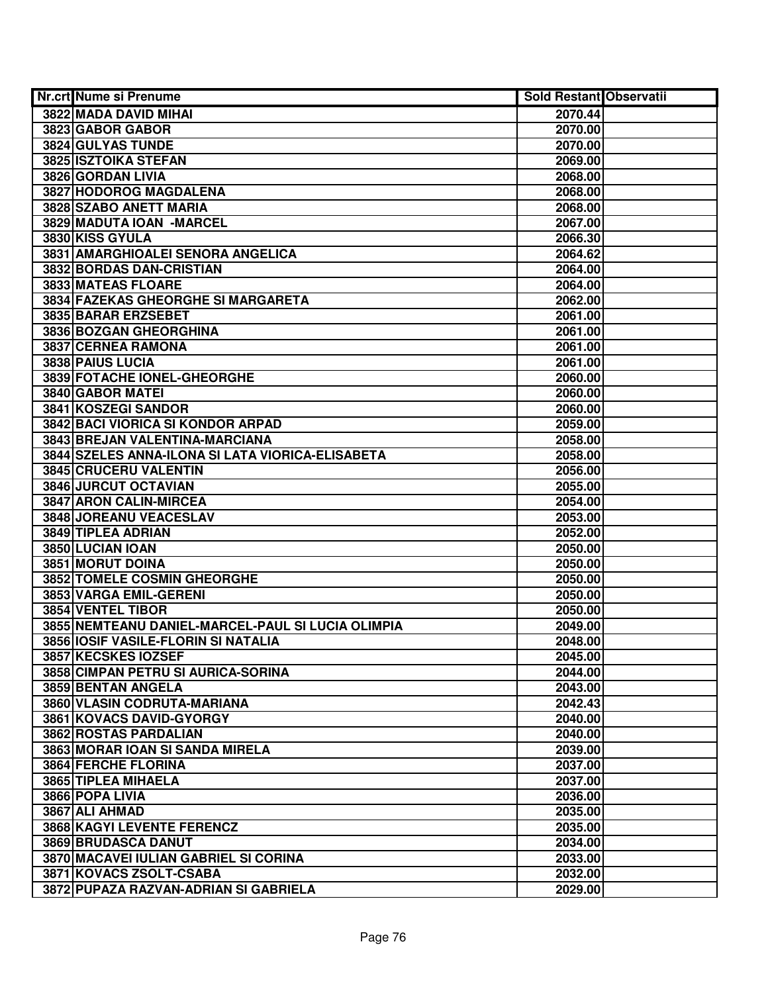| Nr.crt Nume si Prenume                            | <b>Sold Restant Observatii</b> |  |
|---------------------------------------------------|--------------------------------|--|
| 3822 MADA DAVID MIHAI                             | 2070.44                        |  |
| 3823 GABOR GABOR                                  | 2070.00                        |  |
| 3824 GULYAS TUNDE                                 | 2070.00                        |  |
| 3825 ISZTOIKA STEFAN                              | 2069.00                        |  |
| 3826 GORDAN LIVIA                                 | 2068.00                        |  |
| 3827 HODOROG MAGDALENA                            | 2068.00                        |  |
| 3828 SZABO ANETT MARIA                            | 2068.00                        |  |
| 3829 MADUTA IOAN - MARCEL                         | 2067.00                        |  |
| 3830 KISS GYULA                                   | 2066.30                        |  |
| 3831 AMARGHIOALEI SENORA ANGELICA                 | 2064.62                        |  |
| 3832 BORDAS DAN-CRISTIAN                          | 2064.00                        |  |
| 3833 MATEAS FLOARE                                | 2064.00                        |  |
| 3834 FAZEKAS GHEORGHE SI MARGARETA                | 2062.00                        |  |
| 3835 BARAR ERZSEBET                               | 2061.00                        |  |
| 3836 BOZGAN GHEORGHINA                            | 2061.00                        |  |
| 3837 CERNEA RAMONA                                | 2061.00                        |  |
| 3838 PAIUS LUCIA                                  | 2061.00                        |  |
| 3839 FOTACHE IONEL-GHEORGHE                       | 2060.00                        |  |
| 3840 GABOR MATEI                                  | 2060.00                        |  |
| 3841 KOSZEGI SANDOR                               | 2060.00                        |  |
| 3842 BACI VIORICA SI KONDOR ARPAD                 | 2059.00                        |  |
| 3843 BREJAN VALENTINA-MARCIANA                    | 2058.00                        |  |
| 3844 SZELES ANNA-ILONA SI LATA VIORICA-ELISABETA  | 2058.00                        |  |
| 3845 CRUCERU VALENTIN                             | 2056.00                        |  |
| 3846 JURCUT OCTAVIAN                              | 2055.00                        |  |
| 3847 ARON CALIN-MIRCEA                            | 2054.00                        |  |
| 3848 JOREANU VEACESLAV                            | 2053.00                        |  |
| 3849 TIPLEA ADRIAN                                | 2052.00                        |  |
| 3850 LUCIAN IOAN                                  | 2050.00                        |  |
| 3851 MORUT DOINA                                  | 2050.00                        |  |
| 3852 TOMELE COSMIN GHEORGHE                       | 2050.00                        |  |
| 3853 VARGA EMIL-GERENI                            | 2050.00                        |  |
| 3854 VENTEL TIBOR                                 | 2050.00                        |  |
| 3855 NEMTEANU DANIEL-MARCEL-PAUL SI LUCIA OLIMPIA | 2049.00                        |  |
| 3856 IOSIF VASILE-FLORIN SI NATALIA               | 2048.00                        |  |
| 3857 KECSKES IOZSEF                               | 2045.00                        |  |
| 3858 CIMPAN PETRU SI AURICA-SORINA                | 2044.00                        |  |
| 3859 BENTAN ANGELA                                | 2043.00                        |  |
| 3860 VLASIN CODRUTA-MARIANA                       | 2042.43                        |  |
| 3861 KOVACS DAVID-GYORGY                          | 2040.00                        |  |
| 3862 ROSTAS PARDALIAN                             | 2040.00                        |  |
| 3863 MORAR IOAN SI SANDA MIRELA                   | 2039.00                        |  |
| 3864 FERCHE FLORINA                               | 2037.00                        |  |
| 3865 TIPLEA MIHAELA                               | 2037.00                        |  |
| 3866 POPA LIVIA                                   | 2036.00                        |  |
| 3867 ALI AHMAD                                    | 2035.00                        |  |
| 3868 KAGYI LEVENTE FERENCZ                        | 2035.00                        |  |
| 3869 BRUDASCA DANUT                               | 2034.00                        |  |
| 3870 MACAVEI IULIAN GABRIEL SI CORINA             | 2033.00                        |  |
| 3871 KOVACS ZSOLT-CSABA                           | 2032.00                        |  |
| 3872 PUPAZA RAZVAN-ADRIAN SI GABRIELA             | 2029.00                        |  |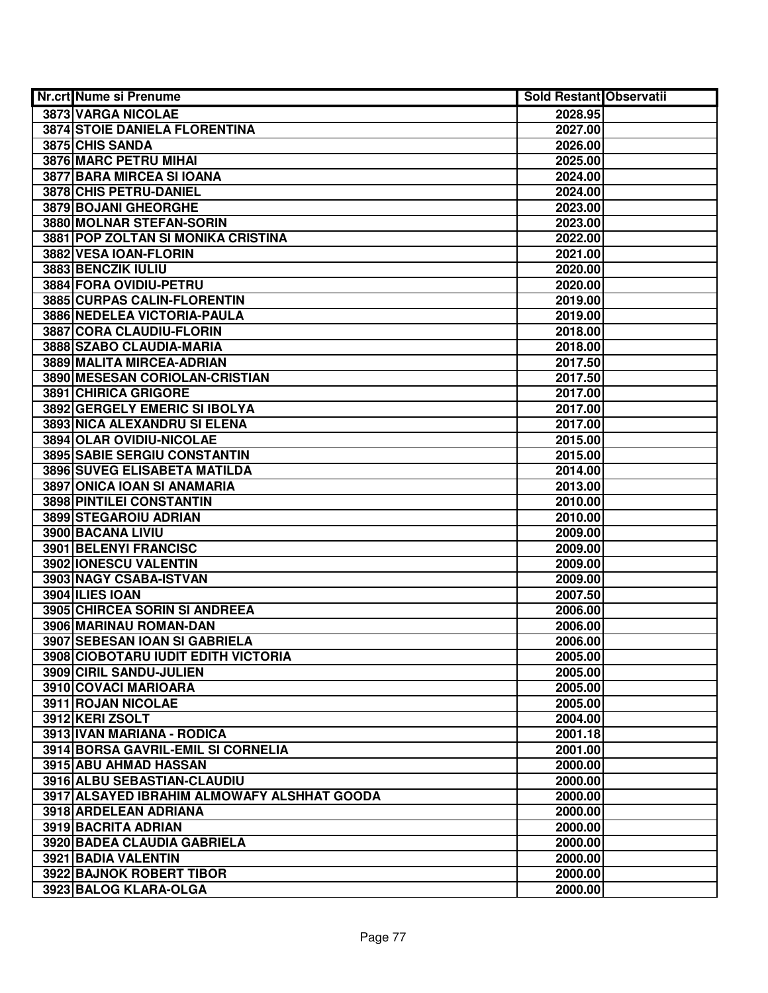| <b>Nr.crt Nume si Prenume</b>               | <b>Sold Restant Observatii</b> |  |
|---------------------------------------------|--------------------------------|--|
| 3873 VARGA NICOLAE                          | 2028.95                        |  |
| 3874 STOIE DANIELA FLORENTINA               | 2027.00                        |  |
| 3875 CHIS SANDA                             | 2026.00                        |  |
| 3876 MARC PETRU MIHAI                       | 2025.00                        |  |
| 3877 BARA MIRCEA SI IOANA                   | 2024.00                        |  |
| 3878 CHIS PETRU-DANIEL                      | 2024.00                        |  |
| 3879 BOJANI GHEORGHE                        | 2023.00                        |  |
| 3880 MOLNAR STEFAN-SORIN                    | 2023.00                        |  |
| 3881 POP ZOLTAN SI MONIKA CRISTINA          | 2022.00                        |  |
| 3882 VESA IOAN-FLORIN                       | 2021.00                        |  |
| 3883 BENCZIK IULIU                          | 2020.00                        |  |
| 3884 FORA OVIDIU-PETRU                      | 2020.00                        |  |
| 3885 CURPAS CALIN-FLORENTIN                 | 2019.00                        |  |
| 3886 NEDELEA VICTORIA-PAULA                 | 2019.00                        |  |
| 3887 CORA CLAUDIU-FLORIN                    | 2018.00                        |  |
| 3888 SZABO CLAUDIA-MARIA                    | 2018.00                        |  |
| 3889 MALITA MIRCEA-ADRIAN                   | 2017.50                        |  |
| 3890 MESESAN CORIOLAN-CRISTIAN              | 2017.50                        |  |
| 3891 CHIRICA GRIGORE                        | 2017.00                        |  |
| 3892 GERGELY EMERIC SI IBOLYA               | 2017.00                        |  |
| 3893 NICA ALEXANDRU SI ELENA                | 2017.00                        |  |
| 3894 OLAR OVIDIU-NICOLAE                    | 2015.00                        |  |
| 3895 SABIE SERGIU CONSTANTIN                | 2015.00                        |  |
| 3896 SUVEG ELISABETA MATILDA                | 2014.00                        |  |
| 3897 ONICA IOAN SI ANAMARIA                 | 2013.00                        |  |
| 3898 PINTILEI CONSTANTIN                    | 2010.00                        |  |
| 3899 STEGAROIU ADRIAN                       | 2010.00                        |  |
| 3900 BACANA LIVIU                           | 2009.00                        |  |
| 3901 BELENYI FRANCISC                       | 2009.00                        |  |
| 3902 IONESCU VALENTIN                       | 2009.00                        |  |
| 3903 NAGY CSABA-ISTVAN                      | 2009.00                        |  |
| <b>3904 ILIES IOAN</b>                      | 2007.50                        |  |
| 3905 CHIRCEA SORIN SI ANDREEA               | 2006.00                        |  |
| 3906 MARINAU ROMAN-DAN                      | 2006.00                        |  |
| 3907 SEBESAN IOAN SI GABRIELA               | 2006.00                        |  |
| 3908 CIOBOTARU IUDIT EDITH VICTORIA         | 2005.00                        |  |
| 3909 CIRIL SANDU-JULIEN                     | 2005.00                        |  |
| 3910 COVACI MARIOARA                        | 2005.00                        |  |
| 3911 ROJAN NICOLAE                          | 2005.00                        |  |
| 3912 KERI ZSOLT                             | 2004.00                        |  |
| 3913 IVAN MARIANA - RODICA                  | 2001.18                        |  |
| 3914 BORSA GAVRIL-EMIL SI CORNELIA          | 2001.00                        |  |
| 3915 ABU AHMAD HASSAN                       | 2000.00                        |  |
| 3916 ALBU SEBASTIAN-CLAUDIU                 | 2000.00                        |  |
| 3917 ALSAYED IBRAHIM ALMOWAFY ALSHHAT GOODA | 2000.00                        |  |
| 3918 ARDELEAN ADRIANA                       | 2000.00                        |  |
| 3919 BACRITA ADRIAN                         | 2000.00                        |  |
| 3920 BADEA CLAUDIA GABRIELA                 | 2000.00                        |  |
| 3921 BADIA VALENTIN                         | 2000.00                        |  |
| 3922 BAJNOK ROBERT TIBOR                    | 2000.00                        |  |
| 3923 BALOG KLARA-OLGA                       | 2000.00                        |  |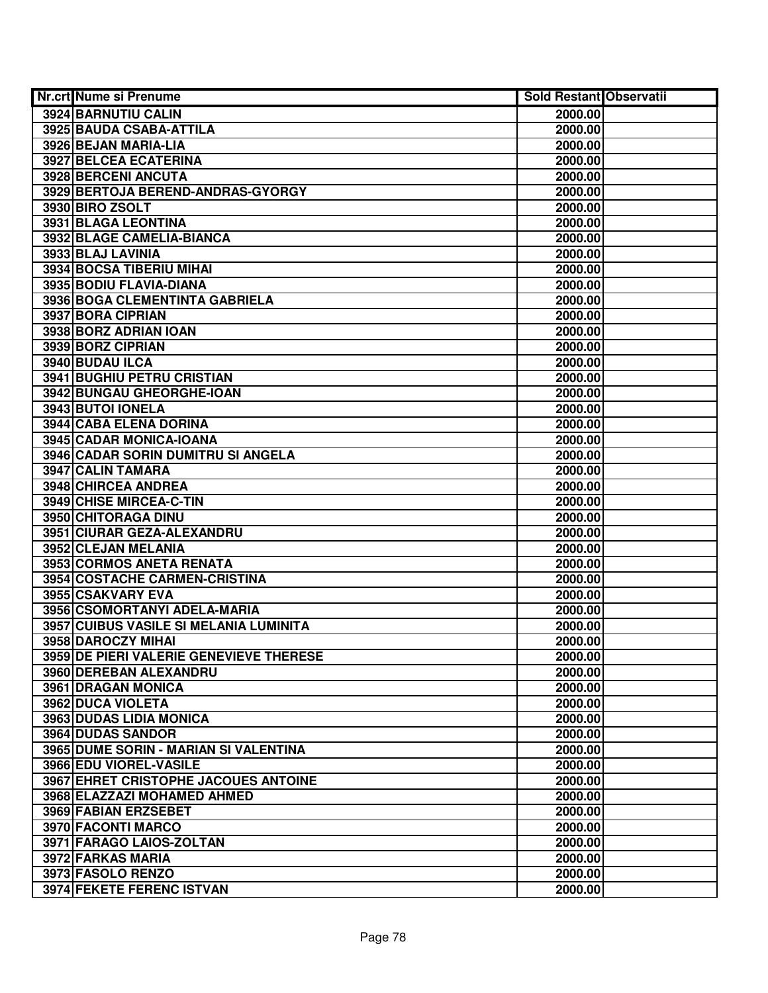| <b>Nr.crt Nume si Prenume</b>           | <b>Sold Restant Observatii</b> |  |
|-----------------------------------------|--------------------------------|--|
| 3924 BARNUTIU CALIN                     | 2000.00                        |  |
| 3925 BAUDA CSABA-ATTILA                 | 2000.00                        |  |
| 3926 BEJAN MARIA-LIA                    | 2000.00                        |  |
| 3927 BELCEA ECATERINA                   | 2000.00                        |  |
| 3928 BERCENI ANCUTA                     | 2000.00                        |  |
| 3929 BERTOJA BEREND-ANDRAS-GYORGY       | 2000.00                        |  |
| 3930 BIRO ZSOLT                         | 2000.00                        |  |
| 3931 BLAGA LEONTINA                     | 2000.00                        |  |
| 3932 BLAGE CAMELIA-BIANCA               | 2000.00                        |  |
| 3933 BLAJ LAVINIA                       | 2000.00                        |  |
| 3934 BOCSA TIBERIU MIHAI                | 2000.00                        |  |
| 3935 BODIU FLAVIA-DIANA                 | 2000.00                        |  |
| 3936 BOGA CLEMENTINTA GABRIELA          | 2000.00                        |  |
| 3937 BORA CIPRIAN                       | 2000.00                        |  |
| 3938 BORZ ADRIAN IOAN                   | 2000.00                        |  |
| 3939 BORZ CIPRIAN                       | 2000.00                        |  |
| 3940 BUDAU ILCA                         | 2000.00                        |  |
| 3941 BUGHIU PETRU CRISTIAN              | 2000.00                        |  |
| 3942 BUNGAU GHEORGHE-IOAN               | 2000.00                        |  |
| 3943 BUTOI IONELA                       | 2000.00                        |  |
| 3944 CABA ELENA DORINA                  | 2000.00                        |  |
| 3945 CADAR MONICA-IOANA                 | 2000.00                        |  |
| 3946 CADAR SORIN DUMITRU SI ANGELA      | 2000.00                        |  |
| 3947 CALIN TAMARA                       | 2000.00                        |  |
| 3948 CHIRCEA ANDREA                     | 2000.00                        |  |
| 3949 CHISE MIRCEA-C-TIN                 | 2000.00                        |  |
| 3950 CHITORAGA DINU                     | 2000.00                        |  |
| 3951 CIURAR GEZA-ALEXANDRU              | 2000.00                        |  |
| 3952 CLEJAN MELANIA                     | 2000.00                        |  |
| 3953 CORMOS ANETA RENATA                | 2000.00                        |  |
| 3954 COSTACHE CARMEN-CRISTINA           | 2000.00                        |  |
| 3955 CSAKVARY EVA                       | 2000.00                        |  |
| 3956 CSOMORTANYI ADELA-MARIA            | 2000.00                        |  |
| 3957 CUIBUS VASILE SI MELANIA LUMINITA  | 2000.00                        |  |
| 3958 DAROCZY MIHAI                      | 2000.00                        |  |
| 3959 DE PIERI VALERIE GENEVIEVE THERESE | 2000.00                        |  |
| 3960 DEREBAN ALEXANDRU                  | 2000.00                        |  |
| 3961 DRAGAN MONICA                      | 2000.00                        |  |
| 3962 DUCA VIOLETA                       | 2000.00                        |  |
| 3963 DUDAS LIDIA MONICA                 | 2000.00                        |  |
| 3964 DUDAS SANDOR                       | 2000.00                        |  |
| 3965 DUME SORIN - MARIAN SI VALENTINA   | 2000.00                        |  |
| 3966 EDU VIOREL-VASILE                  | 2000.00                        |  |
| 3967 EHRET CRISTOPHE JACOUES ANTOINE    | 2000.00                        |  |
| 3968 ELAZZAZI MOHAMED AHMED             | 2000.00                        |  |
| 3969 FABIAN ERZSEBET                    | 2000.00                        |  |
| 3970 FACONTI MARCO                      | 2000.00                        |  |
| 3971 FARAGO LAIOS-ZOLTAN                | 2000.00                        |  |
| 3972 FARKAS MARIA                       | 2000.00                        |  |
| 3973 FASOLO RENZO                       | 2000.00                        |  |
| 3974 FEKETE FERENC ISTVAN               | 2000.00                        |  |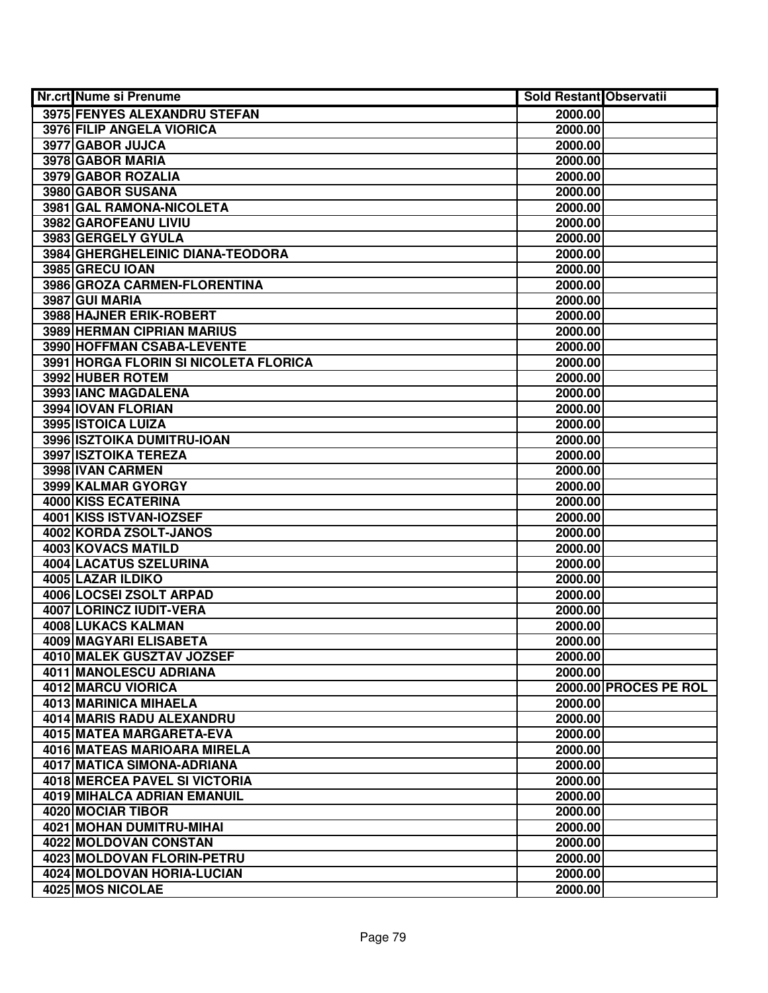| <b>Nr.crt Nume si Prenume</b>         | <b>Sold Restant Observatii</b> |                       |
|---------------------------------------|--------------------------------|-----------------------|
| 3975 FENYES ALEXANDRU STEFAN          | 2000.00                        |                       |
| 3976 FILIP ANGELA VIORICA             | 2000.00                        |                       |
| 3977 GABOR JUJCA                      | 2000.00                        |                       |
| 3978 GABOR MARIA                      | 2000.00                        |                       |
| 3979 GABOR ROZALIA                    | 2000.00                        |                       |
| 3980 GABOR SUSANA                     | 2000.00                        |                       |
| 3981 GAL RAMONA-NICOLETA              | 2000.00                        |                       |
| 3982 GAROFEANU LIVIU                  | 2000.00                        |                       |
| 3983 GERGELY GYULA                    | 2000.00                        |                       |
| 3984 GHERGHELEINIC DIANA-TEODORA      | 2000.00                        |                       |
| 3985 GRECU IOAN                       | 2000.00                        |                       |
| 3986 GROZA CARMEN-FLORENTINA          | 2000.00                        |                       |
| 3987 GUI MARIA                        | 2000.00                        |                       |
| 3988 HAJNER ERIK-ROBERT               | 2000.00                        |                       |
| 3989 HERMAN CIPRIAN MARIUS            | 2000.00                        |                       |
| 3990 HOFFMAN CSABA-LEVENTE            | 2000.00                        |                       |
| 3991 HORGA FLORIN SI NICOLETA FLORICA | 2000.00                        |                       |
| 3992 HUBER ROTEM                      | 2000.00                        |                       |
| 3993 IANC MAGDALENA                   | 2000.00                        |                       |
| 3994 IOVAN FLORIAN                    | 2000.00                        |                       |
| 3995 ISTOICA LUIZA                    | 2000.00                        |                       |
| 3996 ISZTOIKA DUMITRU-IOAN            | 2000.00                        |                       |
| 3997 ISZTOIKA TEREZA                  | 2000.00                        |                       |
| 3998 IVAN CARMEN                      | 2000.00                        |                       |
| 3999 KALMAR GYORGY                    | 2000.00                        |                       |
| 4000 KISS ECATERINA                   | 2000.00                        |                       |
| 4001 KISS ISTVAN-IOZSEF               | 2000.00                        |                       |
| 4002 KORDA ZSOLT-JANOS                | 2000.00                        |                       |
| 4003 KOVACS MATILD                    | 2000.00                        |                       |
| 4004 LACATUS SZELURINA                | 2000.00                        |                       |
| 4005 LAZAR ILDIKO                     | 2000.00                        |                       |
| 4006 LOCSEI ZSOLT ARPAD               | 2000.00                        |                       |
| 4007 LORINCZ IUDIT-VERA               | 2000.00                        |                       |
| 4008 LUKACS KALMAN                    | 2000.00                        |                       |
| 4009 MAGYARI ELISABETA                | 2000.00                        |                       |
| 4010 MALEK GUSZTAV JOZSEF             | 2000.00                        |                       |
| 4011 MANOLESCU ADRIANA                | 2000.00                        |                       |
| 4012 MARCU VIORICA                    |                                | 2000.00 PROCES PE ROL |
| <b>4013 MARINICA MIHAELA</b>          | 2000.00                        |                       |
| 4014 MARIS RADU ALEXANDRU             | 2000.00                        |                       |
| 4015 MATEA MARGARETA-EVA              | 2000.00                        |                       |
| 4016 MATEAS MARIOARA MIRELA           | 2000.00                        |                       |
| 4017 MATICA SIMONA-ADRIANA            | 2000.00                        |                       |
| 4018 MERCEA PAVEL SI VICTORIA         | 2000.00                        |                       |
| 4019 MIHALCA ADRIAN EMANUIL           | 2000.00                        |                       |
| 4020 MOCIAR TIBOR                     | 2000.00                        |                       |
| 4021 MOHAN DUMITRU-MIHAI              | 2000.00                        |                       |
| 4022 MOLDOVAN CONSTAN                 | 2000.00                        |                       |
| 4023 MOLDOVAN FLORIN-PETRU            | 2000.00                        |                       |
| 4024 MOLDOVAN HORIA-LUCIAN            | 2000.00                        |                       |
| 4025 MOS NICOLAE                      | 2000.00                        |                       |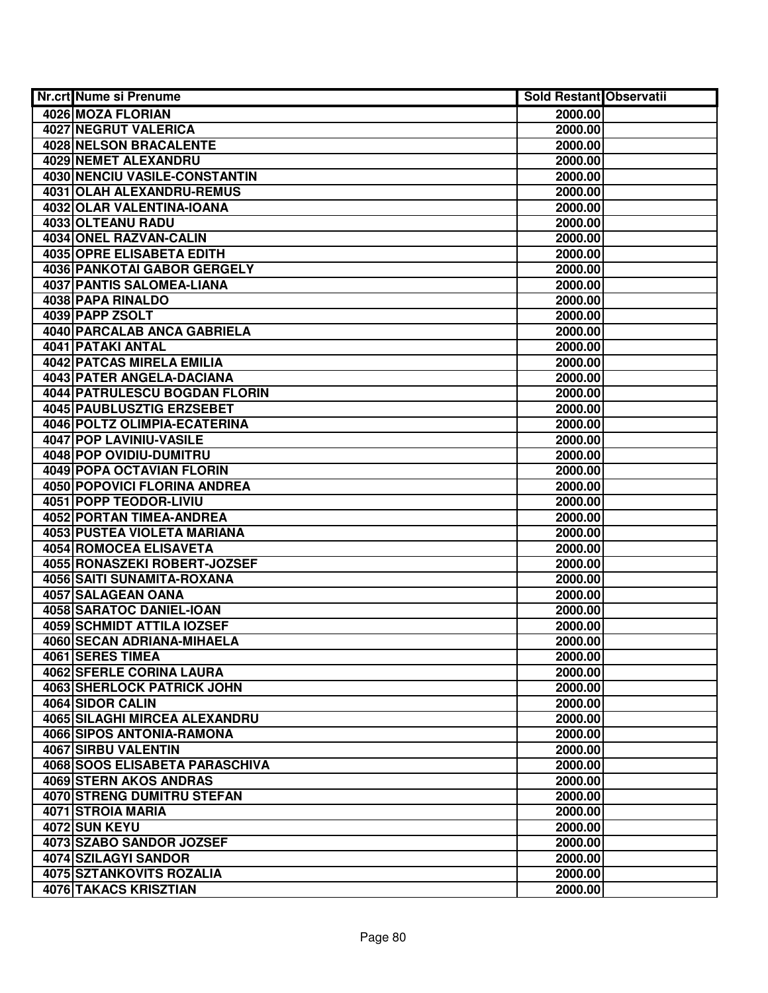| <b>Nr.crt Nume si Prenume</b>      | <b>Sold Restant Observatii</b> |  |
|------------------------------------|--------------------------------|--|
| 4026 MOZA FLORIAN                  | 2000.00                        |  |
| <b>4027 NEGRUT VALERICA</b>        | 2000.00                        |  |
| 4028 NELSON BRACALENTE             | 2000.00                        |  |
| 4029 NEMET ALEXANDRU               | 2000.00                        |  |
| 4030 NENCIU VASILE-CONSTANTIN      | 2000.00                        |  |
| 4031 OLAH ALEXANDRU-REMUS          | 2000.00                        |  |
| 4032 OLAR VALENTINA-IOANA          | 2000.00                        |  |
| 4033 OLTEANU RADU                  | 2000.00                        |  |
| 4034 ONEL RAZVAN-CALIN             | 2000.00                        |  |
| <b>4035 OPRE ELISABETA EDITH</b>   | 2000.00                        |  |
| <b>4036 PANKOTAI GABOR GERGELY</b> | 2000.00                        |  |
| <b>4037 PANTIS SALOMEA-LIANA</b>   | 2000.00                        |  |
| 4038 PAPA RINALDO                  | 2000.00                        |  |
| 4039 PAPP ZSOLT                    | 2000.00                        |  |
| 4040 PARCALAB ANCA GABRIELA        | 2000.00                        |  |
| 4041 PATAKI ANTAL                  | 2000.00                        |  |
| 4042 PATCAS MIRELA EMILIA          | 2000.00                        |  |
| <b>4043 PATER ANGELA-DACIANA</b>   | 2000.00                        |  |
| 4044 PATRULESCU BOGDAN FLORIN      | 2000.00                        |  |
| 4045 PAUBLUSZTIG ERZSEBET          | 2000.00                        |  |
| 4046 POLTZ OLIMPIA-ECATERINA       | 2000.00                        |  |
| 4047 POP LAVINIU-VASILE            | 2000.00                        |  |
| 4048 POP OVIDIU-DUMITRU            | 2000.00                        |  |
| 4049 POPA OCTAVIAN FLORIN          | 2000.00                        |  |
| 4050 POPOVICI FLORINA ANDREA       | 2000.00                        |  |
| 4051 POPP TEODOR-LIVIU             | 2000.00                        |  |
| 4052 PORTAN TIMEA-ANDREA           | 2000.00                        |  |
| 4053 PUSTEA VIOLETA MARIANA        | 2000.00                        |  |
| 4054 ROMOCEA ELISAVETA             | 2000.00                        |  |
| 4055 RONASZEKI ROBERT-JOZSEF       | 2000.00                        |  |
| 4056 SAITI SUNAMITA-ROXANA         | 2000.00                        |  |
| 4057 SALAGEAN OANA                 | 2000.00                        |  |
| 4058 SARATOC DANIEL-IOAN           | 2000.00                        |  |
| <b>4059 SCHMIDT ATTILA IOZSEF</b>  | 2000.00                        |  |
| 4060 SECAN ADRIANA-MIHAELA         | 2000.00                        |  |
| <b>4061 SERES TIMEA</b>            | 2000.00                        |  |
| <b>4062 SFERLE CORINA LAURA</b>    | 2000.00                        |  |
| <b>4063 SHERLOCK PATRICK JOHN</b>  | 2000.00                        |  |
| 4064 SIDOR CALIN                   | 2000.00                        |  |
| 4065 SILAGHI MIRCEA ALEXANDRU      | 2000.00                        |  |
| 4066 SIPOS ANTONIA-RAMONA          | 2000.00                        |  |
| 4067 SIRBU VALENTIN                | 2000.00                        |  |
| 4068 SOOS ELISABETA PARASCHIVA     | 2000.00                        |  |
| 4069 STERN AKOS ANDRAS             | 2000.00                        |  |
| 4070 STRENG DUMITRU STEFAN         | 2000.00                        |  |
| 4071 STROIA MARIA                  | 2000.00                        |  |
| 4072 SUN KEYU                      | 2000.00                        |  |
| 4073 SZABO SANDOR JOZSEF           | 2000.00                        |  |
| 4074 SZILAGYI SANDOR               | 2000.00                        |  |
| 4075 SZTANKOVITS ROZALIA           | 2000.00                        |  |
| 4076 TAKACS KRISZTIAN              | 2000.00                        |  |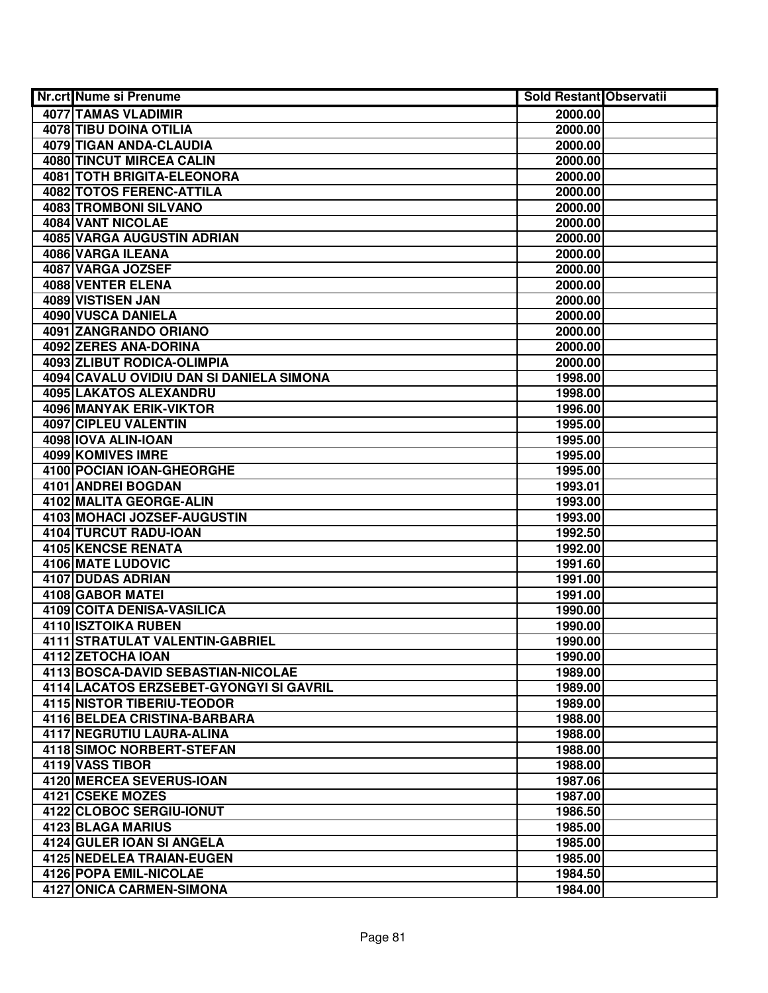| Nr.crt Nume si Prenume                   | <b>Sold Restant Observatii</b> |  |
|------------------------------------------|--------------------------------|--|
| 4077 TAMAS VLADIMIR                      | 2000.00                        |  |
| 4078 TIBU DOINA OTILIA                   | 2000.00                        |  |
| 4079 TIGAN ANDA-CLAUDIA                  | 2000.00                        |  |
| 4080 TINCUT MIRCEA CALIN                 | 2000.00                        |  |
| <b>4081 TOTH BRIGITA-ELEONORA</b>        | 2000.00                        |  |
| 4082 TOTOS FERENC-ATTILA                 | 2000.00                        |  |
| 4083 TROMBONI SILVANO                    | 2000.00                        |  |
| 4084 VANT NICOLAE                        | 2000.00                        |  |
| <b>4085 VARGA AUGUSTIN ADRIAN</b>        | 2000.00                        |  |
| 4086 VARGA ILEANA                        | 2000.00                        |  |
| 4087 VARGA JOZSEF                        | 2000.00                        |  |
| 4088 VENTER ELENA                        | 2000.00                        |  |
| 4089 VISTISEN JAN                        | 2000.00                        |  |
| 4090 VUSCA DANIELA                       | 2000.00                        |  |
| 4091 ZANGRANDO ORIANO                    | 2000.00                        |  |
| 4092 ZERES ANA-DORINA                    | 2000.00                        |  |
| 4093 ZLIBUT RODICA-OLIMPIA               | 2000.00                        |  |
| 4094 CAVALU OVIDIU DAN SI DANIELA SIMONA | 1998.00                        |  |
| 4095 LAKATOS ALEXANDRU                   | 1998.00                        |  |
| 4096 MANYAK ERIK-VIKTOR                  | 1996.00                        |  |
| 4097 CIPLEU VALENTIN                     | 1995.00                        |  |
| 4098 IOVA ALIN-IOAN                      | 1995.00                        |  |
| 4099 KOMIVES IMRE                        | 1995.00                        |  |
| 4100 POCIAN IOAN-GHEORGHE                | 1995.00                        |  |
| 4101 ANDREI BOGDAN                       | 1993.01                        |  |
| 4102 MALITA GEORGE-ALIN                  | 1993.00                        |  |
| 4103 MOHACI JOZSEF-AUGUSTIN              | 1993.00                        |  |
| 4104 TURCUT RADU-IOAN                    | 1992.50                        |  |
| 4105 KENCSE RENATA                       | 1992.00                        |  |
| 4106 MATE LUDOVIC                        | 1991.60                        |  |
| 4107 DUDAS ADRIAN                        | 1991.00                        |  |
| 4108 GABOR MATEI                         | 1991.00                        |  |
| 4109 COITA DENISA-VASILICA               | 1990.00                        |  |
| <b>4110 ISZTOIKA RUBEN</b>               | 1990.00                        |  |
| 4111 STRATULAT VALENTIN-GABRIEL          | 1990.00                        |  |
| 4112 ZETOCHA IOAN                        | 1990.00                        |  |
| 4113 BOSCA-DAVID SEBASTIAN-NICOLAE       | 1989.00                        |  |
| 4114 LACATOS ERZSEBET-GYONGYI SI GAVRIL  | 1989.00                        |  |
| <b>4115 NISTOR TIBERIU-TEODOR</b>        | 1989.00                        |  |
| 4116 BELDEA CRISTINA-BARBARA             | 1988.00                        |  |
| 4117 NEGRUTIU LAURA-ALINA                | 1988.00                        |  |
| <b>4118 SIMOC NORBERT-STEFAN</b>         | 1988.00                        |  |
| 4119 VASS TIBOR                          | 1988.00                        |  |
| 4120 MERCEA SEVERUS-IOAN                 | 1987.06                        |  |
| 4121 CSEKE MOZES                         | 1987.00                        |  |
| 4122 CLOBOC SERGIU-IONUT                 | 1986.50                        |  |
| 4123 BLAGA MARIUS                        | 1985.00                        |  |
| 4124 GULER IOAN SI ANGELA                | 1985.00                        |  |
| 4125 NEDELEA TRAIAN-EUGEN                | 1985.00                        |  |
| 4126 POPA EMIL-NICOLAE                   | 1984.50                        |  |
| <b>4127 ONICA CARMEN-SIMONA</b>          | 1984.00                        |  |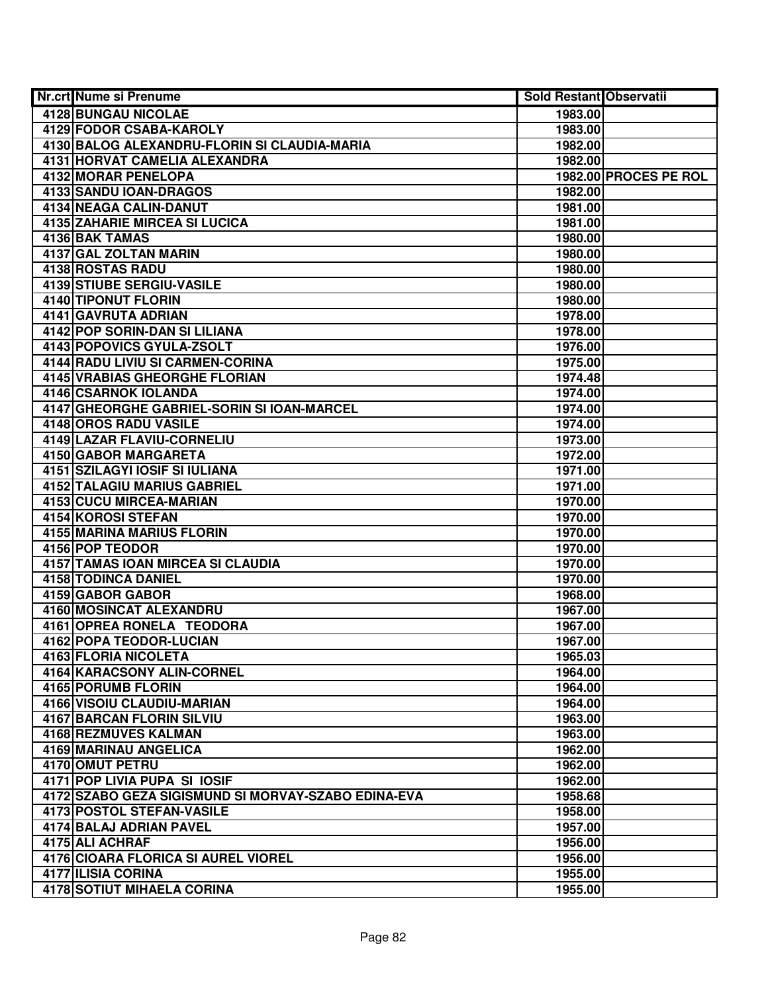| <b>Nr.crt Nume si Prenume</b>                       | Sold Restant Observatii |                       |
|-----------------------------------------------------|-------------------------|-----------------------|
| 4128 BUNGAU NICOLAE                                 | 1983.00                 |                       |
| <b>4129 FODOR CSABA-KAROLY</b>                      | 1983.00                 |                       |
| 4130 BALOG ALEXANDRU-FLORIN SI CLAUDIA-MARIA        | 1982.00                 |                       |
| 4131 HORVAT CAMELIA ALEXANDRA                       | 1982.00                 |                       |
| 4132 MORAR PENELOPA                                 |                         | 1982.00 PROCES PE ROL |
| 4133 SANDU IOAN-DRAGOS                              | 1982.00                 |                       |
| 4134 NEAGA CALIN-DANUT                              | 1981.00                 |                       |
| <b>4135 ZAHARIE MIRCEA SI LUCICA</b>                | 1981.00                 |                       |
| 4136 BAK TAMAS                                      | 1980.00                 |                       |
| 4137 GAL ZOLTAN MARIN                               | 1980.00                 |                       |
| 4138 ROSTAS RADU                                    | 1980.00                 |                       |
| 4139 STIUBE SERGIU-VASILE                           | 1980.00                 |                       |
| 4140 TIPONUT FLORIN                                 | 1980.00                 |                       |
| 4141 GAVRUTA ADRIAN                                 | 1978.00                 |                       |
| 4142 POP SORIN-DAN SI LILIANA                       | 1978.00                 |                       |
| 4143 POPOVICS GYULA-ZSOLT                           | 1976.00                 |                       |
| 4144 RADU LIVIU SI CARMEN-CORINA                    | 1975.00                 |                       |
| 4145 VRABIAS GHEORGHE FLORIAN                       | 1974.48                 |                       |
| 4146 CSARNOK IOLANDA                                | 1974.00                 |                       |
| 4147 GHEORGHE GABRIEL-SORIN SI IOAN-MARCEL          | 1974.00                 |                       |
| 4148 OROS RADU VASILE                               | 1974.00                 |                       |
| 4149 LAZAR FLAVIU-CORNELIU                          | 1973.00                 |                       |
| 4150 GABOR MARGARETA                                | 1972.00                 |                       |
| 4151 SZILAGYI IOSIF SI IULIANA                      | 1971.00                 |                       |
| <b>4152 TALAGIU MARIUS GABRIEL</b>                  | 1971.00                 |                       |
| 4153 CUCU MIRCEA-MARIAN                             | 1970.00                 |                       |
| 4154 KOROSI STEFAN                                  | 1970.00                 |                       |
| 4155 MARINA MARIUS FLORIN                           | 1970.00                 |                       |
| 4156 POP TEODOR                                     | 1970.00                 |                       |
| 4157 TAMAS IOAN MIRCEA SI CLAUDIA                   | 1970.00                 |                       |
| 4158 TODINCA DANIEL                                 | 1970.00                 |                       |
| 4159 GABOR GABOR                                    | 1968.00                 |                       |
| 4160 MOSINCAT ALEXANDRU                             | 1967.00                 |                       |
| 4161 OPREA RONELA TEODORA                           | 1967.00                 |                       |
| <b>4162 POPA TEODOR-LUCIAN</b>                      | 1967.00                 |                       |
| 4163 FLORIA NICOLETA                                | 1965.03                 |                       |
| <b>4164 KARACSONY ALIN-CORNEL</b>                   | 1964.00                 |                       |
| <b>4165 PORUMB FLORIN</b>                           | 1964.00                 |                       |
| 4166 VISOIU CLAUDIU-MARIAN                          | 1964.00                 |                       |
| 4167 BARCAN FLORIN SILVIU                           | 1963.00                 |                       |
| 4168 REZMUVES KALMAN                                | 1963.00                 |                       |
| 4169 MARINAU ANGELICA                               | 1962.00                 |                       |
| 4170 OMUT PETRU                                     | 1962.00                 |                       |
| 4171 POP LIVIA PUPA SI IOSIF                        | 1962.00                 |                       |
| 4172 SZABO GEZA SIGISMUND SI MORVAY-SZABO EDINA-EVA | 1958.68                 |                       |
| 4173 POSTOL STEFAN-VASILE                           | 1958.00                 |                       |
| 4174 BALAJ ADRIAN PAVEL                             | 1957.00                 |                       |
| 4175 ALI ACHRAF                                     | 1956.00                 |                       |
| 4176 CIOARA FLORICA SI AUREL VIOREL                 | 1956.00                 |                       |
| 4177 ILISIA CORINA                                  | 1955.00                 |                       |
| <b>4178 SOTIUT MIHAELA CORINA</b>                   | 1955.00                 |                       |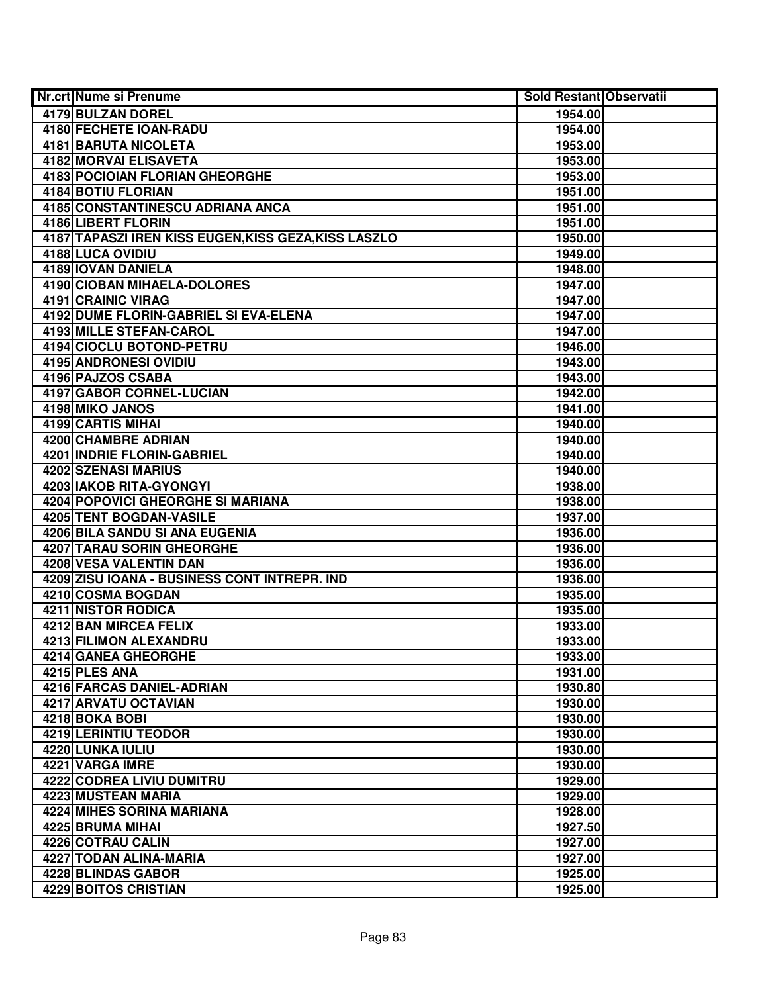| Nr.crt Nume si Prenume                               | Sold Restant Observatii |  |
|------------------------------------------------------|-------------------------|--|
| 4179 BULZAN DOREL                                    | 1954.00                 |  |
| 4180 FECHETE IOAN-RADU                               | 1954.00                 |  |
| 4181 BARUTA NICOLETA                                 | 1953.00                 |  |
| 4182 MORVAI ELISAVETA                                | 1953.00                 |  |
| 4183 POCIOIAN FLORIAN GHEORGHE                       | 1953.00                 |  |
| 4184 BOTIU FLORIAN                                   | 1951.00                 |  |
| 4185 CONSTANTINESCU ADRIANA ANCA                     | 1951.00                 |  |
| <b>4186 LIBERT FLORIN</b>                            | 1951.00                 |  |
| 4187 TAPASZI IREN KISS EUGEN, KISS GEZA, KISS LASZLO | 1950.00                 |  |
| 4188 LUCA OVIDIU                                     | 1949.00                 |  |
| 4189 IOVAN DANIELA                                   | 1948.00                 |  |
| 4190 CIOBAN MIHAELA-DOLORES                          | 1947.00                 |  |
| <b>4191 CRAINIC VIRAG</b>                            | 1947.00                 |  |
| 4192 DUME FLORIN-GABRIEL SI EVA-ELENA                | 1947.00                 |  |
| 4193 MILLE STEFAN-CAROL                              | 1947.00                 |  |
| 4194 CIOCLU BOTOND-PETRU                             | 1946.00                 |  |
| 4195 ANDRONESI OVIDIU                                | 1943.00                 |  |
| 4196 PAJZOS CSABA                                    | 1943.00                 |  |
| 4197 GABOR CORNEL-LUCIAN                             | 1942.00                 |  |
| 4198 MIKO JANOS                                      | 1941.00                 |  |
| 4199 CARTIS MIHAI                                    | 1940.00                 |  |
| 4200 CHAMBRE ADRIAN                                  | 1940.00                 |  |
| 4201 INDRIE FLORIN-GABRIEL                           | 1940.00                 |  |
| <b>4202 SZENASI MARIUS</b>                           | 1940.00                 |  |
| 4203 IAKOB RITA-GYONGYI                              | 1938.00                 |  |
| <b>4204 POPOVICI GHEORGHE SI MARIANA</b>             | 1938.00                 |  |
| 4205 TENT BOGDAN-VASILE                              | 1937.00                 |  |
| 4206 BILA SANDU SI ANA EUGENIA                       | 1936.00                 |  |
| 4207 TARAU SORIN GHEORGHE                            | 1936.00                 |  |
| 4208 VESA VALENTIN DAN                               | 1936.00                 |  |
| 4209 ZISU IOANA - BUSINESS CONT INTREPR. IND         | 1936.00                 |  |
| 4210 COSMA BOGDAN                                    | 1935.00                 |  |
| <b>4211 NISTOR RODICA</b>                            | 1935.00                 |  |
| <b>4212 BAN MIRCEA FELIX</b>                         | 1933.00                 |  |
| 4213 FILIMON ALEXANDRU                               | 1933.00                 |  |
| 4214 GANEA GHEORGHE                                  | 1933.00                 |  |
| 4215 PLES ANA                                        | 1931.00                 |  |
| 4216 FARCAS DANIEL-ADRIAN                            | 1930.80                 |  |
| 4217 ARVATU OCTAVIAN                                 | 1930.00                 |  |
| 4218 BOKA BOBI                                       | 1930.00                 |  |
| 4219 LERINTIU TEODOR                                 | 1930.00                 |  |
| 4220 LUNKA IULIU                                     | 1930.00                 |  |
| 4221 VARGA IMRE                                      | 1930.00                 |  |
| 4222 CODREA LIVIU DUMITRU                            | 1929.00                 |  |
| 4223 MUSTEAN MARIA                                   | 1929.00                 |  |
| 4224 MIHES SORINA MARIANA                            | 1928.00                 |  |
| 4225 BRUMA MIHAI                                     | 1927.50                 |  |
| 4226 COTRAU CALIN                                    | 1927.00                 |  |
| 4227 TODAN ALINA-MARIA                               | 1927.00                 |  |
| 4228 BLINDAS GABOR                                   | 1925.00                 |  |
| 4229 BOITOS CRISTIAN                                 | 1925.00                 |  |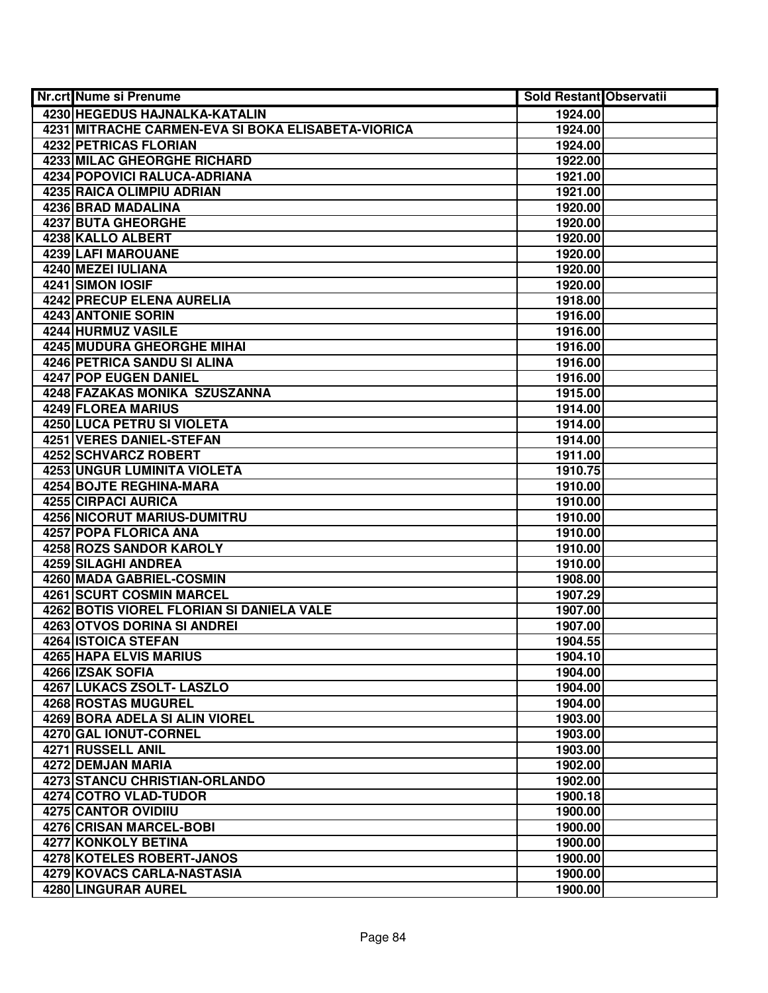| <b>Nr.crt Nume si Prenume</b>                      | <b>Sold Restant Observatii</b> |  |
|----------------------------------------------------|--------------------------------|--|
| 4230 HEGEDUS HAJNALKA-KATALIN                      | 1924.00                        |  |
| 4231 MITRACHE CARMEN-EVA SI BOKA ELISABETA-VIORICA | 1924.00                        |  |
| 4232 PETRICAS FLORIAN                              | 1924.00                        |  |
| 4233 MILAC GHEORGHE RICHARD                        | 1922.00                        |  |
| 4234 POPOVICI RALUCA-ADRIANA                       | 1921.00                        |  |
| 4235 RAICA OLIMPIU ADRIAN                          | 1921.00                        |  |
| 4236 BRAD MADALINA                                 | 1920.00                        |  |
| 4237 BUTA GHEORGHE                                 | 1920.00                        |  |
| 4238 KALLO ALBERT                                  | 1920.00                        |  |
| <b>4239 LAFI MAROUANE</b>                          | 1920.00                        |  |
| 4240 MEZEI IULIANA                                 | 1920.00                        |  |
| 4241 SIMON IOSIF                                   | 1920.00                        |  |
| 4242 PRECUP ELENA AURELIA                          | 1918.00                        |  |
| 4243 ANTONIE SORIN                                 | 1916.00                        |  |
| 4244 HURMUZ VASILE                                 | 1916.00                        |  |
| 4245 MUDURA GHEORGHE MIHAI                         | 1916.00                        |  |
| 4246 PETRICA SANDU SI ALINA                        | 1916.00                        |  |
| 4247 POP EUGEN DANIEL                              | 1916.00                        |  |
| 4248 FAZAKAS MONIKA SZUSZANNA                      | 1915.00                        |  |
| 4249 FLOREA MARIUS                                 | 1914.00                        |  |
| <b>4250 LUCA PETRU SI VIOLETA</b>                  | 1914.00                        |  |
| 4251 VERES DANIEL-STEFAN                           | 1914.00                        |  |
| 4252 SCHVARCZ ROBERT                               | 1911.00                        |  |
| 4253 UNGUR LUMINITA VIOLETA                        | 1910.75                        |  |
| 4254 BOJTE REGHINA-MARA                            | 1910.00                        |  |
| 4255 CIRPACI AURICA                                | 1910.00                        |  |
| 4256 NICORUT MARIUS-DUMITRU                        | 1910.00                        |  |
| 4257 POPA FLORICA ANA                              | 1910.00                        |  |
| 4258 ROZS SANDOR KAROLY                            | 1910.00                        |  |
| 4259 SILAGHI ANDREA                                | 1910.00                        |  |
| 4260 MADA GABRIEL-COSMIN                           | 1908.00                        |  |
| 4261 SCURT COSMIN MARCEL                           | 1907.29                        |  |
| 4262 BOTIS VIOREL FLORIAN SI DANIELA VALE          | 1907.00                        |  |
| <b>4263 OTVOS DORINA SI ANDREI</b>                 | 1907.00                        |  |
| <b>4264 ISTOICA STEFAN</b>                         | 1904.55                        |  |
| 4265 HAPA ELVIS MARIUS                             | 1904.10                        |  |
| 4266 IZSAK SOFIA                                   | 1904.00                        |  |
| 4267 LUKACS ZSOLT- LASZLO                          | 1904.00                        |  |
| <b>4268 ROSTAS MUGUREL</b>                         | 1904.00                        |  |
| 4269 BORA ADELA SI ALIN VIOREL                     | 1903.00                        |  |
| 4270 GAL IONUT-CORNEL                              | 1903.00                        |  |
| 4271 RUSSELL ANIL                                  | 1903.00                        |  |
| 4272 DEMJAN MARIA                                  | 1902.00                        |  |
| 4273 STANCU CHRISTIAN-ORLANDO                      | 1902.00                        |  |
| 4274 COTRO VLAD-TUDOR                              | 1900.18                        |  |
| <b>4275 CANTOR OVIDIIU</b>                         | 1900.00                        |  |
| 4276 CRISAN MARCEL-BOBI                            | 1900.00                        |  |
| 4277 KONKOLY BETINA                                | 1900.00                        |  |
| 4278 KOTELES ROBERT-JANOS                          | 1900.00                        |  |
| 4279 KOVACS CARLA-NASTASIA                         | 1900.00                        |  |
| 4280 LINGURAR AUREL                                | 1900.00                        |  |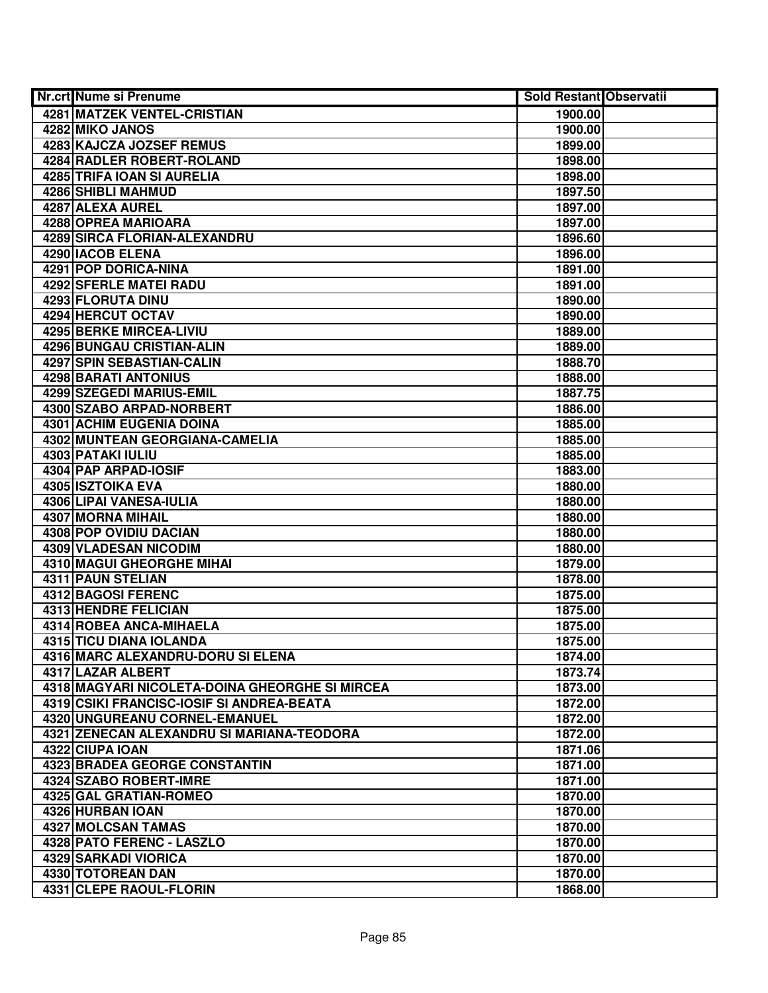| Nr.crt Nume si Prenume                    |                                                | <b>Sold Restant Observatii</b> |  |
|-------------------------------------------|------------------------------------------------|--------------------------------|--|
| <b>4281 MATZEK VENTEL-CRISTIAN</b>        |                                                | 1900.00                        |  |
| 4282 MIKO JANOS                           |                                                | 1900.00                        |  |
| 4283 KAJCZA JOZSEF REMUS                  |                                                | 1899.00                        |  |
| <b>4284 RADLER ROBERT-ROLAND</b>          |                                                | 1898.00                        |  |
| 4285 TRIFA IOAN SI AURELIA                |                                                | 1898.00                        |  |
| 4286 SHIBLI MAHMUD                        |                                                | 1897.50                        |  |
| 4287 ALEXA AUREL                          |                                                | 1897.00                        |  |
| 4288 OPREA MARIOARA                       |                                                | 1897.00                        |  |
| <b>4289 SIRCA FLORIAN-ALEXANDRU</b>       |                                                | 1896.60                        |  |
| 4290   IACOB ELENA                        |                                                | 1896.00                        |  |
| <b>4291 POP DORICA-NINA</b>               |                                                | 1891.00                        |  |
| <b>4292 SFERLE MATEI RADU</b>             |                                                | 1891.00                        |  |
| 4293 FLORUTA DINU                         |                                                | 1890.00                        |  |
| 4294 HERCUT OCTAV                         |                                                | 1890.00                        |  |
| 4295 BERKE MIRCEA-LIVIU                   |                                                | 1889.00                        |  |
| 4296 BUNGAU CRISTIAN-ALIN                 |                                                | 1889.00                        |  |
| 4297 SPIN SEBASTIAN-CALIN                 |                                                | 1888.70                        |  |
| 4298 BARATI ANTONIUS                      |                                                | 1888.00                        |  |
| 4299 SZEGEDI MARIUS-EMIL                  |                                                | 1887.75                        |  |
| 4300 SZABO ARPAD-NORBERT                  |                                                | 1886.00                        |  |
| 4301 ACHIM EUGENIA DOINA                  |                                                | 1885.00                        |  |
| 4302 MUNTEAN GEORGIANA-CAMELIA            |                                                | 1885.00                        |  |
| 4303 PATAKI IULIU                         |                                                | 1885.00                        |  |
| 4304 PAP ARPAD-IOSIF                      |                                                | 1883.00                        |  |
| 4305 ISZTOIKA EVA                         |                                                | 1880.00                        |  |
| 4306 LIPAI VANESA-IULIA                   |                                                | 1880.00                        |  |
| 4307 MORNA MIHAIL                         |                                                | 1880.00                        |  |
| 4308 POP OVIDIU DACIAN                    |                                                | 1880.00                        |  |
| 4309 VLADESAN NICODIM                     |                                                | 1880.00                        |  |
| 4310 MAGUI GHEORGHE MIHAI                 |                                                | 1879.00                        |  |
| 4311 PAUN STELIAN                         |                                                | 1878.00                        |  |
| 4312 BAGOSI FERENC                        |                                                | 1875.00                        |  |
| 4313 HENDRE FELICIAN                      |                                                | 1875.00                        |  |
| 4314 ROBEA ANCA-MIHAELA                   |                                                | 1875.00                        |  |
| 4315 TICU DIANA IOLANDA                   |                                                | 1875.00                        |  |
| 4316 MARC ALEXANDRU-DORU SI ELENA         |                                                | 1874.00                        |  |
| 4317 LAZAR ALBERT                         |                                                | 1873.74                        |  |
|                                           | 4318 MAGYARI NICOLETA-DOINA GHEORGHE SI MIRCEA | 1873.00                        |  |
| 4319 CSIKI FRANCISC-IOSIF SI ANDREA-BEATA |                                                | 1872.00                        |  |
| 4320 UNGUREANU CORNEL-EMANUEL             |                                                | 1872.00                        |  |
|                                           | 4321 ZENECAN ALEXANDRU SI MARIANA-TEODORA      | 1872.00                        |  |
| 4322 CIUPA IOAN                           |                                                | 1871.06                        |  |
| 4323 BRADEA GEORGE CONSTANTIN             |                                                | 1871.00                        |  |
| 4324 SZABO ROBERT-IMRE                    |                                                | 1871.00                        |  |
| 4325 GAL GRATIAN-ROMEO                    |                                                | 1870.00                        |  |
| 4326 HURBAN IOAN                          |                                                | 1870.00                        |  |
| 4327 MOLCSAN TAMAS                        |                                                | 1870.00                        |  |
| 4328 PATO FERENC - LASZLO                 |                                                | 1870.00                        |  |
| 4329 SARKADI VIORICA                      |                                                | 1870.00                        |  |
| 4330 TOTOREAN DAN                         |                                                | 1870.00                        |  |
| 4331 CLEPE RAOUL-FLORIN                   |                                                | 1868.00                        |  |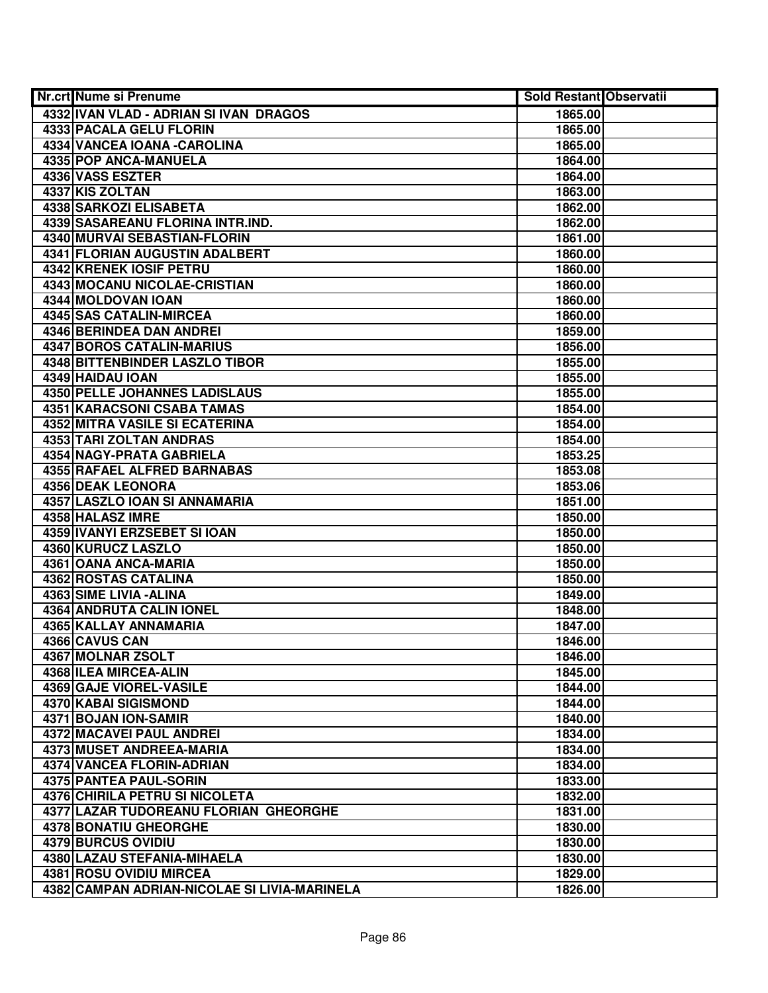| <b>Nr.crt Nume si Prenume</b>                | Sold Restant Observatii |  |
|----------------------------------------------|-------------------------|--|
| 4332 IVAN VLAD - ADRIAN SI IVAN DRAGOS       | 1865.00                 |  |
| 4333 PACALA GELU FLORIN                      | 1865.00                 |  |
| 4334 VANCEA IOANA - CAROLINA                 | 1865.00                 |  |
| 4335 POP ANCA-MANUELA                        | 1864.00                 |  |
| 4336 VASS ESZTER                             | 1864.00                 |  |
| 4337 KIS ZOLTAN                              | 1863.00                 |  |
| 4338 SARKOZI ELISABETA                       | 1862.00                 |  |
| 4339 SASAREANU FLORINA INTR.IND.             | 1862.00                 |  |
| 4340 MURVAI SEBASTIAN-FLORIN                 | 1861.00                 |  |
| <b>4341 FLORIAN AUGUSTIN ADALBERT</b>        | 1860.00                 |  |
| 4342 KRENEK IOSIF PETRU                      | 1860.00                 |  |
| <b>4343 MOCANU NICOLAE-CRISTIAN</b>          | 1860.00                 |  |
| 4344 MOLDOVAN IOAN                           | 1860.00                 |  |
| <b>4345 SAS CATALIN-MIRCEA</b>               | 1860.00                 |  |
| 4346 BERINDEA DAN ANDREI                     | 1859.00                 |  |
| 4347 BOROS CATALIN-MARIUS                    | 1856.00                 |  |
| 4348 BITTENBINDER LASZLO TIBOR               | 1855.00                 |  |
| 4349 HAIDAU IOAN                             | 1855.00                 |  |
| 4350 PELLE JOHANNES LADISLAUS                | 1855.00                 |  |
| 4351 KARACSONI CSABA TAMAS                   | 1854.00                 |  |
| 4352 MITRA VASILE SI ECATERINA               | 1854.00                 |  |
| 4353 TARI ZOLTAN ANDRAS                      | 1854.00                 |  |
| 4354 NAGY-PRATA GABRIELA                     | 1853.25                 |  |
| 4355 RAFAEL ALFRED BARNABAS                  | 1853.08                 |  |
| 4356 DEAK LEONORA                            | 1853.06                 |  |
| 4357 LASZLO IOAN SI ANNAMARIA                | 1851.00                 |  |
| 4358 HALASZ IMRE                             | 1850.00                 |  |
| 4359 IVANYI ERZSEBET SI IOAN                 | 1850.00                 |  |
| 4360 KURUCZ LASZLO                           | 1850.00                 |  |
| 4361 OANA ANCA-MARIA                         | 1850.00                 |  |
| 4362 ROSTAS CATALINA                         | 1850.00                 |  |
| 4363 SIME LIVIA - ALINA                      | 1849.00                 |  |
| 4364 ANDRUTA CALIN IONEL                     | 1848.00                 |  |
| 4365 KALLAY ANNAMARIA                        | 1847.00                 |  |
| 4366 CAVUS CAN                               | 1846.00                 |  |
| 4367 MOLNAR ZSOLT                            | 1846.00                 |  |
| 4368 ILEA MIRCEA-ALIN                        | 1845.00                 |  |
| 4369 GAJE VIOREL-VASILE                      | 1844.00                 |  |
| 4370 KABAI SIGISMOND                         | 1844.00                 |  |
| 4371 BOJAN ION-SAMIR                         | 1840.00                 |  |
| 4372 MACAVEI PAUL ANDREI                     | 1834.00                 |  |
| 4373 MUSET ANDREEA-MARIA                     | 1834.00                 |  |
| 4374 VANCEA FLORIN-ADRIAN                    | 1834.00                 |  |
| <b>4375 PANTEA PAUL-SORIN</b>                | 1833.00                 |  |
| 4376 CHIRILA PETRU SI NICOLETA               | 1832.00                 |  |
| 4377 LAZAR TUDOREANU FLORIAN GHEORGHE        | 1831.00                 |  |
| 4378 BONATIU GHEORGHE                        | 1830.00                 |  |
| 4379 BURCUS OVIDIU                           | 1830.00                 |  |
| 4380 LAZAU STEFANIA-MIHAELA                  | 1830.00                 |  |
| 4381 ROSU OVIDIU MIRCEA                      | 1829.00                 |  |
| 4382 CAMPAN ADRIAN-NICOLAE SI LIVIA-MARINELA | 1826.00                 |  |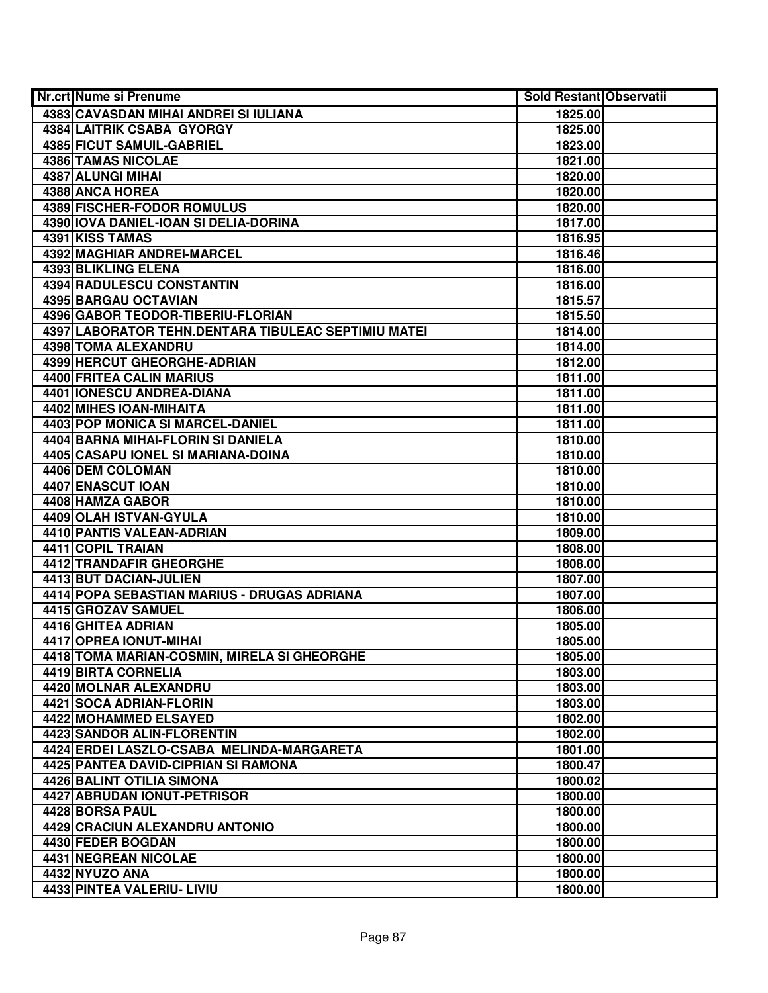| Nr.crt Nume si Prenume                              | <b>Sold Restant Observatii</b> |  |
|-----------------------------------------------------|--------------------------------|--|
| 4383 CAVASDAN MIHAI ANDREI SI IULIANA               | 1825.00                        |  |
| 4384 LAITRIK CSABA GYORGY                           | 1825.00                        |  |
| 4385 FICUT SAMUIL-GABRIEL                           | 1823.00                        |  |
| 4386 TAMAS NICOLAE                                  | 1821.00                        |  |
| 4387 ALUNGI MIHAI                                   | 1820.00                        |  |
| 4388 ANCA HOREA                                     | 1820.00                        |  |
| 4389 FISCHER-FODOR ROMULUS                          | 1820.00                        |  |
| 4390 IOVA DANIEL-IOAN SI DELIA-DORINA               | 1817.00                        |  |
| 4391 KISS TAMAS                                     | 1816.95                        |  |
| <b>4392 MAGHIAR ANDREI-MARCEL</b>                   | 1816.46                        |  |
| <b>4393 BLIKLING ELENA</b>                          | 1816.00                        |  |
| <b>4394 RADULESCU CONSTANTIN</b>                    | 1816.00                        |  |
| 4395 BARGAU OCTAVIAN                                | 1815.57                        |  |
| 4396 GABOR TEODOR-TIBERIU-FLORIAN                   | 1815.50                        |  |
| 4397 LABORATOR TEHN.DENTARA TIBULEAC SEPTIMIU MATEI | 1814.00                        |  |
| 4398 TOMA ALEXANDRU                                 | 1814.00                        |  |
| 4399 HERCUT GHEORGHE-ADRIAN                         | 1812.00                        |  |
| 4400 FRITEA CALIN MARIUS                            | 1811.00                        |  |
| <b>4401 IONESCU ANDREA-DIANA</b>                    | 1811.00                        |  |
| 4402 MIHES IOAN-MIHAITA                             | 1811.00                        |  |
| 4403 POP MONICA SI MARCEL-DANIEL                    | 1811.00                        |  |
| 4404 BARNA MIHAI-FLORIN SI DANIELA                  | 1810.00                        |  |
| 4405 CASAPU IONEL SI MARIANA-DOINA                  | 1810.00                        |  |
| 4406 DEM COLOMAN                                    | 1810.00                        |  |
| 4407 ENASCUT IOAN                                   | 1810.00                        |  |
| 4408 HAMZA GABOR                                    | 1810.00                        |  |
| 4409 OLAH ISTVAN-GYULA                              | 1810.00                        |  |
| 4410 PANTIS VALEAN-ADRIAN                           | 1809.00                        |  |
| 4411 COPIL TRAIAN                                   | 1808.00                        |  |
| 4412 TRANDAFIR GHEORGHE                             | 1808.00                        |  |
| 4413 BUT DACIAN-JULIEN                              | 1807.00                        |  |
| 4414 POPA SEBASTIAN MARIUS - DRUGAS ADRIANA         | 1807.00                        |  |
| 4415 GROZAV SAMUEL                                  | 1806.00                        |  |
| 4416 GHITEA ADRIAN                                  | 1805.00                        |  |
| 4417 OPREA IONUT-MIHAI                              | 1805.00                        |  |
| 4418 TOMA MARIAN-COSMIN, MIRELA SI GHEORGHE         | 1805.00                        |  |
| 4419 BIRTA CORNELIA                                 | 1803.00                        |  |
| 4420 MOLNAR ALEXANDRU                               | 1803.00                        |  |
| 4421 SOCA ADRIAN-FLORIN                             | 1803.00                        |  |
| 4422 MOHAMMED ELSAYED                               | 1802.00                        |  |
| <b>4423 SANDOR ALIN-FLORENTIN</b>                   | 1802.00                        |  |
| 4424 ERDEI LASZLO-CSABA MELINDA-MARGARETA           | 1801.00                        |  |
| <b>4425 PANTEA DAVID-CIPRIAN SI RAMONA</b>          | 1800.47                        |  |
| 4426 BALINT OTILIA SIMONA                           | 1800.02                        |  |
| 4427 ABRUDAN IONUT-PETRISOR                         | 1800.00                        |  |
| 4428 BORSA PAUL                                     | 1800.00                        |  |
| 4429 CRACIUN ALEXANDRU ANTONIO                      | 1800.00                        |  |
| 4430 FEDER BOGDAN                                   | 1800.00                        |  |
| 4431 NEGREAN NICOLAE                                | 1800.00                        |  |
| 4432 NYUZO ANA                                      | 1800.00                        |  |
| 4433 PINTEA VALERIU- LIVIU                          | 1800.00                        |  |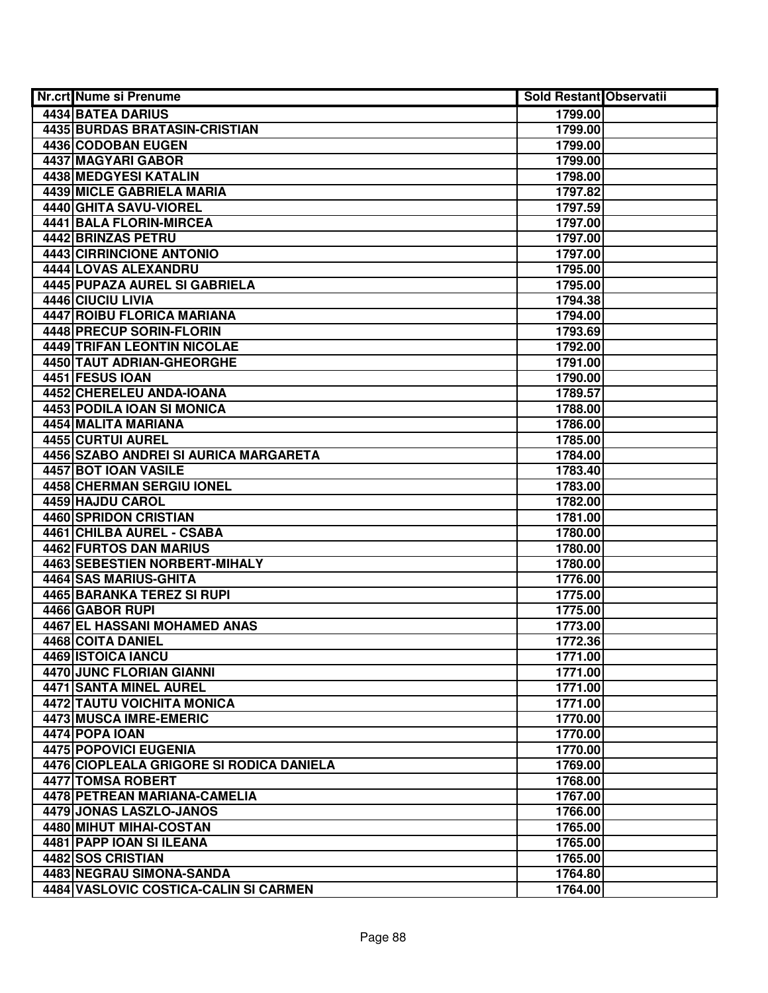| Nr.crt Nume si Prenume                   | <b>Sold Restant Observatii</b> |  |
|------------------------------------------|--------------------------------|--|
| 4434 BATEA DARIUS                        | 1799.00                        |  |
| <b>4435 BURDAS BRATASIN-CRISTIAN</b>     | 1799.00                        |  |
| 4436 CODOBAN EUGEN                       | 1799.00                        |  |
| 4437 MAGYARI GABOR                       | 1799.00                        |  |
| 4438 MEDGYESI KATALIN                    | 1798.00                        |  |
| 4439 MICLE GABRIELA MARIA                | 1797.82                        |  |
| 4440 GHITA SAVU-VIOREL                   | 1797.59                        |  |
| <b>4441 BALA FLORIN-MIRCEA</b>           | 1797.00                        |  |
| 4442 BRINZAS PETRU                       | 1797.00                        |  |
| <b>4443 CIRRINCIONE ANTONIO</b>          | 1797.00                        |  |
| 4444 LOVAS ALEXANDRU                     | 1795.00                        |  |
| <b>4445 PUPAZA AUREL SI GABRIELA</b>     | 1795.00                        |  |
| 4446 CIUCIU LIVIA                        | 1794.38                        |  |
| 4447 ROIBU FLORICA MARIANA               | 1794.00                        |  |
| 4448 PRECUP SORIN-FLORIN                 | 1793.69                        |  |
| <b>4449 TRIFAN LEONTIN NICOLAE</b>       | 1792.00                        |  |
| 4450 TAUT ADRIAN-GHEORGHE                | 1791.00                        |  |
| 4451 FESUS IOAN                          | 1790.00                        |  |
| 4452 CHERELEU ANDA-IOANA                 | 1789.57                        |  |
| 4453 PODILA IOAN SI MONICA               | 1788.00                        |  |
| 4454 MALITA MARIANA                      | 1786.00                        |  |
| <b>4455 CURTUI AUREL</b>                 | 1785.00                        |  |
| 4456 SZABO ANDREI SI AURICA MARGARETA    | 1784.00                        |  |
| 4457 BOT IOAN VASILE                     | 1783.40                        |  |
| 4458 CHERMAN SERGIU IONEL                | 1783.00                        |  |
| 4459 HAJDU CAROL                         | 1782.00                        |  |
| 4460 SPRIDON CRISTIAN                    | 1781.00                        |  |
| 4461 CHILBA AUREL - CSABA                | 1780.00                        |  |
| 4462 FURTOS DAN MARIUS                   | 1780.00                        |  |
| 4463 SEBESTIEN NORBERT-MIHALY            | 1780.00                        |  |
| 4464 SAS MARIUS-GHITA                    | 1776.00                        |  |
| 4465 BARANKA TEREZ SI RUPI               | 1775.00                        |  |
| 4466 GABOR RUPI                          | 1775.00                        |  |
| 4467 EL HASSANI MOHAMED ANAS             | 1773.00                        |  |
| 4468 COITA DANIEL                        | 1772.36                        |  |
| 4469 ISTOICA IANCU                       | 1771.00                        |  |
| 4470 JUNC FLORIAN GIANNI                 | 1771.00                        |  |
| <b>4471 SANTA MINEL AUREL</b>            | 1771.00                        |  |
| <b>4472 TAUTU VOICHITA MONICA</b>        | 1771.00                        |  |
| 4473 MUSCA IMRE-EMERIC                   | 1770.00                        |  |
| 4474 POPA IOAN                           | 1770.00                        |  |
| 4475 POPOVICI EUGENIA                    | 1770.00                        |  |
| 4476 CIOPLEALA GRIGORE SI RODICA DANIELA | 1769.00                        |  |
| <b>4477 TOMSA ROBERT</b>                 | 1768.00                        |  |
| 4478 PETREAN MARIANA-CAMELIA             | 1767.00                        |  |
| 4479 JONAS LASZLO-JANOS                  | 1766.00                        |  |
| 4480 MIHUT MIHAI-COSTAN                  | 1765.00                        |  |
| 4481 PAPP IOAN SI ILEANA                 | 1765.00                        |  |
| 4482 SOS CRISTIAN                        | 1765.00                        |  |
| 4483 NEGRAU SIMONA-SANDA                 | 1764.80                        |  |
| 4484 VASLOVIC COSTICA-CALIN SI CARMEN    | 1764.00                        |  |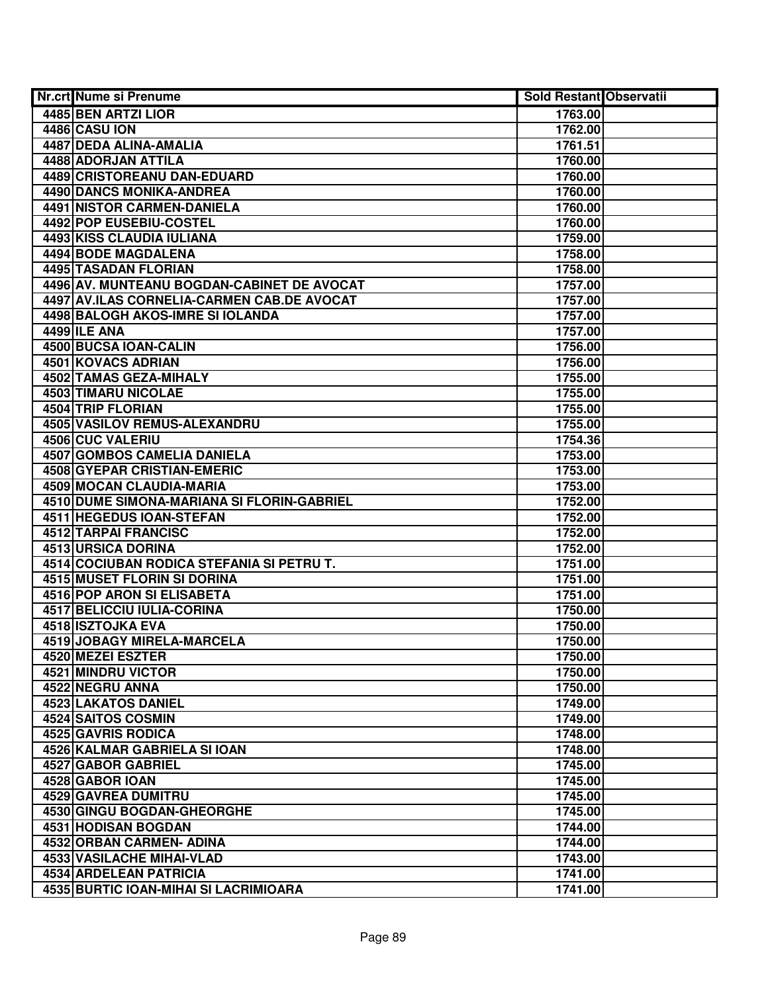| Nr.crt Nume si Prenume                              | <b>Sold Restant Observatii</b> |  |
|-----------------------------------------------------|--------------------------------|--|
| 4485 BEN ARTZI LIOR                                 | 1763.00                        |  |
| 4486 CASU ION                                       | 1762.00                        |  |
| 4487 DEDA ALINA-AMALIA                              | 1761.51                        |  |
| 4488 ADORJAN ATTILA                                 | 1760.00                        |  |
| <b>4489 CRISTOREANU DAN-EDUARD</b>                  | 1760.00                        |  |
| 4490 DANCS MONIKA-ANDREA                            | 1760.00                        |  |
| 4491 NISTOR CARMEN-DANIELA                          | 1760.00                        |  |
| 4492 POP EUSEBIU-COSTEL                             | 1760.00                        |  |
| 4493 KISS CLAUDIA IULIANA                           | 1759.00                        |  |
| 4494 BODE MAGDALENA                                 | 1758.00                        |  |
| <b>4495 TASADAN FLORIAN</b>                         | 1758.00                        |  |
| 4496 AV. MUNTEANU BOGDAN-CABINET DE AVOCAT          | 1757.00                        |  |
| 4497 AV.ILAS CORNELIA-CARMEN CAB.DE AVOCAT          | 1757.00                        |  |
| 4498 BALOGH AKOS-IMRE SI IOLANDA                    | 1757.00                        |  |
| 4499 ILE ANA                                        | 1757.00                        |  |
| 4500 BUCSA IOAN-CALIN                               | 1756.00                        |  |
| 4501 KOVACS ADRIAN                                  | 1756.00                        |  |
| 4502 TAMAS GEZA-MIHALY                              | 1755.00                        |  |
| 4503 TIMARU NICOLAE                                 | 1755.00                        |  |
| 4504 TRIP FLORIAN                                   | 1755.00                        |  |
| 4505 VASILOV REMUS-ALEXANDRU                        | 1755.00                        |  |
| 4506 CUC VALERIU                                    | 1754.36                        |  |
| <b>4507 GOMBOS CAMELIA DANIELA</b>                  | 1753.00                        |  |
| 4508 GYEPAR CRISTIAN-EMERIC                         | 1753.00                        |  |
| 4509 MOCAN CLAUDIA-MARIA                            | 1753.00                        |  |
| 4510 DUME SIMONA-MARIANA SI FLORIN-GABRIEL          | 1752.00                        |  |
| 4511 HEGEDUS IOAN-STEFAN                            | 1752.00                        |  |
| 4512 TARPAI FRANCISC                                | 1752.00                        |  |
| 4513 URSICA DORINA                                  | 1752.00                        |  |
| 4514 COCIUBAN RODICA STEFANIA SI PETRU T.           | 1751.00                        |  |
| 4515 MUSET FLORIN SI DORINA                         | 1751.00                        |  |
| 4516 POP ARON SI ELISABETA                          | 1751.00                        |  |
| 4517 BELICCIU IULIA-CORINA                          | 1750.00                        |  |
| 4518 ISZTOJKA EVA                                   | 1750.00                        |  |
| 4519 JOBAGY MIRELA-MARCELA                          | 1750.00                        |  |
| 4520 MEZEI ESZTER                                   | 1750.00                        |  |
| <b>4521 MINDRU VICTOR</b>                           | 1750.00                        |  |
| 4522 NEGRU ANNA                                     | 1750.00                        |  |
| <b>4523 LAKATOS DANIEL</b>                          | 1749.00                        |  |
| 4524 SAITOS COSMIN                                  | 1749.00                        |  |
| <b>4525 GAVRIS RODICA</b>                           | 1748.00                        |  |
| 4526 KALMAR GABRIELA SI IOAN                        | 1748.00                        |  |
| 4527 GABOR GABRIEL                                  | 1745.00                        |  |
| 4528 GABOR IOAN                                     | 1745.00                        |  |
| 4529 GAVREA DUMITRU<br>4530 GINGU BOGDAN-GHEORGHE   | 1745.00                        |  |
|                                                     | 1745.00                        |  |
| 4531 HODISAN BOGDAN                                 | 1744.00                        |  |
| 4532 ORBAN CARMEN- ADINA                            | 1744.00                        |  |
| 4533 VASILACHE MIHAI-VLAD<br>4534 ARDELEAN PATRICIA | 1743.00<br>1741.00             |  |
| 4535 BURTIC IOAN-MIHAI SI LACRIMIOARA               |                                |  |
|                                                     | 1741.00                        |  |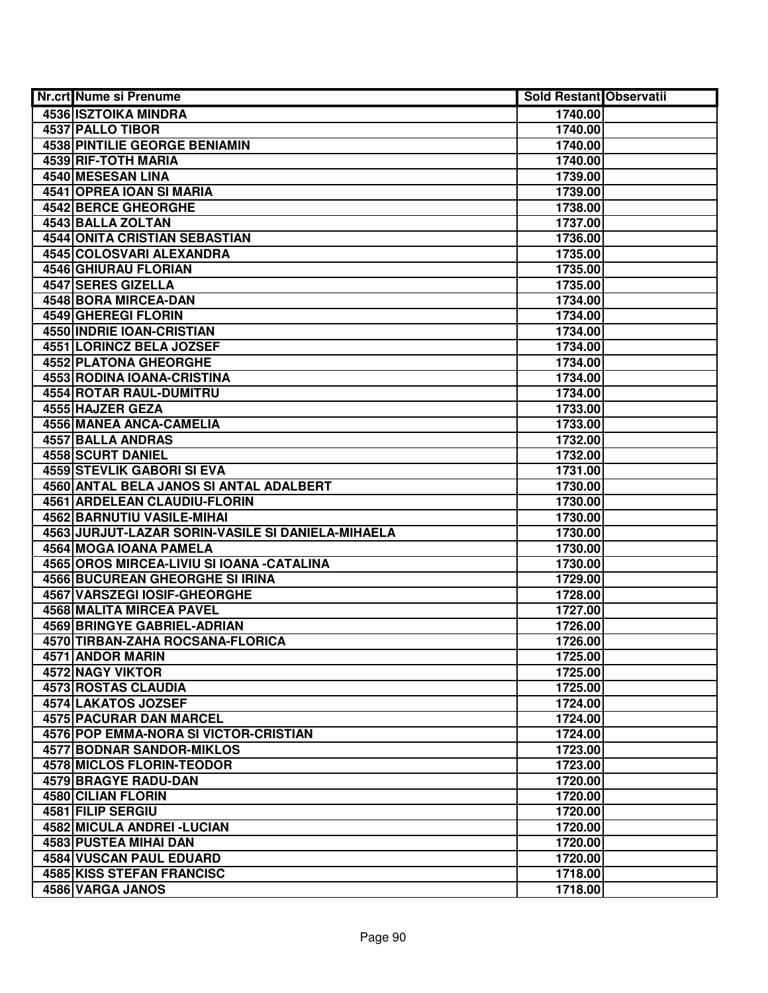| Nr.crt Nume si Prenume                            | <b>Sold Restant Observatii</b> |  |
|---------------------------------------------------|--------------------------------|--|
| <b>4536 ISZTOIKA MINDRA</b>                       | 1740.00                        |  |
| 4537 PALLO TIBOR                                  | 1740.00                        |  |
| <b>4538 PINTILIE GEORGE BENIAMIN</b>              | 1740.00                        |  |
| 4539 RIF-TOTH MARIA                               | 1740.00                        |  |
| 4540 MESESAN LINA                                 | 1739.00                        |  |
| 4541 OPREA IOAN SI MARIA                          | 1739.00                        |  |
| <b>4542 BERCE GHEORGHE</b>                        | 1738.00                        |  |
| 4543 BALLA ZOLTAN                                 | 1737.00                        |  |
| <b>4544 ONITA CRISTIAN SEBASTIAN</b>              | 1736.00                        |  |
| <b>4545 COLOSVARI ALEXANDRA</b>                   | 1735.00                        |  |
| <b>4546 GHIURAU FLORIAN</b>                       | 1735.00                        |  |
| <b>4547 SERES GIZELLA</b>                         | 1735.00                        |  |
| 4548 BORA MIRCEA-DAN                              | 1734.00                        |  |
| 4549 GHEREGI FLORIN                               | 1734.00                        |  |
| 4550 INDRIE IOAN-CRISTIAN                         | 1734.00                        |  |
| 4551 LORINCZ BELA JOZSEF                          | 1734.00                        |  |
| 4552 PLATONA GHEORGHE                             | 1734.00                        |  |
| 4553 RODINA IOANA-CRISTINA                        | 1734.00                        |  |
| 4554 ROTAR RAUL-DUMITRU                           | 1734.00                        |  |
| 4555 HAJZER GEZA                                  | 1733.00                        |  |
| 4556 MANEA ANCA-CAMELIA                           | 1733.00                        |  |
| 4557 BALLA ANDRAS                                 | 1732.00                        |  |
| 4558 SCURT DANIEL                                 | 1732.00                        |  |
| 4559 STEVLIK GABORI SI EVA                        | 1731.00                        |  |
| 4560 ANTAL BELA JANOS SI ANTAL ADALBERT           | 1730.00                        |  |
| <b>4561 ARDELEAN CLAUDIU-FLORIN</b>               | 1730.00                        |  |
| 4562 BARNUTIU VASILE-MIHAI                        | 1730.00                        |  |
| 4563 JURJUT-LAZAR SORIN-VASILE SI DANIELA-MIHAELA | 1730.00                        |  |
| 4564 MOGA IOANA PAMELA                            | 1730.00                        |  |
| 4565 OROS MIRCEA-LIVIU SI IOANA - CATALINA        | 1730.00                        |  |
| <b>4566 BUCUREAN GHEORGHE SI IRINA</b>            | 1729.00                        |  |
| 4567 VARSZEGI IOSIF-GHEORGHE                      | 1728.00                        |  |
| 4568 MALITA MIRCEA PAVEL                          | 1727.00                        |  |
| <b>4569 BRINGYE GABRIEL-ADRIAN</b>                | 1726.00                        |  |
| 4570 TIRBAN-ZAHA ROCSANA-FLORICA                  | 1726.00                        |  |
| 4571 ANDOR MARIN                                  | 1725.00                        |  |
| 4572 NAGY VIKTOR                                  | 1725.00                        |  |
| 4573 ROSTAS CLAUDIA                               | 1725.00                        |  |
| 4574 LAKATOS JOZSEF                               | 1724.00                        |  |
| 4575 PACURAR DAN MARCEL                           | 1724.00                        |  |
| 4576 POP EMMA-NORA SI VICTOR-CRISTIAN             | 1724.00                        |  |
| <b>4577 BODNAR SANDOR-MIKLOS</b>                  | 1723.00                        |  |
| <b>4578 MICLOS FLORIN-TEODOR</b>                  | 1723.00                        |  |
| 4579 BRAGYE RADU-DAN                              | 1720.00                        |  |
| 4580 CILIAN FLORIN                                | 1720.00                        |  |
| 4581 FILIP SERGIU                                 | 1720.00                        |  |
| 4582 MICULA ANDREI - LUCIAN                       | 1720.00                        |  |
| 4583 PUSTEA MIHAI DAN                             | 1720.00                        |  |
| 4584 VUSCAN PAUL EDUARD                           | 1720.00                        |  |
| 4585 KISS STEFAN FRANCISC                         | 1718.00                        |  |
| 4586 VARGA JANOS                                  | 1718.00                        |  |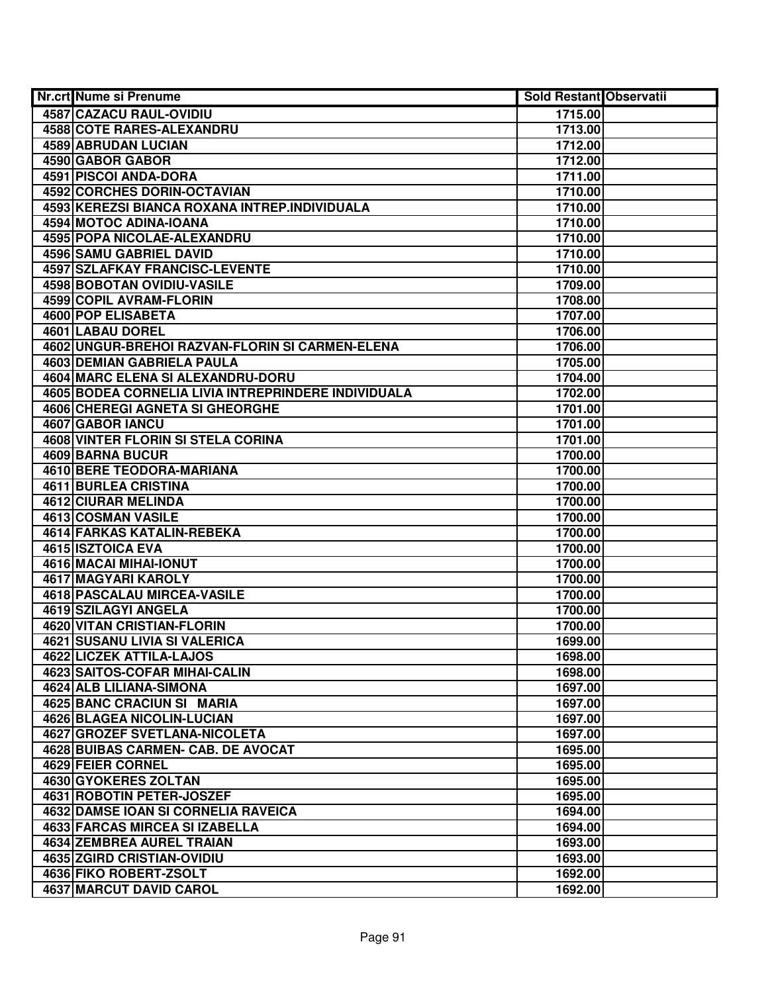| <b>Nr.crt Nume si Prenume</b>                       | Sold Restant Observatii |  |
|-----------------------------------------------------|-------------------------|--|
| 4587 CAZACU RAUL-OVIDIU                             | 1715.00                 |  |
| <b>4588 COTE RARES-ALEXANDRU</b>                    | 1713.00                 |  |
| 4589 ABRUDAN LUCIAN                                 | 1712.00                 |  |
| 4590 GABOR GABOR                                    | 1712.00                 |  |
| 4591 PISCOI ANDA-DORA                               | 1711.00                 |  |
| 4592 CORCHES DORIN-OCTAVIAN                         | 1710.00                 |  |
| 4593 KEREZSI BIANCA ROXANA INTREP.INDIVIDUALA       | 1710.00                 |  |
| 4594 MOTOC ADINA-IOANA                              | 1710.00                 |  |
| 4595 POPA NICOLAE-ALEXANDRU                         | 1710.00                 |  |
| <b>4596 SAMU GABRIEL DAVID</b>                      | 1710.00                 |  |
| <b>4597 SZLAFKAY FRANCISC-LEVENTE</b>               | 1710.00                 |  |
| <b>4598 BOBOTAN OVIDIU-VASILE</b>                   | 1709.00                 |  |
| 4599 COPIL AVRAM-FLORIN                             | 1708.00                 |  |
| 4600 POP ELISABETA                                  | 1707.00                 |  |
| 4601 LABAU DOREL                                    | 1706.00                 |  |
| 4602 UNGUR-BREHOI RAZVAN-FLORIN SI CARMEN-ELENA     | 1706.00                 |  |
| <b>4603 DEMIAN GABRIELA PAULA</b>                   | 1705.00                 |  |
| 4604 MARC ELENA SI ALEXANDRU-DORU                   | 1704.00                 |  |
| 4605 BODEA CORNELIA LIVIA INTREPRINDERE INDIVIDUALA | 1702.00                 |  |
| 4606 CHEREGI AGNETA SI GHEORGHE                     | 1701.00                 |  |
| 4607 GABOR IANCU                                    | 1701.00                 |  |
| 4608 VINTER FLORIN SI STELA CORINA                  | 1701.00                 |  |
| 4609 BARNA BUCUR                                    | 1700.00                 |  |
| 4610 BERE TEODORA-MARIANA                           | 1700.00                 |  |
| 4611 BURLEA CRISTINA                                | 1700.00                 |  |
| <b>4612 CIURAR MELINDA</b>                          | 1700.00                 |  |
| 4613 COSMAN VASILE                                  | 1700.00                 |  |
| 4614 FARKAS KATALIN-REBEKA                          | 1700.00                 |  |
| 4615 ISZTOICA EVA                                   | 1700.00                 |  |
| 4616 MACAI MIHAI-IONUT                              | 1700.00                 |  |
| 4617 MAGYARI KAROLY                                 | 1700.00                 |  |
| 4618 PASCALAU MIRCEA-VASILE                         | 1700.00                 |  |
| 4619 SZILAGYI ANGELA                                | 1700.00                 |  |
| 4620 VITAN CRISTIAN-FLORIN                          | 1700.00                 |  |
| <b>4621 SUSANU LIVIA SI VALERICA</b>                | 1699.00                 |  |
| 4622 LICZEK ATTILA-LAJOS                            | 1698.00                 |  |
| <b>4623 SAITOS-COFAR MIHAI-CALIN</b>                | 1698.00                 |  |
| 4624 ALB LILIANA-SIMONA                             | 1697.00                 |  |
| 4625 BANC CRACIUN SI MARIA                          | 1697.00                 |  |
| <b>4626 BLAGEA NICOLIN-LUCIAN</b>                   | 1697.00                 |  |
| 4627 GROZEF SVETLANA-NICOLETA                       | 1697.00                 |  |
| 4628 BUIBAS CARMEN- CAB. DE AVOCAT                  | 1695.00                 |  |
| 4629 FEIER CORNEL                                   | 1695.00                 |  |
| 4630 GYOKERES ZOLTAN                                | 1695.00                 |  |
| 4631 ROBOTIN PETER-JOSZEF                           | 1695.00                 |  |
| 4632 DAMSE IOAN SI CORNELIA RAVEICA                 | 1694.00                 |  |
| 4633 FARCAS MIRCEA SI IZABELLA                      | 1694.00                 |  |
| 4634 ZEMBREA AUREL TRAIAN                           | 1693.00                 |  |
| 4635 ZGIRD CRISTIAN-OVIDIU                          | 1693.00                 |  |
| 4636 FIKO ROBERT-ZSOLT                              | 1692.00                 |  |
| 4637 MARCUT DAVID CAROL                             | 1692.00                 |  |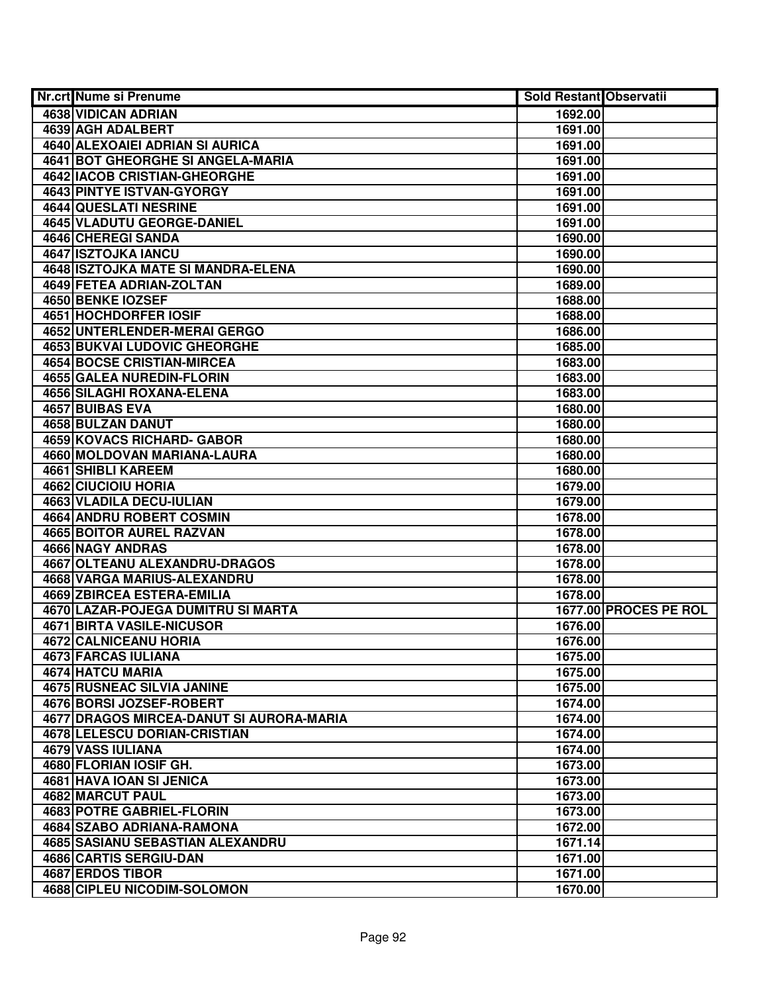| Nr.crt Nume si Prenume                    | <b>Sold Restant Observatii</b> |                       |
|-------------------------------------------|--------------------------------|-----------------------|
| 4638 VIDICAN ADRIAN                       | 1692.00                        |                       |
| 4639 AGH ADALBERT                         | 1691.00                        |                       |
| 4640 ALEXOAIEI ADRIAN SI AURICA           | 1691.00                        |                       |
| <b>4641 BOT GHEORGHE SI ANGELA-MARIA</b>  | 1691.00                        |                       |
| 4642 IACOB CRISTIAN-GHEORGHE              | 1691.00                        |                       |
| 4643 PINTYE ISTVAN-GYORGY                 | 1691.00                        |                       |
| <b>4644 QUESLATI NESRINE</b>              | 1691.00                        |                       |
| 4645 VLADUTU GEORGE-DANIEL                | 1691.00                        |                       |
| <b>4646 CHEREGI SANDA</b>                 | 1690.00                        |                       |
| 4647 ISZTOJKA IANCU                       | 1690.00                        |                       |
| <b>4648 ISZTOJKA MATE SI MANDRA-ELENA</b> | 1690.00                        |                       |
| 4649 FETEA ADRIAN-ZOLTAN                  | 1689.00                        |                       |
| <b>4650 BENKE IOZSEF</b>                  | 1688.00                        |                       |
| 4651 HOCHDORFER IOSIF                     | 1688.00                        |                       |
| 4652 UNTERLENDER-MERAI GERGO              | 1686.00                        |                       |
| <b>4653 BUKVAI LUDOVIC GHEORGHE</b>       | 1685.00                        |                       |
| <b>4654 BOCSE CRISTIAN-MIRCEA</b>         | 1683.00                        |                       |
| 4655 GALEA NUREDIN-FLORIN                 | 1683.00                        |                       |
| <b>4656 SILAGHI ROXANA-ELENA</b>          | 1683.00                        |                       |
| 4657 BUIBAS EVA                           | 1680.00                        |                       |
| 4658 BULZAN DANUT                         | 1680.00                        |                       |
| 4659 KOVACS RICHARD- GABOR                | 1680.00                        |                       |
| 4660 MOLDOVAN MARIANA-LAURA               | 1680.00                        |                       |
| 4661 SHIBLI KAREEM                        | 1680.00                        |                       |
| 4662 CIUCIOIU HORIA                       | 1679.00                        |                       |
| 4663 VLADILA DECU-IULIAN                  | 1679.00                        |                       |
| 4664 ANDRU ROBERT COSMIN                  | 1678.00                        |                       |
| 4665 BOITOR AUREL RAZVAN                  | 1678.00                        |                       |
| 4666 NAGY ANDRAS                          | 1678.00                        |                       |
| 4667 OLTEANU ALEXANDRU-DRAGOS             | 1678.00                        |                       |
| 4668 VARGA MARIUS-ALEXANDRU               | 1678.00                        |                       |
| 4669 ZBIRCEA ESTERA-EMILIA                | 1678.00                        |                       |
| 4670 LAZAR-POJEGA DUMITRU SI MARTA        |                                | 1677.00 PROCES PE ROL |
| 4671 BIRTA VASILE-NICUSOR                 | 1676.00                        |                       |
| 4672 CALNICEANU HORIA                     | 1676.00                        |                       |
| <b>4673 FARCAS IULIANA</b>                | 1675.00                        |                       |
| 4674 HATCU MARIA                          | 1675.00                        |                       |
| 4675 RUSNEAC SILVIA JANINE                | 1675.00                        |                       |
| 4676 BORSI JOZSEF-ROBERT                  | 1674.00                        |                       |
| 4677 DRAGOS MIRCEA-DANUT SI AURORA-MARIA  | 1674.00                        |                       |
| <b>4678 LELESCU DORIAN-CRISTIAN</b>       | 1674.00                        |                       |
| 4679 VASS IULIANA                         | 1674.00                        |                       |
| 4680 FLORIAN IOSIF GH.                    | 1673.00                        |                       |
| 4681 HAVA IOAN SI JENICA                  | 1673.00                        |                       |
| 4682 MARCUT PAUL                          | 1673.00                        |                       |
| 4683 POTRE GABRIEL-FLORIN                 | 1673.00                        |                       |
| 4684 SZABO ADRIANA-RAMONA                 | 1672.00                        |                       |
| 4685 SASIANU SEBASTIAN ALEXANDRU          | 1671.14                        |                       |
| 4686 CARTIS SERGIU-DAN                    | 1671.00                        |                       |
| 4687 ERDOS TIBOR                          | 1671.00                        |                       |
| 4688 CIPLEU NICODIM-SOLOMON               | 1670.00                        |                       |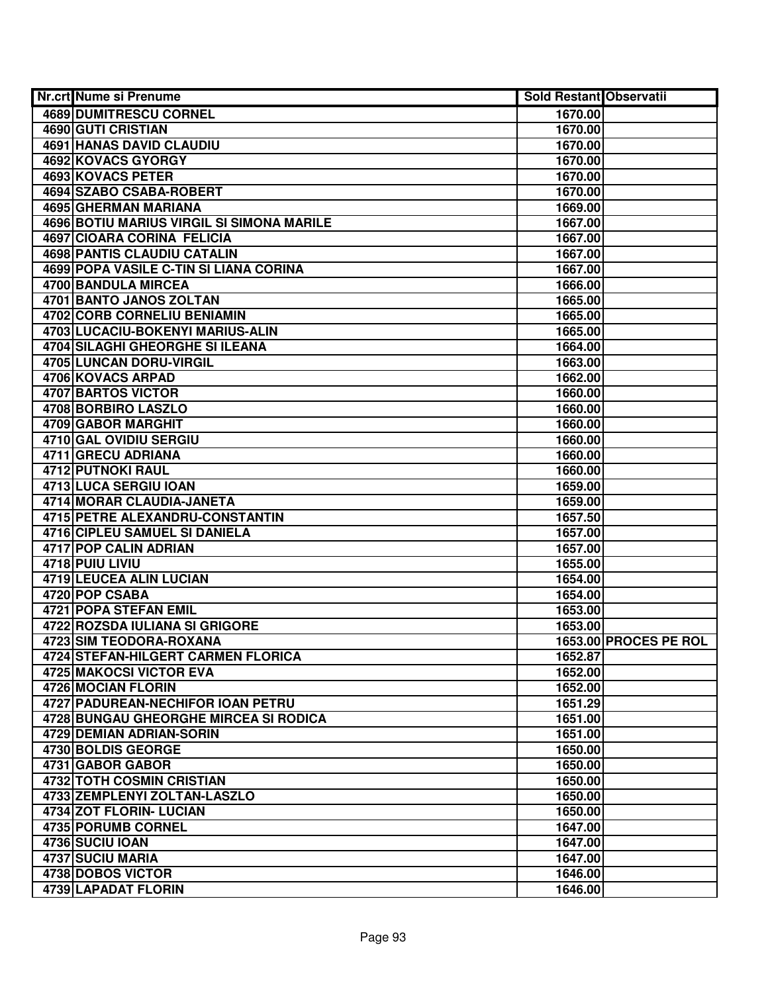| <b>4689 DUMITRESCU CORNEL</b><br>1670.00<br><b>4690 GUTI CRISTIAN</b><br>1670.00<br><b>4691 HANAS DAVID CLAUDIU</b><br>1670.00<br>4692 KOVACS GYORGY<br>1670.00<br>4693 KOVACS PETER<br>1670.00<br>4694 SZABO CSABA-ROBERT<br>1670.00<br>4695 GHERMAN MARIANA<br>1669.00<br>4696 BOTIU MARIUS VIRGIL SI SIMONA MARILE<br>1667.00<br><b>4697 CIOARA CORINA FELICIA</b><br>1667.00<br><b>4698 PANTIS CLAUDIU CATALIN</b><br>1667.00<br>4699 POPA VASILE C-TIN SI LIANA CORINA<br>1667.00<br>4700 BANDULA MIRCEA<br>1666.00<br>4701 BANTO JANOS ZOLTAN<br>1665.00<br>4702 CORB CORNELIU BENIAMIN<br>1665.00<br>4703 LUCACIU-BOKENYI MARIUS-ALIN<br>1665.00<br>4704 SILAGHI GHEORGHE SI ILEANA<br>1664.00<br>4705 LUNCAN DORU-VIRGIL<br>1663.00<br>4706 KOVACS ARPAD<br>1662.00<br>4707 BARTOS VICTOR<br>1660.00<br>4708 BORBIRO LASZLO<br>1660.00<br>4709 GABOR MARGHIT<br>1660.00<br>4710 GAL OVIDIU SERGIU<br>1660.00<br>4711 GRECU ADRIANA<br>1660.00<br><b>4712 PUTNOKI RAUL</b><br>1660.00<br>4713 LUCA SERGIU IOAN<br>1659.00<br>4714 MORAR CLAUDIA-JANETA<br>1659.00<br>4715 PETRE ALEXANDRU-CONSTANTIN<br>1657.50<br>4716 CIPLEU SAMUEL SI DANIELA<br>1657.00<br>4717 POP CALIN ADRIAN<br>1657.00<br>4718 PUIU LIVIU<br>1655.00<br>4719 LEUCEA ALIN LUCIAN<br>1654.00<br>4720 POP CSABA<br>1654.00<br><b>4721 POPA STEFAN EMIL</b><br>1653.00<br>4722 ROZSDA IULIANA SI GRIGORE<br>1653.00<br>4723 SIM TEODORA-ROXANA<br>1653.00 PROCES PE ROL<br><b>4724 STEFAN-HILGERT CARMEN FLORICA</b><br>1652.87<br><b>4725 MAKOCSI VICTOR EVA</b><br>1652.00<br>4726 MOCIAN FLORIN<br>1652.00<br>4727 PADUREAN-NECHIFOR IOAN PETRU<br>1651.29<br>4728 BUNGAU GHEORGHE MIRCEA SI RODICA<br>1651.00<br>4729 DEMIAN ADRIAN-SORIN<br>1651.00<br>4730 BOLDIS GEORGE<br>1650.00<br>4731 GABOR GABOR<br>1650.00<br>4732 TOTH COSMIN CRISTIAN<br>1650.00<br>4733 ZEMPLENYI ZOLTAN-LASZLO<br>1650.00<br>4734 ZOT FLORIN- LUCIAN<br>1650.00<br>4735 PORUMB CORNEL<br>1647.00<br>4736 SUCIU IOAN<br>1647.00<br>4737 SUCIU MARIA<br>1647.00<br>4738 DOBOS VICTOR<br>1646.00<br>4739 LAPADAT FLORIN | Nr.crt Nume si Prenume | <b>Sold Restant Observatii</b> |  |
|------------------------------------------------------------------------------------------------------------------------------------------------------------------------------------------------------------------------------------------------------------------------------------------------------------------------------------------------------------------------------------------------------------------------------------------------------------------------------------------------------------------------------------------------------------------------------------------------------------------------------------------------------------------------------------------------------------------------------------------------------------------------------------------------------------------------------------------------------------------------------------------------------------------------------------------------------------------------------------------------------------------------------------------------------------------------------------------------------------------------------------------------------------------------------------------------------------------------------------------------------------------------------------------------------------------------------------------------------------------------------------------------------------------------------------------------------------------------------------------------------------------------------------------------------------------------------------------------------------------------------------------------------------------------------------------------------------------------------------------------------------------------------------------------------------------------------------------------------------------------------------------------------------------------------------------------------------------------------------------------------------------------------------------------------------------------------------|------------------------|--------------------------------|--|
|                                                                                                                                                                                                                                                                                                                                                                                                                                                                                                                                                                                                                                                                                                                                                                                                                                                                                                                                                                                                                                                                                                                                                                                                                                                                                                                                                                                                                                                                                                                                                                                                                                                                                                                                                                                                                                                                                                                                                                                                                                                                                    |                        |                                |  |
|                                                                                                                                                                                                                                                                                                                                                                                                                                                                                                                                                                                                                                                                                                                                                                                                                                                                                                                                                                                                                                                                                                                                                                                                                                                                                                                                                                                                                                                                                                                                                                                                                                                                                                                                                                                                                                                                                                                                                                                                                                                                                    |                        |                                |  |
|                                                                                                                                                                                                                                                                                                                                                                                                                                                                                                                                                                                                                                                                                                                                                                                                                                                                                                                                                                                                                                                                                                                                                                                                                                                                                                                                                                                                                                                                                                                                                                                                                                                                                                                                                                                                                                                                                                                                                                                                                                                                                    |                        |                                |  |
|                                                                                                                                                                                                                                                                                                                                                                                                                                                                                                                                                                                                                                                                                                                                                                                                                                                                                                                                                                                                                                                                                                                                                                                                                                                                                                                                                                                                                                                                                                                                                                                                                                                                                                                                                                                                                                                                                                                                                                                                                                                                                    |                        |                                |  |
|                                                                                                                                                                                                                                                                                                                                                                                                                                                                                                                                                                                                                                                                                                                                                                                                                                                                                                                                                                                                                                                                                                                                                                                                                                                                                                                                                                                                                                                                                                                                                                                                                                                                                                                                                                                                                                                                                                                                                                                                                                                                                    |                        |                                |  |
|                                                                                                                                                                                                                                                                                                                                                                                                                                                                                                                                                                                                                                                                                                                                                                                                                                                                                                                                                                                                                                                                                                                                                                                                                                                                                                                                                                                                                                                                                                                                                                                                                                                                                                                                                                                                                                                                                                                                                                                                                                                                                    |                        |                                |  |
|                                                                                                                                                                                                                                                                                                                                                                                                                                                                                                                                                                                                                                                                                                                                                                                                                                                                                                                                                                                                                                                                                                                                                                                                                                                                                                                                                                                                                                                                                                                                                                                                                                                                                                                                                                                                                                                                                                                                                                                                                                                                                    |                        |                                |  |
|                                                                                                                                                                                                                                                                                                                                                                                                                                                                                                                                                                                                                                                                                                                                                                                                                                                                                                                                                                                                                                                                                                                                                                                                                                                                                                                                                                                                                                                                                                                                                                                                                                                                                                                                                                                                                                                                                                                                                                                                                                                                                    |                        |                                |  |
|                                                                                                                                                                                                                                                                                                                                                                                                                                                                                                                                                                                                                                                                                                                                                                                                                                                                                                                                                                                                                                                                                                                                                                                                                                                                                                                                                                                                                                                                                                                                                                                                                                                                                                                                                                                                                                                                                                                                                                                                                                                                                    |                        |                                |  |
|                                                                                                                                                                                                                                                                                                                                                                                                                                                                                                                                                                                                                                                                                                                                                                                                                                                                                                                                                                                                                                                                                                                                                                                                                                                                                                                                                                                                                                                                                                                                                                                                                                                                                                                                                                                                                                                                                                                                                                                                                                                                                    |                        |                                |  |
|                                                                                                                                                                                                                                                                                                                                                                                                                                                                                                                                                                                                                                                                                                                                                                                                                                                                                                                                                                                                                                                                                                                                                                                                                                                                                                                                                                                                                                                                                                                                                                                                                                                                                                                                                                                                                                                                                                                                                                                                                                                                                    |                        |                                |  |
|                                                                                                                                                                                                                                                                                                                                                                                                                                                                                                                                                                                                                                                                                                                                                                                                                                                                                                                                                                                                                                                                                                                                                                                                                                                                                                                                                                                                                                                                                                                                                                                                                                                                                                                                                                                                                                                                                                                                                                                                                                                                                    |                        |                                |  |
|                                                                                                                                                                                                                                                                                                                                                                                                                                                                                                                                                                                                                                                                                                                                                                                                                                                                                                                                                                                                                                                                                                                                                                                                                                                                                                                                                                                                                                                                                                                                                                                                                                                                                                                                                                                                                                                                                                                                                                                                                                                                                    |                        |                                |  |
|                                                                                                                                                                                                                                                                                                                                                                                                                                                                                                                                                                                                                                                                                                                                                                                                                                                                                                                                                                                                                                                                                                                                                                                                                                                                                                                                                                                                                                                                                                                                                                                                                                                                                                                                                                                                                                                                                                                                                                                                                                                                                    |                        |                                |  |
|                                                                                                                                                                                                                                                                                                                                                                                                                                                                                                                                                                                                                                                                                                                                                                                                                                                                                                                                                                                                                                                                                                                                                                                                                                                                                                                                                                                                                                                                                                                                                                                                                                                                                                                                                                                                                                                                                                                                                                                                                                                                                    |                        |                                |  |
|                                                                                                                                                                                                                                                                                                                                                                                                                                                                                                                                                                                                                                                                                                                                                                                                                                                                                                                                                                                                                                                                                                                                                                                                                                                                                                                                                                                                                                                                                                                                                                                                                                                                                                                                                                                                                                                                                                                                                                                                                                                                                    |                        |                                |  |
|                                                                                                                                                                                                                                                                                                                                                                                                                                                                                                                                                                                                                                                                                                                                                                                                                                                                                                                                                                                                                                                                                                                                                                                                                                                                                                                                                                                                                                                                                                                                                                                                                                                                                                                                                                                                                                                                                                                                                                                                                                                                                    |                        |                                |  |
|                                                                                                                                                                                                                                                                                                                                                                                                                                                                                                                                                                                                                                                                                                                                                                                                                                                                                                                                                                                                                                                                                                                                                                                                                                                                                                                                                                                                                                                                                                                                                                                                                                                                                                                                                                                                                                                                                                                                                                                                                                                                                    |                        |                                |  |
|                                                                                                                                                                                                                                                                                                                                                                                                                                                                                                                                                                                                                                                                                                                                                                                                                                                                                                                                                                                                                                                                                                                                                                                                                                                                                                                                                                                                                                                                                                                                                                                                                                                                                                                                                                                                                                                                                                                                                                                                                                                                                    |                        |                                |  |
|                                                                                                                                                                                                                                                                                                                                                                                                                                                                                                                                                                                                                                                                                                                                                                                                                                                                                                                                                                                                                                                                                                                                                                                                                                                                                                                                                                                                                                                                                                                                                                                                                                                                                                                                                                                                                                                                                                                                                                                                                                                                                    |                        |                                |  |
|                                                                                                                                                                                                                                                                                                                                                                                                                                                                                                                                                                                                                                                                                                                                                                                                                                                                                                                                                                                                                                                                                                                                                                                                                                                                                                                                                                                                                                                                                                                                                                                                                                                                                                                                                                                                                                                                                                                                                                                                                                                                                    |                        |                                |  |
|                                                                                                                                                                                                                                                                                                                                                                                                                                                                                                                                                                                                                                                                                                                                                                                                                                                                                                                                                                                                                                                                                                                                                                                                                                                                                                                                                                                                                                                                                                                                                                                                                                                                                                                                                                                                                                                                                                                                                                                                                                                                                    |                        |                                |  |
|                                                                                                                                                                                                                                                                                                                                                                                                                                                                                                                                                                                                                                                                                                                                                                                                                                                                                                                                                                                                                                                                                                                                                                                                                                                                                                                                                                                                                                                                                                                                                                                                                                                                                                                                                                                                                                                                                                                                                                                                                                                                                    |                        |                                |  |
|                                                                                                                                                                                                                                                                                                                                                                                                                                                                                                                                                                                                                                                                                                                                                                                                                                                                                                                                                                                                                                                                                                                                                                                                                                                                                                                                                                                                                                                                                                                                                                                                                                                                                                                                                                                                                                                                                                                                                                                                                                                                                    |                        |                                |  |
|                                                                                                                                                                                                                                                                                                                                                                                                                                                                                                                                                                                                                                                                                                                                                                                                                                                                                                                                                                                                                                                                                                                                                                                                                                                                                                                                                                                                                                                                                                                                                                                                                                                                                                                                                                                                                                                                                                                                                                                                                                                                                    |                        |                                |  |
|                                                                                                                                                                                                                                                                                                                                                                                                                                                                                                                                                                                                                                                                                                                                                                                                                                                                                                                                                                                                                                                                                                                                                                                                                                                                                                                                                                                                                                                                                                                                                                                                                                                                                                                                                                                                                                                                                                                                                                                                                                                                                    |                        |                                |  |
|                                                                                                                                                                                                                                                                                                                                                                                                                                                                                                                                                                                                                                                                                                                                                                                                                                                                                                                                                                                                                                                                                                                                                                                                                                                                                                                                                                                                                                                                                                                                                                                                                                                                                                                                                                                                                                                                                                                                                                                                                                                                                    |                        |                                |  |
|                                                                                                                                                                                                                                                                                                                                                                                                                                                                                                                                                                                                                                                                                                                                                                                                                                                                                                                                                                                                                                                                                                                                                                                                                                                                                                                                                                                                                                                                                                                                                                                                                                                                                                                                                                                                                                                                                                                                                                                                                                                                                    |                        |                                |  |
|                                                                                                                                                                                                                                                                                                                                                                                                                                                                                                                                                                                                                                                                                                                                                                                                                                                                                                                                                                                                                                                                                                                                                                                                                                                                                                                                                                                                                                                                                                                                                                                                                                                                                                                                                                                                                                                                                                                                                                                                                                                                                    |                        |                                |  |
|                                                                                                                                                                                                                                                                                                                                                                                                                                                                                                                                                                                                                                                                                                                                                                                                                                                                                                                                                                                                                                                                                                                                                                                                                                                                                                                                                                                                                                                                                                                                                                                                                                                                                                                                                                                                                                                                                                                                                                                                                                                                                    |                        |                                |  |
|                                                                                                                                                                                                                                                                                                                                                                                                                                                                                                                                                                                                                                                                                                                                                                                                                                                                                                                                                                                                                                                                                                                                                                                                                                                                                                                                                                                                                                                                                                                                                                                                                                                                                                                                                                                                                                                                                                                                                                                                                                                                                    |                        |                                |  |
|                                                                                                                                                                                                                                                                                                                                                                                                                                                                                                                                                                                                                                                                                                                                                                                                                                                                                                                                                                                                                                                                                                                                                                                                                                                                                                                                                                                                                                                                                                                                                                                                                                                                                                                                                                                                                                                                                                                                                                                                                                                                                    |                        |                                |  |
|                                                                                                                                                                                                                                                                                                                                                                                                                                                                                                                                                                                                                                                                                                                                                                                                                                                                                                                                                                                                                                                                                                                                                                                                                                                                                                                                                                                                                                                                                                                                                                                                                                                                                                                                                                                                                                                                                                                                                                                                                                                                                    |                        |                                |  |
|                                                                                                                                                                                                                                                                                                                                                                                                                                                                                                                                                                                                                                                                                                                                                                                                                                                                                                                                                                                                                                                                                                                                                                                                                                                                                                                                                                                                                                                                                                                                                                                                                                                                                                                                                                                                                                                                                                                                                                                                                                                                                    |                        |                                |  |
|                                                                                                                                                                                                                                                                                                                                                                                                                                                                                                                                                                                                                                                                                                                                                                                                                                                                                                                                                                                                                                                                                                                                                                                                                                                                                                                                                                                                                                                                                                                                                                                                                                                                                                                                                                                                                                                                                                                                                                                                                                                                                    |                        |                                |  |
|                                                                                                                                                                                                                                                                                                                                                                                                                                                                                                                                                                                                                                                                                                                                                                                                                                                                                                                                                                                                                                                                                                                                                                                                                                                                                                                                                                                                                                                                                                                                                                                                                                                                                                                                                                                                                                                                                                                                                                                                                                                                                    |                        |                                |  |
|                                                                                                                                                                                                                                                                                                                                                                                                                                                                                                                                                                                                                                                                                                                                                                                                                                                                                                                                                                                                                                                                                                                                                                                                                                                                                                                                                                                                                                                                                                                                                                                                                                                                                                                                                                                                                                                                                                                                                                                                                                                                                    |                        |                                |  |
|                                                                                                                                                                                                                                                                                                                                                                                                                                                                                                                                                                                                                                                                                                                                                                                                                                                                                                                                                                                                                                                                                                                                                                                                                                                                                                                                                                                                                                                                                                                                                                                                                                                                                                                                                                                                                                                                                                                                                                                                                                                                                    |                        |                                |  |
|                                                                                                                                                                                                                                                                                                                                                                                                                                                                                                                                                                                                                                                                                                                                                                                                                                                                                                                                                                                                                                                                                                                                                                                                                                                                                                                                                                                                                                                                                                                                                                                                                                                                                                                                                                                                                                                                                                                                                                                                                                                                                    |                        |                                |  |
|                                                                                                                                                                                                                                                                                                                                                                                                                                                                                                                                                                                                                                                                                                                                                                                                                                                                                                                                                                                                                                                                                                                                                                                                                                                                                                                                                                                                                                                                                                                                                                                                                                                                                                                                                                                                                                                                                                                                                                                                                                                                                    |                        |                                |  |
|                                                                                                                                                                                                                                                                                                                                                                                                                                                                                                                                                                                                                                                                                                                                                                                                                                                                                                                                                                                                                                                                                                                                                                                                                                                                                                                                                                                                                                                                                                                                                                                                                                                                                                                                                                                                                                                                                                                                                                                                                                                                                    |                        |                                |  |
|                                                                                                                                                                                                                                                                                                                                                                                                                                                                                                                                                                                                                                                                                                                                                                                                                                                                                                                                                                                                                                                                                                                                                                                                                                                                                                                                                                                                                                                                                                                                                                                                                                                                                                                                                                                                                                                                                                                                                                                                                                                                                    |                        |                                |  |
|                                                                                                                                                                                                                                                                                                                                                                                                                                                                                                                                                                                                                                                                                                                                                                                                                                                                                                                                                                                                                                                                                                                                                                                                                                                                                                                                                                                                                                                                                                                                                                                                                                                                                                                                                                                                                                                                                                                                                                                                                                                                                    |                        |                                |  |
|                                                                                                                                                                                                                                                                                                                                                                                                                                                                                                                                                                                                                                                                                                                                                                                                                                                                                                                                                                                                                                                                                                                                                                                                                                                                                                                                                                                                                                                                                                                                                                                                                                                                                                                                                                                                                                                                                                                                                                                                                                                                                    |                        |                                |  |
|                                                                                                                                                                                                                                                                                                                                                                                                                                                                                                                                                                                                                                                                                                                                                                                                                                                                                                                                                                                                                                                                                                                                                                                                                                                                                                                                                                                                                                                                                                                                                                                                                                                                                                                                                                                                                                                                                                                                                                                                                                                                                    |                        |                                |  |
|                                                                                                                                                                                                                                                                                                                                                                                                                                                                                                                                                                                                                                                                                                                                                                                                                                                                                                                                                                                                                                                                                                                                                                                                                                                                                                                                                                                                                                                                                                                                                                                                                                                                                                                                                                                                                                                                                                                                                                                                                                                                                    |                        |                                |  |
|                                                                                                                                                                                                                                                                                                                                                                                                                                                                                                                                                                                                                                                                                                                                                                                                                                                                                                                                                                                                                                                                                                                                                                                                                                                                                                                                                                                                                                                                                                                                                                                                                                                                                                                                                                                                                                                                                                                                                                                                                                                                                    |                        |                                |  |
|                                                                                                                                                                                                                                                                                                                                                                                                                                                                                                                                                                                                                                                                                                                                                                                                                                                                                                                                                                                                                                                                                                                                                                                                                                                                                                                                                                                                                                                                                                                                                                                                                                                                                                                                                                                                                                                                                                                                                                                                                                                                                    |                        |                                |  |
|                                                                                                                                                                                                                                                                                                                                                                                                                                                                                                                                                                                                                                                                                                                                                                                                                                                                                                                                                                                                                                                                                                                                                                                                                                                                                                                                                                                                                                                                                                                                                                                                                                                                                                                                                                                                                                                                                                                                                                                                                                                                                    |                        |                                |  |
|                                                                                                                                                                                                                                                                                                                                                                                                                                                                                                                                                                                                                                                                                                                                                                                                                                                                                                                                                                                                                                                                                                                                                                                                                                                                                                                                                                                                                                                                                                                                                                                                                                                                                                                                                                                                                                                                                                                                                                                                                                                                                    |                        |                                |  |
|                                                                                                                                                                                                                                                                                                                                                                                                                                                                                                                                                                                                                                                                                                                                                                                                                                                                                                                                                                                                                                                                                                                                                                                                                                                                                                                                                                                                                                                                                                                                                                                                                                                                                                                                                                                                                                                                                                                                                                                                                                                                                    |                        | 1646.00                        |  |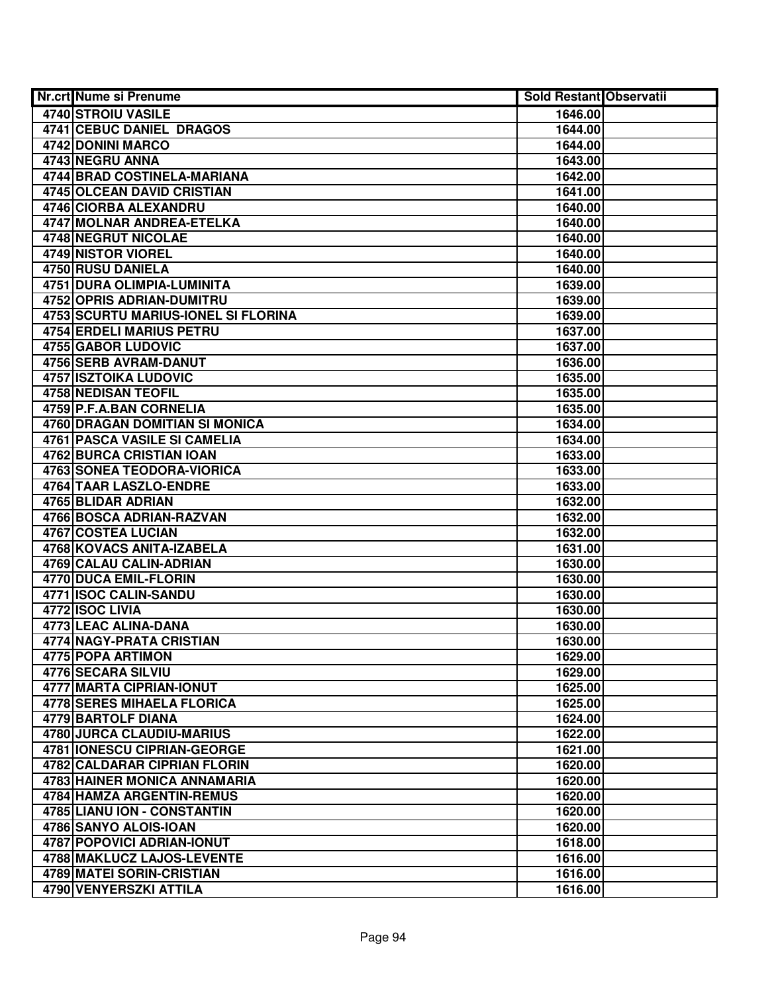| Nr.crt Nume si Prenume                     | <b>Sold Restant Observatii</b> |  |
|--------------------------------------------|--------------------------------|--|
| 4740 STROIU VASILE                         | 1646.00                        |  |
| <b>4741 CEBUC DANIEL DRAGOS</b>            | 1644.00                        |  |
| 4742 DONINI MARCO                          | 1644.00                        |  |
| 4743 NEGRU ANNA                            | 1643.00                        |  |
| 4744 BRAD COSTINELA-MARIANA                | 1642.00                        |  |
| <b>4745 OLCEAN DAVID CRISTIAN</b>          | 1641.00                        |  |
| 4746 CIORBA ALEXANDRU                      | 1640.00                        |  |
| <b>4747 MOLNAR ANDREA-ETELKA</b>           | 1640.00                        |  |
| <b>4748 NEGRUT NICOLAE</b>                 | 1640.00                        |  |
| <b>4749 NISTOR VIOREL</b>                  | 1640.00                        |  |
| <b>4750 RUSU DANIELA</b>                   | 1640.00                        |  |
| 4751 DURA OLIMPIA-LUMINITA                 | 1639.00                        |  |
| <b>4752 OPRIS ADRIAN-DUMITRU</b>           | 1639.00                        |  |
| <b>4753 SCURTU MARIUS-IONEL SI FLORINA</b> | 1639.00                        |  |
| 4754 ERDELI MARIUS PETRU                   | 1637.00                        |  |
| 4755 GABOR LUDOVIC                         | 1637.00                        |  |
| 4756 SERB AVRAM-DANUT                      | 1636.00                        |  |
| <b>4757 ISZTOIKA LUDOVIC</b>               | 1635.00                        |  |
| 4758 NEDISAN TEOFIL                        | 1635.00                        |  |
| 4759 P.F.A.BAN CORNELIA                    | 1635.00                        |  |
| 4760 DRAGAN DOMITIAN SI MONICA             | 1634.00                        |  |
| <b>4761 PASCA VASILE SI CAMELIA</b>        | 1634.00                        |  |
| 4762 BURCA CRISTIAN IOAN                   | 1633.00                        |  |
| <b>4763 SONEA TEODORA-VIORICA</b>          | 1633.00                        |  |
| 4764 TAAR LASZLO-ENDRE                     | 1633.00                        |  |
| 4765 BLIDAR ADRIAN                         | 1632.00                        |  |
| 4766 BOSCA ADRIAN-RAZVAN                   | 1632.00                        |  |
| 4767 COSTEA LUCIAN                         | 1632.00                        |  |
| 4768 KOVACS ANITA-IZABELA                  | 1631.00                        |  |
| 4769 CALAU CALIN-ADRIAN                    | 1630.00                        |  |
| 4770 DUCA EMIL-FLORIN                      | 1630.00                        |  |
| 4771 ISOC CALIN-SANDU                      | 1630.00                        |  |
| 4772 ISOC LIVIA                            | 1630.00                        |  |
| 4773 LEAC ALINA-DANA                       | 1630.00                        |  |
| 4774 NAGY-PRATA CRISTIAN                   | 1630.00                        |  |
| 4775 POPA ARTIMON                          | 1629.00                        |  |
| 4776 SECARA SILVIU                         | 1629.00                        |  |
| 4777 MARTA CIPRIAN-IONUT                   | 1625.00                        |  |
| <b>4778 SERES MIHAELA FLORICA</b>          | 1625.00                        |  |
| 4779 BARTOLF DIANA                         | 1624.00                        |  |
| 4780 JURCA CLAUDIU-MARIUS                  | 1622.00                        |  |
| 4781 IONESCU CIPRIAN-GEORGE                | 1621.00                        |  |
| <b>4782 CALDARAR CIPRIAN FLORIN</b>        | 1620.00                        |  |
| 4783 HAINER MONICA ANNAMARIA               | 1620.00                        |  |
| 4784 HAMZA ARGENTIN-REMUS                  | 1620.00                        |  |
| 4785 LIANU ION - CONSTANTIN                | 1620.00                        |  |
| 4786 SANYO ALOIS-IOAN                      | 1620.00                        |  |
| 4787 POPOVICI ADRIAN-IONUT                 | 1618.00                        |  |
| 4788 MAKLUCZ LAJOS-LEVENTE                 | 1616.00                        |  |
| 4789 MATEI SORIN-CRISTIAN                  | 1616.00                        |  |
| 4790 VENYERSZKI ATTILA                     | 1616.00                        |  |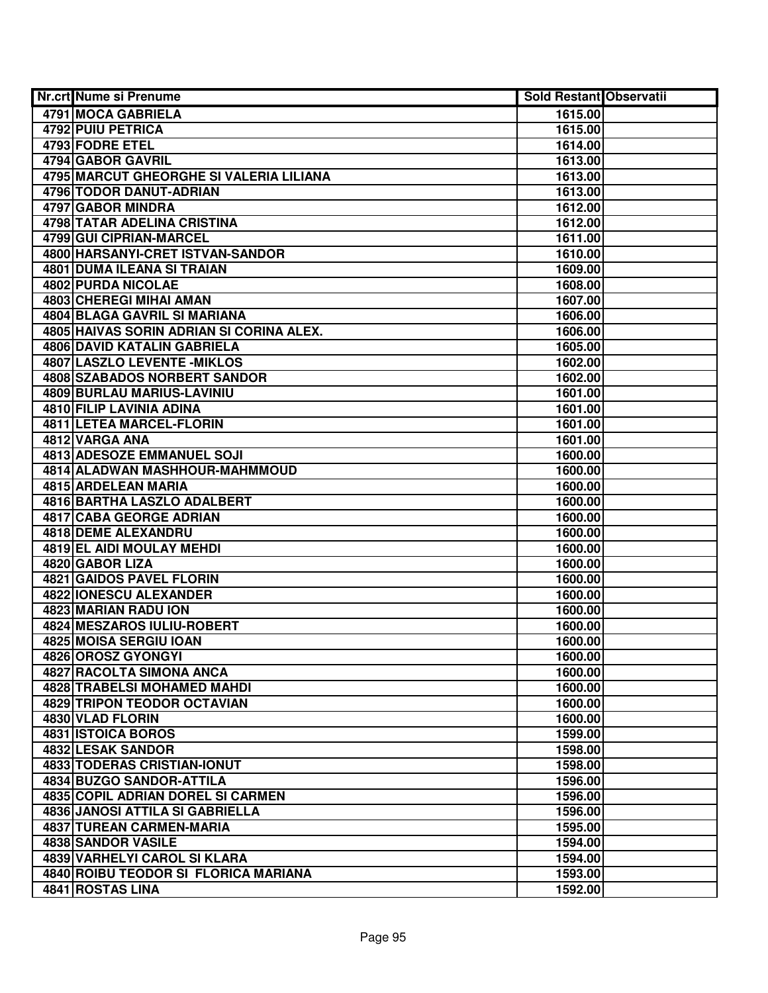| <b>Nr.crt Nume si Prenume</b>            | Sold Restant Observatii |  |
|------------------------------------------|-------------------------|--|
| 4791 MOCA GABRIELA                       | 1615.00                 |  |
| 4792 PUIU PETRICA                        | 1615.00                 |  |
| 4793 FODRE ETEL                          | 1614.00                 |  |
| 4794 GABOR GAVRIL                        | 1613.00                 |  |
| 4795 MARCUT GHEORGHE SI VALERIA LILIANA  | 1613.00                 |  |
| 4796 TODOR DANUT-ADRIAN                  | 1613.00                 |  |
| 4797 GABOR MINDRA                        | 1612.00                 |  |
| <b>4798 TATAR ADELINA CRISTINA</b>       | 1612.00                 |  |
| 4799 GUI CIPRIAN-MARCEL                  | 1611.00                 |  |
| 4800 HARSANYI-CRET ISTVAN-SANDOR         | 1610.00                 |  |
| <b>4801 DUMA ILEANA SI TRAIAN</b>        | 1609.00                 |  |
| <b>4802 PURDA NICOLAE</b>                | 1608.00                 |  |
| 4803 CHEREGI MIHAI AMAN                  | 1607.00                 |  |
| 4804 BLAGA GAVRIL SI MARIANA             | 1606.00                 |  |
| 4805 HAIVAS SORIN ADRIAN SI CORINA ALEX. | 1606.00                 |  |
| 4806 DAVID KATALIN GABRIELA              | 1605.00                 |  |
| 4807 LASZLO LEVENTE - MIKLOS             | 1602.00                 |  |
| 4808 SZABADOS NORBERT SANDOR             | 1602.00                 |  |
| <b>4809 BURLAU MARIUS-LAVINIU</b>        | 1601.00                 |  |
| 4810 FILIP LAVINIA ADINA                 | 1601.00                 |  |
| 4811 LETEA MARCEL-FLORIN                 | 1601.00                 |  |
| 4812 VARGA ANA                           | 1601.00                 |  |
| <b>4813 ADESOZE EMMANUEL SOJI</b>        | 1600.00                 |  |
| 4814 ALADWAN MASHHOUR-MAHMMOUD           | 1600.00                 |  |
| 4815 ARDELEAN MARIA                      | 1600.00                 |  |
| 4816 BARTHA LASZLO ADALBERT              | 1600.00                 |  |
| 4817 CABA GEORGE ADRIAN                  | 1600.00                 |  |
| 4818 DEME ALEXANDRU                      | 1600.00                 |  |
| 4819 EL AIDI MOULAY MEHDI                | 1600.00                 |  |
| 4820 GABOR LIZA                          | 1600.00                 |  |
| 4821 GAIDOS PAVEL FLORIN                 | 1600.00                 |  |
| <b>4822 IONESCU ALEXANDER</b>            | 1600.00                 |  |
| 4823 MARIAN RADU ION                     | 1600.00                 |  |
| 4824 MESZAROS IULIU-ROBERT               | 1600.00                 |  |
| 4825 MOISA SERGIU IOAN                   | 1600.00                 |  |
| 4826 OROSZ GYONGYI                       | 1600.00                 |  |
| 4827 RACOLTA SIMONA ANCA                 | 1600.00                 |  |
| 4828 TRABELSI MOHAMED MAHDI              | 1600.00                 |  |
| <b>4829 TRIPON TEODOR OCTAVIAN</b>       | 1600.00                 |  |
| 4830 VLAD FLORIN                         | 1600.00                 |  |
| 4831 ISTOICA BOROS                       | 1599.00                 |  |
| 4832 LESAK SANDOR                        | 1598.00                 |  |
| 4833 TODERAS CRISTIAN-IONUT              | 1598.00                 |  |
| 4834 BUZGO SANDOR-ATTILA                 | 1596.00                 |  |
| 4835 COPIL ADRIAN DOREL SI CARMEN        | 1596.00                 |  |
| 4836 JANOSI ATTILA SI GABRIELLA          | 1596.00                 |  |
| 4837 TUREAN CARMEN-MARIA                 | 1595.00                 |  |
| 4838 SANDOR VASILE                       | 1594.00                 |  |
| 4839 VARHELYI CAROL SI KLARA             | 1594.00                 |  |
| 4840 ROIBU TEODOR SI FLORICA MARIANA     | 1593.00                 |  |
| 4841 ROSTAS LINA                         | 1592.00                 |  |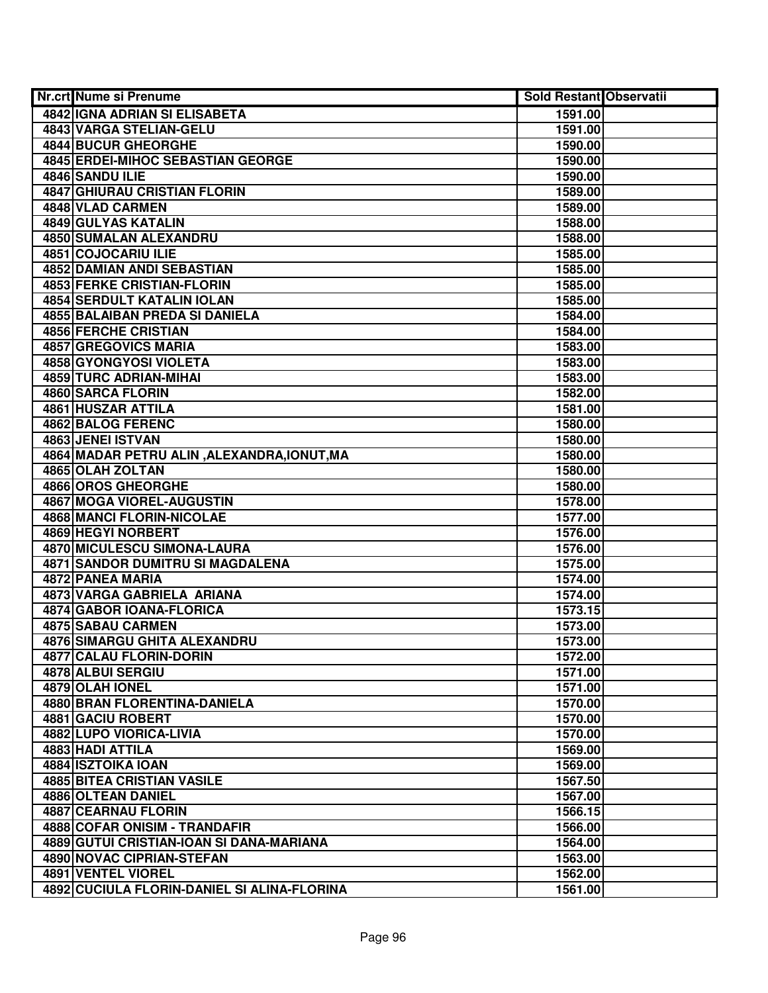| <b>Nr.crt Nume si Prenume</b>               | <b>Sold Restant Observatii</b> |  |
|---------------------------------------------|--------------------------------|--|
| 4842 IGNA ADRIAN SI ELISABETA               | 1591.00                        |  |
| 4843 VARGA STELIAN-GELU                     | 1591.00                        |  |
| <b>4844 BUCUR GHEORGHE</b>                  | 1590.00                        |  |
| 4845 ERDEI-MIHOC SEBASTIAN GEORGE           | 1590.00                        |  |
| 4846 SANDU ILIE                             | 1590.00                        |  |
| 4847 GHIURAU CRISTIAN FLORIN                | 1589.00                        |  |
| 4848 VLAD CARMEN                            | 1589.00                        |  |
| 4849 GULYAS KATALIN                         | 1588.00                        |  |
| 4850 SUMALAN ALEXANDRU                      | 1588.00                        |  |
| 4851 COJOCARIU ILIE                         | 1585.00                        |  |
| <b>4852 DAMIAN ANDI SEBASTIAN</b>           | 1585.00                        |  |
| <b>4853 FERKE CRISTIAN-FLORIN</b>           | 1585.00                        |  |
| <b>4854 SERDULT KATALIN IOLAN</b>           | 1585.00                        |  |
| 4855 BALAIBAN PREDA SI DANIELA              | 1584.00                        |  |
| 4856 FERCHE CRISTIAN                        | 1584.00                        |  |
| 4857 GREGOVICS MARIA                        | 1583.00                        |  |
| 4858 GYONGYOSI VIOLETA                      | 1583.00                        |  |
| 4859 TURC ADRIAN-MIHAI                      | 1583.00                        |  |
| 4860 SARCA FLORIN                           | 1582.00                        |  |
| 4861 HUSZAR ATTILA                          | 1581.00                        |  |
| 4862 BALOG FERENC                           | 1580.00                        |  |
| 4863 JENEI ISTVAN                           | 1580.00                        |  |
| 4864 MADAR PETRU ALIN, ALEXANDRA, IONUT, MA | 1580.00                        |  |
| 4865 OLAH ZOLTAN                            | 1580.00                        |  |
| 4866 OROS GHEORGHE                          | 1580.00                        |  |
| 4867 MOGA VIOREL-AUGUSTIN                   | 1578.00                        |  |
| 4868 MANCI FLORIN-NICOLAE                   | 1577.00                        |  |
| 4869 HEGYI NORBERT                          | 1576.00                        |  |
| 4870 MICULESCU SIMONA-LAURA                 | 1576.00                        |  |
| <b>4871 SANDOR DUMITRU SI MAGDALENA</b>     | 1575.00                        |  |
| 4872 PANEA MARIA                            | 1574.00                        |  |
| 4873 VARGA GABRIELA ARIANA                  | 1574.00                        |  |
| 4874 GABOR IOANA-FLORICA                    | 1573.15                        |  |
| 4875 SABAU CARMEN                           | 1573.00                        |  |
| <b>4876 SIMARGU GHITA ALEXANDRU</b>         | 1573.00                        |  |
| 4877 CALAU FLORIN-DORIN                     | 1572.00                        |  |
| 4878 ALBUI SERGIU                           | 1571.00                        |  |
| 4879 OLAH IONEL                             | 1571.00                        |  |
| <b>4880 BRAN FLORENTINA-DANIELA</b>         | 1570.00                        |  |
| 4881 GACIU ROBERT                           | 1570.00                        |  |
| 4882 LUPO VIORICA-LIVIA                     | 1570.00                        |  |
| 4883 HADI ATTILA                            | 1569.00                        |  |
| 4884 ISZTOIKA IOAN                          | 1569.00                        |  |
| 4885 BITEA CRISTIAN VASILE                  | 1567.50                        |  |
| 4886 OLTEAN DANIEL                          | 1567.00                        |  |
| <b>4887 CEARNAU FLORIN</b>                  | 1566.15                        |  |
| 4888 COFAR ONISIM - TRANDAFIR               | 1566.00                        |  |
| 4889 GUTUI CRISTIAN-IOAN SI DANA-MARIANA    | 1564.00                        |  |
| 4890 NOVAC CIPRIAN-STEFAN                   | 1563.00                        |  |
| 4891 VENTEL VIOREL                          | 1562.00                        |  |
| 4892 CUCIULA FLORIN-DANIEL SI ALINA-FLORINA | 1561.00                        |  |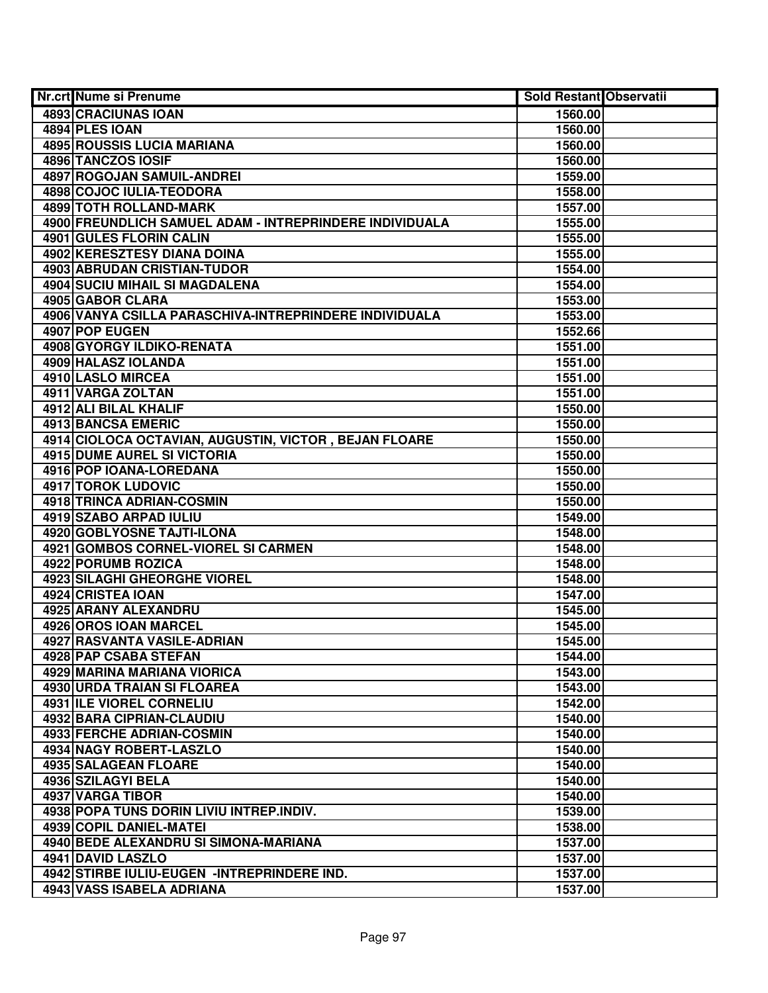| Nr.crt Nume si Prenume                                  | <b>Sold Restant Observatii</b> |  |
|---------------------------------------------------------|--------------------------------|--|
| 4893 CRACIUNAS IOAN                                     | 1560.00                        |  |
| 4894 PLES IOAN                                          | 1560.00                        |  |
| <b>4895 ROUSSIS LUCIA MARIANA</b>                       | 1560.00                        |  |
| 4896 TANCZOS IOSIF                                      | 1560.00                        |  |
| 4897 ROGOJAN SAMUIL-ANDREI                              | 1559.00                        |  |
| 4898 COJOC IULIA-TEODORA                                | 1558.00                        |  |
| 4899 TOTH ROLLAND-MARK                                  | 1557.00                        |  |
| 4900 FREUNDLICH SAMUEL ADAM - INTREPRINDERE INDIVIDUALA | 1555.00                        |  |
| 4901 GULES FLORIN CALIN                                 | 1555.00                        |  |
| 4902 KERESZTESY DIANA DOINA                             | 1555.00                        |  |
| <b>4903 ABRUDAN CRISTIAN-TUDOR</b>                      | 1554.00                        |  |
| <b>4904 SUCIU MIHAIL SI MAGDALENA</b>                   | 1554.00                        |  |
| 4905 GABOR CLARA                                        | 1553.00                        |  |
| 4906 VANYA CSILLA PARASCHIVA-INTREPRINDERE INDIVIDUALA  | 1553.00                        |  |
| 4907 POP EUGEN                                          | 1552.66                        |  |
| 4908 GYORGY ILDIKO-RENATA                               | 1551.00                        |  |
| 4909 HALASZ IOLANDA                                     | 1551.00                        |  |
| 4910 LASLO MIRCEA                                       | 1551.00                        |  |
| 4911 VARGA ZOLTAN                                       | 1551.00                        |  |
| 4912 ALI BILAL KHALIF                                   | 1550.00                        |  |
| 4913 BANCSA EMERIC                                      | 1550.00                        |  |
| 4914 CIOLOCA OCTAVIAN, AUGUSTIN, VICTOR, BEJAN FLOARE   | 1550.00                        |  |
| 4915 DUME AUREL SI VICTORIA                             | 1550.00                        |  |
| 4916 POP IOANA-LOREDANA                                 | 1550.00                        |  |
| 4917 TOROK LUDOVIC                                      | 1550.00                        |  |
| 4918 TRINCA ADRIAN-COSMIN                               | 1550.00                        |  |
| 4919 SZABO ARPAD IULIU                                  | 1549.00                        |  |
| 4920 GOBLYOSNE TAJTI-ILONA                              | 1548.00                        |  |
| 4921 GOMBOS CORNEL-VIOREL SI CARMEN                     | 1548.00                        |  |
| 4922 PORUMB ROZICA                                      | 1548.00                        |  |
| 4923 SILAGHI GHEORGHE VIOREL                            | 1548.00                        |  |
| 4924 CRISTEA IOAN                                       | 1547.00                        |  |
| 4925 ARANY ALEXANDRU                                    | 1545.00                        |  |
| 4926 OROS IOAN MARCEL                                   | 1545.00                        |  |
| 4927 RASVANTA VASILE-ADRIAN                             | 1545.00                        |  |
| 4928 PAP CSABA STEFAN                                   | 1544.00                        |  |
| 4929 MARINA MARIANA VIORICA                             | 1543.00                        |  |
| <b>4930 URDA TRAIAN SI FLOAREA</b>                      | 1543.00                        |  |
| <b>4931 ILE VIOREL CORNELIU</b>                         | 1542.00                        |  |
| 4932 BARA CIPRIAN-CLAUDIU                               | 1540.00                        |  |
| 4933 FERCHE ADRIAN-COSMIN                               | 1540.00                        |  |
| 4934 NAGY ROBERT-LASZLO                                 | 1540.00                        |  |
| 4935 SALAGEAN FLOARE                                    | 1540.00                        |  |
| 4936 SZILAGYI BELA                                      | 1540.00                        |  |
| 4937 VARGA TIBOR                                        | 1540.00                        |  |
| 4938 POPA TUNS DORIN LIVIU INTREP.INDIV.                | 1539.00                        |  |
| 4939 COPIL DANIEL-MATEI                                 | 1538.00                        |  |
| 4940 BEDE ALEXANDRU SI SIMONA-MARIANA                   | 1537.00                        |  |
| 4941 DAVID LASZLO                                       | 1537.00                        |  |
| 4942 STIRBE IULIU-EUGEN -INTREPRINDERE IND.             | 1537.00                        |  |
| 4943 VASS ISABELA ADRIANA                               | 1537.00                        |  |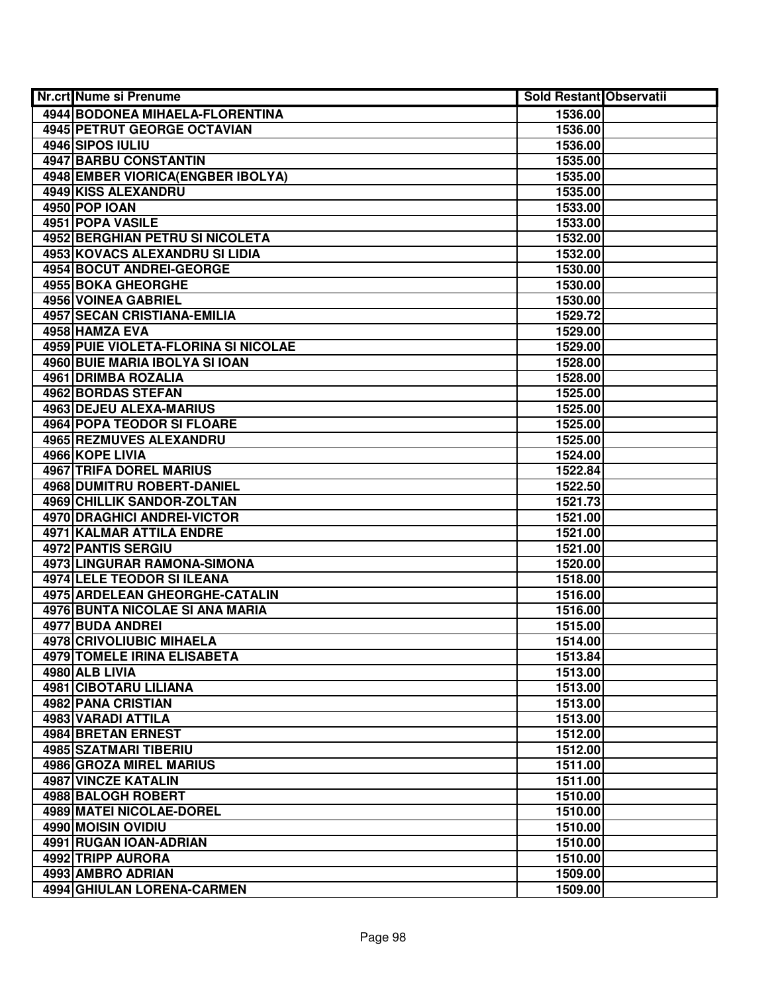| <b>Nr.crt Nume si Prenume</b>          | <b>Sold Restant Observatii</b> |  |
|----------------------------------------|--------------------------------|--|
| <b>4944 BODONEA MIHAELA-FLORENTINA</b> | 1536.00                        |  |
| 4945 PETRUT GEORGE OCTAVIAN            | 1536.00                        |  |
| 4946 SIPOS IULIU                       | 1536.00                        |  |
| 4947 BARBU CONSTANTIN                  | 1535.00                        |  |
| 4948 EMBER VIORICA (ENGBER IBOLYA)     | 1535.00                        |  |
| 4949 KISS ALEXANDRU                    | 1535.00                        |  |
| 4950 POP IOAN                          | 1533.00                        |  |
| 4951 POPA VASILE                       | 1533.00                        |  |
| <b>4952 BERGHIAN PETRU SI NICOLETA</b> | 1532.00                        |  |
| 4953 KOVACS ALEXANDRU SI LIDIA         | 1532.00                        |  |
| <b>4954 BOCUT ANDREI-GEORGE</b>        | 1530.00                        |  |
| <b>4955 BOKA GHEORGHE</b>              | 1530.00                        |  |
| 4956 VOINEA GABRIEL                    | 1530.00                        |  |
| <b>4957 SECAN CRISTIANA-EMILIA</b>     | 1529.72                        |  |
| 4958 HAMZA EVA                         | 1529.00                        |  |
| 4959 PUIE VIOLETA-FLORINA SI NICOLAE   | 1529.00                        |  |
| 4960 BUIE MARIA IBOLYA SI IOAN         | 1528.00                        |  |
| 4961 DRIMBA ROZALIA                    | 1528.00                        |  |
| 4962 BORDAS STEFAN                     | 1525.00                        |  |
| 4963 DEJEU ALEXA-MARIUS                | 1525.00                        |  |
| 4964 POPA TEODOR SI FLOARE             | 1525.00                        |  |
| 4965 REZMUVES ALEXANDRU                | 1525.00                        |  |
| 4966 KOPE LIVIA                        | 1524.00                        |  |
| 4967 TRIFA DOREL MARIUS                | 1522.84                        |  |
| 4968 DUMITRU ROBERT-DANIEL             | 1522.50                        |  |
| 4969 CHILLIK SANDOR-ZOLTAN             | 1521.73                        |  |
| 4970 DRAGHICI ANDREI-VICTOR            | 1521.00                        |  |
| 4971 KALMAR ATTILA ENDRE               | 1521.00                        |  |
| 4972 PANTIS SERGIU                     | 1521.00                        |  |
| 4973 LINGURAR RAMONA-SIMONA            | 1520.00                        |  |
| 4974 LELE TEODOR SI ILEANA             | 1518.00                        |  |
| 4975 ARDELEAN GHEORGHE-CATALIN         | 1516.00                        |  |
| 4976 BUNTA NICOLAE SI ANA MARIA        | 1516.00                        |  |
| 4977 BUDA ANDREI                       | 1515.00                        |  |
| 4978 CRIVOLIUBIC MIHAELA               | 1514.00                        |  |
| 4979 TOMELE IRINA ELISABETA            | 1513.84                        |  |
| 4980 ALB LIVIA                         | 1513.00                        |  |
| <b>4981 CIBOTARU LILIANA</b>           | 1513.00                        |  |
| 4982 PANA CRISTIAN                     | 1513.00                        |  |
| 4983 VARADI ATTILA                     | 1513.00                        |  |
| 4984 BRETAN ERNEST                     | 1512.00                        |  |
| 4985 SZATMARI TIBERIU                  | 1512.00                        |  |
| 4986 GROZA MIREL MARIUS                | 1511.00                        |  |
| <b>4987 VINCZE KATALIN</b>             | 1511.00                        |  |
| 4988 BALOGH ROBERT                     | 1510.00                        |  |
| 4989 MATEI NICOLAE-DOREL               | 1510.00                        |  |
| 4990 MOISIN OVIDIU                     | 1510.00                        |  |
| 4991 RUGAN IOAN-ADRIAN                 | 1510.00                        |  |
| 4992 TRIPP AURORA                      | 1510.00                        |  |
| 4993 AMBRO ADRIAN                      | 1509.00                        |  |
| 4994 GHIULAN LORENA-CARMEN             | 1509.00                        |  |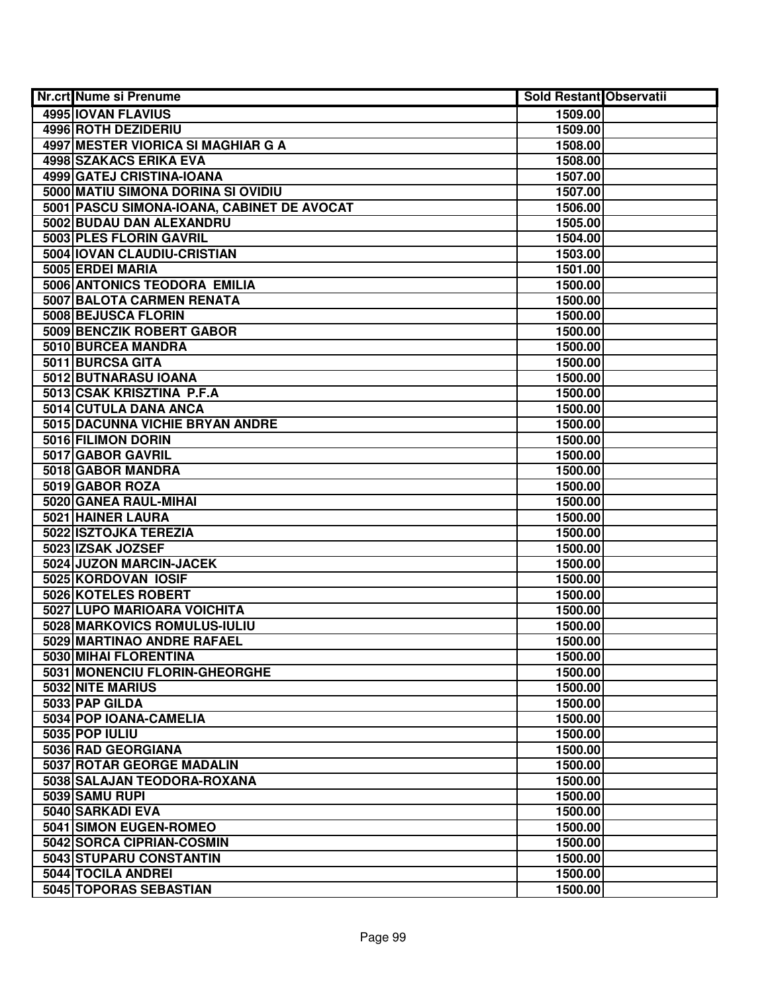| <b>Nr.crt Nume si Prenume</b>              | <b>Sold Restant Observatii</b> |  |
|--------------------------------------------|--------------------------------|--|
| <b>4995 IOVAN FLAVIUS</b>                  | 1509.00                        |  |
| 4996 ROTH DEZIDERIU                        | 1509.00                        |  |
| 4997 MESTER VIORICA SI MAGHIAR G A         | 1508.00                        |  |
| 4998 SZAKACS ERIKA EVA                     | 1508.00                        |  |
| 4999 GATEJ CRISTINA-IOANA                  | 1507.00                        |  |
| 5000 MATIU SIMONA DORINA SI OVIDIU         | 1507.00                        |  |
| 5001 PASCU SIMONA-IOANA, CABINET DE AVOCAT | 1506.00                        |  |
| 5002 BUDAU DAN ALEXANDRU                   | 1505.00                        |  |
| 5003 PLES FLORIN GAVRIL                    | 1504.00                        |  |
| 5004 IOVAN CLAUDIU-CRISTIAN                | 1503.00                        |  |
| 5005 ERDEI MARIA                           | 1501.00                        |  |
| 5006 ANTONICS TEODORA EMILIA               | 1500.00                        |  |
| 5007 BALOTA CARMEN RENATA                  | 1500.00                        |  |
| 5008 BEJUSCA FLORIN                        | 1500.00                        |  |
| 5009 BENCZIK ROBERT GABOR                  | 1500.00                        |  |
| 5010 BURCEA MANDRA                         | 1500.00                        |  |
| 5011 BURCSA GITA                           | 1500.00                        |  |
| 5012 BUTNARASU IOANA                       | 1500.00                        |  |
| 5013 CSAK KRISZTINA P.F.A                  | 1500.00                        |  |
| 5014 CUTULA DANA ANCA                      | 1500.00                        |  |
| 5015 DACUNNA VICHIE BRYAN ANDRE            | 1500.00                        |  |
| 5016 FILIMON DORIN                         | 1500.00                        |  |
| 5017 GABOR GAVRIL                          | 1500.00                        |  |
| 5018 GABOR MANDRA                          | 1500.00                        |  |
| 5019 GABOR ROZA                            | 1500.00                        |  |
| 5020 GANEA RAUL-MIHAI                      | 1500.00                        |  |
| 5021 HAINER LAURA                          | 1500.00                        |  |
| 5022 ISZTOJKA TEREZIA                      | 1500.00                        |  |
| 5023 IZSAK JOZSEF                          | 1500.00                        |  |
| 5024 JUZON MARCIN-JACEK                    | 1500.00                        |  |
| 5025 KORDOVAN IOSIF                        | 1500.00                        |  |
| 5026 KOTELES ROBERT                        | 1500.00                        |  |
| 5027 LUPO MARIOARA VOICHITA                | 1500.00                        |  |
| 5028 MARKOVICS ROMULUS-IULIU               | 1500.00                        |  |
| 5029 MARTINAO ANDRE RAFAEL                 | 1500.00                        |  |
| 5030 MIHAI FLORENTINA                      | 1500.00                        |  |
| 5031 MONENCIU FLORIN-GHEORGHE              | 1500.00                        |  |
| 5032 NITE MARIUS                           | 1500.00                        |  |
| 5033 PAP GILDA                             | 1500.00                        |  |
| 5034 POP IOANA-CAMELIA                     | 1500.00                        |  |
| 5035 POP IULIU                             | 1500.00                        |  |
| 5036 RAD GEORGIANA                         | 1500.00                        |  |
| 5037 ROTAR GEORGE MADALIN                  | 1500.00                        |  |
| 5038 SALAJAN TEODORA-ROXANA                | 1500.00                        |  |
| 5039 SAMU RUPI                             | 1500.00                        |  |
| 5040 SARKADI EVA                           | 1500.00                        |  |
| 5041 SIMON EUGEN-ROMEO                     | 1500.00                        |  |
| 5042 SORCA CIPRIAN-COSMIN                  | 1500.00                        |  |
| 5043 STUPARU CONSTANTIN                    | 1500.00                        |  |
| 5044 TOCILA ANDREI                         | 1500.00                        |  |
| 5045 TOPORAS SEBASTIAN                     | 1500.00                        |  |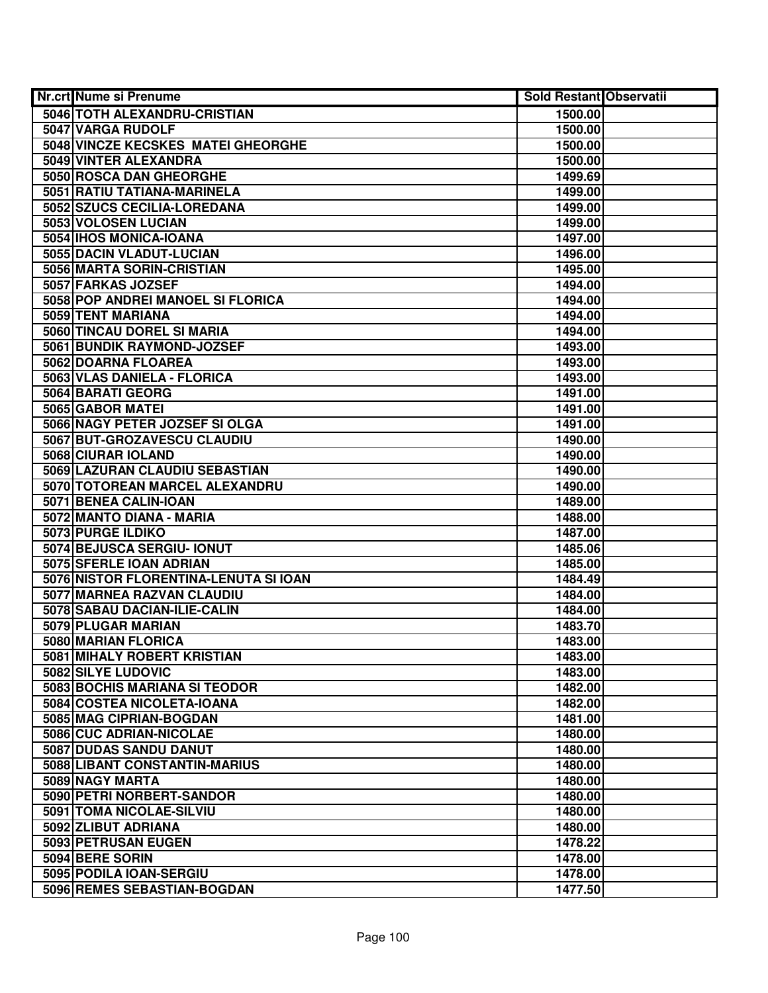| <b>Nr.crt Nume si Prenume</b>                         | <b>Sold Restant Observatii</b> |  |
|-------------------------------------------------------|--------------------------------|--|
| 5046 TOTH ALEXANDRU-CRISTIAN                          | 1500.00                        |  |
| 5047 VARGA RUDOLF                                     | 1500.00                        |  |
| 5048 VINCZE KECSKES MATEI GHEORGHE                    | 1500.00                        |  |
| 5049 VINTER ALEXANDRA                                 | 1500.00                        |  |
| 5050 ROSCA DAN GHEORGHE                               | 1499.69                        |  |
| 5051 RATIU TATIANA-MARINELA                           | 1499.00                        |  |
| 5052 SZUCS CECILIA-LOREDANA                           | 1499.00                        |  |
| 5053 VOLOSEN LUCIAN                                   | 1499.00                        |  |
| 5054 IHOS MONICA-IOANA                                | 1497.00                        |  |
| 5055 DACIN VLADUT-LUCIAN                              | 1496.00                        |  |
| 5056 MARTA SORIN-CRISTIAN                             | 1495.00                        |  |
| 5057 FARKAS JOZSEF                                    | 1494.00                        |  |
| 5058 POP ANDREI MANOEL SI FLORICA                     | 1494.00                        |  |
| 5059 TENT MARIANA                                     | 1494.00                        |  |
| 5060 TINCAU DOREL SI MARIA                            | 1494.00                        |  |
| 5061 BUNDIK RAYMOND-JOZSEF                            | 1493.00                        |  |
| 5062 DOARNA FLOAREA                                   | 1493.00                        |  |
| 5063 VLAS DANIELA - FLORICA                           | 1493.00                        |  |
| 5064 BARATI GEORG                                     | 1491.00                        |  |
| 5065 GABOR MATEI                                      | 1491.00                        |  |
| 5066 NAGY PETER JOZSEF SI OLGA                        | 1491.00                        |  |
| 5067 BUT-GROZAVESCU CLAUDIU                           | 1490.00                        |  |
| 5068 CIURAR IOLAND                                    | 1490.00                        |  |
| 5069 LAZURAN CLAUDIU SEBASTIAN                        | 1490.00                        |  |
| 5070 TOTOREAN MARCEL ALEXANDRU                        | 1490.00                        |  |
| 5071 BENEA CALIN-IOAN                                 | 1489.00                        |  |
| 5072 MANTO DIANA - MARIA                              | 1488.00                        |  |
| 5073 PURGE ILDIKO                                     | 1487.00                        |  |
| 5074 BEJUSCA SERGIU- IONUT                            | 1485.06                        |  |
| 5075 SFERLE IOAN ADRIAN                               | 1485.00                        |  |
| 5076 NISTOR FLORENTINA-LENUTA SI IOAN                 | 1484.49                        |  |
| 5077 MARNEA RAZVAN CLAUDIU                            | 1484.00                        |  |
| 5078 SABAU DACIAN-ILIE-CALIN                          | 1484.00                        |  |
| 5079 PLUGAR MARIAN                                    | 1483.70                        |  |
| 5080 MARIAN FLORICA                                   | 1483.00                        |  |
| 5081 MIHALY ROBERT KRISTIAN                           | 1483.00                        |  |
| 5082 SILYE LUDOVIC<br>5083 BOCHIS MARIANA SI TEODOR   | 1483.00                        |  |
|                                                       | 1482.00                        |  |
| 5084 COSTEA NICOLETA-IOANA<br>5085 MAG CIPRIAN-BOGDAN | 1482.00                        |  |
| 5086 CUC ADRIAN-NICOLAE                               | 1481.00<br>1480.00             |  |
| 5087 DUDAS SANDU DANUT                                | 1480.00                        |  |
| 5088 LIBANT CONSTANTIN-MARIUS                         | 1480.00                        |  |
| 5089 NAGY MARTA                                       | 1480.00                        |  |
| 5090 PETRI NORBERT-SANDOR                             | 1480.00                        |  |
| 5091 TOMA NICOLAE-SILVIU                              | 1480.00                        |  |
| 5092 ZLIBUT ADRIANA                                   | 1480.00                        |  |
| 5093 PETRUSAN EUGEN                                   | 1478.22                        |  |
| 5094 BERE SORIN                                       | 1478.00                        |  |
| 5095 PODILA IOAN-SERGIU                               | 1478.00                        |  |
| 5096 REMES SEBASTIAN-BOGDAN                           | 1477.50                        |  |
|                                                       |                                |  |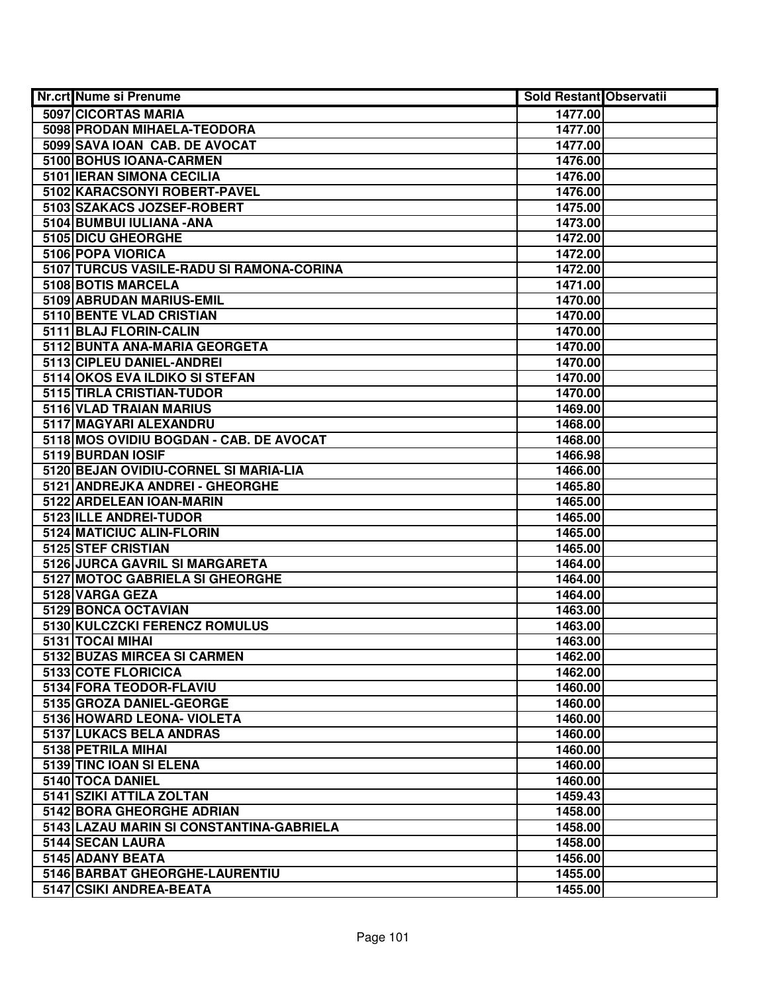| Nr.crt Nume si Prenume                                       | <b>Sold Restant Observatii</b> |  |
|--------------------------------------------------------------|--------------------------------|--|
| 5097 CICORTAS MARIA                                          | 1477.00                        |  |
| 5098 PRODAN MIHAELA-TEODORA                                  | 1477.00                        |  |
| 5099 SAVA IOAN CAB. DE AVOCAT                                | 1477.00                        |  |
| 5100 BOHUS IOANA-CARMEN                                      | 1476.00                        |  |
| 5101 IERAN SIMONA CECILIA                                    | 1476.00                        |  |
| 5102 KARACSONYI ROBERT-PAVEL                                 | 1476.00                        |  |
| 5103 SZAKACS JOZSEF-ROBERT                                   | 1475.00                        |  |
| 5104 BUMBUI IULIANA - ANA                                    | 1473.00                        |  |
| 5105 DICU GHEORGHE                                           | 1472.00                        |  |
| 5106 POPA VIORICA                                            | 1472.00                        |  |
| 5107 TURCUS VASILE-RADU SI RAMONA-CORINA                     | 1472.00                        |  |
| 5108 BOTIS MARCELA                                           | 1471.00                        |  |
| 5109 ABRUDAN MARIUS-EMIL                                     | 1470.00                        |  |
| 5110 BENTE VLAD CRISTIAN                                     | 1470.00                        |  |
| 5111 BLAJ FLORIN-CALIN                                       | 1470.00                        |  |
| 5112 BUNTA ANA-MARIA GEORGETA                                | 1470.00                        |  |
| 5113 CIPLEU DANIEL-ANDREI                                    | 1470.00                        |  |
| 5114 OKOS EVA ILDIKO SI STEFAN                               | 1470.00                        |  |
| 5115 TIRLA CRISTIAN-TUDOR                                    | 1470.00                        |  |
| 5116 VLAD TRAIAN MARIUS                                      | 1469.00                        |  |
| 5117 MAGYARI ALEXANDRU                                       | 1468.00                        |  |
| 5118 MOS OVIDIU BOGDAN - CAB. DE AVOCAT                      | 1468.00                        |  |
| 5119 BURDAN IOSIF                                            | 1466.98                        |  |
| 5120 BEJAN OVIDIU-CORNEL SI MARIA-LIA                        | 1466.00                        |  |
| 5121 ANDREJKA ANDREI - GHEORGHE                              | 1465.80                        |  |
| 5122 ARDELEAN IOAN-MARIN                                     | 1465.00                        |  |
| 5123 ILLE ANDREI-TUDOR                                       | 1465.00                        |  |
| 5124 MATICIUC ALIN-FLORIN                                    | 1465.00                        |  |
| 5125 STEF CRISTIAN                                           | 1465.00                        |  |
| 5126 JURCA GAVRIL SI MARGARETA                               | 1464.00                        |  |
| 5127 MOTOC GABRIELA SI GHEORGHE                              | 1464.00                        |  |
| 5128 VARGA GEZA                                              | 1464.00                        |  |
| 5129 BONCA OCTAVIAN                                          | 1463.00                        |  |
| 5130 KULCZCKI FERENCZ ROMULUS                                | 1463.00                        |  |
| 5131 TOCAI MIHAI                                             | 1463.00                        |  |
| 5132 BUZAS MIRCEA SI CARMEN                                  | 1462.00                        |  |
| 5133 COTE FLORICICA                                          | 1462.00                        |  |
| 5134 FORA TEODOR-FLAVIU                                      | 1460.00                        |  |
| 5135 GROZA DANIEL-GEORGE                                     | 1460.00                        |  |
| 5136 HOWARD LEONA- VIOLETA                                   | 1460.00                        |  |
| 5137 LUKACS BELA ANDRAS                                      | 1460.00                        |  |
| 5138 PETRILA MIHAI                                           | 1460.00                        |  |
| 5139 TINC IOAN SI ELENA                                      | 1460.00                        |  |
| 5140 TOCA DANIEL<br>5141 SZIKI ATTILA ZOLTAN                 | 1460.00                        |  |
|                                                              | 1459.43                        |  |
| 5142 BORA GHEORGHE ADRIAN                                    | 1458.00                        |  |
| 5143 LAZAU MARIN SI CONSTANTINA-GABRIELA<br>5144 SECAN LAURA | 1458.00                        |  |
| 5145 ADANY BEATA                                             | 1458.00                        |  |
|                                                              | 1456.00                        |  |
| 5146 BARBAT GHEORGHE-LAURENTIU                               | 1455.00                        |  |
| 5147 CSIKI ANDREA-BEATA                                      | 1455.00                        |  |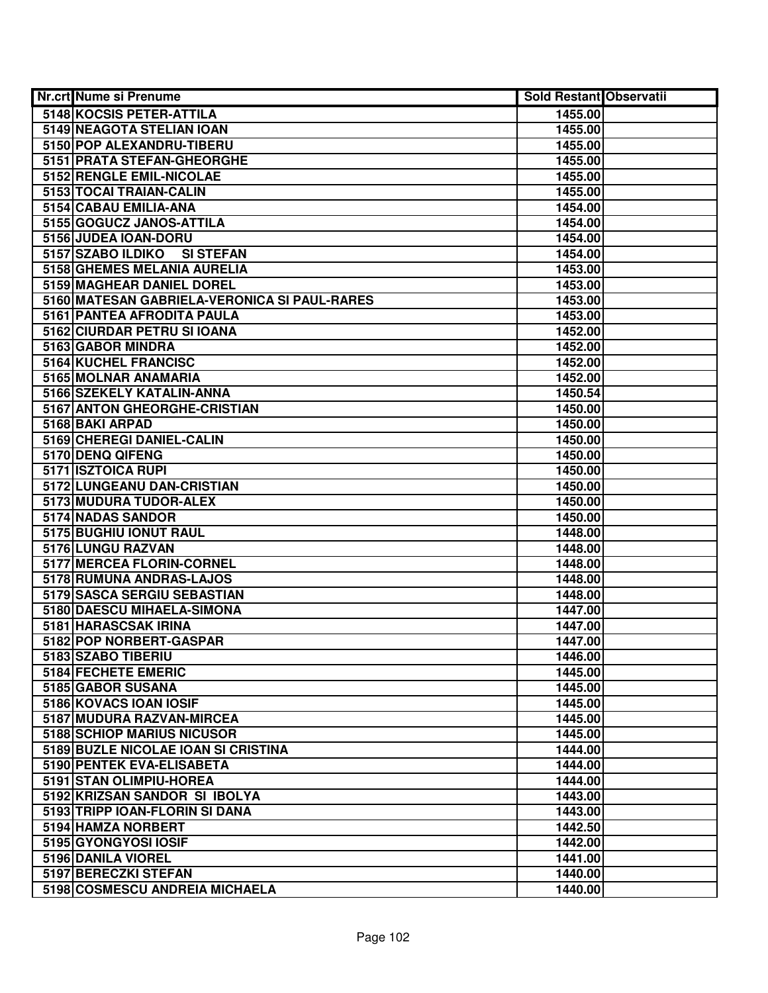| Nr.crt Nume si Prenume                                  | <b>Sold Restant Observatii</b> |  |
|---------------------------------------------------------|--------------------------------|--|
| 5148 KOCSIS PETER-ATTILA                                | 1455.00                        |  |
| 5149 NEAGOTA STELIAN IOAN                               | 1455.00                        |  |
| 5150 POP ALEXANDRU-TIBERU                               | 1455.00                        |  |
| 5151 PRATA STEFAN-GHEORGHE                              | 1455.00                        |  |
| 5152 RENGLE EMIL-NICOLAE                                | 1455.00                        |  |
| 5153 TOCAI TRAIAN-CALIN                                 | 1455.00                        |  |
| 5154 CABAU EMILIA-ANA                                   | 1454.00                        |  |
| 5155 GOGUCZ JANOS-ATTILA                                | 1454.00                        |  |
| 5156 JUDEA IOAN-DORU                                    | 1454.00                        |  |
| 5157 SZABO ILDIKO<br><b>SI STEFAN</b>                   | 1454.00                        |  |
| 5158 GHEMES MELANIA AURELIA                             | 1453.00                        |  |
| 5159 MAGHEAR DANIEL DOREL                               | 1453.00                        |  |
| 5160 MATESAN GABRIELA-VERONICA SI PAUL-RARES            | 1453.00                        |  |
| 5161 PANTEA AFRODITA PAULA                              | 1453.00                        |  |
| 5162 CIURDAR PETRU SI IOANA                             | 1452.00                        |  |
| 5163 GABOR MINDRA                                       | 1452.00                        |  |
| 5164 KUCHEL FRANCISC                                    | 1452.00                        |  |
| 5165 MOLNAR ANAMARIA                                    | 1452.00                        |  |
| 5166 SZEKELY KATALIN-ANNA                               | 1450.54                        |  |
| 5167 ANTON GHEORGHE-CRISTIAN                            | 1450.00                        |  |
| 5168 BAKI ARPAD                                         | 1450.00                        |  |
| 5169 CHEREGI DANIEL-CALIN                               | 1450.00                        |  |
| 5170 DENQ QIFENG                                        | 1450.00                        |  |
| 5171 ISZTOICA RUPI                                      | 1450.00                        |  |
| 5172 LUNGEANU DAN-CRISTIAN                              | 1450.00                        |  |
| 5173 MUDURA TUDOR-ALEX                                  | 1450.00                        |  |
| 5174 NADAS SANDOR                                       | 1450.00                        |  |
| 5175 BUGHIU IONUT RAUL                                  | 1448.00                        |  |
| 5176 LUNGU RAZVAN                                       | 1448.00                        |  |
| 5177 MERCEA FLORIN-CORNEL                               | 1448.00                        |  |
| 5178 RUMUNA ANDRAS-LAJOS<br>5179 SASCA SERGIU SEBASTIAN | 1448.00<br>1448.00             |  |
| 5180 DAESCU MIHAELA-SIMONA                              | 1447.00                        |  |
| 5181 HARASCSAK IRINA                                    | 1447.00                        |  |
| 5182 POP NORBERT-GASPAR                                 | 1447.00                        |  |
| 5183 SZABO TIBERIU                                      | 1446.00                        |  |
| 5184 FECHETE EMERIC                                     | 1445.00                        |  |
| 5185 GABOR SUSANA                                       | 1445.00                        |  |
| 5186 KOVACS IOAN IOSIF                                  | 1445.00                        |  |
| 5187 MUDURA RAZVAN-MIRCEA                               | 1445.00                        |  |
| 5188 SCHIOP MARIUS NICUSOR                              | 1445.00                        |  |
| 5189 BUZLE NICOLAE IOAN SI CRISTINA                     | 1444.00                        |  |
| 5190 PENTEK EVA-ELISABETA                               | 1444.00                        |  |
| 5191 STAN OLIMPIU-HOREA                                 | 1444.00                        |  |
| 5192 KRIZSAN SANDOR SI IBOLYA                           | 1443.00                        |  |
| 5193 TRIPP IOAN-FLORIN SI DANA                          | 1443.00                        |  |
| 5194 HAMZA NORBERT                                      | 1442.50                        |  |
| 5195 GYONGYOSI IOSIF                                    | 1442.00                        |  |
| 5196 DANILA VIOREL                                      | 1441.00                        |  |
| 5197 BERECZKI STEFAN                                    | 1440.00                        |  |
| 5198 COSMESCU ANDREIA MICHAELA                          | 1440.00                        |  |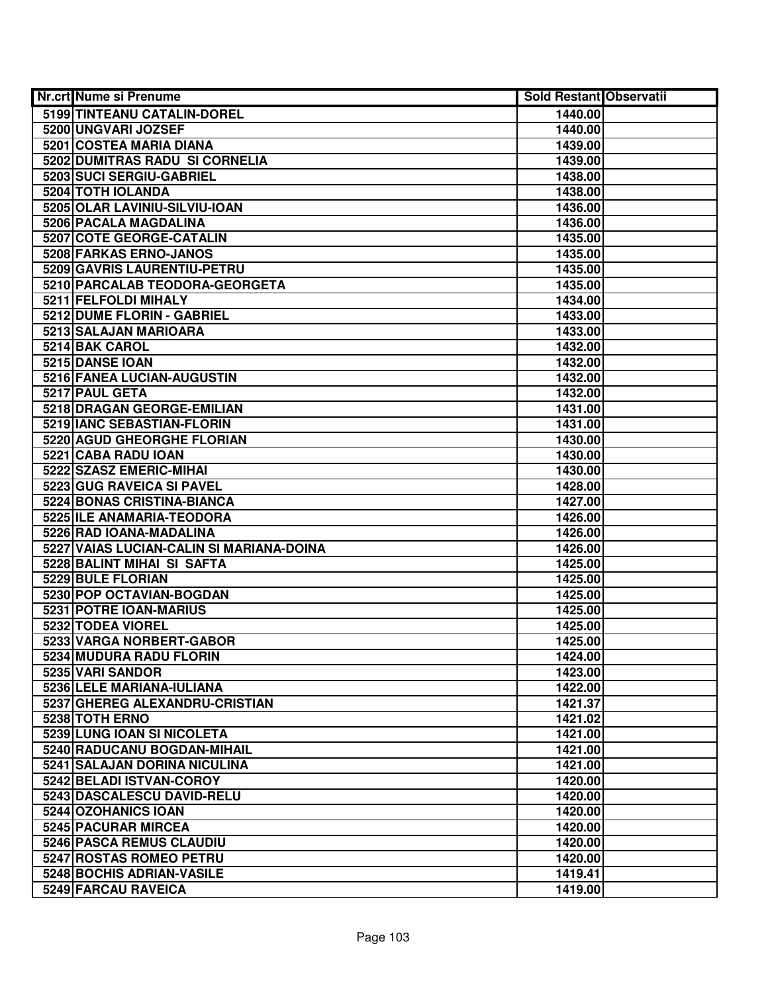| <b>Nr.crt Nume si Prenume</b>                            | <b>Sold Restant Observatii</b> |  |
|----------------------------------------------------------|--------------------------------|--|
| 5199 TINTEANU CATALIN-DOREL                              | 1440.00                        |  |
| 5200 UNGVARI JOZSEF                                      | 1440.00                        |  |
| 5201 COSTEA MARIA DIANA                                  | 1439.00                        |  |
| 5202 DUMITRAS RADU SI CORNELIA                           | 1439.00                        |  |
| 5203 SUCI SERGIU-GABRIEL                                 | 1438.00                        |  |
| 5204 TOTH IOLANDA                                        | 1438.00                        |  |
| 5205 OLAR LAVINIU-SILVIU-IOAN                            | 1436.00                        |  |
| 5206 PACALA MAGDALINA                                    | 1436.00                        |  |
| 5207 COTE GEORGE-CATALIN                                 | 1435.00                        |  |
| 5208 FARKAS ERNO-JANOS                                   | 1435.00                        |  |
| 5209 GAVRIS LAURENTIU-PETRU                              | 1435.00                        |  |
| 5210 PARCALAB TEODORA-GEORGETA                           | 1435.00                        |  |
| 5211 FELFOLDI MIHALY                                     | 1434.00                        |  |
| 5212 DUME FLORIN - GABRIEL                               | 1433.00                        |  |
| 5213 SALAJAN MARIOARA                                    | 1433.00                        |  |
| 5214 BAK CAROL                                           | 1432.00                        |  |
| 5215 DANSE IOAN                                          | 1432.00                        |  |
| 5216 FANEA LUCIAN-AUGUSTIN                               | 1432.00                        |  |
| 5217 PAUL GETA                                           | 1432.00                        |  |
| 5218 DRAGAN GEORGE-EMILIAN                               | 1431.00                        |  |
| 5219 IANC SEBASTIAN-FLORIN                               | 1431.00                        |  |
| 5220 AGUD GHEORGHE FLORIAN                               | 1430.00                        |  |
| 5221 CABA RADU IOAN                                      | 1430.00                        |  |
| 5222 SZASZ EMERIC-MIHAI                                  | 1430.00                        |  |
| 5223 GUG RAVEICA SI PAVEL                                | 1428.00                        |  |
| 5224 BONAS CRISTINA-BIANCA                               | 1427.00                        |  |
| 5225 ILE ANAMARIA-TEODORA                                | 1426.00                        |  |
| 5226 RAD IOANA-MADALINA                                  | 1426.00                        |  |
| 5227 VAIAS LUCIAN-CALIN SI MARIANA-DOINA                 | 1426.00                        |  |
| 5228 BALINT MIHAI SI SAFTA                               | 1425.00                        |  |
| 5229 BULE FLORIAN                                        | 1425.00                        |  |
| 5230 POP OCTAVIAN-BOGDAN                                 | 1425.00                        |  |
| 5231 POTRE IOAN-MARIUS                                   | 1425.00                        |  |
| 5232 TODEA VIOREL                                        | 1425.00                        |  |
| 5233 VARGA NORBERT-GABOR                                 | 1425.00                        |  |
| 5234 MUDURA RADU FLORIN                                  | 1424.00                        |  |
| 5235 VARI SANDOR                                         | 1423.00                        |  |
| 5236 LELE MARIANA-IULIANA                                | 1422.00                        |  |
| 5237 GHEREG ALEXANDRU-CRISTIAN                           | 1421.37                        |  |
| 5238 TOTH ERNO                                           | 1421.02                        |  |
| 5239 LUNG IOAN SI NICOLETA                               | 1421.00                        |  |
| 5240 RADUCANU BOGDAN-MIHAIL                              | 1421.00                        |  |
| 5241 SALAJAN DORINA NICULINA<br>5242 BELADI ISTVAN-COROY | 1421.00                        |  |
| 5243 DASCALESCU DAVID-RELU                               | 1420.00                        |  |
| 5244 OZOHANICS IOAN                                      | 1420.00<br>1420.00             |  |
| 5245 PACURAR MIRCEA                                      | 1420.00                        |  |
| 5246 PASCA REMUS CLAUDIU                                 | 1420.00                        |  |
| 5247 ROSTAS ROMEO PETRU                                  | 1420.00                        |  |
| 5248 BOCHIS ADRIAN-VASILE                                | 1419.41                        |  |
| 5249 FARCAU RAVEICA                                      | 1419.00                        |  |
|                                                          |                                |  |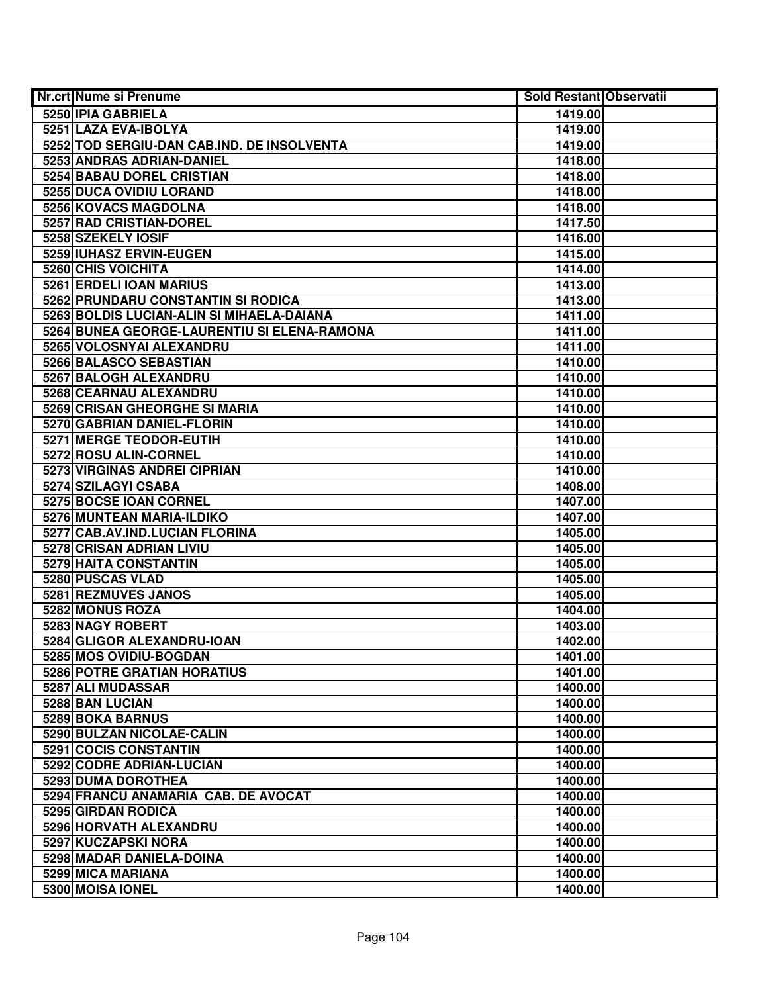| <b>Nr.crt Nume si Prenume</b>               | Sold Restant Observatii |  |
|---------------------------------------------|-------------------------|--|
| 5250 IPIA GABRIELA                          | 1419.00                 |  |
| 5251 LAZA EVA-IBOLYA                        | 1419.00                 |  |
| 5252 TOD SERGIU-DAN CAB.IND. DE INSOLVENTA  | 1419.00                 |  |
| 5253 ANDRAS ADRIAN-DANIEL                   | 1418.00                 |  |
| 5254 BABAU DOREL CRISTIAN                   | 1418.00                 |  |
| 5255 DUCA OVIDIU LORAND                     | 1418.00                 |  |
| 5256 KOVACS MAGDOLNA                        | 1418.00                 |  |
| 5257 RAD CRISTIAN-DOREL                     | 1417.50                 |  |
| 5258 SZEKELY IOSIF                          | 1416.00                 |  |
| 5259 IUHASZ ERVIN-EUGEN                     | 1415.00                 |  |
| <b>5260 CHIS VOICHITA</b>                   | 1414.00                 |  |
| 5261 ERDELI IOAN MARIUS                     | 1413.00                 |  |
| 5262 PRUNDARU CONSTANTIN SI RODICA          | 1413.00                 |  |
| 5263 BOLDIS LUCIAN-ALIN SI MIHAELA-DAIANA   | 1411.00                 |  |
| 5264 BUNEA GEORGE-LAURENTIU SI ELENA-RAMONA | 1411.00                 |  |
| 5265 VOLOSNYAI ALEXANDRU                    | 1411.00                 |  |
| 5266 BALASCO SEBASTIAN                      | 1410.00                 |  |
| 5267 BALOGH ALEXANDRU                       | 1410.00                 |  |
| 5268 CEARNAU ALEXANDRU                      | 1410.00                 |  |
| 5269 CRISAN GHEORGHE SI MARIA               | 1410.00                 |  |
| 5270 GABRIAN DANIEL-FLORIN                  | 1410.00                 |  |
| 5271 MERGE TEODOR-EUTIH                     | 1410.00                 |  |
| 5272 ROSU ALIN-CORNEL                       | 1410.00                 |  |
| 5273 VIRGINAS ANDREI CIPRIAN                | 1410.00                 |  |
| 5274 SZILAGYI CSABA                         | 1408.00                 |  |
| 5275 BOCSE IOAN CORNEL                      | 1407.00                 |  |
| 5276 MUNTEAN MARIA-ILDIKO                   | 1407.00                 |  |
| 5277 CAB.AV.IND.LUCIAN FLORINA              | 1405.00                 |  |
| 5278 CRISAN ADRIAN LIVIU                    | 1405.00                 |  |
| 5279 HAITA CONSTANTIN                       | 1405.00                 |  |
| 5280 PUSCAS VLAD                            | 1405.00                 |  |
| 5281 REZMUVES JANOS                         | 1405.00                 |  |
| 5282 MONUS ROZA                             | 1404.00                 |  |
| <b>5283 NAGY ROBERT</b>                     | 1403.00                 |  |
| 5284 GLIGOR ALEXANDRU-IOAN                  | 1402.00                 |  |
| 5285 MOS OVIDIU-BOGDAN                      | 1401.00                 |  |
| <b>5286 POTRE GRATIAN HORATIUS</b>          | 1401.00                 |  |
| 5287 ALI MUDASSAR                           | 1400.00                 |  |
| 5288 BAN LUCIAN                             | 1400.00                 |  |
| 5289 BOKA BARNUS                            | 1400.00                 |  |
| 5290 BULZAN NICOLAE-CALIN                   | 1400.00                 |  |
| 5291 COCIS CONSTANTIN                       | 1400.00                 |  |
| 5292 CODRE ADRIAN-LUCIAN                    | 1400.00                 |  |
| 5293 DUMA DOROTHEA                          | 1400.00                 |  |
| 5294 FRANCU ANAMARIA CAB. DE AVOCAT         | 1400.00                 |  |
| 5295 GIRDAN RODICA                          | 1400.00                 |  |
| 5296 HORVATH ALEXANDRU                      | 1400.00                 |  |
| 5297 KUCZAPSKI NORA                         | 1400.00                 |  |
| 5298 MADAR DANIELA-DOINA                    | 1400.00                 |  |
| 5299 MICA MARIANA                           | 1400.00                 |  |
| 5300 MOISA IONEL                            | 1400.00                 |  |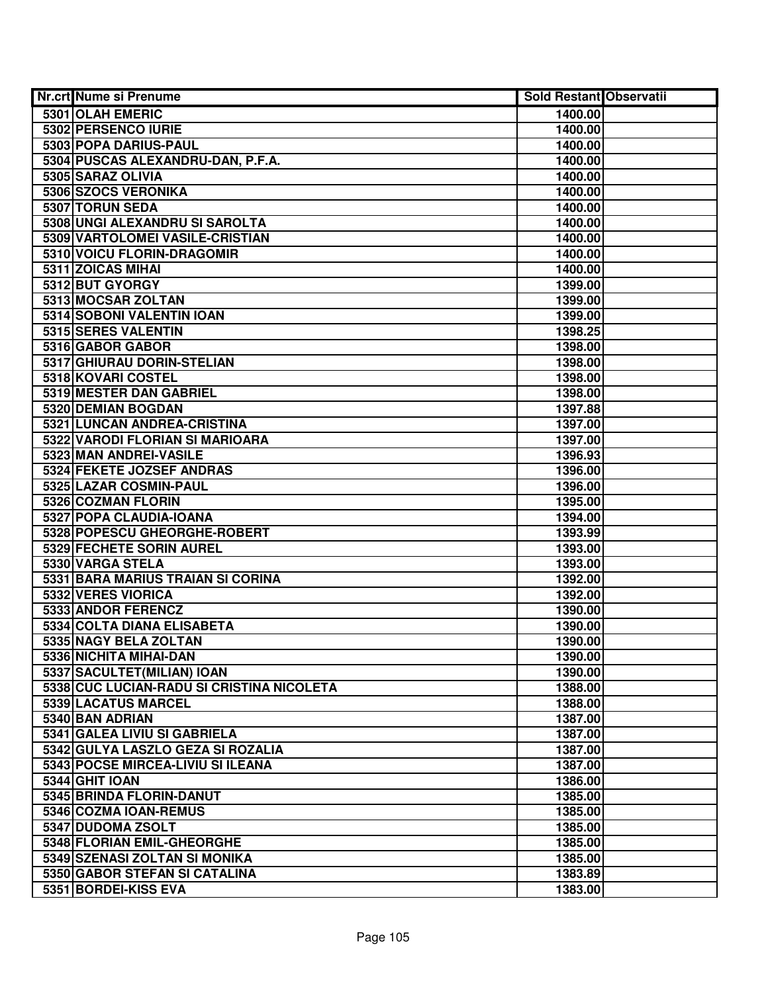| Nr.crt Nume si Prenume                    | Sold Restant Observatii |  |
|-------------------------------------------|-------------------------|--|
| 5301 OLAH EMERIC                          | 1400.00                 |  |
| 5302 PERSENCO IURIE                       | 1400.00                 |  |
| 5303 POPA DARIUS-PAUL                     | 1400.00                 |  |
| 5304 PUSCAS ALEXANDRU-DAN, P.F.A.         | 1400.00                 |  |
| 5305 SARAZ OLIVIA                         | 1400.00                 |  |
| 5306 SZOCS VERONIKA                       | 1400.00                 |  |
| 5307 TORUN SEDA                           | 1400.00                 |  |
| 5308 UNGI ALEXANDRU SI SAROLTA            | 1400.00                 |  |
| 5309 VARTOLOMEI VASILE-CRISTIAN           | 1400.00                 |  |
| 5310 VOICU FLORIN-DRAGOMIR                | 1400.00                 |  |
| 5311 ZOICAS MIHAI                         | 1400.00                 |  |
| 5312 BUT GYORGY                           | 1399.00                 |  |
| 5313 MOCSAR ZOLTAN                        | 1399.00                 |  |
| 5314 SOBONI VALENTIN IOAN                 | 1399.00                 |  |
| 5315 SERES VALENTIN                       | 1398.25                 |  |
| 5316 GABOR GABOR                          | 1398.00                 |  |
| 5317 GHIURAU DORIN-STELIAN                | 1398.00                 |  |
| 5318 KOVARI COSTEL                        | 1398.00                 |  |
| 5319 MESTER DAN GABRIEL                   | 1398.00                 |  |
| 5320 DEMIAN BOGDAN                        | 1397.88                 |  |
| 5321 LUNCAN ANDREA-CRISTINA               | 1397.00                 |  |
| 5322 VARODI FLORIAN SI MARIOARA           | 1397.00                 |  |
| 5323 MAN ANDREI-VASILE                    | 1396.93                 |  |
| 5324 FEKETE JOZSEF ANDRAS                 | 1396.00                 |  |
| 5325 LAZAR COSMIN-PAUL                    | 1396.00                 |  |
| 5326 COZMAN FLORIN                        | 1395.00                 |  |
| 5327 POPA CLAUDIA-IOANA                   | 1394.00                 |  |
| 5328 POPESCU GHEORGHE-ROBERT              | 1393.99                 |  |
| 5329 FECHETE SORIN AUREL                  | 1393.00                 |  |
| 5330 VARGA STELA                          | 1393.00                 |  |
| 5331 BARA MARIUS TRAIAN SI CORINA         | 1392.00                 |  |
| 5332 VERES VIORICA                        | 1392.00                 |  |
| 5333 ANDOR FERENCZ                        | 1390.00                 |  |
| 5334 COLTA DIANA ELISABETA                | 1390.00                 |  |
| 5335 NAGY BELA ZOLTAN                     | 1390.00                 |  |
| 5336 NICHITA MIHAI-DAN                    | 1390.00                 |  |
| 5337 SACULTET(MILIAN) IOAN                | 1390.00                 |  |
| 5338 CUC LUCIAN-RADU SI CRISTINA NICOLETA | 1388.00                 |  |
| 5339 LACATUS MARCEL                       | 1388.00                 |  |
| 5340 BAN ADRIAN                           | 1387.00                 |  |
| 5341 GALEA LIVIU SI GABRIELA              | 1387.00                 |  |
| 5342 GULYA LASZLO GEZA SI ROZALIA         | 1387.00                 |  |
| 5343 POCSE MIRCEA-LIVIU SI ILEANA         | 1387.00                 |  |
| <b>5344 GHIT IOAN</b>                     | 1386.00                 |  |
| 5345 BRINDA FLORIN-DANUT                  | 1385.00                 |  |
| 5346 COZMA IOAN-REMUS                     | 1385.00                 |  |
| 5347 DUDOMA ZSOLT                         | 1385.00                 |  |
| 5348 FLORIAN EMIL-GHEORGHE                | 1385.00                 |  |
| 5349 SZENASI ZOLTAN SI MONIKA             | 1385.00                 |  |
| 5350 GABOR STEFAN SI CATALINA             | 1383.89                 |  |
| 5351 BORDEI-KISS EVA                      | 1383.00                 |  |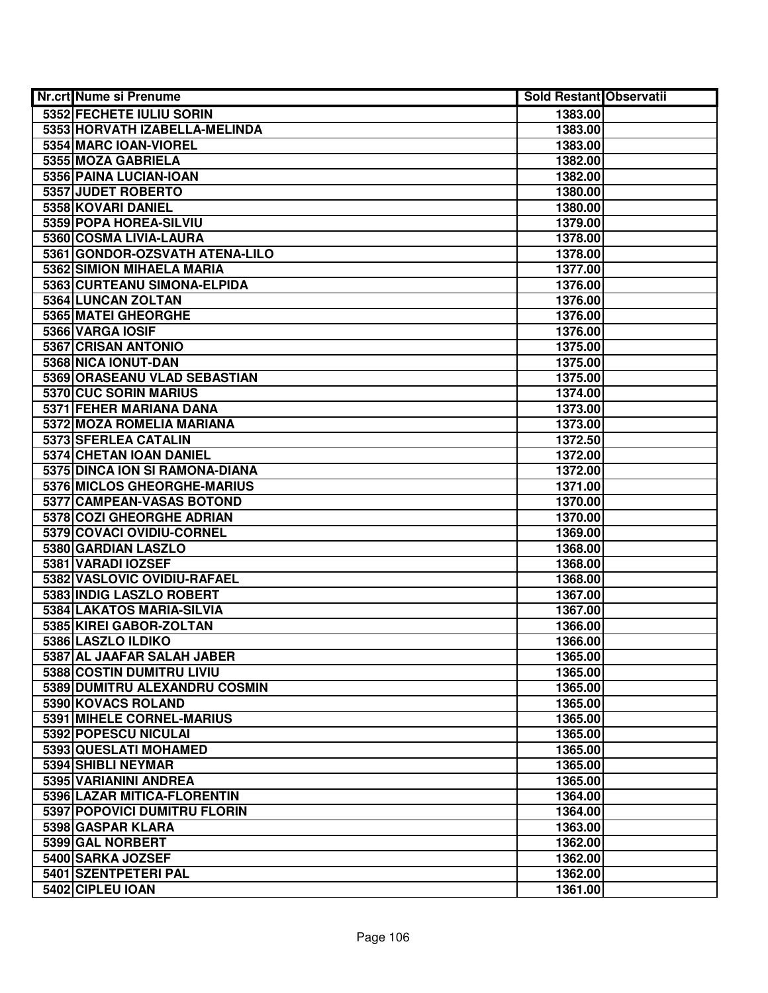| <b>Nr.crt Nume si Prenume</b>  | <b>Sold Restant Observatii</b> |  |
|--------------------------------|--------------------------------|--|
| 5352 FECHETE IULIU SORIN       | 1383.00                        |  |
| 5353 HORVATH IZABELLA-MELINDA  | 1383.00                        |  |
| 5354 MARC IOAN-VIOREL          | 1383.00                        |  |
| 5355 MOZA GABRIELA             | 1382.00                        |  |
| 5356 PAINA LUCIAN-IOAN         | 1382.00                        |  |
| 5357 JUDET ROBERTO             | 1380.00                        |  |
| 5358 KOVARI DANIEL             | 1380.00                        |  |
| 5359 POPA HOREA-SILVIU         | 1379.00                        |  |
| 5360 COSMA LIVIA-LAURA         | 1378.00                        |  |
| 5361 GONDOR-OZSVATH ATENA-LILO | 1378.00                        |  |
| 5362 SIMION MIHAELA MARIA      | 1377.00                        |  |
| 5363 CURTEANU SIMONA-ELPIDA    | 1376.00                        |  |
| 5364 LUNCAN ZOLTAN             | 1376.00                        |  |
| 5365 MATEI GHEORGHE            | 1376.00                        |  |
| 5366 VARGA IOSIF               | 1376.00                        |  |
| 5367 CRISAN ANTONIO            | 1375.00                        |  |
| 5368 NICA IONUT-DAN            | 1375.00                        |  |
| 5369 ORASEANU VLAD SEBASTIAN   | 1375.00                        |  |
| 5370 CUC SORIN MARIUS          | 1374.00                        |  |
| 5371 FEHER MARIANA DANA        | 1373.00                        |  |
| 5372 MOZA ROMELIA MARIANA      | 1373.00                        |  |
| 5373 SFERLEA CATALIN           | 1372.50                        |  |
| 5374 CHETAN IOAN DANIEL        | 1372.00                        |  |
| 5375 DINCA ION SI RAMONA-DIANA | 1372.00                        |  |
| 5376 MICLOS GHEORGHE-MARIUS    | 1371.00                        |  |
| 5377 CAMPEAN-VASAS BOTOND      | 1370.00                        |  |
| 5378 COZI GHEORGHE ADRIAN      | 1370.00                        |  |
| 5379 COVACI OVIDIU-CORNEL      | 1369.00                        |  |
| 5380 GARDIAN LASZLO            | 1368.00                        |  |
| 5381 VARADI IOZSEF             | 1368.00                        |  |
| 5382 VASLOVIC OVIDIU-RAFAEL    | 1368.00                        |  |
| 5383 INDIG LASZLO ROBERT       | 1367.00                        |  |
| 5384 LAKATOS MARIA-SILVIA      | 1367.00                        |  |
| 5385 KIREI GABOR-ZOLTAN        | 1366.00                        |  |
| 5386 LASZLO ILDIKO             | 1366.00                        |  |
| 5387 AL JAAFAR SALAH JABER     | 1365.00                        |  |
| 5388 COSTIN DUMITRU LIVIU      | 1365.00                        |  |
| 5389 DUMITRU ALEXANDRU COSMIN  | 1365.00                        |  |
| 5390 KOVACS ROLAND             | 1365.00                        |  |
| 5391 MIHELE CORNEL-MARIUS      | 1365.00                        |  |
| 5392 POPESCU NICULAI           | 1365.00                        |  |
| 5393 QUESLATI MOHAMED          | 1365.00                        |  |
| 5394 SHIBLI NEYMAR             | 1365.00                        |  |
| 5395 VARIANINI ANDREA          | 1365.00                        |  |
| 5396 LAZAR MITICA-FLORENTIN    | 1364.00                        |  |
| 5397 POPOVICI DUMITRU FLORIN   | 1364.00                        |  |
| 5398 GASPAR KLARA              | 1363.00                        |  |
| 5399 GAL NORBERT               | 1362.00                        |  |
| 5400 SARKA JOZSEF              | 1362.00                        |  |
| 5401 SZENTPETERI PAL           | 1362.00                        |  |
| 5402 CIPLEU IOAN               | 1361.00                        |  |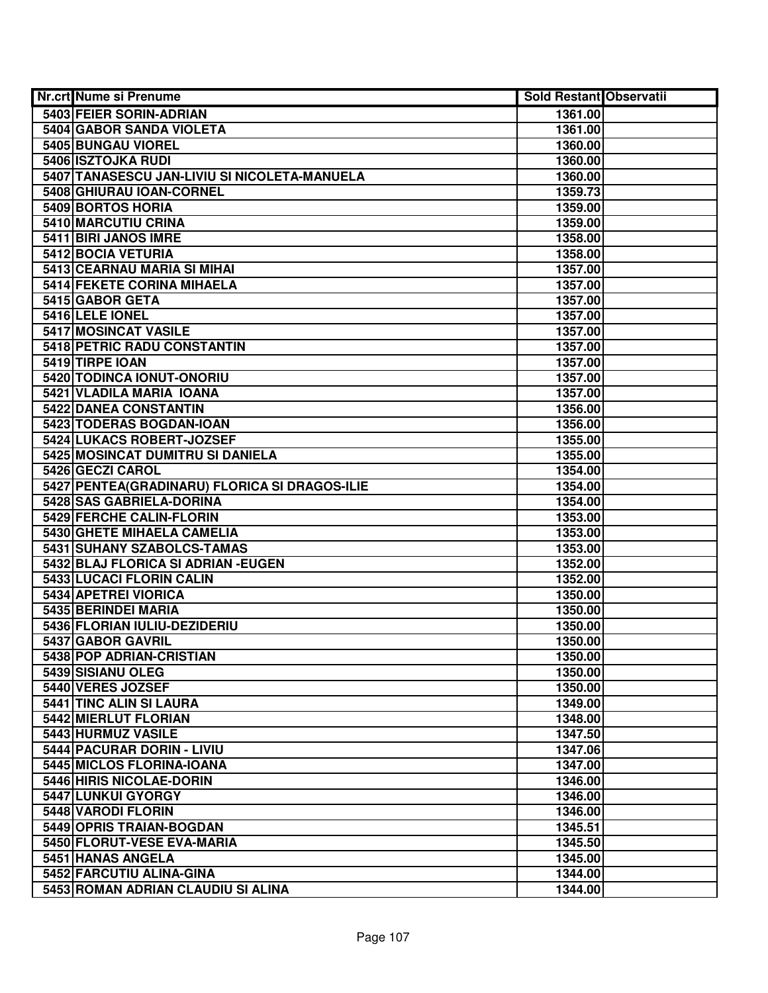| Nr.crt Nume si Prenume                         | <b>Sold Restant Observatii</b> |  |
|------------------------------------------------|--------------------------------|--|
| 5403 FEIER SORIN-ADRIAN                        | 1361.00                        |  |
| 5404 GABOR SANDA VIOLETA                       | 1361.00                        |  |
| 5405 BUNGAU VIOREL                             | 1360.00                        |  |
| 5406 ISZTOJKA RUDI                             | 1360.00                        |  |
| 5407 TANASESCU JAN-LIVIU SI NICOLETA-MANUELA   | 1360.00                        |  |
| 5408 GHIURAU IOAN-CORNEL                       | 1359.73                        |  |
| 5409 BORTOS HORIA                              | 1359.00                        |  |
| 5410 MARCUTIU CRINA                            | 1359.00                        |  |
| 5411 BIRI JANOS IMRE                           | 1358.00                        |  |
| 5412 BOCIA VETURIA                             | 1358.00                        |  |
| 5413 CEARNAU MARIA SI MIHAI                    | 1357.00                        |  |
| 5414 FEKETE CORINA MIHAELA                     | 1357.00                        |  |
| 5415 GABOR GETA                                | 1357.00                        |  |
| 5416 LELE IONEL                                | 1357.00                        |  |
| 5417 MOSINCAT VASILE                           | 1357.00                        |  |
| 5418 PETRIC RADU CONSTANTIN                    | 1357.00                        |  |
| 5419 TIRPE IOAN                                | 1357.00                        |  |
| 5420 TODINCA IONUT-ONORIU                      | 1357.00                        |  |
| 5421 VLADILA MARIA IOANA                       | 1357.00                        |  |
| 5422 DANEA CONSTANTIN                          | 1356.00                        |  |
| 5423 TODERAS BOGDAN-IOAN                       | 1356.00                        |  |
| 5424 LUKACS ROBERT-JOZSEF                      | 1355.00                        |  |
| 5425 MOSINCAT DUMITRU SI DANIELA               | 1355.00                        |  |
| 5426 GECZI CAROL                               | 1354.00                        |  |
| 5427 PENTEA (GRADINARU) FLORICA SI DRAGOS-ILIE | 1354.00                        |  |
| 5428 SAS GABRIELA-DORINA                       | 1354.00                        |  |
| 5429 FERCHE CALIN-FLORIN                       | 1353.00                        |  |
| 5430 GHETE MIHAELA CAMELIA                     | 1353.00                        |  |
| 5431 SUHANY SZABOLCS-TAMAS                     | 1353.00                        |  |
| 5432 BLAJ FLORICA SI ADRIAN - EUGEN            | 1352.00                        |  |
| 5433 LUCACI FLORIN CALIN                       | 1352.00                        |  |
| 5434 APETREI VIORICA                           | 1350.00                        |  |
| 5435 BERINDEI MARIA                            | 1350.00                        |  |
| 5436 FLORIAN IULIU-DEZIDERIU                   | 1350.00                        |  |
| 5437 GABOR GAVRIL                              | 1350.00                        |  |
| 5438 POP ADRIAN-CRISTIAN                       | 1350.00                        |  |
| 5439 SISIANU OLEG                              | 1350.00                        |  |
| 5440 VERES JOZSEF                              | 1350.00                        |  |
| 5441 TINC ALIN SI LAURA                        | 1349.00                        |  |
| 5442 MIERLUT FLORIAN                           | 1348.00                        |  |
| 5443 HURMUZ VASILE                             | 1347.50                        |  |
| 5444 PACURAR DORIN - LIVIU                     | 1347.06                        |  |
| 5445 MICLOS FLORINA-IOANA                      | 1347.00                        |  |
| 5446 HIRIS NICOLAE-DORIN                       | 1346.00                        |  |
| 5447 LUNKUI GYORGY                             | 1346.00                        |  |
| 5448 VARODI FLORIN                             | 1346.00                        |  |
| 5449 OPRIS TRAIAN-BOGDAN                       | 1345.51                        |  |
| 5450 FLORUT-VESE EVA-MARIA                     | 1345.50                        |  |
| 5451 HANAS ANGELA                              | 1345.00                        |  |
| 5452 FARCUTIU ALINA-GINA                       | 1344.00                        |  |
| 5453 ROMAN ADRIAN CLAUDIU SI ALINA             | 1344.00                        |  |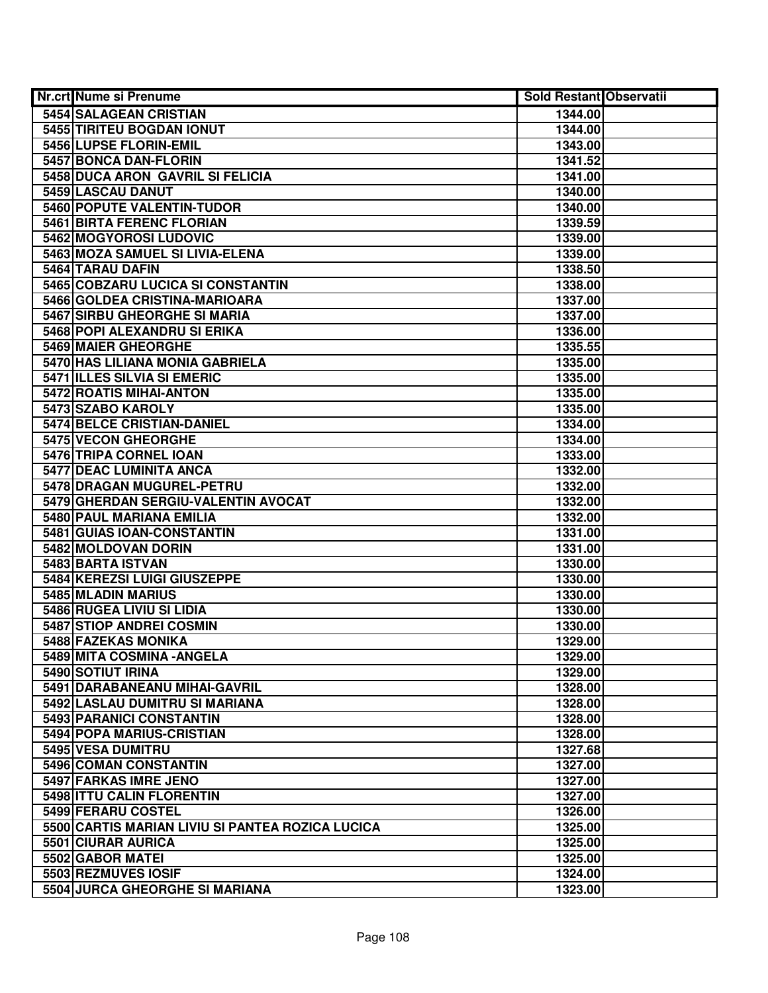| <b>Nr.crt Nume si Prenume</b>                    | <b>Sold Restant Observatii</b> |  |
|--------------------------------------------------|--------------------------------|--|
| 5454 SALAGEAN CRISTIAN                           | 1344.00                        |  |
| 5455 TIRITEU BOGDAN IONUT                        | 1344.00                        |  |
| 5456 LUPSE FLORIN-EMIL                           | 1343.00                        |  |
| 5457 BONCA DAN-FLORIN                            | 1341.52                        |  |
| 5458 DUCA ARON GAVRIL SI FELICIA                 | 1341.00                        |  |
| 5459 LASCAU DANUT                                | 1340.00                        |  |
| 5460 POPUTE VALENTIN-TUDOR                       | 1340.00                        |  |
| 5461 BIRTA FERENC FLORIAN                        | 1339.59                        |  |
| 5462 MOGYOROSI LUDOVIC                           | 1339.00                        |  |
| 5463 MOZA SAMUEL SI LIVIA-ELENA                  | 1339.00                        |  |
| 5464 TARAU DAFIN                                 | 1338.50                        |  |
| 5465 COBZARU LUCICA SI CONSTANTIN                | 1338.00                        |  |
| 5466 GOLDEA CRISTINA-MARIOARA                    | 1337.00                        |  |
| 5467 SIRBU GHEORGHE SI MARIA                     | 1337.00                        |  |
| 5468 POPI ALEXANDRU SI ERIKA                     | 1336.00                        |  |
| 5469 MAIER GHEORGHE                              | 1335.55                        |  |
| 5470 HAS LILIANA MONIA GABRIELA                  | 1335.00                        |  |
| 5471 ILLES SILVIA SI EMERIC                      | 1335.00                        |  |
| 5472 ROATIS MIHAI-ANTON                          | 1335.00                        |  |
| 5473 SZABO KAROLY                                | 1335.00                        |  |
| 5474 BELCE CRISTIAN-DANIEL                       | 1334.00                        |  |
| 5475 VECON GHEORGHE                              | 1334.00                        |  |
| 5476 TRIPA CORNEL IOAN                           | 1333.00                        |  |
| 5477 DEAC LUMINITA ANCA                          | 1332.00                        |  |
| 5478 DRAGAN MUGUREL-PETRU                        | 1332.00                        |  |
| 5479 GHERDAN SERGIU-VALENTIN AVOCAT              | 1332.00                        |  |
| 5480 PAUL MARIANA EMILIA                         | 1332.00                        |  |
| 5481 GUIAS IOAN-CONSTANTIN                       | 1331.00                        |  |
| 5482 MOLDOVAN DORIN                              | 1331.00                        |  |
| 5483 BARTA ISTVAN                                | 1330.00                        |  |
| 5484 KEREZSI LUIGI GIUSZEPPE                     | 1330.00                        |  |
| 5485 MLADIN MARIUS                               | 1330.00                        |  |
| 5486 RUGEA LIVIU SI LIDIA                        | 1330.00                        |  |
| 5487 STIOP ANDREI COSMIN                         | 1330.00                        |  |
| 5488 FAZEKAS MONIKA                              | 1329.00                        |  |
| 5489 MITA COSMINA - ANGELA                       | 1329.00                        |  |
| 5490 SOTIUT IRINA                                | 1329.00                        |  |
| 5491 DARABANEANU MIHAI-GAVRIL                    | 1328.00                        |  |
| 5492 LASLAU DUMITRU SI MARIANA                   | 1328.00                        |  |
| 5493 PARANICI CONSTANTIN                         | 1328.00                        |  |
| 5494 POPA MARIUS-CRISTIAN                        | 1328.00                        |  |
| 5495 VESA DUMITRU                                | 1327.68                        |  |
| 5496 COMAN CONSTANTIN                            | 1327.00                        |  |
| 5497 FARKAS IMRE JENO                            | 1327.00                        |  |
| 5498 ITTU CALIN FLORENTIN                        | 1327.00                        |  |
| 5499 FERARU COSTEL                               | 1326.00                        |  |
| 5500 CARTIS MARIAN LIVIU SI PANTEA ROZICA LUCICA | 1325.00                        |  |
| 5501 CIURAR AURICA                               | 1325.00                        |  |
| 5502 GABOR MATEI                                 | 1325.00                        |  |
| 5503 REZMUVES IOSIF                              | 1324.00                        |  |
| 5504 JURCA GHEORGHE SI MARIANA                   | 1323.00                        |  |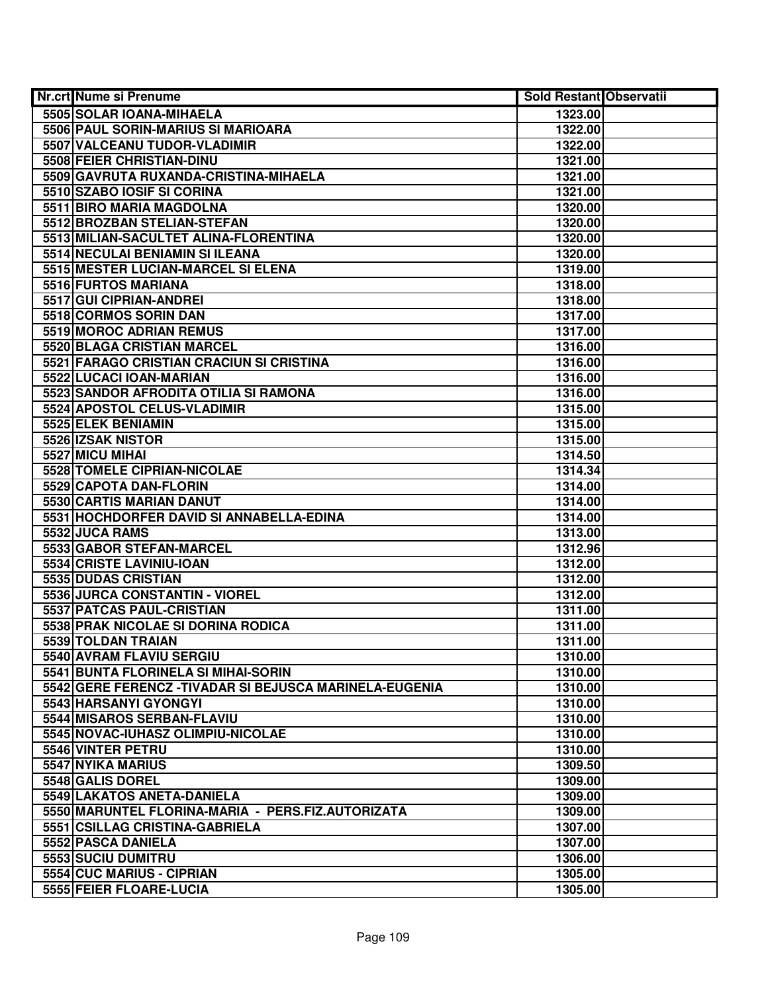| Nr.crt Nume si Prenume                                  |         | <b>Sold Restant Observatii</b> |
|---------------------------------------------------------|---------|--------------------------------|
| 5505 SOLAR IOANA-MIHAELA                                | 1323.00 |                                |
| 5506 PAUL SORIN-MARIUS SI MARIOARA                      | 1322.00 |                                |
| 5507 VALCEANU TUDOR-VLADIMIR                            | 1322.00 |                                |
| 5508 FEIER CHRISTIAN-DINU                               | 1321.00 |                                |
| 5509 GAVRUTA RUXANDA-CRISTINA-MIHAELA                   | 1321.00 |                                |
| 5510 SZABO IOSIF SI CORINA                              | 1321.00 |                                |
| 5511 BIRO MARIA MAGDOLNA                                | 1320.00 |                                |
| 5512 BROZBAN STELIAN-STEFAN                             | 1320.00 |                                |
| 5513 MILIAN-SACULTET ALINA-FLORENTINA                   | 1320.00 |                                |
| 5514 NECULAI BENIAMIN SI ILEANA                         | 1320.00 |                                |
| 5515 MESTER LUCIAN-MARCEL SI ELENA                      | 1319.00 |                                |
| 5516 FURTOS MARIANA                                     | 1318.00 |                                |
| 5517 GUI CIPRIAN-ANDREI                                 | 1318.00 |                                |
| 5518 CORMOS SORIN DAN                                   | 1317.00 |                                |
| 5519 MOROC ADRIAN REMUS                                 | 1317.00 |                                |
| 5520 BLAGA CRISTIAN MARCEL                              | 1316.00 |                                |
| 5521 FARAGO CRISTIAN CRACIUN SI CRISTINA                | 1316.00 |                                |
| 5522 LUCACI IOAN-MARIAN                                 | 1316.00 |                                |
| 5523 SANDOR AFRODITA OTILIA SI RAMONA                   | 1316.00 |                                |
| 5524 APOSTOL CELUS-VLADIMIR                             | 1315.00 |                                |
| 5525 ELEK BENIAMIN                                      | 1315.00 |                                |
| 5526 IZSAK NISTOR                                       | 1315.00 |                                |
| 5527 MICU MIHAI                                         | 1314.50 |                                |
| 5528 TOMELE CIPRIAN-NICOLAE                             | 1314.34 |                                |
| 5529 CAPOTA DAN-FLORIN                                  | 1314.00 |                                |
| 5530 CARTIS MARIAN DANUT                                | 1314.00 |                                |
| 5531 HOCHDORFER DAVID SI ANNABELLA-EDINA                | 1314.00 |                                |
| 5532 JUCA RAMS                                          | 1313.00 |                                |
| 5533 GABOR STEFAN-MARCEL                                | 1312.96 |                                |
| 5534 CRISTE LAVINIU-IOAN                                | 1312.00 |                                |
| 5535 DUDAS CRISTIAN                                     | 1312.00 |                                |
| 5536 JURCA CONSTANTIN - VIOREL                          | 1312.00 |                                |
| 5537 PATCAS PAUL-CRISTIAN                               | 1311.00 |                                |
| 5538 PRAK NICOLAE SI DORINA RODICA                      | 1311.00 |                                |
| 5539 TOLDAN TRAIAN                                      | 1311.00 |                                |
| 5540 AVRAM FLAVIU SERGIU                                | 1310.00 |                                |
| 5541 BUNTA FLORINELA SI MIHAI-SORIN                     | 1310.00 |                                |
| 5542 GERE FERENCZ - TIVADAR SI BEJUSCA MARINELA-EUGENIA | 1310.00 |                                |
| 5543 HARSANYI GYONGYI                                   | 1310.00 |                                |
| 5544 MISAROS SERBAN-FLAVIU                              | 1310.00 |                                |
| 5545 NOVAC-IUHASZ OLIMPIU-NICOLAE                       | 1310.00 |                                |
| 5546 VINTER PETRU                                       | 1310.00 |                                |
| 5547 NYIKA MARIUS                                       | 1309.50 |                                |
| 5548 GALIS DOREL                                        | 1309.00 |                                |
| 5549 LAKATOS ANETA-DANIELA                              | 1309.00 |                                |
| 5550 MARUNTEL FLORINA-MARIA - PERS.FIZ.AUTORIZATA       | 1309.00 |                                |
| 5551 CSILLAG CRISTINA-GABRIELA                          | 1307.00 |                                |
| 5552 PASCA DANIELA                                      | 1307.00 |                                |
| 5553 SUCIU DUMITRU                                      | 1306.00 |                                |
| 5554 CUC MARIUS - CIPRIAN                               | 1305.00 |                                |
| 5555 FEIER FLOARE-LUCIA                                 | 1305.00 |                                |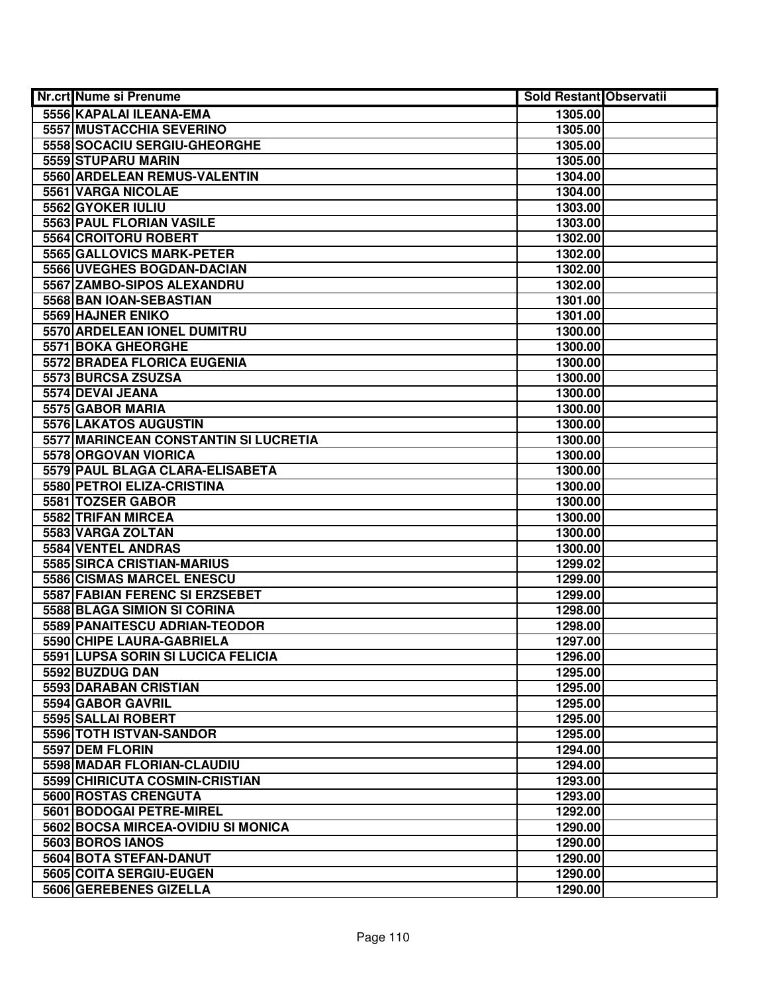| Nr.crt Nume si Prenume                | <b>Sold Restant Observatii</b> |  |
|---------------------------------------|--------------------------------|--|
| 5556 KAPALAI ILEANA-EMA               | 1305.00                        |  |
| <b>5557 MUSTACCHIA SEVERINO</b>       | 1305.00                        |  |
| 5558 SOCACIU SERGIU-GHEORGHE          | 1305.00                        |  |
| 5559 STUPARU MARIN                    | 1305.00                        |  |
| 5560 ARDELEAN REMUS-VALENTIN          | 1304.00                        |  |
| 5561 VARGA NICOLAE                    | 1304.00                        |  |
| 5562 GYOKER IULIU                     | 1303.00                        |  |
| 5563 PAUL FLORIAN VASILE              | 1303.00                        |  |
| 5564 CROITORU ROBERT                  | 1302.00                        |  |
| 5565 GALLOVICS MARK-PETER             | 1302.00                        |  |
| 5566 UVEGHES BOGDAN-DACIAN            | 1302.00                        |  |
| 5567 ZAMBO-SIPOS ALEXANDRU            | 1302.00                        |  |
| 5568 BAN IOAN-SEBASTIAN               | 1301.00                        |  |
| 5569 HAJNER ENIKO                     | 1301.00                        |  |
| 5570 ARDELEAN IONEL DUMITRU           | 1300.00                        |  |
| 5571 BOKA GHEORGHE                    | 1300.00                        |  |
| 5572 BRADEA FLORICA EUGENIA           | 1300.00                        |  |
| 5573 BURCSA ZSUZSA                    | 1300.00                        |  |
| 5574 DEVAI JEANA                      | 1300.00                        |  |
| 5575 GABOR MARIA                      | 1300.00                        |  |
| 5576 LAKATOS AUGUSTIN                 | 1300.00                        |  |
| 5577 MARINCEAN CONSTANTIN SI LUCRETIA | 1300.00                        |  |
| 5578 ORGOVAN VIORICA                  | 1300.00                        |  |
| 5579 PAUL BLAGA CLARA-ELISABETA       | 1300.00                        |  |
| 5580 PETROI ELIZA-CRISTINA            | 1300.00                        |  |
| 5581 TOZSER GABOR                     | 1300.00                        |  |
| 5582 TRIFAN MIRCEA                    | 1300.00                        |  |
| 5583 VARGA ZOLTAN                     | 1300.00                        |  |
| 5584 VENTEL ANDRAS                    | 1300.00                        |  |
| 5585 SIRCA CRISTIAN-MARIUS            | 1299.02                        |  |
| 5586 CISMAS MARCEL ENESCU             | 1299.00                        |  |
| 5587 FABIAN FERENC SI ERZSEBET        | 1299.00                        |  |
| 5588 BLAGA SIMION SI CORINA           | 1298.00                        |  |
| 5589 PANAITESCU ADRIAN-TEODOR         | 1298.00                        |  |
| 5590 CHIPE LAURA-GABRIELA             | 1297.00                        |  |
| 5591 LUPSA SORIN SI LUCICA FELICIA    | 1296.00                        |  |
| 5592 BUZDUG DAN                       | 1295.00                        |  |
| 5593 DARABAN CRISTIAN                 | 1295.00                        |  |
| 5594 GABOR GAVRIL                     | 1295.00                        |  |
| 5595 SALLAI ROBERT                    | 1295.00                        |  |
| 5596 TOTH ISTVAN-SANDOR               | 1295.00                        |  |
| 5597 DEM FLORIN                       | 1294.00                        |  |
| 5598 MADAR FLORIAN-CLAUDIU            | 1294.00                        |  |
| 5599 CHIRICUTA COSMIN-CRISTIAN        | 1293.00                        |  |
| 5600 ROSTAS CRENGUTA                  | 1293.00                        |  |
| 5601 BODOGAI PETRE-MIREL              | 1292.00                        |  |
| 5602 BOCSA MIRCEA-OVIDIU SI MONICA    | 1290.00                        |  |
| 5603 BOROS IANOS                      | 1290.00                        |  |
| 5604 BOTA STEFAN-DANUT                | 1290.00                        |  |
| 5605 COITA SERGIU-EUGEN               | 1290.00                        |  |
| 5606 GEREBENES GIZELLA                | 1290.00                        |  |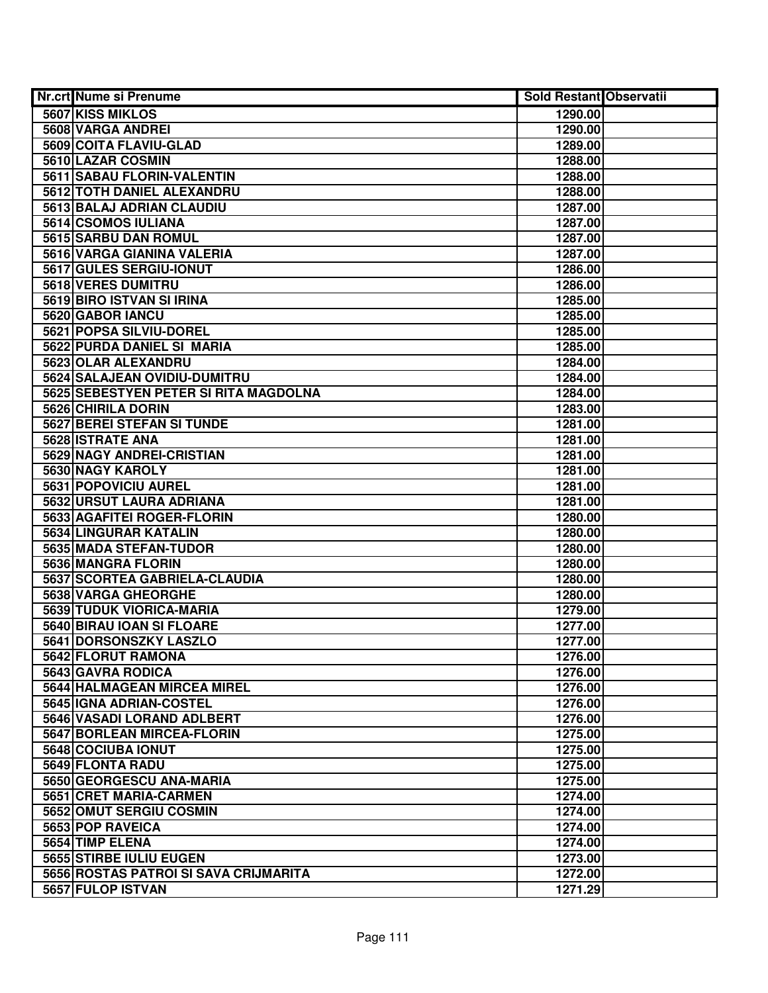| Nr.crt Nume si Prenume                | Sold Restant Observatii |  |
|---------------------------------------|-------------------------|--|
| 5607 KISS MIKLOS                      | 1290.00                 |  |
| 5608 VARGA ANDREI                     | 1290.00                 |  |
| 5609 COITA FLAVIU-GLAD                | 1289.00                 |  |
| 5610 LAZAR COSMIN                     | 1288.00                 |  |
| 5611 SABAU FLORIN-VALENTIN            | 1288.00                 |  |
| 5612 TOTH DANIEL ALEXANDRU            | 1288.00                 |  |
| 5613 BALAJ ADRIAN CLAUDIU             | 1287.00                 |  |
| 5614 CSOMOS IULIANA                   | 1287.00                 |  |
| 5615 SARBU DAN ROMUL                  | 1287.00                 |  |
| <b>5616 VARGA GIANINA VALERIA</b>     | 1287.00                 |  |
| 5617 GULES SERGIU-IONUT               | 1286.00                 |  |
| 5618 VERES DUMITRU                    | 1286.00                 |  |
| 5619 BIRO ISTVAN SI IRINA             | 1285.00                 |  |
| 5620 GABOR IANCU                      | 1285.00                 |  |
| 5621 POPSA SILVIU-DOREL               | 1285.00                 |  |
| 5622 PURDA DANIEL SI MARIA            | 1285.00                 |  |
| 5623 OLAR ALEXANDRU                   | 1284.00                 |  |
| 5624 SALAJEAN OVIDIU-DUMITRU          | 1284.00                 |  |
| 5625 SEBESTYEN PETER SI RITA MAGDOLNA | 1284.00                 |  |
| 5626 CHIRILA DORIN                    | 1283.00                 |  |
| 5627 BEREI STEFAN SI TUNDE            | 1281.00                 |  |
| 5628 ISTRATE ANA                      | 1281.00                 |  |
| 5629 NAGY ANDREI-CRISTIAN             | 1281.00                 |  |
| 5630 NAGY KAROLY                      | 1281.00                 |  |
| 5631 POPOVICIU AUREL                  | 1281.00                 |  |
| 5632 URSUT LAURA ADRIANA              | 1281.00                 |  |
| 5633 AGAFITEI ROGER-FLORIN            | 1280.00                 |  |
| 5634 LINGURAR KATALIN                 | 1280.00                 |  |
| 5635 MADA STEFAN-TUDOR                | 1280.00                 |  |
| 5636 MANGRA FLORIN                    | 1280.00                 |  |
| 5637 SCORTEA GABRIELA-CLAUDIA         | 1280.00                 |  |
| 5638 VARGA GHEORGHE                   | 1280.00                 |  |
| 5639 TUDUK VIORICA-MARIA              | 1279.00                 |  |
| 5640 BIRAU IOAN SI FLOARE             | 1277.00                 |  |
| 5641 DORSONSZKY LASZLO                | 1277.00                 |  |
| 5642 FLORUT RAMONA                    | 1276.00                 |  |
| 5643 GAVRA RODICA                     | 1276.00                 |  |
| 5644 HALMAGEAN MIRCEA MIREL           | 1276.00                 |  |
| 5645 IGNA ADRIAN-COSTEL               | 1276.00                 |  |
| 5646 VASADI LORAND ADLBERT            | 1276.00                 |  |
| 5647 BORLEAN MIRCEA-FLORIN            | 1275.00                 |  |
| 5648 COCIUBA IONUT                    | 1275.00                 |  |
| 5649 FLONTA RADU                      | 1275.00                 |  |
| 5650 GEORGESCU ANA-MARIA              | 1275.00                 |  |
| 5651 CRET MARIA-CARMEN                | 1274.00                 |  |
| 5652 OMUT SERGIU COSMIN               | 1274.00                 |  |
| 5653 POP RAVEICA                      | 1274.00                 |  |
| 5654 TIMP ELENA                       | 1274.00                 |  |
| 5655 STIRBE IULIU EUGEN               | 1273.00                 |  |
| 5656 ROSTAS PATROI SI SAVA CRIJMARITA | 1272.00                 |  |
| 5657 FULOP ISTVAN                     | 1271.29                 |  |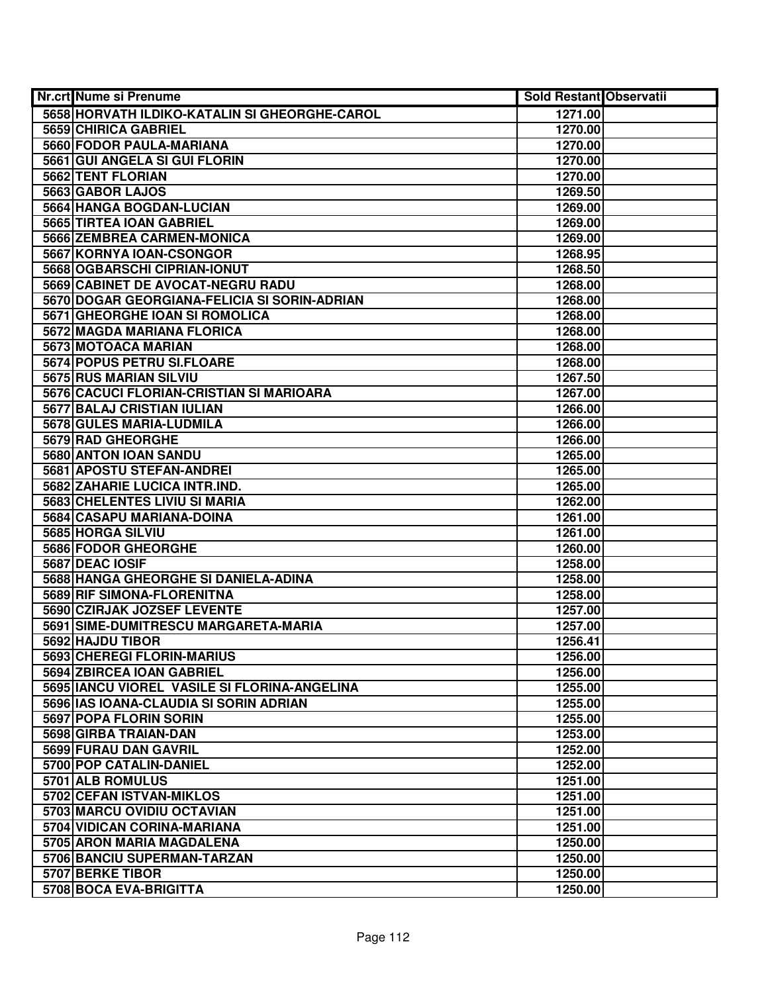| Nr.crt Nume si Prenume                        | Sold Restant Observatii |  |
|-----------------------------------------------|-------------------------|--|
| 5658 HORVATH ILDIKO-KATALIN SI GHEORGHE-CAROL | 1271.00                 |  |
| 5659 CHIRICA GABRIEL                          | 1270.00                 |  |
| 5660 FODOR PAULA-MARIANA                      | 1270.00                 |  |
| 5661 GUI ANGELA SI GUI FLORIN                 | 1270.00                 |  |
| 5662 TENT FLORIAN                             | 1270.00                 |  |
| 5663 GABOR LAJOS                              | 1269.50                 |  |
| 5664 HANGA BOGDAN-LUCIAN                      | 1269.00                 |  |
| 5665 TIRTEA IOAN GABRIEL                      | 1269.00                 |  |
| 5666 ZEMBREA CARMEN-MONICA                    | 1269.00                 |  |
| 5667 KORNYA IOAN-CSONGOR                      | 1268.95                 |  |
| 5668 OGBARSCHI CIPRIAN-IONUT                  | 1268.50                 |  |
| 5669 CABINET DE AVOCAT-NEGRU RADU             | 1268.00                 |  |
| 5670 DOGAR GEORGIANA-FELICIA SI SORIN-ADRIAN  | 1268.00                 |  |
| 5671 GHEORGHE IOAN SI ROMOLICA                | 1268.00                 |  |
| 5672 MAGDA MARIANA FLORICA                    | 1268.00                 |  |
| 5673 MOTOACA MARIAN                           | 1268.00                 |  |
| 5674 POPUS PETRU SI.FLOARE                    | 1268.00                 |  |
| 5675 RUS MARIAN SILVIU                        | 1267.50                 |  |
| 5676 CACUCI FLORIAN-CRISTIAN SI MARIOARA      | 1267.00                 |  |
| 5677 BALAJ CRISTIAN IULIAN                    | 1266.00                 |  |
| 5678 GULES MARIA-LUDMILA                      | 1266.00                 |  |
| 5679 RAD GHEORGHE                             | 1266.00                 |  |
| 5680 ANTON IOAN SANDU                         | 1265.00                 |  |
| 5681 APOSTU STEFAN-ANDREI                     | 1265.00                 |  |
| 5682 ZAHARIE LUCICA INTR.IND.                 | 1265.00                 |  |
| 5683 CHELENTES LIVIU SI MARIA                 | 1262.00                 |  |
| 5684 CASAPU MARIANA-DOINA                     | 1261.00                 |  |
| 5685 HORGA SILVIU                             | 1261.00                 |  |
| 5686 FODOR GHEORGHE                           | 1260.00                 |  |
| 5687 DEAC IOSIF                               | 1258.00                 |  |
| 5688 HANGA GHEORGHE SI DANIELA-ADINA          | 1258.00                 |  |
| 5689 RIF SIMONA-FLORENITNA                    | 1258.00                 |  |
| 5690 CZIRJAK JOZSEF LEVENTE                   | 1257.00                 |  |
| 5691 SIME-DUMITRESCU MARGARETA-MARIA          | 1257.00                 |  |
| 5692 HAJDU TIBOR                              | 1256.41                 |  |
| 5693 CHEREGI FLORIN-MARIUS                    | 1256.00                 |  |
| 5694 ZBIRCEA IOAN GABRIEL                     | 1256.00                 |  |
| 5695 IANCU VIOREL VASILE SI FLORINA-ANGELINA  | 1255.00                 |  |
| 5696   IAS IOANA-CLAUDIA SI SORIN ADRIAN      | 1255.00                 |  |
| 5697 POPA FLORIN SORIN                        | 1255.00                 |  |
| 5698 GIRBA TRAIAN-DAN                         | 1253.00                 |  |
| 5699 FURAU DAN GAVRIL                         | 1252.00                 |  |
| 5700 POP CATALIN-DANIEL                       | 1252.00                 |  |
| 5701 ALB ROMULUS                              | 1251.00                 |  |
| 5702 CEFAN ISTVAN-MIKLOS                      | 1251.00                 |  |
| 5703 MARCU OVIDIU OCTAVIAN                    | 1251.00                 |  |
| 5704 VIDICAN CORINA-MARIANA                   | 1251.00                 |  |
| 5705 ARON MARIA MAGDALENA                     | 1250.00                 |  |
| 5706 BANCIU SUPERMAN-TARZAN                   | 1250.00                 |  |
| 5707 BERKE TIBOR                              | 1250.00                 |  |
| 5708 BOCA EVA-BRIGITTA                        | 1250.00                 |  |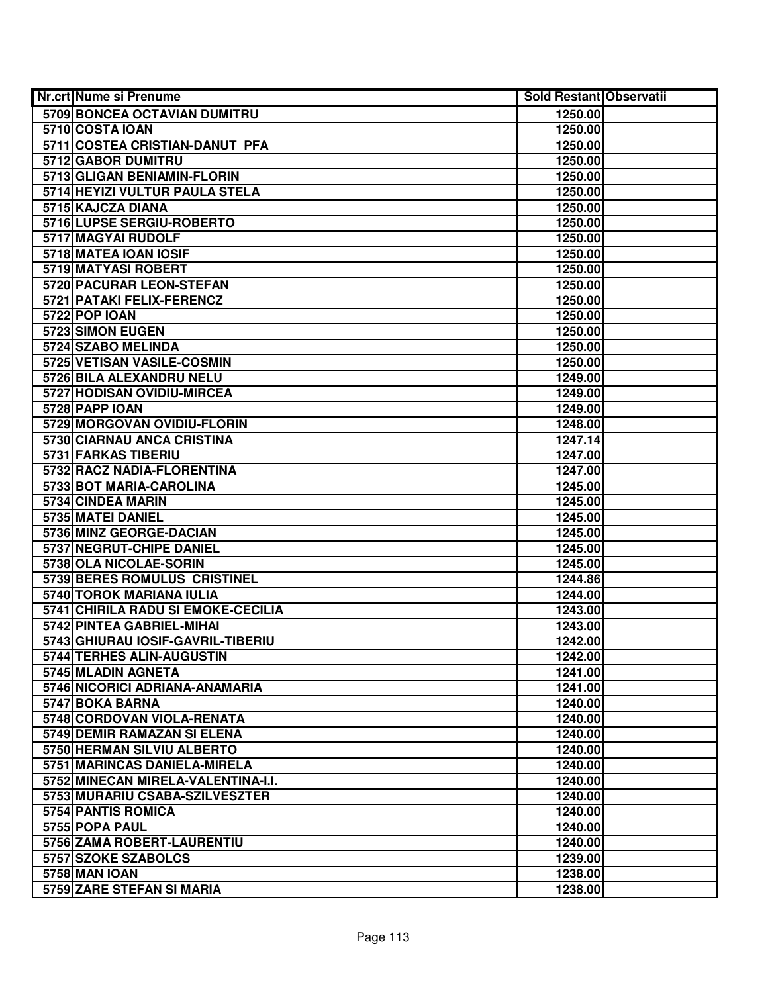| Nr.crt Nume si Prenume                        | <b>Sold Restant Observatii</b> |  |
|-----------------------------------------------|--------------------------------|--|
| 5709 BONCEA OCTAVIAN DUMITRU                  | 1250.00                        |  |
| 5710 COSTA IOAN                               | 1250.00                        |  |
| 5711 COSTEA CRISTIAN-DANUT PFA                | 1250.00                        |  |
| 5712 GABOR DUMITRU                            | 1250.00                        |  |
| 5713 GLIGAN BENIAMIN-FLORIN                   | 1250.00                        |  |
| 5714 HEYIZI VULTUR PAULA STELA                | 1250.00                        |  |
| 5715 KAJCZA DIANA                             | 1250.00                        |  |
| 5716 LUPSE SERGIU-ROBERTO                     | 1250.00                        |  |
| 5717 MAGYAI RUDOLF                            | 1250.00                        |  |
| 5718 MATEA IOAN IOSIF                         | 1250.00                        |  |
| 5719 MATYASI ROBERT                           | 1250.00                        |  |
| 5720 PACURAR LEON-STEFAN                      | 1250.00                        |  |
| 5721 PATAKI FELIX-FERENCZ                     | 1250.00                        |  |
| <b>5722 POP IOAN</b>                          | 1250.00                        |  |
| 5723 SIMON EUGEN                              | 1250.00                        |  |
| 5724 SZABO MELINDA                            | 1250.00                        |  |
| 5725 VETISAN VASILE-COSMIN                    | 1250.00                        |  |
| 5726 BILA ALEXANDRU NELU                      | 1249.00                        |  |
| 5727 HODISAN OVIDIU-MIRCEA                    | 1249.00                        |  |
| 5728 PAPP IOAN                                | 1249.00                        |  |
| 5729 MORGOVAN OVIDIU-FLORIN                   | 1248.00                        |  |
| 5730 CIARNAU ANCA CRISTINA                    | 1247.14                        |  |
| 5731 FARKAS TIBERIU                           | 1247.00                        |  |
| 5732 RACZ NADIA-FLORENTINA                    | 1247.00                        |  |
| 5733 BOT MARIA-CAROLINA                       | 1245.00                        |  |
| 5734 CINDEA MARIN                             | 1245.00                        |  |
| 5735 MATEI DANIEL                             | 1245.00                        |  |
| 5736 MINZ GEORGE-DACIAN                       | 1245.00                        |  |
| 5737 NEGRUT-CHIPE DANIEL                      | 1245.00                        |  |
| 5738 OLA NICOLAE-SORIN                        | 1245.00                        |  |
| 5739 BERES ROMULUS CRISTINEL                  | 1244.86                        |  |
| 5740 TOROK MARIANA IULIA                      | 1244.00                        |  |
| 5741 CHIRILA RADU SI EMOKE-CECILIA            | 1243.00                        |  |
| 5742 PINTEA GABRIEL-MIHAI                     | 1243.00                        |  |
| 5743 GHIURAU IOSIF-GAVRIL-TIBERIU             | 1242.00                        |  |
| 5744 TERHES ALIN-AUGUSTIN                     | 1242.00                        |  |
| 5745 MLADIN AGNETA                            | 1241.00                        |  |
| 5746 NICORICI ADRIANA-ANAMARIA                | 1241.00                        |  |
| 5747 BOKA BARNA<br>5748 CORDOVAN VIOLA-RENATA | 1240.00<br>1240.00             |  |
| 5749 DEMIR RAMAZAN SI ELENA                   | 1240.00                        |  |
| 5750 HERMAN SILVIU ALBERTO                    |                                |  |
| 5751 MARINCAS DANIELA-MIRELA                  | 1240.00<br>1240.00             |  |
| 5752 MINECAN MIRELA-VALENTINA-I.I.            | 1240.00                        |  |
| 5753 MURARIU CSABA-SZILVESZTER                | 1240.00                        |  |
| 5754 PANTIS ROMICA                            | 1240.00                        |  |
| 5755 POPA PAUL                                | 1240.00                        |  |
| 5756 ZAMA ROBERT-LAURENTIU                    | 1240.00                        |  |
| 5757 SZOKE SZABOLCS                           | 1239.00                        |  |
| 5758 MAN IOAN                                 | 1238.00                        |  |
| 5759 ZARE STEFAN SI MARIA                     | 1238.00                        |  |
|                                               |                                |  |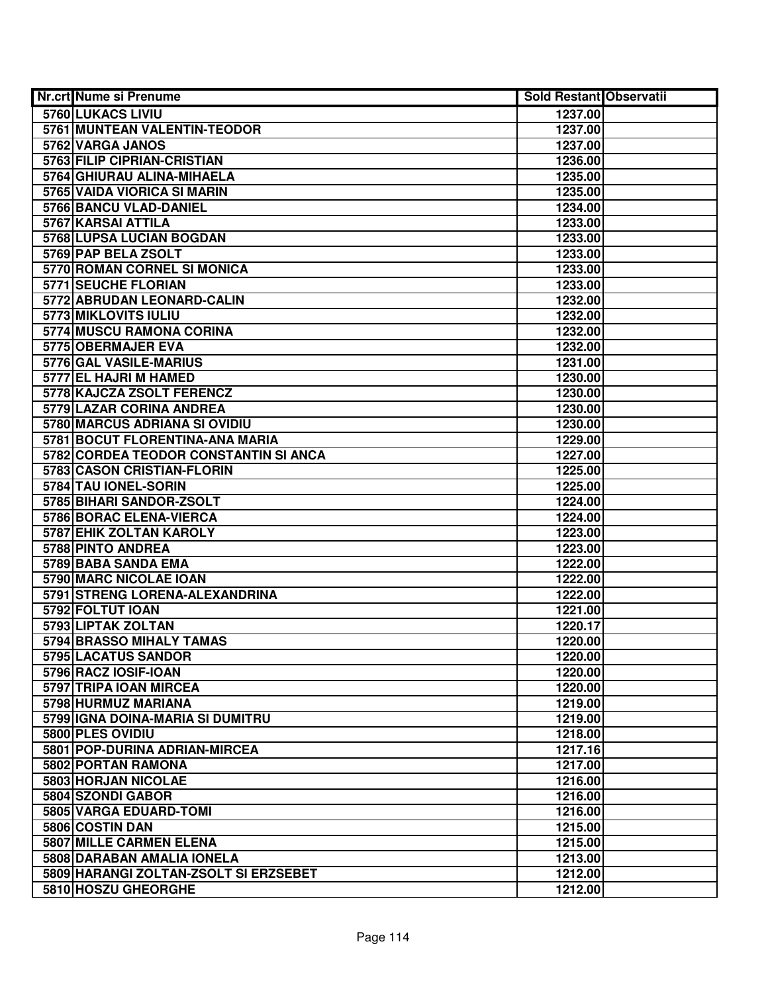| <b>Nr.crt Nume si Prenume</b>         | <b>Sold Restant Observatii</b> |  |
|---------------------------------------|--------------------------------|--|
| 5760 LUKACS LIVIU                     | 1237.00                        |  |
| 5761 MUNTEAN VALENTIN-TEODOR          | 1237.00                        |  |
| 5762 VARGA JANOS                      | 1237.00                        |  |
| 5763 FILIP CIPRIAN-CRISTIAN           | 1236.00                        |  |
| 5764 GHIURAU ALINA-MIHAELA            | 1235.00                        |  |
| 5765 VAIDA VIORICA SI MARIN           | 1235.00                        |  |
| 5766 BANCU VLAD-DANIEL                | 1234.00                        |  |
| 5767 KARSAI ATTILA                    | 1233.00                        |  |
| 5768 LUPSA LUCIAN BOGDAN              | 1233.00                        |  |
| 5769 PAP BELA ZSOLT                   | 1233.00                        |  |
| 5770 ROMAN CORNEL SI MONICA           | 1233.00                        |  |
| 5771 SEUCHE FLORIAN                   | 1233.00                        |  |
| 5772 ABRUDAN LEONARD-CALIN            | 1232.00                        |  |
| 5773 MIKLOVITS IULIU                  | 1232.00                        |  |
| 5774 MUSCU RAMONA CORINA              | 1232.00                        |  |
| 5775 OBERMAJER EVA                    | 1232.00                        |  |
| 5776 GAL VASILE-MARIUS                | 1231.00                        |  |
| 5777 EL HAJRI M HAMED                 | 1230.00                        |  |
| 5778 KAJCZA ZSOLT FERENCZ             | 1230.00                        |  |
| 5779 LAZAR CORINA ANDREA              | 1230.00                        |  |
| 5780 MARCUS ADRIANA SI OVIDIU         | 1230.00                        |  |
| 5781 BOCUT FLORENTINA-ANA MARIA       | 1229.00                        |  |
| 5782 CORDEA TEODOR CONSTANTIN SI ANCA | 1227.00                        |  |
| 5783 CASON CRISTIAN-FLORIN            | 1225.00                        |  |
| 5784 TAU IONEL-SORIN                  | 1225.00                        |  |
| 5785 BIHARI SANDOR-ZSOLT              | 1224.00                        |  |
| 5786 BORAC ELENA-VIERCA               | 1224.00                        |  |
| 5787 EHIK ZOLTAN KAROLY               | 1223.00                        |  |
| 5788 PINTO ANDREA                     | 1223.00                        |  |
| 5789 BABA SANDA EMA                   | 1222.00                        |  |
| 5790 MARC NICOLAE IOAN                | 1222.00                        |  |
| 5791 STRENG LORENA-ALEXANDRINA        | 1222.00                        |  |
| 5792 FOLTUT IOAN                      | 1221.00                        |  |
| 5793 LIPTAK ZOLTAN                    | 1220.17                        |  |
| <b>5794 BRASSO MIHALY TAMAS</b>       | 1220.00                        |  |
| 5795 LACATUS SANDOR                   | 1220.00                        |  |
| 5796 RACZ IOSIF-IOAN                  | 1220.00                        |  |
| 5797 TRIPA IOAN MIRCEA                | 1220.00                        |  |
| 5798 HURMUZ MARIANA                   | 1219.00                        |  |
| 5799 IGNA DOINA-MARIA SI DUMITRU      | 1219.00                        |  |
| 5800 PLES OVIDIU                      | 1218.00                        |  |
| 5801 POP-DURINA ADRIAN-MIRCEA         | 1217.16                        |  |
| 5802 PORTAN RAMONA                    | 1217.00                        |  |
| 5803 HORJAN NICOLAE                   | 1216.00                        |  |
| 5804 SZONDI GABOR                     | 1216.00                        |  |
| 5805 VARGA EDUARD-TOMI                | 1216.00                        |  |
| 5806 COSTIN DAN                       | 1215.00                        |  |
| 5807 MILLE CARMEN ELENA               | 1215.00                        |  |
| 5808 DARABAN AMALIA IONELA            | 1213.00                        |  |
| 5809 HARANGI ZOLTAN-ZSOLT SI ERZSEBET | 1212.00                        |  |
| 5810 HOSZU GHEORGHE                   | 1212.00                        |  |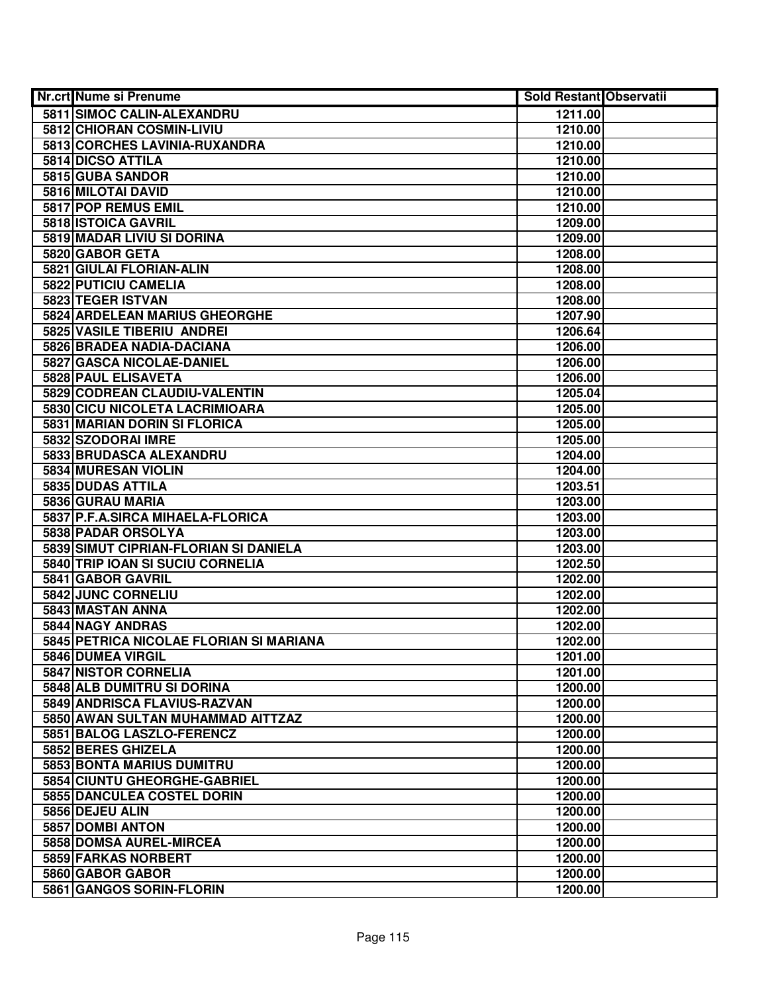| Nr.crt Nume si Prenume      |                                         | <b>Sold Restant Observatii</b> |  |
|-----------------------------|-----------------------------------------|--------------------------------|--|
|                             | 5811 SIMOC CALIN-ALEXANDRU              | 1211.00                        |  |
| 5812 CHIORAN COSMIN-LIVIU   |                                         | 1210.00                        |  |
|                             | 5813 CORCHES LAVINIA-RUXANDRA           | 1210.00                        |  |
| 5814 DICSO ATTILA           |                                         | 1210.00                        |  |
| 5815 GUBA SANDOR            |                                         | 1210.00                        |  |
| 5816 MILOTAI DAVID          |                                         | 1210.00                        |  |
| 5817 POP REMUS EMIL         |                                         | 1210.00                        |  |
| 5818 ISTOICA GAVRIL         |                                         | 1209.00                        |  |
| 5819 MADAR LIVIU SI DORINA  |                                         | 1209.00                        |  |
| 5820 GABOR GETA             |                                         | 1208.00                        |  |
| 5821 GIULAI FLORIAN-ALIN    |                                         | 1208.00                        |  |
| 5822 PUTICIU CAMELIA        |                                         | 1208.00                        |  |
| 5823 TEGER ISTVAN           |                                         | 1208.00                        |  |
|                             | 5824 ARDELEAN MARIUS GHEORGHE           | 1207.90                        |  |
| 5825 VASILE TIBERIU ANDREI  |                                         | 1206.64                        |  |
|                             | 5826 BRADEA NADIA-DACIANA               | 1206.00                        |  |
|                             | 5827 GASCA NICOLAE-DANIEL               | 1206.00                        |  |
| 5828 PAUL ELISAVETA         |                                         | 1206.00                        |  |
|                             | 5829 CODREAN CLAUDIU-VALENTIN           | 1205.04                        |  |
|                             | 5830 CICU NICOLETA LACRIMIOARA          | 1205.00                        |  |
|                             | 5831 MARIAN DORIN SI FLORICA            | 1205.00                        |  |
| 5832 SZODORAI IMRE          |                                         | 1205.00                        |  |
| 5833 BRUDASCA ALEXANDRU     |                                         | 1204.00                        |  |
| 5834 MURESAN VIOLIN         |                                         | 1204.00                        |  |
| 5835 DUDAS ATTILA           |                                         | 1203.51                        |  |
| 5836 GURAU MARIA            |                                         | 1203.00                        |  |
|                             | 5837 P.F.A.SIRCA MIHAELA-FLORICA        | 1203.00                        |  |
| 5838 PADAR ORSOLYA          |                                         | 1203.00                        |  |
|                             | 5839 SIMUT CIPRIAN-FLORIAN SI DANIELA   | 1203.00                        |  |
|                             | 5840 TRIP IOAN SI SUCIU CORNELIA        | 1202.50                        |  |
| 5841 GABOR GAVRIL           |                                         | 1202.00                        |  |
| 5842 JUNC CORNELIU          |                                         | 1202.00                        |  |
| 5843 MASTAN ANNA            |                                         | 1202.00                        |  |
| 5844 NAGY ANDRAS            |                                         | 1202.00                        |  |
|                             | 5845 PETRICA NICOLAE FLORIAN SI MARIANA | 1202.00                        |  |
| 5846 DUMEA VIRGIL           |                                         | 1201.00                        |  |
| <b>5847 NISTOR CORNELIA</b> |                                         | 1201.00                        |  |
|                             | 5848 ALB DUMITRU SI DORINA              | 1200.00                        |  |
|                             | 5849 ANDRISCA FLAVIUS-RAZVAN            | 1200.00                        |  |
|                             | 5850 AWAN SULTAN MUHAMMAD AITTZAZ       | 1200.00                        |  |
|                             | 5851 BALOG LASZLO-FERENCZ               | 1200.00                        |  |
| 5852 BERES GHIZELA          |                                         | 1200.00                        |  |
|                             | 5853 BONTA MARIUS DUMITRU               | 1200.00                        |  |
|                             | 5854 CIUNTU GHEORGHE-GABRIEL            | 1200.00                        |  |
|                             | 5855 DANCULEA COSTEL DORIN              | 1200.00                        |  |
| 5856 DEJEU ALIN             |                                         | 1200.00                        |  |
| 5857 DOMBI ANTON            |                                         | 1200.00                        |  |
| 5858 DOMSA AUREL-MIRCEA     |                                         | 1200.00                        |  |
| 5859 FARKAS NORBERT         |                                         | 1200.00                        |  |
| 5860 GABOR GABOR            |                                         | 1200.00                        |  |
| 5861 GANGOS SORIN-FLORIN    |                                         | 1200.00                        |  |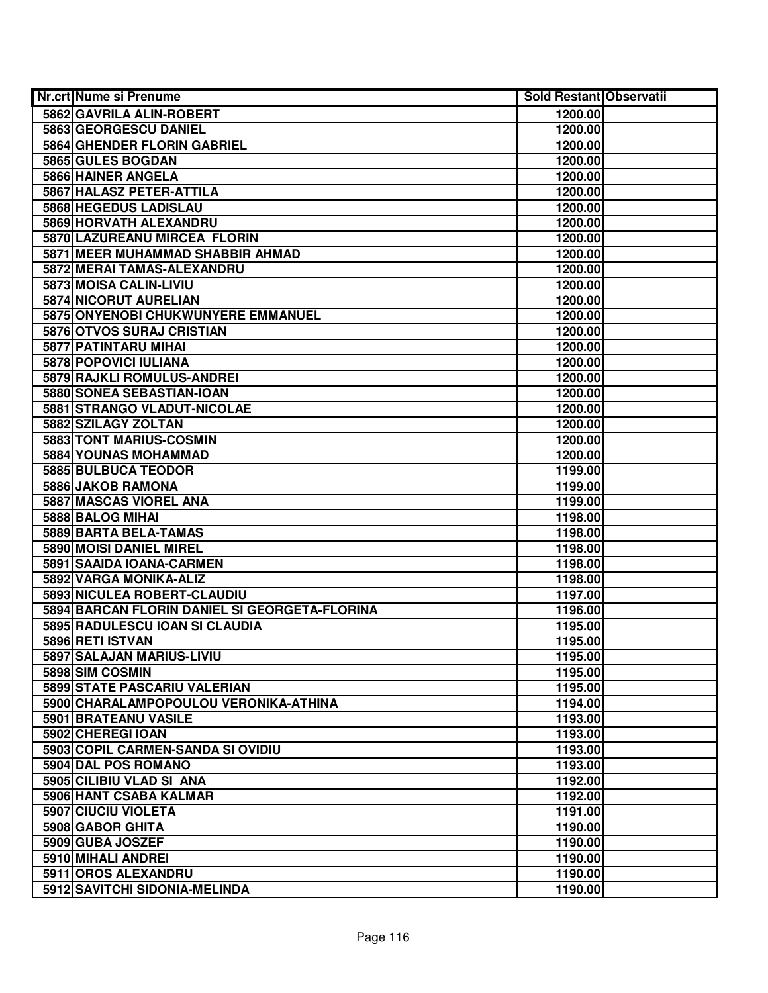| <b>Nr.crt Nume si Prenume</b>                 | <b>Sold Restant Observatii</b> |  |
|-----------------------------------------------|--------------------------------|--|
| 5862 GAVRILA ALIN-ROBERT                      | 1200.00                        |  |
| 5863 GEORGESCU DANIEL                         | 1200.00                        |  |
| 5864 GHENDER FLORIN GABRIEL                   | 1200.00                        |  |
| 5865 GULES BOGDAN                             | 1200.00                        |  |
| 5866 HAINER ANGELA                            | 1200.00                        |  |
| 5867 HALASZ PETER-ATTILA                      | 1200.00                        |  |
| 5868 HEGEDUS LADISLAU                         | 1200.00                        |  |
| 5869 HORVATH ALEXANDRU                        | 1200.00                        |  |
| 5870 LAZUREANU MIRCEA FLORIN                  | 1200.00                        |  |
| 5871 MEER MUHAMMAD SHABBIR AHMAD              | 1200.00                        |  |
| 5872 MERAI TAMAS-ALEXANDRU                    | 1200.00                        |  |
| 5873 MOISA CALIN-LIVIU                        | 1200.00                        |  |
| 5874 NICORUT AURELIAN                         | 1200.00                        |  |
| 5875 ONYENOBI CHUKWUNYERE EMMANUEL            | 1200.00                        |  |
| 5876 OTVOS SURAJ CRISTIAN                     | 1200.00                        |  |
| 5877 PATINTARU MIHAI                          | 1200.00                        |  |
| 5878 POPOVICI IULIANA                         | 1200.00                        |  |
| 5879 RAJKLI ROMULUS-ANDREI                    | 1200.00                        |  |
| 5880 SONEA SEBASTIAN-IOAN                     | 1200.00                        |  |
| 5881 STRANGO VLADUT-NICOLAE                   | 1200.00                        |  |
| 5882 SZILAGY ZOLTAN                           | 1200.00                        |  |
| 5883 TONT MARIUS-COSMIN                       | 1200.00                        |  |
| 5884 YOUNAS MOHAMMAD                          | 1200.00                        |  |
| 5885 BULBUCA TEODOR                           | 1199.00                        |  |
| 5886 JAKOB RAMONA                             | 1199.00                        |  |
| 5887 MASCAS VIOREL ANA                        | 1199.00                        |  |
| 5888 BALOG MIHAI                              | 1198.00                        |  |
| 5889 BARTA BELA-TAMAS                         | 1198.00                        |  |
| 5890 MOISI DANIEL MIREL                       | 1198.00                        |  |
| 5891 SAAIDA IOANA-CARMEN                      | 1198.00                        |  |
| 5892 VARGA MONIKA-ALIZ                        | 1198.00                        |  |
| 5893 NICULEA ROBERT-CLAUDIU                   | 1197.00                        |  |
| 5894 BARCAN FLORIN DANIEL SI GEORGETA-FLORINA | 1196.00                        |  |
| 5895 RADULESCU IOAN SI CLAUDIA                | 1195.00                        |  |
| 5896 RETI ISTVAN                              | 1195.00                        |  |
| 5897 SALAJAN MARIUS-LIVIU                     | 1195.00                        |  |
| 5898 SIM COSMIN                               | 1195.00                        |  |
| 5899 STATE PASCARIU VALERIAN                  | 1195.00                        |  |
| 5900 CHARALAMPOPOULOU VERONIKA-ATHINA         | 1194.00                        |  |
| 5901 BRATEANU VASILE                          | 1193.00                        |  |
| 5902 CHEREGI IOAN                             | 1193.00                        |  |
| 5903 COPIL CARMEN-SANDA SI OVIDIU             | 1193.00                        |  |
| 5904 DAL POS ROMANO                           | 1193.00                        |  |
| 5905 CILIBIU VLAD SI ANA                      | 1192.00                        |  |
| 5906 HANT CSABA KALMAR                        | 1192.00                        |  |
| 5907 CIUCIU VIOLETA                           | 1191.00                        |  |
| 5908 GABOR GHITA                              | 1190.00                        |  |
| 5909 GUBA JOSZEF                              | 1190.00                        |  |
| 5910 MIHALI ANDREI                            | 1190.00                        |  |
| 5911 OROS ALEXANDRU                           | 1190.00                        |  |
| 5912 SAVITCHI SIDONIA-MELINDA                 | 1190.00                        |  |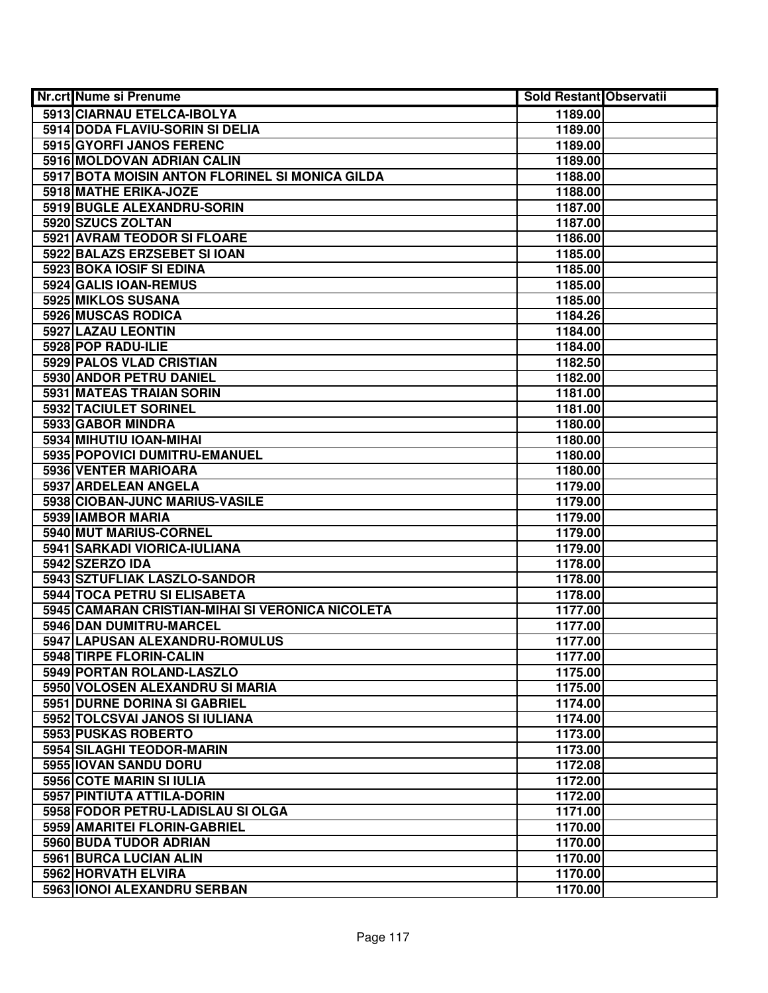| Nr.crt Nume si Prenume                           | <b>Sold Restant Observatii</b> |  |
|--------------------------------------------------|--------------------------------|--|
| 5913 CIARNAU ETELCA-IBOLYA                       | 1189.00                        |  |
| 5914 DODA FLAVIU-SORIN SI DELIA                  | 1189.00                        |  |
| 5915 GYORFI JANOS FERENC                         | 1189.00                        |  |
| 5916 MOLDOVAN ADRIAN CALIN                       | 1189.00                        |  |
| 5917 BOTA MOISIN ANTON FLORINEL SI MONICA GILDA  | 1188.00                        |  |
| 5918 MATHE ERIKA-JOZE                            | 1188.00                        |  |
| 5919 BUGLE ALEXANDRU-SORIN                       | 1187.00                        |  |
| 5920 SZUCS ZOLTAN                                | 1187.00                        |  |
| 5921 AVRAM TEODOR SI FLOARE                      | 1186.00                        |  |
| 5922 BALAZS ERZSEBET SI IOAN                     | 1185.00                        |  |
| 5923 BOKA IOSIF SI EDINA                         | 1185.00                        |  |
| 5924 GALIS IOAN-REMUS                            | 1185.00                        |  |
| 5925 MIKLOS SUSANA                               | 1185.00                        |  |
| 5926 MUSCAS RODICA                               | 1184.26                        |  |
| 5927 LAZAU LEONTIN                               | 1184.00                        |  |
| 5928 POP RADU-ILIE                               | 1184.00                        |  |
| 5929 PALOS VLAD CRISTIAN                         | 1182.50                        |  |
| 5930 ANDOR PETRU DANIEL                          | 1182.00                        |  |
| 5931 MATEAS TRAIAN SORIN                         | 1181.00                        |  |
| 5932 TACIULET SORINEL                            | 1181.00                        |  |
| 5933 GABOR MINDRA                                | 1180.00                        |  |
| 5934 MIHUTIU IOAN-MIHAI                          | 1180.00                        |  |
| 5935 POPOVICI DUMITRU-EMANUEL                    | 1180.00                        |  |
| 5936 VENTER MARIOARA                             | 1180.00                        |  |
| 5937 ARDELEAN ANGELA                             | 1179.00                        |  |
| 5938 CIOBAN-JUNC MARIUS-VASILE                   | 1179.00                        |  |
| 5939 IAMBOR MARIA                                | 1179.00                        |  |
| 5940 MUT MARIUS-CORNEL                           | 1179.00                        |  |
| 5941 SARKADI VIORICA-IULIANA                     | 1179.00                        |  |
| 5942 SZERZO IDA                                  | 1178.00                        |  |
| 5943 SZTUFLIAK LASZLO-SANDOR                     | 1178.00                        |  |
| 5944 TOCA PETRU SI ELISABETA                     | 1178.00                        |  |
| 5945 CAMARAN CRISTIAN-MIHAI SI VERONICA NICOLETA | 1177.00                        |  |
| 5946 DAN DUMITRU-MARCEL                          | 1177.00                        |  |
| 5947 LAPUSAN ALEXANDRU-ROMULUS                   | 1177.00                        |  |
| 5948 TIRPE FLORIN-CALIN                          | 1177.00                        |  |
| 5949 PORTAN ROLAND-LASZLO                        | 1175.00                        |  |
| 5950 VOLOSEN ALEXANDRU SI MARIA                  | 1175.00                        |  |
| 5951 DURNE DORINA SI GABRIEL                     | 1174.00                        |  |
| 5952 TOLCSVAI JANOS SI IULIANA                   | 1174.00                        |  |
| 5953 PUSKAS ROBERTO                              | 1173.00                        |  |
| 5954 SILAGHI TEODOR-MARIN                        | 1173.00                        |  |
| 5955 IOVAN SANDU DORU                            | 1172.08                        |  |
| 5956 COTE MARIN SI IULIA                         | 1172.00                        |  |
| 5957 PINTIUTA ATTILA-DORIN                       | 1172.00                        |  |
| 5958 FODOR PETRU-LADISLAU SI OLGA                | 1171.00                        |  |
| 5959 AMARITEI FLORIN-GABRIEL                     | 1170.00                        |  |
| 5960 BUDA TUDOR ADRIAN                           | 1170.00                        |  |
| 5961 BURCA LUCIAN ALIN                           | 1170.00                        |  |
| 5962 HORVATH ELVIRA                              | 1170.00                        |  |
| 5963 IONOI ALEXANDRU SERBAN                      | 1170.00                        |  |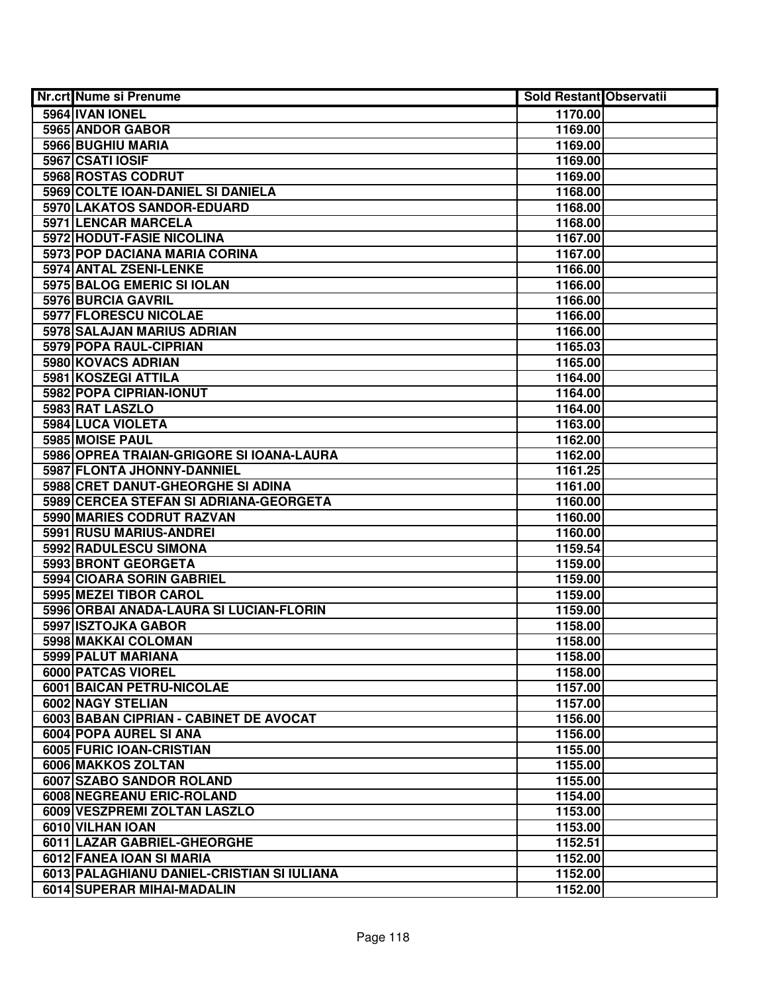| <b>Nr.crt Nume si Prenume</b>              | Sold Restant Observatii |  |
|--------------------------------------------|-------------------------|--|
| 5964 IVAN IONEL                            | 1170.00                 |  |
| 5965 ANDOR GABOR                           | 1169.00                 |  |
| 5966 BUGHIU MARIA                          | 1169.00                 |  |
| 5967 CSATI IOSIF                           | 1169.00                 |  |
| 5968 ROSTAS CODRUT                         | 1169.00                 |  |
| 5969 COLTE IOAN-DANIEL SI DANIELA          | 1168.00                 |  |
| 5970 LAKATOS SANDOR-EDUARD                 | 1168.00                 |  |
| 5971 LENCAR MARCELA                        | 1168.00                 |  |
| <b>5972 HODUT-FASIE NICOLINA</b>           | 1167.00                 |  |
| 5973 POP DACIANA MARIA CORINA              | 1167.00                 |  |
| 5974 ANTAL ZSENI-LENKE                     | 1166.00                 |  |
| 5975 BALOG EMERIC SI IOLAN                 | 1166.00                 |  |
| 5976 BURCIA GAVRIL                         | 1166.00                 |  |
| 5977 FLORESCU NICOLAE                      | 1166.00                 |  |
| 5978 SALAJAN MARIUS ADRIAN                 | 1166.00                 |  |
| 5979 POPA RAUL-CIPRIAN                     | 1165.03                 |  |
| 5980 KOVACS ADRIAN                         | 1165.00                 |  |
| 5981 KOSZEGI ATTILA                        | 1164.00                 |  |
| 5982 POPA CIPRIAN-IONUT                    | 1164.00                 |  |
| 5983 RAT LASZLO                            | 1164.00                 |  |
| 5984 LUCA VIOLETA                          | 1163.00                 |  |
| 5985 MOISE PAUL                            | 1162.00                 |  |
| 5986 OPREA TRAIAN-GRIGORE SI IOANA-LAURA   | 1162.00                 |  |
| 5987 FLONTA JHONNY-DANNIEL                 | 1161.25                 |  |
| 5988 CRET DANUT-GHEORGHE SI ADINA          | 1161.00                 |  |
| 5989 CERCEA STEFAN SI ADRIANA-GEORGETA     | 1160.00                 |  |
| 5990 MARIES CODRUT RAZVAN                  | 1160.00                 |  |
| 5991 RUSU MARIUS-ANDREI                    | 1160.00                 |  |
| 5992 RADULESCU SIMONA                      | 1159.54                 |  |
| 5993 BRONT GEORGETA                        | 1159.00                 |  |
| 5994 CIOARA SORIN GABRIEL                  | 1159.00                 |  |
| 5995 MEZEI TIBOR CAROL                     | 1159.00                 |  |
| 5996 ORBAI ANADA-LAURA SI LUCIAN-FLORIN    | 1159.00                 |  |
| 5997 ISZTOJKA GABOR                        | 1158.00                 |  |
| 5998 MAKKAI COLOMAN                        | 1158.00                 |  |
| 5999 PALUT MARIANA                         | 1158.00                 |  |
| 6000 PATCAS VIOREL                         | 1158.00                 |  |
| <b>6001 BAICAN PETRU-NICOLAE</b>           | 1157.00                 |  |
| 6002 NAGY STELIAN                          | 1157.00                 |  |
| 6003 BABAN CIPRIAN - CABINET DE AVOCAT     | 1156.00                 |  |
| 6004 POPA AUREL SI ANA                     | 1156.00                 |  |
| 6005 FURIC IOAN-CRISTIAN                   | 1155.00                 |  |
| 6006 MAKKOS ZOLTAN                         | 1155.00                 |  |
| 6007 SZABO SANDOR ROLAND                   | 1155.00                 |  |
| <b>6008 NEGREANU ERIC-ROLAND</b>           | 1154.00                 |  |
| 6009 VESZPREMI ZOLTAN LASZLO               | 1153.00                 |  |
| 6010 VILHAN IOAN                           | 1153.00                 |  |
| 6011 LAZAR GABRIEL-GHEORGHE                | 1152.51                 |  |
| 6012 FANEA IOAN SI MARIA                   | 1152.00                 |  |
| 6013 PALAGHIANU DANIEL-CRISTIAN SI IULIANA | 1152.00                 |  |
| 6014 SUPERAR MIHAI-MADALIN                 | 1152.00                 |  |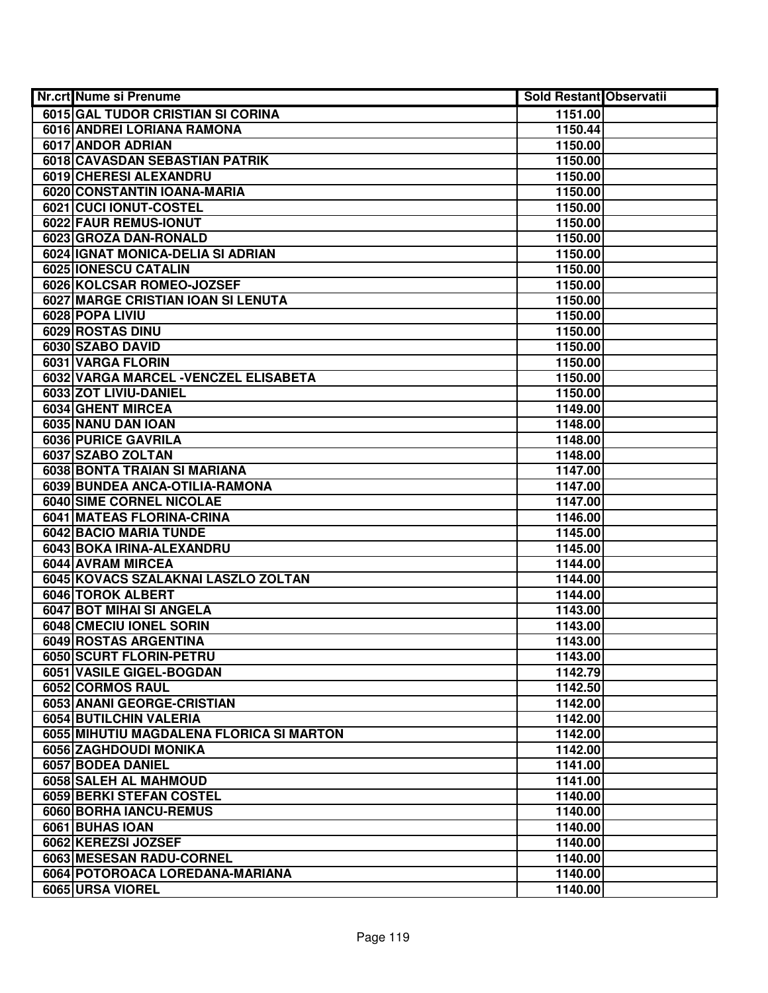| Nr.crt Nume si Prenume                   | <b>Sold Restant Observatii</b> |  |
|------------------------------------------|--------------------------------|--|
| 6015 GAL TUDOR CRISTIAN SI CORINA        | 1151.00                        |  |
| 6016 ANDREI LORIANA RAMONA               | 1150.44                        |  |
| 6017 ANDOR ADRIAN                        | 1150.00                        |  |
| 6018 CAVASDAN SEBASTIAN PATRIK           | 1150.00                        |  |
| 6019 CHERESI ALEXANDRU                   | 1150.00                        |  |
| 6020 CONSTANTIN IOANA-MARIA              | 1150.00                        |  |
| 6021 CUCI IONUT-COSTEL                   | 1150.00                        |  |
| 6022 FAUR REMUS-IONUT                    | 1150.00                        |  |
| 6023 GROZA DAN-RONALD                    | 1150.00                        |  |
| 6024 IGNAT MONICA-DELIA SI ADRIAN        | 1150.00                        |  |
| 6025 IONESCU CATALIN                     | 1150.00                        |  |
| 6026 KOLCSAR ROMEO-JOZSEF                | 1150.00                        |  |
| 6027 MARGE CRISTIAN IOAN SI LENUTA       | 1150.00                        |  |
| 6028 POPA LIVIU                          | 1150.00                        |  |
| 6029 ROSTAS DINU                         | 1150.00                        |  |
| 6030 SZABO DAVID                         | 1150.00                        |  |
| 6031 VARGA FLORIN                        | 1150.00                        |  |
| 6032 VARGA MARCEL - VENCZEL ELISABETA    | 1150.00                        |  |
| 6033 ZOT LIVIU-DANIEL                    | 1150.00                        |  |
| 6034 GHENT MIRCEA                        | 1149.00                        |  |
| 6035 NANU DAN IOAN                       | 1148.00                        |  |
| 6036 PURICE GAVRILA                      | 1148.00                        |  |
| 6037 SZABO ZOLTAN                        | 1148.00                        |  |
| 6038 BONTA TRAIAN SI MARIANA             | 1147.00                        |  |
| 6039 BUNDEA ANCA-OTILIA-RAMONA           | 1147.00                        |  |
| <b>6040 SIME CORNEL NICOLAE</b>          | 1147.00                        |  |
| 6041 MATEAS FLORINA-CRINA                | 1146.00                        |  |
| 6042 BACIO MARIA TUNDE                   | 1145.00                        |  |
| 6043 BOKA IRINA-ALEXANDRU                | 1145.00                        |  |
| 6044 AVRAM MIRCEA                        | 1144.00                        |  |
| 6045 KOVACS SZALAKNAI LASZLO ZOLTAN      | 1144.00                        |  |
| 6046 TOROK ALBERT                        | 1144.00                        |  |
| 6047 BOT MIHAI SI ANGELA                 | 1143.00                        |  |
| 6048 CMECIU IONEL SORIN                  | 1143.00                        |  |
| 6049 ROSTAS ARGENTINA                    | 1143.00                        |  |
| 6050 SCURT FLORIN-PETRU                  | 1143.00                        |  |
| 6051 VASILE GIGEL-BOGDAN                 | 1142.79                        |  |
| 6052 CORMOS RAUL                         | 1142.50                        |  |
| 6053 ANANI GEORGE-CRISTIAN               | 1142.00                        |  |
| 6054 BUTILCHIN VALERIA                   | 1142.00                        |  |
| 6055 MIHUTIU MAGDALENA FLORICA SI MARTON | 1142.00                        |  |
| 6056 ZAGHDOUDI MONIKA                    | 1142.00                        |  |
| 6057 BODEA DANIEL                        | 1141.00                        |  |
| 6058 SALEH AL MAHMOUD                    | 1141.00                        |  |
| 6059 BERKI STEFAN COSTEL                 | 1140.00                        |  |
| 6060 BORHA IANCU-REMUS                   | 1140.00                        |  |
| 6061 BUHAS IOAN                          | 1140.00                        |  |
| 6062 KEREZSI JOZSEF                      | 1140.00                        |  |
| 6063 MESESAN RADU-CORNEL                 | 1140.00                        |  |
| 6064 POTOROACA LOREDANA-MARIANA          | 1140.00                        |  |
| 6065 URSA VIOREL                         | 1140.00                        |  |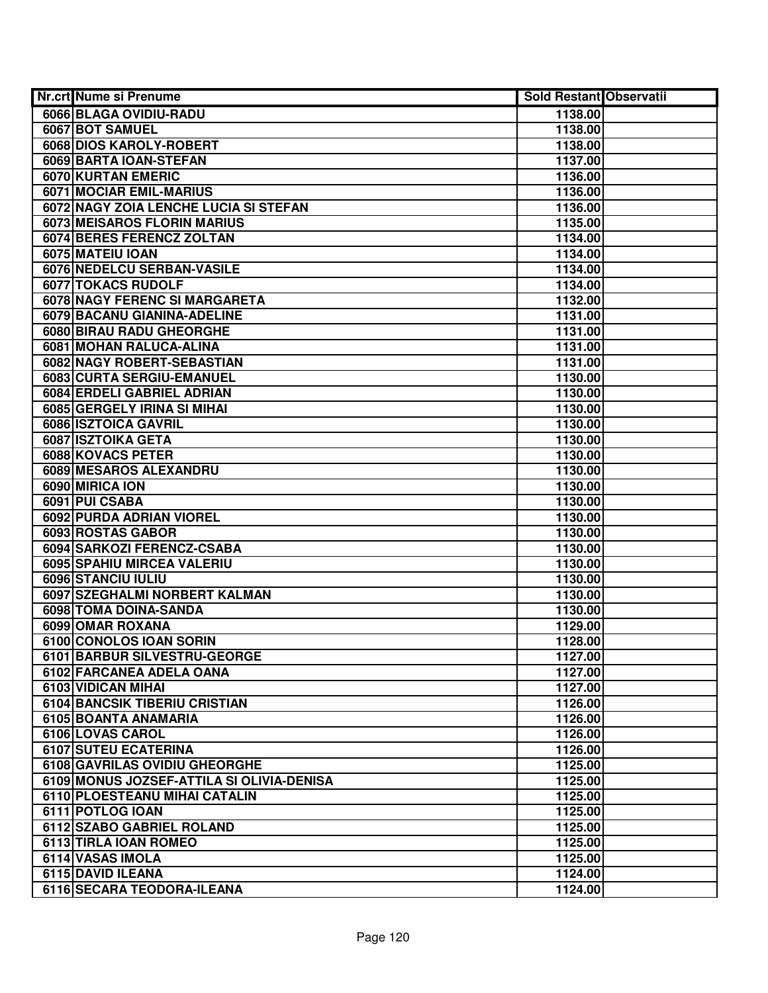| <b>Nr.crt Nume si Prenume</b>                              | <b>Sold Restant Observatii</b> |  |
|------------------------------------------------------------|--------------------------------|--|
| 6066 BLAGA OVIDIU-RADU                                     | 1138.00                        |  |
| 6067 BOT SAMUEL                                            | 1138.00                        |  |
| 6068 DIOS KAROLY-ROBERT                                    | 1138.00                        |  |
| 6069 BARTA IOAN-STEFAN                                     | 1137.00                        |  |
| 6070 KURTAN EMERIC                                         | 1136.00                        |  |
| 6071 MOCIAR EMIL-MARIUS                                    | 1136.00                        |  |
| 6072 NAGY ZOIA LENCHE LUCIA SI STEFAN                      | 1136.00                        |  |
| 6073 MEISAROS FLORIN MARIUS                                | 1135.00                        |  |
| 6074 BERES FERENCZ ZOLTAN                                  | 1134.00                        |  |
| 6075 MATEIU IOAN                                           | 1134.00                        |  |
| 6076 NEDELCU SERBAN-VASILE                                 | 1134.00                        |  |
| 6077 TOKACS RUDOLF                                         | 1134.00                        |  |
| 6078 NAGY FERENC SI MARGARETA                              | 1132.00                        |  |
| 6079 BACANU GIANINA-ADELINE                                | 1131.00                        |  |
| 6080 BIRAU RADU GHEORGHE                                   | 1131.00                        |  |
| 6081 MOHAN RALUCA-ALINA                                    | 1131.00                        |  |
| 6082 NAGY ROBERT-SEBASTIAN                                 | 1131.00                        |  |
| 6083 CURTA SERGIU-EMANUEL                                  | 1130.00                        |  |
| 6084 ERDELI GABRIEL ADRIAN                                 | 1130.00                        |  |
| 6085 GERGELY IRINA SI MIHAI                                | 1130.00                        |  |
| 6086 ISZTOICA GAVRIL                                       | 1130.00                        |  |
| 6087 ISZTOIKA GETA                                         | 1130.00                        |  |
| 6088 KOVACS PETER                                          | 1130.00                        |  |
| 6089 MESAROS ALEXANDRU                                     | 1130.00                        |  |
| 6090 MIRICA ION                                            | 1130.00                        |  |
| 6091 PUI CSABA                                             | 1130.00                        |  |
| 6092 PURDA ADRIAN VIOREL                                   | 1130.00                        |  |
| 6093 ROSTAS GABOR                                          | 1130.00                        |  |
| 6094 SARKOZI FERENCZ-CSABA                                 | 1130.00                        |  |
| 6095 SPAHIU MIRCEA VALERIU                                 | 1130.00                        |  |
| 6096 STANCIU IULIU                                         | 1130.00                        |  |
| 6097 SZEGHALMI NORBERT KALMAN                              | 1130.00                        |  |
| 6098 TOMA DOINA-SANDA                                      | 1130.00                        |  |
| 6099 OMAR ROXANA                                           | 1129.00                        |  |
| 6100 CONOLOS IOAN SORIN                                    | 1128.00                        |  |
| 6101 BARBUR SILVESTRU-GEORGE                               | 1127.00                        |  |
| 6102 FARCANEA ADELA OANA                                   | 1127.00                        |  |
| 6103 VIDICAN MIHAI<br><b>6104 BANCSIK TIBERIU CRISTIAN</b> | 1127.00                        |  |
| 6105 BOANTA ANAMARIA                                       | 1126.00                        |  |
|                                                            | 1126.00                        |  |
| 6106 LOVAS CAROL<br>6107 SUTEU ECATERINA                   | 1126.00<br>1126.00             |  |
| 6108 GAVRILAS OVIDIU GHEORGHE                              | 1125.00                        |  |
| 6109 MONUS JOZSEF-ATTILA SI OLIVIA-DENISA                  | 1125.00                        |  |
| 6110 PLOESTEANU MIHAI CATALIN                              | 1125.00                        |  |
| 6111 POTLOG IOAN                                           | 1125.00                        |  |
| 6112 SZABO GABRIEL ROLAND                                  | 1125.00                        |  |
| 6113 TIRLA IOAN ROMEO                                      | 1125.00                        |  |
| 6114 VASAS IMOLA                                           | 1125.00                        |  |
| 6115 DAVID ILEANA                                          | 1124.00                        |  |
| 6116 SECARA TEODORA-ILEANA                                 | 1124.00                        |  |
|                                                            |                                |  |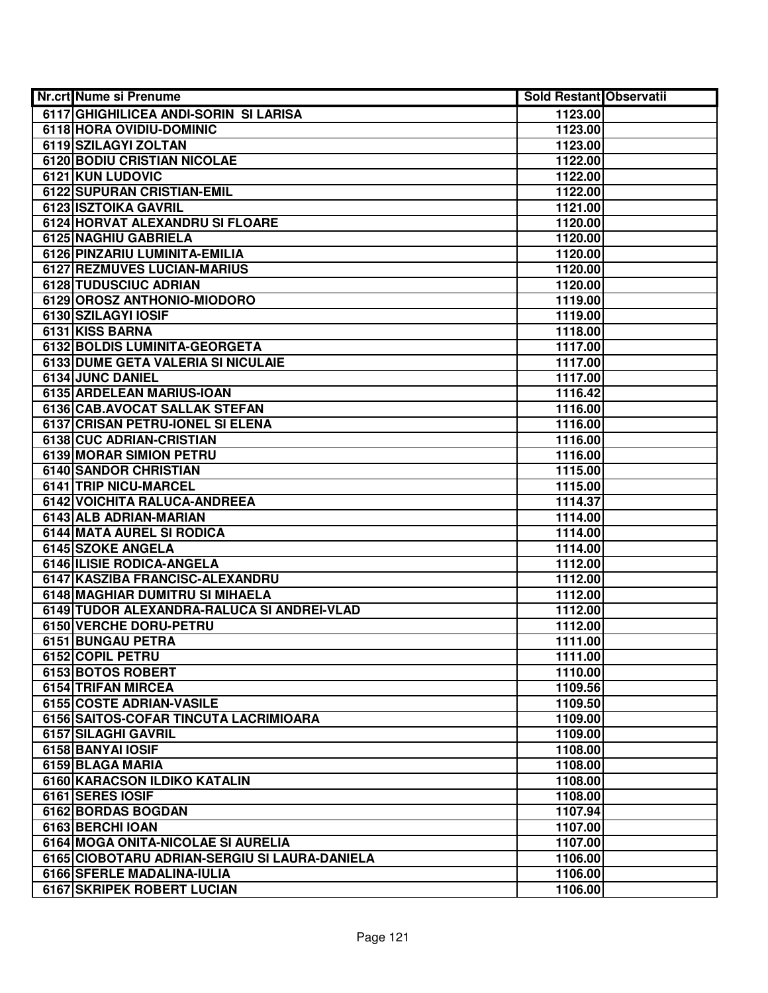| Nr.crt Nume si Prenume                        | <b>Sold Restant Observatii</b> |  |
|-----------------------------------------------|--------------------------------|--|
| 6117 GHIGHILICEA ANDI-SORIN SI LARISA         | 1123.00                        |  |
| 6118 HORA OVIDIU-DOMINIC                      | 1123.00                        |  |
| 6119 SZILAGYI ZOLTAN                          | 1123.00                        |  |
| <b>6120 BODIU CRISTIAN NICOLAE</b>            | 1122.00                        |  |
| 6121 KUN LUDOVIC                              | 1122.00                        |  |
| <b>6122 SUPURAN CRISTIAN-EMIL</b>             | 1122.00                        |  |
| 6123 ISZTOIKA GAVRIL                          | 1121.00                        |  |
| 6124 HORVAT ALEXANDRU SI FLOARE               | 1120.00                        |  |
| 6125 NAGHIU GABRIELA                          | 1120.00                        |  |
| 6126 PINZARIU LUMINITA-EMILIA                 | 1120.00                        |  |
| 6127 REZMUVES LUCIAN-MARIUS                   | 1120.00                        |  |
| 6128 TUDUSCIUC ADRIAN                         | 1120.00                        |  |
| 6129 OROSZ ANTHONIO-MIODORO                   | 1119.00                        |  |
| 6130 SZILAGYI IOSIF                           | 1119.00                        |  |
| 6131 KISS BARNA                               | 1118.00                        |  |
| 6132 BOLDIS LUMINITA-GEORGETA                 | 1117.00                        |  |
| 6133 DUME GETA VALERIA SI NICULAIE            | 1117.00                        |  |
| 6134 JUNC DANIEL                              | 1117.00                        |  |
| 6135 ARDELEAN MARIUS-IOAN                     | 1116.42                        |  |
| 6136 CAB.AVOCAT SALLAK STEFAN                 | 1116.00                        |  |
| 6137 CRISAN PETRU-IONEL SI ELENA              | 1116.00                        |  |
| 6138 CUC ADRIAN-CRISTIAN                      | 1116.00                        |  |
| 6139 MORAR SIMION PETRU                       | 1116.00                        |  |
| <b>6140 SANDOR CHRISTIAN</b>                  | 1115.00                        |  |
| 6141 TRIP NICU-MARCEL                         | 1115.00                        |  |
| 6142 VOICHITA RALUCA-ANDREEA                  | 1114.37                        |  |
| 6143 ALB ADRIAN-MARIAN                        | 1114.00                        |  |
| 6144 MATA AUREL SI RODICA                     | 1114.00                        |  |
| 6145 SZOKE ANGELA                             | 1114.00                        |  |
| 6146 ILISIE RODICA-ANGELA                     | 1112.00                        |  |
| 6147 KASZIBA FRANCISC-ALEXANDRU               | 1112.00                        |  |
| 6148 MAGHIAR DUMITRU SI MIHAELA               | 1112.00                        |  |
| 6149 TUDOR ALEXANDRA-RALUCA SI ANDREI-VLAD    | 1112.00                        |  |
| 6150 VERCHE DORU-PETRU                        | 1112.00                        |  |
| 6151 BUNGAU PETRA                             | 1111.00                        |  |
| 6152 COPIL PETRU                              | 1111.00                        |  |
| 6153 BOTOS ROBERT                             | 1110.00                        |  |
| 6154 TRIFAN MIRCEA                            | 1109.56                        |  |
| 6155 COSTE ADRIAN-VASILE                      | 1109.50                        |  |
| 6156 SAITOS-COFAR TINCUTA LACRIMIOARA         | 1109.00                        |  |
| 6157 SILAGHI GAVRIL                           | 1109.00                        |  |
| 6158 BANYAI IOSIF                             | 1108.00                        |  |
| 6159 BLAGA MARIA                              | 1108.00                        |  |
| 6160 KARACSON ILDIKO KATALIN                  | 1108.00                        |  |
| 6161 SERES IOSIF                              | 1108.00                        |  |
| 6162 BORDAS BOGDAN                            | 1107.94                        |  |
| 6163 BERCHI IOAN                              | 1107.00                        |  |
| 6164 MOGA ONITA-NICOLAE SI AURELIA            | 1107.00                        |  |
| 6165 CIOBOTARU ADRIAN-SERGIU SI LAURA-DANIELA | 1106.00                        |  |
| 6166 SFERLE MADALINA-IULIA                    | 1106.00                        |  |
| 6167 SKRIPEK ROBERT LUCIAN                    | 1106.00                        |  |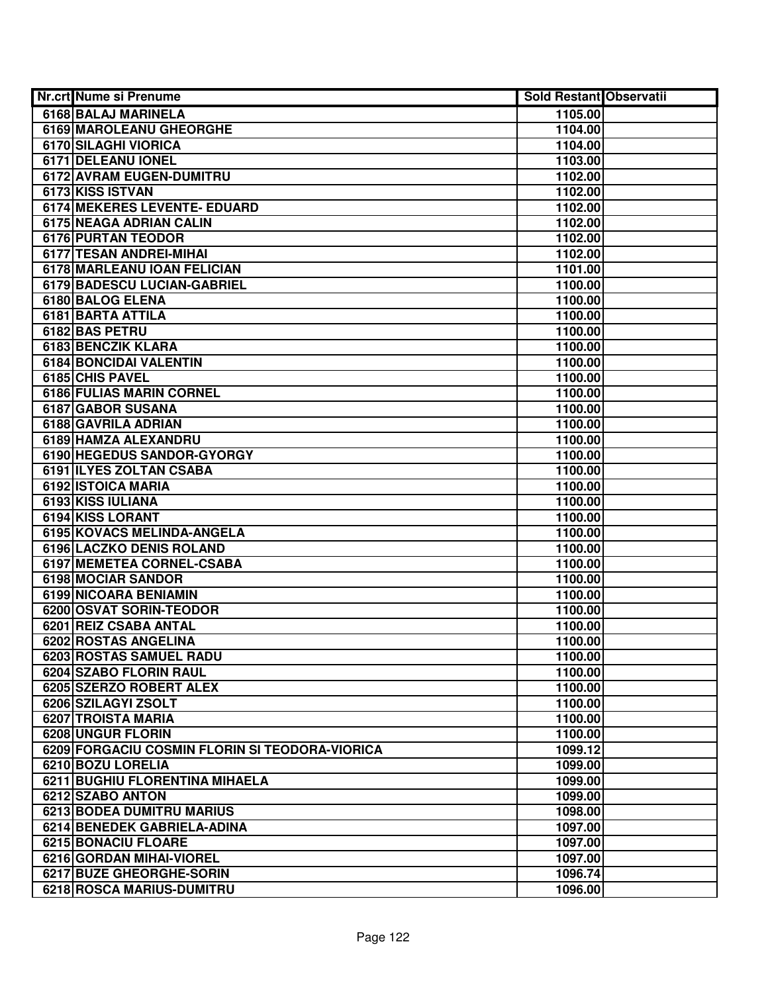| <b>Nr.crt Nume si Prenume</b>                  | <b>Sold Restant Observatii</b> |  |
|------------------------------------------------|--------------------------------|--|
| 6168 BALAJ MARINELA                            | 1105.00                        |  |
| <b>6169 MAROLEANU GHEORGHE</b>                 | 1104.00                        |  |
| 6170 SILAGHI VIORICA                           | 1104.00                        |  |
| 6171 DELEANU IONEL                             | 1103.00                        |  |
| 6172 AVRAM EUGEN-DUMITRU                       | 1102.00                        |  |
| 6173 KISS ISTVAN                               | 1102.00                        |  |
| 6174 MEKERES LEVENTE- EDUARD                   | 1102.00                        |  |
| 6175 NEAGA ADRIAN CALIN                        | 1102.00                        |  |
| <b>6176 PURTAN TEODOR</b>                      | 1102.00                        |  |
| 6177 TESAN ANDREI-MIHAI                        | 1102.00                        |  |
| 6178 MARLEANU IOAN FELICIAN                    | 1101.00                        |  |
| 6179 BADESCU LUCIAN-GABRIEL                    | 1100.00                        |  |
| 6180 BALOG ELENA                               | 1100.00                        |  |
| 6181 BARTA ATTILA                              | 1100.00                        |  |
| 6182 BAS PETRU                                 | 1100.00                        |  |
| 6183 BENCZIK KLARA                             | 1100.00                        |  |
| 6184 BONCIDAI VALENTIN                         | 1100.00                        |  |
| 6185 CHIS PAVEL                                | 1100.00                        |  |
| 6186 FULIAS MARIN CORNEL                       | 1100.00                        |  |
| 6187 GABOR SUSANA                              | 1100.00                        |  |
| 6188 GAVRILA ADRIAN                            | 1100.00                        |  |
| 6189 HAMZA ALEXANDRU                           | 1100.00                        |  |
| 6190 HEGEDUS SANDOR-GYORGY                     | 1100.00                        |  |
| 6191 ILYES ZOLTAN CSABA                        | 1100.00                        |  |
| 6192 ISTOICA MARIA                             | 1100.00                        |  |
| 6193 KISS IULIANA                              | 1100.00                        |  |
| 6194 KISS LORANT                               | 1100.00                        |  |
| 6195 KOVACS MELINDA-ANGELA                     | 1100.00                        |  |
| 6196 LACZKO DENIS ROLAND                       | 1100.00                        |  |
| 6197 MEMETEA CORNEL-CSABA                      | 1100.00                        |  |
| 6198 MOCIAR SANDOR                             | 1100.00                        |  |
| 6199 NICOARA BENIAMIN                          | 1100.00                        |  |
| 6200 OSVAT SORIN-TEODOR                        | 1100.00                        |  |
| 6201 REIZ CSABA ANTAL                          | 1100.00                        |  |
| <b>6202 ROSTAS ANGELINA</b>                    | 1100.00                        |  |
| <b>6203 ROSTAS SAMUEL RADU</b>                 | 1100.00                        |  |
| 6204 SZABO FLORIN RAUL                         | 1100.00                        |  |
| 6205 SZERZO ROBERT ALEX                        | 1100.00                        |  |
| 6206 SZILAGYI ZSOLT                            | 1100.00                        |  |
| 6207 TROISTA MARIA                             | 1100.00                        |  |
| 6208 UNGUR FLORIN                              | 1100.00                        |  |
| 6209 FORGACIU COSMIN FLORIN SI TEODORA-VIORICA | 1099.12                        |  |
| 6210 BOZU LORELIA                              | 1099.00                        |  |
| 6211 BUGHIU FLORENTINA MIHAELA                 | 1099.00                        |  |
| 6212 SZABO ANTON                               | 1099.00                        |  |
| 6213 BODEA DUMITRU MARIUS                      | 1098.00                        |  |
| 6214 BENEDEK GABRIELA-ADINA                    | 1097.00                        |  |
| 6215 BONACIU FLOARE                            | 1097.00                        |  |
| 6216 GORDAN MIHAI-VIOREL                       | 1097.00                        |  |
| 6217 BUZE GHEORGHE-SORIN                       | 1096.74                        |  |
| 6218 ROSCA MARIUS-DUMITRU                      | 1096.00                        |  |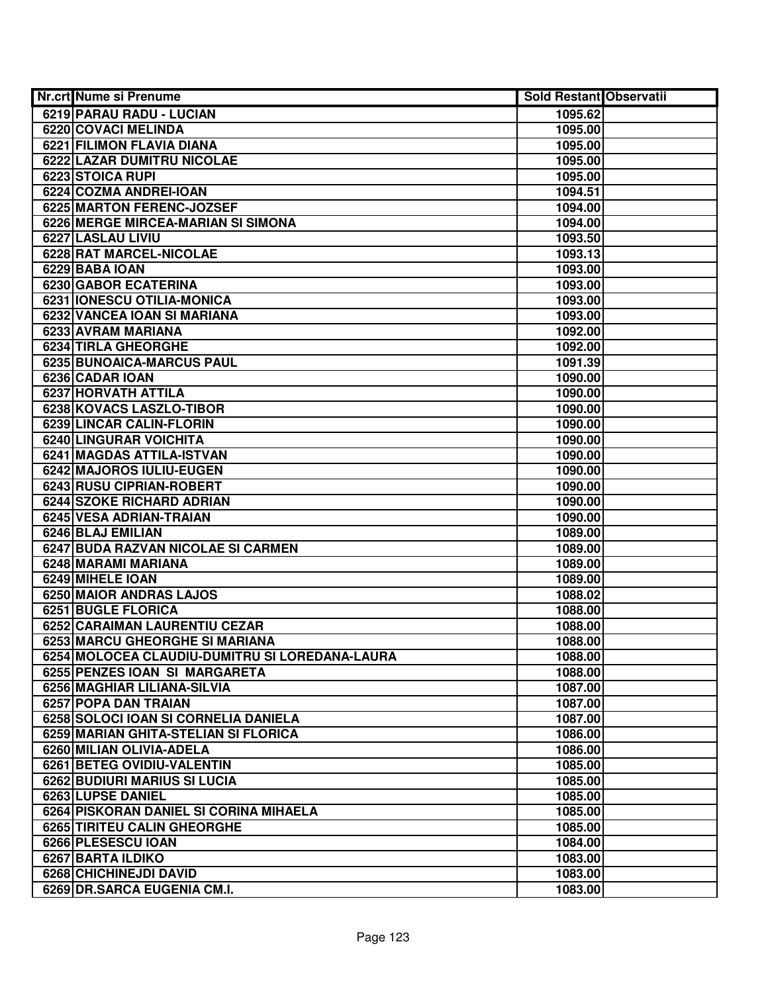| Nr.crt Nume si Prenume                         | Sold Restant Observatii |  |
|------------------------------------------------|-------------------------|--|
| 6219 PARAU RADU - LUCIAN                       | 1095.62                 |  |
| 6220 COVACI MELINDA                            | 1095.00                 |  |
| 6221 FILIMON FLAVIA DIANA                      | 1095.00                 |  |
| 6222 LAZAR DUMITRU NICOLAE                     | 1095.00                 |  |
| 6223 STOICA RUPI                               | 1095.00                 |  |
| 6224 COZMA ANDREI-IOAN                         | 1094.51                 |  |
| 6225 MARTON FERENC-JOZSEF                      | 1094.00                 |  |
| 6226 MERGE MIRCEA-MARIAN SI SIMONA             | 1094.00                 |  |
| 6227 LASLAU LIVIU                              | 1093.50                 |  |
| 6228 RAT MARCEL-NICOLAE                        | 1093.13                 |  |
| 6229 BABA IOAN                                 | 1093.00                 |  |
| 6230 GABOR ECATERINA                           | 1093.00                 |  |
| 6231 IONESCU OTILIA-MONICA                     | 1093.00                 |  |
| 6232 VANCEA IOAN SI MARIANA                    | 1093.00                 |  |
| 6233 AVRAM MARIANA                             | 1092.00                 |  |
| 6234 TIRLA GHEORGHE                            | 1092.00                 |  |
| 6235 BUNOAICA-MARCUS PAUL                      | 1091.39                 |  |
| 6236 CADAR IOAN                                | 1090.00                 |  |
| 6237 HORVATH ATTILA                            | 1090.00                 |  |
| 6238 KOVACS LASZLO-TIBOR                       | 1090.00                 |  |
| 6239 LINCAR CALIN-FLORIN                       | 1090.00                 |  |
| 6240 LINGURAR VOICHITA                         | 1090.00                 |  |
| 6241 MAGDAS ATTILA-ISTVAN                      | 1090.00                 |  |
| 6242 MAJOROS IULIU-EUGEN                       | 1090.00                 |  |
| 6243 RUSU CIPRIAN-ROBERT                       | 1090.00                 |  |
| <b>6244 SZOKE RICHARD ADRIAN</b>               | 1090.00                 |  |
| 6245 VESA ADRIAN-TRAIAN                        | 1090.00                 |  |
| 6246 BLAJ EMILIAN                              | 1089.00                 |  |
| 6247 BUDA RAZVAN NICOLAE SI CARMEN             | 1089.00                 |  |
| 6248 MARAMI MARIANA                            | 1089.00                 |  |
| 6249 MIHELE IOAN                               | 1089.00                 |  |
| 6250 MAIOR ANDRAS LAJOS                        | 1088.02                 |  |
| 6251 BUGLE FLORICA                             | 1088.00                 |  |
| 6252 CARAIMAN LAURENTIU CEZAR                  | 1088.00                 |  |
| 6253 MARCU GHEORGHE SI MARIANA                 | 1088.00                 |  |
| 6254 MOLOCEA CLAUDIU-DUMITRU SI LOREDANA-LAURA | 1088.00                 |  |
| 6255 PENZES IOAN SI MARGARETA                  | 1088.00                 |  |
| 6256 MAGHIAR LILIANA-SILVIA                    | 1087.00                 |  |
| 6257 POPA DAN TRAIAN                           | 1087.00                 |  |
| 6258 SOLOCI IOAN SI CORNELIA DANIELA           | 1087.00                 |  |
| 6259 MARIAN GHITA-STELIAN SI FLORICA           | 1086.00                 |  |
| 6260 MILIAN OLIVIA-ADELA                       | 1086.00                 |  |
| 6261 BETEG OVIDIU-VALENTIN                     | 1085.00                 |  |
| 6262 BUDIURI MARIUS SI LUCIA                   | 1085.00                 |  |
| 6263 LUPSE DANIEL                              | 1085.00                 |  |
| 6264 PISKORAN DANIEL SI CORINA MIHAELA         | 1085.00                 |  |
| 6265 TIRITEU CALIN GHEORGHE                    | 1085.00                 |  |
| 6266 PLESESCU IOAN                             | 1084.00                 |  |
| 6267 BARTA ILDIKO                              | 1083.00                 |  |
| 6268 CHICHINEJDI DAVID                         | 1083.00                 |  |
| 6269 DR.SARCA EUGENIA CM.I.                    | 1083.00                 |  |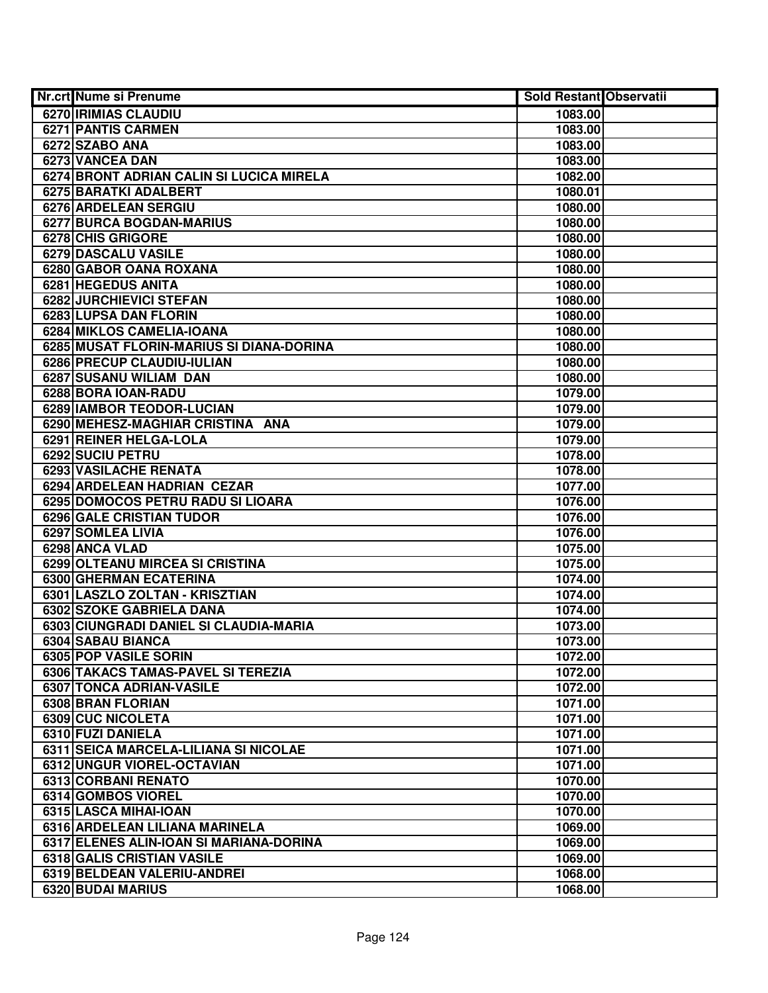| Nr.crt Nume si Prenume                   | <b>Sold Restant Observatii</b> |  |
|------------------------------------------|--------------------------------|--|
| 6270 IRIMIAS CLAUDIU                     | 1083.00                        |  |
| 6271 PANTIS CARMEN                       | 1083.00                        |  |
| 6272 SZABO ANA                           | 1083.00                        |  |
| 6273 VANCEA DAN                          | 1083.00                        |  |
| 6274 BRONT ADRIAN CALIN SI LUCICA MIRELA | 1082.00                        |  |
| 6275 BARATKI ADALBERT                    | 1080.01                        |  |
| 6276 ARDELEAN SERGIU                     | 1080.00                        |  |
| 6277 BURCA BOGDAN-MARIUS                 | 1080.00                        |  |
| 6278 CHIS GRIGORE                        | 1080.00                        |  |
| 6279 DASCALU VASILE                      | 1080.00                        |  |
| 6280 GABOR OANA ROXANA                   | 1080.00                        |  |
| 6281 HEGEDUS ANITA                       | 1080.00                        |  |
| 6282 JURCHIEVICI STEFAN                  | 1080.00                        |  |
| 6283 LUPSA DAN FLORIN                    | 1080.00                        |  |
| 6284 MIKLOS CAMELIA-IOANA                | 1080.00                        |  |
| 6285 MUSAT FLORIN-MARIUS SI DIANA-DORINA | 1080.00                        |  |
| 6286 PRECUP CLAUDIU-IULIAN               | 1080.00                        |  |
| 6287 SUSANU WILIAM DAN                   | 1080.00                        |  |
| 6288 BORA IOAN-RADU                      | 1079.00                        |  |
| 6289 IAMBOR TEODOR-LUCIAN                | 1079.00                        |  |
| 6290 MEHESZ-MAGHIAR CRISTINA ANA         | 1079.00                        |  |
| 6291 REINER HELGA-LOLA                   | 1079.00                        |  |
| 6292 SUCIU PETRU                         | 1078.00                        |  |
| 6293 VASILACHE RENATA                    | 1078.00                        |  |
| 6294 ARDELEAN HADRIAN CEZAR              | 1077.00                        |  |
| 6295 DOMOCOS PETRU RADU SI LIOARA        | 1076.00                        |  |
| <b>6296 GALE CRISTIAN TUDOR</b>          | 1076.00                        |  |
| 6297 SOMLEA LIVIA                        | 1076.00                        |  |
| 6298 ANCA VLAD                           | 1075.00                        |  |
| 6299 OLTEANU MIRCEA SI CRISTINA          | 1075.00                        |  |
| 6300 GHERMAN ECATERINA                   | 1074.00                        |  |
| 6301 LASZLO ZOLTAN - KRISZTIAN           | 1074.00                        |  |
| 6302 SZOKE GABRIELA DANA                 | 1074.00                        |  |
| 6303 CIUNGRADI DANIEL SI CLAUDIA-MARIA   | 1073.00                        |  |
| 6304 SABAU BIANCA                        | 1073.00                        |  |
| 6305 POP VASILE SORIN                    | 1072.00                        |  |
| 6306 TAKACS TAMAS-PAVEL SI TEREZIA       | 1072.00                        |  |
| 6307 TONCA ADRIAN-VASILE                 | 1072.00                        |  |
| 6308 BRAN FLORIAN                        | 1071.00                        |  |
| 6309 CUC NICOLETA                        | 1071.00                        |  |
| 6310 FUZI DANIELA                        | 1071.00                        |  |
| 6311 SEICA MARCELA-LILIANA SI NICOLAE    | 1071.00                        |  |
| <b>6312 UNGUR VIOREL-OCTAVIAN</b>        | 1071.00                        |  |
| 6313 CORBANI RENATO                      | 1070.00                        |  |
| 6314 GOMBOS VIOREL                       | 1070.00                        |  |
| 6315 LASCA MIHAI-IOAN                    | 1070.00                        |  |
| 6316 ARDELEAN LILIANA MARINELA           | 1069.00                        |  |
| 6317 ELENES ALIN-IOAN SI MARIANA-DORINA  | 1069.00                        |  |
| 6318 GALIS CRISTIAN VASILE               | 1069.00                        |  |
| 6319 BELDEAN VALERIU-ANDREI              | 1068.00                        |  |
| 6320 BUDAI MARIUS                        | 1068.00                        |  |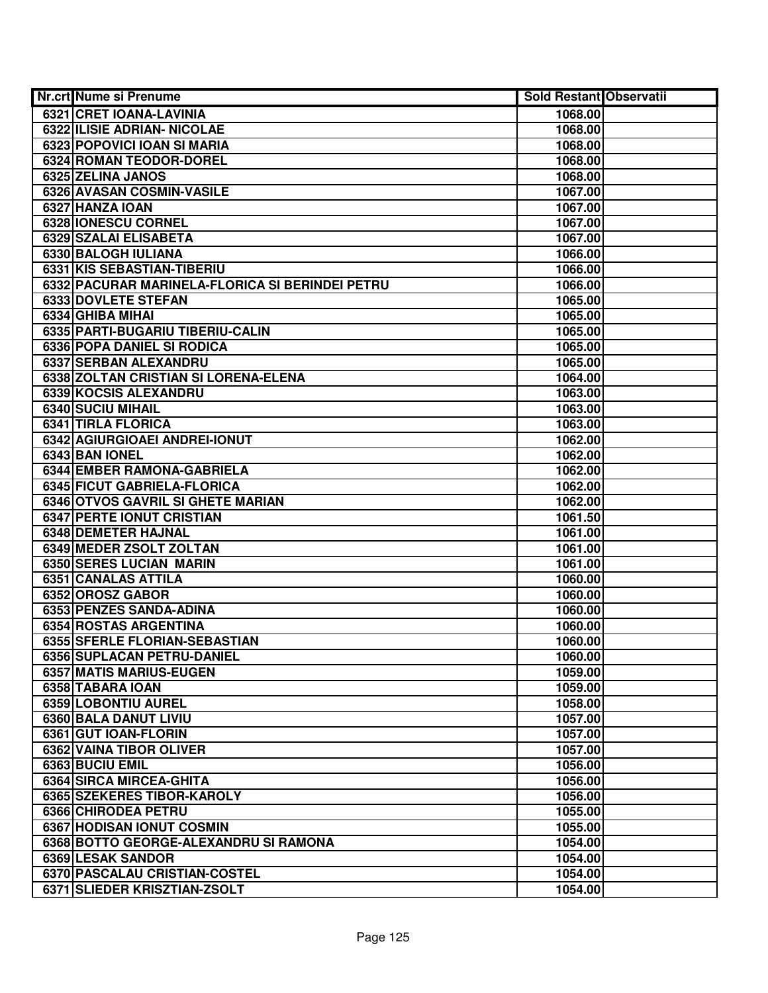| Nr.crt Nume si Prenume                          | Sold Restant Observatii |  |
|-------------------------------------------------|-------------------------|--|
| 6321 CRET IOANA-LAVINIA                         | 1068.00                 |  |
| <b>6322 ILISIE ADRIAN- NICOLAE</b>              | 1068.00                 |  |
| 6323 POPOVICI IOAN SI MARIA                     | 1068.00                 |  |
| 6324 ROMAN TEODOR-DOREL                         | 1068.00                 |  |
| 6325 ZELINA JANOS                               | 1068.00                 |  |
| 6326 AVASAN COSMIN-VASILE                       | 1067.00                 |  |
| 6327 HANZA IOAN                                 | 1067.00                 |  |
| 6328 IONESCU CORNEL                             | 1067.00                 |  |
| 6329 SZALAI ELISABETA                           | 1067.00                 |  |
| 6330 BALOGH IULIANA                             | 1066.00                 |  |
| 6331 KIS SEBASTIAN-TIBERIU                      | 1066.00                 |  |
| 6332 PACURAR MARINELA-FLORICA SI BERINDEI PETRU | 1066.00                 |  |
| 6333 DOVLETE STEFAN                             | 1065.00                 |  |
| 6334 GHIBA MIHAI                                | 1065.00                 |  |
| 6335 PARTI-BUGARIU TIBERIU-CALIN                | 1065.00                 |  |
| 6336 POPA DANIEL SI RODICA                      | 1065.00                 |  |
| 6337 SERBAN ALEXANDRU                           | 1065.00                 |  |
| 6338 ZOLTAN CRISTIAN SI LORENA-ELENA            | 1064.00                 |  |
| 6339 KOCSIS ALEXANDRU                           | 1063.00                 |  |
| 6340 SUCIU MIHAIL                               | 1063.00                 |  |
| 6341 TIRLA FLORICA                              | 1063.00                 |  |
| 6342 AGIURGIOAEI ANDREI-IONUT                   | 1062.00                 |  |
| 6343 BAN IONEL                                  | 1062.00                 |  |
| 6344 EMBER RAMONA-GABRIELA                      | 1062.00                 |  |
| 6345 FICUT GABRIELA-FLORICA                     | 1062.00                 |  |
| 6346 OTVOS GAVRIL SI GHETE MARIAN               | 1062.00                 |  |
| <b>6347 PERTE IONUT CRISTIAN</b>                | 1061.50                 |  |
| <b>6348 DEMETER HAJNAL</b>                      | 1061.00                 |  |
| 6349 MEDER ZSOLT ZOLTAN                         | 1061.00                 |  |
| 6350 SERES LUCIAN MARIN                         | 1061.00                 |  |
| 6351 CANALAS ATTILA                             | 1060.00                 |  |
| 6352 OROSZ GABOR                                | 1060.00                 |  |
| 6353 PENZES SANDA-ADINA                         | 1060.00                 |  |
| 6354 ROSTAS ARGENTINA                           | 1060.00                 |  |
| 6355 SFERLE FLORIAN-SEBASTIAN                   | 1060.00                 |  |
| 6356 SUPLACAN PETRU-DANIEL                      | 1060.00                 |  |
| 6357 MATIS MARIUS-EUGEN                         | 1059.00                 |  |
| 6358 TABARA IOAN                                | 1059.00                 |  |
| 6359 LOBONTIU AUREL                             | 1058.00                 |  |
| 6360 BALA DANUT LIVIU                           | 1057.00                 |  |
| 6361 GUT IOAN-FLORIN                            | 1057.00                 |  |
| 6362 VAINA TIBOR OLIVER                         | 1057.00                 |  |
| 6363 BUCIU EMIL                                 | 1056.00                 |  |
| 6364 SIRCA MIRCEA-GHITA                         | 1056.00                 |  |
| 6365 SZEKERES TIBOR-KAROLY                      | 1056.00                 |  |
| 6366 CHIRODEA PETRU                             | 1055.00                 |  |
| 6367 HODISAN IONUT COSMIN                       | 1055.00                 |  |
| 6368 BOTTO GEORGE-ALEXANDRU SI RAMONA           | 1054.00                 |  |
| 6369 LESAK SANDOR                               | 1054.00                 |  |
| 6370 PASCALAU CRISTIAN-COSTEL                   | 1054.00                 |  |
| 6371 SLIEDER KRISZTIAN-ZSOLT                    | 1054.00                 |  |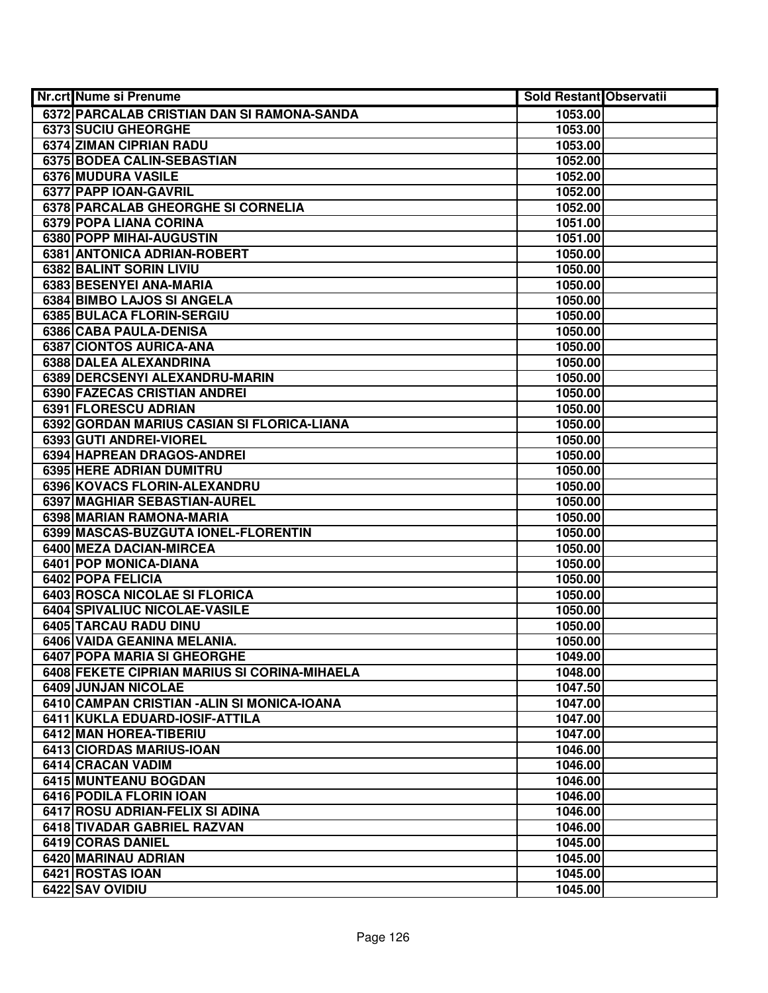| Nr.crt Nume si Prenume                                         | Sold Restant Observatii |  |
|----------------------------------------------------------------|-------------------------|--|
| 6372 PARCALAB CRISTIAN DAN SI RAMONA-SANDA                     | 1053.00                 |  |
| 6373 SUCIU GHEORGHE                                            | 1053.00                 |  |
| 6374 ZIMAN CIPRIAN RADU                                        | 1053.00                 |  |
| 6375 BODEA CALIN-SEBASTIAN                                     | 1052.00                 |  |
| 6376 MUDURA VASILE                                             | 1052.00                 |  |
| 6377 PAPP IOAN-GAVRIL                                          | 1052.00                 |  |
| 6378 PARCALAB GHEORGHE SI CORNELIA                             | 1052.00                 |  |
| 6379 POPA LIANA CORINA                                         | 1051.00                 |  |
| 6380 POPP MIHAI-AUGUSTIN                                       | 1051.00                 |  |
| 6381 ANTONICA ADRIAN-ROBERT                                    | 1050.00                 |  |
| 6382 BALINT SORIN LIVIU                                        | 1050.00                 |  |
| 6383 BESENYEI ANA-MARIA                                        | 1050.00                 |  |
| 6384 BIMBO LAJOS SI ANGELA                                     | 1050.00                 |  |
| 6385 BULACA FLORIN-SERGIU                                      | 1050.00                 |  |
| 6386 CABA PAULA-DENISA                                         | 1050.00                 |  |
| 6387 CIONTOS AURICA-ANA                                        | 1050.00                 |  |
| 6388 DALEA ALEXANDRINA                                         | 1050.00                 |  |
| 6389 DERCSENYI ALEXANDRU-MARIN                                 | 1050.00                 |  |
| 6390 FAZECAS CRISTIAN ANDREI                                   | 1050.00                 |  |
| 6391 FLORESCU ADRIAN                                           | 1050.00                 |  |
| 6392 GORDAN MARIUS CASIAN SI FLORICA-LIANA                     | 1050.00                 |  |
| 6393 GUTI ANDREI-VIOREL                                        | 1050.00                 |  |
| 6394 HAPREAN DRAGOS-ANDREI                                     | 1050.00                 |  |
| 6395 HERE ADRIAN DUMITRU                                       | 1050.00                 |  |
| 6396 KOVACS FLORIN-ALEXANDRU                                   | 1050.00                 |  |
| 6397 MAGHIAR SEBASTIAN-AUREL                                   | 1050.00                 |  |
| 6398 MARIAN RAMONA-MARIA                                       | 1050.00                 |  |
| 6399 MASCAS-BUZGUTA IONEL-FLORENTIN                            | 1050.00                 |  |
| 6400 MEZA DACIAN-MIRCEA                                        | 1050.00                 |  |
| 6401 POP MONICA-DIANA                                          | 1050.00                 |  |
| 6402 POPA FELICIA                                              | 1050.00                 |  |
| 6403 ROSCA NICOLAE SI FLORICA                                  | 1050.00                 |  |
| 6404 SPIVALIUC NICOLAE-VASILE                                  | 1050.00                 |  |
| 6405 TARCAU RADU DINU                                          | 1050.00                 |  |
| 6406 VAIDA GEANINA MELANIA.                                    | 1050.00                 |  |
| 6407 POPA MARIA SI GHEORGHE                                    | 1049.00                 |  |
| 6408 FEKETE CIPRIAN MARIUS SI CORINA-MIHAELA                   | 1048.00                 |  |
| 6409 JUNJAN NICOLAE                                            | 1047.50                 |  |
| 6410 CAMPAN CRISTIAN - ALIN SI MONICA-IOANA                    | 1047.00                 |  |
| 6411 KUKLA EDUARD-IOSIF-ATTILA                                 | 1047.00                 |  |
| 6412 MAN HOREA-TIBERIU                                         | 1047.00                 |  |
| 6413 CIORDAS MARIUS-IOAN                                       | 1046.00                 |  |
| 6414 CRACAN VADIM                                              | 1046.00                 |  |
| 6415 MUNTEANU BOGDAN                                           | 1046.00                 |  |
| 6416 PODILA FLORIN IOAN                                        | 1046.00                 |  |
| 6417 ROSU ADRIAN-FELIX SI ADINA<br>6418 TIVADAR GABRIEL RAZVAN | 1046.00<br>1046.00      |  |
| 6419 CORAS DANIEL                                              | 1045.00                 |  |
| 6420 MARINAU ADRIAN                                            | 1045.00                 |  |
| 6421 ROSTAS IOAN                                               | 1045.00                 |  |
| 6422 SAV OVIDIU                                                | 1045.00                 |  |
|                                                                |                         |  |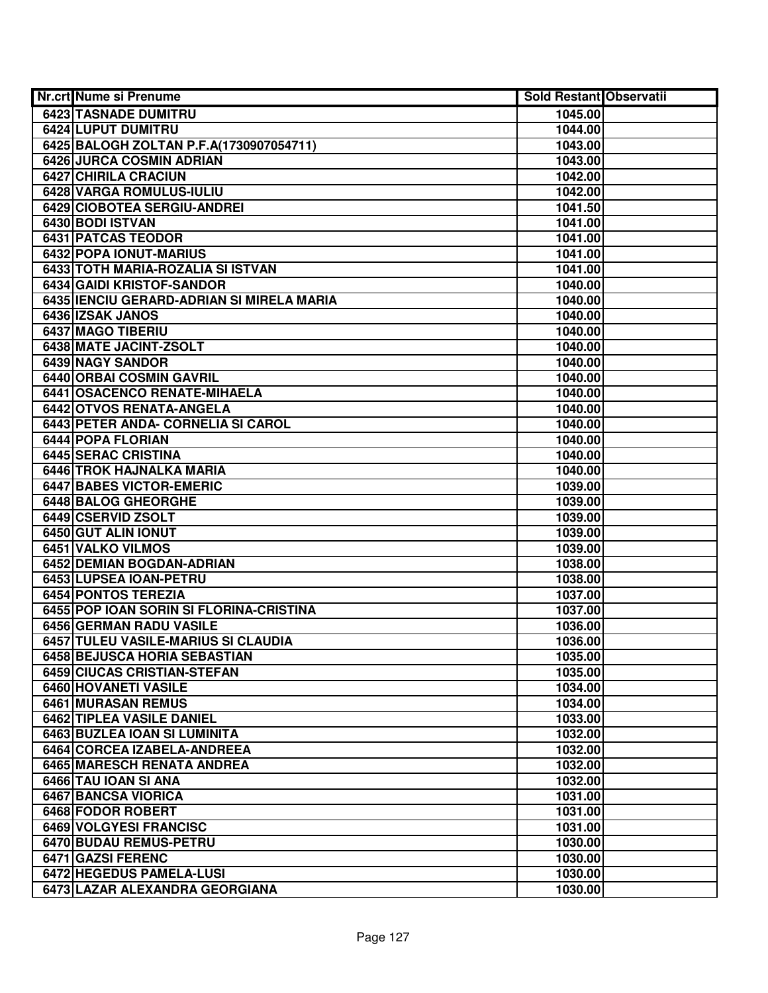| <b>Nr.crt Nume si Prenume</b>             | Sold Restant Observatii |  |
|-------------------------------------------|-------------------------|--|
| 6423 TASNADE DUMITRU                      | 1045.00                 |  |
| 6424 LUPUT DUMITRU                        | 1044.00                 |  |
| 6425 BALOGH ZOLTAN P.F.A(1730907054711)   | 1043.00                 |  |
| 6426 JURCA COSMIN ADRIAN                  | 1043.00                 |  |
| 6427 CHIRILA CRACIUN                      | 1042.00                 |  |
| 6428 VARGA ROMULUS-IULIU                  | 1042.00                 |  |
| 6429 CIOBOTEA SERGIU-ANDREI               | 1041.50                 |  |
| 6430 BODI ISTVAN                          | 1041.00                 |  |
| <b>6431 PATCAS TEODOR</b>                 | 1041.00                 |  |
| <b>6432 POPA IONUT-MARIUS</b>             | 1041.00                 |  |
| 6433 TOTH MARIA-ROZALIA SI ISTVAN         | 1041.00                 |  |
| 6434 GAIDI KRISTOF-SANDOR                 | 1040.00                 |  |
| 6435 IENCIU GERARD-ADRIAN SI MIRELA MARIA | 1040.00                 |  |
| 6436 IZSAK JANOS                          | 1040.00                 |  |
| 6437 MAGO TIBERIU                         | 1040.00                 |  |
| 6438 MATE JACINT-ZSOLT                    | 1040.00                 |  |
| 6439 NAGY SANDOR                          | 1040.00                 |  |
| 6440 ORBAI COSMIN GAVRIL                  | 1040.00                 |  |
| 6441 OSACENCO RENATE-MIHAELA              | 1040.00                 |  |
| 6442 OTVOS RENATA-ANGELA                  | 1040.00                 |  |
| 6443 PETER ANDA- CORNELIA SI CAROL        | 1040.00                 |  |
| 6444 POPA FLORIAN                         | 1040.00                 |  |
| 6445 SERAC CRISTINA                       | 1040.00                 |  |
| 6446 TROK HAJNALKA MARIA                  | 1040.00                 |  |
| <b>6447 BABES VICTOR-EMERIC</b>           | 1039.00                 |  |
| 6448 BALOG GHEORGHE                       | 1039.00                 |  |
| 6449 CSERVID ZSOLT                        | 1039.00                 |  |
| 6450 GUT ALIN IONUT                       | 1039.00                 |  |
| 6451 VALKO VILMOS                         | 1039.00                 |  |
| 6452 DEMIAN BOGDAN-ADRIAN                 | 1038.00                 |  |
| 6453 LUPSEA IOAN-PETRU                    | 1038.00                 |  |
| 6454 PONTOS TEREZIA                       | 1037.00                 |  |
| 6455 POP IOAN SORIN SI FLORINA-CRISTINA   | 1037.00                 |  |
| 6456 GERMAN RADU VASILE                   | 1036.00                 |  |
| 6457 TULEU VASILE-MARIUS SI CLAUDIA       | 1036.00                 |  |
| 6458 BEJUSCA HORIA SEBASTIAN              | 1035.00                 |  |
| 6459 CIUCAS CRISTIAN-STEFAN               | 1035.00                 |  |
| 6460 HOVANETI VASILE                      | 1034.00                 |  |
| <b>6461 MURASAN REMUS</b>                 | 1034.00                 |  |
| 6462 TIPLEA VASILE DANIEL                 | 1033.00                 |  |
| 6463 BUZLEA IOAN SI LUMINITA              | 1032.00                 |  |
| 6464 CORCEA IZABELA-ANDREEA               | 1032.00                 |  |
| 6465 MARESCH RENATA ANDREA                | 1032.00                 |  |
| 6466 TAU IOAN SI ANA                      | 1032.00                 |  |
| 6467 BANCSA VIORICA                       | 1031.00                 |  |
| 6468 FODOR ROBERT                         | 1031.00                 |  |
| 6469 VOLGYESI FRANCISC                    | 1031.00                 |  |
| 6470 BUDAU REMUS-PETRU                    | 1030.00                 |  |
| 6471 GAZSI FERENC                         | 1030.00                 |  |
| 6472 HEGEDUS PAMELA-LUSI                  | 1030.00                 |  |
| 6473 LAZAR ALEXANDRA GEORGIANA            | 1030.00                 |  |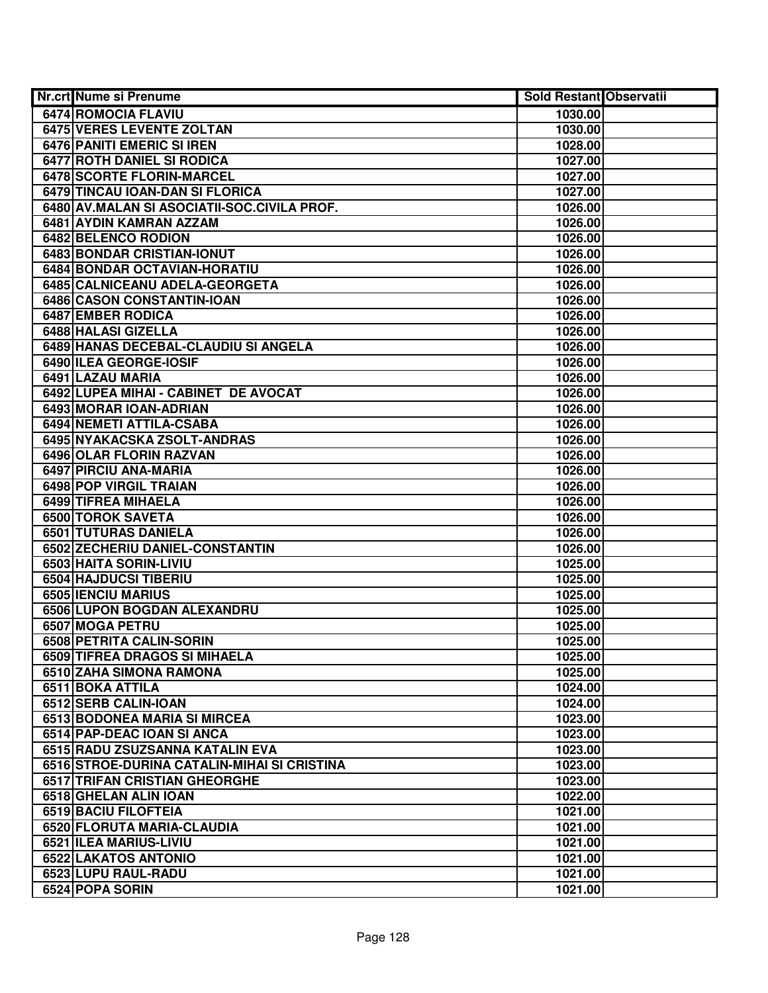| <b>Nr.crt Nume si Prenume</b>                   | <b>Sold Restant Observatii</b> |  |
|-------------------------------------------------|--------------------------------|--|
| 6474 ROMOCIA FLAVIU                             | 1030.00                        |  |
| <b>6475 VERES LEVENTE ZOLTAN</b>                | 1030.00                        |  |
| <b>6476 PANITI EMERIC SI IREN</b>               | 1028.00                        |  |
| <b>6477 ROTH DANIEL SI RODICA</b>               | 1027.00                        |  |
| 6478 SCORTE FLORIN-MARCEL                       | 1027.00                        |  |
| 6479 TINCAU IOAN-DAN SI FLORICA                 | 1027.00                        |  |
| 6480 AV.MALAN SI ASOCIATII-SOC.CIVILA PROF.     | 1026.00                        |  |
| 6481 AYDIN KAMRAN AZZAM                         | 1026.00                        |  |
| 6482 BELENCO RODION                             | 1026.00                        |  |
| <b>6483 BONDAR CRISTIAN-IONUT</b>               | 1026.00                        |  |
| 6484 BONDAR OCTAVIAN-HORATIU                    | 1026.00                        |  |
| 6485 CALNICEANU ADELA-GEORGETA                  | 1026.00                        |  |
| 6486 CASON CONSTANTIN-IOAN                      | 1026.00                        |  |
| 6487 EMBER RODICA                               | 1026.00                        |  |
| 6488 HALASI GIZELLA                             | 1026.00                        |  |
| 6489 HANAS DECEBAL-CLAUDIU SI ANGELA            | 1026.00                        |  |
| 6490 ILEA GEORGE-IOSIF                          | 1026.00                        |  |
| 6491 LAZAU MARIA                                | 1026.00                        |  |
| 6492 LUPEA MIHAI - CABINET DE AVOCAT            | 1026.00                        |  |
| 6493 MORAR IOAN-ADRIAN                          | 1026.00                        |  |
| 6494 NEMETI ATTILA-CSABA                        | 1026.00                        |  |
| 6495 NYAKACSKA ZSOLT-ANDRAS                     | 1026.00                        |  |
| 6496 OLAR FLORIN RAZVAN                         | 1026.00                        |  |
| 6497 PIRCIU ANA-MARIA                           | 1026.00                        |  |
| 6498 POP VIRGIL TRAIAN                          | 1026.00                        |  |
| 6499 TIFREA MIHAELA                             | 1026.00                        |  |
| 6500 TOROK SAVETA                               | 1026.00                        |  |
| 6501 TUTURAS DANIELA                            | 1026.00                        |  |
| 6502 ZECHERIU DANIEL-CONSTANTIN                 | 1026.00                        |  |
| 6503 HAITA SORIN-LIVIU<br>6504 HAJDUCSI TIBERIU | 1025.00                        |  |
| 6505 IENCIU MARIUS                              | 1025.00<br>1025.00             |  |
| 6506 LUPON BOGDAN ALEXANDRU                     | 1025.00                        |  |
| 6507 MOGA PETRU                                 | 1025.00                        |  |
| 6508 PETRITA CALIN-SORIN                        | 1025.00                        |  |
| 6509 TIFREA DRAGOS SI MIHAELA                   | 1025.00                        |  |
| 6510 ZAHA SIMONA RAMONA                         | 1025.00                        |  |
| 6511 BOKA ATTILA                                | 1024.00                        |  |
| 6512 SERB CALIN-IOAN                            | 1024.00                        |  |
| 6513 BODONEA MARIA SI MIRCEA                    | 1023.00                        |  |
| 6514 PAP-DEAC IOAN SI ANCA                      | 1023.00                        |  |
| 6515 RADU ZSUZSANNA KATALIN EVA                 | 1023.00                        |  |
| 6516 STROE-DURINA CATALIN-MIHAI SI CRISTINA     | 1023.00                        |  |
| 6517 TRIFAN CRISTIAN GHEORGHE                   | 1023.00                        |  |
| 6518 GHELAN ALIN IOAN                           | 1022.00                        |  |
| 6519 BACIU FILOFTEIA                            | 1021.00                        |  |
| 6520 FLORUTA MARIA-CLAUDIA                      | 1021.00                        |  |
| 6521 ILEA MARIUS-LIVIU                          | 1021.00                        |  |
| 6522 LAKATOS ANTONIO                            | 1021.00                        |  |
| 6523 LUPU RAUL-RADU                             | 1021.00                        |  |
| 6524 POPA SORIN                                 | 1021.00                        |  |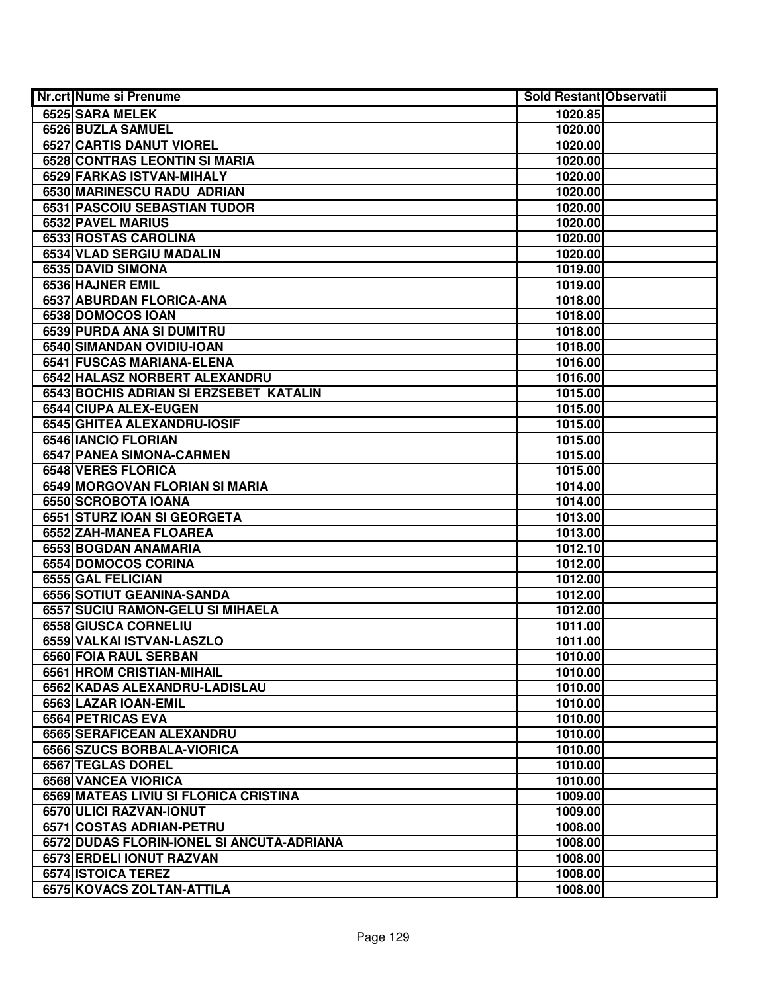| Nr.crt Nume si Prenume                    | <b>Sold Restant Observatii</b> |  |
|-------------------------------------------|--------------------------------|--|
| 6525 SARA MELEK                           | 1020.85                        |  |
| 6526 BUZLA SAMUEL                         | 1020.00                        |  |
| <b>6527 CARTIS DANUT VIOREL</b>           | 1020.00                        |  |
| 6528 CONTRAS LEONTIN SI MARIA             | 1020.00                        |  |
| 6529 FARKAS ISTVAN-MIHALY                 | 1020.00                        |  |
| 6530 MARINESCU RADU ADRIAN                | 1020.00                        |  |
| 6531 PASCOIU SEBASTIAN TUDOR              | 1020.00                        |  |
| 6532 PAVEL MARIUS                         | 1020.00                        |  |
| 6533 ROSTAS CAROLINA                      | 1020.00                        |  |
| 6534 VLAD SERGIU MADALIN                  | 1020.00                        |  |
| 6535 DAVID SIMONA                         | 1019.00                        |  |
| 6536 HAJNER EMIL                          | 1019.00                        |  |
| 6537 ABURDAN FLORICA-ANA                  | 1018.00                        |  |
| 6538 DOMOCOS IOAN                         | 1018.00                        |  |
| 6539 PURDA ANA SI DUMITRU                 | 1018.00                        |  |
| 6540 SIMANDAN OVIDIU-IOAN                 | 1018.00                        |  |
| 6541 FUSCAS MARIANA-ELENA                 | 1016.00                        |  |
| 6542 HALASZ NORBERT ALEXANDRU             | 1016.00                        |  |
| 6543 BOCHIS ADRIAN SI ERZSEBET KATALIN    | 1015.00                        |  |
| 6544 CIUPA ALEX-EUGEN                     | 1015.00                        |  |
| 6545 GHITEA ALEXANDRU-IOSIF               | 1015.00                        |  |
| 6546 IANCIO FLORIAN                       | 1015.00                        |  |
| 6547 PANEA SIMONA-CARMEN                  | 1015.00                        |  |
| 6548 VERES FLORICA                        | 1015.00                        |  |
| 6549 MORGOVAN FLORIAN SI MARIA            | 1014.00                        |  |
| 6550 SCROBOTA IOANA                       | 1014.00                        |  |
| 6551 STURZ IOAN SI GEORGETA               | 1013.00                        |  |
| 6552 ZAH-MANEA FLOAREA                    | 1013.00                        |  |
| 6553 BOGDAN ANAMARIA                      | 1012.10                        |  |
| 6554 DOMOCOS CORINA                       | 1012.00                        |  |
| 6555 GAL FELICIAN                         | 1012.00                        |  |
| 6556 SOTIUT GEANINA-SANDA                 | 1012.00                        |  |
| 6557 SUCIU RAMON-GELU SI MIHAELA          | 1012.00                        |  |
| 6558 GIUSCA CORNELIU                      | 1011.00                        |  |
| 6559 VALKAI ISTVAN-LASZLO                 | 1011.00                        |  |
| 6560 FOIA RAUL SERBAN                     | 1010.00                        |  |
| 6561 HROM CRISTIAN-MIHAIL                 | 1010.00                        |  |
| 6562 KADAS ALEXANDRU-LADISLAU             | 1010.00                        |  |
| 6563 LAZAR IOAN-EMIL                      | 1010.00                        |  |
| 6564 PETRICAS EVA                         | 1010.00                        |  |
| 6565 SERAFICEAN ALEXANDRU                 | 1010.00                        |  |
| 6566 SZUCS BORBALA-VIORICA                | 1010.00                        |  |
| 6567 TEGLAS DOREL                         | 1010.00                        |  |
| 6568 VANCEA VIORICA                       | 1010.00                        |  |
| 6569 MATEAS LIVIU SI FLORICA CRISTINA     | 1009.00                        |  |
| 6570 ULICI RAZVAN-IONUT                   | 1009.00                        |  |
| 6571 COSTAS ADRIAN-PETRU                  | 1008.00                        |  |
| 6572 DUDAS FLORIN-IONEL SI ANCUTA-ADRIANA | 1008.00                        |  |
| 6573 ERDELI IONUT RAZVAN                  | 1008.00                        |  |
| 6574 ISTOICA TEREZ                        | 1008.00                        |  |
| 6575 KOVACS ZOLTAN-ATTILA                 | 1008.00                        |  |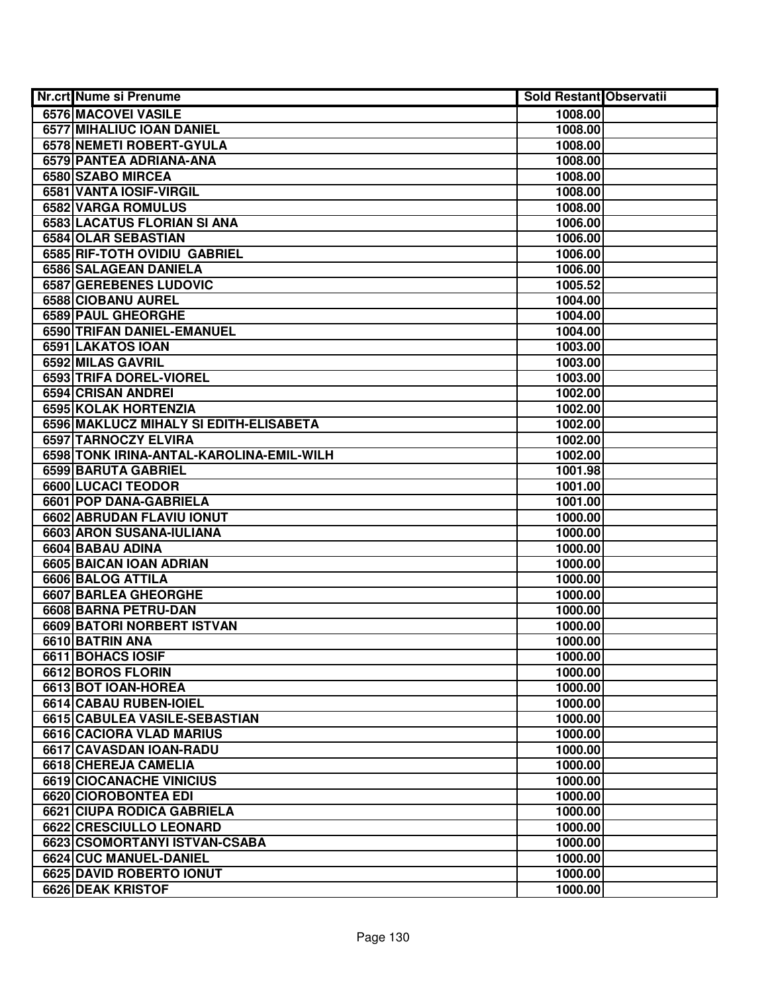| Nr.crt Nume si Prenume                   | <b>Sold Restant Observatii</b> |  |
|------------------------------------------|--------------------------------|--|
| 6576 MACOVEI VASILE                      | 1008.00                        |  |
| 6577 MIHALIUC IOAN DANIEL                | 1008.00                        |  |
| 6578 NEMETI ROBERT-GYULA                 | 1008.00                        |  |
| 6579 PANTEA ADRIANA-ANA                  | 1008.00                        |  |
| 6580 SZABO MIRCEA                        | 1008.00                        |  |
| 6581 VANTA IOSIF-VIRGIL                  | 1008.00                        |  |
| 6582 VARGA ROMULUS                       | 1008.00                        |  |
| <b>6583 LACATUS FLORIAN SI ANA</b>       | 1006.00                        |  |
| 6584 OLAR SEBASTIAN                      | 1006.00                        |  |
| 6585 RIF-TOTH OVIDIU GABRIEL             | 1006.00                        |  |
| 6586 SALAGEAN DANIELA                    | 1006.00                        |  |
| 6587 GEREBENES LUDOVIC                   | 1005.52                        |  |
| 6588 CIOBANU AUREL                       | 1004.00                        |  |
| <b>6589 PAUL GHEORGHE</b>                | 1004.00                        |  |
| 6590 TRIFAN DANIEL-EMANUEL               | 1004.00                        |  |
| 6591 LAKATOS IOAN                        | 1003.00                        |  |
| 6592 MILAS GAVRIL                        | 1003.00                        |  |
| 6593 TRIFA DOREL-VIOREL                  | 1003.00                        |  |
| 6594 CRISAN ANDREI                       | 1002.00                        |  |
| 6595 KOLAK HORTENZIA                     | 1002.00                        |  |
| 6596 MAKLUCZ MIHALY SI EDITH-ELISABETA   | 1002.00                        |  |
| 6597 TARNOCZY ELVIRA                     | 1002.00                        |  |
| 6598 TONK IRINA-ANTAL-KAROLINA-EMIL-WILH | 1002.00                        |  |
| 6599 BARUTA GABRIEL                      | 1001.98                        |  |
| 6600 LUCACI TEODOR                       | 1001.00                        |  |
| 6601 POP DANA-GABRIELA                   | 1001.00                        |  |
| 6602 ABRUDAN FLAVIU IONUT                | 1000.00                        |  |
| 6603 ARON SUSANA-IULIANA                 | 1000.00                        |  |
| 6604 BABAU ADINA                         | 1000.00                        |  |
| 6605 BAICAN IOAN ADRIAN                  | 1000.00                        |  |
| 6606 BALOG ATTILA                        | 1000.00                        |  |
| 6607 BARLEA GHEORGHE                     | 1000.00                        |  |
| 6608 BARNA PETRU-DAN                     | 1000.00                        |  |
| <b>6609 BATORI NORBERT ISTVAN</b>        | 1000.00                        |  |
| 6610 BATRIN ANA                          | 1000.00                        |  |
| 6611 BOHACS IOSIF                        | 1000.00                        |  |
| 6612 BOROS FLORIN                        | 1000.00                        |  |
| 6613 BOT IOAN-HOREA                      | 1000.00                        |  |
| 6614 CABAU RUBEN-IOIEL                   | 1000.00                        |  |
| 6615 CABULEA VASILE-SEBASTIAN            | 1000.00                        |  |
| 6616 CACIORA VLAD MARIUS                 | 1000.00                        |  |
| 6617 CAVASDAN IOAN-RADU                  | 1000.00                        |  |
| 6618 CHEREJA CAMELIA                     | 1000.00                        |  |
| 6619 CIOCANACHE VINICIUS                 | 1000.00                        |  |
| 6620 CIOROBONTEA EDI                     | 1000.00                        |  |
| 6621 CIUPA RODICA GABRIELA               | 1000.00                        |  |
| 6622 CRESCIULLO LEONARD                  | 1000.00                        |  |
| 6623 CSOMORTANYI ISTVAN-CSABA            | 1000.00                        |  |
| 6624 CUC MANUEL-DANIEL                   | 1000.00                        |  |
| 6625 DAVID ROBERTO IONUT                 | 1000.00                        |  |
| 6626 DEAK KRISTOF                        | 1000.00                        |  |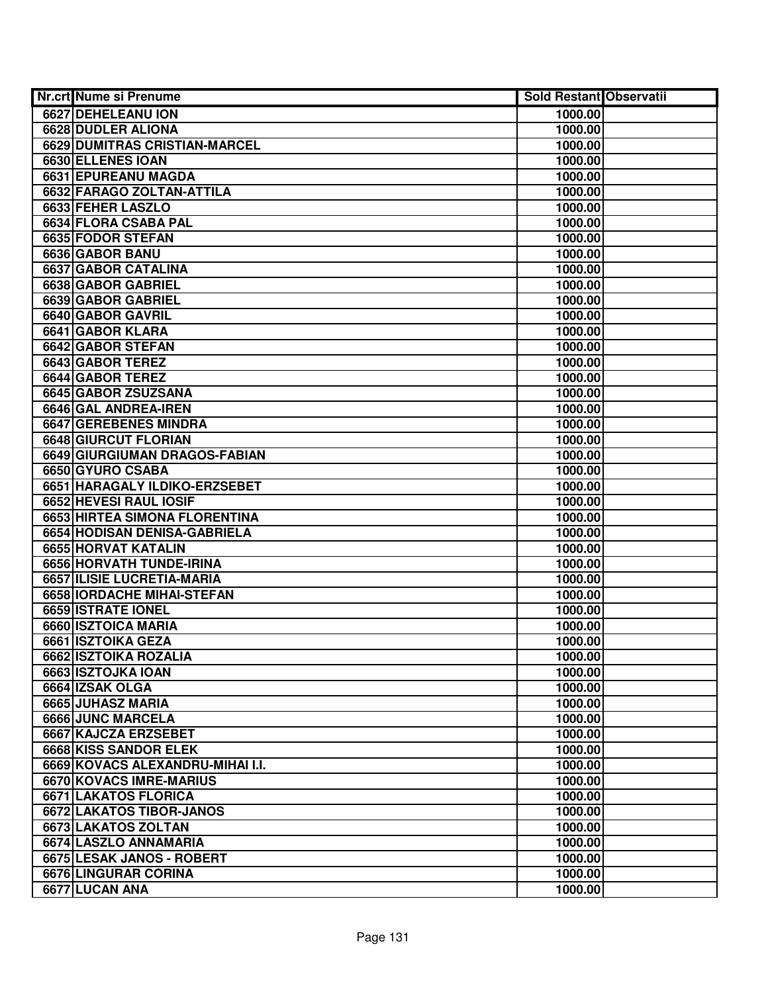| <b>Nr.crt Nume si Prenume</b>    | Sold Restant Observatii |  |
|----------------------------------|-------------------------|--|
| 6627 DEHELEANU ION               | 1000.00                 |  |
| 6628 DUDLER ALIONA               | 1000.00                 |  |
| 6629 DUMITRAS CRISTIAN-MARCEL    | 1000.00                 |  |
| 6630 ELLENES IOAN                | 1000.00                 |  |
| 6631 EPUREANU MAGDA              | 1000.00                 |  |
| 6632 FARAGO ZOLTAN-ATTILA        | 1000.00                 |  |
| 6633 FEHER LASZLO                | 1000.00                 |  |
| 6634 FLORA CSABA PAL             | 1000.00                 |  |
| 6635 FODOR STEFAN                | 1000.00                 |  |
| 6636 GABOR BANU                  | 1000.00                 |  |
| 6637 GABOR CATALINA              | 1000.00                 |  |
| 6638 GABOR GABRIEL               | 1000.00                 |  |
| 6639 GABOR GABRIEL               | 1000.00                 |  |
| 6640 GABOR GAVRIL                | 1000.00                 |  |
| 6641 GABOR KLARA                 | 1000.00                 |  |
| 6642 GABOR STEFAN                | 1000.00                 |  |
| 6643 GABOR TEREZ                 | 1000.00                 |  |
| 6644 GABOR TEREZ                 | 1000.00                 |  |
| 6645 GABOR ZSUZSANA              | 1000.00                 |  |
| 6646 GAL ANDREA-IREN             | 1000.00                 |  |
| 6647 GEREBENES MINDRA            | 1000.00                 |  |
| 6648 GIURCUT FLORIAN             | 1000.00                 |  |
| 6649 GIURGIUMAN DRAGOS-FABIAN    | 1000.00                 |  |
| 6650 GYURO CSABA                 | 1000.00                 |  |
| 6651 HARAGALY ILDIKO-ERZSEBET    | 1000.00                 |  |
| 6652 HEVESI RAUL IOSIF           | 1000.00                 |  |
| 6653 HIRTEA SIMONA FLORENTINA    | 1000.00                 |  |
| 6654 HODISAN DENISA-GABRIELA     | 1000.00                 |  |
| 6655 HORVAT KATALIN              | 1000.00                 |  |
| 6656 HORVATH TUNDE-IRINA         | 1000.00                 |  |
| 6657 ILISIE LUCRETIA-MARIA       | 1000.00                 |  |
| 6658 IORDACHE MIHAI-STEFAN       | 1000.00                 |  |
| 6659 ISTRATE IONEL               | 1000.00                 |  |
| 6660 ISZTOICA MARIA              | 1000.00                 |  |
| 6661 ISZTOIKA GEZA               | 1000.00                 |  |
| 6662 ISZTOIKA ROZALIA            | 1000.00                 |  |
| 6663 ISZTOJKA IOAN               | 1000.00                 |  |
| 6664 IZSAK OLGA                  | 1000.00                 |  |
| 6665 JUHASZ MARIA                | 1000.00                 |  |
| 6666 JUNC MARCELA                | 1000.00                 |  |
| 6667 KAJCZA ERZSEBET             | 1000.00                 |  |
| 6668 KISS SANDOR ELEK            | 1000.00                 |  |
| 6669 KOVACS ALEXANDRU-MIHAI I.I. | 1000.00                 |  |
| 6670 KOVACS IMRE-MARIUS          | 1000.00                 |  |
| 6671 LAKATOS FLORICA             | 1000.00                 |  |
| 6672 LAKATOS TIBOR-JANOS         | 1000.00                 |  |
| 6673 LAKATOS ZOLTAN              | 1000.00                 |  |
| 6674 LASZLO ANNAMARIA            | 1000.00                 |  |
| 6675 LESAK JANOS - ROBERT        | 1000.00                 |  |
| 6676 LINGURAR CORINA             | 1000.00                 |  |
| 6677 LUCAN ANA                   | 1000.00                 |  |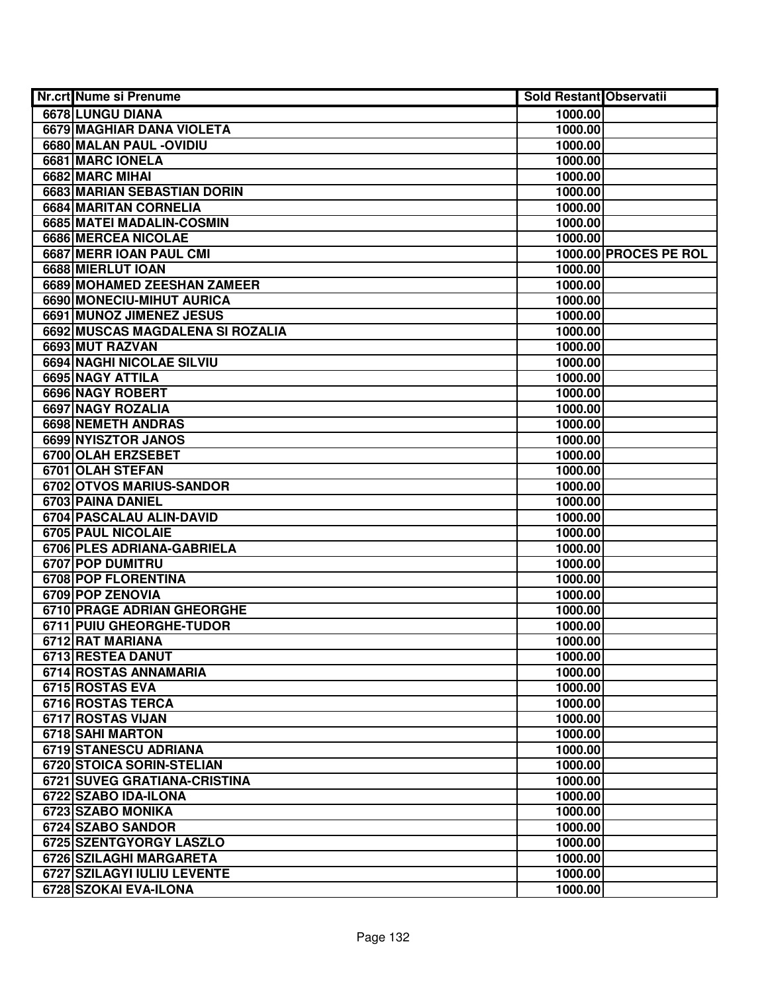| <b>Nr.crt Nume si Prenume</b>     | Sold Restant Observatii |                       |
|-----------------------------------|-------------------------|-----------------------|
| 6678 LUNGU DIANA                  | 1000.00                 |                       |
| <b>6679 MAGHIAR DANA VIOLETA</b>  | 1000.00                 |                       |
| 6680 MALAN PAUL - OVIDIU          | 1000.00                 |                       |
| 6681 MARC IONELA                  | 1000.00                 |                       |
| 6682 MARC MIHAI                   | 1000.00                 |                       |
| 6683 MARIAN SEBASTIAN DORIN       | 1000.00                 |                       |
| 6684 MARITAN CORNELIA             | 1000.00                 |                       |
| 6685 MATEI MADALIN-COSMIN         | 1000.00                 |                       |
| <b>6686 MERCEA NICOLAE</b>        | 1000.00                 |                       |
| 6687 MERR IOAN PAUL CMI           |                         | 1000.00 PROCES PE ROL |
| 6688 MIERLUT IOAN                 | 1000.00                 |                       |
| 6689 MOHAMED ZEESHAN ZAMEER       | 1000.00                 |                       |
| 6690 MONECIU-MIHUT AURICA         | 1000.00                 |                       |
| 6691 MUNOZ JIMENEZ JESUS          | 1000.00                 |                       |
| 6692 MUSCAS MAGDALENA SI ROZALIA  | 1000.00                 |                       |
| 6693 MUT RAZVAN                   | 1000.00                 |                       |
| 6694 NAGHI NICOLAE SILVIU         | 1000.00                 |                       |
| 6695 NAGY ATTILA                  | 1000.00                 |                       |
| 6696 NAGY ROBERT                  | 1000.00                 |                       |
| 6697 NAGY ROZALIA                 | 1000.00                 |                       |
| 6698 NEMETH ANDRAS                | 1000.00                 |                       |
| 6699 NYISZTOR JANOS               | 1000.00                 |                       |
| 6700 OLAH ERZSEBET                | 1000.00                 |                       |
| 6701 OLAH STEFAN                  | 1000.00                 |                       |
| 6702 OTVOS MARIUS-SANDOR          | 1000.00                 |                       |
| 6703 PAINA DANIEL                 | 1000.00                 |                       |
| 6704 PASCALAU ALIN-DAVID          | 1000.00                 |                       |
| 6705 PAUL NICOLAIE                | 1000.00                 |                       |
| 6706 PLES ADRIANA-GABRIELA        | 1000.00                 |                       |
| 6707 POP DUMITRU                  | 1000.00                 |                       |
| 6708 POP FLORENTINA               | 1000.00                 |                       |
| 6709 POP ZENOVIA                  | 1000.00                 |                       |
| <b>6710 PRAGE ADRIAN GHEORGHE</b> | 1000.00                 |                       |
| 6711 PUIU GHEORGHE-TUDOR          | 1000.00                 |                       |
| 6712 RAT MARIANA                  | 1000.00                 |                       |
| 6713 RESTEA DANUT                 | 1000.00                 |                       |
| 6714 ROSTAS ANNAMARIA             | 1000.00                 |                       |
| 6715 ROSTAS EVA                   | 1000.00                 |                       |
| <b>6716 ROSTAS TERCA</b>          | 1000.00                 |                       |
| 6717 ROSTAS VIJAN                 | 1000.00                 |                       |
| 6718 SAHI MARTON                  | 1000.00                 |                       |
| 6719 STANESCU ADRIANA             | 1000.00                 |                       |
| 6720 STOICA SORIN-STELIAN         | 1000.00                 |                       |
| 6721 SUVEG GRATIANA-CRISTINA      | 1000.00                 |                       |
| 6722 SZABO IDA-ILONA              | 1000.00                 |                       |
| 6723 SZABO MONIKA                 | 1000.00                 |                       |
| 6724 SZABO SANDOR                 | 1000.00                 |                       |
| 6725 SZENTGYORGY LASZLO           | 1000.00                 |                       |
| 6726 SZILAGHI MARGARETA           | 1000.00                 |                       |
| 6727 SZILAGYI IULIU LEVENTE       | 1000.00                 |                       |
| 6728 SZOKAI EVA-ILONA             | 1000.00                 |                       |